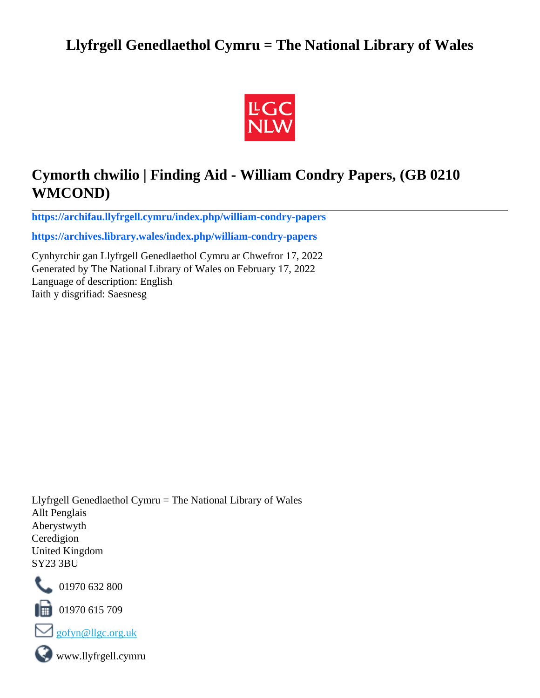# **Llyfrgell Genedlaethol Cymru = The National Library of Wales**



# **Cymorth chwilio | Finding Aid - William Condry Papers, (GB 0210 WMCOND)**

**[https://archifau.llyfrgell.cymru/index.php/william-condry-papers](https://archifau.llyfrgell.cymru/index.php/william-condry-papers;isad?sf_culture=cy)**

**[https://archives.library.wales/index.php/william-condry-papers](https://archives.library.wales/index.php/william-condry-papers;isad?sf_culture=en)**

Cynhyrchir gan Llyfrgell Genedlaethol Cymru ar Chwefror 17, 2022 Generated by The National Library of Wales on February 17, 2022 Language of description: English Iaith y disgrifiad: Saesnesg

Llyfrgell Genedlaethol Cymru = The National Library of Wales Allt Penglais Aberystwyth Ceredigion United Kingdom SY23 3BU



101970 632 800

 $\blacksquare$  01970 615 709



www.llyfrgell.cymru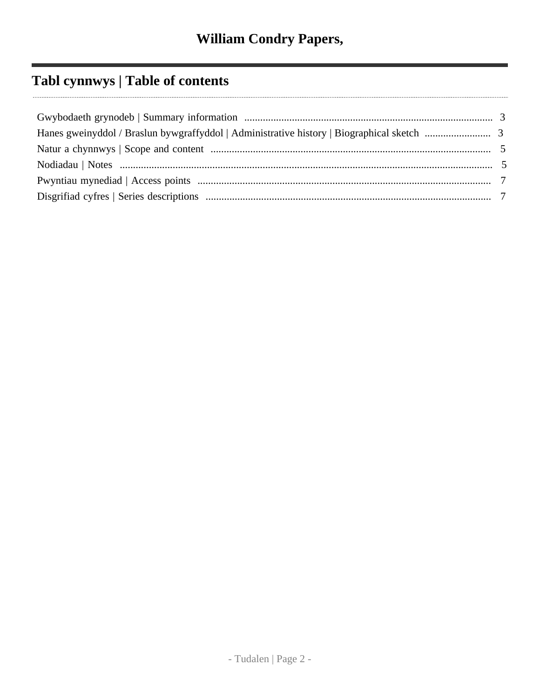# **Tabl cynnwys | Table of contents**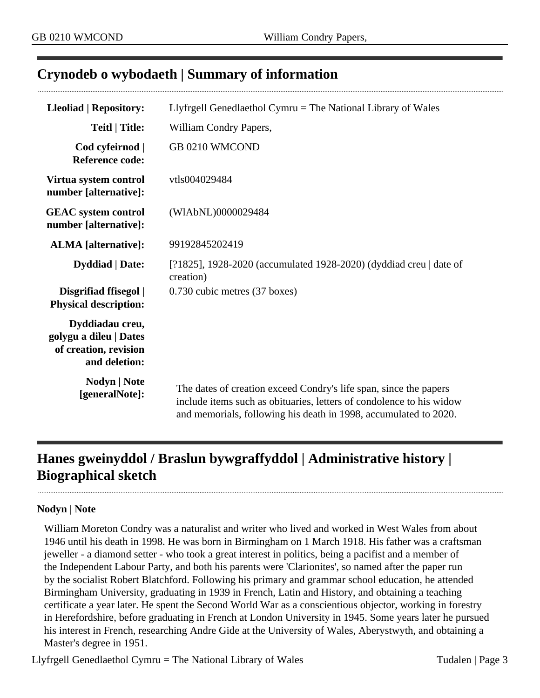# <span id="page-2-0"></span>**Crynodeb o wybodaeth | Summary of information**

| <b>Lleoliad   Repository:</b>                                                       | Llyfrgell Genedlaethol Cymru $=$ The National Library of Wales                                                                                                                                                |
|-------------------------------------------------------------------------------------|---------------------------------------------------------------------------------------------------------------------------------------------------------------------------------------------------------------|
| <b>Teitl   Title:</b>                                                               | William Condry Papers,                                                                                                                                                                                        |
| Cod cyfeirnod  <br><b>Reference code:</b>                                           | GB 0210 WMCOND                                                                                                                                                                                                |
| Virtua system control<br>number [alternative]:                                      | vtls004029484                                                                                                                                                                                                 |
| <b>GEAC</b> system control<br>number [alternative]:                                 | (WIAbNL)0000029484                                                                                                                                                                                            |
| <b>ALMA</b> [alternative]:                                                          | 99192845202419                                                                                                                                                                                                |
| <b>Dyddiad</b>   Date:                                                              | [?1825], 1928-2020 (accumulated 1928-2020) (dyddiad creu   date of<br>creation)                                                                                                                               |
| Disgrifiad ffisegol  <br><b>Physical description:</b>                               | 0.730 cubic metres (37 boxes)                                                                                                                                                                                 |
| Dyddiadau creu,<br>golygu a dileu   Dates<br>of creation, revision<br>and deletion: |                                                                                                                                                                                                               |
| <b>Nodyn</b>   <b>Note</b><br>[generalNote]:                                        | The dates of creation exceed Condry's life span, since the papers<br>include items such as obituaries, letters of condolence to his widow<br>and memorials, following his death in 1998, accumulated to 2020. |

# <span id="page-2-1"></span>**Hanes gweinyddol / Braslun bywgraffyddol | Administrative history | Biographical sketch**

#### **Nodyn | Note**

William Moreton Condry was a naturalist and writer who lived and worked in West Wales from about 1946 until his death in 1998. He was born in Birmingham on 1 March 1918. His father was a craftsman jeweller - a diamond setter - who took a great interest in politics, being a pacifist and a member of the Independent Labour Party, and both his parents were 'Clarionites', so named after the paper run by the socialist Robert Blatchford. Following his primary and grammar school education, he attended Birmingham University, graduating in 1939 in French, Latin and History, and obtaining a teaching certificate a year later. He spent the Second World War as a conscientious objector, working in forestry in Herefordshire, before graduating in French at London University in 1945. Some years later he pursued his interest in French, researching Andre Gide at the University of Wales, Aberystwyth, and obtaining a Master's degree in 1951.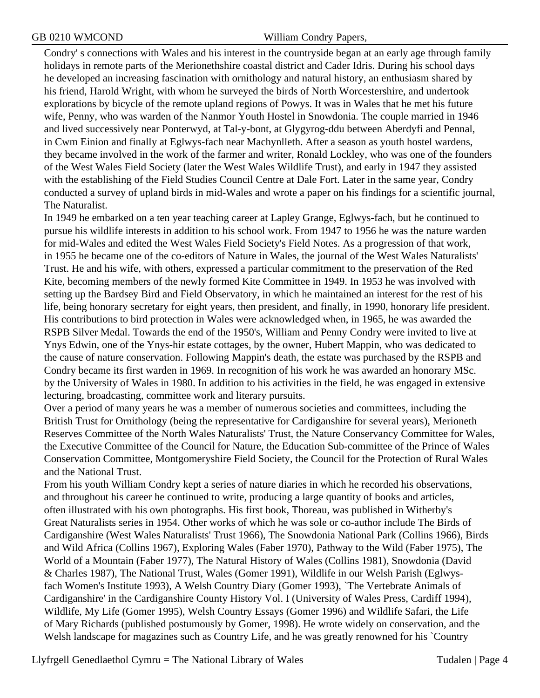Condry' s connections with Wales and his interest in the countryside began at an early age through family holidays in remote parts of the Merionethshire coastal district and Cader Idris. During his school days he developed an increasing fascination with ornithology and natural history, an enthusiasm shared by his friend, Harold Wright, with whom he surveyed the birds of North Worcestershire, and undertook explorations by bicycle of the remote upland regions of Powys. It was in Wales that he met his future wife, Penny, who was warden of the Nanmor Youth Hostel in Snowdonia. The couple married in 1946 and lived successively near Ponterwyd, at Tal-y-bont, at Glygyrog-ddu between Aberdyfi and Pennal, in Cwm Einion and finally at Eglwys-fach near Machynlleth. After a season as youth hostel wardens, they became involved in the work of the farmer and writer, Ronald Lockley, who was one of the founders of the West Wales Field Society (later the West Wales Wildlife Trust), and early in 1947 they assisted with the establishing of the Field Studies Council Centre at Dale Fort. Later in the same year, Condry conducted a survey of upland birds in mid-Wales and wrote a paper on his findings for a scientific journal, The Naturalist.

In 1949 he embarked on a ten year teaching career at Lapley Grange, Eglwys-fach, but he continued to pursue his wildlife interests in addition to his school work. From 1947 to 1956 he was the nature warden for mid-Wales and edited the West Wales Field Society's Field Notes. As a progression of that work, in 1955 he became one of the co-editors of Nature in Wales, the journal of the West Wales Naturalists' Trust. He and his wife, with others, expressed a particular commitment to the preservation of the Red Kite, becoming members of the newly formed Kite Committee in 1949. In 1953 he was involved with setting up the Bardsey Bird and Field Observatory, in which he maintained an interest for the rest of his life, being honorary secretary for eight years, then president, and finally, in 1990, honorary life president. His contributions to bird protection in Wales were acknowledged when, in 1965, he was awarded the RSPB Silver Medal. Towards the end of the 1950's, William and Penny Condry were invited to live at Ynys Edwin, one of the Ynys-hir estate cottages, by the owner, Hubert Mappin, who was dedicated to the cause of nature conservation. Following Mappin's death, the estate was purchased by the RSPB and Condry became its first warden in 1969. In recognition of his work he was awarded an honorary MSc. by the University of Wales in 1980. In addition to his activities in the field, he was engaged in extensive lecturing, broadcasting, committee work and literary pursuits.

Over a period of many years he was a member of numerous societies and committees, including the British Trust for Ornithology (being the representative for Cardiganshire for several years), Merioneth Reserves Committee of the North Wales Naturalists' Trust, the Nature Conservancy Committee for Wales, the Executive Committee of the Council for Nature, the Education Sub-committee of the Prince of Wales Conservation Committee, Montgomeryshire Field Society, the Council for the Protection of Rural Wales and the National Trust.

From his youth William Condry kept a series of nature diaries in which he recorded his observations, and throughout his career he continued to write, producing a large quantity of books and articles, often illustrated with his own photographs. His first book, Thoreau, was published in Witherby's Great Naturalists series in 1954. Other works of which he was sole or co-author include The Birds of Cardiganshire (West Wales Naturalists' Trust 1966), The Snowdonia National Park (Collins 1966), Birds and Wild Africa (Collins 1967), Exploring Wales (Faber 1970), Pathway to the Wild (Faber 1975), The World of a Mountain (Faber 1977), The Natural History of Wales (Collins 1981), Snowdonia (David & Charles 1987), The National Trust, Wales (Gomer 1991), Wildlife in our Welsh Parish (Eglwysfach Women's Institute 1993), A Welsh Country Diary (Gomer 1993), `The Vertebrate Animals of Cardiganshire' in the Cardiganshire County History Vol. I (University of Wales Press, Cardiff 1994), Wildlife, My Life (Gomer 1995), Welsh Country Essays (Gomer 1996) and Wildlife Safari, the Life of Mary Richards (published postumously by Gomer, 1998). He wrote widely on conservation, and the Welsh landscape for magazines such as Country Life, and he was greatly renowned for his `Country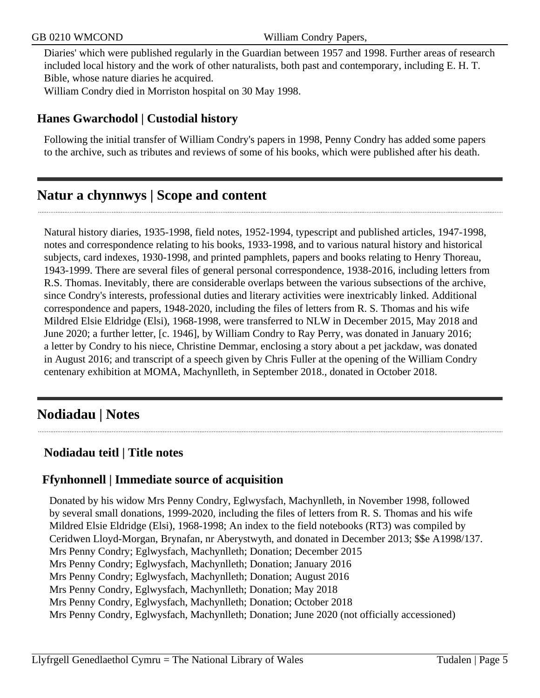Diaries' which were published regularly in the Guardian between 1957 and 1998. Further areas of research included local history and the work of other naturalists, both past and contemporary, including E. H. T. Bible, whose nature diaries he acquired.

William Condry died in Morriston hospital on 30 May 1998.

#### **Hanes Gwarchodol | Custodial history**

Following the initial transfer of William Condry's papers in 1998, Penny Condry has added some papers to the archive, such as tributes and reviews of some of his books, which were published after his death.

# <span id="page-4-0"></span>**Natur a chynnwys | Scope and content**

Natural history diaries, 1935-1998, field notes, 1952-1994, typescript and published articles, 1947-1998, notes and correspondence relating to his books, 1933-1998, and to various natural history and historical subjects, card indexes, 1930-1998, and printed pamphlets, papers and books relating to Henry Thoreau, 1943-1999. There are several files of general personal correspondence, 1938-2016, including letters from R.S. Thomas. Inevitably, there are considerable overlaps between the various subsections of the archive, since Condry's interests, professional duties and literary activities were inextricably linked. Additional correspondence and papers, 1948-2020, including the files of letters from R. S. Thomas and his wife Mildred Elsie Eldridge (Elsi), 1968-1998, were transferred to NLW in December 2015, May 2018 and June 2020; a further letter, [c. 1946], by William Condry to Ray Perry, was donated in January 2016; a letter by Condry to his niece, Christine Demmar, enclosing a story about a pet jackdaw, was donated in August 2016; and transcript of a speech given by Chris Fuller at the opening of the William Condry centenary exhibition at MOMA, Machynlleth, in September 2018., donated in October 2018.

# <span id="page-4-1"></span>**Nodiadau | Notes**

# **Nodiadau teitl | Title notes**

## **Ffynhonnell | Immediate source of acquisition**

Donated by his widow Mrs Penny Condry, Eglwysfach, Machynlleth, in November 1998, followed by several small donations, 1999-2020, including the files of letters from R. S. Thomas and his wife Mildred Elsie Eldridge (Elsi), 1968-1998; An index to the field notebooks (RT3) was compiled by Ceridwen Lloyd-Morgan, Brynafan, nr Aberystwyth, and donated in December 2013; \$\$e A1998/137. Mrs Penny Condry; Eglwysfach, Machynlleth; Donation; December 2015 Mrs Penny Condry; Eglwysfach, Machynlleth; Donation; January 2016 Mrs Penny Condry; Eglwysfach, Machynlleth; Donation; August 2016 Mrs Penny Condry, Eglwysfach, Machynlleth; Donation; May 2018 Mrs Penny Condry, Eglwysfach, Machynlleth; Donation; October 2018 Mrs Penny Condry, Eglwysfach, Machynlleth; Donation; June 2020 (not officially accessioned)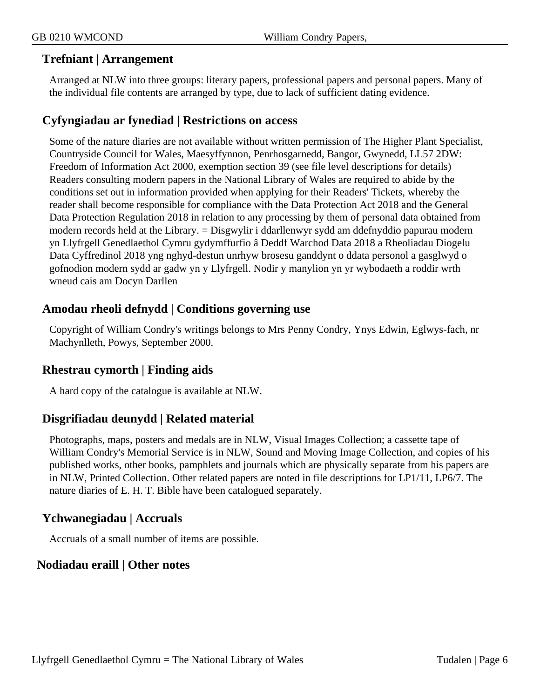#### **Trefniant | Arrangement**

Arranged at NLW into three groups: literary papers, professional papers and personal papers. Many of the individual file contents are arranged by type, due to lack of sufficient dating evidence.

## **Cyfyngiadau ar fynediad | Restrictions on access**

Some of the nature diaries are not available without written permission of The Higher Plant Specialist, Countryside Council for Wales, Maesyffynnon, Penrhosgarnedd, Bangor, Gwynedd, LL57 2DW: Freedom of Information Act 2000, exemption section 39 (see file level descriptions for details) Readers consulting modern papers in the National Library of Wales are required to abide by the conditions set out in information provided when applying for their Readers' Tickets, whereby the reader shall become responsible for compliance with the Data Protection Act 2018 and the General Data Protection Regulation 2018 in relation to any processing by them of personal data obtained from modern records held at the Library. = Disgwylir i ddarllenwyr sydd am ddefnyddio papurau modern yn Llyfrgell Genedlaethol Cymru gydymffurfio â Deddf Warchod Data 2018 a Rheoliadau Diogelu Data Cyffredinol 2018 yng nghyd-destun unrhyw brosesu ganddynt o ddata personol a gasglwyd o gofnodion modern sydd ar gadw yn y Llyfrgell. Nodir y manylion yn yr wybodaeth a roddir wrth wneud cais am Docyn Darllen

## **Amodau rheoli defnydd | Conditions governing use**

Copyright of William Condry's writings belongs to Mrs Penny Condry, Ynys Edwin, Eglwys-fach, nr Machynlleth, Powys, September 2000.

## **Rhestrau cymorth | Finding aids**

A hard copy of the catalogue is available at NLW.

## **Disgrifiadau deunydd | Related material**

Photographs, maps, posters and medals are in NLW, Visual Images Collection; a cassette tape of William Condry's Memorial Service is in NLW, Sound and Moving Image Collection, and copies of his published works, other books, pamphlets and journals which are physically separate from his papers are in NLW, Printed Collection. Other related papers are noted in file descriptions for LP1/11, LP6/7. The nature diaries of E. H. T. Bible have been catalogued separately.

## **Ychwanegiadau | Accruals**

Accruals of a small number of items are possible.

## **Nodiadau eraill | Other notes**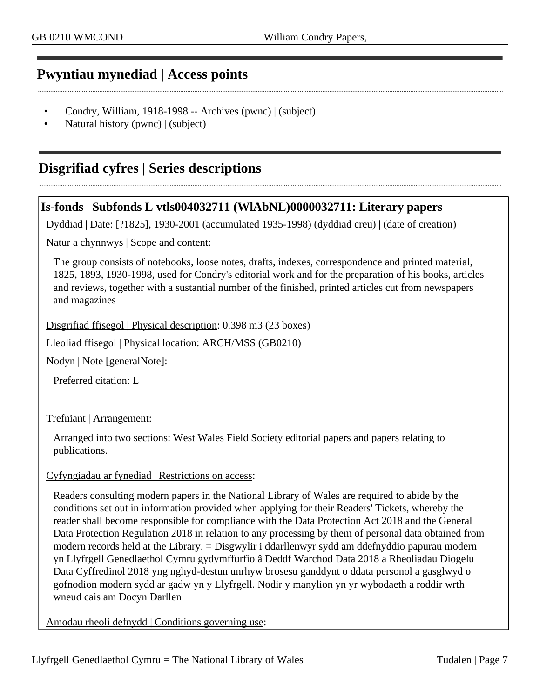# <span id="page-6-0"></span>**Pwyntiau mynediad | Access points**

- Condry, William, 1918-1998 -- Archives (pwnc) | (subject)
- Natural history (pwnc) | (subject)

# <span id="page-6-1"></span>**Disgrifiad cyfres | Series descriptions**

## **Is-fonds | Subfonds L vtls004032711 (WlAbNL)0000032711: Literary papers**

Dyddiad | Date: [?1825], 1930-2001 (accumulated 1935-1998) (dyddiad creu) | (date of creation)

Natur a chynnwys | Scope and content:

The group consists of notebooks, loose notes, drafts, indexes, correspondence and printed material, 1825, 1893, 1930-1998, used for Condry's editorial work and for the preparation of his books, articles and reviews, together with a sustantial number of the finished, printed articles cut from newspapers and magazines

Disgrifiad ffisegol | Physical description: 0.398 m3 (23 boxes)

Lleoliad ffisegol | Physical location: ARCH/MSS (GB0210)

Nodyn | Note [generalNote]:

Preferred citation: L

Trefniant | Arrangement:

Arranged into two sections: West Wales Field Society editorial papers and papers relating to publications.

#### Cyfyngiadau ar fynediad | Restrictions on access:

Readers consulting modern papers in the National Library of Wales are required to abide by the conditions set out in information provided when applying for their Readers' Tickets, whereby the reader shall become responsible for compliance with the Data Protection Act 2018 and the General Data Protection Regulation 2018 in relation to any processing by them of personal data obtained from modern records held at the Library. = Disgwylir i ddarllenwyr sydd am ddefnyddio papurau modern yn Llyfrgell Genedlaethol Cymru gydymffurfio â Deddf Warchod Data 2018 a Rheoliadau Diogelu Data Cyffredinol 2018 yng nghyd-destun unrhyw brosesu ganddynt o ddata personol a gasglwyd o gofnodion modern sydd ar gadw yn y Llyfrgell. Nodir y manylion yn yr wybodaeth a roddir wrth wneud cais am Docyn Darllen

Amodau rheoli defnydd | Conditions governing use: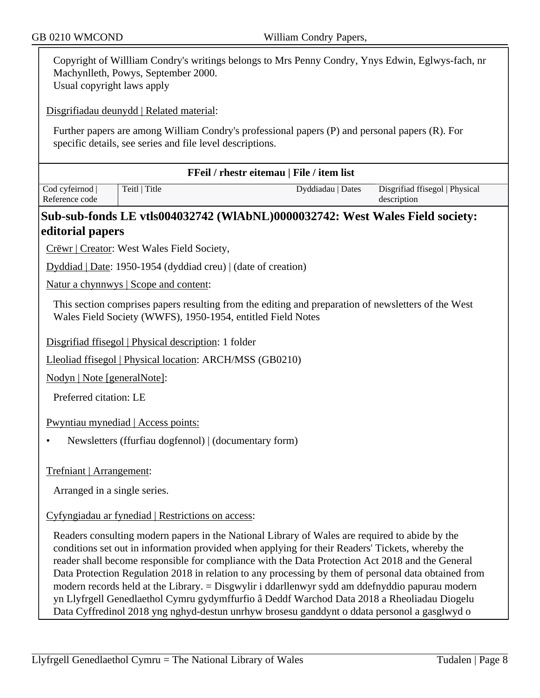| Copyright of Willliam Condry's writings belongs to Mrs Penny Condry, Ynys Edwin, Eglwys-fach, nr<br>Machynlleth, Powys, September 2000.<br>Usual copyright laws apply |                                                                                                                                                                                                                                                                                                                                                                                                                                                                                                                                                                                                                                                                                                                  |                   |                                               |  |  |
|-----------------------------------------------------------------------------------------------------------------------------------------------------------------------|------------------------------------------------------------------------------------------------------------------------------------------------------------------------------------------------------------------------------------------------------------------------------------------------------------------------------------------------------------------------------------------------------------------------------------------------------------------------------------------------------------------------------------------------------------------------------------------------------------------------------------------------------------------------------------------------------------------|-------------------|-----------------------------------------------|--|--|
|                                                                                                                                                                       | Disgrifiadau deunydd   Related material:                                                                                                                                                                                                                                                                                                                                                                                                                                                                                                                                                                                                                                                                         |                   |                                               |  |  |
|                                                                                                                                                                       | Further papers are among William Condry's professional papers (P) and personal papers (R). For<br>specific details, see series and file level descriptions.                                                                                                                                                                                                                                                                                                                                                                                                                                                                                                                                                      |                   |                                               |  |  |
|                                                                                                                                                                       | FFeil / rhestr eitemau   File / item list                                                                                                                                                                                                                                                                                                                                                                                                                                                                                                                                                                                                                                                                        |                   |                                               |  |  |
| Cod cyfeirnod<br>Reference code                                                                                                                                       | Teitl   Title                                                                                                                                                                                                                                                                                                                                                                                                                                                                                                                                                                                                                                                                                                    | Dyddiadau   Dates | Disgrifiad ffisegol   Physical<br>description |  |  |
|                                                                                                                                                                       | Sub-sub-fonds LE vtls004032742 (WIAbNL)0000032742: West Wales Field society:                                                                                                                                                                                                                                                                                                                                                                                                                                                                                                                                                                                                                                     |                   |                                               |  |  |
| editorial papers                                                                                                                                                      |                                                                                                                                                                                                                                                                                                                                                                                                                                                                                                                                                                                                                                                                                                                  |                   |                                               |  |  |
|                                                                                                                                                                       | Crëwr   Creator: West Wales Field Society,                                                                                                                                                                                                                                                                                                                                                                                                                                                                                                                                                                                                                                                                       |                   |                                               |  |  |
|                                                                                                                                                                       | Dyddiad   Date: 1950-1954 (dyddiad creu)   (date of creation)                                                                                                                                                                                                                                                                                                                                                                                                                                                                                                                                                                                                                                                    |                   |                                               |  |  |
|                                                                                                                                                                       | Natur a chynnwys   Scope and content:                                                                                                                                                                                                                                                                                                                                                                                                                                                                                                                                                                                                                                                                            |                   |                                               |  |  |
|                                                                                                                                                                       | This section comprises papers resulting from the editing and preparation of newsletters of the West<br>Wales Field Society (WWFS), 1950-1954, entitled Field Notes                                                                                                                                                                                                                                                                                                                                                                                                                                                                                                                                               |                   |                                               |  |  |
|                                                                                                                                                                       | Disgrifiad ffisegol   Physical description: 1 folder                                                                                                                                                                                                                                                                                                                                                                                                                                                                                                                                                                                                                                                             |                   |                                               |  |  |
| Lleoliad ffisegol   Physical location: ARCH/MSS (GB0210)                                                                                                              |                                                                                                                                                                                                                                                                                                                                                                                                                                                                                                                                                                                                                                                                                                                  |                   |                                               |  |  |
| Nodyn   Note [generalNote]:                                                                                                                                           |                                                                                                                                                                                                                                                                                                                                                                                                                                                                                                                                                                                                                                                                                                                  |                   |                                               |  |  |
| Preferred citation: LE                                                                                                                                                |                                                                                                                                                                                                                                                                                                                                                                                                                                                                                                                                                                                                                                                                                                                  |                   |                                               |  |  |
|                                                                                                                                                                       | Pwyntiau mynediad   Access points:                                                                                                                                                                                                                                                                                                                                                                                                                                                                                                                                                                                                                                                                               |                   |                                               |  |  |
| Newsletters (ffurfiau dogfennol)   (documentary form)                                                                                                                 |                                                                                                                                                                                                                                                                                                                                                                                                                                                                                                                                                                                                                                                                                                                  |                   |                                               |  |  |
| Trefniant   Arrangement:                                                                                                                                              |                                                                                                                                                                                                                                                                                                                                                                                                                                                                                                                                                                                                                                                                                                                  |                   |                                               |  |  |
| Arranged in a single series.                                                                                                                                          |                                                                                                                                                                                                                                                                                                                                                                                                                                                                                                                                                                                                                                                                                                                  |                   |                                               |  |  |
| Cyfyngiadau ar fynediad   Restrictions on access:                                                                                                                     |                                                                                                                                                                                                                                                                                                                                                                                                                                                                                                                                                                                                                                                                                                                  |                   |                                               |  |  |
|                                                                                                                                                                       | Readers consulting modern papers in the National Library of Wales are required to abide by the<br>conditions set out in information provided when applying for their Readers' Tickets, whereby the<br>reader shall become responsible for compliance with the Data Protection Act 2018 and the General<br>Data Protection Regulation 2018 in relation to any processing by them of personal data obtained from<br>modern records held at the Library. = Disgwylir i ddarllenwyr sydd am ddefnyddio papurau modern<br>yn Llyfrgell Genedlaethol Cymru gydymffurfio â Deddf Warchod Data 2018 a Rheoliadau Diogelu<br>Data Cyffredinol 2018 yng nghyd-destun unrhyw brosesu ganddynt o ddata personol a gasglwyd o |                   |                                               |  |  |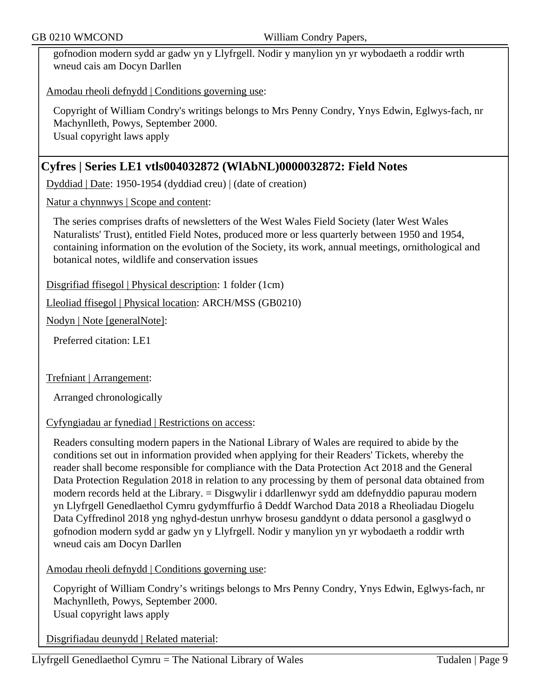gofnodion modern sydd ar gadw yn y Llyfrgell. Nodir y manylion yn yr wybodaeth a roddir wrth wneud cais am Docyn Darllen

Amodau rheoli defnydd | Conditions governing use:

Copyright of William Condry's writings belongs to Mrs Penny Condry, Ynys Edwin, Eglwys-fach, nr Machynlleth, Powys, September 2000. Usual copyright laws apply

## **Cyfres | Series LE1 vtls004032872 (WlAbNL)0000032872: Field Notes**

Dyddiad | Date: 1950-1954 (dyddiad creu) | (date of creation)

Natur a chynnwys | Scope and content:

The series comprises drafts of newsletters of the West Wales Field Society (later West Wales Naturalists' Trust), entitled Field Notes, produced more or less quarterly between 1950 and 1954, containing information on the evolution of the Society, its work, annual meetings, ornithological and botanical notes, wildlife and conservation issues

Disgrifiad ffisegol | Physical description: 1 folder (1cm)

Lleoliad ffisegol | Physical location: ARCH/MSS (GB0210)

Nodyn | Note [generalNote]:

Preferred citation: LE1

Trefniant | Arrangement:

Arranged chronologically

#### Cyfyngiadau ar fynediad | Restrictions on access:

Readers consulting modern papers in the National Library of Wales are required to abide by the conditions set out in information provided when applying for their Readers' Tickets, whereby the reader shall become responsible for compliance with the Data Protection Act 2018 and the General Data Protection Regulation 2018 in relation to any processing by them of personal data obtained from modern records held at the Library. = Disgwylir i ddarllenwyr sydd am ddefnyddio papurau modern yn Llyfrgell Genedlaethol Cymru gydymffurfio â Deddf Warchod Data 2018 a Rheoliadau Diogelu Data Cyffredinol 2018 yng nghyd-destun unrhyw brosesu ganddynt o ddata personol a gasglwyd o gofnodion modern sydd ar gadw yn y Llyfrgell. Nodir y manylion yn yr wybodaeth a roddir wrth wneud cais am Docyn Darllen

Amodau rheoli defnydd | Conditions governing use:

Copyright of William Condry's writings belongs to Mrs Penny Condry, Ynys Edwin, Eglwys-fach, nr Machynlleth, Powys, September 2000. Usual copyright laws apply

Disgrifiadau deunydd | Related material: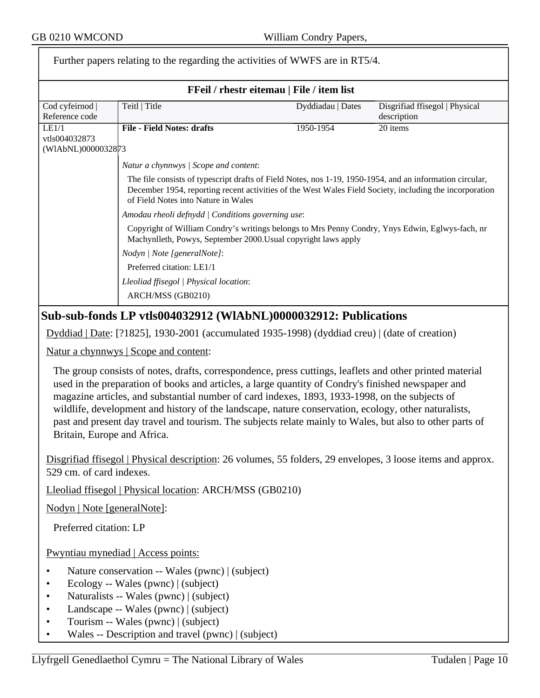|                                                                                                                                         | Further papers relating to the regarding the activities of WWFS are in RT5/4.                                                                                                                                                                                                                                                                                                                                                                                                                                                        | $\ldots$ $\ldots$ |                                               |  |
|-----------------------------------------------------------------------------------------------------------------------------------------|--------------------------------------------------------------------------------------------------------------------------------------------------------------------------------------------------------------------------------------------------------------------------------------------------------------------------------------------------------------------------------------------------------------------------------------------------------------------------------------------------------------------------------------|-------------------|-----------------------------------------------|--|
| FFeil / rhestr eitemau   File / item list                                                                                               |                                                                                                                                                                                                                                                                                                                                                                                                                                                                                                                                      |                   |                                               |  |
| Cod cyfeirnod  <br>Reference code                                                                                                       | Teitl   Title                                                                                                                                                                                                                                                                                                                                                                                                                                                                                                                        | Dyddiadau   Dates | Disgrifiad ffisegol   Physical<br>description |  |
| LE1/1<br>vtls004032873                                                                                                                  | <b>File - Field Notes: drafts</b>                                                                                                                                                                                                                                                                                                                                                                                                                                                                                                    | 1950-1954         | $20$ items                                    |  |
| (WIAbNL)0000032873                                                                                                                      |                                                                                                                                                                                                                                                                                                                                                                                                                                                                                                                                      |                   |                                               |  |
|                                                                                                                                         | Natur a chynnwys / Scope and content:                                                                                                                                                                                                                                                                                                                                                                                                                                                                                                |                   |                                               |  |
|                                                                                                                                         | The file consists of typescript drafts of Field Notes, nos 1-19, 1950-1954, and an information circular,<br>December 1954, reporting recent activities of the West Wales Field Society, including the incorporation<br>of Field Notes into Nature in Wales                                                                                                                                                                                                                                                                           |                   |                                               |  |
|                                                                                                                                         | Amodau rheoli defnydd   Conditions governing use:                                                                                                                                                                                                                                                                                                                                                                                                                                                                                    |                   |                                               |  |
|                                                                                                                                         | Copyright of William Condry's writings belongs to Mrs Penny Condry, Ynys Edwin, Eglwys-fach, nr<br>Machynlleth, Powys, September 2000. Usual copyright laws apply                                                                                                                                                                                                                                                                                                                                                                    |                   |                                               |  |
|                                                                                                                                         | Nodyn   Note [generalNote]:                                                                                                                                                                                                                                                                                                                                                                                                                                                                                                          |                   |                                               |  |
|                                                                                                                                         | Preferred citation: LE1/1                                                                                                                                                                                                                                                                                                                                                                                                                                                                                                            |                   |                                               |  |
|                                                                                                                                         | Lleoliad ffisegol   Physical location:                                                                                                                                                                                                                                                                                                                                                                                                                                                                                               |                   |                                               |  |
|                                                                                                                                         | ARCH/MSS (GB0210)                                                                                                                                                                                                                                                                                                                                                                                                                                                                                                                    |                   |                                               |  |
|                                                                                                                                         | Sub-sub-fonds LP vtls004032912 (WIAbNL)0000032912: Publications                                                                                                                                                                                                                                                                                                                                                                                                                                                                      |                   |                                               |  |
|                                                                                                                                         | Dyddiad   Date: [?1825], 1930-2001 (accumulated 1935-1998) (dyddiad creu)   (date of creation)                                                                                                                                                                                                                                                                                                                                                                                                                                       |                   |                                               |  |
|                                                                                                                                         | Natur a chynnwys   Scope and content:                                                                                                                                                                                                                                                                                                                                                                                                                                                                                                |                   |                                               |  |
| Britain, Europe and Africa.                                                                                                             | The group consists of notes, drafts, correspondence, press cuttings, leaflets and other printed material<br>used in the preparation of books and articles, a large quantity of Condry's finished newspaper and<br>magazine articles, and substantial number of card indexes, 1893, 1933-1998, on the subjects of<br>wildlife, development and history of the landscape, nature conservation, ecology, other naturalists,<br>past and present day travel and tourism. The subjects relate mainly to Wales, but also to other parts of |                   |                                               |  |
| Disgrifiad ffisegol   Physical description: 26 volumes, 55 folders, 29 envelopes, 3 loose items and approx.<br>529 cm. of card indexes. |                                                                                                                                                                                                                                                                                                                                                                                                                                                                                                                                      |                   |                                               |  |
| Lleoliad ffisegol   Physical location: ARCH/MSS (GB0210)                                                                                |                                                                                                                                                                                                                                                                                                                                                                                                                                                                                                                                      |                   |                                               |  |
| Nodyn   Note [generalNote]:                                                                                                             |                                                                                                                                                                                                                                                                                                                                                                                                                                                                                                                                      |                   |                                               |  |
| Preferred citation: LP                                                                                                                  |                                                                                                                                                                                                                                                                                                                                                                                                                                                                                                                                      |                   |                                               |  |
|                                                                                                                                         | Pwyntiau mynediad   Access points:                                                                                                                                                                                                                                                                                                                                                                                                                                                                                                   |                   |                                               |  |
|                                                                                                                                         | Nature conservation -- Wales (pwnc)   (subject)<br>Ecology -- Wales (pwnc)   (subject)<br>Naturalists -- Wales (pwnc)   (subject)<br>Landscape -- Wales (pwnc)   (subject)<br>$\sim$ (assumed $\sim$ (costs) and<br>$\mathbf{W}_{\text{obs}}$ $\mathbf{W}_{\text{obs}}$                                                                                                                                                                                                                                                              |                   |                                               |  |

- Tourism -- Wales (pwnc) | (subject)
- Wales -- Description and travel (pwnc) | (subject)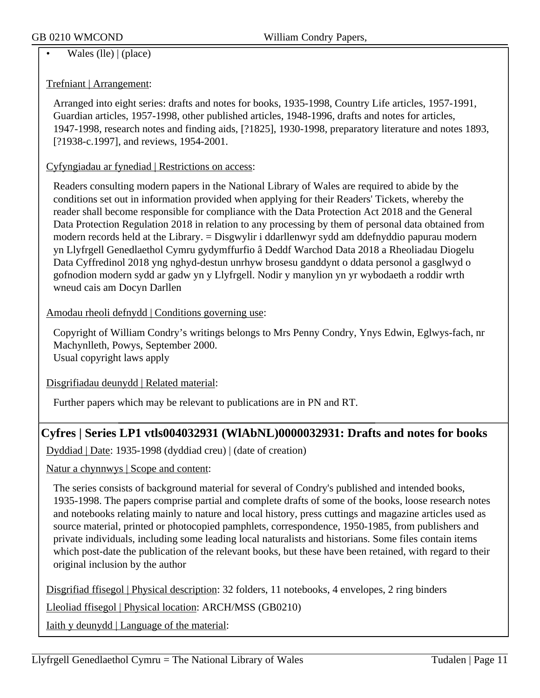#### $\overline{\text{Wales (lle) } | (\text{place})}$

#### Trefniant | Arrangement:

Arranged into eight series: drafts and notes for books, 1935-1998, Country Life articles, 1957-1991, Guardian articles, 1957-1998, other published articles, 1948-1996, drafts and notes for articles, 1947-1998, research notes and finding aids, [?1825], 1930-1998, preparatory literature and notes 1893, [?1938-c.1997], and reviews, 1954-2001.

#### Cyfyngiadau ar fynediad | Restrictions on access:

Readers consulting modern papers in the National Library of Wales are required to abide by the conditions set out in information provided when applying for their Readers' Tickets, whereby the reader shall become responsible for compliance with the Data Protection Act 2018 and the General Data Protection Regulation 2018 in relation to any processing by them of personal data obtained from modern records held at the Library. = Disgwylir i ddarllenwyr sydd am ddefnyddio papurau modern yn Llyfrgell Genedlaethol Cymru gydymffurfio â Deddf Warchod Data 2018 a Rheoliadau Diogelu Data Cyffredinol 2018 yng nghyd-destun unrhyw brosesu ganddynt o ddata personol a gasglwyd o gofnodion modern sydd ar gadw yn y Llyfrgell. Nodir y manylion yn yr wybodaeth a roddir wrth wneud cais am Docyn Darllen

#### Amodau rheoli defnydd | Conditions governing use:

Copyright of William Condry's writings belongs to Mrs Penny Condry, Ynys Edwin, Eglwys-fach, nr Machynlleth, Powys, September 2000. Usual copyright laws apply

Disgrifiadau deunydd | Related material:

Further papers which may be relevant to publications are in PN and RT.

## **Cyfres | Series LP1 vtls004032931 (WlAbNL)0000032931: Drafts and notes for books**

Dyddiad | Date: 1935-1998 (dyddiad creu) | (date of creation)

Natur a chynnwys | Scope and content:

The series consists of background material for several of Condry's published and intended books, 1935-1998. The papers comprise partial and complete drafts of some of the books, loose research notes and notebooks relating mainly to nature and local history, press cuttings and magazine articles used as source material, printed or photocopied pamphlets, correspondence, 1950-1985, from publishers and private individuals, including some leading local naturalists and historians. Some files contain items which post-date the publication of the relevant books, but these have been retained, with regard to their original inclusion by the author

Disgrifiad ffisegol | Physical description: 32 folders, 11 notebooks, 4 envelopes, 2 ring binders

Lleoliad ffisegol | Physical location: ARCH/MSS (GB0210)

Iaith y deunydd | Language of the material: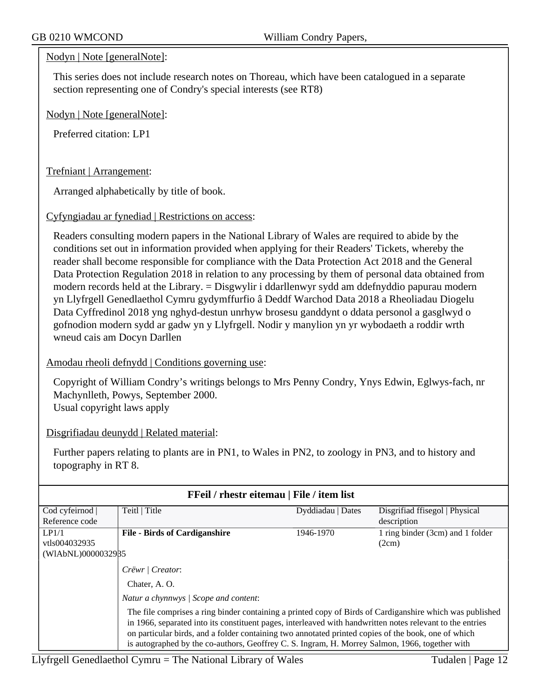#### Nodyn | Note [generalNote]:

This series does not include research notes on Thoreau, which have been catalogued in a separate section representing one of Condry's special interests (see RT8)

Nodyn | Note [generalNote]:

Preferred citation: LP1

Trefniant | Arrangement:

Arranged alphabetically by title of book.

Cyfyngiadau ar fynediad | Restrictions on access:

Readers consulting modern papers in the National Library of Wales are required to abide by the conditions set out in information provided when applying for their Readers' Tickets, whereby the reader shall become responsible for compliance with the Data Protection Act 2018 and the General Data Protection Regulation 2018 in relation to any processing by them of personal data obtained from modern records held at the Library. = Disgwylir i ddarllenwyr sydd am ddefnyddio papurau modern yn Llyfrgell Genedlaethol Cymru gydymffurfio â Deddf Warchod Data 2018 a Rheoliadau Diogelu Data Cyffredinol 2018 yng nghyd-destun unrhyw brosesu ganddynt o ddata personol a gasglwyd o gofnodion modern sydd ar gadw yn y Llyfrgell. Nodir y manylion yn yr wybodaeth a roddir wrth wneud cais am Docyn Darllen

#### Amodau rheoli defnydd | Conditions governing use:

Copyright of William Condry's writings belongs to Mrs Penny Condry, Ynys Edwin, Eglwys-fach, nr Machynlleth, Powys, September 2000. Usual copyright laws apply

Disgrifiadau deunydd | Related material:

Further papers relating to plants are in PN1, to Wales in PN2, to zoology in PN3, and to history and topography in RT 8.

| FFeil / rhestr eitemau   File / item list |                                                                                                                                                                                                                                                                                                                              |                   |                                  |  |  |
|-------------------------------------------|------------------------------------------------------------------------------------------------------------------------------------------------------------------------------------------------------------------------------------------------------------------------------------------------------------------------------|-------------------|----------------------------------|--|--|
| Cod cyfeirnod                             | Teitl   Title                                                                                                                                                                                                                                                                                                                | Dyddiadau   Dates | Disgrifiad ffisegol   Physical   |  |  |
| Reference code                            |                                                                                                                                                                                                                                                                                                                              |                   | description                      |  |  |
| LP1/1                                     | <b>File - Birds of Cardiganshire</b>                                                                                                                                                                                                                                                                                         | 1946-1970         | 1 ring binder (3cm) and 1 folder |  |  |
| vtls004032935                             |                                                                                                                                                                                                                                                                                                                              |                   | (2cm)                            |  |  |
| (WIAbNL)0000032985                        |                                                                                                                                                                                                                                                                                                                              |                   |                                  |  |  |
|                                           | Crëwr   Creator:                                                                                                                                                                                                                                                                                                             |                   |                                  |  |  |
|                                           | Chater, A. O.                                                                                                                                                                                                                                                                                                                |                   |                                  |  |  |
|                                           | Natur a chynnwys / Scope and content:                                                                                                                                                                                                                                                                                        |                   |                                  |  |  |
|                                           | The file comprises a ring binder containing a printed copy of Birds of Cardiganshire which was published<br>in 1966, separated into its constituent pages, interleaved with handwritten notes relevant to the entries<br>on particular birds, and a folder containing two annotated printed copies of the book, one of which |                   |                                  |  |  |
|                                           | is autographed by the co-authors, Geoffrey C. S. Ingram, H. Morrey Salmon, 1966, together with                                                                                                                                                                                                                               |                   |                                  |  |  |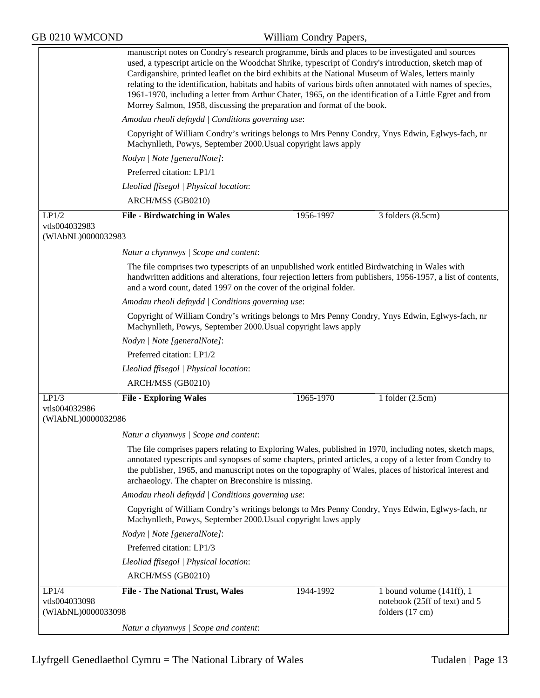|                                     | manuscript notes on Condry's research programme, birds and places to be investigated and sources<br>used, a typescript article on the Woodchat Shrike, typescript of Condry's introduction, sketch map of<br>Cardiganshire, printed leaflet on the bird exhibits at the National Museum of Wales, letters mainly<br>relating to the identification, habitats and habits of various birds often annotated with names of species,<br>1961-1970, including a letter from Arthur Chater, 1965, on the identification of a Little Egret and from<br>Morrey Salmon, 1958, discussing the preparation and format of the book. |           |                                                  |  |  |
|-------------------------------------|------------------------------------------------------------------------------------------------------------------------------------------------------------------------------------------------------------------------------------------------------------------------------------------------------------------------------------------------------------------------------------------------------------------------------------------------------------------------------------------------------------------------------------------------------------------------------------------------------------------------|-----------|--------------------------------------------------|--|--|
|                                     | Amodau rheoli defnydd   Conditions governing use:                                                                                                                                                                                                                                                                                                                                                                                                                                                                                                                                                                      |           |                                                  |  |  |
|                                     | Copyright of William Condry's writings belongs to Mrs Penny Condry, Ynys Edwin, Eglwys-fach, nr<br>Machynlleth, Powys, September 2000. Usual copyright laws apply                                                                                                                                                                                                                                                                                                                                                                                                                                                      |           |                                                  |  |  |
|                                     | Nodyn   Note [generalNote]:                                                                                                                                                                                                                                                                                                                                                                                                                                                                                                                                                                                            |           |                                                  |  |  |
|                                     | Preferred citation: LP1/1                                                                                                                                                                                                                                                                                                                                                                                                                                                                                                                                                                                              |           |                                                  |  |  |
|                                     | Lleoliad ffisegol   Physical location:                                                                                                                                                                                                                                                                                                                                                                                                                                                                                                                                                                                 |           |                                                  |  |  |
|                                     | ARCH/MSS (GB0210)                                                                                                                                                                                                                                                                                                                                                                                                                                                                                                                                                                                                      |           |                                                  |  |  |
| LP1/2                               | <b>File - Birdwatching in Wales</b>                                                                                                                                                                                                                                                                                                                                                                                                                                                                                                                                                                                    | 1956-1997 | 3 folders (8.5cm)                                |  |  |
| vtls004032983                       |                                                                                                                                                                                                                                                                                                                                                                                                                                                                                                                                                                                                                        |           |                                                  |  |  |
| (WIAbNL)0000032983                  |                                                                                                                                                                                                                                                                                                                                                                                                                                                                                                                                                                                                                        |           |                                                  |  |  |
|                                     | Natur a chynnwys / Scope and content:                                                                                                                                                                                                                                                                                                                                                                                                                                                                                                                                                                                  |           |                                                  |  |  |
|                                     | The file comprises two typescripts of an unpublished work entitled Birdwatching in Wales with<br>handwritten additions and alterations, four rejection letters from publishers, 1956-1957, a list of contents,<br>and a word count, dated 1997 on the cover of the original folder.                                                                                                                                                                                                                                                                                                                                    |           |                                                  |  |  |
|                                     | Amodau rheoli defnydd   Conditions governing use:                                                                                                                                                                                                                                                                                                                                                                                                                                                                                                                                                                      |           |                                                  |  |  |
|                                     | Copyright of William Condry's writings belongs to Mrs Penny Condry, Ynys Edwin, Eglwys-fach, nr<br>Machynlleth, Powys, September 2000. Usual copyright laws apply                                                                                                                                                                                                                                                                                                                                                                                                                                                      |           |                                                  |  |  |
|                                     | Nodyn   Note [generalNote]:                                                                                                                                                                                                                                                                                                                                                                                                                                                                                                                                                                                            |           |                                                  |  |  |
|                                     | Preferred citation: LP1/2                                                                                                                                                                                                                                                                                                                                                                                                                                                                                                                                                                                              |           |                                                  |  |  |
|                                     | Lleoliad ffisegol   Physical location:                                                                                                                                                                                                                                                                                                                                                                                                                                                                                                                                                                                 |           |                                                  |  |  |
|                                     | ARCH/MSS (GB0210)                                                                                                                                                                                                                                                                                                                                                                                                                                                                                                                                                                                                      |           |                                                  |  |  |
| LP1/3                               | <b>File - Exploring Wales</b>                                                                                                                                                                                                                                                                                                                                                                                                                                                                                                                                                                                          | 1965-1970 | 1 folder $(2.5cm)$                               |  |  |
| vtls004032986<br>(WIAbNL)0000032986 |                                                                                                                                                                                                                                                                                                                                                                                                                                                                                                                                                                                                                        |           |                                                  |  |  |
|                                     | Natur a chynnwys / Scope and content:                                                                                                                                                                                                                                                                                                                                                                                                                                                                                                                                                                                  |           |                                                  |  |  |
|                                     | The file comprises papers relating to Exploring Wales, published in 1970, including notes, sketch maps,<br>annotated typescripts and synopses of some chapters, printed articles, a copy of a letter from Condry to<br>the publisher, 1965, and manuscript notes on the topography of Wales, places of historical interest and<br>archaeology. The chapter on Breconshire is missing.                                                                                                                                                                                                                                  |           |                                                  |  |  |
|                                     | Amodau rheoli defnydd   Conditions governing use:                                                                                                                                                                                                                                                                                                                                                                                                                                                                                                                                                                      |           |                                                  |  |  |
|                                     | Copyright of William Condry's writings belongs to Mrs Penny Condry, Ynys Edwin, Eglwys-fach, nr<br>Machynlleth, Powys, September 2000. Usual copyright laws apply                                                                                                                                                                                                                                                                                                                                                                                                                                                      |           |                                                  |  |  |
|                                     | Nodyn   Note [generalNote]:                                                                                                                                                                                                                                                                                                                                                                                                                                                                                                                                                                                            |           |                                                  |  |  |
|                                     | Preferred citation: LP1/3                                                                                                                                                                                                                                                                                                                                                                                                                                                                                                                                                                                              |           |                                                  |  |  |
|                                     | Lleoliad ffisegol   Physical location:                                                                                                                                                                                                                                                                                                                                                                                                                                                                                                                                                                                 |           |                                                  |  |  |
|                                     | ARCH/MSS (GB0210)                                                                                                                                                                                                                                                                                                                                                                                                                                                                                                                                                                                                      |           |                                                  |  |  |
| LP1/4                               | <b>File - The National Trust, Wales</b>                                                                                                                                                                                                                                                                                                                                                                                                                                                                                                                                                                                | 1944-1992 | 1 bound volume $(141ff)$ , 1                     |  |  |
| vtls004033098<br>(WIAbNL)0000033098 |                                                                                                                                                                                                                                                                                                                                                                                                                                                                                                                                                                                                                        |           | notebook (25ff of text) and 5<br>folders (17 cm) |  |  |
|                                     | Natur a chynnwys / Scope and content:                                                                                                                                                                                                                                                                                                                                                                                                                                                                                                                                                                                  |           |                                                  |  |  |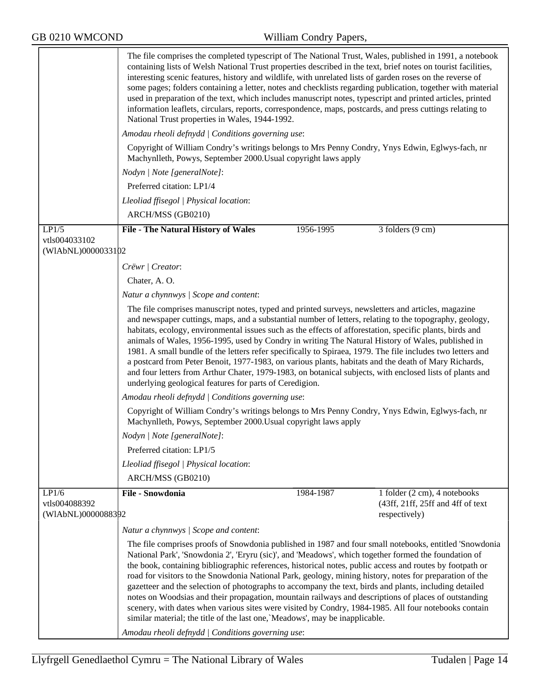|                                     | The file comprises the completed typescript of The National Trust, Wales, published in 1991, a notebook<br>containing lists of Welsh National Trust properties described in the text, brief notes on tourist facilities,<br>interesting scenic features, history and wildlife, with unrelated lists of garden roses on the reverse of<br>some pages; folders containing a letter, notes and checklists regarding publication, together with material<br>used in preparation of the text, which includes manuscript notes, typescript and printed articles, printed<br>information leaflets, circulars, reports, correspondence, maps, postcards, and press cuttings relating to<br>National Trust properties in Wales, 1944-1992.                                                                                                                |           |                                                    |  |  |  |
|-------------------------------------|--------------------------------------------------------------------------------------------------------------------------------------------------------------------------------------------------------------------------------------------------------------------------------------------------------------------------------------------------------------------------------------------------------------------------------------------------------------------------------------------------------------------------------------------------------------------------------------------------------------------------------------------------------------------------------------------------------------------------------------------------------------------------------------------------------------------------------------------------|-----------|----------------------------------------------------|--|--|--|
|                                     | Amodau rheoli defnydd   Conditions governing use:                                                                                                                                                                                                                                                                                                                                                                                                                                                                                                                                                                                                                                                                                                                                                                                                |           |                                                    |  |  |  |
|                                     | Copyright of William Condry's writings belongs to Mrs Penny Condry, Ynys Edwin, Eglwys-fach, nr<br>Machynlleth, Powys, September 2000. Usual copyright laws apply                                                                                                                                                                                                                                                                                                                                                                                                                                                                                                                                                                                                                                                                                |           |                                                    |  |  |  |
|                                     | Nodyn   Note [generalNote]:                                                                                                                                                                                                                                                                                                                                                                                                                                                                                                                                                                                                                                                                                                                                                                                                                      |           |                                                    |  |  |  |
|                                     | Preferred citation: LP1/4                                                                                                                                                                                                                                                                                                                                                                                                                                                                                                                                                                                                                                                                                                                                                                                                                        |           |                                                    |  |  |  |
|                                     | Lleoliad ffisegol   Physical location:                                                                                                                                                                                                                                                                                                                                                                                                                                                                                                                                                                                                                                                                                                                                                                                                           |           |                                                    |  |  |  |
|                                     | ARCH/MSS (GB0210)                                                                                                                                                                                                                                                                                                                                                                                                                                                                                                                                                                                                                                                                                                                                                                                                                                |           |                                                    |  |  |  |
| LP1/5                               | <b>File - The Natural History of Wales</b>                                                                                                                                                                                                                                                                                                                                                                                                                                                                                                                                                                                                                                                                                                                                                                                                       | 1956-1995 | 3 folders (9 cm)                                   |  |  |  |
| vtls004033102                       |                                                                                                                                                                                                                                                                                                                                                                                                                                                                                                                                                                                                                                                                                                                                                                                                                                                  |           |                                                    |  |  |  |
| (WIAbNL)0000033102                  |                                                                                                                                                                                                                                                                                                                                                                                                                                                                                                                                                                                                                                                                                                                                                                                                                                                  |           |                                                    |  |  |  |
|                                     | Crëwr   Creator:                                                                                                                                                                                                                                                                                                                                                                                                                                                                                                                                                                                                                                                                                                                                                                                                                                 |           |                                                    |  |  |  |
|                                     | Chater, A.O.                                                                                                                                                                                                                                                                                                                                                                                                                                                                                                                                                                                                                                                                                                                                                                                                                                     |           |                                                    |  |  |  |
|                                     | Natur a chynnwys / Scope and content:                                                                                                                                                                                                                                                                                                                                                                                                                                                                                                                                                                                                                                                                                                                                                                                                            |           |                                                    |  |  |  |
|                                     | The file comprises manuscript notes, typed and printed surveys, newsletters and articles, magazine<br>and newspaper cuttings, maps, and a substantial number of letters, relating to the topography, geology,<br>habitats, ecology, environmental issues such as the effects of afforestation, specific plants, birds and<br>animals of Wales, 1956-1995, used by Condry in writing The Natural History of Wales, published in<br>1981. A small bundle of the letters refer specifically to Spiraea, 1979. The file includes two letters and<br>a postcard from Peter Benoit, 1977-1983, on various plants, habitats and the death of Mary Richards,<br>and four letters from Arthur Chater, 1979-1983, on botanical subjects, with enclosed lists of plants and<br>underlying geological features for parts of Ceredigion.                      |           |                                                    |  |  |  |
|                                     | Amodau rheoli defnydd   Conditions governing use:                                                                                                                                                                                                                                                                                                                                                                                                                                                                                                                                                                                                                                                                                                                                                                                                |           |                                                    |  |  |  |
|                                     | Copyright of William Condry's writings belongs to Mrs Penny Condry, Ynys Edwin, Eglwys-fach, nr<br>Machynlleth, Powys, September 2000. Usual copyright laws apply                                                                                                                                                                                                                                                                                                                                                                                                                                                                                                                                                                                                                                                                                |           |                                                    |  |  |  |
|                                     | Nodyn   Note [generalNote]:                                                                                                                                                                                                                                                                                                                                                                                                                                                                                                                                                                                                                                                                                                                                                                                                                      |           |                                                    |  |  |  |
|                                     | Preferred citation: LP1/5                                                                                                                                                                                                                                                                                                                                                                                                                                                                                                                                                                                                                                                                                                                                                                                                                        |           |                                                    |  |  |  |
|                                     | Lleoliad ffisegol   Physical location:                                                                                                                                                                                                                                                                                                                                                                                                                                                                                                                                                                                                                                                                                                                                                                                                           |           |                                                    |  |  |  |
|                                     | ARCH/MSS (GB0210)                                                                                                                                                                                                                                                                                                                                                                                                                                                                                                                                                                                                                                                                                                                                                                                                                                |           |                                                    |  |  |  |
| LP1/6                               | File - Snowdonia                                                                                                                                                                                                                                                                                                                                                                                                                                                                                                                                                                                                                                                                                                                                                                                                                                 | 1984-1987 | 1 folder (2 cm), 4 notebooks                       |  |  |  |
| vtls004088392<br>(WIAbNL)0000088392 |                                                                                                                                                                                                                                                                                                                                                                                                                                                                                                                                                                                                                                                                                                                                                                                                                                                  |           | (43ff, 21ff, 25ff and 4ff of text<br>respectively) |  |  |  |
|                                     | Natur a chynnwys / Scope and content:                                                                                                                                                                                                                                                                                                                                                                                                                                                                                                                                                                                                                                                                                                                                                                                                            |           |                                                    |  |  |  |
|                                     | The file comprises proofs of Snowdonia published in 1987 and four small notebooks, entitled 'Snowdonia'<br>National Park', 'Snowdonia 2', 'Eryru (sic)', and 'Meadows', which together formed the foundation of<br>the book, containing bibliographic references, historical notes, public access and routes by footpath or<br>road for visitors to the Snowdonia National Park, geology, mining history, notes for preparation of the<br>gazetteer and the selection of photographs to accompany the text, birds and plants, including detailed<br>notes on Woodsias and their propagation, mountain railways and descriptions of places of outstanding<br>scenery, with dates when various sites were visited by Condry, 1984-1985. All four notebooks contain<br>similar material; the title of the last one, `Meadows', may be inapplicable. |           |                                                    |  |  |  |
|                                     | Amodau rheoli defnydd   Conditions governing use:                                                                                                                                                                                                                                                                                                                                                                                                                                                                                                                                                                                                                                                                                                                                                                                                |           |                                                    |  |  |  |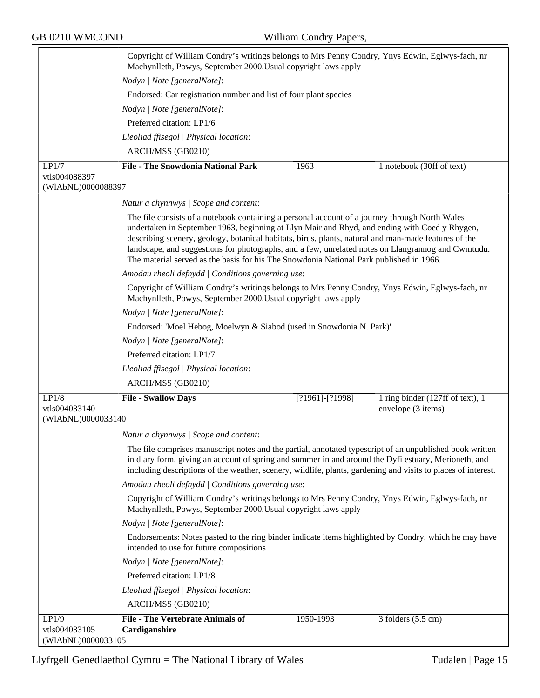|                                     | Copyright of William Condry's writings belongs to Mrs Penny Condry, Ynys Edwin, Eglwys-fach, nr<br>Machynlleth, Powys, September 2000. Usual copyright laws apply                                                                                                                                                                                                                                                                                                                                        |  |  |  |
|-------------------------------------|----------------------------------------------------------------------------------------------------------------------------------------------------------------------------------------------------------------------------------------------------------------------------------------------------------------------------------------------------------------------------------------------------------------------------------------------------------------------------------------------------------|--|--|--|
|                                     | Nodyn   Note [generalNote]:                                                                                                                                                                                                                                                                                                                                                                                                                                                                              |  |  |  |
|                                     | Endorsed: Car registration number and list of four plant species                                                                                                                                                                                                                                                                                                                                                                                                                                         |  |  |  |
|                                     | Nodyn   Note [generalNote]:                                                                                                                                                                                                                                                                                                                                                                                                                                                                              |  |  |  |
|                                     | Preferred citation: LP1/6                                                                                                                                                                                                                                                                                                                                                                                                                                                                                |  |  |  |
|                                     | Lleoliad ffisegol   Physical location:                                                                                                                                                                                                                                                                                                                                                                                                                                                                   |  |  |  |
|                                     | ARCH/MSS (GB0210)                                                                                                                                                                                                                                                                                                                                                                                                                                                                                        |  |  |  |
| LP1/7                               | <b>File - The Snowdonia National Park</b><br>1963<br>1 notebook (30ff of text)                                                                                                                                                                                                                                                                                                                                                                                                                           |  |  |  |
| vtls004088397<br>(WIAbNL)0000088397 |                                                                                                                                                                                                                                                                                                                                                                                                                                                                                                          |  |  |  |
|                                     | Natur a chynnwys / Scope and content:                                                                                                                                                                                                                                                                                                                                                                                                                                                                    |  |  |  |
|                                     | The file consists of a notebook containing a personal account of a journey through North Wales<br>undertaken in September 1963, beginning at Llyn Mair and Rhyd, and ending with Coed y Rhygen,<br>describing scenery, geology, botanical habitats, birds, plants, natural and man-made features of the<br>landscape, and suggestions for photographs, and a few, unrelated notes on Llangrannog and Cwmtudu.<br>The material served as the basis for his The Snowdonia National Park published in 1966. |  |  |  |
|                                     | Amodau rheoli defnydd   Conditions governing use:                                                                                                                                                                                                                                                                                                                                                                                                                                                        |  |  |  |
|                                     | Copyright of William Condry's writings belongs to Mrs Penny Condry, Ynys Edwin, Eglwys-fach, nr<br>Machynlleth, Powys, September 2000. Usual copyright laws apply                                                                                                                                                                                                                                                                                                                                        |  |  |  |
|                                     | Nodyn   Note [generalNote]:                                                                                                                                                                                                                                                                                                                                                                                                                                                                              |  |  |  |
|                                     | Endorsed: 'Moel Hebog, Moelwyn & Siabod (used in Snowdonia N. Park)'                                                                                                                                                                                                                                                                                                                                                                                                                                     |  |  |  |
|                                     | Nodyn   Note [generalNote]:                                                                                                                                                                                                                                                                                                                                                                                                                                                                              |  |  |  |
|                                     | Preferred citation: LP1/7                                                                                                                                                                                                                                                                                                                                                                                                                                                                                |  |  |  |
|                                     | Lleoliad ffisegol   Physical location:                                                                                                                                                                                                                                                                                                                                                                                                                                                                   |  |  |  |
|                                     | ARCH/MSS (GB0210)                                                                                                                                                                                                                                                                                                                                                                                                                                                                                        |  |  |  |
| LP1/8<br>vtls004033140              | <b>File - Swallow Days</b><br>1 ring binder $(127ff \text{ of text})$ , 1<br>$[?1961]$ - $[?1998]$<br>envelope (3 items)                                                                                                                                                                                                                                                                                                                                                                                 |  |  |  |
| (WIAbNL)0000033140                  |                                                                                                                                                                                                                                                                                                                                                                                                                                                                                                          |  |  |  |
|                                     | Natur a chynnwys / Scope and content:                                                                                                                                                                                                                                                                                                                                                                                                                                                                    |  |  |  |
|                                     | The file comprises manuscript notes and the partial, annotated typescript of an unpublished book written<br>in diary form, giving an account of spring and summer in and around the Dyfi estuary, Merioneth, and<br>including descriptions of the weather, scenery, wildlife, plants, gardening and visits to places of interest.                                                                                                                                                                        |  |  |  |
|                                     | Amodau rheoli defnydd   Conditions governing use:                                                                                                                                                                                                                                                                                                                                                                                                                                                        |  |  |  |
|                                     | Copyright of William Condry's writings belongs to Mrs Penny Condry, Ynys Edwin, Eglwys-fach, nr<br>Machynlleth, Powys, September 2000. Usual copyright laws apply                                                                                                                                                                                                                                                                                                                                        |  |  |  |
|                                     | Nodyn   Note [generalNote]:                                                                                                                                                                                                                                                                                                                                                                                                                                                                              |  |  |  |
|                                     | Endorsements: Notes pasted to the ring binder indicate items highlighted by Condry, which he may have<br>intended to use for future compositions                                                                                                                                                                                                                                                                                                                                                         |  |  |  |
|                                     | Nodyn   Note [generalNote]:                                                                                                                                                                                                                                                                                                                                                                                                                                                                              |  |  |  |
|                                     | Preferred citation: LP1/8                                                                                                                                                                                                                                                                                                                                                                                                                                                                                |  |  |  |
|                                     | Lleoliad ffisegol   Physical location:                                                                                                                                                                                                                                                                                                                                                                                                                                                                   |  |  |  |
|                                     | ARCH/MSS (GB0210)                                                                                                                                                                                                                                                                                                                                                                                                                                                                                        |  |  |  |
| LP1/9                               | <b>File - The Vertebrate Animals of</b><br>1950-1993<br>$3$ folders $(5.5 \text{ cm})$                                                                                                                                                                                                                                                                                                                                                                                                                   |  |  |  |
| vtls004033105<br>(WIAbNL)0000033105 | Cardiganshire                                                                                                                                                                                                                                                                                                                                                                                                                                                                                            |  |  |  |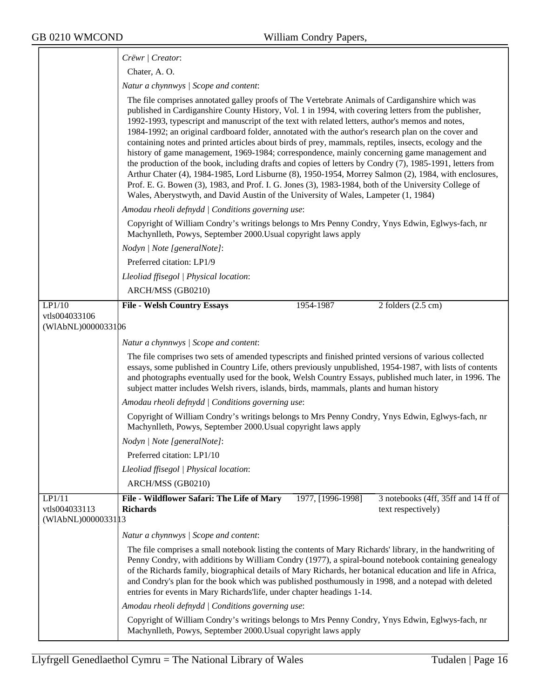|                                                | Crëwr   Creator:                                                                                                                                                                                                                                                                                                                                                                                                                                                                                                                                                                                                                                                                                                                                                                                                                                                                                                                                                                                                                                  |
|------------------------------------------------|---------------------------------------------------------------------------------------------------------------------------------------------------------------------------------------------------------------------------------------------------------------------------------------------------------------------------------------------------------------------------------------------------------------------------------------------------------------------------------------------------------------------------------------------------------------------------------------------------------------------------------------------------------------------------------------------------------------------------------------------------------------------------------------------------------------------------------------------------------------------------------------------------------------------------------------------------------------------------------------------------------------------------------------------------|
|                                                | Chater, A.O.                                                                                                                                                                                                                                                                                                                                                                                                                                                                                                                                                                                                                                                                                                                                                                                                                                                                                                                                                                                                                                      |
|                                                | Natur a chynnwys / Scope and content:                                                                                                                                                                                                                                                                                                                                                                                                                                                                                                                                                                                                                                                                                                                                                                                                                                                                                                                                                                                                             |
|                                                | The file comprises annotated galley proofs of The Vertebrate Animals of Cardiganshire which was<br>published in Cardiganshire County History, Vol. 1 in 1994, with covering letters from the publisher,<br>1992-1993, typescript and manuscript of the text with related letters, author's memos and notes,<br>1984-1992; an original cardboard folder, annotated with the author's research plan on the cover and<br>containing notes and printed articles about birds of prey, mammals, reptiles, insects, ecology and the<br>history of game management, 1969-1984; correspondence, mainly concerning game management and<br>the production of the book, including drafts and copies of letters by Condry (7), 1985-1991, letters from<br>Arthur Chater (4), 1984-1985, Lord Lisburne (8), 1950-1954, Morrey Salmon (2), 1984, with enclosures,<br>Prof. E. G. Bowen (3), 1983, and Prof. I. G. Jones (3), 1983-1984, both of the University College of<br>Wales, Aberystwyth, and David Austin of the University of Wales, Lampeter (1, 1984) |
|                                                | Amodau rheoli defnydd   Conditions governing use:                                                                                                                                                                                                                                                                                                                                                                                                                                                                                                                                                                                                                                                                                                                                                                                                                                                                                                                                                                                                 |
|                                                | Copyright of William Condry's writings belongs to Mrs Penny Condry, Ynys Edwin, Eglwys-fach, nr<br>Machynlleth, Powys, September 2000. Usual copyright laws apply                                                                                                                                                                                                                                                                                                                                                                                                                                                                                                                                                                                                                                                                                                                                                                                                                                                                                 |
|                                                | Nodyn   Note [generalNote]:                                                                                                                                                                                                                                                                                                                                                                                                                                                                                                                                                                                                                                                                                                                                                                                                                                                                                                                                                                                                                       |
|                                                | Preferred citation: LP1/9                                                                                                                                                                                                                                                                                                                                                                                                                                                                                                                                                                                                                                                                                                                                                                                                                                                                                                                                                                                                                         |
|                                                | Lleoliad ffisegol   Physical location:                                                                                                                                                                                                                                                                                                                                                                                                                                                                                                                                                                                                                                                                                                                                                                                                                                                                                                                                                                                                            |
|                                                | ARCH/MSS (GB0210)                                                                                                                                                                                                                                                                                                                                                                                                                                                                                                                                                                                                                                                                                                                                                                                                                                                                                                                                                                                                                                 |
| LP1/10<br>vtls004033106<br>(WIAbNL)0000033106  | <b>File - Welsh Country Essays</b><br>$2$ folders $(2.5 \text{ cm})$<br>1954-1987                                                                                                                                                                                                                                                                                                                                                                                                                                                                                                                                                                                                                                                                                                                                                                                                                                                                                                                                                                 |
|                                                | Natur a chynnwys / Scope and content:                                                                                                                                                                                                                                                                                                                                                                                                                                                                                                                                                                                                                                                                                                                                                                                                                                                                                                                                                                                                             |
|                                                | The file comprises two sets of amended typescripts and finished printed versions of various collected<br>essays, some published in Country Life, others previously unpublished, 1954-1987, with lists of contents<br>and photographs eventually used for the book, Welsh Country Essays, published much later, in 1996. The<br>subject matter includes Welsh rivers, islands, birds, mammals, plants and human history                                                                                                                                                                                                                                                                                                                                                                                                                                                                                                                                                                                                                            |
|                                                | Amodau rheoli defnydd   Conditions governing use:                                                                                                                                                                                                                                                                                                                                                                                                                                                                                                                                                                                                                                                                                                                                                                                                                                                                                                                                                                                                 |
|                                                | Copyright of William Condry's writings belongs to Mrs Penny Condry, Ynys Edwin, Eglwys-fach, nr<br>Machynlleth, Powys, September 2000. Usual copyright laws apply                                                                                                                                                                                                                                                                                                                                                                                                                                                                                                                                                                                                                                                                                                                                                                                                                                                                                 |
|                                                | Nodyn   Note [generalNote]:                                                                                                                                                                                                                                                                                                                                                                                                                                                                                                                                                                                                                                                                                                                                                                                                                                                                                                                                                                                                                       |
|                                                | Preferred citation: LP1/10                                                                                                                                                                                                                                                                                                                                                                                                                                                                                                                                                                                                                                                                                                                                                                                                                                                                                                                                                                                                                        |
|                                                | Lleoliad ffisegol   Physical location:                                                                                                                                                                                                                                                                                                                                                                                                                                                                                                                                                                                                                                                                                                                                                                                                                                                                                                                                                                                                            |
|                                                | ARCH/MSS (GB0210)                                                                                                                                                                                                                                                                                                                                                                                                                                                                                                                                                                                                                                                                                                                                                                                                                                                                                                                                                                                                                                 |
| LP1/11<br>vtls004033113<br>(WIAbNL)00000331 13 | File - Wildflower Safari: The Life of Mary<br>1977, [1996-1998]<br>3 notebooks (4ff, 35ff and 14 ff of<br><b>Richards</b><br>text respectively)                                                                                                                                                                                                                                                                                                                                                                                                                                                                                                                                                                                                                                                                                                                                                                                                                                                                                                   |
|                                                | Natur a chynnwys / Scope and content:                                                                                                                                                                                                                                                                                                                                                                                                                                                                                                                                                                                                                                                                                                                                                                                                                                                                                                                                                                                                             |
|                                                | The file comprises a small notebook listing the contents of Mary Richards' library, in the handwriting of<br>Penny Condry, with additions by William Condry (1977), a spiral-bound notebook containing genealogy<br>of the Richards family, biographical details of Mary Richards, her botanical education and life in Africa,<br>and Condry's plan for the book which was published posthumously in 1998, and a notepad with deleted<br>entries for events in Mary Richards'life, under chapter headings 1-14.                                                                                                                                                                                                                                                                                                                                                                                                                                                                                                                                   |
|                                                |                                                                                                                                                                                                                                                                                                                                                                                                                                                                                                                                                                                                                                                                                                                                                                                                                                                                                                                                                                                                                                                   |
|                                                | Amodau rheoli defnydd   Conditions governing use:                                                                                                                                                                                                                                                                                                                                                                                                                                                                                                                                                                                                                                                                                                                                                                                                                                                                                                                                                                                                 |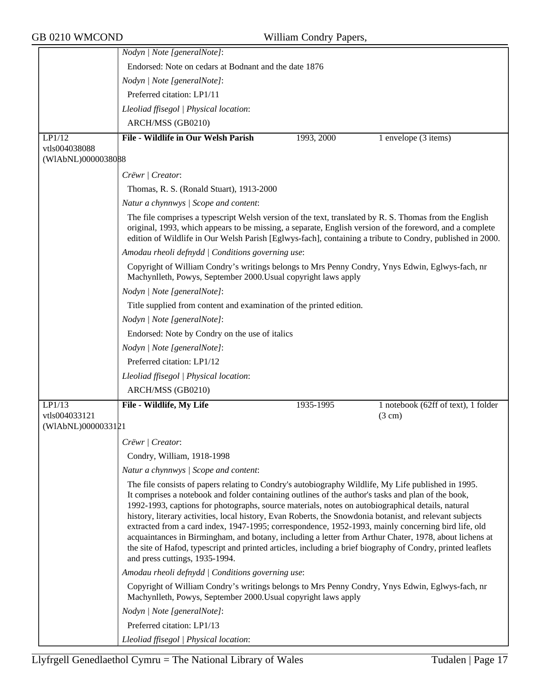|                    | Nodyn   Note [generalNote]:                                                                                                                                                                                                                                                                                                                                                                                                                                                                                                                                                                                                                                                                                                                                                                  |            |                                     |  |
|--------------------|----------------------------------------------------------------------------------------------------------------------------------------------------------------------------------------------------------------------------------------------------------------------------------------------------------------------------------------------------------------------------------------------------------------------------------------------------------------------------------------------------------------------------------------------------------------------------------------------------------------------------------------------------------------------------------------------------------------------------------------------------------------------------------------------|------------|-------------------------------------|--|
|                    | Endorsed: Note on cedars at Bodnant and the date 1876                                                                                                                                                                                                                                                                                                                                                                                                                                                                                                                                                                                                                                                                                                                                        |            |                                     |  |
|                    | Nodyn   Note [generalNote]:                                                                                                                                                                                                                                                                                                                                                                                                                                                                                                                                                                                                                                                                                                                                                                  |            |                                     |  |
|                    | Preferred citation: LP1/11                                                                                                                                                                                                                                                                                                                                                                                                                                                                                                                                                                                                                                                                                                                                                                   |            |                                     |  |
|                    | Lleoliad ffisegol   Physical location:                                                                                                                                                                                                                                                                                                                                                                                                                                                                                                                                                                                                                                                                                                                                                       |            |                                     |  |
|                    | ARCH/MSS (GB0210)                                                                                                                                                                                                                                                                                                                                                                                                                                                                                                                                                                                                                                                                                                                                                                            |            |                                     |  |
| LP1/12             | File - Wildlife in Our Welsh Parish                                                                                                                                                                                                                                                                                                                                                                                                                                                                                                                                                                                                                                                                                                                                                          | 1993, 2000 | 1 envelope (3 items)                |  |
| vtls004038088      |                                                                                                                                                                                                                                                                                                                                                                                                                                                                                                                                                                                                                                                                                                                                                                                              |            |                                     |  |
| (WIAbNL)0000038088 |                                                                                                                                                                                                                                                                                                                                                                                                                                                                                                                                                                                                                                                                                                                                                                                              |            |                                     |  |
|                    | Crëwr   Creator:                                                                                                                                                                                                                                                                                                                                                                                                                                                                                                                                                                                                                                                                                                                                                                             |            |                                     |  |
|                    | Thomas, R. S. (Ronald Stuart), 1913-2000                                                                                                                                                                                                                                                                                                                                                                                                                                                                                                                                                                                                                                                                                                                                                     |            |                                     |  |
|                    | Natur a chynnwys / Scope and content:                                                                                                                                                                                                                                                                                                                                                                                                                                                                                                                                                                                                                                                                                                                                                        |            |                                     |  |
|                    | The file comprises a typescript Welsh version of the text, translated by R. S. Thomas from the English<br>original, 1993, which appears to be missing, a separate, English version of the foreword, and a complete<br>edition of Wildlife in Our Welsh Parish [Eglwys-fach], containing a tribute to Condry, published in 2000.                                                                                                                                                                                                                                                                                                                                                                                                                                                              |            |                                     |  |
|                    | Amodau rheoli defnydd   Conditions governing use:                                                                                                                                                                                                                                                                                                                                                                                                                                                                                                                                                                                                                                                                                                                                            |            |                                     |  |
|                    | Copyright of William Condry's writings belongs to Mrs Penny Condry, Ynys Edwin, Eglwys-fach, nr<br>Machynlleth, Powys, September 2000. Usual copyright laws apply                                                                                                                                                                                                                                                                                                                                                                                                                                                                                                                                                                                                                            |            |                                     |  |
|                    | Nodyn   Note [generalNote]:                                                                                                                                                                                                                                                                                                                                                                                                                                                                                                                                                                                                                                                                                                                                                                  |            |                                     |  |
|                    | Title supplied from content and examination of the printed edition.                                                                                                                                                                                                                                                                                                                                                                                                                                                                                                                                                                                                                                                                                                                          |            |                                     |  |
|                    | Nodyn   Note [generalNote]:                                                                                                                                                                                                                                                                                                                                                                                                                                                                                                                                                                                                                                                                                                                                                                  |            |                                     |  |
|                    | Endorsed: Note by Condry on the use of italics                                                                                                                                                                                                                                                                                                                                                                                                                                                                                                                                                                                                                                                                                                                                               |            |                                     |  |
|                    | Nodyn   Note [generalNote]:                                                                                                                                                                                                                                                                                                                                                                                                                                                                                                                                                                                                                                                                                                                                                                  |            |                                     |  |
|                    | Preferred citation: LP1/12                                                                                                                                                                                                                                                                                                                                                                                                                                                                                                                                                                                                                                                                                                                                                                   |            |                                     |  |
|                    | Lleoliad ffisegol   Physical location:                                                                                                                                                                                                                                                                                                                                                                                                                                                                                                                                                                                                                                                                                                                                                       |            |                                     |  |
|                    | ARCH/MSS (GB0210)                                                                                                                                                                                                                                                                                                                                                                                                                                                                                                                                                                                                                                                                                                                                                                            |            |                                     |  |
| LP1/13             | File - Wildlife, My Life                                                                                                                                                                                                                                                                                                                                                                                                                                                                                                                                                                                                                                                                                                                                                                     | 1935-1995  | 1 notebook (62ff of text), 1 folder |  |
| vtls004033121      |                                                                                                                                                                                                                                                                                                                                                                                                                                                                                                                                                                                                                                                                                                                                                                                              |            | $(3 \text{ cm})$                    |  |
| (WIAbNL)0000033121 |                                                                                                                                                                                                                                                                                                                                                                                                                                                                                                                                                                                                                                                                                                                                                                                              |            |                                     |  |
|                    | $C$ rëwr   Creator:                                                                                                                                                                                                                                                                                                                                                                                                                                                                                                                                                                                                                                                                                                                                                                          |            |                                     |  |
|                    | Condry, William, 1918-1998                                                                                                                                                                                                                                                                                                                                                                                                                                                                                                                                                                                                                                                                                                                                                                   |            |                                     |  |
|                    | Natur a chynnwys / Scope and content:                                                                                                                                                                                                                                                                                                                                                                                                                                                                                                                                                                                                                                                                                                                                                        |            |                                     |  |
|                    | The file consists of papers relating to Condry's autobiography Wildlife, My Life published in 1995.<br>It comprises a notebook and folder containing outlines of the author's tasks and plan of the book,<br>1992-1993, captions for photographs, source materials, notes on autobiographical details, natural<br>history, literary activities, local history, Evan Roberts, the Snowdonia botanist, and relevant subjects<br>extracted from a card index, 1947-1995; correspondence, 1952-1993, mainly concerning bird life, old<br>acquaintances in Birmingham, and botany, including a letter from Arthur Chater, 1978, about lichens at<br>the site of Hafod, typescript and printed articles, including a brief biography of Condry, printed leaflets<br>and press cuttings, 1935-1994. |            |                                     |  |
|                    | Amodau rheoli defnydd   Conditions governing use:                                                                                                                                                                                                                                                                                                                                                                                                                                                                                                                                                                                                                                                                                                                                            |            |                                     |  |
|                    | Copyright of William Condry's writings belongs to Mrs Penny Condry, Ynys Edwin, Eglwys-fach, nr<br>Machynlleth, Powys, September 2000. Usual copyright laws apply                                                                                                                                                                                                                                                                                                                                                                                                                                                                                                                                                                                                                            |            |                                     |  |
|                    | Nodyn   Note [generalNote]:                                                                                                                                                                                                                                                                                                                                                                                                                                                                                                                                                                                                                                                                                                                                                                  |            |                                     |  |
|                    | Preferred citation: LP1/13                                                                                                                                                                                                                                                                                                                                                                                                                                                                                                                                                                                                                                                                                                                                                                   |            |                                     |  |
|                    | Lleoliad ffisegol   Physical location:                                                                                                                                                                                                                                                                                                                                                                                                                                                                                                                                                                                                                                                                                                                                                       |            |                                     |  |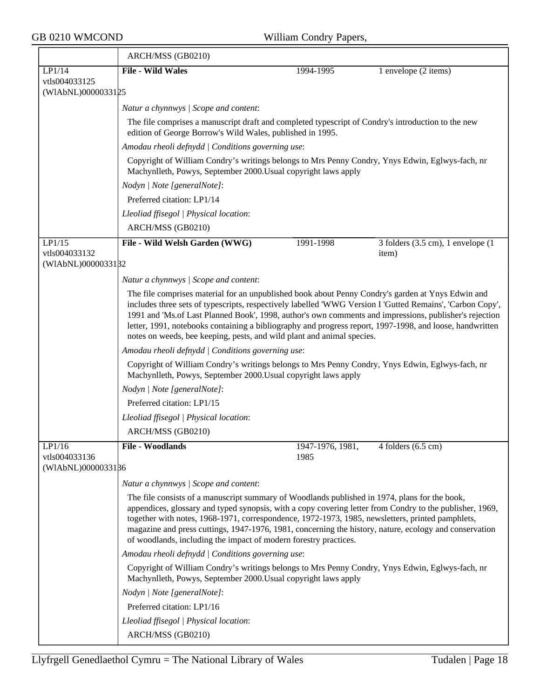|                                     | ARCH/MSS (GB0210)                                                                                                                                                                                                                                                                                                                                                                                                                                                                           |                          |                                     |  |  |  |
|-------------------------------------|---------------------------------------------------------------------------------------------------------------------------------------------------------------------------------------------------------------------------------------------------------------------------------------------------------------------------------------------------------------------------------------------------------------------------------------------------------------------------------------------|--------------------------|-------------------------------------|--|--|--|
| LP1/14                              | <b>File - Wild Wales</b>                                                                                                                                                                                                                                                                                                                                                                                                                                                                    | 1994-1995                | 1 envelope (2 items)                |  |  |  |
| vtls004033125<br>(WIAbNL)0000033125 |                                                                                                                                                                                                                                                                                                                                                                                                                                                                                             |                          |                                     |  |  |  |
|                                     | Natur a chynnwys / Scope and content:                                                                                                                                                                                                                                                                                                                                                                                                                                                       |                          |                                     |  |  |  |
|                                     | The file comprises a manuscript draft and completed typescript of Condry's introduction to the new<br>edition of George Borrow's Wild Wales, published in 1995.                                                                                                                                                                                                                                                                                                                             |                          |                                     |  |  |  |
|                                     | Amodau rheoli defnydd   Conditions governing use:                                                                                                                                                                                                                                                                                                                                                                                                                                           |                          |                                     |  |  |  |
|                                     | Copyright of William Condry's writings belongs to Mrs Penny Condry, Ynys Edwin, Eglwys-fach, nr<br>Machynlleth, Powys, September 2000. Usual copyright laws apply                                                                                                                                                                                                                                                                                                                           |                          |                                     |  |  |  |
|                                     | Nodyn   Note [generalNote]:                                                                                                                                                                                                                                                                                                                                                                                                                                                                 |                          |                                     |  |  |  |
|                                     | Preferred citation: LP1/14                                                                                                                                                                                                                                                                                                                                                                                                                                                                  |                          |                                     |  |  |  |
|                                     | Lleoliad ffisegol   Physical location:                                                                                                                                                                                                                                                                                                                                                                                                                                                      |                          |                                     |  |  |  |
|                                     | ARCH/MSS (GB0210)                                                                                                                                                                                                                                                                                                                                                                                                                                                                           |                          |                                     |  |  |  |
| LP1/15                              | File - Wild Welsh Garden (WWG)                                                                                                                                                                                                                                                                                                                                                                                                                                                              | 1991-1998                | $3$ folders (3.5 cm), 1 envelope (1 |  |  |  |
| vtls004033132<br>(WIAbNL)0000033182 |                                                                                                                                                                                                                                                                                                                                                                                                                                                                                             |                          | item)                               |  |  |  |
|                                     | Natur a chynnwys / Scope and content:                                                                                                                                                                                                                                                                                                                                                                                                                                                       |                          |                                     |  |  |  |
|                                     | The file comprises material for an unpublished book about Penny Condry's garden at Ynys Edwin and                                                                                                                                                                                                                                                                                                                                                                                           |                          |                                     |  |  |  |
|                                     | includes three sets of typescripts, respectively labelled 'WWG Version I 'Gutted Remains', 'Carbon Copy',<br>1991 and 'Ms.of Last Planned Book', 1998, author's own comments and impressions, publisher's rejection<br>letter, 1991, notebooks containing a bibliography and progress report, 1997-1998, and loose, handwritten<br>notes on weeds, bee keeping, pests, and wild plant and animal species.                                                                                   |                          |                                     |  |  |  |
|                                     | Amodau rheoli defnydd   Conditions governing use:                                                                                                                                                                                                                                                                                                                                                                                                                                           |                          |                                     |  |  |  |
|                                     | Copyright of William Condry's writings belongs to Mrs Penny Condry, Ynys Edwin, Eglwys-fach, nr<br>Machynlleth, Powys, September 2000. Usual copyright laws apply                                                                                                                                                                                                                                                                                                                           |                          |                                     |  |  |  |
|                                     | Nodyn   Note [generalNote]:                                                                                                                                                                                                                                                                                                                                                                                                                                                                 |                          |                                     |  |  |  |
|                                     | Preferred citation: LP1/15                                                                                                                                                                                                                                                                                                                                                                                                                                                                  |                          |                                     |  |  |  |
|                                     | Lleoliad ffisegol   Physical location:                                                                                                                                                                                                                                                                                                                                                                                                                                                      |                          |                                     |  |  |  |
|                                     | ARCH/MSS (GB0210)                                                                                                                                                                                                                                                                                                                                                                                                                                                                           |                          |                                     |  |  |  |
| LPI/16<br>vtls004033136             | File - Woodlands                                                                                                                                                                                                                                                                                                                                                                                                                                                                            | 1947-1976, 1981,<br>1985 | 4 folders $(6.5 \text{ cm})$        |  |  |  |
| (WIAbNL)0000033186                  |                                                                                                                                                                                                                                                                                                                                                                                                                                                                                             |                          |                                     |  |  |  |
|                                     | Natur a chynnwys / Scope and content:                                                                                                                                                                                                                                                                                                                                                                                                                                                       |                          |                                     |  |  |  |
|                                     | The file consists of a manuscript summary of Woodlands published in 1974, plans for the book,<br>appendices, glossary and typed synopsis, with a copy covering letter from Condry to the publisher, 1969,<br>together with notes, 1968-1971, correspondence, 1972-1973, 1985, newsletters, printed pamphlets,<br>magazine and press cuttings, 1947-1976, 1981, concerning the history, nature, ecology and conservation<br>of woodlands, including the impact of modern forestry practices. |                          |                                     |  |  |  |
|                                     | Amodau rheoli defnydd   Conditions governing use:                                                                                                                                                                                                                                                                                                                                                                                                                                           |                          |                                     |  |  |  |
|                                     | Copyright of William Condry's writings belongs to Mrs Penny Condry, Ynys Edwin, Eglwys-fach, nr<br>Machynlleth, Powys, September 2000. Usual copyright laws apply                                                                                                                                                                                                                                                                                                                           |                          |                                     |  |  |  |
|                                     | Nodyn   Note [generalNote]:                                                                                                                                                                                                                                                                                                                                                                                                                                                                 |                          |                                     |  |  |  |
|                                     | Preferred citation: LP1/16                                                                                                                                                                                                                                                                                                                                                                                                                                                                  |                          |                                     |  |  |  |
|                                     | Lleoliad ffisegol   Physical location:                                                                                                                                                                                                                                                                                                                                                                                                                                                      |                          |                                     |  |  |  |
|                                     | ARCH/MSS (GB0210)                                                                                                                                                                                                                                                                                                                                                                                                                                                                           |                          |                                     |  |  |  |
|                                     |                                                                                                                                                                                                                                                                                                                                                                                                                                                                                             |                          |                                     |  |  |  |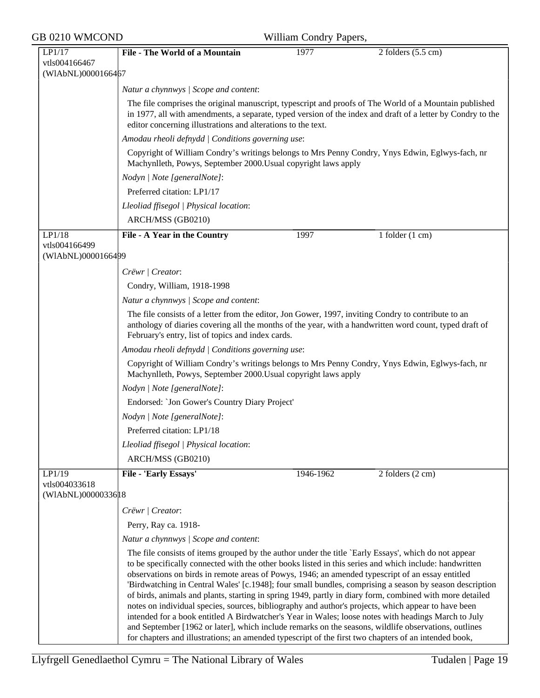| LP1/17<br>vtls004166467<br>(WIAbNL)0000166467  | <b>File - The World of a Mountain</b>                                                                                                                                                                                                                                                                                                                                                                                                                                                                                                                                                                                                                                                                                                                                                                                                                        | 1977      | $2$ folders $(5.5 \text{ cm})$                                                                          |  |  |
|------------------------------------------------|--------------------------------------------------------------------------------------------------------------------------------------------------------------------------------------------------------------------------------------------------------------------------------------------------------------------------------------------------------------------------------------------------------------------------------------------------------------------------------------------------------------------------------------------------------------------------------------------------------------------------------------------------------------------------------------------------------------------------------------------------------------------------------------------------------------------------------------------------------------|-----------|---------------------------------------------------------------------------------------------------------|--|--|
|                                                |                                                                                                                                                                                                                                                                                                                                                                                                                                                                                                                                                                                                                                                                                                                                                                                                                                                              |           |                                                                                                         |  |  |
|                                                |                                                                                                                                                                                                                                                                                                                                                                                                                                                                                                                                                                                                                                                                                                                                                                                                                                                              |           |                                                                                                         |  |  |
|                                                | Natur a chynnwys / Scope and content:                                                                                                                                                                                                                                                                                                                                                                                                                                                                                                                                                                                                                                                                                                                                                                                                                        |           |                                                                                                         |  |  |
|                                                | The file comprises the original manuscript, typescript and proofs of The World of a Mountain published<br>in 1977, all with amendments, a separate, typed version of the index and draft of a letter by Condry to the<br>editor concerning illustrations and alterations to the text.                                                                                                                                                                                                                                                                                                                                                                                                                                                                                                                                                                        |           |                                                                                                         |  |  |
|                                                | Amodau rheoli defnydd   Conditions governing use:                                                                                                                                                                                                                                                                                                                                                                                                                                                                                                                                                                                                                                                                                                                                                                                                            |           |                                                                                                         |  |  |
|                                                | Copyright of William Condry's writings belongs to Mrs Penny Condry, Ynys Edwin, Eglwys-fach, nr<br>Machynlleth, Powys, September 2000. Usual copyright laws apply                                                                                                                                                                                                                                                                                                                                                                                                                                                                                                                                                                                                                                                                                            |           |                                                                                                         |  |  |
|                                                | Nodyn   Note [generalNote]:                                                                                                                                                                                                                                                                                                                                                                                                                                                                                                                                                                                                                                                                                                                                                                                                                                  |           |                                                                                                         |  |  |
|                                                | Preferred citation: LP1/17                                                                                                                                                                                                                                                                                                                                                                                                                                                                                                                                                                                                                                                                                                                                                                                                                                   |           |                                                                                                         |  |  |
|                                                | Lleoliad ffisegol   Physical location:                                                                                                                                                                                                                                                                                                                                                                                                                                                                                                                                                                                                                                                                                                                                                                                                                       |           |                                                                                                         |  |  |
|                                                | ARCH/MSS (GB0210)                                                                                                                                                                                                                                                                                                                                                                                                                                                                                                                                                                                                                                                                                                                                                                                                                                            |           |                                                                                                         |  |  |
| LP1/18<br>vtls004166499                        | File - A Year in the Country                                                                                                                                                                                                                                                                                                                                                                                                                                                                                                                                                                                                                                                                                                                                                                                                                                 | 1997      | 1 folder $(1 \text{ cm})$                                                                               |  |  |
| (WIAbNL)0000166499                             |                                                                                                                                                                                                                                                                                                                                                                                                                                                                                                                                                                                                                                                                                                                                                                                                                                                              |           |                                                                                                         |  |  |
|                                                | Crëwr   Creator:                                                                                                                                                                                                                                                                                                                                                                                                                                                                                                                                                                                                                                                                                                                                                                                                                                             |           |                                                                                                         |  |  |
|                                                | Condry, William, 1918-1998                                                                                                                                                                                                                                                                                                                                                                                                                                                                                                                                                                                                                                                                                                                                                                                                                                   |           |                                                                                                         |  |  |
|                                                | Natur a chynnwys / Scope and content:                                                                                                                                                                                                                                                                                                                                                                                                                                                                                                                                                                                                                                                                                                                                                                                                                        |           |                                                                                                         |  |  |
|                                                | The file consists of a letter from the editor, Jon Gower, 1997, inviting Condry to contribute to an<br>anthology of diaries covering all the months of the year, with a handwritten word count, typed draft of<br>February's entry, list of topics and index cards.                                                                                                                                                                                                                                                                                                                                                                                                                                                                                                                                                                                          |           |                                                                                                         |  |  |
|                                                | Amodau rheoli defnydd   Conditions governing use:                                                                                                                                                                                                                                                                                                                                                                                                                                                                                                                                                                                                                                                                                                                                                                                                            |           |                                                                                                         |  |  |
|                                                | Copyright of William Condry's writings belongs to Mrs Penny Condry, Ynys Edwin, Eglwys-fach, nr<br>Machynlleth, Powys, September 2000. Usual copyright laws apply                                                                                                                                                                                                                                                                                                                                                                                                                                                                                                                                                                                                                                                                                            |           |                                                                                                         |  |  |
|                                                | Nodyn   Note [generalNote]:                                                                                                                                                                                                                                                                                                                                                                                                                                                                                                                                                                                                                                                                                                                                                                                                                                  |           |                                                                                                         |  |  |
|                                                | Endorsed: 'Jon Gower's Country Diary Project'                                                                                                                                                                                                                                                                                                                                                                                                                                                                                                                                                                                                                                                                                                                                                                                                                |           |                                                                                                         |  |  |
|                                                | Nodyn   Note [generalNote]:                                                                                                                                                                                                                                                                                                                                                                                                                                                                                                                                                                                                                                                                                                                                                                                                                                  |           |                                                                                                         |  |  |
|                                                | Preferred citation: LP1/18                                                                                                                                                                                                                                                                                                                                                                                                                                                                                                                                                                                                                                                                                                                                                                                                                                   |           |                                                                                                         |  |  |
|                                                | Lleoliad ffisegol   Physical location:                                                                                                                                                                                                                                                                                                                                                                                                                                                                                                                                                                                                                                                                                                                                                                                                                       |           |                                                                                                         |  |  |
|                                                | ARCH/MSS (GB0210)                                                                                                                                                                                                                                                                                                                                                                                                                                                                                                                                                                                                                                                                                                                                                                                                                                            |           |                                                                                                         |  |  |
| LP1/19<br>vtls004033618<br>(WIAbNL)00000336 18 | File - 'Early Essays'                                                                                                                                                                                                                                                                                                                                                                                                                                                                                                                                                                                                                                                                                                                                                                                                                                        | 1946-1962 | 2 folders (2 cm)                                                                                        |  |  |
|                                                | Crëwr   Creator:                                                                                                                                                                                                                                                                                                                                                                                                                                                                                                                                                                                                                                                                                                                                                                                                                                             |           |                                                                                                         |  |  |
|                                                | Perry, Ray ca. 1918-                                                                                                                                                                                                                                                                                                                                                                                                                                                                                                                                                                                                                                                                                                                                                                                                                                         |           |                                                                                                         |  |  |
|                                                | Natur a chynnwys / Scope and content:                                                                                                                                                                                                                                                                                                                                                                                                                                                                                                                                                                                                                                                                                                                                                                                                                        |           |                                                                                                         |  |  |
|                                                | The file consists of items grouped by the author under the title `Early Essays', which do not appear<br>to be specifically connected with the other books listed in this series and which include: handwritten<br>observations on birds in remote areas of Powys, 1946; an amended typescript of an essay entitled<br>of birds, animals and plants, starting in spring 1949, partly in diary form, combined with more detailed<br>notes on individual species, sources, bibliography and author's projects, which appear to have been<br>intended for a book entitled A Birdwatcher's Year in Wales; loose notes with headings March to July<br>and September [1962 or later], which include remarks on the seasons, wildlife observations, outlines<br>for chapters and illustrations; an amended typescript of the first two chapters of an intended book, |           | 'Birdwatching in Central Wales' [c.1948]; four small bundles, comprising a season by season description |  |  |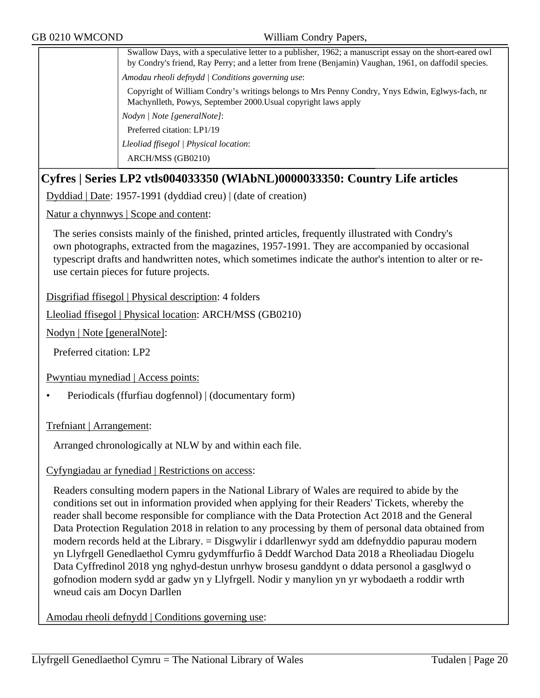Swallow Days, with a speculative letter to a publisher, 1962; a manuscript essay on the short-eared owl by Condry's friend, Ray Perry; and a letter from Irene (Benjamin) Vaughan, 1961, on daffodil species. *Amodau rheoli defnydd | Conditions governing use*:

Copyright of William Condry's writings belongs to Mrs Penny Condry, Ynys Edwin, Eglwys-fach, nr Machynlleth, Powys, September 2000.Usual copyright laws apply

*Nodyn | Note [generalNote]*:

Preferred citation: LP1/19

*Lleoliad ffisegol | Physical location*:

ARCH/MSS (GB0210)

## **Cyfres | Series LP2 vtls004033350 (WlAbNL)0000033350: Country Life articles**

Dyddiad | Date: 1957-1991 (dyddiad creu) | (date of creation)

Natur a chynnwys | Scope and content:

The series consists mainly of the finished, printed articles, frequently illustrated with Condry's own photographs, extracted from the magazines, 1957-1991. They are accompanied by occasional typescript drafts and handwritten notes, which sometimes indicate the author's intention to alter or reuse certain pieces for future projects.

Disgrifiad ffisegol | Physical description: 4 folders

Lleoliad ffisegol | Physical location: ARCH/MSS (GB0210)

Nodyn | Note [generalNote]:

Preferred citation: LP2

Pwyntiau mynediad | Access points:

• Periodicals (ffurfiau dogfennol) | (documentary form)

Trefniant | Arrangement:

Arranged chronologically at NLW by and within each file.

#### Cyfyngiadau ar fynediad | Restrictions on access:

Readers consulting modern papers in the National Library of Wales are required to abide by the conditions set out in information provided when applying for their Readers' Tickets, whereby the reader shall become responsible for compliance with the Data Protection Act 2018 and the General Data Protection Regulation 2018 in relation to any processing by them of personal data obtained from modern records held at the Library. = Disgwylir i ddarllenwyr sydd am ddefnyddio papurau modern yn Llyfrgell Genedlaethol Cymru gydymffurfio â Deddf Warchod Data 2018 a Rheoliadau Diogelu Data Cyffredinol 2018 yng nghyd-destun unrhyw brosesu ganddynt o ddata personol a gasglwyd o gofnodion modern sydd ar gadw yn y Llyfrgell. Nodir y manylion yn yr wybodaeth a roddir wrth wneud cais am Docyn Darllen

Amodau rheoli defnydd | Conditions governing use: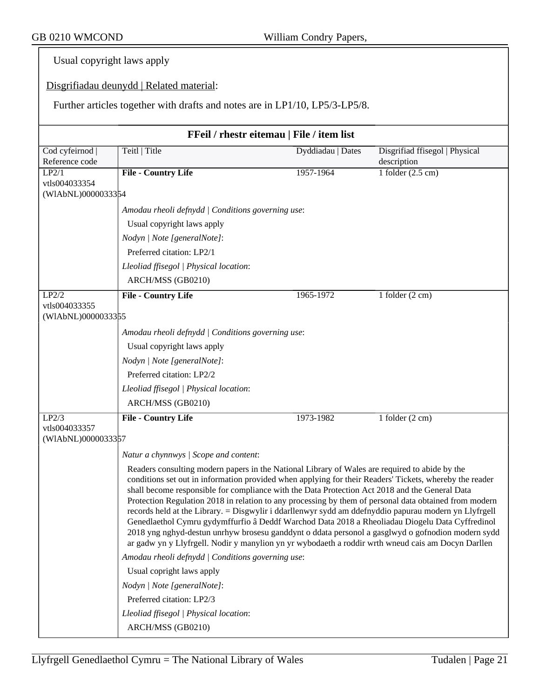Usual copyright laws apply

Disgrifiadau deunydd | Related material:

Further articles together with drafts and notes are in LP1/10, LP5/3-LP5/8.

| FFeil / rhestr eitemau   File / item list |                                                                                                                                                                                                                                                                                                                                                                                                                                                                                                                                                                                                                                                                                                                                                                                                                                              |                   |                                |  |
|-------------------------------------------|----------------------------------------------------------------------------------------------------------------------------------------------------------------------------------------------------------------------------------------------------------------------------------------------------------------------------------------------------------------------------------------------------------------------------------------------------------------------------------------------------------------------------------------------------------------------------------------------------------------------------------------------------------------------------------------------------------------------------------------------------------------------------------------------------------------------------------------------|-------------------|--------------------------------|--|
| Cod cyfeirnod                             | Teitl   Title                                                                                                                                                                                                                                                                                                                                                                                                                                                                                                                                                                                                                                                                                                                                                                                                                                | Dyddiadau   Dates | Disgrifiad ffisegol   Physical |  |
| Reference code                            |                                                                                                                                                                                                                                                                                                                                                                                                                                                                                                                                                                                                                                                                                                                                                                                                                                              |                   | description                    |  |
| LP2/1<br>vtls004033354                    | <b>File - Country Life</b>                                                                                                                                                                                                                                                                                                                                                                                                                                                                                                                                                                                                                                                                                                                                                                                                                   | 1957-1964         | 1 folder $(2.5 \text{ cm})$    |  |
| (WIAbNL)0000033354                        |                                                                                                                                                                                                                                                                                                                                                                                                                                                                                                                                                                                                                                                                                                                                                                                                                                              |                   |                                |  |
|                                           | Amodau rheoli defnydd   Conditions governing use:                                                                                                                                                                                                                                                                                                                                                                                                                                                                                                                                                                                                                                                                                                                                                                                            |                   |                                |  |
|                                           | Usual copyright laws apply                                                                                                                                                                                                                                                                                                                                                                                                                                                                                                                                                                                                                                                                                                                                                                                                                   |                   |                                |  |
|                                           | Nodyn   Note [generalNote]:                                                                                                                                                                                                                                                                                                                                                                                                                                                                                                                                                                                                                                                                                                                                                                                                                  |                   |                                |  |
|                                           | Preferred citation: LP2/1                                                                                                                                                                                                                                                                                                                                                                                                                                                                                                                                                                                                                                                                                                                                                                                                                    |                   |                                |  |
|                                           | Lleoliad ffisegol   Physical location:                                                                                                                                                                                                                                                                                                                                                                                                                                                                                                                                                                                                                                                                                                                                                                                                       |                   |                                |  |
|                                           | ARCH/MSS (GB0210)                                                                                                                                                                                                                                                                                                                                                                                                                                                                                                                                                                                                                                                                                                                                                                                                                            |                   |                                |  |
| LP2/2                                     | File - Country Life                                                                                                                                                                                                                                                                                                                                                                                                                                                                                                                                                                                                                                                                                                                                                                                                                          | 1965-1972         | 1 folder $(2 \text{ cm})$      |  |
| vtls004033355<br>(WIAbNL)0000033355       |                                                                                                                                                                                                                                                                                                                                                                                                                                                                                                                                                                                                                                                                                                                                                                                                                                              |                   |                                |  |
|                                           | Amodau rheoli defnydd   Conditions governing use:                                                                                                                                                                                                                                                                                                                                                                                                                                                                                                                                                                                                                                                                                                                                                                                            |                   |                                |  |
|                                           | Usual copyright laws apply                                                                                                                                                                                                                                                                                                                                                                                                                                                                                                                                                                                                                                                                                                                                                                                                                   |                   |                                |  |
|                                           | Nodyn   Note [generalNote]:                                                                                                                                                                                                                                                                                                                                                                                                                                                                                                                                                                                                                                                                                                                                                                                                                  |                   |                                |  |
|                                           | Preferred citation: LP2/2                                                                                                                                                                                                                                                                                                                                                                                                                                                                                                                                                                                                                                                                                                                                                                                                                    |                   |                                |  |
|                                           | Lleoliad ffisegol   Physical location:                                                                                                                                                                                                                                                                                                                                                                                                                                                                                                                                                                                                                                                                                                                                                                                                       |                   |                                |  |
|                                           | ARCH/MSS (GB0210)                                                                                                                                                                                                                                                                                                                                                                                                                                                                                                                                                                                                                                                                                                                                                                                                                            |                   |                                |  |
| LP2/3                                     | <b>File - Country Life</b>                                                                                                                                                                                                                                                                                                                                                                                                                                                                                                                                                                                                                                                                                                                                                                                                                   | 1973-1982         | 1 folder $(2 \text{ cm})$      |  |
| vtls004033357<br>(WIAbNL)0000033357       |                                                                                                                                                                                                                                                                                                                                                                                                                                                                                                                                                                                                                                                                                                                                                                                                                                              |                   |                                |  |
|                                           | Natur a chynnwys / Scope and content:                                                                                                                                                                                                                                                                                                                                                                                                                                                                                                                                                                                                                                                                                                                                                                                                        |                   |                                |  |
|                                           | Readers consulting modern papers in the National Library of Wales are required to abide by the<br>conditions set out in information provided when applying for their Readers' Tickets, whereby the reader<br>shall become responsible for compliance with the Data Protection Act 2018 and the General Data<br>Protection Regulation 2018 in relation to any processing by them of personal data obtained from modern<br>records held at the Library. = Disgwylir i ddarllenwyr sydd am ddefnyddio papurau modern yn Llyfrgell<br>Genedlaethol Cymru gydymffurfio â Deddf Warchod Data 2018 a Rheoliadau Diogelu Data Cyffredinol<br>2018 yng nghyd-destun unrhyw brosesu ganddynt o ddata personol a gasglwyd o gofnodion modern sydd<br>ar gadw yn y Llyfrgell. Nodir y manylion yn yr wybodaeth a roddir wrth wneud cais am Docyn Darllen |                   |                                |  |
|                                           | Amodau rheoli defnydd   Conditions governing use:                                                                                                                                                                                                                                                                                                                                                                                                                                                                                                                                                                                                                                                                                                                                                                                            |                   |                                |  |
|                                           | Usual copright laws apply                                                                                                                                                                                                                                                                                                                                                                                                                                                                                                                                                                                                                                                                                                                                                                                                                    |                   |                                |  |
|                                           | Nodyn   Note [generalNote]:                                                                                                                                                                                                                                                                                                                                                                                                                                                                                                                                                                                                                                                                                                                                                                                                                  |                   |                                |  |
|                                           | Preferred citation: LP2/3                                                                                                                                                                                                                                                                                                                                                                                                                                                                                                                                                                                                                                                                                                                                                                                                                    |                   |                                |  |
|                                           | Lleoliad ffisegol   Physical location:                                                                                                                                                                                                                                                                                                                                                                                                                                                                                                                                                                                                                                                                                                                                                                                                       |                   |                                |  |
|                                           | ARCH/MSS (GB0210)                                                                                                                                                                                                                                                                                                                                                                                                                                                                                                                                                                                                                                                                                                                                                                                                                            |                   |                                |  |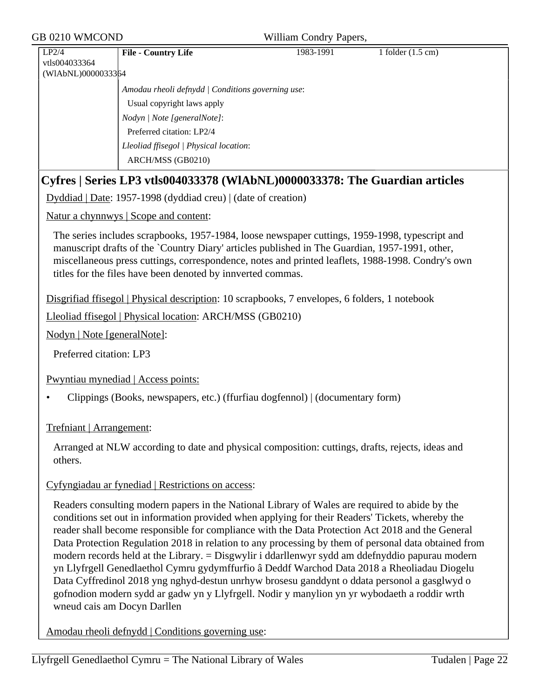| GB 0210 WMCOND                               |                                                                                                                                                                                                                                                                                                                                                                                                                                                                                                                                                                                                                                                                                                                                                                                                                  | William Condry Papers, |                             |
|----------------------------------------------|------------------------------------------------------------------------------------------------------------------------------------------------------------------------------------------------------------------------------------------------------------------------------------------------------------------------------------------------------------------------------------------------------------------------------------------------------------------------------------------------------------------------------------------------------------------------------------------------------------------------------------------------------------------------------------------------------------------------------------------------------------------------------------------------------------------|------------------------|-----------------------------|
| LP2/4<br>vtls004033364<br>(WIAbNL)0000033364 | <b>File - Country Life</b>                                                                                                                                                                                                                                                                                                                                                                                                                                                                                                                                                                                                                                                                                                                                                                                       | 1983-1991              | 1 folder $(1.5 \text{ cm})$ |
|                                              | Amodau rheoli defnydd   Conditions governing use:<br>Usual copyright laws apply<br>Nodyn   Note [generalNote]:<br>Preferred citation: LP2/4<br>Lleoliad ffisegol   Physical location:<br>ARCH/MSS (GB0210)                                                                                                                                                                                                                                                                                                                                                                                                                                                                                                                                                                                                       |                        |                             |
|                                              | Cyfres   Series LP3 vtls004033378 (WIAbNL)0000033378: The Guardian articles                                                                                                                                                                                                                                                                                                                                                                                                                                                                                                                                                                                                                                                                                                                                      |                        |                             |
|                                              | Dyddiad   Date: 1957-1998 (dyddiad creu)   (date of creation)                                                                                                                                                                                                                                                                                                                                                                                                                                                                                                                                                                                                                                                                                                                                                    |                        |                             |
|                                              | Natur a chynnwys   Scope and content:                                                                                                                                                                                                                                                                                                                                                                                                                                                                                                                                                                                                                                                                                                                                                                            |                        |                             |
|                                              | The series includes scrapbooks, 1957-1984, loose newspaper cuttings, 1959-1998, typescript and<br>manuscript drafts of the `Country Diary' articles published in The Guardian, 1957-1991, other,<br>miscellaneous press cuttings, correspondence, notes and printed leaflets, 1988-1998. Condry's own<br>titles for the files have been denoted by innverted commas.                                                                                                                                                                                                                                                                                                                                                                                                                                             |                        |                             |
|                                              | Disgrifiad ffisegol   Physical description: 10 scrapbooks, 7 envelopes, 6 folders, 1 notebook                                                                                                                                                                                                                                                                                                                                                                                                                                                                                                                                                                                                                                                                                                                    |                        |                             |
|                                              | Lleoliad ffisegol   Physical location: ARCH/MSS (GB0210)                                                                                                                                                                                                                                                                                                                                                                                                                                                                                                                                                                                                                                                                                                                                                         |                        |                             |
| Nodyn   Note [generalNote]:                  |                                                                                                                                                                                                                                                                                                                                                                                                                                                                                                                                                                                                                                                                                                                                                                                                                  |                        |                             |
| Preferred citation: LP3                      |                                                                                                                                                                                                                                                                                                                                                                                                                                                                                                                                                                                                                                                                                                                                                                                                                  |                        |                             |
|                                              | Pwyntiau mynediad   Access points:                                                                                                                                                                                                                                                                                                                                                                                                                                                                                                                                                                                                                                                                                                                                                                               |                        |                             |
|                                              | Clippings (Books, newspapers, etc.) (ffurfiau dogfennol)   (documentary form)                                                                                                                                                                                                                                                                                                                                                                                                                                                                                                                                                                                                                                                                                                                                    |                        |                             |
| Trefniant   Arrangement:                     |                                                                                                                                                                                                                                                                                                                                                                                                                                                                                                                                                                                                                                                                                                                                                                                                                  |                        |                             |
| others.                                      | Arranged at NLW according to date and physical composition: cuttings, drafts, rejects, ideas and                                                                                                                                                                                                                                                                                                                                                                                                                                                                                                                                                                                                                                                                                                                 |                        |                             |
|                                              | Cyfyngiadau ar fynediad   Restrictions on access:                                                                                                                                                                                                                                                                                                                                                                                                                                                                                                                                                                                                                                                                                                                                                                |                        |                             |
| wneud cais am Docyn Darllen                  | Readers consulting modern papers in the National Library of Wales are required to abide by the<br>conditions set out in information provided when applying for their Readers' Tickets, whereby the<br>reader shall become responsible for compliance with the Data Protection Act 2018 and the General<br>Data Protection Regulation 2018 in relation to any processing by them of personal data obtained from<br>modern records held at the Library. = Disgwylir i ddarllenwyr sydd am ddefnyddio papurau modern<br>yn Llyfrgell Genedlaethol Cymru gydymffurfio â Deddf Warchod Data 2018 a Rheoliadau Diogelu<br>Data Cyffredinol 2018 yng nghyd-destun unrhyw brosesu ganddynt o ddata personol a gasglwyd o<br>gofnodion modern sydd ar gadw yn y Llyfrgell. Nodir y manylion yn yr wybodaeth a roddir wrth |                        |                             |
|                                              | Amodau rheoli defnydd   Conditions governing use:                                                                                                                                                                                                                                                                                                                                                                                                                                                                                                                                                                                                                                                                                                                                                                |                        |                             |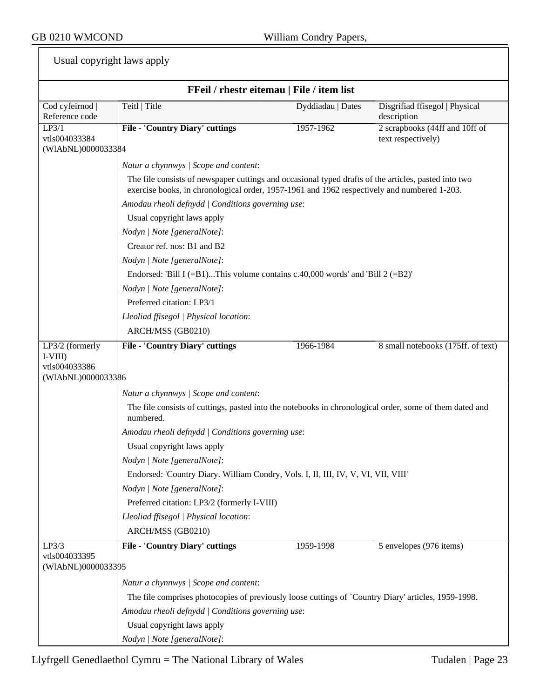|  | Usual copyright laws apply |  |  |
|--|----------------------------|--|--|
|--|----------------------------|--|--|

| FFeil / rhestr eitemau   File / item list                          |                                                                                                                                                                                                     |                   |                                               |  |  |
|--------------------------------------------------------------------|-----------------------------------------------------------------------------------------------------------------------------------------------------------------------------------------------------|-------------------|-----------------------------------------------|--|--|
| Cod cyfeirnod  <br>Reference code                                  | Teitl   Title                                                                                                                                                                                       | Dyddiadau   Dates | Disgrifiad ffisegol   Physical<br>description |  |  |
| LP3/1<br>vtls004033384                                             | <b>File - 'Country Diary' cuttings</b>                                                                                                                                                              | 1957-1962         | 2 scrapbooks (44ff and 10ff of                |  |  |
| (WIAbNL)0000033384                                                 |                                                                                                                                                                                                     |                   | text respectively)                            |  |  |
|                                                                    | Natur a chynnwys / Scope and content:                                                                                                                                                               |                   |                                               |  |  |
|                                                                    | The file consists of newspaper cuttings and occasional typed drafts of the articles, pasted into two<br>exercise books, in chronological order, 1957-1961 and 1962 respectively and numbered 1-203. |                   |                                               |  |  |
|                                                                    | Amodau rheoli defnydd   Conditions governing use:                                                                                                                                                   |                   |                                               |  |  |
|                                                                    | Usual copyright laws apply                                                                                                                                                                          |                   |                                               |  |  |
|                                                                    | Nodyn   Note [generalNote]:                                                                                                                                                                         |                   |                                               |  |  |
|                                                                    | Creator ref. nos: B1 and B2                                                                                                                                                                         |                   |                                               |  |  |
|                                                                    | Nodyn   Note [generalNote]:                                                                                                                                                                         |                   |                                               |  |  |
|                                                                    | Endorsed: 'Bill I (=B1)This volume contains c.40,000 words' and 'Bill 2 (=B2)'                                                                                                                      |                   |                                               |  |  |
|                                                                    | Nodyn   Note [generalNote]:                                                                                                                                                                         |                   |                                               |  |  |
|                                                                    | Preferred citation: LP3/1                                                                                                                                                                           |                   |                                               |  |  |
|                                                                    | Lleoliad ffisegol   Physical location:                                                                                                                                                              |                   |                                               |  |  |
|                                                                    | ARCH/MSS (GB0210)                                                                                                                                                                                   |                   |                                               |  |  |
| LP3/2 (formerly<br>$I-VIII$<br>vtls004033386<br>(WIAbNL)0000033386 | <b>File - 'Country Diary' cuttings</b>                                                                                                                                                              | 1966-1984         | 8 small notebooks (175ff. of text)            |  |  |
|                                                                    | Natur a chynnwys / Scope and content:                                                                                                                                                               |                   |                                               |  |  |
|                                                                    | The file consists of cuttings, pasted into the notebooks in chronological order, some of them dated and<br>numbered.                                                                                |                   |                                               |  |  |
|                                                                    | Amodau rheoli defnydd   Conditions governing use:                                                                                                                                                   |                   |                                               |  |  |
|                                                                    | Usual copyright laws apply                                                                                                                                                                          |                   |                                               |  |  |
|                                                                    | Nodyn   Note [generalNote]:                                                                                                                                                                         |                   |                                               |  |  |
|                                                                    | Endorsed: 'Country Diary. William Condry, Vols. I, II, III, IV, V, VI, VII, VIII'                                                                                                                   |                   |                                               |  |  |
|                                                                    | Nodyn   Note [generalNote]:                                                                                                                                                                         |                   |                                               |  |  |
|                                                                    | Preferred citation: LP3/2 (formerly I-VIII)                                                                                                                                                         |                   |                                               |  |  |
|                                                                    | Lleoliad ffisegol   Physical location:                                                                                                                                                              |                   |                                               |  |  |
|                                                                    | ARCH/MSS (GB0210)                                                                                                                                                                                   |                   |                                               |  |  |
| LP3/3                                                              | <b>File - 'Country Diary' cuttings</b>                                                                                                                                                              | 1959-1998         | 5 envelopes (976 items)                       |  |  |
| vtls004033395                                                      |                                                                                                                                                                                                     |                   |                                               |  |  |
| (WIAbNL)0000033395                                                 |                                                                                                                                                                                                     |                   |                                               |  |  |
|                                                                    | Natur a chynnwys / Scope and content:                                                                                                                                                               |                   |                                               |  |  |
|                                                                    | The file comprises photocopies of previously loose cuttings of `Country Diary' articles, 1959-1998.                                                                                                 |                   |                                               |  |  |
|                                                                    | Amodau rheoli defnydd   Conditions governing use:                                                                                                                                                   |                   |                                               |  |  |
|                                                                    | Usual copyright laws apply                                                                                                                                                                          |                   |                                               |  |  |
|                                                                    | Nodyn   Note [generalNote]:                                                                                                                                                                         |                   |                                               |  |  |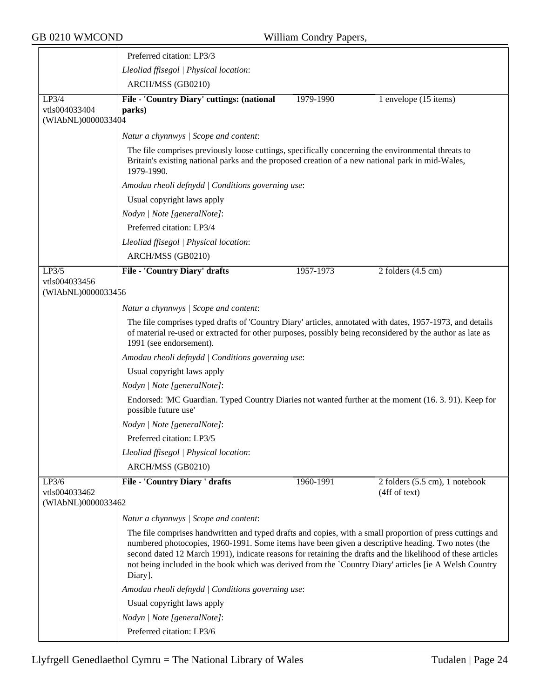|                                              | Preferred citation: LP3/3                                                                                                                                                                                                                                                                                                                                                                                                                          |           |                                                 |  |  |  |
|----------------------------------------------|----------------------------------------------------------------------------------------------------------------------------------------------------------------------------------------------------------------------------------------------------------------------------------------------------------------------------------------------------------------------------------------------------------------------------------------------------|-----------|-------------------------------------------------|--|--|--|
|                                              | Lleoliad ffisegol   Physical location:                                                                                                                                                                                                                                                                                                                                                                                                             |           |                                                 |  |  |  |
|                                              | ARCH/MSS (GB0210)                                                                                                                                                                                                                                                                                                                                                                                                                                  |           |                                                 |  |  |  |
| LP3/4<br>vtls004033404<br>(WIAbNL)0000033404 | File - 'Country Diary' cuttings: (national<br>parks)                                                                                                                                                                                                                                                                                                                                                                                               | 1979-1990 | 1 envelope (15 items)                           |  |  |  |
|                                              | Natur a chynnwys / Scope and content:                                                                                                                                                                                                                                                                                                                                                                                                              |           |                                                 |  |  |  |
|                                              | The file comprises previously loose cuttings, specifically concerning the environmental threats to<br>Britain's existing national parks and the proposed creation of a new national park in mid-Wales,<br>1979-1990.                                                                                                                                                                                                                               |           |                                                 |  |  |  |
|                                              | Amodau rheoli defnydd   Conditions governing use:                                                                                                                                                                                                                                                                                                                                                                                                  |           |                                                 |  |  |  |
|                                              | Usual copyright laws apply                                                                                                                                                                                                                                                                                                                                                                                                                         |           |                                                 |  |  |  |
|                                              | Nodyn   Note [generalNote]:                                                                                                                                                                                                                                                                                                                                                                                                                        |           |                                                 |  |  |  |
|                                              | Preferred citation: LP3/4                                                                                                                                                                                                                                                                                                                                                                                                                          |           |                                                 |  |  |  |
|                                              | Lleoliad ffisegol   Physical location:                                                                                                                                                                                                                                                                                                                                                                                                             |           |                                                 |  |  |  |
|                                              | ARCH/MSS (GB0210)                                                                                                                                                                                                                                                                                                                                                                                                                                  |           |                                                 |  |  |  |
| LP3/5                                        | <b>File - 'Country Diary' drafts</b>                                                                                                                                                                                                                                                                                                                                                                                                               | 1957-1973 | 2 folders $(4.5 \text{ cm})$                    |  |  |  |
| vtls004033456<br>(WIAbNL)0000033456          |                                                                                                                                                                                                                                                                                                                                                                                                                                                    |           |                                                 |  |  |  |
|                                              | Natur a chynnwys / Scope and content:                                                                                                                                                                                                                                                                                                                                                                                                              |           |                                                 |  |  |  |
|                                              | The file comprises typed drafts of 'Country Diary' articles, annotated with dates, 1957-1973, and details<br>of material re-used or extracted for other purposes, possibly being reconsidered by the author as late as<br>1991 (see endorsement).<br>Amodau rheoli defnydd   Conditions governing use:                                                                                                                                             |           |                                                 |  |  |  |
|                                              |                                                                                                                                                                                                                                                                                                                                                                                                                                                    |           |                                                 |  |  |  |
|                                              | Usual copyright laws apply                                                                                                                                                                                                                                                                                                                                                                                                                         |           |                                                 |  |  |  |
|                                              | Nodyn   Note [generalNote]:                                                                                                                                                                                                                                                                                                                                                                                                                        |           |                                                 |  |  |  |
|                                              | Endorsed: 'MC Guardian. Typed Country Diaries not wanted further at the moment (16.3.91). Keep for<br>possible future use'                                                                                                                                                                                                                                                                                                                         |           |                                                 |  |  |  |
|                                              | Nodyn   Note [generalNote]:                                                                                                                                                                                                                                                                                                                                                                                                                        |           |                                                 |  |  |  |
|                                              | Preferred citation: LP3/5                                                                                                                                                                                                                                                                                                                                                                                                                          |           |                                                 |  |  |  |
|                                              | Lleoliad ffisegol   Physical location:                                                                                                                                                                                                                                                                                                                                                                                                             |           |                                                 |  |  |  |
|                                              | ARCH/MSS (GB0210)                                                                                                                                                                                                                                                                                                                                                                                                                                  |           |                                                 |  |  |  |
| LP3/6<br>vtls004033462<br>(WIAbNL)0000033462 | <b>File - 'Country Diary ' drafts</b>                                                                                                                                                                                                                                                                                                                                                                                                              | 1960-1991 | 2 folders (5.5 cm), 1 notebook<br>(4ff of text) |  |  |  |
|                                              |                                                                                                                                                                                                                                                                                                                                                                                                                                                    |           |                                                 |  |  |  |
|                                              | Natur a chynnwys / Scope and content:                                                                                                                                                                                                                                                                                                                                                                                                              |           |                                                 |  |  |  |
|                                              | The file comprises handwritten and typed drafts and copies, with a small proportion of press cuttings and<br>numbered photocopies, 1960-1991. Some items have been given a descriptive heading. Two notes (the<br>second dated 12 March 1991), indicate reasons for retaining the drafts and the likelihood of these articles<br>not being included in the book which was derived from the `Country Diary' articles [ie A Welsh Country<br>Diary]. |           |                                                 |  |  |  |
|                                              | Amodau rheoli defnydd   Conditions governing use:                                                                                                                                                                                                                                                                                                                                                                                                  |           |                                                 |  |  |  |
|                                              | Usual copyright laws apply                                                                                                                                                                                                                                                                                                                                                                                                                         |           |                                                 |  |  |  |
|                                              | Nodyn   Note [generalNote]:                                                                                                                                                                                                                                                                                                                                                                                                                        |           |                                                 |  |  |  |
|                                              | Preferred citation: LP3/6                                                                                                                                                                                                                                                                                                                                                                                                                          |           |                                                 |  |  |  |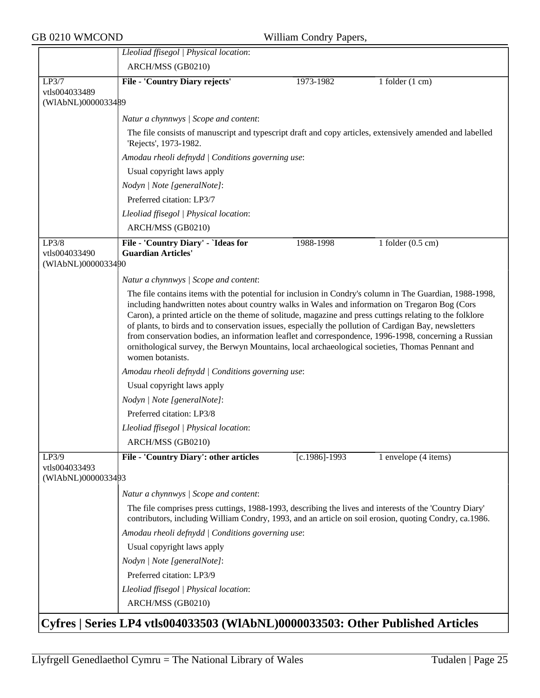|                                              | Lleoliad ffisegol   Physical location:                                                                                                                                                                                                                                                                                                                                                                                                                                                                                                                                                                                                                        |                   |                             |  |  |  |  |
|----------------------------------------------|---------------------------------------------------------------------------------------------------------------------------------------------------------------------------------------------------------------------------------------------------------------------------------------------------------------------------------------------------------------------------------------------------------------------------------------------------------------------------------------------------------------------------------------------------------------------------------------------------------------------------------------------------------------|-------------------|-----------------------------|--|--|--|--|
|                                              | ARCH/MSS (GB0210)                                                                                                                                                                                                                                                                                                                                                                                                                                                                                                                                                                                                                                             |                   |                             |  |  |  |  |
| LP3/7                                        | <b>File - 'Country Diary rejects'</b>                                                                                                                                                                                                                                                                                                                                                                                                                                                                                                                                                                                                                         | 1973-1982         | 1 folder $(1 \text{ cm})$   |  |  |  |  |
| vtls004033489<br>(WIAbNL)0000033489          |                                                                                                                                                                                                                                                                                                                                                                                                                                                                                                                                                                                                                                                               |                   |                             |  |  |  |  |
|                                              | Natur a chynnwys / Scope and content:                                                                                                                                                                                                                                                                                                                                                                                                                                                                                                                                                                                                                         |                   |                             |  |  |  |  |
|                                              | The file consists of manuscript and typescript draft and copy articles, extensively amended and labelled<br>'Rejects', 1973-1982.                                                                                                                                                                                                                                                                                                                                                                                                                                                                                                                             |                   |                             |  |  |  |  |
|                                              | Amodau rheoli defnydd   Conditions governing use:                                                                                                                                                                                                                                                                                                                                                                                                                                                                                                                                                                                                             |                   |                             |  |  |  |  |
|                                              | Usual copyright laws apply                                                                                                                                                                                                                                                                                                                                                                                                                                                                                                                                                                                                                                    |                   |                             |  |  |  |  |
|                                              | Nodyn   Note [generalNote]:                                                                                                                                                                                                                                                                                                                                                                                                                                                                                                                                                                                                                                   |                   |                             |  |  |  |  |
|                                              | Preferred citation: LP3/7                                                                                                                                                                                                                                                                                                                                                                                                                                                                                                                                                                                                                                     |                   |                             |  |  |  |  |
|                                              | Lleoliad ffisegol   Physical location:                                                                                                                                                                                                                                                                                                                                                                                                                                                                                                                                                                                                                        |                   |                             |  |  |  |  |
|                                              | ARCH/MSS (GB0210)                                                                                                                                                                                                                                                                                                                                                                                                                                                                                                                                                                                                                                             |                   |                             |  |  |  |  |
| LP3/8<br>vtls004033490<br>(WIAbNL)0000033490 | File - 'Country Diary' - `Ideas for<br><b>Guardian Articles'</b>                                                                                                                                                                                                                                                                                                                                                                                                                                                                                                                                                                                              | 1988-1998         | 1 folder $(0.5 \text{ cm})$ |  |  |  |  |
|                                              | Natur a chynnwys / Scope and content:                                                                                                                                                                                                                                                                                                                                                                                                                                                                                                                                                                                                                         |                   |                             |  |  |  |  |
|                                              | The file contains items with the potential for inclusion in Condry's column in The Guardian, 1988-1998,<br>including handwritten notes about country walks in Wales and information on Tregaron Bog (Cors<br>Caron), a printed article on the theme of solitude, magazine and press cuttings relating to the folklore<br>of plants, to birds and to conservation issues, especially the pollution of Cardigan Bay, newsletters<br>from conservation bodies, an information leaflet and correspondence, 1996-1998, concerning a Russian<br>ornithological survey, the Berwyn Mountains, local archaeological societies, Thomas Pennant and<br>women botanists. |                   |                             |  |  |  |  |
|                                              | Amodau rheoli defnydd   Conditions governing use:                                                                                                                                                                                                                                                                                                                                                                                                                                                                                                                                                                                                             |                   |                             |  |  |  |  |
|                                              | Usual copyright laws apply                                                                                                                                                                                                                                                                                                                                                                                                                                                                                                                                                                                                                                    |                   |                             |  |  |  |  |
|                                              | Nodyn   Note [generalNote]:                                                                                                                                                                                                                                                                                                                                                                                                                                                                                                                                                                                                                                   |                   |                             |  |  |  |  |
|                                              | Preferred citation: LP3/8                                                                                                                                                                                                                                                                                                                                                                                                                                                                                                                                                                                                                                     |                   |                             |  |  |  |  |
|                                              | Lleoliad ffisegol   Physical location:                                                                                                                                                                                                                                                                                                                                                                                                                                                                                                                                                                                                                        |                   |                             |  |  |  |  |
|                                              | ARCH/MSS (GB0210)                                                                                                                                                                                                                                                                                                                                                                                                                                                                                                                                                                                                                                             |                   |                             |  |  |  |  |
| LP3/9<br>vtls004033493<br>(WIAbNL)0000033493 | File - 'Country Diary': other articles                                                                                                                                                                                                                                                                                                                                                                                                                                                                                                                                                                                                                        | $[c.1986] - 1993$ | 1 envelope (4 items)        |  |  |  |  |
|                                              | Natur a chynnwys / Scope and content:                                                                                                                                                                                                                                                                                                                                                                                                                                                                                                                                                                                                                         |                   |                             |  |  |  |  |
|                                              | The file comprises press cuttings, 1988-1993, describing the lives and interests of the 'Country Diary'<br>contributors, including William Condry, 1993, and an article on soil erosion, quoting Condry, ca.1986.                                                                                                                                                                                                                                                                                                                                                                                                                                             |                   |                             |  |  |  |  |
|                                              | Amodau rheoli defnydd   Conditions governing use:                                                                                                                                                                                                                                                                                                                                                                                                                                                                                                                                                                                                             |                   |                             |  |  |  |  |
|                                              | Usual copyright laws apply                                                                                                                                                                                                                                                                                                                                                                                                                                                                                                                                                                                                                                    |                   |                             |  |  |  |  |
|                                              | Nodyn   Note [generalNote]:                                                                                                                                                                                                                                                                                                                                                                                                                                                                                                                                                                                                                                   |                   |                             |  |  |  |  |
|                                              | Preferred citation: LP3/9                                                                                                                                                                                                                                                                                                                                                                                                                                                                                                                                                                                                                                     |                   |                             |  |  |  |  |
|                                              | Lleoliad ffisegol   Physical location:                                                                                                                                                                                                                                                                                                                                                                                                                                                                                                                                                                                                                        |                   |                             |  |  |  |  |
|                                              | ARCH/MSS (GB0210)                                                                                                                                                                                                                                                                                                                                                                                                                                                                                                                                                                                                                                             |                   |                             |  |  |  |  |
|                                              | Cyfres   Series LP4 vtls004033503 (WIAbNL)0000033503: Other Published Articles                                                                                                                                                                                                                                                                                                                                                                                                                                                                                                                                                                                |                   |                             |  |  |  |  |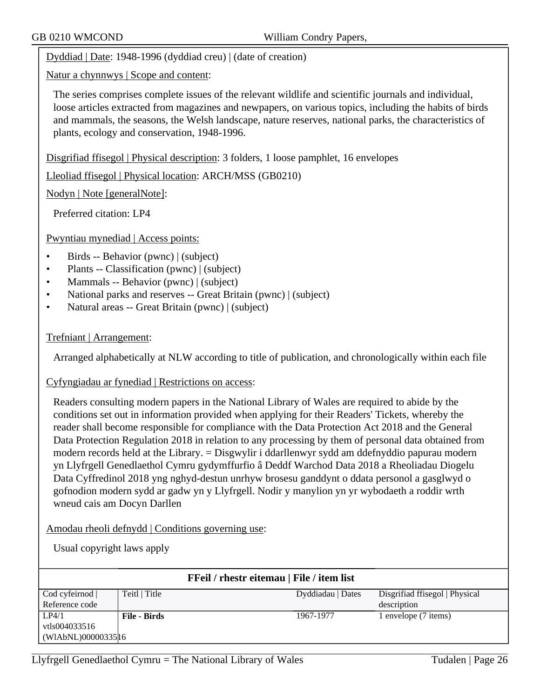Dyddiad | Date: 1948-1996 (dyddiad creu) | (date of creation)

Natur a chynnwys | Scope and content:

The series comprises complete issues of the relevant wildlife and scientific journals and individual, loose articles extracted from magazines and newpapers, on various topics, including the habits of birds and mammals, the seasons, the Welsh landscape, nature reserves, national parks, the characteristics of plants, ecology and conservation, 1948-1996.

Disgrifiad ffisegol | Physical description: 3 folders, 1 loose pamphlet, 16 envelopes

Lleoliad ffisegol | Physical location: ARCH/MSS (GB0210)

Nodyn | Note [generalNote]:

Preferred citation: LP4

Pwyntiau mynediad | Access points:

- Birds -- Behavior (pwnc) | (subject)
- Plants -- Classification (pwnc) | (subject)
- Mammals -- Behavior (pwnc) | (subject)
- National parks and reserves -- Great Britain (pwnc) | (subject)
- Natural areas -- Great Britain (pwnc) | (subject)

#### Trefniant | Arrangement:

Arranged alphabetically at NLW according to title of publication, and chronologically within each file

Cyfyngiadau ar fynediad | Restrictions on access:

Readers consulting modern papers in the National Library of Wales are required to abide by the conditions set out in information provided when applying for their Readers' Tickets, whereby the reader shall become responsible for compliance with the Data Protection Act 2018 and the General Data Protection Regulation 2018 in relation to any processing by them of personal data obtained from modern records held at the Library. = Disgwylir i ddarllenwyr sydd am ddefnyddio papurau modern yn Llyfrgell Genedlaethol Cymru gydymffurfio â Deddf Warchod Data 2018 a Rheoliadau Diogelu Data Cyffredinol 2018 yng nghyd-destun unrhyw brosesu ganddynt o ddata personol a gasglwyd o gofnodion modern sydd ar gadw yn y Llyfrgell. Nodir y manylion yn yr wybodaeth a roddir wrth wneud cais am Docyn Darllen

Amodau rheoli defnydd | Conditions governing use:

Usual copyright laws apply

| FFeil / rhestr eitemau   File / item list |                     |                   |                                |
|-------------------------------------------|---------------------|-------------------|--------------------------------|
| Cod cyfeirnod                             | Teitl   Title       | Dyddiadau   Dates | Disgrifiad ffisegol   Physical |
| Reference code                            |                     |                   | description                    |
| LP4/1                                     | <b>File - Birds</b> | 1967-1977         | l envelope (7 items)           |
| vtls004033516                             |                     |                   |                                |
| (WIAbNL)00000335 16                       |                     |                   |                                |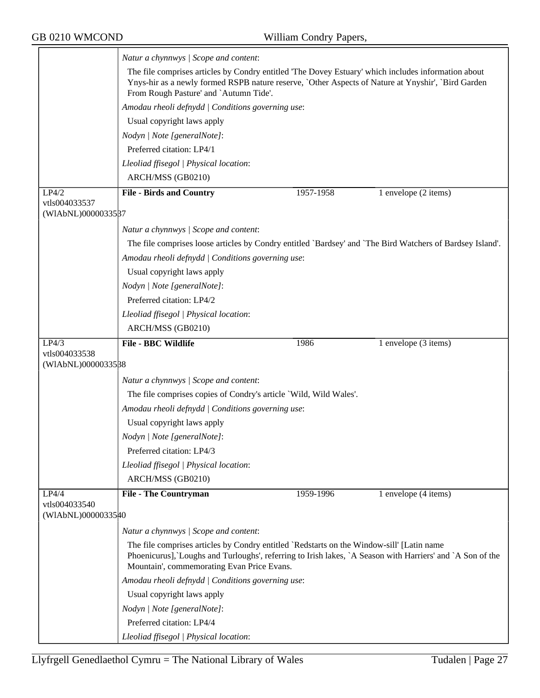|                                     | Natur a chynnwys / Scope and content:                                                                                                                                                                                                                |           |                      |  |
|-------------------------------------|------------------------------------------------------------------------------------------------------------------------------------------------------------------------------------------------------------------------------------------------------|-----------|----------------------|--|
|                                     | The file comprises articles by Condry entitled 'The Dovey Estuary' which includes information about<br>Ynys-hir as a newly formed RSPB nature reserve, `Other Aspects of Nature at Ynyshir', `Bird Garden<br>From Rough Pasture' and `Autumn Tide'.  |           |                      |  |
|                                     | Amodau rheoli defnydd   Conditions governing use:                                                                                                                                                                                                    |           |                      |  |
|                                     | Usual copyright laws apply                                                                                                                                                                                                                           |           |                      |  |
|                                     | Nodyn   Note [generalNote]:                                                                                                                                                                                                                          |           |                      |  |
|                                     | Preferred citation: LP4/1                                                                                                                                                                                                                            |           |                      |  |
|                                     | Lleoliad ffisegol   Physical location:                                                                                                                                                                                                               |           |                      |  |
|                                     | ARCH/MSS (GB0210)                                                                                                                                                                                                                                    |           |                      |  |
| LP4/2                               | <b>File - Birds and Country</b>                                                                                                                                                                                                                      | 1957-1958 | 1 envelope (2 items) |  |
| vtls004033537                       |                                                                                                                                                                                                                                                      |           |                      |  |
| (WIAbNL)0000033587                  |                                                                                                                                                                                                                                                      |           |                      |  |
|                                     | Natur a chynnwys / Scope and content:                                                                                                                                                                                                                |           |                      |  |
|                                     | The file comprises loose articles by Condry entitled 'Bardsey' and 'The Bird Watchers of Bardsey Island'.                                                                                                                                            |           |                      |  |
|                                     | Amodau rheoli defnydd   Conditions governing use:                                                                                                                                                                                                    |           |                      |  |
|                                     | Usual copyright laws apply                                                                                                                                                                                                                           |           |                      |  |
|                                     | Nodyn   Note [generalNote]:                                                                                                                                                                                                                          |           |                      |  |
|                                     | Preferred citation: LP4/2                                                                                                                                                                                                                            |           |                      |  |
|                                     | Lleoliad ffisegol   Physical location:                                                                                                                                                                                                               |           |                      |  |
|                                     | ARCH/MSS (GB0210)                                                                                                                                                                                                                                    |           |                      |  |
| LP4/3                               | <b>File - BBC Wildlife</b>                                                                                                                                                                                                                           | 1986      | 1 envelope (3 items) |  |
| vtls004033538<br>(WIAbNL)0000033588 |                                                                                                                                                                                                                                                      |           |                      |  |
|                                     | Natur a chynnwys / Scope and content:                                                                                                                                                                                                                |           |                      |  |
|                                     | The file comprises copies of Condry's article `Wild, Wild Wales'.                                                                                                                                                                                    |           |                      |  |
|                                     | Amodau rheoli defnydd   Conditions governing use:                                                                                                                                                                                                    |           |                      |  |
|                                     | Usual copyright laws apply                                                                                                                                                                                                                           |           |                      |  |
|                                     |                                                                                                                                                                                                                                                      |           |                      |  |
|                                     | Nodyn   Note [generalNote]:<br>Preferred citation: LP4/3                                                                                                                                                                                             |           |                      |  |
|                                     |                                                                                                                                                                                                                                                      |           |                      |  |
|                                     | Lleoliad ffisegol   Physical location:<br>ARCH/MSS (GB0210)                                                                                                                                                                                          |           |                      |  |
|                                     |                                                                                                                                                                                                                                                      |           |                      |  |
| LP4/4<br>vtls004033540              | <b>File - The Countryman</b>                                                                                                                                                                                                                         | 1959-1996 | 1 envelope (4 items) |  |
| (WIAbNL)00000335#0                  |                                                                                                                                                                                                                                                      |           |                      |  |
|                                     | Natur a chynnwys / Scope and content:                                                                                                                                                                                                                |           |                      |  |
|                                     | The file comprises articles by Condry entitled `Redstarts on the Window-sill' [Latin name<br>Phoenicurus], Loughs and Turloughs', referring to Irish lakes, `A Season with Harriers' and `A Son of the<br>Mountain', commemorating Evan Price Evans. |           |                      |  |
|                                     | Amodau rheoli defnydd   Conditions governing use:                                                                                                                                                                                                    |           |                      |  |
|                                     | Usual copyright laws apply                                                                                                                                                                                                                           |           |                      |  |
|                                     | Nodyn   Note [generalNote]:                                                                                                                                                                                                                          |           |                      |  |
|                                     | Preferred citation: LP4/4                                                                                                                                                                                                                            |           |                      |  |
|                                     | Lleoliad ffisegol   Physical location:                                                                                                                                                                                                               |           |                      |  |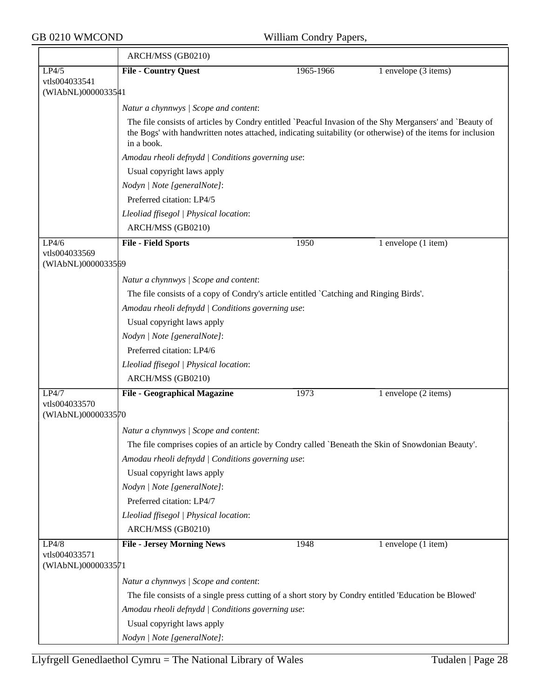|                                     | ARCH/MSS (GB0210)                                                                                                                                                                                                                                                                          |           |                         |  |  |
|-------------------------------------|--------------------------------------------------------------------------------------------------------------------------------------------------------------------------------------------------------------------------------------------------------------------------------------------|-----------|-------------------------|--|--|
| LP4/5                               | <b>File - Country Quest</b>                                                                                                                                                                                                                                                                | 1965-1966 | 1 envelope (3 items)    |  |  |
| vtls004033541<br>(WIAbNL)0000033541 |                                                                                                                                                                                                                                                                                            |           |                         |  |  |
|                                     | Natur a chynnwys / Scope and content:                                                                                                                                                                                                                                                      |           |                         |  |  |
|                                     | The file consists of articles by Condry entitled `Peacful Invasion of the Shy Mergansers' and `Beauty of<br>the Bogs' with handwritten notes attached, indicating suitability (or otherwise) of the items for inclusion<br>in a book.<br>Amodau rheoli defnydd   Conditions governing use: |           |                         |  |  |
|                                     |                                                                                                                                                                                                                                                                                            |           |                         |  |  |
|                                     | Usual copyright laws apply                                                                                                                                                                                                                                                                 |           |                         |  |  |
|                                     | Nodyn   Note [generalNote]:                                                                                                                                                                                                                                                                |           |                         |  |  |
|                                     | Preferred citation: LP4/5                                                                                                                                                                                                                                                                  |           |                         |  |  |
|                                     | Lleoliad ffisegol   Physical location:                                                                                                                                                                                                                                                     |           |                         |  |  |
|                                     | ARCH/MSS (GB0210)                                                                                                                                                                                                                                                                          |           |                         |  |  |
| LP4/6                               | <b>File - Field Sports</b>                                                                                                                                                                                                                                                                 | 1950      | 1 envelope (1 item)     |  |  |
| vtls004033569<br>(WIAbNL)0000033569 |                                                                                                                                                                                                                                                                                            |           |                         |  |  |
|                                     | Natur a chynnwys / Scope and content:                                                                                                                                                                                                                                                      |           |                         |  |  |
|                                     | The file consists of a copy of Condry's article entitled `Catching and Ringing Birds'.                                                                                                                                                                                                     |           |                         |  |  |
|                                     | Amodau rheoli defnydd   Conditions governing use:                                                                                                                                                                                                                                          |           |                         |  |  |
|                                     | Usual copyright laws apply                                                                                                                                                                                                                                                                 |           |                         |  |  |
|                                     | Nodyn   Note [generalNote]:                                                                                                                                                                                                                                                                |           |                         |  |  |
|                                     | Preferred citation: LP4/6                                                                                                                                                                                                                                                                  |           |                         |  |  |
|                                     | Lleoliad ffisegol   Physical location:                                                                                                                                                                                                                                                     |           |                         |  |  |
|                                     | ARCH/MSS (GB0210)                                                                                                                                                                                                                                                                          |           |                         |  |  |
| LP4/7                               | <b>File - Geographical Magazine</b>                                                                                                                                                                                                                                                        | 1973      | 1 envelope (2 items)    |  |  |
| vtls004033570<br>(WIAbNL)0000033570 |                                                                                                                                                                                                                                                                                            |           |                         |  |  |
|                                     | Natur a chynnwys / Scope and content:                                                                                                                                                                                                                                                      |           |                         |  |  |
|                                     | The file comprises copies of an article by Condry called `Beneath the Skin of Snowdonian Beauty'.                                                                                                                                                                                          |           |                         |  |  |
|                                     | Amodau rheoli defnydd   Conditions governing use:                                                                                                                                                                                                                                          |           |                         |  |  |
|                                     | Usual copyright laws apply                                                                                                                                                                                                                                                                 |           |                         |  |  |
|                                     | Nodyn   Note [generalNote]:                                                                                                                                                                                                                                                                |           |                         |  |  |
|                                     | Preferred citation: LP4/7                                                                                                                                                                                                                                                                  |           |                         |  |  |
|                                     | Lleoliad ffisegol   Physical location:                                                                                                                                                                                                                                                     |           |                         |  |  |
|                                     | ARCH/MSS (GB0210)                                                                                                                                                                                                                                                                          |           |                         |  |  |
| LP4/8                               | <b>File - Jersey Morning News</b>                                                                                                                                                                                                                                                          | 1948      | $1$ envelope $(1$ item) |  |  |
| vtls004033571<br>(WIAbNL)0000033571 |                                                                                                                                                                                                                                                                                            |           |                         |  |  |
|                                     | Natur a chynnwys / Scope and content:                                                                                                                                                                                                                                                      |           |                         |  |  |
|                                     | The file consists of a single press cutting of a short story by Condry entitled 'Education be Blowed'                                                                                                                                                                                      |           |                         |  |  |
|                                     | Amodau rheoli defnydd   Conditions governing use:                                                                                                                                                                                                                                          |           |                         |  |  |
|                                     | Usual copyright laws apply                                                                                                                                                                                                                                                                 |           |                         |  |  |
|                                     | Nodyn   Note [generalNote]:                                                                                                                                                                                                                                                                |           |                         |  |  |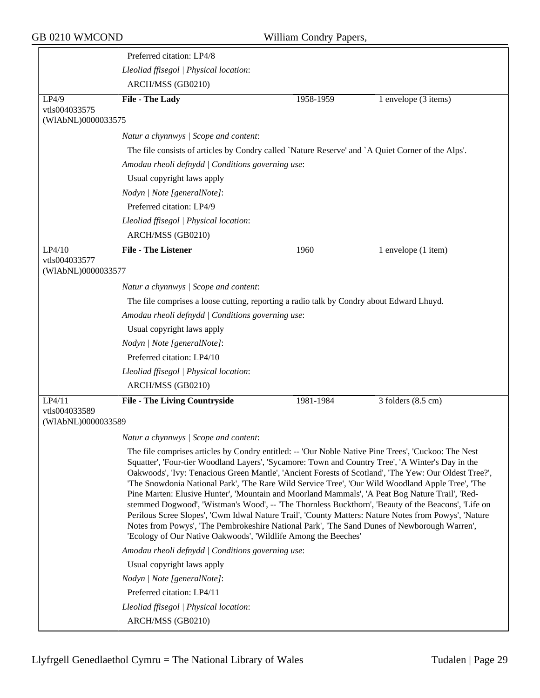|                                     | Preferred citation: LP4/8                                                                                                                                                                                                                                                                                                                                                                                                                                                                                                                                                                                                                                                                                                                                                                                                                                                                                  |           |                                |  |  |  |
|-------------------------------------|------------------------------------------------------------------------------------------------------------------------------------------------------------------------------------------------------------------------------------------------------------------------------------------------------------------------------------------------------------------------------------------------------------------------------------------------------------------------------------------------------------------------------------------------------------------------------------------------------------------------------------------------------------------------------------------------------------------------------------------------------------------------------------------------------------------------------------------------------------------------------------------------------------|-----------|--------------------------------|--|--|--|
|                                     | Lleoliad ffisegol   Physical location:                                                                                                                                                                                                                                                                                                                                                                                                                                                                                                                                                                                                                                                                                                                                                                                                                                                                     |           |                                |  |  |  |
|                                     | ARCH/MSS (GB0210)                                                                                                                                                                                                                                                                                                                                                                                                                                                                                                                                                                                                                                                                                                                                                                                                                                                                                          |           |                                |  |  |  |
| LP4/9                               | File - The Lady                                                                                                                                                                                                                                                                                                                                                                                                                                                                                                                                                                                                                                                                                                                                                                                                                                                                                            | 1958-1959 | 1 envelope (3 items)           |  |  |  |
| vtls004033575<br>(WIAbNL)0000033575 |                                                                                                                                                                                                                                                                                                                                                                                                                                                                                                                                                                                                                                                                                                                                                                                                                                                                                                            |           |                                |  |  |  |
|                                     | Natur a chynnwys / Scope and content:                                                                                                                                                                                                                                                                                                                                                                                                                                                                                                                                                                                                                                                                                                                                                                                                                                                                      |           |                                |  |  |  |
|                                     | The file consists of articles by Condry called 'Nature Reserve' and 'A Quiet Corner of the Alps'.                                                                                                                                                                                                                                                                                                                                                                                                                                                                                                                                                                                                                                                                                                                                                                                                          |           |                                |  |  |  |
|                                     | Amodau rheoli defnydd   Conditions governing use:                                                                                                                                                                                                                                                                                                                                                                                                                                                                                                                                                                                                                                                                                                                                                                                                                                                          |           |                                |  |  |  |
|                                     | Usual copyright laws apply                                                                                                                                                                                                                                                                                                                                                                                                                                                                                                                                                                                                                                                                                                                                                                                                                                                                                 |           |                                |  |  |  |
|                                     | Nodyn   Note [generalNote]:                                                                                                                                                                                                                                                                                                                                                                                                                                                                                                                                                                                                                                                                                                                                                                                                                                                                                |           |                                |  |  |  |
|                                     | Preferred citation: LP4/9                                                                                                                                                                                                                                                                                                                                                                                                                                                                                                                                                                                                                                                                                                                                                                                                                                                                                  |           |                                |  |  |  |
|                                     | Lleoliad ffisegol   Physical location:                                                                                                                                                                                                                                                                                                                                                                                                                                                                                                                                                                                                                                                                                                                                                                                                                                                                     |           |                                |  |  |  |
|                                     | ARCH/MSS (GB0210)                                                                                                                                                                                                                                                                                                                                                                                                                                                                                                                                                                                                                                                                                                                                                                                                                                                                                          |           |                                |  |  |  |
| LP4/10                              | <b>File - The Listener</b>                                                                                                                                                                                                                                                                                                                                                                                                                                                                                                                                                                                                                                                                                                                                                                                                                                                                                 | 1960      | 1 envelope (1 item)            |  |  |  |
| vtls004033577<br>(WIAbNL)0000033577 |                                                                                                                                                                                                                                                                                                                                                                                                                                                                                                                                                                                                                                                                                                                                                                                                                                                                                                            |           |                                |  |  |  |
|                                     | Natur a chynnwys / Scope and content:                                                                                                                                                                                                                                                                                                                                                                                                                                                                                                                                                                                                                                                                                                                                                                                                                                                                      |           |                                |  |  |  |
|                                     | The file comprises a loose cutting, reporting a radio talk by Condry about Edward Lhuyd.                                                                                                                                                                                                                                                                                                                                                                                                                                                                                                                                                                                                                                                                                                                                                                                                                   |           |                                |  |  |  |
|                                     | Amodau rheoli defnydd   Conditions governing use:                                                                                                                                                                                                                                                                                                                                                                                                                                                                                                                                                                                                                                                                                                                                                                                                                                                          |           |                                |  |  |  |
|                                     | Usual copyright laws apply                                                                                                                                                                                                                                                                                                                                                                                                                                                                                                                                                                                                                                                                                                                                                                                                                                                                                 |           |                                |  |  |  |
|                                     | Nodyn   Note [generalNote]:                                                                                                                                                                                                                                                                                                                                                                                                                                                                                                                                                                                                                                                                                                                                                                                                                                                                                |           |                                |  |  |  |
|                                     | Preferred citation: LP4/10                                                                                                                                                                                                                                                                                                                                                                                                                                                                                                                                                                                                                                                                                                                                                                                                                                                                                 |           |                                |  |  |  |
|                                     | Lleoliad ffisegol   Physical location:                                                                                                                                                                                                                                                                                                                                                                                                                                                                                                                                                                                                                                                                                                                                                                                                                                                                     |           |                                |  |  |  |
|                                     | ARCH/MSS (GB0210)                                                                                                                                                                                                                                                                                                                                                                                                                                                                                                                                                                                                                                                                                                                                                                                                                                                                                          |           |                                |  |  |  |
| LP4/11<br>vtls004033589             | <b>File - The Living Countryside</b>                                                                                                                                                                                                                                                                                                                                                                                                                                                                                                                                                                                                                                                                                                                                                                                                                                                                       | 1981-1984 | $3$ folders $(8.5 \text{ cm})$ |  |  |  |
| (WIAbNL)0000033589                  |                                                                                                                                                                                                                                                                                                                                                                                                                                                                                                                                                                                                                                                                                                                                                                                                                                                                                                            |           |                                |  |  |  |
|                                     | Natur a chynnwys / Scope and content:                                                                                                                                                                                                                                                                                                                                                                                                                                                                                                                                                                                                                                                                                                                                                                                                                                                                      |           |                                |  |  |  |
|                                     | The file comprises articles by Condry entitled: -- 'Our Noble Native Pine Trees', 'Cuckoo: The Nest<br>Squatter', 'Four-tier Woodland Layers', 'Sycamore: Town and Country Tree', 'A Winter's Day in the<br>Oakwoods', 'Ivy: Tenacious Green Mantle', 'Ancient Forests of Scotland', 'The Yew: Our Oldest Tree?',<br>'The Snowdonia National Park', 'The Rare Wild Service Tree', 'Our Wild Woodland Apple Tree', 'The<br>Pine Marten: Elusive Hunter', 'Mountain and Moorland Mammals', 'A Peat Bog Nature Trail', 'Red-<br>stemmed Dogwood', 'Wistman's Wood', -- 'The Thornless Buckthorn', 'Beauty of the Beacons', 'Life on<br>Perilous Scree Slopes', 'Cwm Idwal Nature Trail', 'County Matters: Nature Notes from Powys', 'Nature<br>Notes from Powys', 'The Pembrokeshire National Park', 'The Sand Dunes of Newborough Warren',<br>'Ecology of Our Native Oakwoods', 'Wildlife Among the Beeches' |           |                                |  |  |  |
|                                     | Amodau rheoli defnydd   Conditions governing use:                                                                                                                                                                                                                                                                                                                                                                                                                                                                                                                                                                                                                                                                                                                                                                                                                                                          |           |                                |  |  |  |
|                                     | Usual copyright laws apply                                                                                                                                                                                                                                                                                                                                                                                                                                                                                                                                                                                                                                                                                                                                                                                                                                                                                 |           |                                |  |  |  |
|                                     | Nodyn   Note [generalNote]:                                                                                                                                                                                                                                                                                                                                                                                                                                                                                                                                                                                                                                                                                                                                                                                                                                                                                |           |                                |  |  |  |
|                                     | Preferred citation: LP4/11                                                                                                                                                                                                                                                                                                                                                                                                                                                                                                                                                                                                                                                                                                                                                                                                                                                                                 |           |                                |  |  |  |
|                                     | Lleoliad ffisegol   Physical location:                                                                                                                                                                                                                                                                                                                                                                                                                                                                                                                                                                                                                                                                                                                                                                                                                                                                     |           |                                |  |  |  |
|                                     | ARCH/MSS (GB0210)                                                                                                                                                                                                                                                                                                                                                                                                                                                                                                                                                                                                                                                                                                                                                                                                                                                                                          |           |                                |  |  |  |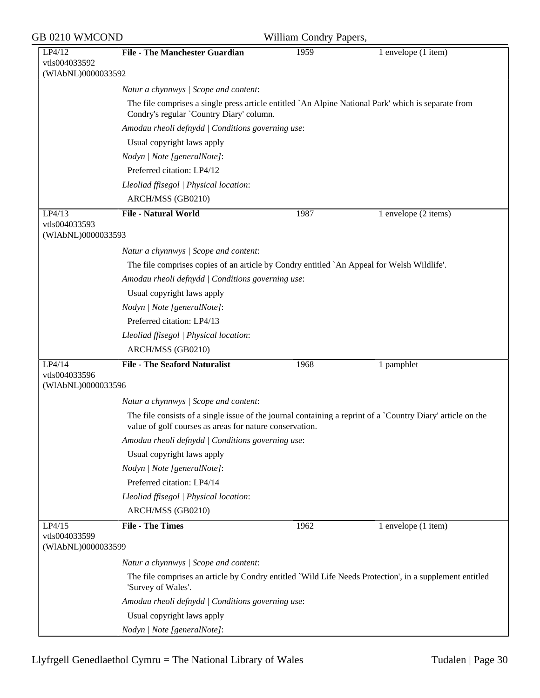| GB 0210 WMCOND                                |                                                                                                                                                 | William Condry Papers, |                                                                                                             |
|-----------------------------------------------|-------------------------------------------------------------------------------------------------------------------------------------------------|------------------------|-------------------------------------------------------------------------------------------------------------|
| LP4/12<br>vtls004033592<br>(WIAbNL)0000033592 | <b>File - The Manchester Guardian</b>                                                                                                           | 1959                   | 1 envelope (1 item)                                                                                         |
|                                               | Natur a chynnwys / Scope and content:                                                                                                           |                        |                                                                                                             |
|                                               | The file comprises a single press article entitled `An Alpine National Park' which is separate from<br>Condry's regular `Country Diary' column. |                        |                                                                                                             |
|                                               | Amodau rheoli defnydd   Conditions governing use:                                                                                               |                        |                                                                                                             |
|                                               | Usual copyright laws apply                                                                                                                      |                        |                                                                                                             |
|                                               | Nodyn   Note [generalNote]:                                                                                                                     |                        |                                                                                                             |
|                                               | Preferred citation: LP4/12                                                                                                                      |                        |                                                                                                             |
|                                               | Lleoliad ffisegol   Physical location:                                                                                                          |                        |                                                                                                             |
|                                               | ARCH/MSS (GB0210)                                                                                                                               |                        |                                                                                                             |
| LP4/13<br>vtls004033593<br>(WIAbNL)0000033593 | <b>File - Natural World</b>                                                                                                                     | 1987                   | 1 envelope (2 items)                                                                                        |
|                                               | Natur a chynnwys / Scope and content:                                                                                                           |                        |                                                                                                             |
|                                               | The file comprises copies of an article by Condry entitled `An Appeal for Welsh Wildlife'.                                                      |                        |                                                                                                             |
|                                               | Amodau rheoli defnydd   Conditions governing use:                                                                                               |                        |                                                                                                             |
|                                               | Usual copyright laws apply                                                                                                                      |                        |                                                                                                             |
|                                               | Nodyn   Note [generalNote]:                                                                                                                     |                        |                                                                                                             |
|                                               | Preferred citation: LP4/13                                                                                                                      |                        |                                                                                                             |
|                                               | Lleoliad ffisegol   Physical location:                                                                                                          |                        |                                                                                                             |
|                                               | ARCH/MSS (GB0210)                                                                                                                               |                        |                                                                                                             |
| LP4/14                                        | <b>File - The Seaford Naturalist</b>                                                                                                            | 1968                   | 1 pamphlet                                                                                                  |
| vtls004033596<br>(WIAbNL)0000033596           |                                                                                                                                                 |                        |                                                                                                             |
|                                               | Natur a chynnwys / Scope and content:                                                                                                           |                        |                                                                                                             |
|                                               | value of golf courses as areas for nature conservation.                                                                                         |                        | The file consists of a single issue of the journal containing a reprint of a `Country Diary' article on the |
|                                               | Amodau rheoli defnydd   Conditions governing use:                                                                                               |                        |                                                                                                             |
|                                               | Usual copyright laws apply                                                                                                                      |                        |                                                                                                             |
|                                               | Nodyn   Note [generalNote]:                                                                                                                     |                        |                                                                                                             |
|                                               | Preferred citation: LP4/14                                                                                                                      |                        |                                                                                                             |
|                                               | Lleoliad ffisegol   Physical location:                                                                                                          |                        |                                                                                                             |
|                                               | ARCH/MSS (GB0210)                                                                                                                               |                        |                                                                                                             |
| LP4/15                                        | <b>File - The Times</b>                                                                                                                         | 1962                   | 1 envelope (1 item)                                                                                         |
| vtls004033599<br>(WIAbNL)0000033599           |                                                                                                                                                 |                        |                                                                                                             |
|                                               | Natur a chynnwys / Scope and content:                                                                                                           |                        |                                                                                                             |
|                                               | 'Survey of Wales'.                                                                                                                              |                        | The file comprises an article by Condry entitled `Wild Life Needs Protection', in a supplement entitled     |
|                                               | Amodau rheoli defnydd   Conditions governing use:                                                                                               |                        |                                                                                                             |
|                                               | Usual copyright laws apply                                                                                                                      |                        |                                                                                                             |
|                                               | Nodyn   Note [generalNote]:                                                                                                                     |                        |                                                                                                             |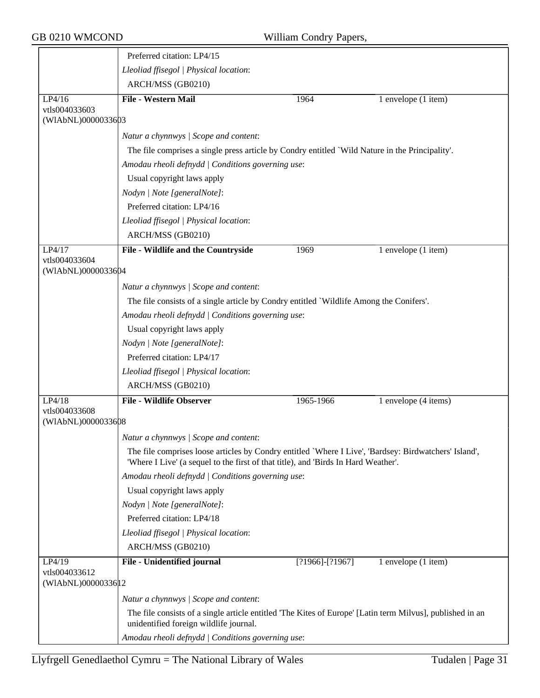|                                      | Preferred citation: LP4/15                                                                                                                                                                  |                     |                         |  |  |  |
|--------------------------------------|---------------------------------------------------------------------------------------------------------------------------------------------------------------------------------------------|---------------------|-------------------------|--|--|--|
|                                      | Lleoliad ffisegol   Physical location:                                                                                                                                                      |                     |                         |  |  |  |
|                                      | ARCH/MSS (GB0210)                                                                                                                                                                           |                     |                         |  |  |  |
| LP4/16                               | <b>File - Western Mail</b>                                                                                                                                                                  | 1964                | $1$ envelope $(1$ item) |  |  |  |
| vtls004033603<br>(WIAbNL)0000033603  |                                                                                                                                                                                             |                     |                         |  |  |  |
|                                      | Natur a chynnwys / Scope and content:                                                                                                                                                       |                     |                         |  |  |  |
|                                      | The file comprises a single press article by Condry entitled `Wild Nature in the Principality'.                                                                                             |                     |                         |  |  |  |
|                                      | Amodau rheoli defnydd   Conditions governing use:                                                                                                                                           |                     |                         |  |  |  |
|                                      | Usual copyright laws apply                                                                                                                                                                  |                     |                         |  |  |  |
|                                      | Nodyn   Note [generalNote]:                                                                                                                                                                 |                     |                         |  |  |  |
|                                      | Preferred citation: LP4/16                                                                                                                                                                  |                     |                         |  |  |  |
|                                      | Lleoliad ffisegol   Physical location:                                                                                                                                                      |                     |                         |  |  |  |
|                                      | ARCH/MSS (GB0210)                                                                                                                                                                           |                     |                         |  |  |  |
| LP4/17                               | File - Wildlife and the Countryside                                                                                                                                                         | 1969                | 1 envelope (1 item)     |  |  |  |
| vtls004033604<br>(WIAbNL)0000033604  |                                                                                                                                                                                             |                     |                         |  |  |  |
|                                      | Natur a chynnwys / Scope and content:                                                                                                                                                       |                     |                         |  |  |  |
|                                      | The file consists of a single article by Condry entitled `Wildlife Among the Conifers'.                                                                                                     |                     |                         |  |  |  |
|                                      | Amodau rheoli defnydd   Conditions governing use:                                                                                                                                           |                     |                         |  |  |  |
|                                      | Usual copyright laws apply                                                                                                                                                                  |                     |                         |  |  |  |
|                                      | Nodyn   Note [generalNote]:                                                                                                                                                                 |                     |                         |  |  |  |
|                                      | Preferred citation: LP4/17                                                                                                                                                                  |                     |                         |  |  |  |
|                                      | Lleoliad ffisegol   Physical location:                                                                                                                                                      |                     |                         |  |  |  |
|                                      | ARCH/MSS (GB0210)                                                                                                                                                                           |                     |                         |  |  |  |
| LP4/18                               | <b>File - Wildlife Observer</b>                                                                                                                                                             | 1965-1966           | 1 envelope (4 items)    |  |  |  |
| vtls004033608<br>(WIAbNL)0000033608  |                                                                                                                                                                                             |                     |                         |  |  |  |
|                                      | Natur a chynnwys / Scope and content:                                                                                                                                                       |                     |                         |  |  |  |
|                                      | The file comprises loose articles by Condry entitled `Where I Live', 'Bardsey: Birdwatchers' Island',<br>'Where I Live' (a sequel to the first of that title), and 'Birds In Hard Weather'. |                     |                         |  |  |  |
|                                      | Amodau rheoli defnydd   Conditions governing use:                                                                                                                                           |                     |                         |  |  |  |
|                                      | Usual copyright laws apply                                                                                                                                                                  |                     |                         |  |  |  |
|                                      | Nodyn   Note [generalNote]:                                                                                                                                                                 |                     |                         |  |  |  |
|                                      | Preferred citation: LP4/18                                                                                                                                                                  |                     |                         |  |  |  |
|                                      | Lleoliad ffisegol   Physical location:                                                                                                                                                      |                     |                         |  |  |  |
|                                      | ARCH/MSS (GB0210)                                                                                                                                                                           |                     |                         |  |  |  |
| LP4/19                               | File - Unidentified journal                                                                                                                                                                 | $[?1966] - [?1967]$ | 1 envelope (1 item)     |  |  |  |
| vtls004033612<br>(WIAbNL)00000336 12 |                                                                                                                                                                                             |                     |                         |  |  |  |
|                                      | Natur a chynnwys / Scope and content:                                                                                                                                                       |                     |                         |  |  |  |
|                                      | The file consists of a single article entitled 'The Kites of Europe' [Latin term Milvus], published in an<br>unidentified foreign wildlife journal.                                         |                     |                         |  |  |  |
|                                      | Amodau rheoli defnydd   Conditions governing use:                                                                                                                                           |                     |                         |  |  |  |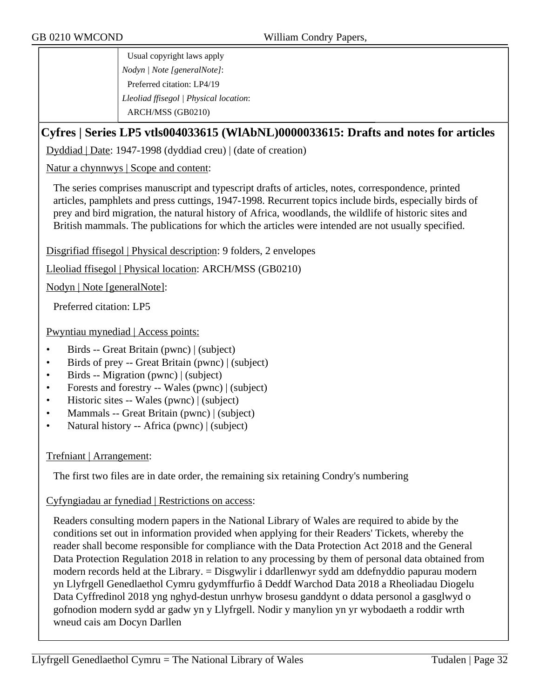Usual copyright laws apply *Nodyn | Note [generalNote]*: Preferred citation: LP4/19 *Lleoliad ffisegol | Physical location*: ARCH/MSS (GB0210)

#### **Cyfres | Series LP5 vtls004033615 (WlAbNL)0000033615: Drafts and notes for articles**

Dyddiad | Date: 1947-1998 (dyddiad creu) | (date of creation)

Natur a chynnwys | Scope and content:

The series comprises manuscript and typescript drafts of articles, notes, correspondence, printed articles, pamphlets and press cuttings, 1947-1998. Recurrent topics include birds, especially birds of prey and bird migration, the natural history of Africa, woodlands, the wildlife of historic sites and British mammals. The publications for which the articles were intended are not usually specified.

Disgrifiad ffisegol | Physical description: 9 folders, 2 envelopes

Lleoliad ffisegol | Physical location: ARCH/MSS (GB0210)

Nodyn | Note [generalNote]:

Preferred citation: LP5

Pwyntiau mynediad | Access points:

- Birds -- Great Britain (pwnc) | (subject)
- Birds of prey -- Great Britain (pwnc) | (subject)
- Birds -- Migration (pwnc) | (subject)
- Forests and forestry -- Wales (pwnc) | (subject)
- Historic sites -- Wales (pwnc) | (subject)
- Mammals -- Great Britain (pwnc) | (subject)
- Natural history -- Africa (pwnc) | (subject)

#### Trefniant | Arrangement:

The first two files are in date order, the remaining six retaining Condry's numbering

Cyfyngiadau ar fynediad | Restrictions on access:

Readers consulting modern papers in the National Library of Wales are required to abide by the conditions set out in information provided when applying for their Readers' Tickets, whereby the reader shall become responsible for compliance with the Data Protection Act 2018 and the General Data Protection Regulation 2018 in relation to any processing by them of personal data obtained from modern records held at the Library. = Disgwylir i ddarllenwyr sydd am ddefnyddio papurau modern yn Llyfrgell Genedlaethol Cymru gydymffurfio â Deddf Warchod Data 2018 a Rheoliadau Diogelu Data Cyffredinol 2018 yng nghyd-destun unrhyw brosesu ganddynt o ddata personol a gasglwyd o gofnodion modern sydd ar gadw yn y Llyfrgell. Nodir y manylion yn yr wybodaeth a roddir wrth wneud cais am Docyn Darllen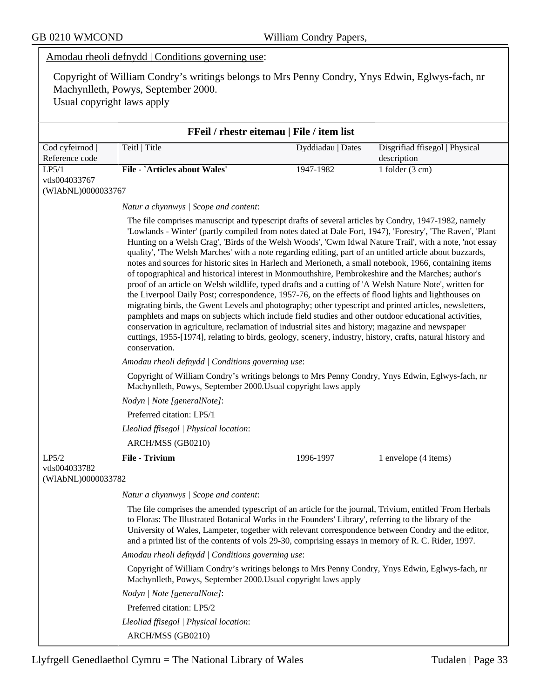|                                              | Amodau rheoli defnydd   Conditions governing use:                                                                                                                                                                                                                                                                                                                                                                                                                                                                                                                                                                                                                                                                                                                                                                                                                                                                                                                                                                                                                                                                                                                                                                                                                                                                                                                                  |                   |                                               |  |  |  |  |
|----------------------------------------------|------------------------------------------------------------------------------------------------------------------------------------------------------------------------------------------------------------------------------------------------------------------------------------------------------------------------------------------------------------------------------------------------------------------------------------------------------------------------------------------------------------------------------------------------------------------------------------------------------------------------------------------------------------------------------------------------------------------------------------------------------------------------------------------------------------------------------------------------------------------------------------------------------------------------------------------------------------------------------------------------------------------------------------------------------------------------------------------------------------------------------------------------------------------------------------------------------------------------------------------------------------------------------------------------------------------------------------------------------------------------------------|-------------------|-----------------------------------------------|--|--|--|--|
|                                              | Copyright of William Condry's writings belongs to Mrs Penny Condry, Ynys Edwin, Eglwys-fach, nr<br>Machynlleth, Powys, September 2000.<br>Usual copyright laws apply                                                                                                                                                                                                                                                                                                                                                                                                                                                                                                                                                                                                                                                                                                                                                                                                                                                                                                                                                                                                                                                                                                                                                                                                               |                   |                                               |  |  |  |  |
| FFeil / rhestr eitemau   File / item list    |                                                                                                                                                                                                                                                                                                                                                                                                                                                                                                                                                                                                                                                                                                                                                                                                                                                                                                                                                                                                                                                                                                                                                                                                                                                                                                                                                                                    |                   |                                               |  |  |  |  |
| Cod cyfeirnod<br>Reference code              | Teitl   Title                                                                                                                                                                                                                                                                                                                                                                                                                                                                                                                                                                                                                                                                                                                                                                                                                                                                                                                                                                                                                                                                                                                                                                                                                                                                                                                                                                      | Dyddiadau   Dates | Disgrifiad ffisegol   Physical<br>description |  |  |  |  |
| LP5/1<br>vtls004033767<br>(WIAbNL)0000033767 | <b>File - `Articles about Wales'</b>                                                                                                                                                                                                                                                                                                                                                                                                                                                                                                                                                                                                                                                                                                                                                                                                                                                                                                                                                                                                                                                                                                                                                                                                                                                                                                                                               | 1947-1982         | 1 folder $(3 \text{ cm})$                     |  |  |  |  |
|                                              | Natur a chynnwys / Scope and content:                                                                                                                                                                                                                                                                                                                                                                                                                                                                                                                                                                                                                                                                                                                                                                                                                                                                                                                                                                                                                                                                                                                                                                                                                                                                                                                                              |                   |                                               |  |  |  |  |
|                                              | 'Lowlands - Winter' (partly compiled from notes dated at Dale Fort, 1947), 'Forestry', 'The Raven', 'Plant<br>Hunting on a Welsh Crag', 'Birds of the Welsh Woods', 'Cwm Idwal Nature Trail', with a note, 'not essay<br>quality', 'The Welsh Marches' with a note regarding editing, part of an untitled article about buzzards,<br>notes and sources for historic sites in Harlech and Merioneth, a small notebook, 1966, containing items<br>of topographical and historical interest in Monmouthshire, Pembrokeshire and the Marches; author's<br>proof of an article on Welsh wildlife, typed drafts and a cutting of 'A Welsh Nature Note', written for<br>the Liverpool Daily Post; correspondence, 1957-76, on the effects of flood lights and lighthouses on<br>migrating birds, the Gwent Levels and photography; other typescript and printed articles, newsletters,<br>pamphlets and maps on subjects which include field studies and other outdoor educational activities,<br>conservation in agriculture, reclamation of industrial sites and history; magazine and newspaper<br>cuttings, 1955-[1974], relating to birds, geology, scenery, industry, history, crafts, natural history and<br>conservation.<br>Amodau rheoli defnydd   Conditions governing use:<br>Copyright of William Condry's writings belongs to Mrs Penny Condry, Ynys Edwin, Eglwys-fach, nr |                   |                                               |  |  |  |  |
|                                              | Machynlleth, Powys, September 2000. Usual copyright laws apply<br>Nodyn   Note [generalNote]:                                                                                                                                                                                                                                                                                                                                                                                                                                                                                                                                                                                                                                                                                                                                                                                                                                                                                                                                                                                                                                                                                                                                                                                                                                                                                      |                   |                                               |  |  |  |  |
|                                              | Preferred citation: LP5/1                                                                                                                                                                                                                                                                                                                                                                                                                                                                                                                                                                                                                                                                                                                                                                                                                                                                                                                                                                                                                                                                                                                                                                                                                                                                                                                                                          |                   |                                               |  |  |  |  |
|                                              | Lleoliad ffisegol   Physical location:                                                                                                                                                                                                                                                                                                                                                                                                                                                                                                                                                                                                                                                                                                                                                                                                                                                                                                                                                                                                                                                                                                                                                                                                                                                                                                                                             |                   |                                               |  |  |  |  |
|                                              | ARCH/MSS (GB0210)                                                                                                                                                                                                                                                                                                                                                                                                                                                                                                                                                                                                                                                                                                                                                                                                                                                                                                                                                                                                                                                                                                                                                                                                                                                                                                                                                                  |                   |                                               |  |  |  |  |
| LP5/2                                        | <b>File - Trivium</b>                                                                                                                                                                                                                                                                                                                                                                                                                                                                                                                                                                                                                                                                                                                                                                                                                                                                                                                                                                                                                                                                                                                                                                                                                                                                                                                                                              | 1996-1997         | 1 envelope (4 items)                          |  |  |  |  |
| vtls004033782<br>(WIAbNL)0000033782          |                                                                                                                                                                                                                                                                                                                                                                                                                                                                                                                                                                                                                                                                                                                                                                                                                                                                                                                                                                                                                                                                                                                                                                                                                                                                                                                                                                                    |                   |                                               |  |  |  |  |
|                                              | Natur a chynnwys / Scope and content:                                                                                                                                                                                                                                                                                                                                                                                                                                                                                                                                                                                                                                                                                                                                                                                                                                                                                                                                                                                                                                                                                                                                                                                                                                                                                                                                              |                   |                                               |  |  |  |  |
|                                              | The file comprises the amended typescript of an article for the journal, Trivium, entitled 'From Herbals'<br>to Floras: The Illustrated Botanical Works in the Founders' Library', referring to the library of the<br>University of Wales, Lampeter, together with relevant correspondence between Condry and the editor,<br>and a printed list of the contents of vols 29-30, comprising essays in memory of R. C. Rider, 1997.                                                                                                                                                                                                                                                                                                                                                                                                                                                                                                                                                                                                                                                                                                                                                                                                                                                                                                                                                   |                   |                                               |  |  |  |  |
|                                              | Amodau rheoli defnydd   Conditions governing use:                                                                                                                                                                                                                                                                                                                                                                                                                                                                                                                                                                                                                                                                                                                                                                                                                                                                                                                                                                                                                                                                                                                                                                                                                                                                                                                                  |                   |                                               |  |  |  |  |
|                                              | Copyright of William Condry's writings belongs to Mrs Penny Condry, Ynys Edwin, Eglwys-fach, nr<br>Machynlleth, Powys, September 2000. Usual copyright laws apply                                                                                                                                                                                                                                                                                                                                                                                                                                                                                                                                                                                                                                                                                                                                                                                                                                                                                                                                                                                                                                                                                                                                                                                                                  |                   |                                               |  |  |  |  |
|                                              | Nodyn   Note [generalNote]:                                                                                                                                                                                                                                                                                                                                                                                                                                                                                                                                                                                                                                                                                                                                                                                                                                                                                                                                                                                                                                                                                                                                                                                                                                                                                                                                                        |                   |                                               |  |  |  |  |
|                                              | Preferred citation: LP5/2                                                                                                                                                                                                                                                                                                                                                                                                                                                                                                                                                                                                                                                                                                                                                                                                                                                                                                                                                                                                                                                                                                                                                                                                                                                                                                                                                          |                   |                                               |  |  |  |  |
|                                              | Lleoliad ffisegol   Physical location:                                                                                                                                                                                                                                                                                                                                                                                                                                                                                                                                                                                                                                                                                                                                                                                                                                                                                                                                                                                                                                                                                                                                                                                                                                                                                                                                             |                   |                                               |  |  |  |  |
|                                              | ARCH/MSS (GB0210)                                                                                                                                                                                                                                                                                                                                                                                                                                                                                                                                                                                                                                                                                                                                                                                                                                                                                                                                                                                                                                                                                                                                                                                                                                                                                                                                                                  |                   |                                               |  |  |  |  |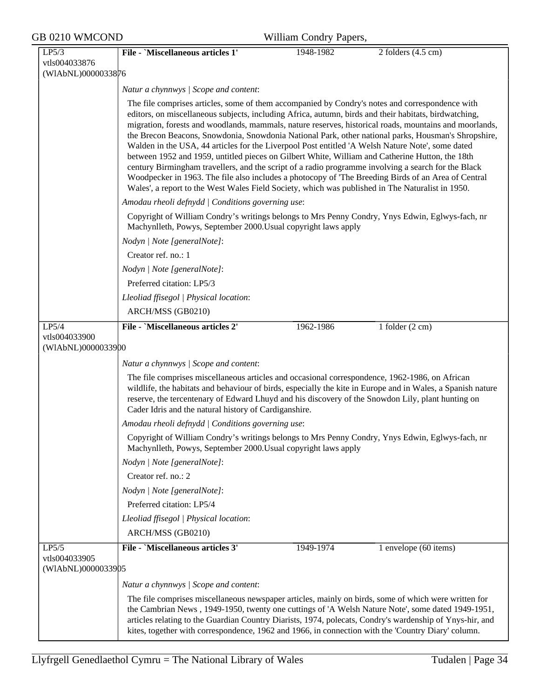| GB 0210 WMCOND                               | William Condry Papers,                                                                                                                                                                                                                                                                                                                                                                                                                                                                                                                                                                                                                                                                                                                                                                                                                                                                                                                             |  |  |  |  |  |
|----------------------------------------------|----------------------------------------------------------------------------------------------------------------------------------------------------------------------------------------------------------------------------------------------------------------------------------------------------------------------------------------------------------------------------------------------------------------------------------------------------------------------------------------------------------------------------------------------------------------------------------------------------------------------------------------------------------------------------------------------------------------------------------------------------------------------------------------------------------------------------------------------------------------------------------------------------------------------------------------------------|--|--|--|--|--|
| LP5/3<br>vtls004033876                       | File - `Miscellaneous articles 1'<br>1948-1982<br>2 folders $(4.5 \text{ cm})$                                                                                                                                                                                                                                                                                                                                                                                                                                                                                                                                                                                                                                                                                                                                                                                                                                                                     |  |  |  |  |  |
| (WIAbNL)0000033876                           |                                                                                                                                                                                                                                                                                                                                                                                                                                                                                                                                                                                                                                                                                                                                                                                                                                                                                                                                                    |  |  |  |  |  |
|                                              | Natur a chynnwys / Scope and content:                                                                                                                                                                                                                                                                                                                                                                                                                                                                                                                                                                                                                                                                                                                                                                                                                                                                                                              |  |  |  |  |  |
|                                              | The file comprises articles, some of them accompanied by Condry's notes and correspondence with<br>editors, on miscellaneous subjects, including Africa, autumn, birds and their habitats, birdwatching,<br>migration, forests and woodlands, mammals, nature reserves, historical roads, mountains and moorlands,<br>the Brecon Beacons, Snowdonia, Snowdonia National Park, other national parks, Housman's Shropshire,<br>Walden in the USA, 44 articles for the Liverpool Post entitled 'A Welsh Nature Note', some dated<br>between 1952 and 1959, untitled pieces on Gilbert White, William and Catherine Hutton, the 18th<br>century Birmingham travellers, and the script of a radio programme involving a search for the Black<br>Woodpecker in 1963. The file also includes a photocopy of 'The Breeding Birds of an Area of Central<br>Wales', a report to the West Wales Field Society, which was published in The Naturalist in 1950. |  |  |  |  |  |
|                                              | Amodau rheoli defnydd   Conditions governing use:                                                                                                                                                                                                                                                                                                                                                                                                                                                                                                                                                                                                                                                                                                                                                                                                                                                                                                  |  |  |  |  |  |
|                                              | Copyright of William Condry's writings belongs to Mrs Penny Condry, Ynys Edwin, Eglwys-fach, nr<br>Machynlleth, Powys, September 2000. Usual copyright laws apply                                                                                                                                                                                                                                                                                                                                                                                                                                                                                                                                                                                                                                                                                                                                                                                  |  |  |  |  |  |
|                                              | Nodyn   Note [generalNote]:                                                                                                                                                                                                                                                                                                                                                                                                                                                                                                                                                                                                                                                                                                                                                                                                                                                                                                                        |  |  |  |  |  |
|                                              | Creator ref. no.: 1                                                                                                                                                                                                                                                                                                                                                                                                                                                                                                                                                                                                                                                                                                                                                                                                                                                                                                                                |  |  |  |  |  |
|                                              | Nodyn   Note [generalNote]:                                                                                                                                                                                                                                                                                                                                                                                                                                                                                                                                                                                                                                                                                                                                                                                                                                                                                                                        |  |  |  |  |  |
|                                              | Preferred citation: LP5/3                                                                                                                                                                                                                                                                                                                                                                                                                                                                                                                                                                                                                                                                                                                                                                                                                                                                                                                          |  |  |  |  |  |
|                                              | Lleoliad ffisegol   Physical location:                                                                                                                                                                                                                                                                                                                                                                                                                                                                                                                                                                                                                                                                                                                                                                                                                                                                                                             |  |  |  |  |  |
|                                              | ARCH/MSS (GB0210)                                                                                                                                                                                                                                                                                                                                                                                                                                                                                                                                                                                                                                                                                                                                                                                                                                                                                                                                  |  |  |  |  |  |
| LP5/4<br>vtls004033900                       | File - `Miscellaneous articles 2'<br>1 folder $(2 \text{ cm})$<br>1962-1986                                                                                                                                                                                                                                                                                                                                                                                                                                                                                                                                                                                                                                                                                                                                                                                                                                                                        |  |  |  |  |  |
| (WIAbNL)0000033900                           |                                                                                                                                                                                                                                                                                                                                                                                                                                                                                                                                                                                                                                                                                                                                                                                                                                                                                                                                                    |  |  |  |  |  |
|                                              | Natur a chynnwys   Scope and content:                                                                                                                                                                                                                                                                                                                                                                                                                                                                                                                                                                                                                                                                                                                                                                                                                                                                                                              |  |  |  |  |  |
|                                              | The file comprises miscellaneous articles and occasional correspondence, 1962-1986, on African<br>wildlife, the habitats and behaviour of birds, especially the kite in Europe and in Wales, a Spanish nature<br>reserve, the tercentenary of Edward Lhuyd and his discovery of the Snowdon Lily, plant hunting on<br>Cader Idris and the natural history of Cardiganshire.                                                                                                                                                                                                                                                                                                                                                                                                                                                                                                                                                                        |  |  |  |  |  |
|                                              | Amodau rheoli defnydd   Conditions governing use:                                                                                                                                                                                                                                                                                                                                                                                                                                                                                                                                                                                                                                                                                                                                                                                                                                                                                                  |  |  |  |  |  |
|                                              | Copyright of William Condry's writings belongs to Mrs Penny Condry, Ynys Edwin, Eglwys-fach, nr<br>Machynlleth, Powys, September 2000. Usual copyright laws apply                                                                                                                                                                                                                                                                                                                                                                                                                                                                                                                                                                                                                                                                                                                                                                                  |  |  |  |  |  |
|                                              | Nodyn   Note [generalNote]:                                                                                                                                                                                                                                                                                                                                                                                                                                                                                                                                                                                                                                                                                                                                                                                                                                                                                                                        |  |  |  |  |  |
|                                              | Creator ref. no.: 2                                                                                                                                                                                                                                                                                                                                                                                                                                                                                                                                                                                                                                                                                                                                                                                                                                                                                                                                |  |  |  |  |  |
|                                              | Nodyn   Note [generalNote]:                                                                                                                                                                                                                                                                                                                                                                                                                                                                                                                                                                                                                                                                                                                                                                                                                                                                                                                        |  |  |  |  |  |
|                                              | Preferred citation: LP5/4                                                                                                                                                                                                                                                                                                                                                                                                                                                                                                                                                                                                                                                                                                                                                                                                                                                                                                                          |  |  |  |  |  |
|                                              | Lleoliad ffisegol   Physical location:                                                                                                                                                                                                                                                                                                                                                                                                                                                                                                                                                                                                                                                                                                                                                                                                                                                                                                             |  |  |  |  |  |
|                                              | ARCH/MSS (GB0210)                                                                                                                                                                                                                                                                                                                                                                                                                                                                                                                                                                                                                                                                                                                                                                                                                                                                                                                                  |  |  |  |  |  |
| LP5/5<br>vtls004033905<br>(WIAbNL)0000033905 | File - `Miscellaneous articles 3'<br>1 envelope (60 items)<br>1949-1974                                                                                                                                                                                                                                                                                                                                                                                                                                                                                                                                                                                                                                                                                                                                                                                                                                                                            |  |  |  |  |  |
|                                              | Natur a chynnwys / Scope and content:                                                                                                                                                                                                                                                                                                                                                                                                                                                                                                                                                                                                                                                                                                                                                                                                                                                                                                              |  |  |  |  |  |
|                                              | The file comprises miscellaneous newspaper articles, mainly on birds, some of which were written for<br>the Cambrian News, 1949-1950, twenty one cuttings of 'A Welsh Nature Note', some dated 1949-1951,<br>articles relating to the Guardian Country Diarists, 1974, polecats, Condry's wardenship of Ynys-hir, and<br>kites, together with correspondence, 1962 and 1966, in connection with the 'Country Diary' column.                                                                                                                                                                                                                                                                                                                                                                                                                                                                                                                        |  |  |  |  |  |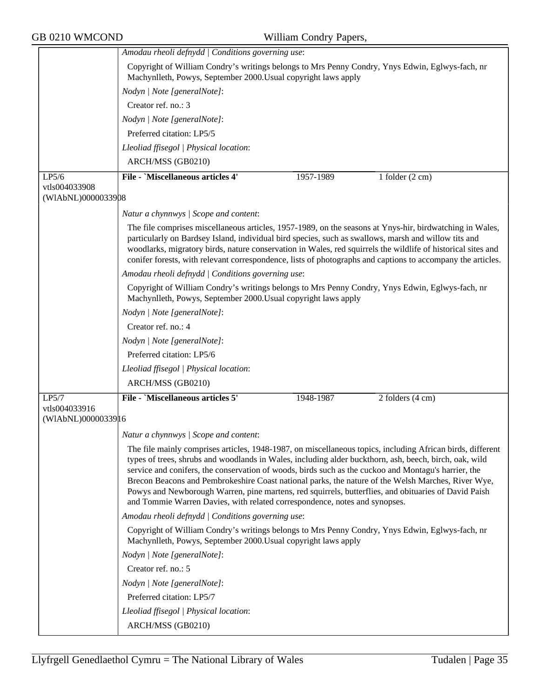|                                     | Amodau rheoli defnydd   Conditions governing use:                                                                                                                                                                                                                                                                                                                                                                                                                                                                                                                                                                        |  |  |  |  |
|-------------------------------------|--------------------------------------------------------------------------------------------------------------------------------------------------------------------------------------------------------------------------------------------------------------------------------------------------------------------------------------------------------------------------------------------------------------------------------------------------------------------------------------------------------------------------------------------------------------------------------------------------------------------------|--|--|--|--|
|                                     | Copyright of William Condry's writings belongs to Mrs Penny Condry, Ynys Edwin, Eglwys-fach, nr<br>Machynlleth, Powys, September 2000. Usual copyright laws apply                                                                                                                                                                                                                                                                                                                                                                                                                                                        |  |  |  |  |
|                                     | Nodyn   Note [generalNote]:                                                                                                                                                                                                                                                                                                                                                                                                                                                                                                                                                                                              |  |  |  |  |
|                                     | Creator ref. no.: 3                                                                                                                                                                                                                                                                                                                                                                                                                                                                                                                                                                                                      |  |  |  |  |
|                                     | Nodyn   Note [generalNote]:                                                                                                                                                                                                                                                                                                                                                                                                                                                                                                                                                                                              |  |  |  |  |
|                                     | Preferred citation: LP5/5                                                                                                                                                                                                                                                                                                                                                                                                                                                                                                                                                                                                |  |  |  |  |
|                                     | Lleoliad ffisegol   Physical location:                                                                                                                                                                                                                                                                                                                                                                                                                                                                                                                                                                                   |  |  |  |  |
|                                     | ARCH/MSS (GB0210)                                                                                                                                                                                                                                                                                                                                                                                                                                                                                                                                                                                                        |  |  |  |  |
| LP5/6                               | <b>File - `Miscellaneous articles 4'</b><br>1957-1989<br>1 folder $(2 \text{ cm})$                                                                                                                                                                                                                                                                                                                                                                                                                                                                                                                                       |  |  |  |  |
| vtls004033908<br>(WIAbNL)0000033908 |                                                                                                                                                                                                                                                                                                                                                                                                                                                                                                                                                                                                                          |  |  |  |  |
|                                     | Natur a chynnwys / Scope and content:                                                                                                                                                                                                                                                                                                                                                                                                                                                                                                                                                                                    |  |  |  |  |
|                                     | The file comprises miscellaneous articles, 1957-1989, on the seasons at Ynys-hir, birdwatching in Wales,<br>particularly on Bardsey Island, individual bird species, such as swallows, marsh and willow tits and<br>woodlarks, migratory birds, nature conservation in Wales, red squirrels the wildlife of historical sites and<br>conifer forests, with relevant correspondence, lists of photographs and captions to accompany the articles.                                                                                                                                                                          |  |  |  |  |
|                                     | Amodau rheoli defnydd   Conditions governing use:                                                                                                                                                                                                                                                                                                                                                                                                                                                                                                                                                                        |  |  |  |  |
|                                     | Copyright of William Condry's writings belongs to Mrs Penny Condry, Ynys Edwin, Eglwys-fach, nr<br>Machynlleth, Powys, September 2000. Usual copyright laws apply                                                                                                                                                                                                                                                                                                                                                                                                                                                        |  |  |  |  |
|                                     | Nodyn   Note [generalNote]:                                                                                                                                                                                                                                                                                                                                                                                                                                                                                                                                                                                              |  |  |  |  |
|                                     | Creator ref. no.: 4                                                                                                                                                                                                                                                                                                                                                                                                                                                                                                                                                                                                      |  |  |  |  |
|                                     | Nodyn   Note [generalNote]:                                                                                                                                                                                                                                                                                                                                                                                                                                                                                                                                                                                              |  |  |  |  |
|                                     | Preferred citation: LP5/6                                                                                                                                                                                                                                                                                                                                                                                                                                                                                                                                                                                                |  |  |  |  |
|                                     | Lleoliad ffisegol   Physical location:                                                                                                                                                                                                                                                                                                                                                                                                                                                                                                                                                                                   |  |  |  |  |
|                                     | ARCH/MSS (GB0210)                                                                                                                                                                                                                                                                                                                                                                                                                                                                                                                                                                                                        |  |  |  |  |
| LP5/7                               | <b>File - 'Miscellaneous articles 5'</b><br>1948-1987<br>2 folders (4 cm)                                                                                                                                                                                                                                                                                                                                                                                                                                                                                                                                                |  |  |  |  |
| vtls004033916<br>(WIAbNL)0000033916 |                                                                                                                                                                                                                                                                                                                                                                                                                                                                                                                                                                                                                          |  |  |  |  |
|                                     | Natur a chynnwys / Scope and content:                                                                                                                                                                                                                                                                                                                                                                                                                                                                                                                                                                                    |  |  |  |  |
|                                     | The file mainly comprises articles, 1948-1987, on miscellaneous topics, including African birds, different<br>types of trees, shrubs and woodlands in Wales, including alder buckthorn, ash, beech, birch, oak, wild<br>service and conifers, the conservation of woods, birds such as the cuckoo and Montagu's harrier, the<br>Brecon Beacons and Pembrokeshire Coast national parks, the nature of the Welsh Marches, River Wye,<br>Powys and Newborough Warren, pine martens, red squirrels, butterflies, and obituaries of David Paish<br>and Tommie Warren Davies, with related correspondence, notes and synopses. |  |  |  |  |
|                                     | Amodau rheoli defnydd   Conditions governing use:                                                                                                                                                                                                                                                                                                                                                                                                                                                                                                                                                                        |  |  |  |  |
|                                     | Copyright of William Condry's writings belongs to Mrs Penny Condry, Ynys Edwin, Eglwys-fach, nr<br>Machynlleth, Powys, September 2000. Usual copyright laws apply                                                                                                                                                                                                                                                                                                                                                                                                                                                        |  |  |  |  |
|                                     | Nodyn   Note [generalNote]:                                                                                                                                                                                                                                                                                                                                                                                                                                                                                                                                                                                              |  |  |  |  |
|                                     | Creator ref. no.: 5                                                                                                                                                                                                                                                                                                                                                                                                                                                                                                                                                                                                      |  |  |  |  |
|                                     | Nodyn   Note [generalNote]:                                                                                                                                                                                                                                                                                                                                                                                                                                                                                                                                                                                              |  |  |  |  |
|                                     | Preferred citation: LP5/7                                                                                                                                                                                                                                                                                                                                                                                                                                                                                                                                                                                                |  |  |  |  |
|                                     | Lleoliad ffisegol   Physical location:                                                                                                                                                                                                                                                                                                                                                                                                                                                                                                                                                                                   |  |  |  |  |
|                                     | ARCH/MSS (GB0210)                                                                                                                                                                                                                                                                                                                                                                                                                                                                                                                                                                                                        |  |  |  |  |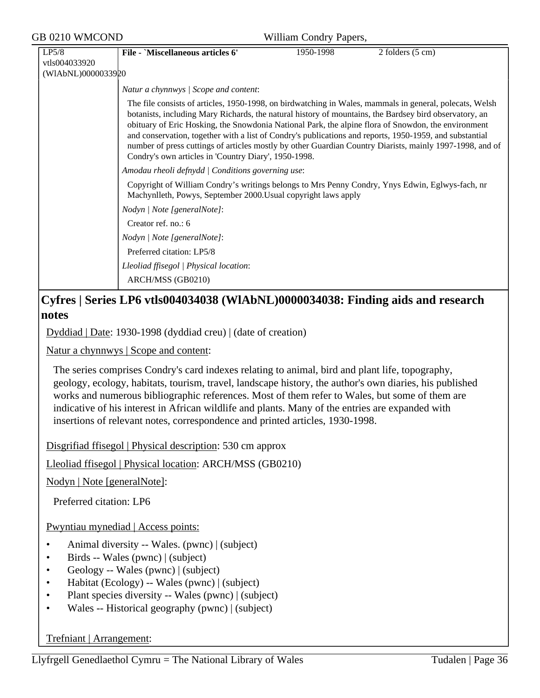| <b>GB 0210 WMCOND</b>                        |                                                                                                                                                                                                                                                                                                                                                                                                                                                                                                                                                                                                         | William Condry Papers, |                            |  |  |  |
|----------------------------------------------|---------------------------------------------------------------------------------------------------------------------------------------------------------------------------------------------------------------------------------------------------------------------------------------------------------------------------------------------------------------------------------------------------------------------------------------------------------------------------------------------------------------------------------------------------------------------------------------------------------|------------------------|----------------------------|--|--|--|
| LP5/8<br>vtls004033920<br>(WIAbNL)0000033920 | File - `Miscellaneous articles 6'                                                                                                                                                                                                                                                                                                                                                                                                                                                                                                                                                                       | 1950-1998              | 2 folders $(5 \text{ cm})$ |  |  |  |
|                                              | Natur a chynnwys / Scope and content:                                                                                                                                                                                                                                                                                                                                                                                                                                                                                                                                                                   |                        |                            |  |  |  |
|                                              | The file consists of articles, 1950-1998, on birdwatching in Wales, mammals in general, polecats, Welsh<br>botanists, including Mary Richards, the natural history of mountains, the Bardsey bird observatory, an<br>obituary of Eric Hosking, the Snowdonia National Park, the alpine flora of Snowdon, the environment<br>and conservation, together with a list of Condry's publications and reports, 1950-1959, and substantial<br>number of press cuttings of articles mostly by other Guardian Country Diarists, mainly 1997-1998, and of<br>Condry's own articles in 'Country Diary', 1950-1998. |                        |                            |  |  |  |
|                                              | Amodau rheoli defnydd   Conditions governing use:                                                                                                                                                                                                                                                                                                                                                                                                                                                                                                                                                       |                        |                            |  |  |  |
|                                              | Copyright of William Condry's writings belongs to Mrs Penny Condry, Ynys Edwin, Eglwys-fach, nr<br>Machynlleth, Powys, September 2000. Usual copyright laws apply                                                                                                                                                                                                                                                                                                                                                                                                                                       |                        |                            |  |  |  |
|                                              | Nodyn   Note [generalNote]:                                                                                                                                                                                                                                                                                                                                                                                                                                                                                                                                                                             |                        |                            |  |  |  |
|                                              | Creator ref. no.: 6                                                                                                                                                                                                                                                                                                                                                                                                                                                                                                                                                                                     |                        |                            |  |  |  |
|                                              | Nodyn   Note [generalNote]:                                                                                                                                                                                                                                                                                                                                                                                                                                                                                                                                                                             |                        |                            |  |  |  |
|                                              | Preferred citation: LP5/8                                                                                                                                                                                                                                                                                                                                                                                                                                                                                                                                                                               |                        |                            |  |  |  |
|                                              | Lleoliad ffisegol   Physical location:                                                                                                                                                                                                                                                                                                                                                                                                                                                                                                                                                                  |                        |                            |  |  |  |
|                                              | ARCH/MSS (GB0210)                                                                                                                                                                                                                                                                                                                                                                                                                                                                                                                                                                                       |                        |                            |  |  |  |

## **Cyfres | Series LP6 vtls004034038 (WlAbNL)0000034038: Finding aids and research notes**

Dyddiad | Date: 1930-1998 (dyddiad creu) | (date of creation)

Natur a chynnwys | Scope and content:

The series comprises Condry's card indexes relating to animal, bird and plant life, topography, geology, ecology, habitats, tourism, travel, landscape history, the author's own diaries, his published works and numerous bibliographic references. Most of them refer to Wales, but some of them are indicative of his interest in African wildlife and plants. Many of the entries are expanded with insertions of relevant notes, correspondence and printed articles, 1930-1998.

Disgrifiad ffisegol | Physical description: 530 cm approx

Lleoliad ffisegol | Physical location: ARCH/MSS (GB0210)

Nodyn | Note [generalNote]:

Preferred citation: LP6

Pwyntiau mynediad | Access points:

- Animal diversity -- Wales. (pwnc) | (subject)
- Birds -- Wales (pwnc) | (subject)
- Geology -- Wales (pwnc) | (subject)
- Habitat (Ecology) -- Wales (pwnc) | (subject)
- Plant species diversity -- Wales (pwnc) | (subject)
- Wales -- Historical geography (pwnc) | (subject)

Trefniant | Arrangement: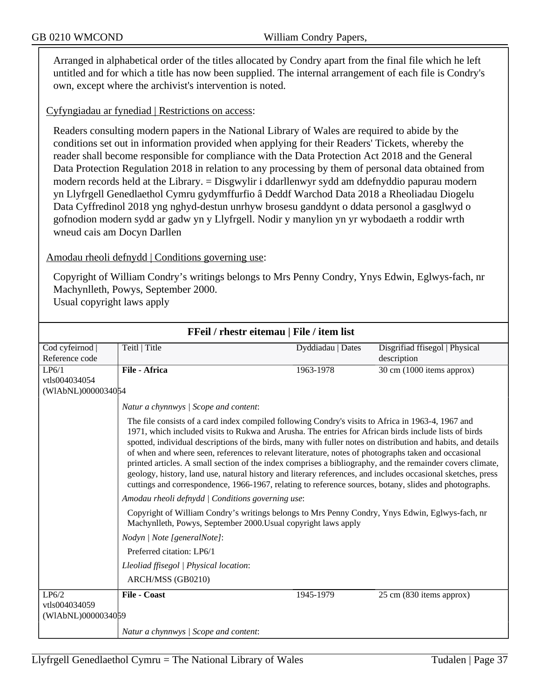Arranged in alphabetical order of the titles allocated by Condry apart from the final file which he left untitled and for which a title has now been supplied. The internal arrangement of each file is Condry's own, except where the archivist's intervention is noted.

Cyfyngiadau ar fynediad | Restrictions on access:

Readers consulting modern papers in the National Library of Wales are required to abide by the conditions set out in information provided when applying for their Readers' Tickets, whereby the reader shall become responsible for compliance with the Data Protection Act 2018 and the General Data Protection Regulation 2018 in relation to any processing by them of personal data obtained from modern records held at the Library. = Disgwylir i ddarllenwyr sydd am ddefnyddio papurau modern yn Llyfrgell Genedlaethol Cymru gydymffurfio â Deddf Warchod Data 2018 a Rheoliadau Diogelu Data Cyffredinol 2018 yng nghyd-destun unrhyw brosesu ganddynt o ddata personol a gasglwyd o gofnodion modern sydd ar gadw yn y Llyfrgell. Nodir y manylion yn yr wybodaeth a roddir wrth wneud cais am Docyn Darllen

#### Amodau rheoli defnydd | Conditions governing use:

Copyright of William Condry's writings belongs to Mrs Penny Condry, Ynys Edwin, Eglwys-fach, nr Machynlleth, Powys, September 2000. Usual copyright laws apply

| <u>Frell / Fnestr ellemau   File / Item Itst</u> |                                                                                                                                                                                                                                                                                                                                                                                                                                                                                                                                                                                                                                                                                                                                                                              |                   |                                |
|--------------------------------------------------|------------------------------------------------------------------------------------------------------------------------------------------------------------------------------------------------------------------------------------------------------------------------------------------------------------------------------------------------------------------------------------------------------------------------------------------------------------------------------------------------------------------------------------------------------------------------------------------------------------------------------------------------------------------------------------------------------------------------------------------------------------------------------|-------------------|--------------------------------|
| Cod cyfeirnod                                    | Teitl   Title                                                                                                                                                                                                                                                                                                                                                                                                                                                                                                                                                                                                                                                                                                                                                                | Dyddiadau   Dates | Disgrifiad ffisegol   Physical |
| Reference code                                   |                                                                                                                                                                                                                                                                                                                                                                                                                                                                                                                                                                                                                                                                                                                                                                              |                   | description                    |
| LP6/1                                            | File - Africa                                                                                                                                                                                                                                                                                                                                                                                                                                                                                                                                                                                                                                                                                                                                                                | 1963-1978         | 30 cm (1000 items approx)      |
| vtls004034054                                    |                                                                                                                                                                                                                                                                                                                                                                                                                                                                                                                                                                                                                                                                                                                                                                              |                   |                                |
| (WIAbNL)0000034054                               |                                                                                                                                                                                                                                                                                                                                                                                                                                                                                                                                                                                                                                                                                                                                                                              |                   |                                |
|                                                  | Natur a chynnwys / Scope and content:                                                                                                                                                                                                                                                                                                                                                                                                                                                                                                                                                                                                                                                                                                                                        |                   |                                |
|                                                  | The file consists of a card index compiled following Condry's visits to Africa in 1963-4, 1967 and<br>1971, which included visits to Rukwa and Arusha. The entries for African birds include lists of birds<br>spotted, individual descriptions of the birds, many with fuller notes on distribution and habits, and details<br>of when and where seen, references to relevant literature, notes of photographs taken and occasional<br>printed articles. A small section of the index comprises a bibliography, and the remainder covers climate,<br>geology, history, land use, natural history and literary references, and includes occasional sketches, press<br>cuttings and correspondence, 1966-1967, relating to reference sources, botany, slides and photographs. |                   |                                |
|                                                  | Amodau rheoli defnydd   Conditions governing use:                                                                                                                                                                                                                                                                                                                                                                                                                                                                                                                                                                                                                                                                                                                            |                   |                                |
|                                                  | Copyright of William Condry's writings belongs to Mrs Penny Condry, Ynys Edwin, Eglwys-fach, nr<br>Machynlleth, Powys, September 2000. Usual copyright laws apply                                                                                                                                                                                                                                                                                                                                                                                                                                                                                                                                                                                                            |                   |                                |
|                                                  | Nodyn / Note [generalNote]:                                                                                                                                                                                                                                                                                                                                                                                                                                                                                                                                                                                                                                                                                                                                                  |                   |                                |
|                                                  | Preferred citation: LP6/1                                                                                                                                                                                                                                                                                                                                                                                                                                                                                                                                                                                                                                                                                                                                                    |                   |                                |
|                                                  | Lleoliad ffisegol   Physical location:                                                                                                                                                                                                                                                                                                                                                                                                                                                                                                                                                                                                                                                                                                                                       |                   |                                |
|                                                  | ARCH/MSS (GB0210)                                                                                                                                                                                                                                                                                                                                                                                                                                                                                                                                                                                                                                                                                                                                                            |                   |                                |
| LP6/2<br>vtls004034059<br>(WIAbNL)0000034059     | <b>File - Coast</b>                                                                                                                                                                                                                                                                                                                                                                                                                                                                                                                                                                                                                                                                                                                                                          | 1945-1979         | 25 cm (830 items approx)       |
|                                                  | Natur a chynnwys / Scope and content:                                                                                                                                                                                                                                                                                                                                                                                                                                                                                                                                                                                                                                                                                                                                        |                   |                                |

# **FFeil / rhestr eitemau | File / item list**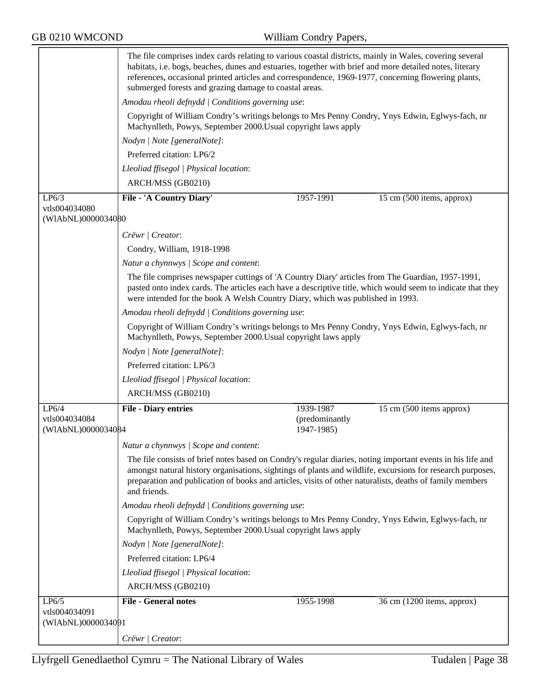|                                        | The file comprises index cards relating to various coastal districts, mainly in Wales, covering several<br>habitats, i.e. bogs, beaches, dunes and estuaries, together with brief and more detailed notes, literary<br>references, occasional printed articles and correspondence, 1969-1977, concerning flowering plants,<br>submerged forests and grazing damage to coastal areas. |                |                            |  |
|----------------------------------------|--------------------------------------------------------------------------------------------------------------------------------------------------------------------------------------------------------------------------------------------------------------------------------------------------------------------------------------------------------------------------------------|----------------|----------------------------|--|
|                                        | Amodau rheoli defnydd   Conditions governing use:<br>Copyright of William Condry's writings belongs to Mrs Penny Condry, Ynys Edwin, Eglwys-fach, nr<br>Machynlleth, Powys, September 2000. Usual copyright laws apply                                                                                                                                                               |                |                            |  |
|                                        |                                                                                                                                                                                                                                                                                                                                                                                      |                |                            |  |
|                                        | Nodyn   Note [generalNote]:                                                                                                                                                                                                                                                                                                                                                          |                |                            |  |
|                                        | Preferred citation: LP6/2                                                                                                                                                                                                                                                                                                                                                            |                |                            |  |
|                                        | Lleoliad ffisegol   Physical location:                                                                                                                                                                                                                                                                                                                                               |                |                            |  |
|                                        | ARCH/MSS (GB0210)                                                                                                                                                                                                                                                                                                                                                                    |                |                            |  |
| LP6/3                                  | File - 'A Country Diary'                                                                                                                                                                                                                                                                                                                                                             | 1957-1991      | 15 cm (500 items, approx)  |  |
| vtls004034080                          |                                                                                                                                                                                                                                                                                                                                                                                      |                |                            |  |
| (WIAbNL)0000034080                     |                                                                                                                                                                                                                                                                                                                                                                                      |                |                            |  |
|                                        | Crëwr   Creator:                                                                                                                                                                                                                                                                                                                                                                     |                |                            |  |
|                                        | Condry, William, 1918-1998                                                                                                                                                                                                                                                                                                                                                           |                |                            |  |
|                                        | Natur a chynnwys / Scope and content:                                                                                                                                                                                                                                                                                                                                                |                |                            |  |
|                                        | The file comprises newspaper cuttings of 'A Country Diary' articles from The Guardian, 1957-1991,<br>pasted onto index cards. The articles each have a descriptive title, which would seem to indicate that they<br>were intended for the book A Welsh Country Diary, which was published in 1993.                                                                                   |                |                            |  |
|                                        | Amodau rheoli defnydd   Conditions governing use:                                                                                                                                                                                                                                                                                                                                    |                |                            |  |
|                                        | Copyright of William Condry's writings belongs to Mrs Penny Condry, Ynys Edwin, Eglwys-fach, nr<br>Machynlleth, Powys, September 2000. Usual copyright laws apply                                                                                                                                                                                                                    |                |                            |  |
| Nodyn   Note [generalNote]:            |                                                                                                                                                                                                                                                                                                                                                                                      |                |                            |  |
|                                        | Preferred citation: LP6/3                                                                                                                                                                                                                                                                                                                                                            |                |                            |  |
| Lleoliad ffisegol   Physical location: |                                                                                                                                                                                                                                                                                                                                                                                      |                |                            |  |
|                                        | ARCH/MSS (GB0210)                                                                                                                                                                                                                                                                                                                                                                    |                |                            |  |
| LP6/4                                  | <b>File - Diary entries</b>                                                                                                                                                                                                                                                                                                                                                          | 1939-1987      | 15 cm (500 items approx)   |  |
| vtls004034084                          |                                                                                                                                                                                                                                                                                                                                                                                      | (predominantly |                            |  |
| (WIAbNL)0000034084                     |                                                                                                                                                                                                                                                                                                                                                                                      | 1947-1985)     |                            |  |
|                                        | Natur a chynnwys / Scope and content:                                                                                                                                                                                                                                                                                                                                                |                |                            |  |
|                                        | The file consists of brief notes based on Condry's regular diaries, noting important events in his life and<br>amongst natural history organisations, sightings of plants and wildlife, excursions for research purposes,<br>preparation and publication of books and articles, visits of other naturalists, deaths of family members<br>and friends.                                |                |                            |  |
|                                        | Amodau rheoli defnydd   Conditions governing use:                                                                                                                                                                                                                                                                                                                                    |                |                            |  |
|                                        | Copyright of William Condry's writings belongs to Mrs Penny Condry, Ynys Edwin, Eglwys-fach, nr<br>Machynlleth, Powys, September 2000. Usual copyright laws apply                                                                                                                                                                                                                    |                |                            |  |
|                                        | Nodyn   Note [generalNote]:                                                                                                                                                                                                                                                                                                                                                          |                |                            |  |
|                                        | Preferred citation: LP6/4                                                                                                                                                                                                                                                                                                                                                            |                |                            |  |
|                                        | Lleoliad ffisegol   Physical location:                                                                                                                                                                                                                                                                                                                                               |                |                            |  |
|                                        | ARCH/MSS (GB0210)                                                                                                                                                                                                                                                                                                                                                                    |                |                            |  |
| LP6/5                                  | <b>File - General notes</b>                                                                                                                                                                                                                                                                                                                                                          | 1955-1998      | 36 cm (1200 items, approx) |  |
| vtls004034091<br>(WIAbNL)0000034091    |                                                                                                                                                                                                                                                                                                                                                                                      |                |                            |  |
|                                        |                                                                                                                                                                                                                                                                                                                                                                                      |                |                            |  |
|                                        | Crëwr   Creator:                                                                                                                                                                                                                                                                                                                                                                     |                |                            |  |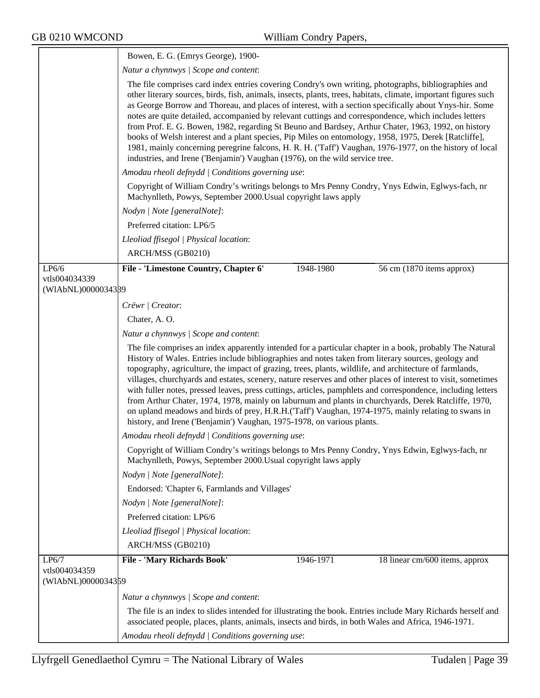|                                     | Bowen, E. G. (Emrys George), 1900-                                                                                                                                                                                                                                                                                                                                                                                                                                                                                                                                                                                                                                                                                                                                                                                                                   |           |                                |
|-------------------------------------|------------------------------------------------------------------------------------------------------------------------------------------------------------------------------------------------------------------------------------------------------------------------------------------------------------------------------------------------------------------------------------------------------------------------------------------------------------------------------------------------------------------------------------------------------------------------------------------------------------------------------------------------------------------------------------------------------------------------------------------------------------------------------------------------------------------------------------------------------|-----------|--------------------------------|
|                                     | Natur a chynnwys / Scope and content:                                                                                                                                                                                                                                                                                                                                                                                                                                                                                                                                                                                                                                                                                                                                                                                                                |           |                                |
|                                     | The file comprises card index entries covering Condry's own writing, photographs, bibliographies and<br>other literary sources, birds, fish, animals, insects, plants, trees, habitats, climate, important figures such<br>as George Borrow and Thoreau, and places of interest, with a section specifically about Ynys-hir. Some<br>notes are quite detailed, accompanied by relevant cuttings and correspondence, which includes letters<br>from Prof. E. G. Bowen, 1982, regarding St Beuno and Bardsey, Arthur Chater, 1963, 1992, on history<br>books of Welsh interest and a plant species, Pip Miles on entomology, 1958, 1975, Derek [Ratcliffe],<br>1981, mainly concerning peregrine falcons, H. R. H. (Taff') Vaughan, 1976-1977, on the history of local<br>industries, and Irene ('Benjamin') Vaughan (1976), on the wild service tree. |           |                                |
|                                     | Amodau rheoli defnydd   Conditions governing use:                                                                                                                                                                                                                                                                                                                                                                                                                                                                                                                                                                                                                                                                                                                                                                                                    |           |                                |
|                                     | Copyright of William Condry's writings belongs to Mrs Penny Condry, Ynys Edwin, Eglwys-fach, nr<br>Machynlleth, Powys, September 2000. Usual copyright laws apply                                                                                                                                                                                                                                                                                                                                                                                                                                                                                                                                                                                                                                                                                    |           |                                |
|                                     | Nodyn   Note [generalNote]:                                                                                                                                                                                                                                                                                                                                                                                                                                                                                                                                                                                                                                                                                                                                                                                                                          |           |                                |
|                                     | Preferred citation: LP6/5                                                                                                                                                                                                                                                                                                                                                                                                                                                                                                                                                                                                                                                                                                                                                                                                                            |           |                                |
|                                     | Lleoliad ffisegol   Physical location:                                                                                                                                                                                                                                                                                                                                                                                                                                                                                                                                                                                                                                                                                                                                                                                                               |           |                                |
|                                     | ARCH/MSS (GB0210)                                                                                                                                                                                                                                                                                                                                                                                                                                                                                                                                                                                                                                                                                                                                                                                                                                    |           |                                |
| LP <sub>6/6</sub>                   | File - 'Limestone Country, Chapter 6'                                                                                                                                                                                                                                                                                                                                                                                                                                                                                                                                                                                                                                                                                                                                                                                                                | 1948-1980 | 56 cm (1870 items approx)      |
| vtls004034339                       |                                                                                                                                                                                                                                                                                                                                                                                                                                                                                                                                                                                                                                                                                                                                                                                                                                                      |           |                                |
| (WIAbNL)0000034389                  |                                                                                                                                                                                                                                                                                                                                                                                                                                                                                                                                                                                                                                                                                                                                                                                                                                                      |           |                                |
|                                     | Crëwr   Creator:                                                                                                                                                                                                                                                                                                                                                                                                                                                                                                                                                                                                                                                                                                                                                                                                                                     |           |                                |
|                                     | Chater, A.O.                                                                                                                                                                                                                                                                                                                                                                                                                                                                                                                                                                                                                                                                                                                                                                                                                                         |           |                                |
|                                     | Natur a chynnwys / Scope and content:                                                                                                                                                                                                                                                                                                                                                                                                                                                                                                                                                                                                                                                                                                                                                                                                                |           |                                |
|                                     | The file comprises an index apparently intended for a particular chapter in a book, probably The Natural<br>History of Wales. Entries include bibliographies and notes taken from literary sources, geology and<br>topography, agriculture, the impact of grazing, trees, plants, wildlife, and architecture of farmlands,<br>villages, churchyards and estates, scenery, nature reserves and other places of interest to visit, sometimes<br>with fuller notes, pressed leaves, press cuttings, articles, pamphlets and correspondence, including letters<br>from Arthur Chater, 1974, 1978, mainly on laburnum and plants in churchyards, Derek Ratcliffe, 1970,<br>on upland meadows and birds of prey, H.R.H.('Taff') Vaughan, 1974-1975, mainly relating to swans in<br>history, and Irene ('Benjamin') Vaughan, 1975-1978, on various plants.  |           |                                |
|                                     | Amodau rheoli defnydd   Conditions governing use:                                                                                                                                                                                                                                                                                                                                                                                                                                                                                                                                                                                                                                                                                                                                                                                                    |           |                                |
|                                     | Copyright of William Condry's writings belongs to Mrs Penny Condry, Ynys Edwin, Eglwys-fach, nr<br>Machynlleth, Powys, September 2000. Usual copyright laws apply                                                                                                                                                                                                                                                                                                                                                                                                                                                                                                                                                                                                                                                                                    |           |                                |
|                                     | Nodyn   Note [generalNote]:                                                                                                                                                                                                                                                                                                                                                                                                                                                                                                                                                                                                                                                                                                                                                                                                                          |           |                                |
|                                     | Endorsed: 'Chapter 6, Farmlands and Villages'                                                                                                                                                                                                                                                                                                                                                                                                                                                                                                                                                                                                                                                                                                                                                                                                        |           |                                |
|                                     | Nodyn   Note [generalNote]:                                                                                                                                                                                                                                                                                                                                                                                                                                                                                                                                                                                                                                                                                                                                                                                                                          |           |                                |
|                                     | Preferred citation: LP6/6                                                                                                                                                                                                                                                                                                                                                                                                                                                                                                                                                                                                                                                                                                                                                                                                                            |           |                                |
|                                     | Lleoliad ffisegol   Physical location:                                                                                                                                                                                                                                                                                                                                                                                                                                                                                                                                                                                                                                                                                                                                                                                                               |           |                                |
|                                     | ARCH/MSS (GB0210)                                                                                                                                                                                                                                                                                                                                                                                                                                                                                                                                                                                                                                                                                                                                                                                                                                    |           |                                |
| LP6/7                               | File - 'Mary Richards Book'                                                                                                                                                                                                                                                                                                                                                                                                                                                                                                                                                                                                                                                                                                                                                                                                                          | 1946-1971 | 18 linear cm/600 items, approx |
| vtls004034359<br>(WIAbNL)0000034359 |                                                                                                                                                                                                                                                                                                                                                                                                                                                                                                                                                                                                                                                                                                                                                                                                                                                      |           |                                |
|                                     | Natur a chynnwys / Scope and content:                                                                                                                                                                                                                                                                                                                                                                                                                                                                                                                                                                                                                                                                                                                                                                                                                |           |                                |
|                                     | The file is an index to slides intended for illustrating the book. Entries include Mary Richards herself and<br>associated people, places, plants, animals, insects and birds, in both Wales and Africa, 1946-1971.                                                                                                                                                                                                                                                                                                                                                                                                                                                                                                                                                                                                                                  |           |                                |
|                                     | Amodau rheoli defnydd   Conditions governing use:                                                                                                                                                                                                                                                                                                                                                                                                                                                                                                                                                                                                                                                                                                                                                                                                    |           |                                |

٦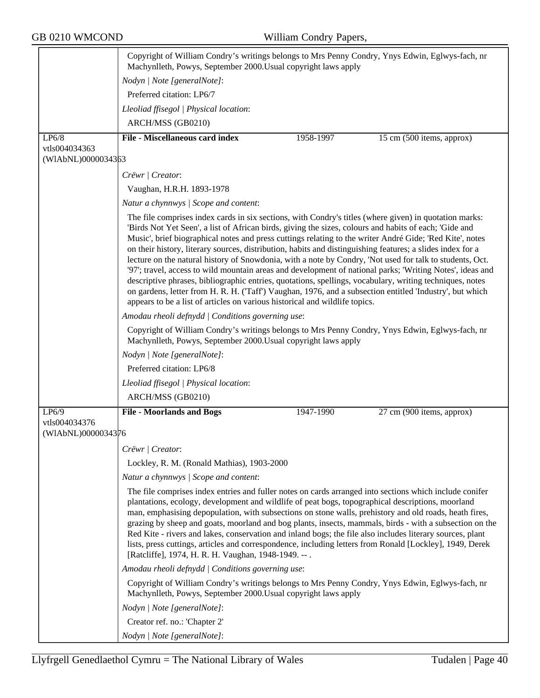|                                     | Copyright of William Condry's writings belongs to Mrs Penny Condry, Ynys Edwin, Eglwys-fach, nr<br>Machynlleth, Powys, September 2000. Usual copyright laws apply                                                                                                                                                                                                                                                                                                                                                                                                                                                                                                                                                                                                                                                                                                                                                                                                          |           |                           |
|-------------------------------------|----------------------------------------------------------------------------------------------------------------------------------------------------------------------------------------------------------------------------------------------------------------------------------------------------------------------------------------------------------------------------------------------------------------------------------------------------------------------------------------------------------------------------------------------------------------------------------------------------------------------------------------------------------------------------------------------------------------------------------------------------------------------------------------------------------------------------------------------------------------------------------------------------------------------------------------------------------------------------|-----------|---------------------------|
|                                     | Nodyn   Note [generalNote]:                                                                                                                                                                                                                                                                                                                                                                                                                                                                                                                                                                                                                                                                                                                                                                                                                                                                                                                                                |           |                           |
|                                     | Preferred citation: LP6/7                                                                                                                                                                                                                                                                                                                                                                                                                                                                                                                                                                                                                                                                                                                                                                                                                                                                                                                                                  |           |                           |
|                                     | Lleoliad ffisegol   Physical location:                                                                                                                                                                                                                                                                                                                                                                                                                                                                                                                                                                                                                                                                                                                                                                                                                                                                                                                                     |           |                           |
|                                     | ARCH/MSS (GB0210)                                                                                                                                                                                                                                                                                                                                                                                                                                                                                                                                                                                                                                                                                                                                                                                                                                                                                                                                                          |           |                           |
| LP6/8                               | <b>File - Miscellaneous card index</b>                                                                                                                                                                                                                                                                                                                                                                                                                                                                                                                                                                                                                                                                                                                                                                                                                                                                                                                                     | 1958-1997 | 15 cm (500 items, approx) |
| vtls004034363<br>(WIAbNL)0000034363 |                                                                                                                                                                                                                                                                                                                                                                                                                                                                                                                                                                                                                                                                                                                                                                                                                                                                                                                                                                            |           |                           |
|                                     | Crëwr   Creator:                                                                                                                                                                                                                                                                                                                                                                                                                                                                                                                                                                                                                                                                                                                                                                                                                                                                                                                                                           |           |                           |
|                                     | Vaughan, H.R.H. 1893-1978                                                                                                                                                                                                                                                                                                                                                                                                                                                                                                                                                                                                                                                                                                                                                                                                                                                                                                                                                  |           |                           |
|                                     | Natur a chynnwys / Scope and content:                                                                                                                                                                                                                                                                                                                                                                                                                                                                                                                                                                                                                                                                                                                                                                                                                                                                                                                                      |           |                           |
|                                     | The file comprises index cards in six sections, with Condry's titles (where given) in quotation marks:<br>'Birds Not Yet Seen', a list of African birds, giving the sizes, colours and habits of each; 'Gide and<br>Music', brief biographical notes and press cuttings relating to the writer André Gide; 'Red Kite', notes<br>on their history, literary sources, distribution, habits and distinguishing features; a slides index for a<br>lecture on the natural history of Snowdonia, with a note by Condry, 'Not used for talk to students, Oct.<br>'97'; travel, access to wild mountain areas and development of national parks; 'Writing Notes', ideas and<br>descriptive phrases, bibliographic entries, quotations, spellings, vocabulary, writing techniques, notes<br>on gardens, letter from H. R. H. ('Taff') Vaughan, 1976, and a subsection entitled 'Industry', but which<br>appears to be a list of articles on various historical and wildlife topics. |           |                           |
|                                     | Amodau rheoli defnydd   Conditions governing use:                                                                                                                                                                                                                                                                                                                                                                                                                                                                                                                                                                                                                                                                                                                                                                                                                                                                                                                          |           |                           |
|                                     | Copyright of William Condry's writings belongs to Mrs Penny Condry, Ynys Edwin, Eglwys-fach, nr<br>Machynlleth, Powys, September 2000. Usual copyright laws apply                                                                                                                                                                                                                                                                                                                                                                                                                                                                                                                                                                                                                                                                                                                                                                                                          |           |                           |
|                                     | Nodyn   Note [generalNote]:                                                                                                                                                                                                                                                                                                                                                                                                                                                                                                                                                                                                                                                                                                                                                                                                                                                                                                                                                |           |                           |
|                                     | Preferred citation: LP6/8                                                                                                                                                                                                                                                                                                                                                                                                                                                                                                                                                                                                                                                                                                                                                                                                                                                                                                                                                  |           |                           |
|                                     | Lleoliad ffisegol   Physical location:                                                                                                                                                                                                                                                                                                                                                                                                                                                                                                                                                                                                                                                                                                                                                                                                                                                                                                                                     |           |                           |
|                                     | ARCH/MSS (GB0210)                                                                                                                                                                                                                                                                                                                                                                                                                                                                                                                                                                                                                                                                                                                                                                                                                                                                                                                                                          |           |                           |
| LP6/9                               | <b>File - Moorlands and Bogs</b>                                                                                                                                                                                                                                                                                                                                                                                                                                                                                                                                                                                                                                                                                                                                                                                                                                                                                                                                           | 1947-1990 | 27 cm (900 items, approx) |
| vtls004034376<br>(WIAbNL)0000034376 |                                                                                                                                                                                                                                                                                                                                                                                                                                                                                                                                                                                                                                                                                                                                                                                                                                                                                                                                                                            |           |                           |
|                                     | Crëwr   Creator:                                                                                                                                                                                                                                                                                                                                                                                                                                                                                                                                                                                                                                                                                                                                                                                                                                                                                                                                                           |           |                           |
|                                     | Lockley, R. M. (Ronald Mathias), 1903-2000                                                                                                                                                                                                                                                                                                                                                                                                                                                                                                                                                                                                                                                                                                                                                                                                                                                                                                                                 |           |                           |
|                                     | Natur a chynnwys / Scope and content:                                                                                                                                                                                                                                                                                                                                                                                                                                                                                                                                                                                                                                                                                                                                                                                                                                                                                                                                      |           |                           |
|                                     | The file comprises index entries and fuller notes on cards arranged into sections which include conifer<br>plantations, ecology, development and wildlife of peat bogs, topographical descriptions, moorland<br>man, emphasising depopulation, with subsections on stone walls, prehistory and old roads, heath fires,<br>grazing by sheep and goats, moorland and bog plants, insects, mammals, birds - with a subsection on the<br>Red Kite - rivers and lakes, conservation and inland bogs; the file also includes literary sources, plant<br>lists, press cuttings, articles and correspondence, including letters from Ronald [Lockley], 1949, Derek<br>[Ratcliffe], 1974, H. R. H. Vaughan, 1948-1949. -- .                                                                                                                                                                                                                                                         |           |                           |
|                                     | Amodau rheoli defnydd   Conditions governing use:                                                                                                                                                                                                                                                                                                                                                                                                                                                                                                                                                                                                                                                                                                                                                                                                                                                                                                                          |           |                           |
|                                     | Copyright of William Condry's writings belongs to Mrs Penny Condry, Ynys Edwin, Eglwys-fach, nr<br>Machynlleth, Powys, September 2000. Usual copyright laws apply                                                                                                                                                                                                                                                                                                                                                                                                                                                                                                                                                                                                                                                                                                                                                                                                          |           |                           |
|                                     | Nodyn   Note [generalNote]:                                                                                                                                                                                                                                                                                                                                                                                                                                                                                                                                                                                                                                                                                                                                                                                                                                                                                                                                                |           |                           |
|                                     | Creator ref. no.: 'Chapter 2'                                                                                                                                                                                                                                                                                                                                                                                                                                                                                                                                                                                                                                                                                                                                                                                                                                                                                                                                              |           |                           |
|                                     | Nodyn   Note [generalNote]:                                                                                                                                                                                                                                                                                                                                                                                                                                                                                                                                                                                                                                                                                                                                                                                                                                                                                                                                                |           |                           |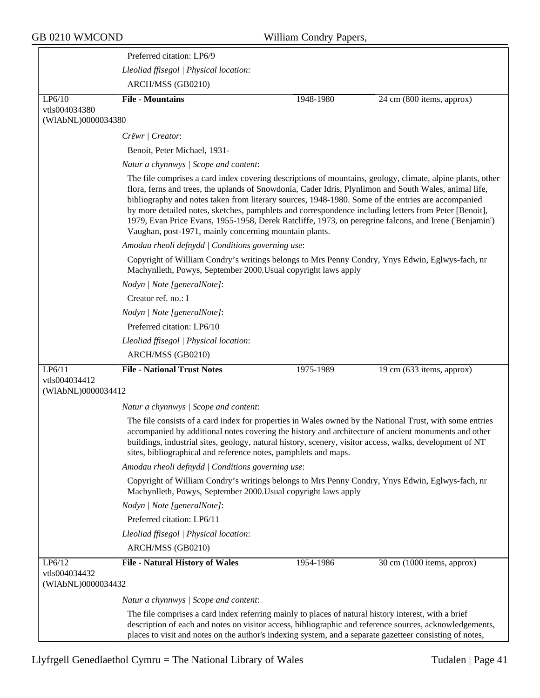|                                               | Preferred citation: LP6/9                                                                                                                                                                                                                                                                                                                                                                                                                                                                                                                                                                               |           |                            |
|-----------------------------------------------|---------------------------------------------------------------------------------------------------------------------------------------------------------------------------------------------------------------------------------------------------------------------------------------------------------------------------------------------------------------------------------------------------------------------------------------------------------------------------------------------------------------------------------------------------------------------------------------------------------|-----------|----------------------------|
|                                               | Lleoliad ffisegol   Physical location:                                                                                                                                                                                                                                                                                                                                                                                                                                                                                                                                                                  |           |                            |
|                                               | ARCH/MSS (GB0210)                                                                                                                                                                                                                                                                                                                                                                                                                                                                                                                                                                                       |           |                            |
| LP6/10                                        | <b>File - Mountains</b>                                                                                                                                                                                                                                                                                                                                                                                                                                                                                                                                                                                 | 1948-1980 | 24 cm (800 items, approx)  |
| vtls004034380<br>(WIAbNL)0000034380           |                                                                                                                                                                                                                                                                                                                                                                                                                                                                                                                                                                                                         |           |                            |
|                                               | Crëwr   Creator:                                                                                                                                                                                                                                                                                                                                                                                                                                                                                                                                                                                        |           |                            |
|                                               | Benoit, Peter Michael, 1931-                                                                                                                                                                                                                                                                                                                                                                                                                                                                                                                                                                            |           |                            |
|                                               | Natur a chynnwys / Scope and content:                                                                                                                                                                                                                                                                                                                                                                                                                                                                                                                                                                   |           |                            |
|                                               | The file comprises a card index covering descriptions of mountains, geology, climate, alpine plants, other<br>flora, ferns and trees, the uplands of Snowdonia, Cader Idris, Plynlimon and South Wales, animal life,<br>bibliography and notes taken from literary sources, 1948-1980. Some of the entries are accompanied<br>by more detailed notes, sketches, pamphlets and correspondence including letters from Peter [Benoit],<br>1979, Evan Price Evans, 1955-1958, Derek Ratcliffe, 1973, on peregrine falcons, and Irene ('Benjamin')<br>Vaughan, post-1971, mainly concerning mountain plants. |           |                            |
|                                               | Amodau rheoli defnydd   Conditions governing use:                                                                                                                                                                                                                                                                                                                                                                                                                                                                                                                                                       |           |                            |
|                                               | Copyright of William Condry's writings belongs to Mrs Penny Condry, Ynys Edwin, Eglwys-fach, nr<br>Machynlleth, Powys, September 2000. Usual copyright laws apply                                                                                                                                                                                                                                                                                                                                                                                                                                       |           |                            |
|                                               | Nodyn   Note [generalNote]:                                                                                                                                                                                                                                                                                                                                                                                                                                                                                                                                                                             |           |                            |
|                                               | Creator ref. no.: I                                                                                                                                                                                                                                                                                                                                                                                                                                                                                                                                                                                     |           |                            |
|                                               | Nodyn   Note [generalNote]:                                                                                                                                                                                                                                                                                                                                                                                                                                                                                                                                                                             |           |                            |
|                                               | Preferred citation: LP6/10                                                                                                                                                                                                                                                                                                                                                                                                                                                                                                                                                                              |           |                            |
|                                               | Lleoliad ffisegol   Physical location:                                                                                                                                                                                                                                                                                                                                                                                                                                                                                                                                                                  |           |                            |
|                                               | ARCH/MSS (GB0210)                                                                                                                                                                                                                                                                                                                                                                                                                                                                                                                                                                                       |           |                            |
| LP6/11                                        | <b>File - National Trust Notes</b>                                                                                                                                                                                                                                                                                                                                                                                                                                                                                                                                                                      | 1975-1989 | 19 cm (633 items, approx)  |
| vtls004034412<br>(WIAbNL)00000344 12          |                                                                                                                                                                                                                                                                                                                                                                                                                                                                                                                                                                                                         |           |                            |
|                                               | Natur a chynnwys / Scope and content:                                                                                                                                                                                                                                                                                                                                                                                                                                                                                                                                                                   |           |                            |
|                                               | The file consists of a card index for properties in Wales owned by the National Trust, with some entries<br>accompanied by additional notes covering the history and architecture of ancient monuments and other<br>buildings, industrial sites, geology, natural history, scenery, visitor access, walks, development of NT<br>sites, bibliographical and reference notes, pamphlets and maps.                                                                                                                                                                                                         |           |                            |
|                                               | Amodau rheoli defnydd   Conditions governing use:                                                                                                                                                                                                                                                                                                                                                                                                                                                                                                                                                       |           |                            |
|                                               | Copyright of William Condry's writings belongs to Mrs Penny Condry, Ynys Edwin, Eglwys-fach, nr<br>Machynlleth, Powys, September 2000. Usual copyright laws apply                                                                                                                                                                                                                                                                                                                                                                                                                                       |           |                            |
|                                               | Nodyn   Note [generalNote]:                                                                                                                                                                                                                                                                                                                                                                                                                                                                                                                                                                             |           |                            |
|                                               | Preferred citation: LP6/11                                                                                                                                                                                                                                                                                                                                                                                                                                                                                                                                                                              |           |                            |
|                                               | Lleoliad ffisegol   Physical location:                                                                                                                                                                                                                                                                                                                                                                                                                                                                                                                                                                  |           |                            |
|                                               | ARCH/MSS (GB0210)                                                                                                                                                                                                                                                                                                                                                                                                                                                                                                                                                                                       |           |                            |
| LP6/12<br>vtls004034432<br>(WIAbNL)0000034482 | <b>File - Natural History of Wales</b>                                                                                                                                                                                                                                                                                                                                                                                                                                                                                                                                                                  | 1954-1986 | 30 cm (1000 items, approx) |
|                                               | Natur a chynnwys / Scope and content:                                                                                                                                                                                                                                                                                                                                                                                                                                                                                                                                                                   |           |                            |
|                                               | The file comprises a card index referring mainly to places of natural history interest, with a brief                                                                                                                                                                                                                                                                                                                                                                                                                                                                                                    |           |                            |
|                                               | description of each and notes on visitor access, bibliographic and reference sources, acknowledgements,<br>places to visit and notes on the author's indexing system, and a separate gazetteer consisting of notes,                                                                                                                                                                                                                                                                                                                                                                                     |           |                            |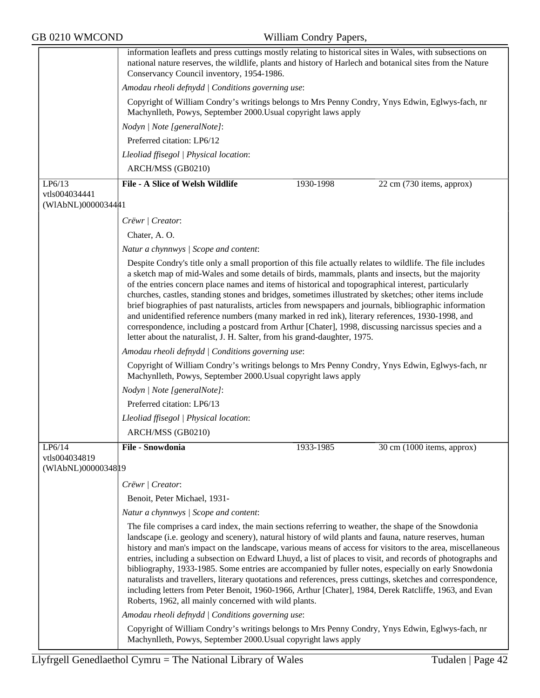|                                      | information leaflets and press cuttings mostly relating to historical sites in Wales, with subsections on<br>national nature reserves, the wildlife, plants and history of Harlech and botanical sites from the Nature<br>Conservancy Council inventory, 1954-1986.                                                                                                                                                                                                                                                                                                                                                                                                                                                                                                                                                                   |  |  |
|--------------------------------------|---------------------------------------------------------------------------------------------------------------------------------------------------------------------------------------------------------------------------------------------------------------------------------------------------------------------------------------------------------------------------------------------------------------------------------------------------------------------------------------------------------------------------------------------------------------------------------------------------------------------------------------------------------------------------------------------------------------------------------------------------------------------------------------------------------------------------------------|--|--|
|                                      | Amodau rheoli defnydd   Conditions governing use:                                                                                                                                                                                                                                                                                                                                                                                                                                                                                                                                                                                                                                                                                                                                                                                     |  |  |
|                                      | Copyright of William Condry's writings belongs to Mrs Penny Condry, Ynys Edwin, Eglwys-fach, nr<br>Machynlleth, Powys, September 2000. Usual copyright laws apply                                                                                                                                                                                                                                                                                                                                                                                                                                                                                                                                                                                                                                                                     |  |  |
|                                      | Nodyn   Note [generalNote]:                                                                                                                                                                                                                                                                                                                                                                                                                                                                                                                                                                                                                                                                                                                                                                                                           |  |  |
|                                      | Preferred citation: LP6/12                                                                                                                                                                                                                                                                                                                                                                                                                                                                                                                                                                                                                                                                                                                                                                                                            |  |  |
|                                      | Lleoliad ffisegol   Physical location:                                                                                                                                                                                                                                                                                                                                                                                                                                                                                                                                                                                                                                                                                                                                                                                                |  |  |
|                                      | ARCH/MSS (GB0210)                                                                                                                                                                                                                                                                                                                                                                                                                                                                                                                                                                                                                                                                                                                                                                                                                     |  |  |
| LP6/13                               | <b>File - A Slice of Welsh Wildlife</b><br>1930-1998<br>22 cm (730 items, approx)                                                                                                                                                                                                                                                                                                                                                                                                                                                                                                                                                                                                                                                                                                                                                     |  |  |
| vtls004034441<br>(WIAbNL)0000034441  |                                                                                                                                                                                                                                                                                                                                                                                                                                                                                                                                                                                                                                                                                                                                                                                                                                       |  |  |
|                                      | Crëwr   Creator:                                                                                                                                                                                                                                                                                                                                                                                                                                                                                                                                                                                                                                                                                                                                                                                                                      |  |  |
|                                      | Chater, A.O.                                                                                                                                                                                                                                                                                                                                                                                                                                                                                                                                                                                                                                                                                                                                                                                                                          |  |  |
|                                      | Natur a chynnwys / Scope and content:                                                                                                                                                                                                                                                                                                                                                                                                                                                                                                                                                                                                                                                                                                                                                                                                 |  |  |
|                                      | Despite Condry's title only a small proportion of this file actually relates to wildlife. The file includes<br>a sketch map of mid-Wales and some details of birds, mammals, plants and insects, but the majority<br>of the entries concern place names and items of historical and topographical interest, particularly<br>churches, castles, standing stones and bridges, sometimes illustrated by sketches; other items include<br>brief biographies of past naturalists, articles from newspapers and journals, bibliographic information<br>and unidentified reference numbers (many marked in red ink), literary references, 1930-1998, and<br>correspondence, including a postcard from Arthur [Chater], 1998, discussing narcissus species and a<br>letter about the naturalist, J. H. Salter, from his grand-daughter, 1975. |  |  |
|                                      | Amodau rheoli defnydd   Conditions governing use:                                                                                                                                                                                                                                                                                                                                                                                                                                                                                                                                                                                                                                                                                                                                                                                     |  |  |
|                                      | Copyright of William Condry's writings belongs to Mrs Penny Condry, Ynys Edwin, Eglwys-fach, nr<br>Machynlleth, Powys, September 2000. Usual copyright laws apply                                                                                                                                                                                                                                                                                                                                                                                                                                                                                                                                                                                                                                                                     |  |  |
|                                      | Nodyn   Note [generalNote]:                                                                                                                                                                                                                                                                                                                                                                                                                                                                                                                                                                                                                                                                                                                                                                                                           |  |  |
|                                      | Preferred citation: LP6/13                                                                                                                                                                                                                                                                                                                                                                                                                                                                                                                                                                                                                                                                                                                                                                                                            |  |  |
|                                      | Lleoliad ffisegol   Physical location:                                                                                                                                                                                                                                                                                                                                                                                                                                                                                                                                                                                                                                                                                                                                                                                                |  |  |
|                                      | ARCH/MSS (GB0210)                                                                                                                                                                                                                                                                                                                                                                                                                                                                                                                                                                                                                                                                                                                                                                                                                     |  |  |
| LP6/14                               | File - Snowdonia<br>30 cm (1000 items, approx)<br>1933-1985                                                                                                                                                                                                                                                                                                                                                                                                                                                                                                                                                                                                                                                                                                                                                                           |  |  |
| vtls004034819<br>(WIAbNL)00000348 19 |                                                                                                                                                                                                                                                                                                                                                                                                                                                                                                                                                                                                                                                                                                                                                                                                                                       |  |  |
|                                      | Crëwr   Creator:                                                                                                                                                                                                                                                                                                                                                                                                                                                                                                                                                                                                                                                                                                                                                                                                                      |  |  |
|                                      | Benoit, Peter Michael, 1931-                                                                                                                                                                                                                                                                                                                                                                                                                                                                                                                                                                                                                                                                                                                                                                                                          |  |  |
|                                      | Natur a chynnwys / Scope and content:                                                                                                                                                                                                                                                                                                                                                                                                                                                                                                                                                                                                                                                                                                                                                                                                 |  |  |
|                                      | The file comprises a card index, the main sections referring to weather, the shape of the Snowdonia<br>landscape (i.e. geology and scenery), natural history of wild plants and fauna, nature reserves, human<br>history and man's impact on the landscape, various means of access for visitors to the area, miscellaneous<br>entries, including a subsection on Edward Lhuyd, a list of places to visit, and records of photographs and<br>bibliography, 1933-1985. Some entries are accompanied by fuller notes, especially on early Snowdonia<br>naturalists and travellers, literary quotations and references, press cuttings, sketches and correspondence,<br>including letters from Peter Benoit, 1960-1966, Arthur [Chater], 1984, Derek Ratcliffe, 1963, and Evan<br>Roberts, 1962, all mainly concerned with wild plants.  |  |  |
|                                      | Amodau rheoli defnydd   Conditions governing use:                                                                                                                                                                                                                                                                                                                                                                                                                                                                                                                                                                                                                                                                                                                                                                                     |  |  |
|                                      | Copyright of William Condry's writings belongs to Mrs Penny Condry, Ynys Edwin, Eglwys-fach, nr<br>Machynlleth, Powys, September 2000. Usual copyright laws apply                                                                                                                                                                                                                                                                                                                                                                                                                                                                                                                                                                                                                                                                     |  |  |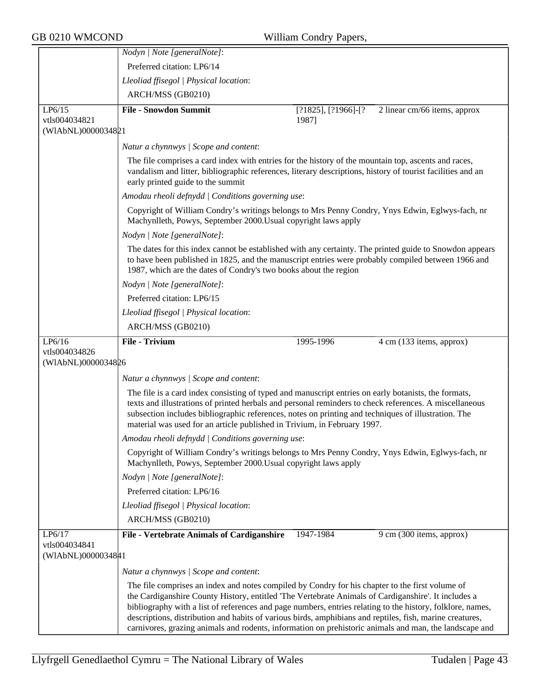|                                     | Nodyn   Note [generalNote]:                                                                                                                                                                                                                                                                                                                                                                                                                                                                                                                |                                    |                              |
|-------------------------------------|--------------------------------------------------------------------------------------------------------------------------------------------------------------------------------------------------------------------------------------------------------------------------------------------------------------------------------------------------------------------------------------------------------------------------------------------------------------------------------------------------------------------------------------------|------------------------------------|------------------------------|
|                                     | Preferred citation: LP6/14                                                                                                                                                                                                                                                                                                                                                                                                                                                                                                                 |                                    |                              |
|                                     | Lleoliad ffisegol   Physical location:                                                                                                                                                                                                                                                                                                                                                                                                                                                                                                     |                                    |                              |
|                                     | ARCH/MSS (GB0210)                                                                                                                                                                                                                                                                                                                                                                                                                                                                                                                          |                                    |                              |
| LP6/15<br>vtls004034821             | <b>File - Snowdon Summit</b>                                                                                                                                                                                                                                                                                                                                                                                                                                                                                                               | $[?1825]$ , $[?1966]$ -[?<br>1987] | 2 linear cm/66 items, approx |
| (WIAbNL)0000034821                  |                                                                                                                                                                                                                                                                                                                                                                                                                                                                                                                                            |                                    |                              |
|                                     | Natur a chynnwys / Scope and content:                                                                                                                                                                                                                                                                                                                                                                                                                                                                                                      |                                    |                              |
|                                     | The file comprises a card index with entries for the history of the mountain top, ascents and races,<br>vandalism and litter, bibliographic references, literary descriptions, history of tourist facilities and an<br>early printed guide to the summit                                                                                                                                                                                                                                                                                   |                                    |                              |
|                                     | Amodau rheoli defnydd   Conditions governing use:                                                                                                                                                                                                                                                                                                                                                                                                                                                                                          |                                    |                              |
|                                     | Copyright of William Condry's writings belongs to Mrs Penny Condry, Ynys Edwin, Eglwys-fach, nr<br>Machynlleth, Powys, September 2000. Usual copyright laws apply                                                                                                                                                                                                                                                                                                                                                                          |                                    |                              |
|                                     | Nodyn   Note [generalNote]:                                                                                                                                                                                                                                                                                                                                                                                                                                                                                                                |                                    |                              |
|                                     | The dates for this index cannot be established with any certainty. The printed guide to Snowdon appears<br>to have been published in 1825, and the manuscript entries were probably compiled between 1966 and<br>1987, which are the dates of Condry's two books about the region                                                                                                                                                                                                                                                          |                                    |                              |
|                                     | Nodyn   Note [generalNote]:                                                                                                                                                                                                                                                                                                                                                                                                                                                                                                                |                                    |                              |
|                                     | Preferred citation: LP6/15                                                                                                                                                                                                                                                                                                                                                                                                                                                                                                                 |                                    |                              |
|                                     | Lleoliad ffisegol   Physical location:                                                                                                                                                                                                                                                                                                                                                                                                                                                                                                     |                                    |                              |
|                                     | ARCH/MSS (GB0210)                                                                                                                                                                                                                                                                                                                                                                                                                                                                                                                          |                                    |                              |
| LP6/16                              | <b>File - Trivium</b>                                                                                                                                                                                                                                                                                                                                                                                                                                                                                                                      | 1995-1996                          | 4 cm (133 items, approx)     |
| vtls004034826<br>(WIAbNL)0000034826 |                                                                                                                                                                                                                                                                                                                                                                                                                                                                                                                                            |                                    |                              |
|                                     | Natur a chynnwys / Scope and content:                                                                                                                                                                                                                                                                                                                                                                                                                                                                                                      |                                    |                              |
|                                     | The file is a card index consisting of typed and manuscript entries on early botanists, the formats,<br>texts and illustrations of printed herbals and personal reminders to check references. A miscellaneous<br>subsection includes bibliographic references, notes on printing and techniques of illustration. The<br>material was used for an article published in Trivium, in February 1997.                                                                                                                                          |                                    |                              |
|                                     | Amodau rheoli defnydd   Conditions governing use:                                                                                                                                                                                                                                                                                                                                                                                                                                                                                          |                                    |                              |
|                                     | Copyright of William Condry's writings belongs to Mrs Penny Condry, Ynys Edwin, Eglwys-fach, nr<br>Machynlleth, Powys, September 2000. Usual copyright laws apply                                                                                                                                                                                                                                                                                                                                                                          |                                    |                              |
|                                     | Nodyn   Note [generalNote]:                                                                                                                                                                                                                                                                                                                                                                                                                                                                                                                |                                    |                              |
|                                     | Preferred citation: LP6/16                                                                                                                                                                                                                                                                                                                                                                                                                                                                                                                 |                                    |                              |
|                                     | Lleoliad ffisegol   Physical location:                                                                                                                                                                                                                                                                                                                                                                                                                                                                                                     |                                    |                              |
|                                     | ARCH/MSS (GB0210)                                                                                                                                                                                                                                                                                                                                                                                                                                                                                                                          |                                    |                              |
| LP6/17                              | File - Vertebrate Animals of Cardiganshire                                                                                                                                                                                                                                                                                                                                                                                                                                                                                                 | 1947-1984                          | 9 cm (300 items, approx)     |
| vtls004034841<br>(WIAbNL)0000034841 |                                                                                                                                                                                                                                                                                                                                                                                                                                                                                                                                            |                                    |                              |
|                                     |                                                                                                                                                                                                                                                                                                                                                                                                                                                                                                                                            |                                    |                              |
|                                     | Natur a chynnwys / Scope and content:                                                                                                                                                                                                                                                                                                                                                                                                                                                                                                      |                                    |                              |
|                                     | The file comprises an index and notes compiled by Condry for his chapter to the first volume of<br>the Cardiganshire County History, entitled 'The Vertebrate Animals of Cardiganshire'. It includes a<br>bibliography with a list of references and page numbers, entries relating to the history, folklore, names,<br>descriptions, distribution and habits of various birds, amphibians and reptiles, fish, marine creatures,<br>carnivores, grazing animals and rodents, information on prehistoric animals and man, the landscape and |                                    |                              |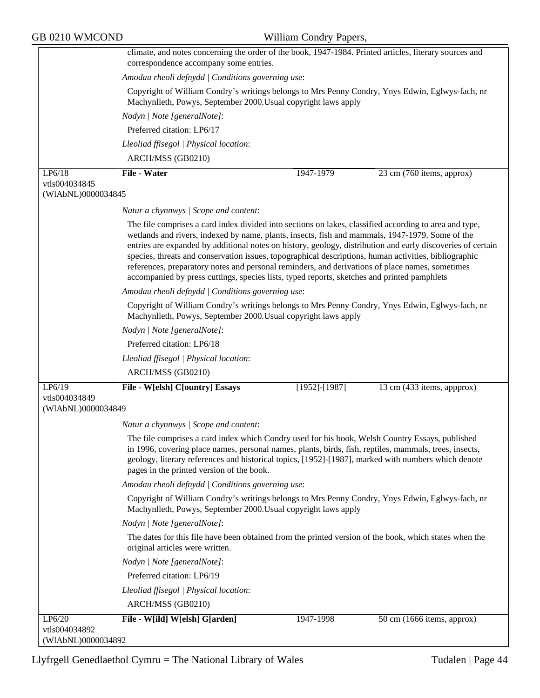|                                     | climate, and notes concerning the order of the book, 1947-1984. Printed articles, literary sources and<br>correspondence accompany some entries.                                                                                                                                                                                                                                                                                                                                                                                                                                                                                    |  |  |  |
|-------------------------------------|-------------------------------------------------------------------------------------------------------------------------------------------------------------------------------------------------------------------------------------------------------------------------------------------------------------------------------------------------------------------------------------------------------------------------------------------------------------------------------------------------------------------------------------------------------------------------------------------------------------------------------------|--|--|--|
|                                     | Amodau rheoli defnydd   Conditions governing use:                                                                                                                                                                                                                                                                                                                                                                                                                                                                                                                                                                                   |  |  |  |
|                                     | Copyright of William Condry's writings belongs to Mrs Penny Condry, Ynys Edwin, Eglwys-fach, nr<br>Machynlleth, Powys, September 2000. Usual copyright laws apply                                                                                                                                                                                                                                                                                                                                                                                                                                                                   |  |  |  |
|                                     | Nodyn   Note [generalNote]:                                                                                                                                                                                                                                                                                                                                                                                                                                                                                                                                                                                                         |  |  |  |
|                                     | Preferred citation: LP6/17                                                                                                                                                                                                                                                                                                                                                                                                                                                                                                                                                                                                          |  |  |  |
|                                     | Lleoliad ffisegol   Physical location:                                                                                                                                                                                                                                                                                                                                                                                                                                                                                                                                                                                              |  |  |  |
|                                     | ARCH/MSS (GB0210)                                                                                                                                                                                                                                                                                                                                                                                                                                                                                                                                                                                                                   |  |  |  |
| LP6/18                              | <b>File - Water</b><br>1947-1979<br>23 cm (760 items, approx)                                                                                                                                                                                                                                                                                                                                                                                                                                                                                                                                                                       |  |  |  |
| vtls004034845                       |                                                                                                                                                                                                                                                                                                                                                                                                                                                                                                                                                                                                                                     |  |  |  |
| (WIAbNL)0000034845                  |                                                                                                                                                                                                                                                                                                                                                                                                                                                                                                                                                                                                                                     |  |  |  |
|                                     | Natur a chynnwys / Scope and content:                                                                                                                                                                                                                                                                                                                                                                                                                                                                                                                                                                                               |  |  |  |
|                                     | The file comprises a card index divided into sections on lakes, classified according to area and type,<br>wetlands and rivers, indexed by name, plants, insects, fish and mammals, 1947-1979. Some of the<br>entries are expanded by additional notes on history, geology, distribution and early discoveries of certain<br>species, threats and conservation issues, topographical descriptions, human activities, bibliographic<br>references, preparatory notes and personal reminders, and derivations of place names, sometimes<br>accompanied by press cuttings, species lists, typed reports, sketches and printed pamphlets |  |  |  |
|                                     | Amodau rheoli defnydd   Conditions governing use:                                                                                                                                                                                                                                                                                                                                                                                                                                                                                                                                                                                   |  |  |  |
|                                     | Copyright of William Condry's writings belongs to Mrs Penny Condry, Ynys Edwin, Eglwys-fach, nr<br>Machynlleth, Powys, September 2000. Usual copyright laws apply                                                                                                                                                                                                                                                                                                                                                                                                                                                                   |  |  |  |
|                                     | Nodyn   Note [generalNote]:                                                                                                                                                                                                                                                                                                                                                                                                                                                                                                                                                                                                         |  |  |  |
|                                     | Preferred citation: LP6/18                                                                                                                                                                                                                                                                                                                                                                                                                                                                                                                                                                                                          |  |  |  |
|                                     | Lleoliad ffisegol   Physical location:                                                                                                                                                                                                                                                                                                                                                                                                                                                                                                                                                                                              |  |  |  |
|                                     | ARCH/MSS (GB0210)                                                                                                                                                                                                                                                                                                                                                                                                                                                                                                                                                                                                                   |  |  |  |
| LP6/19                              | File - W[elsh] C[ountry] Essays<br>$[1952]$ - $[1987]$<br>13 cm (433 items, appprox)                                                                                                                                                                                                                                                                                                                                                                                                                                                                                                                                                |  |  |  |
| vtls004034849<br>(WIAbNL)0000034849 |                                                                                                                                                                                                                                                                                                                                                                                                                                                                                                                                                                                                                                     |  |  |  |
|                                     | Natur a chynnwys / Scope and content:                                                                                                                                                                                                                                                                                                                                                                                                                                                                                                                                                                                               |  |  |  |
|                                     | The file comprises a card index which Condry used for his book, Welsh Country Essays, published<br>in 1996, covering place names, personal names, plants, birds, fish, reptiles, mammals, trees, insects,<br>geology, literary references and historical topics, [1952]-[1987], marked with numbers which denote<br>pages in the printed version of the book.                                                                                                                                                                                                                                                                       |  |  |  |
|                                     | Amodau rheoli defnydd   Conditions governing use:                                                                                                                                                                                                                                                                                                                                                                                                                                                                                                                                                                                   |  |  |  |
|                                     | Copyright of William Condry's writings belongs to Mrs Penny Condry, Ynys Edwin, Eglwys-fach, nr<br>Machynlleth, Powys, September 2000. Usual copyright laws apply                                                                                                                                                                                                                                                                                                                                                                                                                                                                   |  |  |  |
|                                     | Nodyn   Note [generalNote]:                                                                                                                                                                                                                                                                                                                                                                                                                                                                                                                                                                                                         |  |  |  |
|                                     | The dates for this file have been obtained from the printed version of the book, which states when the<br>original articles were written.                                                                                                                                                                                                                                                                                                                                                                                                                                                                                           |  |  |  |
|                                     | Nodyn   Note [generalNote]:                                                                                                                                                                                                                                                                                                                                                                                                                                                                                                                                                                                                         |  |  |  |
|                                     | Preferred citation: LP6/19                                                                                                                                                                                                                                                                                                                                                                                                                                                                                                                                                                                                          |  |  |  |
|                                     | Lleoliad ffisegol   Physical location:                                                                                                                                                                                                                                                                                                                                                                                                                                                                                                                                                                                              |  |  |  |
|                                     | ARCH/MSS (GB0210)                                                                                                                                                                                                                                                                                                                                                                                                                                                                                                                                                                                                                   |  |  |  |
| LP6/20                              | $50 \text{ cm}$ (1666 items, approx)<br>File - W[ild] W[elsh] G[arden]<br>1947-1998                                                                                                                                                                                                                                                                                                                                                                                                                                                                                                                                                 |  |  |  |
| vtls004034892                       |                                                                                                                                                                                                                                                                                                                                                                                                                                                                                                                                                                                                                                     |  |  |  |
| (WlAbNL)0000034892                  |                                                                                                                                                                                                                                                                                                                                                                                                                                                                                                                                                                                                                                     |  |  |  |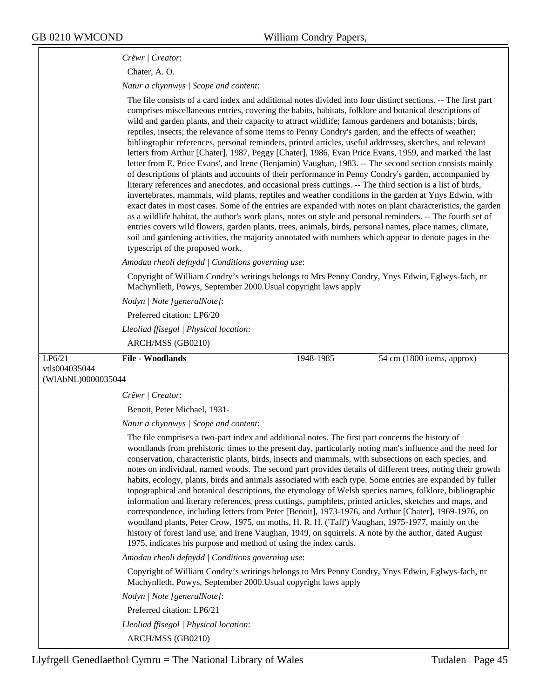|                    | Crëwr   Creator:                                                                                                                                                                                                                                                                                                                                                                                                                                                                                                                                                                                                                                                                                                                                                                                                                                                                                                                                                                                                                                                                                                                                                                                                                                                                                                                                                                                                                                                                                                                                                                                  |
|--------------------|---------------------------------------------------------------------------------------------------------------------------------------------------------------------------------------------------------------------------------------------------------------------------------------------------------------------------------------------------------------------------------------------------------------------------------------------------------------------------------------------------------------------------------------------------------------------------------------------------------------------------------------------------------------------------------------------------------------------------------------------------------------------------------------------------------------------------------------------------------------------------------------------------------------------------------------------------------------------------------------------------------------------------------------------------------------------------------------------------------------------------------------------------------------------------------------------------------------------------------------------------------------------------------------------------------------------------------------------------------------------------------------------------------------------------------------------------------------------------------------------------------------------------------------------------------------------------------------------------|
|                    | Chater, A.O.                                                                                                                                                                                                                                                                                                                                                                                                                                                                                                                                                                                                                                                                                                                                                                                                                                                                                                                                                                                                                                                                                                                                                                                                                                                                                                                                                                                                                                                                                                                                                                                      |
|                    | Natur a chynnwys / Scope and content:                                                                                                                                                                                                                                                                                                                                                                                                                                                                                                                                                                                                                                                                                                                                                                                                                                                                                                                                                                                                                                                                                                                                                                                                                                                                                                                                                                                                                                                                                                                                                             |
|                    | The file consists of a card index and additional notes divided into four distinct sections. -- The first part<br>comprises miscellaneous entries, covering the habits, habitats, folklore and botanical descriptions of<br>wild and garden plants, and their capacity to attract wildlife; famous gardeners and botanists; birds,<br>reptiles, insects; the relevance of some items to Penny Condry's garden, and the effects of weather;<br>bibliographic references, personal reminders, printed articles, useful addresses, sketches, and relevant<br>letters from Arthur [Chater], 1987, Peggy [Chater], 1986, Evan Price Evans, 1959, and marked 'the last<br>letter from E. Price Evans', and Irene (Benjamin) Vaughan, 1983. -- The second section consists mainly<br>of descriptions of plants and accounts of their performance in Penny Condry's garden, accompanied by<br>literary references and anecdotes, and occasional press cuttings. -- The third section is a list of birds,<br>invertebrates, mammals, wild plants, reptiles and weather conditions in the garden at Ynys Edwin, with<br>exact dates in most cases. Some of the entries are expanded with notes on plant characteristics, the garden<br>as a wildlife habitat, the author's work plans, notes on style and personal reminders. -- The fourth set of<br>entries covers wild flowers, garden plants, trees, animals, birds, personal names, place names, climate,<br>soil and gardening activities, the majority annotated with numbers which appear to denote pages in the<br>typescript of the proposed work. |
|                    | Amodau rheoli defnydd   Conditions governing use:                                                                                                                                                                                                                                                                                                                                                                                                                                                                                                                                                                                                                                                                                                                                                                                                                                                                                                                                                                                                                                                                                                                                                                                                                                                                                                                                                                                                                                                                                                                                                 |
|                    | Copyright of William Condry's writings belongs to Mrs Penny Condry, Ynys Edwin, Eglwys-fach, nr<br>Machynlleth, Powys, September 2000. Usual copyright laws apply                                                                                                                                                                                                                                                                                                                                                                                                                                                                                                                                                                                                                                                                                                                                                                                                                                                                                                                                                                                                                                                                                                                                                                                                                                                                                                                                                                                                                                 |
|                    | Nodyn   Note [generalNote]:                                                                                                                                                                                                                                                                                                                                                                                                                                                                                                                                                                                                                                                                                                                                                                                                                                                                                                                                                                                                                                                                                                                                                                                                                                                                                                                                                                                                                                                                                                                                                                       |
|                    | Preferred citation: LP6/20                                                                                                                                                                                                                                                                                                                                                                                                                                                                                                                                                                                                                                                                                                                                                                                                                                                                                                                                                                                                                                                                                                                                                                                                                                                                                                                                                                                                                                                                                                                                                                        |
|                    | Lleoliad ffisegol   Physical location:                                                                                                                                                                                                                                                                                                                                                                                                                                                                                                                                                                                                                                                                                                                                                                                                                                                                                                                                                                                                                                                                                                                                                                                                                                                                                                                                                                                                                                                                                                                                                            |
|                    | ARCH/MSS (GB0210)                                                                                                                                                                                                                                                                                                                                                                                                                                                                                                                                                                                                                                                                                                                                                                                                                                                                                                                                                                                                                                                                                                                                                                                                                                                                                                                                                                                                                                                                                                                                                                                 |
|                    |                                                                                                                                                                                                                                                                                                                                                                                                                                                                                                                                                                                                                                                                                                                                                                                                                                                                                                                                                                                                                                                                                                                                                                                                                                                                                                                                                                                                                                                                                                                                                                                                   |
| LP6/21             | <b>File - Woodlands</b><br>1948-1985<br>54 cm (1800 items, approx)                                                                                                                                                                                                                                                                                                                                                                                                                                                                                                                                                                                                                                                                                                                                                                                                                                                                                                                                                                                                                                                                                                                                                                                                                                                                                                                                                                                                                                                                                                                                |
| vtls004035044      |                                                                                                                                                                                                                                                                                                                                                                                                                                                                                                                                                                                                                                                                                                                                                                                                                                                                                                                                                                                                                                                                                                                                                                                                                                                                                                                                                                                                                                                                                                                                                                                                   |
| (WIAbNL)0000035044 |                                                                                                                                                                                                                                                                                                                                                                                                                                                                                                                                                                                                                                                                                                                                                                                                                                                                                                                                                                                                                                                                                                                                                                                                                                                                                                                                                                                                                                                                                                                                                                                                   |
|                    | Crëwr   Creator:                                                                                                                                                                                                                                                                                                                                                                                                                                                                                                                                                                                                                                                                                                                                                                                                                                                                                                                                                                                                                                                                                                                                                                                                                                                                                                                                                                                                                                                                                                                                                                                  |
|                    | Benoit, Peter Michael, 1931-                                                                                                                                                                                                                                                                                                                                                                                                                                                                                                                                                                                                                                                                                                                                                                                                                                                                                                                                                                                                                                                                                                                                                                                                                                                                                                                                                                                                                                                                                                                                                                      |
|                    | Natur a chynnwys / Scope and content:                                                                                                                                                                                                                                                                                                                                                                                                                                                                                                                                                                                                                                                                                                                                                                                                                                                                                                                                                                                                                                                                                                                                                                                                                                                                                                                                                                                                                                                                                                                                                             |
|                    | The file comprises a two-part index and additional notes. The first part concerns the history of<br>woodlands from prehistoric times to the present day, particularly noting man's influence and the need for<br>conservation, characteristic plants, birds, insects and mammals, with subsections on each species, and<br>notes on individual, named woods. The second part provides details of different trees, noting their growth<br>habits, ecology, plants, birds and animals associated with each type. Some entries are expanded by fuller<br>topographical and botanical descriptions, the etymology of Welsh species names, folklore, bibliographic<br>information and literary references, press cuttings, pamphlets, printed articles, sketches and maps, and<br>correspondence, including letters from Peter [Benoit], 1973-1976, and Arthur [Chater], 1969-1976, on<br>woodland plants, Peter Crow, 1975, on moths, H. R. H. ('Taff') Vaughan, 1975-1977, mainly on the<br>history of forest land use, and Irene Vaughan, 1949, on squirrels. A note by the author, dated August<br>1975, indicates his purpose and method of using the index cards.                                                                                                                                                                                                                                                                                                                                                                                                                                |
|                    | Amodau rheoli defnydd   Conditions governing use:                                                                                                                                                                                                                                                                                                                                                                                                                                                                                                                                                                                                                                                                                                                                                                                                                                                                                                                                                                                                                                                                                                                                                                                                                                                                                                                                                                                                                                                                                                                                                 |
|                    | Copyright of William Condry's writings belongs to Mrs Penny Condry, Ynys Edwin, Eglwys-fach, nr<br>Machynlleth, Powys, September 2000. Usual copyright laws apply                                                                                                                                                                                                                                                                                                                                                                                                                                                                                                                                                                                                                                                                                                                                                                                                                                                                                                                                                                                                                                                                                                                                                                                                                                                                                                                                                                                                                                 |
|                    | Nodyn   Note [generalNote]:                                                                                                                                                                                                                                                                                                                                                                                                                                                                                                                                                                                                                                                                                                                                                                                                                                                                                                                                                                                                                                                                                                                                                                                                                                                                                                                                                                                                                                                                                                                                                                       |
|                    | Preferred citation: LP6/21                                                                                                                                                                                                                                                                                                                                                                                                                                                                                                                                                                                                                                                                                                                                                                                                                                                                                                                                                                                                                                                                                                                                                                                                                                                                                                                                                                                                                                                                                                                                                                        |
|                    | Lleoliad ffisegol   Physical location:                                                                                                                                                                                                                                                                                                                                                                                                                                                                                                                                                                                                                                                                                                                                                                                                                                                                                                                                                                                                                                                                                                                                                                                                                                                                                                                                                                                                                                                                                                                                                            |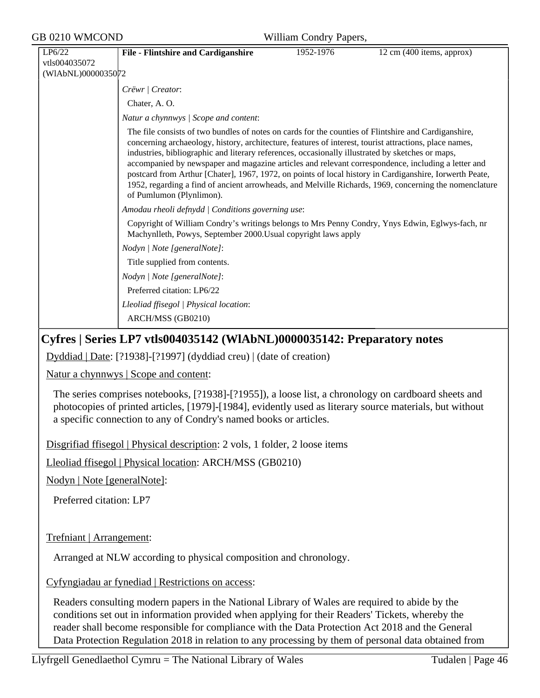| <b>GB 0210 WMCOND</b><br>William Condry Papers, |                         |                                                                                                                                                                                                                                                                                                                                                                                                                                                                                                                                                                                                                                                                           |           |                           |
|-------------------------------------------------|-------------------------|---------------------------------------------------------------------------------------------------------------------------------------------------------------------------------------------------------------------------------------------------------------------------------------------------------------------------------------------------------------------------------------------------------------------------------------------------------------------------------------------------------------------------------------------------------------------------------------------------------------------------------------------------------------------------|-----------|---------------------------|
|                                                 | LP6/22<br>vtls004035072 | File - Flintshire and Cardiganshire                                                                                                                                                                                                                                                                                                                                                                                                                                                                                                                                                                                                                                       | 1952-1976 | 12 cm (400 items, approx) |
|                                                 | (WIAbNL)0000035072      |                                                                                                                                                                                                                                                                                                                                                                                                                                                                                                                                                                                                                                                                           |           |                           |
|                                                 |                         | Crëwr   Creator:                                                                                                                                                                                                                                                                                                                                                                                                                                                                                                                                                                                                                                                          |           |                           |
|                                                 |                         | Chater, A. O.                                                                                                                                                                                                                                                                                                                                                                                                                                                                                                                                                                                                                                                             |           |                           |
|                                                 |                         | Natur a chynnwys / Scope and content:                                                                                                                                                                                                                                                                                                                                                                                                                                                                                                                                                                                                                                     |           |                           |
|                                                 |                         | The file consists of two bundles of notes on cards for the counties of Flintshire and Cardiganshire,<br>concerning archaeology, history, architecture, features of interest, tourist attractions, place names,<br>industries, bibliographic and literary references, occasionally illustrated by sketches or maps,<br>accompanied by newspaper and magazine articles and relevant correspondence, including a letter and<br>postcard from Arthur [Chater], 1967, 1972, on points of local history in Cardiganshire, Iorwerth Peate,<br>1952, regarding a find of ancient arrowheads, and Melville Richards, 1969, concerning the nomenclature<br>of Pumlumon (Plynlimon). |           |                           |
|                                                 |                         | Amodau rheoli defnydd   Conditions governing use:                                                                                                                                                                                                                                                                                                                                                                                                                                                                                                                                                                                                                         |           |                           |
|                                                 |                         | Copyright of William Condry's writings belongs to Mrs Penny Condry, Ynys Edwin, Eglwys-fach, nr<br>Machynlleth, Powys, September 2000. Usual copyright laws apply                                                                                                                                                                                                                                                                                                                                                                                                                                                                                                         |           |                           |
|                                                 |                         | Nodyn   Note [generalNote]:                                                                                                                                                                                                                                                                                                                                                                                                                                                                                                                                                                                                                                               |           |                           |
|                                                 |                         | Title supplied from contents.                                                                                                                                                                                                                                                                                                                                                                                                                                                                                                                                                                                                                                             |           |                           |
|                                                 |                         | Nodyn   Note [generalNote]:                                                                                                                                                                                                                                                                                                                                                                                                                                                                                                                                                                                                                                               |           |                           |
|                                                 |                         | Preferred citation: LP6/22                                                                                                                                                                                                                                                                                                                                                                                                                                                                                                                                                                                                                                                |           |                           |
|                                                 |                         | Lleoliad ffisegol   Physical location:                                                                                                                                                                                                                                                                                                                                                                                                                                                                                                                                                                                                                                    |           |                           |
|                                                 |                         | ARCH/MSS (GB0210)                                                                                                                                                                                                                                                                                                                                                                                                                                                                                                                                                                                                                                                         |           |                           |
|                                                 |                         |                                                                                                                                                                                                                                                                                                                                                                                                                                                                                                                                                                                                                                                                           |           |                           |

## **Cyfres | Series LP7 vtls004035142 (WlAbNL)0000035142: Preparatory notes**

Dyddiad | Date: [?1938]-[?1997] (dyddiad creu) | (date of creation)

Natur a chynnwys | Scope and content:

The series comprises notebooks, [?1938]-[?1955]), a loose list, a chronology on cardboard sheets and photocopies of printed articles, [1979]-[1984], evidently used as literary source materials, but without a specific connection to any of Condry's named books or articles.

Disgrifiad ffisegol | Physical description: 2 vols, 1 folder, 2 loose items

Lleoliad ffisegol | Physical location: ARCH/MSS (GB0210)

Nodyn | Note [generalNote]:

Preferred citation: LP7

Trefniant | Arrangement:

Arranged at NLW according to physical composition and chronology.

Cyfyngiadau ar fynediad | Restrictions on access:

Readers consulting modern papers in the National Library of Wales are required to abide by the conditions set out in information provided when applying for their Readers' Tickets, whereby the reader shall become responsible for compliance with the Data Protection Act 2018 and the General Data Protection Regulation 2018 in relation to any processing by them of personal data obtained from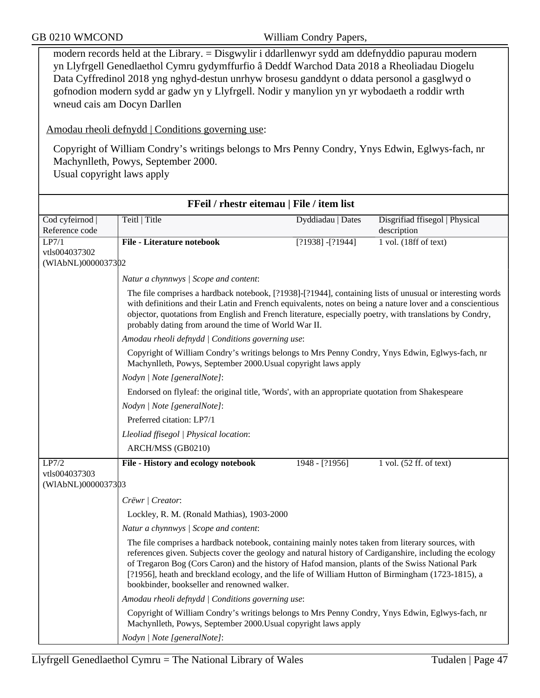modern records held at the Library. = Disgwylir i ddarllenwyr sydd am ddefnyddio papurau modern yn Llyfrgell Genedlaethol Cymru gydymffurfio â Deddf Warchod Data 2018 a Rheoliadau Diogelu Data Cyffredinol 2018 yng nghyd-destun unrhyw brosesu ganddynt o ddata personol a gasglwyd o gofnodion modern sydd ar gadw yn y Llyfrgell. Nodir y manylion yn yr wybodaeth a roddir wrth wneud cais am Docyn Darllen

Amodau rheoli defnydd | Conditions governing use:

Copyright of William Condry's writings belongs to Mrs Penny Condry, Ynys Edwin, Eglwys-fach, nr Machynlleth, Powys, September 2000.

Usual copyright laws apply

| FFeil / rhestr eitemau   File / item list |                                                                                                                                                                                                                                                                                                                                                                                                                                                                       |                     |                                               |
|-------------------------------------------|-----------------------------------------------------------------------------------------------------------------------------------------------------------------------------------------------------------------------------------------------------------------------------------------------------------------------------------------------------------------------------------------------------------------------------------------------------------------------|---------------------|-----------------------------------------------|
| Cod cyfeirnod<br>Reference code           | Teitl   Title                                                                                                                                                                                                                                                                                                                                                                                                                                                         | Dyddiadau   Dates   | Disgrifiad ffisegol   Physical<br>description |
| LP7/1                                     | <b>File - Literature notebook</b>                                                                                                                                                                                                                                                                                                                                                                                                                                     | $[?1938] - [?1944]$ | $1$ vol. (18ff of text)                       |
| vtls004037302<br>(WIAbNL)0000037302       |                                                                                                                                                                                                                                                                                                                                                                                                                                                                       |                     |                                               |
|                                           |                                                                                                                                                                                                                                                                                                                                                                                                                                                                       |                     |                                               |
|                                           | Natur a chynnwys / Scope and content:                                                                                                                                                                                                                                                                                                                                                                                                                                 |                     |                                               |
|                                           | The file comprises a hardback notebook, [?1938]-[?1944], containing lists of unusual or interesting words<br>with definitions and their Latin and French equivalents, notes on being a nature lover and a conscientious<br>objector, quotations from English and French literature, especially poetry, with translations by Condry,<br>probably dating from around the time of World War II.                                                                          |                     |                                               |
|                                           | Amodau rheoli defnydd   Conditions governing use:                                                                                                                                                                                                                                                                                                                                                                                                                     |                     |                                               |
|                                           | Copyright of William Condry's writings belongs to Mrs Penny Condry, Ynys Edwin, Eglwys-fach, nr<br>Machynlleth, Powys, September 2000. Usual copyright laws apply                                                                                                                                                                                                                                                                                                     |                     |                                               |
|                                           | Nodyn   Note [generalNote]:                                                                                                                                                                                                                                                                                                                                                                                                                                           |                     |                                               |
|                                           | Endorsed on flyleaf: the original title, 'Words', with an appropriate quotation from Shakespeare                                                                                                                                                                                                                                                                                                                                                                      |                     |                                               |
|                                           | Nodyn   Note [generalNote]:                                                                                                                                                                                                                                                                                                                                                                                                                                           |                     |                                               |
|                                           | Preferred citation: LP7/1                                                                                                                                                                                                                                                                                                                                                                                                                                             |                     |                                               |
|                                           | Lleoliad ffisegol   Physical location:                                                                                                                                                                                                                                                                                                                                                                                                                                |                     |                                               |
|                                           | ARCH/MSS (GB0210)                                                                                                                                                                                                                                                                                                                                                                                                                                                     |                     |                                               |
| LP7/2                                     | File - History and ecology notebook                                                                                                                                                                                                                                                                                                                                                                                                                                   | $1948 - [?1956]$    | $1$ vol. $(52$ ff. of text)                   |
| vtls004037303<br>(WIAbNL)0000037303       |                                                                                                                                                                                                                                                                                                                                                                                                                                                                       |                     |                                               |
|                                           | Crëwr   Creator:                                                                                                                                                                                                                                                                                                                                                                                                                                                      |                     |                                               |
|                                           | Lockley, R. M. (Ronald Mathias), 1903-2000                                                                                                                                                                                                                                                                                                                                                                                                                            |                     |                                               |
|                                           | Natur a chynnwys / Scope and content:                                                                                                                                                                                                                                                                                                                                                                                                                                 |                     |                                               |
|                                           | The file comprises a hardback notebook, containing mainly notes taken from literary sources, with<br>references given. Subjects cover the geology and natural history of Cardiganshire, including the ecology<br>of Tregaron Bog (Cors Caron) and the history of Hafod mansion, plants of the Swiss National Park<br>[?1956], heath and breckland ecology, and the life of William Hutton of Birmingham (1723-1815), a<br>bookbinder, bookseller and renowned walker. |                     |                                               |
|                                           | Amodau rheoli defnydd   Conditions governing use:                                                                                                                                                                                                                                                                                                                                                                                                                     |                     |                                               |
|                                           | Copyright of William Condry's writings belongs to Mrs Penny Condry, Ynys Edwin, Eglwys-fach, nr<br>Machynlleth, Powys, September 2000. Usual copyright laws apply                                                                                                                                                                                                                                                                                                     |                     |                                               |
|                                           | Nodyn   Note [generalNote]:                                                                                                                                                                                                                                                                                                                                                                                                                                           |                     |                                               |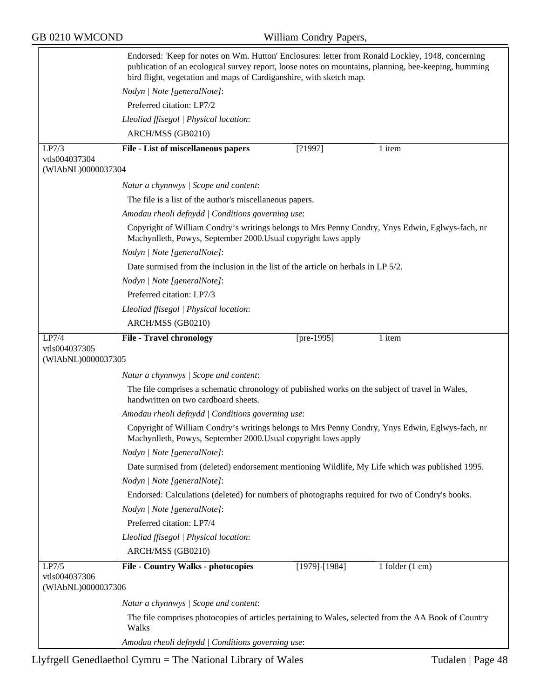|                                     | Endorsed: 'Keep for notes on Wm. Hutton' Enclosures: letter from Ronald Lockley, 1948, concerning<br>publication of an ecological survey report, loose notes on mountains, planning, bee-keeping, humming<br>bird flight, vegetation and maps of Cardiganshire, with sketch map. |
|-------------------------------------|----------------------------------------------------------------------------------------------------------------------------------------------------------------------------------------------------------------------------------------------------------------------------------|
|                                     | Nodyn   Note [generalNote]:                                                                                                                                                                                                                                                      |
|                                     | Preferred citation: LP7/2                                                                                                                                                                                                                                                        |
|                                     | Lleoliad ffisegol   Physical location:                                                                                                                                                                                                                                           |
|                                     | ARCH/MSS (GB0210)                                                                                                                                                                                                                                                                |
| LP7/3                               | File - List of miscellaneous papers<br>[?1997]<br>1 item                                                                                                                                                                                                                         |
| vtls004037304<br>(WIAbNL)0000037304 |                                                                                                                                                                                                                                                                                  |
|                                     | Natur a chynnwys / Scope and content:                                                                                                                                                                                                                                            |
|                                     | The file is a list of the author's miscellaneous papers.                                                                                                                                                                                                                         |
|                                     | Amodau rheoli defnydd   Conditions governing use:                                                                                                                                                                                                                                |
|                                     | Copyright of William Condry's writings belongs to Mrs Penny Condry, Ynys Edwin, Eglwys-fach, nr<br>Machynlleth, Powys, September 2000. Usual copyright laws apply                                                                                                                |
|                                     | Nodyn   Note [generalNote]:                                                                                                                                                                                                                                                      |
|                                     | Date surmised from the inclusion in the list of the article on herbals in LP 5/2.                                                                                                                                                                                                |
|                                     | Nodyn   Note [generalNote]:                                                                                                                                                                                                                                                      |
|                                     | Preferred citation: LP7/3                                                                                                                                                                                                                                                        |
|                                     | Lleoliad ffisegol   Physical location:                                                                                                                                                                                                                                           |
|                                     | ARCH/MSS (GB0210)                                                                                                                                                                                                                                                                |
| LP7/4<br>vtls004037305              | 1 item<br><b>File - Travel chronology</b><br>[pre- $1995$ ]                                                                                                                                                                                                                      |
| (WIAbNL)0000037305                  |                                                                                                                                                                                                                                                                                  |
|                                     | Natur a chynnwys / Scope and content:                                                                                                                                                                                                                                            |
|                                     | The file comprises a schematic chronology of published works on the subject of travel in Wales,<br>handwritten on two cardboard sheets.                                                                                                                                          |
|                                     | Amodau rheoli defnydd   Conditions governing use:                                                                                                                                                                                                                                |
|                                     | Copyright of William Condry's writings belongs to Mrs Penny Condry, Ynys Edwin, Eglwys-fach, nr<br>Machynlleth, Powys, September 2000. Usual copyright laws apply                                                                                                                |
|                                     | Nodyn   Note [generalNote]:                                                                                                                                                                                                                                                      |
|                                     | Date surmised from (deleted) endorsement mentioning Wildlife, My Life which was published 1995.                                                                                                                                                                                  |
|                                     | Nodyn   Note [generalNote]:                                                                                                                                                                                                                                                      |
|                                     | Endorsed: Calculations (deleted) for numbers of photographs required for two of Condry's books.                                                                                                                                                                                  |
|                                     | Nodyn   Note [generalNote]:                                                                                                                                                                                                                                                      |
|                                     | Preferred citation: LP7/4                                                                                                                                                                                                                                                        |
|                                     | Lleoliad ffisegol   Physical location:                                                                                                                                                                                                                                           |
|                                     | ARCH/MSS (GB0210)                                                                                                                                                                                                                                                                |
| LP7/5<br>vtls004037306              | <b>File - Country Walks - photocopies</b><br>$[1979]$ - $[1984]$<br>1 folder $(1 \text{ cm})$                                                                                                                                                                                    |
| (WIAbNL)0000037306                  |                                                                                                                                                                                                                                                                                  |
|                                     | Natur a chynnwys / Scope and content:                                                                                                                                                                                                                                            |
|                                     | The file comprises photocopies of articles pertaining to Wales, selected from the AA Book of Country<br>Walks                                                                                                                                                                    |
|                                     | Amodau rheoli defnydd   Conditions governing use:                                                                                                                                                                                                                                |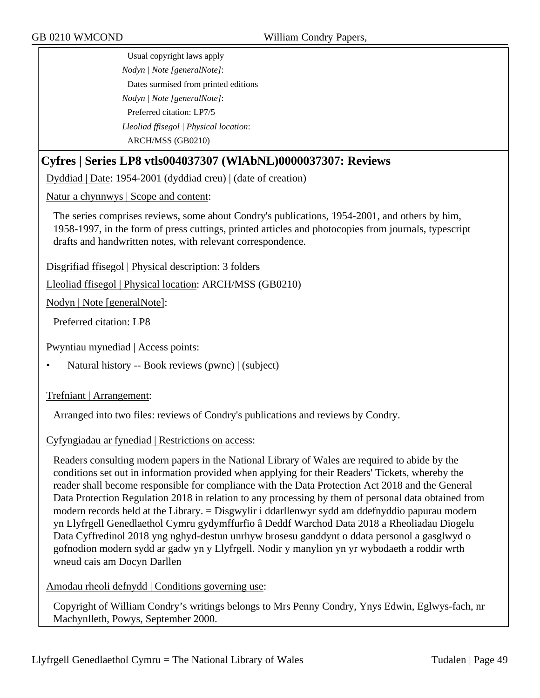Usual copyright laws apply *Nodyn | Note [generalNote]*: Dates surmised from printed editions *Nodyn | Note [generalNote]*: Preferred citation: LP7/5 *Lleoliad ffisegol | Physical location*: ARCH/MSS (GB0210)

## **Cyfres | Series LP8 vtls004037307 (WlAbNL)0000037307: Reviews**

Dyddiad | Date: 1954-2001 (dyddiad creu) | (date of creation)

Natur a chynnwys | Scope and content:

The series comprises reviews, some about Condry's publications, 1954-2001, and others by him, 1958-1997, in the form of press cuttings, printed articles and photocopies from journals, typescript drafts and handwritten notes, with relevant correspondence.

Disgrifiad ffisegol | Physical description: 3 folders

Lleoliad ffisegol | Physical location: ARCH/MSS (GB0210)

Nodyn | Note [generalNote]:

Preferred citation: LP8

Pwyntiau mynediad | Access points:

• Natural history -- Book reviews (pwnc) | (subject)

#### Trefniant | Arrangement:

Arranged into two files: reviews of Condry's publications and reviews by Condry.

Cyfyngiadau ar fynediad | Restrictions on access:

Readers consulting modern papers in the National Library of Wales are required to abide by the conditions set out in information provided when applying for their Readers' Tickets, whereby the reader shall become responsible for compliance with the Data Protection Act 2018 and the General Data Protection Regulation 2018 in relation to any processing by them of personal data obtained from modern records held at the Library. = Disgwylir i ddarllenwyr sydd am ddefnyddio papurau modern yn Llyfrgell Genedlaethol Cymru gydymffurfio â Deddf Warchod Data 2018 a Rheoliadau Diogelu Data Cyffredinol 2018 yng nghyd-destun unrhyw brosesu ganddynt o ddata personol a gasglwyd o gofnodion modern sydd ar gadw yn y Llyfrgell. Nodir y manylion yn yr wybodaeth a roddir wrth wneud cais am Docyn Darllen

Amodau rheoli defnydd | Conditions governing use:

Copyright of William Condry's writings belongs to Mrs Penny Condry, Ynys Edwin, Eglwys-fach, nr Machynlleth, Powys, September 2000.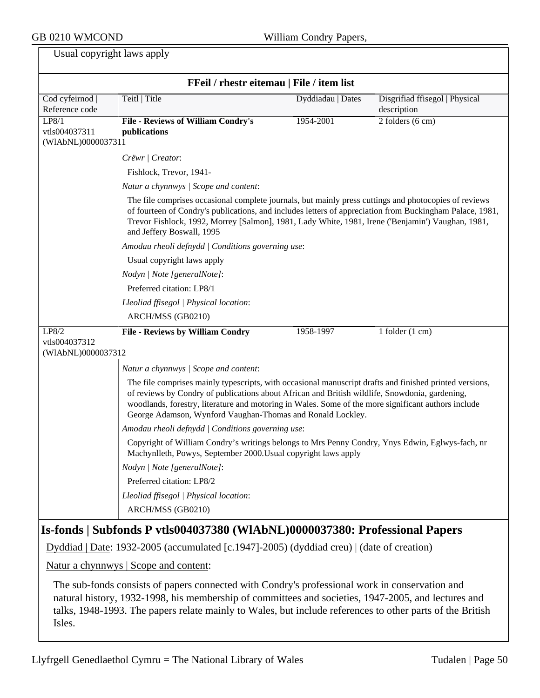≂

| Usual copyright laws apply                    |                                                                                                                                                                                                                                                                                                                                                                                |                   |                                               |
|-----------------------------------------------|--------------------------------------------------------------------------------------------------------------------------------------------------------------------------------------------------------------------------------------------------------------------------------------------------------------------------------------------------------------------------------|-------------------|-----------------------------------------------|
|                                               | FFeil / rhestr eitemau   File / item list                                                                                                                                                                                                                                                                                                                                      |                   |                                               |
| Cod cyfeirnod  <br>Reference code             | Teitl   Title                                                                                                                                                                                                                                                                                                                                                                  | Dyddiadau   Dates | Disgrifiad ffisegol   Physical<br>description |
| LP8/1<br>vtls004037311                        | File - Reviews of William Condry's<br>publications                                                                                                                                                                                                                                                                                                                             | $1954 - 2001$     | $2$ folders $(6 \text{ cm})$                  |
| (WIAbNL)0000037311                            |                                                                                                                                                                                                                                                                                                                                                                                |                   |                                               |
|                                               | Crëwr   Creator:                                                                                                                                                                                                                                                                                                                                                               |                   |                                               |
|                                               | Fishlock, Trevor, 1941-<br>Natur a chynnwys / Scope and content:                                                                                                                                                                                                                                                                                                               |                   |                                               |
|                                               | The file comprises occasional complete journals, but mainly press cuttings and photocopies of reviews<br>of fourteen of Condry's publications, and includes letters of appreciation from Buckingham Palace, 1981,<br>Trevor Fishlock, 1992, Morrey [Salmon], 1981, Lady White, 1981, Irene ('Benjamin') Vaughan, 1981,<br>and Jeffery Boswall, 1995                            |                   |                                               |
|                                               | Amodau rheoli defnydd   Conditions governing use:                                                                                                                                                                                                                                                                                                                              |                   |                                               |
|                                               | Usual copyright laws apply                                                                                                                                                                                                                                                                                                                                                     |                   |                                               |
|                                               | Nodyn   Note [generalNote]:                                                                                                                                                                                                                                                                                                                                                    |                   |                                               |
|                                               | Preferred citation: LP8/1                                                                                                                                                                                                                                                                                                                                                      |                   |                                               |
|                                               | Lleoliad ffisegol   Physical location:                                                                                                                                                                                                                                                                                                                                         |                   |                                               |
|                                               | ARCH/MSS (GB0210)                                                                                                                                                                                                                                                                                                                                                              |                   |                                               |
| LP8/2<br>vtls004037312<br>(WIAbNL)00000373 12 | <b>File - Reviews by William Condry</b><br>Natur a chynnwys / Scope and content:                                                                                                                                                                                                                                                                                               | 1958-1997         | 1 folder $(1 \text{ cm})$                     |
|                                               | The file comprises mainly typescripts, with occasional manuscript drafts and finished printed versions,<br>of reviews by Condry of publications about African and British wildlife, Snowdonia, gardening,<br>woodlands, forestry, literature and motoring in Wales. Some of the more significant authors include<br>George Adamson, Wynford Vaughan-Thomas and Ronald Lockley. |                   |                                               |
|                                               | Amodau rheoli defnydd   Conditions governing use:                                                                                                                                                                                                                                                                                                                              |                   |                                               |
|                                               | Copyright of William Condry's writings belongs to Mrs Penny Condry, Ynys Edwin, Eglwys-fach, nr<br>Machynlleth, Powys, September 2000. Usual copyright laws apply                                                                                                                                                                                                              |                   |                                               |
|                                               | Nodyn   Note [generalNote]:                                                                                                                                                                                                                                                                                                                                                    |                   |                                               |
|                                               | Preferred citation: LP8/2                                                                                                                                                                                                                                                                                                                                                      |                   |                                               |
|                                               | Lleoliad ffisegol   Physical location:                                                                                                                                                                                                                                                                                                                                         |                   |                                               |
|                                               | ARCH/MSS (GB0210)                                                                                                                                                                                                                                                                                                                                                              |                   |                                               |
|                                               | Is-fonds   Subfonds P vtls004037380 (WIAbNL)0000037380: Professional Papers                                                                                                                                                                                                                                                                                                    |                   |                                               |
|                                               | Dyddiad   Date: 1932-2005 (accumulated [c.1947]-2005) (dyddiad creu)   (date of creation)                                                                                                                                                                                                                                                                                      |                   |                                               |
|                                               | Natur a chynnwys   Scope and content:                                                                                                                                                                                                                                                                                                                                          |                   |                                               |
|                                               | The sub-fonds consists of papers connected with Condry's professional work in conservation and                                                                                                                                                                                                                                                                                 |                   |                                               |

natural history, 1932-1998, his membership of committees and societies, 1947-2005, and lectures and talks, 1948-1993. The papers relate mainly to Wales, but include references to other parts of the British Isles.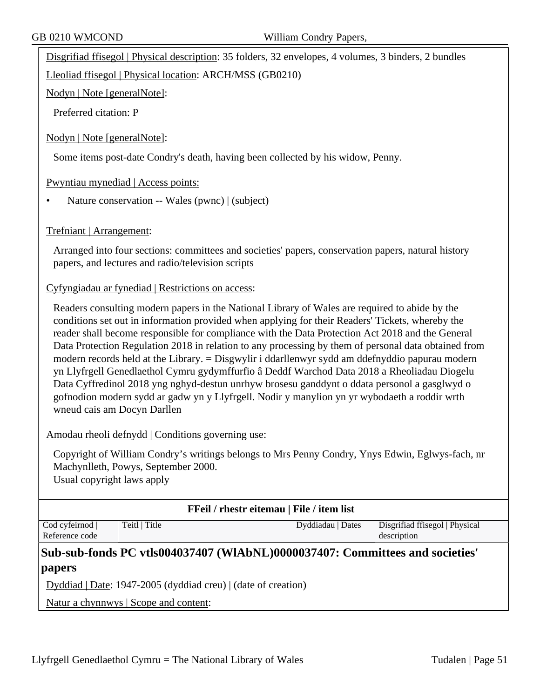Disgrifiad ffisegol | Physical description: 35 folders, 32 envelopes, 4 volumes, 3 binders, 2 bundles

Lleoliad ffisegol | Physical location: ARCH/MSS (GB0210)

Nodyn | Note [generalNote]:

Preferred citation: P

#### Nodyn | Note [generalNote]:

Some items post-date Condry's death, having been collected by his widow, Penny.

#### Pwyntiau mynediad | Access points:

• Nature conservation -- Wales (pwnc) | (subject)

#### Trefniant | Arrangement:

Arranged into four sections: committees and societies' papers, conservation papers, natural history papers, and lectures and radio/television scripts

#### Cyfyngiadau ar fynediad | Restrictions on access:

Readers consulting modern papers in the National Library of Wales are required to abide by the conditions set out in information provided when applying for their Readers' Tickets, whereby the reader shall become responsible for compliance with the Data Protection Act 2018 and the General Data Protection Regulation 2018 in relation to any processing by them of personal data obtained from modern records held at the Library. = Disgwylir i ddarllenwyr sydd am ddefnyddio papurau modern yn Llyfrgell Genedlaethol Cymru gydymffurfio â Deddf Warchod Data 2018 a Rheoliadau Diogelu Data Cyffredinol 2018 yng nghyd-destun unrhyw brosesu ganddynt o ddata personol a gasglwyd o gofnodion modern sydd ar gadw yn y Llyfrgell. Nodir y manylion yn yr wybodaeth a roddir wrth wneud cais am Docyn Darllen

| Amodau rheoli defnydd   Conditions governing use: |  |  |
|---------------------------------------------------|--|--|
|                                                   |  |  |
|                                                   |  |  |

Copyright of William Condry's writings belongs to Mrs Penny Condry, Ynys Edwin, Eglwys-fach, nr Machynlleth, Powys, September 2000.

Usual copyright laws apply

| FFeil / rhestr eitemau   File / item list                                    |                                       |                   |                                |
|------------------------------------------------------------------------------|---------------------------------------|-------------------|--------------------------------|
| Cod cyfeirnod                                                                | Teitl   Title                         | Dyddiadau   Dates | Disgrifiad ffisegol   Physical |
| Reference code                                                               |                                       |                   | description                    |
| Sub-sub-fonds PC vtls004037407 (WIAbNL)0000037407: Committees and societies' |                                       |                   |                                |
| <i> papers</i>                                                               |                                       |                   |                                |
| Dyddiad   Date: 1947-2005 (dyddiad creu)   (date of creation)                |                                       |                   |                                |
|                                                                              | Natur a chynnwys   Scope and content: |                   |                                |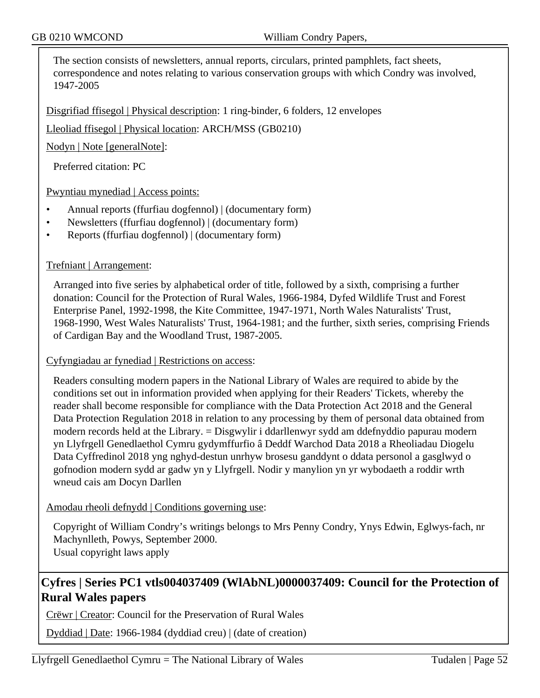The section consists of newsletters, annual reports, circulars, printed pamphlets, fact sheets, correspondence and notes relating to various conservation groups with which Condry was involved, 1947-2005

Disgrifiad ffisegol | Physical description: 1 ring-binder, 6 folders, 12 envelopes

Lleoliad ffisegol | Physical location: ARCH/MSS (GB0210)

Nodyn | Note [generalNote]:

Preferred citation: PC

Pwyntiau mynediad | Access points:

- Annual reports (ffurfiau dogfennol) | (documentary form)
- Newsletters (ffurfiau dogfennol) | (documentary form)
- Reports (ffurfiau dogfennol) | (documentary form)

#### Trefniant | Arrangement:

Arranged into five series by alphabetical order of title, followed by a sixth, comprising a further donation: Council for the Protection of Rural Wales, 1966-1984, Dyfed Wildlife Trust and Forest Enterprise Panel, 1992-1998, the Kite Committee, 1947-1971, North Wales Naturalists' Trust, 1968-1990, West Wales Naturalists' Trust, 1964-1981; and the further, sixth series, comprising Friends of Cardigan Bay and the Woodland Trust, 1987-2005.

Cyfyngiadau ar fynediad | Restrictions on access:

Readers consulting modern papers in the National Library of Wales are required to abide by the conditions set out in information provided when applying for their Readers' Tickets, whereby the reader shall become responsible for compliance with the Data Protection Act 2018 and the General Data Protection Regulation 2018 in relation to any processing by them of personal data obtained from modern records held at the Library. = Disgwylir i ddarllenwyr sydd am ddefnyddio papurau modern yn Llyfrgell Genedlaethol Cymru gydymffurfio â Deddf Warchod Data 2018 a Rheoliadau Diogelu Data Cyffredinol 2018 yng nghyd-destun unrhyw brosesu ganddynt o ddata personol a gasglwyd o gofnodion modern sydd ar gadw yn y Llyfrgell. Nodir y manylion yn yr wybodaeth a roddir wrth wneud cais am Docyn Darllen

#### Amodau rheoli defnydd | Conditions governing use:

Copyright of William Condry's writings belongs to Mrs Penny Condry, Ynys Edwin, Eglwys-fach, nr Machynlleth, Powys, September 2000. Usual copyright laws apply

## **Cyfres | Series PC1 vtls004037409 (WlAbNL)0000037409: Council for the Protection of Rural Wales papers**

Crëwr | Creator: Council for the Preservation of Rural Wales

Dyddiad | Date: 1966-1984 (dyddiad creu) | (date of creation)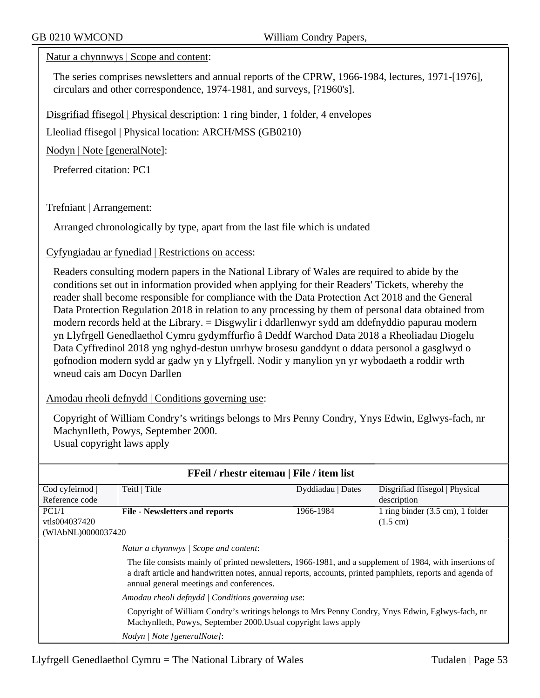#### Natur a chynnwys | Scope and content:

The series comprises newsletters and annual reports of the CPRW, 1966-1984, lectures, 1971-[1976], circulars and other correspondence, 1974-1981, and surveys, [?1960's].

Disgrifiad ffisegol | Physical description: 1 ring binder, 1 folder, 4 envelopes

Lleoliad ffisegol | Physical location: ARCH/MSS (GB0210)

Nodyn | Note [generalNote]:

Preferred citation: PC1

Trefniant | Arrangement:

Arranged chronologically by type, apart from the last file which is undated

Cyfyngiadau ar fynediad | Restrictions on access:

Readers consulting modern papers in the National Library of Wales are required to abide by the conditions set out in information provided when applying for their Readers' Tickets, whereby the reader shall become responsible for compliance with the Data Protection Act 2018 and the General Data Protection Regulation 2018 in relation to any processing by them of personal data obtained from modern records held at the Library. = Disgwylir i ddarllenwyr sydd am ddefnyddio papurau modern yn Llyfrgell Genedlaethol Cymru gydymffurfio â Deddf Warchod Data 2018 a Rheoliadau Diogelu Data Cyffredinol 2018 yng nghyd-destun unrhyw brosesu ganddynt o ddata personol a gasglwyd o gofnodion modern sydd ar gadw yn y Llyfrgell. Nodir y manylion yn yr wybodaeth a roddir wrth wneud cais am Docyn Darllen

Amodau rheoli defnydd | Conditions governing use:

Copyright of William Condry's writings belongs to Mrs Penny Condry, Ynys Edwin, Eglwys-fach, nr Machynlleth, Powys, September 2000. Usual copyright laws apply

| FFeil / rhestr eitemau   File / item list |                                                                                                                                                                                                                                                                   |                   |                                             |
|-------------------------------------------|-------------------------------------------------------------------------------------------------------------------------------------------------------------------------------------------------------------------------------------------------------------------|-------------------|---------------------------------------------|
| Cod cyfeirnod                             | Teitl   Title                                                                                                                                                                                                                                                     | Dyddiadau   Dates | Disgrifiad ffisegol   Physical              |
| Reference code                            |                                                                                                                                                                                                                                                                   |                   | description                                 |
| PC1/1                                     | <b>File - Newsletters and reports</b>                                                                                                                                                                                                                             | 1966-1984         | 1 ring binder $(3.5 \text{ cm})$ , 1 folder |
| vtls004037420                             |                                                                                                                                                                                                                                                                   |                   | $(1.5 \text{ cm})$                          |
| (WIAbNL)0000037420                        |                                                                                                                                                                                                                                                                   |                   |                                             |
|                                           | Natur a chynnwys   Scope and content:                                                                                                                                                                                                                             |                   |                                             |
|                                           | The file consists mainly of printed newsletters, 1966-1981, and a supplement of 1984, with insertions of<br>a draft article and handwritten notes, annual reports, accounts, printed pamphlets, reports and agenda of<br>annual general meetings and conferences. |                   |                                             |
|                                           | Amodau rheoli defnydd   Conditions governing use:                                                                                                                                                                                                                 |                   |                                             |
|                                           | Copyright of William Condry's writings belongs to Mrs Penny Condry, Ynys Edwin, Eglwys-fach, nr<br>Machynlleth, Powys, September 2000. Usual copyright laws apply                                                                                                 |                   |                                             |
|                                           | Nodyn / Note [generalNote]:                                                                                                                                                                                                                                       |                   |                                             |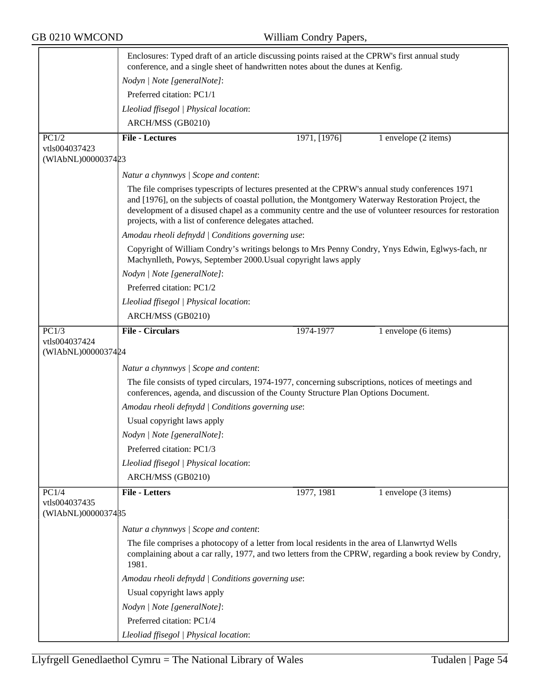|                                     | Enclosures: Typed draft of an article discussing points raised at the CPRW's first annual study<br>conference, and a single sheet of handwritten notes about the dunes at Kenfig.                                                                                                                                                                                             |              |                      |
|-------------------------------------|-------------------------------------------------------------------------------------------------------------------------------------------------------------------------------------------------------------------------------------------------------------------------------------------------------------------------------------------------------------------------------|--------------|----------------------|
|                                     | Nodyn   Note [generalNote]:                                                                                                                                                                                                                                                                                                                                                   |              |                      |
|                                     | Preferred citation: PC1/1                                                                                                                                                                                                                                                                                                                                                     |              |                      |
|                                     | Lleoliad ffisegol   Physical location:                                                                                                                                                                                                                                                                                                                                        |              |                      |
|                                     | ARCH/MSS (GB0210)                                                                                                                                                                                                                                                                                                                                                             |              |                      |
| PC1/2                               | <b>File - Lectures</b>                                                                                                                                                                                                                                                                                                                                                        | 1971, [1976] | 1 envelope (2 items) |
| vtls004037423                       |                                                                                                                                                                                                                                                                                                                                                                               |              |                      |
| (WIAbNL)0000037423                  |                                                                                                                                                                                                                                                                                                                                                                               |              |                      |
|                                     | Natur a chynnwys / Scope and content:                                                                                                                                                                                                                                                                                                                                         |              |                      |
|                                     | The file comprises typescripts of lectures presented at the CPRW's annual study conferences 1971<br>and [1976], on the subjects of coastal pollution, the Montgomery Waterway Restoration Project, the<br>development of a disused chapel as a community centre and the use of volunteer resources for restoration<br>projects, with a list of conference delegates attached. |              |                      |
|                                     | Amodau rheoli defnydd   Conditions governing use:                                                                                                                                                                                                                                                                                                                             |              |                      |
|                                     | Copyright of William Condry's writings belongs to Mrs Penny Condry, Ynys Edwin, Eglwys-fach, nr<br>Machynlleth, Powys, September 2000. Usual copyright laws apply                                                                                                                                                                                                             |              |                      |
|                                     | Nodyn   Note [generalNote]:                                                                                                                                                                                                                                                                                                                                                   |              |                      |
|                                     | Preferred citation: PC1/2                                                                                                                                                                                                                                                                                                                                                     |              |                      |
|                                     | Lleoliad ffisegol   Physical location:                                                                                                                                                                                                                                                                                                                                        |              |                      |
|                                     | ARCH/MSS (GB0210)                                                                                                                                                                                                                                                                                                                                                             |              |                      |
| PC1/3                               | <b>File - Circulars</b>                                                                                                                                                                                                                                                                                                                                                       | 1974-1977    | 1 envelope (6 items) |
| vtls004037424                       |                                                                                                                                                                                                                                                                                                                                                                               |              |                      |
| (WIAbNL)0000037424                  |                                                                                                                                                                                                                                                                                                                                                                               |              |                      |
|                                     | Natur a chynnwys / Scope and content:                                                                                                                                                                                                                                                                                                                                         |              |                      |
|                                     | The file consists of typed circulars, 1974-1977, concerning subscriptions, notices of meetings and<br>conferences, agenda, and discussion of the County Structure Plan Options Document.                                                                                                                                                                                      |              |                      |
|                                     | Amodau rheoli defnydd   Conditions governing use:                                                                                                                                                                                                                                                                                                                             |              |                      |
|                                     | Usual copyright laws apply                                                                                                                                                                                                                                                                                                                                                    |              |                      |
|                                     | Nodyn   Note [generalNote]:                                                                                                                                                                                                                                                                                                                                                   |              |                      |
|                                     | Preferred citation: PC1/3                                                                                                                                                                                                                                                                                                                                                     |              |                      |
|                                     | Lleoliad ffisegol   Physical location:                                                                                                                                                                                                                                                                                                                                        |              |                      |
|                                     | ARCH/MSS (GB0210)                                                                                                                                                                                                                                                                                                                                                             |              |                      |
| PC1/4                               | <b>File - Letters</b>                                                                                                                                                                                                                                                                                                                                                         | 1977, 1981   | 1 envelope (3 items) |
| vtls004037435<br>(WIAbNL)0000037485 |                                                                                                                                                                                                                                                                                                                                                                               |              |                      |
|                                     | Natur a chynnwys / Scope and content:                                                                                                                                                                                                                                                                                                                                         |              |                      |
|                                     | The file comprises a photocopy of a letter from local residents in the area of Llanwrtyd Wells<br>complaining about a car rally, 1977, and two letters from the CPRW, regarding a book review by Condry,<br>1981.                                                                                                                                                             |              |                      |
|                                     | Amodau rheoli defnydd   Conditions governing use:                                                                                                                                                                                                                                                                                                                             |              |                      |
|                                     | Usual copyright laws apply                                                                                                                                                                                                                                                                                                                                                    |              |                      |
|                                     | Nodyn   Note [generalNote]:                                                                                                                                                                                                                                                                                                                                                   |              |                      |
|                                     | Preferred citation: PC1/4                                                                                                                                                                                                                                                                                                                                                     |              |                      |
|                                     | Lleoliad ffisegol   Physical location:                                                                                                                                                                                                                                                                                                                                        |              |                      |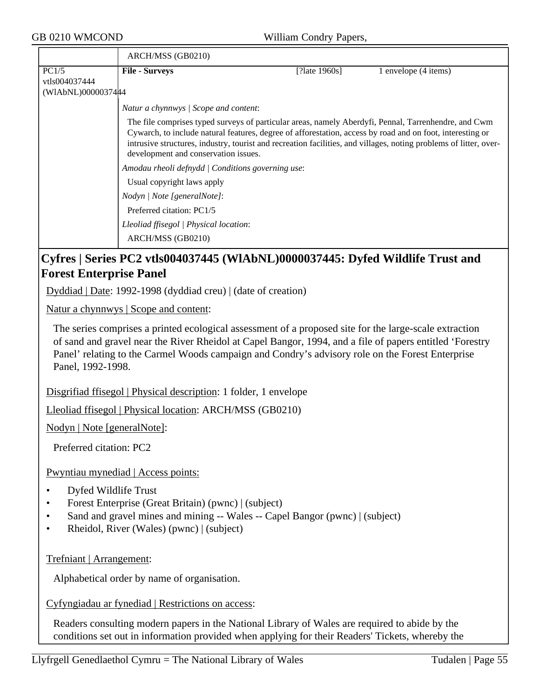|                                | ARCH/MSS (GB0210)                                                                                                                                                                                                  |                  |                                                                                                                                                                                                                                                                                                                                        |
|--------------------------------|--------------------------------------------------------------------------------------------------------------------------------------------------------------------------------------------------------------------|------------------|----------------------------------------------------------------------------------------------------------------------------------------------------------------------------------------------------------------------------------------------------------------------------------------------------------------------------------------|
| PC1/5                          | <b>File - Surveys</b>                                                                                                                                                                                              | [?late $1960s$ ] | 1 envelope (4 items)                                                                                                                                                                                                                                                                                                                   |
| vtls004037444                  |                                                                                                                                                                                                                    |                  |                                                                                                                                                                                                                                                                                                                                        |
| (WIAbNL)0000037444             |                                                                                                                                                                                                                    |                  |                                                                                                                                                                                                                                                                                                                                        |
|                                | Natur a chynnwys / Scope and content:                                                                                                                                                                              |                  |                                                                                                                                                                                                                                                                                                                                        |
|                                | development and conservation issues.                                                                                                                                                                               |                  | The file comprises typed surveys of particular areas, namely Aberdyfi, Pennal, Tarrenhendre, and Cwm<br>Cywarch, to include natural features, degree of afforestation, access by road and on foot, interesting or<br>intrusive structures, industry, tourist and recreation facilities, and villages, noting problems of litter, over- |
|                                | Amodau rheoli defnydd   Conditions governing use:                                                                                                                                                                  |                  |                                                                                                                                                                                                                                                                                                                                        |
|                                | Usual copyright laws apply                                                                                                                                                                                         |                  |                                                                                                                                                                                                                                                                                                                                        |
|                                | Nodyn   Note [generalNote]:                                                                                                                                                                                        |                  |                                                                                                                                                                                                                                                                                                                                        |
|                                | Preferred citation: PC1/5                                                                                                                                                                                          |                  |                                                                                                                                                                                                                                                                                                                                        |
|                                | Lleoliad ffisegol   Physical location:                                                                                                                                                                             |                  |                                                                                                                                                                                                                                                                                                                                        |
|                                | ARCH/MSS (GB0210)                                                                                                                                                                                                  |                  |                                                                                                                                                                                                                                                                                                                                        |
|                                | Cyfres   Series PC2 vtls004037445 (WlAbNL)0000037445: Dyfed Wildlife Trust and                                                                                                                                     |                  |                                                                                                                                                                                                                                                                                                                                        |
| <b>Forest Enterprise Panel</b> |                                                                                                                                                                                                                    |                  |                                                                                                                                                                                                                                                                                                                                        |
|                                | $Dyddiad   Date: 1992-1998 (dyddiad creu)   (date of creation)$                                                                                                                                                    |                  |                                                                                                                                                                                                                                                                                                                                        |
|                                | <u>Natur a chynnwys</u>   Scope and content:                                                                                                                                                                       |                  |                                                                                                                                                                                                                                                                                                                                        |
|                                | The series comprises a printed ecological assessment of a proposed site for the large-scale extraction<br>of sand and gravel near the River Rheidol at Capel Bangor, 1994, and a file of papers entitled 'Forestry |                  |                                                                                                                                                                                                                                                                                                                                        |

of sand and gravel near the River Rheidol at Capel Bangor, 1994, and a file of papers entitled 'Forestry Panel' relating to the Carmel Woods campaign and Condry's advisory role on the Forest Enterprise Panel, 1992-1998.

Disgrifiad ffisegol | Physical description: 1 folder, 1 envelope

Lleoliad ffisegol | Physical location: ARCH/MSS (GB0210)

Nodyn | Note [generalNote]:

Preferred citation: PC2

Pwyntiau mynediad | Access points:

- Dyfed Wildlife Trust
- Forest Enterprise (Great Britain) (pwnc) | (subject)
- Sand and gravel mines and mining -- Wales -- Capel Bangor (pwnc) | (subject)
- Rheidol, River (Wales) (pwnc) | (subject)

### Trefniant | Arrangement:

Alphabetical order by name of organisation.

Cyfyngiadau ar fynediad | Restrictions on access:

Readers consulting modern papers in the National Library of Wales are required to abide by the conditions set out in information provided when applying for their Readers' Tickets, whereby the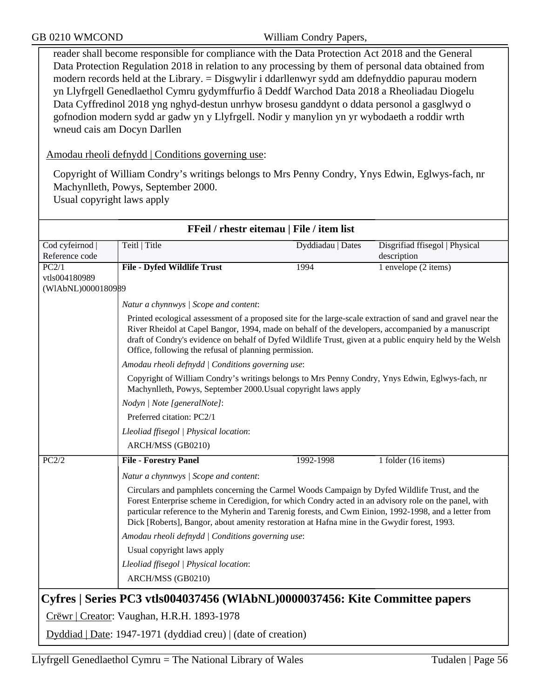reader shall become responsible for compliance with the Data Protection Act 2018 and the General Data Protection Regulation 2018 in relation to any processing by them of personal data obtained from modern records held at the Library. = Disgwylir i ddarllenwyr sydd am ddefnyddio papurau modern yn Llyfrgell Genedlaethol Cymru gydymffurfio â Deddf Warchod Data 2018 a Rheoliadau Diogelu Data Cyffredinol 2018 yng nghyd-destun unrhyw brosesu ganddynt o ddata personol a gasglwyd o gofnodion modern sydd ar gadw yn y Llyfrgell. Nodir y manylion yn yr wybodaeth a roddir wrth wneud cais am Docyn Darllen

Amodau rheoli defnydd | Conditions governing use:

Copyright of William Condry's writings belongs to Mrs Penny Condry, Ynys Edwin, Eglwys-fach, nr Machynlleth, Powys, September 2000. Usual copyright laws apply

|                    | FFeil / rhestr eitemau   File / item list                                                                                                                                                                                                                                                                                                                                                                      |                   |                                |
|--------------------|----------------------------------------------------------------------------------------------------------------------------------------------------------------------------------------------------------------------------------------------------------------------------------------------------------------------------------------------------------------------------------------------------------------|-------------------|--------------------------------|
| Cod cyfeirnod      | Teitl   Title                                                                                                                                                                                                                                                                                                                                                                                                  | Dyddiadau   Dates | Disgrifiad ffisegol   Physical |
| Reference code     |                                                                                                                                                                                                                                                                                                                                                                                                                |                   | description                    |
| PC2/1              | <b>File - Dyfed Wildlife Trust</b>                                                                                                                                                                                                                                                                                                                                                                             | 1994              | 1 envelope (2 items)           |
| vtls004180989      |                                                                                                                                                                                                                                                                                                                                                                                                                |                   |                                |
| (WIAbNL)0000180989 |                                                                                                                                                                                                                                                                                                                                                                                                                |                   |                                |
|                    | Natur a chynnwys / Scope and content:                                                                                                                                                                                                                                                                                                                                                                          |                   |                                |
|                    | Printed ecological assessment of a proposed site for the large-scale extraction of sand and gravel near the<br>River Rheidol at Capel Bangor, 1994, made on behalf of the developers, accompanied by a manuscript<br>draft of Condry's evidence on behalf of Dyfed Wildlife Trust, given at a public enquiry held by the Welsh<br>Office, following the refusal of planning permission.                        |                   |                                |
|                    | Amodau rheoli defnydd   Conditions governing use:                                                                                                                                                                                                                                                                                                                                                              |                   |                                |
|                    | Copyright of William Condry's writings belongs to Mrs Penny Condry, Ynys Edwin, Eglwys-fach, nr<br>Machynlleth, Powys, September 2000. Usual copyright laws apply                                                                                                                                                                                                                                              |                   |                                |
|                    | Nodyn   Note [generalNote]:                                                                                                                                                                                                                                                                                                                                                                                    |                   |                                |
|                    | Preferred citation: PC2/1                                                                                                                                                                                                                                                                                                                                                                                      |                   |                                |
|                    | Lleoliad ffisegol   Physical location:                                                                                                                                                                                                                                                                                                                                                                         |                   |                                |
|                    | ARCH/MSS (GB0210)                                                                                                                                                                                                                                                                                                                                                                                              |                   |                                |
| PC2/2              | <b>File - Forestry Panel</b>                                                                                                                                                                                                                                                                                                                                                                                   | 1992-1998         | 1 folder (16 items)            |
|                    | Natur a chynnwys / Scope and content:                                                                                                                                                                                                                                                                                                                                                                          |                   |                                |
|                    | Circulars and pamphlets concerning the Carmel Woods Campaign by Dyfed Wildlife Trust, and the<br>Forest Enterprise scheme in Ceredigion, for which Condry acted in an advisory role on the panel, with<br>particular reference to the Myherin and Tarenig forests, and Cwm Einion, 1992-1998, and a letter from<br>Dick [Roberts], Bangor, about amenity restoration at Hafna mine in the Gwydir forest, 1993. |                   |                                |
|                    | Amodau rheoli defnydd   Conditions governing use:                                                                                                                                                                                                                                                                                                                                                              |                   |                                |
|                    | Usual copyright laws apply                                                                                                                                                                                                                                                                                                                                                                                     |                   |                                |
|                    | Lleoliad ffisegol   Physical location:                                                                                                                                                                                                                                                                                                                                                                         |                   |                                |
|                    | ARCH/MSS (GB0210)                                                                                                                                                                                                                                                                                                                                                                                              |                   |                                |
|                    | Cyfres   Series PC3 vtls004037456 (WlAbNL)0000037456: Kite Committee papers                                                                                                                                                                                                                                                                                                                                    |                   |                                |
|                    | Crëwr   Creator: Vaughan, H.R.H. 1893-1978                                                                                                                                                                                                                                                                                                                                                                     |                   |                                |
|                    | Dyddiad   Date: 1947-1971 (dyddiad creu)   (date of creation)                                                                                                                                                                                                                                                                                                                                                  |                   |                                |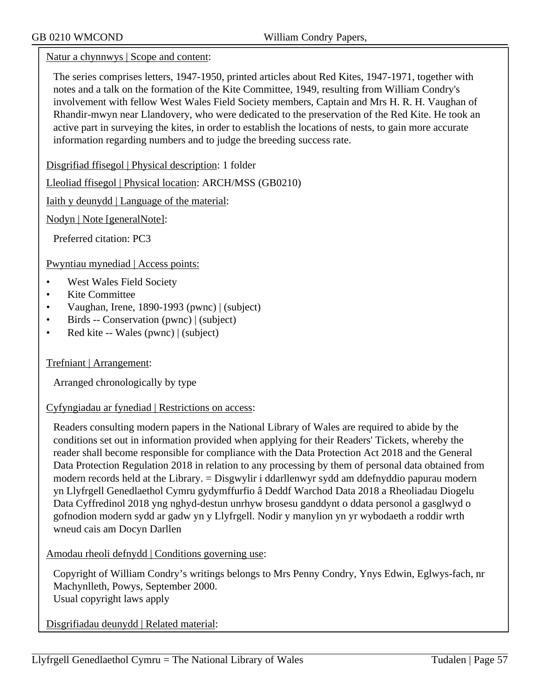Natur a chynnwys | Scope and content:

The series comprises letters, 1947-1950, printed articles about Red Kites, 1947-1971, together with notes and a talk on the formation of the Kite Committee, 1949, resulting from William Condry's involvement with fellow West Wales Field Society members, Captain and Mrs H. R. H. Vaughan of Rhandir-mwyn near Llandovery, who were dedicated to the preservation of the Red Kite. He took an active part in surveying the kites, in order to establish the locations of nests, to gain more accurate information regarding numbers and to judge the breeding success rate.

Disgrifiad ffisegol | Physical description: 1 folder

Lleoliad ffisegol | Physical location: ARCH/MSS (GB0210)

Iaith y deunydd | Language of the material:

Nodyn | Note [generalNote]:

Preferred citation: PC3

Pwyntiau mynediad | Access points:

- West Wales Field Society
- Kite Committee
- Vaughan, Irene, 1890-1993 (pwnc) | (subject)
- Birds -- Conservation (pwnc) | (subject)
- Red kite -- Wales (pwnc) | (subject)

Trefniant | Arrangement:

Arranged chronologically by type

#### Cyfyngiadau ar fynediad | Restrictions on access:

Readers consulting modern papers in the National Library of Wales are required to abide by the conditions set out in information provided when applying for their Readers' Tickets, whereby the reader shall become responsible for compliance with the Data Protection Act 2018 and the General Data Protection Regulation 2018 in relation to any processing by them of personal data obtained from modern records held at the Library. = Disgwylir i ddarllenwyr sydd am ddefnyddio papurau modern yn Llyfrgell Genedlaethol Cymru gydymffurfio â Deddf Warchod Data 2018 a Rheoliadau Diogelu Data Cyffredinol 2018 yng nghyd-destun unrhyw brosesu ganddynt o ddata personol a gasglwyd o gofnodion modern sydd ar gadw yn y Llyfrgell. Nodir y manylion yn yr wybodaeth a roddir wrth wneud cais am Docyn Darllen

Amodau rheoli defnydd | Conditions governing use:

Copyright of William Condry's writings belongs to Mrs Penny Condry, Ynys Edwin, Eglwys-fach, nr Machynlleth, Powys, September 2000. Usual copyright laws apply

Disgrifiadau deunydd | Related material: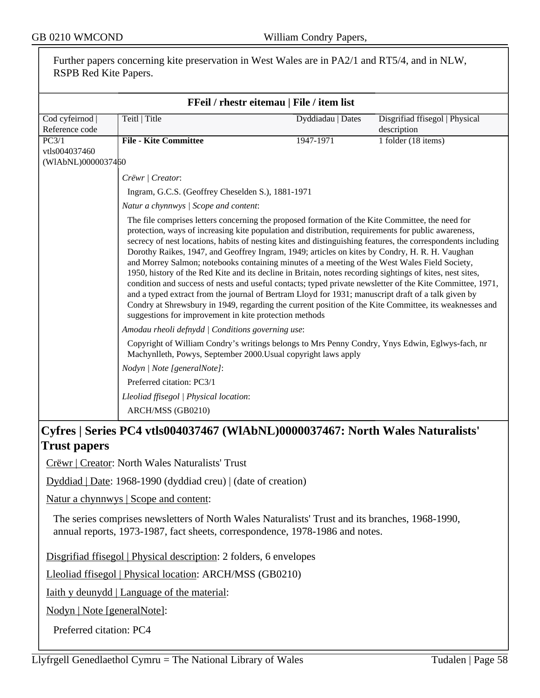| Further papers concerning kite preservation in West Wales are in PA2/1 and RT5/4, and in NLW,<br>RSPB Red Kite Papers.                        |                                                                                                                                                                                                                                                                                                                                                                                                                                                                                                                                                                                                                                                                                                                                                                                                                                                                                                                                                                                                                                 |                                           |                                               |  |
|-----------------------------------------------------------------------------------------------------------------------------------------------|---------------------------------------------------------------------------------------------------------------------------------------------------------------------------------------------------------------------------------------------------------------------------------------------------------------------------------------------------------------------------------------------------------------------------------------------------------------------------------------------------------------------------------------------------------------------------------------------------------------------------------------------------------------------------------------------------------------------------------------------------------------------------------------------------------------------------------------------------------------------------------------------------------------------------------------------------------------------------------------------------------------------------------|-------------------------------------------|-----------------------------------------------|--|
|                                                                                                                                               |                                                                                                                                                                                                                                                                                                                                                                                                                                                                                                                                                                                                                                                                                                                                                                                                                                                                                                                                                                                                                                 | FFeil / rhestr eitemau   File / item list |                                               |  |
| Cod cyfeirnod<br>Reference code                                                                                                               | Teitl   Title                                                                                                                                                                                                                                                                                                                                                                                                                                                                                                                                                                                                                                                                                                                                                                                                                                                                                                                                                                                                                   | Dyddiadau   Dates                         | Disgrifiad ffisegol   Physical<br>description |  |
| PC3/1<br>vtls004037460<br>(WIAbNL)0000037460                                                                                                  | <b>File - Kite Committee</b>                                                                                                                                                                                                                                                                                                                                                                                                                                                                                                                                                                                                                                                                                                                                                                                                                                                                                                                                                                                                    | 1947-1971                                 | 1 folder (18 items)                           |  |
|                                                                                                                                               | Crëwr   Creator:<br>Ingram, G.C.S. (Geoffrey Cheselden S.), 1881-1971<br>Natur a chynnwys / Scope and content:                                                                                                                                                                                                                                                                                                                                                                                                                                                                                                                                                                                                                                                                                                                                                                                                                                                                                                                  |                                           |                                               |  |
|                                                                                                                                               | The file comprises letters concerning the proposed formation of the Kite Committee, the need for<br>protection, ways of increasing kite population and distribution, requirements for public awareness,<br>secrecy of nest locations, habits of nesting kites and distinguishing features, the correspondents including<br>Dorothy Raikes, 1947, and Geoffrey Ingram, 1949; articles on kites by Condry, H. R. H. Vaughan<br>and Morrey Salmon; notebooks containing minutes of a meeting of the West Wales Field Society,<br>1950, history of the Red Kite and its decline in Britain, notes recording sightings of kites, nest sites,<br>condition and success of nests and useful contacts; typed private newsletter of the Kite Committee, 1971,<br>and a typed extract from the journal of Bertram Lloyd for 1931; manuscript draft of a talk given by<br>Condry at Shrewsbury in 1949, regarding the current position of the Kite Committee, its weaknesses and<br>suggestions for improvement in kite protection methods |                                           |                                               |  |
|                                                                                                                                               | Amodau rheoli defnydd   Conditions governing use:<br>Copyright of William Condry's writings belongs to Mrs Penny Condry, Ynys Edwin, Eglwys-fach, nr<br>Machynlleth, Powys, September 2000. Usual copyright laws apply<br>Nodyn   Note [generalNote]:<br>Preferred citation: PC3/1                                                                                                                                                                                                                                                                                                                                                                                                                                                                                                                                                                                                                                                                                                                                              |                                           |                                               |  |
| Lleoliad ffisegol   Physical location:<br>ARCH/MSS (GB0210)<br>Cyfres   Series PC4 vtls004037467 (WIAbNL)0000037467: North Wales Naturalists' |                                                                                                                                                                                                                                                                                                                                                                                                                                                                                                                                                                                                                                                                                                                                                                                                                                                                                                                                                                                                                                 |                                           |                                               |  |
| <b>Trust papers</b>                                                                                                                           |                                                                                                                                                                                                                                                                                                                                                                                                                                                                                                                                                                                                                                                                                                                                                                                                                                                                                                                                                                                                                                 |                                           |                                               |  |

Crëwr | Creator: North Wales Naturalists' Trust

Dyddiad | Date: 1968-1990 (dyddiad creu) | (date of creation)

Natur a chynnwys | Scope and content:

The series comprises newsletters of North Wales Naturalists' Trust and its branches, 1968-1990, annual reports, 1973-1987, fact sheets, correspondence, 1978-1986 and notes.

Disgrifiad ffisegol | Physical description: 2 folders, 6 envelopes

Lleoliad ffisegol | Physical location: ARCH/MSS (GB0210)

Iaith y deunydd | Language of the material:

Nodyn | Note [generalNote]:

Preferred citation: PC4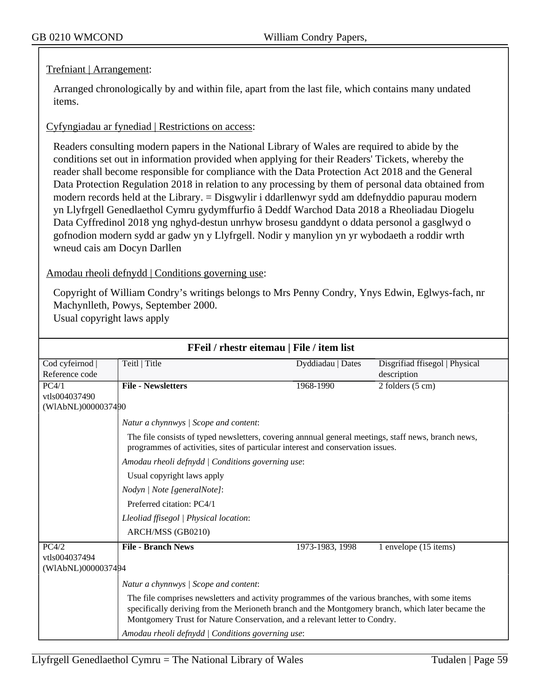### Trefniant | Arrangement:

Arranged chronologically by and within file, apart from the last file, which contains many undated items.

#### Cyfyngiadau ar fynediad | Restrictions on access:

Readers consulting modern papers in the National Library of Wales are required to abide by the conditions set out in information provided when applying for their Readers' Tickets, whereby the reader shall become responsible for compliance with the Data Protection Act 2018 and the General Data Protection Regulation 2018 in relation to any processing by them of personal data obtained from modern records held at the Library. = Disgwylir i ddarllenwyr sydd am ddefnyddio papurau modern yn Llyfrgell Genedlaethol Cymru gydymffurfio â Deddf Warchod Data 2018 a Rheoliadau Diogelu Data Cyffredinol 2018 yng nghyd-destun unrhyw brosesu ganddynt o ddata personol a gasglwyd o gofnodion modern sydd ar gadw yn y Llyfrgell. Nodir y manylion yn yr wybodaeth a roddir wrth wneud cais am Docyn Darllen

Amodau rheoli defnydd | Conditions governing use:

Copyright of William Condry's writings belongs to Mrs Penny Condry, Ynys Edwin, Eglwys-fach, nr Machynlleth, Powys, September 2000.

| Usual copyright laws apply |  |
|----------------------------|--|
|----------------------------|--|

|                    | FFeil / rhestr eitemau   File / item list                                                                                                                                                                                                                                          |                   |                                |
|--------------------|------------------------------------------------------------------------------------------------------------------------------------------------------------------------------------------------------------------------------------------------------------------------------------|-------------------|--------------------------------|
| Cod cyfeirnod      | Teitl   Title                                                                                                                                                                                                                                                                      | Dyddiadau   Dates | Disgrifiad ffisegol   Physical |
| Reference code     |                                                                                                                                                                                                                                                                                    |                   | description                    |
| PC4/1              | <b>File - Newsletters</b>                                                                                                                                                                                                                                                          | 1968-1990         | $2$ folders $(5 \text{ cm})$   |
| vtls004037490      |                                                                                                                                                                                                                                                                                    |                   |                                |
| (WIAbNL)0000037490 |                                                                                                                                                                                                                                                                                    |                   |                                |
|                    | Natur a chynnwys / Scope and content:                                                                                                                                                                                                                                              |                   |                                |
|                    | The file consists of typed newsletters, covering annual general meetings, staff news, branch news,<br>programmes of activities, sites of particular interest and conservation issues.                                                                                              |                   |                                |
|                    | Amodau rheoli defnydd   Conditions governing use:                                                                                                                                                                                                                                  |                   |                                |
|                    | Usual copyright laws apply                                                                                                                                                                                                                                                         |                   |                                |
|                    | Nodyn   Note [generalNote]:                                                                                                                                                                                                                                                        |                   |                                |
|                    | Preferred citation: PC4/1                                                                                                                                                                                                                                                          |                   |                                |
|                    | Lleoliad ffisegol   Physical location:                                                                                                                                                                                                                                             |                   |                                |
|                    | ARCH/MSS (GB0210)                                                                                                                                                                                                                                                                  |                   |                                |
| PC4/2              | <b>File - Branch News</b>                                                                                                                                                                                                                                                          | 1973-1983, 1998   | 1 envelope (15 items)          |
| vtls004037494      |                                                                                                                                                                                                                                                                                    |                   |                                |
| (WIAbNL)0000037494 |                                                                                                                                                                                                                                                                                    |                   |                                |
|                    | Natur a chynnwys / Scope and content:                                                                                                                                                                                                                                              |                   |                                |
|                    | The file comprises newsletters and activity programmes of the various branches, with some items<br>specifically deriving from the Merioneth branch and the Montgomery branch, which later became the<br>Montgomery Trust for Nature Conservation, and a relevant letter to Condry. |                   |                                |
|                    | Amodau rheoli defnydd   Conditions governing use:                                                                                                                                                                                                                                  |                   |                                |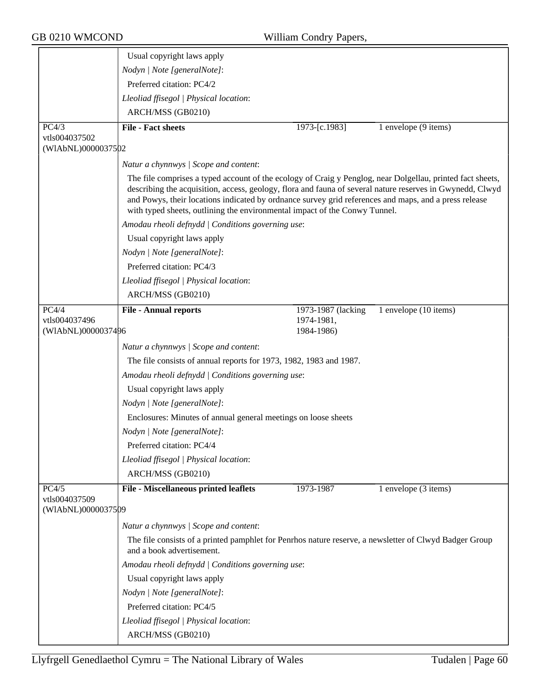|                                     | Usual copyright laws apply                                                                                                                                                                                                                                                                                                                                                                                     |                    |                                   |
|-------------------------------------|----------------------------------------------------------------------------------------------------------------------------------------------------------------------------------------------------------------------------------------------------------------------------------------------------------------------------------------------------------------------------------------------------------------|--------------------|-----------------------------------|
|                                     | Nodyn   Note [generalNote]:                                                                                                                                                                                                                                                                                                                                                                                    |                    |                                   |
|                                     | Preferred citation: PC4/2                                                                                                                                                                                                                                                                                                                                                                                      |                    |                                   |
|                                     | Lleoliad ffisegol   Physical location:                                                                                                                                                                                                                                                                                                                                                                         |                    |                                   |
|                                     | ARCH/MSS (GB0210)                                                                                                                                                                                                                                                                                                                                                                                              |                    |                                   |
| PC4/3                               | <b>File - Fact sheets</b>                                                                                                                                                                                                                                                                                                                                                                                      | 1973-[c.1983]      | 1 envelope (9 items)              |
| vtls004037502                       |                                                                                                                                                                                                                                                                                                                                                                                                                |                    |                                   |
| (WIAbNL)0000037502                  |                                                                                                                                                                                                                                                                                                                                                                                                                |                    |                                   |
|                                     | Natur a chynnwys / Scope and content:                                                                                                                                                                                                                                                                                                                                                                          |                    |                                   |
|                                     | The file comprises a typed account of the ecology of Craig y Penglog, near Dolgellau, printed fact sheets,<br>describing the acquisition, access, geology, flora and fauna of several nature reserves in Gwynedd, Clwyd<br>and Powys, their locations indicated by ordnance survey grid references and maps, and a press release<br>with typed sheets, outlining the environmental impact of the Conwy Tunnel. |                    |                                   |
|                                     | Amodau rheoli defnydd   Conditions governing use:                                                                                                                                                                                                                                                                                                                                                              |                    |                                   |
|                                     | Usual copyright laws apply                                                                                                                                                                                                                                                                                                                                                                                     |                    |                                   |
|                                     | Nodyn   Note [generalNote]:                                                                                                                                                                                                                                                                                                                                                                                    |                    |                                   |
|                                     | Preferred citation: PC4/3                                                                                                                                                                                                                                                                                                                                                                                      |                    |                                   |
|                                     | Lleoliad ffisegol   Physical location:                                                                                                                                                                                                                                                                                                                                                                         |                    |                                   |
|                                     | ARCH/MSS (GB0210)                                                                                                                                                                                                                                                                                                                                                                                              |                    |                                   |
| PC4/4                               | <b>File - Annual reports</b>                                                                                                                                                                                                                                                                                                                                                                                   | 1973-1987 (lacking | 1 envelope (10 items)             |
| vtls004037496                       |                                                                                                                                                                                                                                                                                                                                                                                                                | 1974-1981,         |                                   |
| (WIAbNL)0000037496                  |                                                                                                                                                                                                                                                                                                                                                                                                                | 1984-1986)         |                                   |
|                                     | Natur a chynnwys / Scope and content:                                                                                                                                                                                                                                                                                                                                                                          |                    |                                   |
|                                     | The file consists of annual reports for 1973, 1982, 1983 and 1987.                                                                                                                                                                                                                                                                                                                                             |                    |                                   |
|                                     | Amodau rheoli defnydd / Conditions governing use:                                                                                                                                                                                                                                                                                                                                                              |                    |                                   |
|                                     | Usual copyright laws apply                                                                                                                                                                                                                                                                                                                                                                                     |                    |                                   |
|                                     | Nodyn   Note [generalNote]:                                                                                                                                                                                                                                                                                                                                                                                    |                    |                                   |
|                                     | Enclosures: Minutes of annual general meetings on loose sheets                                                                                                                                                                                                                                                                                                                                                 |                    |                                   |
|                                     | Nodyn   Note [generalNote]:                                                                                                                                                                                                                                                                                                                                                                                    |                    |                                   |
|                                     | Preferred citation: PC4/4                                                                                                                                                                                                                                                                                                                                                                                      |                    |                                   |
|                                     | Lleoliad ffisegol   Physical location:                                                                                                                                                                                                                                                                                                                                                                         |                    |                                   |
|                                     | ARCH/MSS (GB0210)                                                                                                                                                                                                                                                                                                                                                                                              |                    |                                   |
| PC4/5                               | File - Miscellaneous printed leaflets                                                                                                                                                                                                                                                                                                                                                                          | 1973-1987          | 1 envelope $(\overline{3}$ items) |
| vtls004037509<br>(WIAbNL)0000037509 |                                                                                                                                                                                                                                                                                                                                                                                                                |                    |                                   |
|                                     | Natur a chynnwys / Scope and content:                                                                                                                                                                                                                                                                                                                                                                          |                    |                                   |
|                                     | The file consists of a printed pamphlet for Penrhos nature reserve, a newsletter of Clwyd Badger Group<br>and a book advertisement.                                                                                                                                                                                                                                                                            |                    |                                   |
|                                     | Amodau rheoli defnydd   Conditions governing use:                                                                                                                                                                                                                                                                                                                                                              |                    |                                   |
|                                     | Usual copyright laws apply                                                                                                                                                                                                                                                                                                                                                                                     |                    |                                   |
|                                     | Nodyn   Note [generalNote]:                                                                                                                                                                                                                                                                                                                                                                                    |                    |                                   |
|                                     | Preferred citation: PC4/5                                                                                                                                                                                                                                                                                                                                                                                      |                    |                                   |
|                                     | Lleoliad ffisegol   Physical location:                                                                                                                                                                                                                                                                                                                                                                         |                    |                                   |
|                                     | ARCH/MSS (GB0210)                                                                                                                                                                                                                                                                                                                                                                                              |                    |                                   |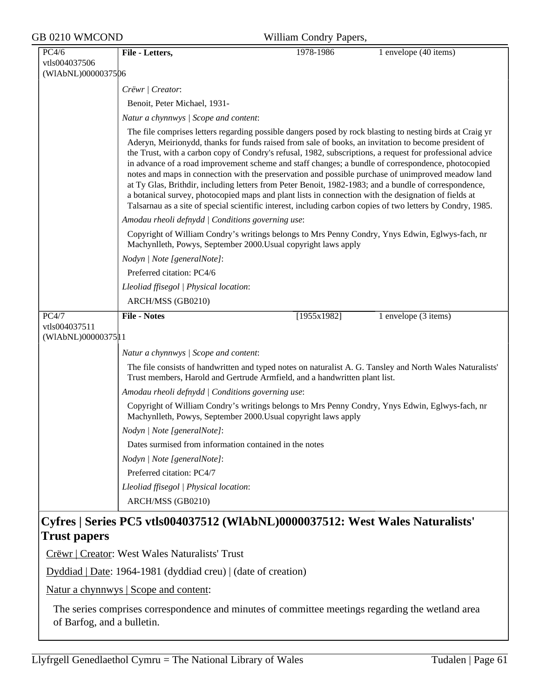| GB 0210 WMCOND     | William Condry Papers,                                 |                                                                                                      |                                                                                                                                                                                                                                                                                                                                                                                                                                                                                                                                                                                                                                                                                                                                                                    |  |
|--------------------|--------------------------------------------------------|------------------------------------------------------------------------------------------------------|--------------------------------------------------------------------------------------------------------------------------------------------------------------------------------------------------------------------------------------------------------------------------------------------------------------------------------------------------------------------------------------------------------------------------------------------------------------------------------------------------------------------------------------------------------------------------------------------------------------------------------------------------------------------------------------------------------------------------------------------------------------------|--|
| PC4/6              | File - Letters,                                        | 1978-1986                                                                                            | 1 envelope (40 items)                                                                                                                                                                                                                                                                                                                                                                                                                                                                                                                                                                                                                                                                                                                                              |  |
| vtls004037506      |                                                        |                                                                                                      |                                                                                                                                                                                                                                                                                                                                                                                                                                                                                                                                                                                                                                                                                                                                                                    |  |
| (WIAbNL)0000037506 |                                                        |                                                                                                      |                                                                                                                                                                                                                                                                                                                                                                                                                                                                                                                                                                                                                                                                                                                                                                    |  |
|                    | Crëwr   Creator:                                       |                                                                                                      |                                                                                                                                                                                                                                                                                                                                                                                                                                                                                                                                                                                                                                                                                                                                                                    |  |
|                    | Benoit, Peter Michael, 1931-                           |                                                                                                      |                                                                                                                                                                                                                                                                                                                                                                                                                                                                                                                                                                                                                                                                                                                                                                    |  |
|                    | Natur a chynnwys / Scope and content:                  |                                                                                                      |                                                                                                                                                                                                                                                                                                                                                                                                                                                                                                                                                                                                                                                                                                                                                                    |  |
|                    |                                                        | a botanical survey, photocopied maps and plant lists in connection with the designation of fields at | The file comprises letters regarding possible dangers posed by rock blasting to nesting birds at Craig yr<br>Aderyn, Meirionydd, thanks for funds raised from sale of books, an invitation to become president of<br>the Trust, with a carbon copy of Condry's refusal, 1982, subscriptions, a request for professional advice<br>in advance of a road improvement scheme and staff changes; a bundle of correspondence, photocopied<br>notes and maps in connection with the preservation and possible purchase of unimproved meadow land<br>at Ty Glas, Brithdir, including letters from Peter Benoit, 1982-1983; and a bundle of correspondence,<br>Talsarnau as a site of special scientific interest, including carbon copies of two letters by Condry, 1985. |  |
|                    | Amodau rheoli defnydd   Conditions governing use:      |                                                                                                      |                                                                                                                                                                                                                                                                                                                                                                                                                                                                                                                                                                                                                                                                                                                                                                    |  |
|                    |                                                        | Machynlleth, Powys, September 2000. Usual copyright laws apply                                       | Copyright of William Condry's writings belongs to Mrs Penny Condry, Ynys Edwin, Eglwys-fach, nr                                                                                                                                                                                                                                                                                                                                                                                                                                                                                                                                                                                                                                                                    |  |
|                    | Nodyn   Note [generalNote]:                            |                                                                                                      |                                                                                                                                                                                                                                                                                                                                                                                                                                                                                                                                                                                                                                                                                                                                                                    |  |
|                    | Preferred citation: PC4/6                              |                                                                                                      |                                                                                                                                                                                                                                                                                                                                                                                                                                                                                                                                                                                                                                                                                                                                                                    |  |
|                    | Lleoliad ffisegol   Physical location:                 |                                                                                                      |                                                                                                                                                                                                                                                                                                                                                                                                                                                                                                                                                                                                                                                                                                                                                                    |  |
|                    | ARCH/MSS (GB0210)                                      |                                                                                                      |                                                                                                                                                                                                                                                                                                                                                                                                                                                                                                                                                                                                                                                                                                                                                                    |  |
| PC4/7              | <b>File - Notes</b>                                    | [1955x1982]                                                                                          | 1 envelope (3 items)                                                                                                                                                                                                                                                                                                                                                                                                                                                                                                                                                                                                                                                                                                                                               |  |
| vtls004037511      |                                                        |                                                                                                      |                                                                                                                                                                                                                                                                                                                                                                                                                                                                                                                                                                                                                                                                                                                                                                    |  |
| (WIAbNL)00000375 1 |                                                        |                                                                                                      |                                                                                                                                                                                                                                                                                                                                                                                                                                                                                                                                                                                                                                                                                                                                                                    |  |
|                    | Natur a chynnwys / Scope and content:                  |                                                                                                      |                                                                                                                                                                                                                                                                                                                                                                                                                                                                                                                                                                                                                                                                                                                                                                    |  |
|                    |                                                        | Trust members, Harold and Gertrude Armfield, and a handwritten plant list.                           | The file consists of handwritten and typed notes on naturalist A. G. Tansley and North Wales Naturalists'                                                                                                                                                                                                                                                                                                                                                                                                                                                                                                                                                                                                                                                          |  |
|                    | Amodau rheoli defnydd   Conditions governing use:      |                                                                                                      |                                                                                                                                                                                                                                                                                                                                                                                                                                                                                                                                                                                                                                                                                                                                                                    |  |
|                    |                                                        | Machynlleth, Powys, September 2000. Usual copyright laws apply                                       | Copyright of William Condry's writings belongs to Mrs Penny Condry, Ynys Edwin, Eglwys-fach, nr                                                                                                                                                                                                                                                                                                                                                                                                                                                                                                                                                                                                                                                                    |  |
|                    | Nodyn   Note [generalNote]:                            |                                                                                                      |                                                                                                                                                                                                                                                                                                                                                                                                                                                                                                                                                                                                                                                                                                                                                                    |  |
|                    | Dates surmised from information contained in the notes |                                                                                                      |                                                                                                                                                                                                                                                                                                                                                                                                                                                                                                                                                                                                                                                                                                                                                                    |  |
|                    | Nodyn   Note [generalNote]:                            |                                                                                                      |                                                                                                                                                                                                                                                                                                                                                                                                                                                                                                                                                                                                                                                                                                                                                                    |  |
|                    | Preferred citation: PC4/7                              |                                                                                                      |                                                                                                                                                                                                                                                                                                                                                                                                                                                                                                                                                                                                                                                                                                                                                                    |  |
|                    | Lleoliad ffisegol   Physical location:                 |                                                                                                      |                                                                                                                                                                                                                                                                                                                                                                                                                                                                                                                                                                                                                                                                                                                                                                    |  |
|                    |                                                        |                                                                                                      |                                                                                                                                                                                                                                                                                                                                                                                                                                                                                                                                                                                                                                                                                                                                                                    |  |

## **Trust papers**

Crëwr | Creator: West Wales Naturalists' Trust

Dyddiad | Date: 1964-1981 (dyddiad creu) | (date of creation)

Natur a chynnwys | Scope and content:

The series comprises correspondence and minutes of committee meetings regarding the wetland area of Barfog, and a bulletin.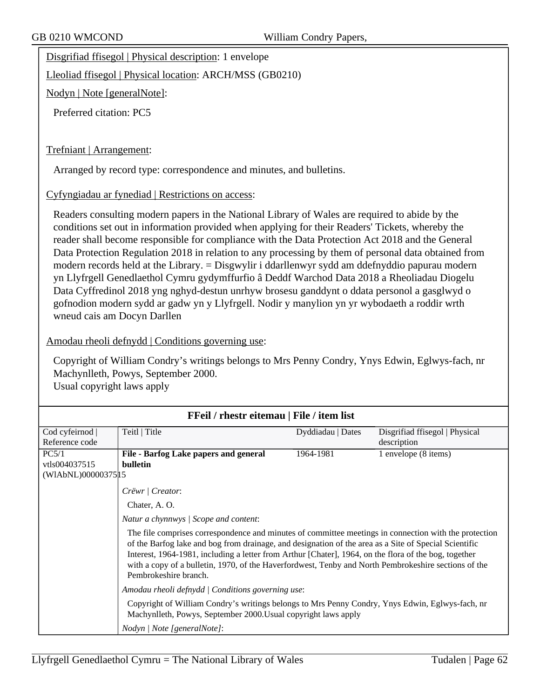Disgrifiad ffisegol | Physical description: 1 envelope

Lleoliad ffisegol | Physical location: ARCH/MSS (GB0210)

Nodyn | Note [generalNote]:

Preferred citation: PC5

#### Trefniant | Arrangement:

Arranged by record type: correspondence and minutes, and bulletins.

Cyfyngiadau ar fynediad | Restrictions on access:

Readers consulting modern papers in the National Library of Wales are required to abide by the conditions set out in information provided when applying for their Readers' Tickets, whereby the reader shall become responsible for compliance with the Data Protection Act 2018 and the General Data Protection Regulation 2018 in relation to any processing by them of personal data obtained from modern records held at the Library. = Disgwylir i ddarllenwyr sydd am ddefnyddio papurau modern yn Llyfrgell Genedlaethol Cymru gydymffurfio â Deddf Warchod Data 2018 a Rheoliadau Diogelu Data Cyffredinol 2018 yng nghyd-destun unrhyw brosesu ganddynt o ddata personol a gasglwyd o gofnodion modern sydd ar gadw yn y Llyfrgell. Nodir y manylion yn yr wybodaeth a roddir wrth wneud cais am Docyn Darllen

#### Amodau rheoli defnydd | Conditions governing use:

Copyright of William Condry's writings belongs to Mrs Penny Condry, Ynys Edwin, Eglwys-fach, nr Machynlleth, Powys, September 2000. Usual copyright laws apply

| FFeil / rhestr eitemau   File / item list |                                                                                                                                                                                                                                                                                                                                                                                                                                                          |                   |                                |  |
|-------------------------------------------|----------------------------------------------------------------------------------------------------------------------------------------------------------------------------------------------------------------------------------------------------------------------------------------------------------------------------------------------------------------------------------------------------------------------------------------------------------|-------------------|--------------------------------|--|
| Cod cyfeirnod                             | Teitl   Title                                                                                                                                                                                                                                                                                                                                                                                                                                            | Dyddiadau   Dates | Disgrifiad ffisegol   Physical |  |
| Reference code                            |                                                                                                                                                                                                                                                                                                                                                                                                                                                          |                   | description                    |  |
| PC5/1                                     | File - Barfog Lake papers and general                                                                                                                                                                                                                                                                                                                                                                                                                    | 1964-1981         | 1 envelope (8 items)           |  |
| vtls004037515                             | <b>bulletin</b>                                                                                                                                                                                                                                                                                                                                                                                                                                          |                   |                                |  |
| (WIAbNL)00000375 15                       |                                                                                                                                                                                                                                                                                                                                                                                                                                                          |                   |                                |  |
|                                           | Crëwr   Creator:                                                                                                                                                                                                                                                                                                                                                                                                                                         |                   |                                |  |
|                                           | Chater, A.O.                                                                                                                                                                                                                                                                                                                                                                                                                                             |                   |                                |  |
|                                           | Natur a chynnwys / Scope and content:                                                                                                                                                                                                                                                                                                                                                                                                                    |                   |                                |  |
|                                           | The file comprises correspondence and minutes of committee meetings in connection with the protection<br>of the Barfog lake and bog from drainage, and designation of the area as a Site of Special Scientific<br>Interest, 1964-1981, including a letter from Arthur [Chater], 1964, on the flora of the bog, together<br>with a copy of a bulletin, 1970, of the Haverfordwest, Tenby and North Pembrokeshire sections of the<br>Pembrokeshire branch. |                   |                                |  |
|                                           | Amodau rheoli defnydd   Conditions governing use:                                                                                                                                                                                                                                                                                                                                                                                                        |                   |                                |  |
|                                           | Copyright of William Condry's writings belongs to Mrs Penny Condry, Ynys Edwin, Eglwys-fach, nr<br>Machynlleth, Powys, September 2000. Usual copyright laws apply                                                                                                                                                                                                                                                                                        |                   |                                |  |
|                                           | Nodyn   Note [generalNote]:                                                                                                                                                                                                                                                                                                                                                                                                                              |                   |                                |  |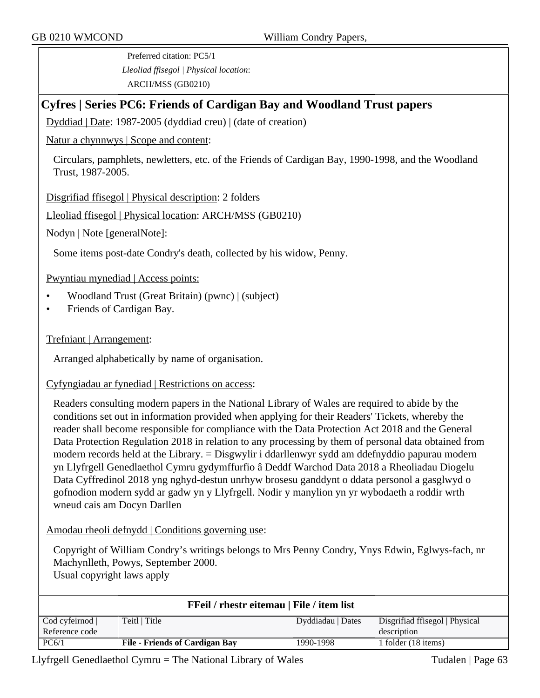Preferred citation: PC5/1 *Lleoliad ffisegol | Physical location*: ARCH/MSS (GB0210)

## **Cyfres | Series PC6: Friends of Cardigan Bay and Woodland Trust papers**

Dyddiad | Date: 1987-2005 (dyddiad creu) | (date of creation)

Natur a chynnwys | Scope and content:

Circulars, pamphlets, newletters, etc. of the Friends of Cardigan Bay, 1990-1998, and the Woodland Trust, 1987-2005.

Disgrifiad ffisegol | Physical description: 2 folders

Lleoliad ffisegol | Physical location: ARCH/MSS (GB0210)

Nodyn | Note [generalNote]:

Some items post-date Condry's death, collected by his widow, Penny.

Pwyntiau mynediad | Access points:

- Woodland Trust (Great Britain) (pwnc) | (subject)
- Friends of Cardigan Bay.

Trefniant | Arrangement:

Arranged alphabetically by name of organisation.

#### Cyfyngiadau ar fynediad | Restrictions on access:

Readers consulting modern papers in the National Library of Wales are required to abide by the conditions set out in information provided when applying for their Readers' Tickets, whereby the reader shall become responsible for compliance with the Data Protection Act 2018 and the General Data Protection Regulation 2018 in relation to any processing by them of personal data obtained from modern records held at the Library. = Disgwylir i ddarllenwyr sydd am ddefnyddio papurau modern yn Llyfrgell Genedlaethol Cymru gydymffurfio â Deddf Warchod Data 2018 a Rheoliadau Diogelu Data Cyffredinol 2018 yng nghyd-destun unrhyw brosesu ganddynt o ddata personol a gasglwyd o gofnodion modern sydd ar gadw yn y Llyfrgell. Nodir y manylion yn yr wybodaeth a roddir wrth wneud cais am Docyn Darllen

Amodau rheoli defnydd | Conditions governing use:

Copyright of William Condry's writings belongs to Mrs Penny Condry, Ynys Edwin, Eglwys-fach, nr Machynlleth, Powys, September 2000. Usual copyright laws apply

| <b>FFeil / rhestr eitemau   File / item list</b> |                                       |                   |                                |  |
|--------------------------------------------------|---------------------------------------|-------------------|--------------------------------|--|
| $\text{Cod}$ cyfeirnod $\vert$                   | Teitl   Title                         | Dyddiadau   Dates | Disgrifiad ffisegol   Physical |  |
| Reference code                                   |                                       |                   | description                    |  |
| PC6/1                                            | <b>File - Friends of Cardigan Bay</b> | 1990-1998         | 1 folder (18 items)            |  |
|                                                  |                                       |                   |                                |  |

Llyfrgell Genedlaethol Cymru = The National Library of Wales Tudalen | Page 63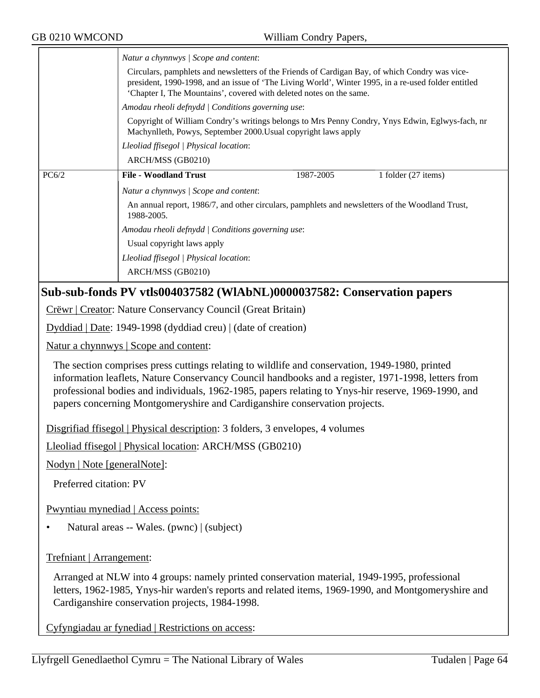| GB 0210 WMCOND                                                                                                                                                                                              | William Condry Papers,                                                                                                                                                                                                                                                                                                                                                                    |  |  |  |
|-------------------------------------------------------------------------------------------------------------------------------------------------------------------------------------------------------------|-------------------------------------------------------------------------------------------------------------------------------------------------------------------------------------------------------------------------------------------------------------------------------------------------------------------------------------------------------------------------------------------|--|--|--|
|                                                                                                                                                                                                             | Natur a chynnwys / Scope and content:                                                                                                                                                                                                                                                                                                                                                     |  |  |  |
|                                                                                                                                                                                                             | Circulars, pamphlets and newsletters of the Friends of Cardigan Bay, of which Condry was vice-<br>president, 1990-1998, and an issue of 'The Living World', Winter 1995, in a re-used folder entitled<br>'Chapter I, The Mountains', covered with deleted notes on the same.                                                                                                              |  |  |  |
|                                                                                                                                                                                                             | Amodau rheoli defnydd   Conditions governing use:                                                                                                                                                                                                                                                                                                                                         |  |  |  |
| Copyright of William Condry's writings belongs to Mrs Penny Condry, Ynys Edwin, Eglwys-fach, nr<br>Machynlleth, Powys, September 2000. Usual copyright laws apply<br>Lleoliad ffisegol   Physical location: |                                                                                                                                                                                                                                                                                                                                                                                           |  |  |  |
|                                                                                                                                                                                                             |                                                                                                                                                                                                                                                                                                                                                                                           |  |  |  |
| PC6/2                                                                                                                                                                                                       | <b>File - Woodland Trust</b><br>1987-2005<br>1 folder (27 items)                                                                                                                                                                                                                                                                                                                          |  |  |  |
|                                                                                                                                                                                                             | Natur a chynnwys / Scope and content:                                                                                                                                                                                                                                                                                                                                                     |  |  |  |
|                                                                                                                                                                                                             | An annual report, 1986/7, and other circulars, pamphlets and newsletters of the Woodland Trust,<br>1988-2005.                                                                                                                                                                                                                                                                             |  |  |  |
|                                                                                                                                                                                                             | Amodau rheoli defnydd   Conditions governing use:                                                                                                                                                                                                                                                                                                                                         |  |  |  |
|                                                                                                                                                                                                             | Usual copyright laws apply                                                                                                                                                                                                                                                                                                                                                                |  |  |  |
|                                                                                                                                                                                                             | Lleoliad ffisegol   Physical location:                                                                                                                                                                                                                                                                                                                                                    |  |  |  |
|                                                                                                                                                                                                             | ARCH/MSS (GB0210)                                                                                                                                                                                                                                                                                                                                                                         |  |  |  |
|                                                                                                                                                                                                             | Sub-sub-fonds PV vtls004037582 (WIAbNL)0000037582: Conservation papers                                                                                                                                                                                                                                                                                                                    |  |  |  |
|                                                                                                                                                                                                             | Crëwr   Creator: Nature Conservancy Council (Great Britain)                                                                                                                                                                                                                                                                                                                               |  |  |  |
|                                                                                                                                                                                                             | $Dyddiad   Date: 1949-1998 (dyddiad creu)   (date of creation)$                                                                                                                                                                                                                                                                                                                           |  |  |  |
|                                                                                                                                                                                                             | <u>Natur a chynnwys</u>   Scope and content:                                                                                                                                                                                                                                                                                                                                              |  |  |  |
|                                                                                                                                                                                                             | The section comprises press cuttings relating to wildlife and conservation, 1949-1980, printed<br>information leaflets, Nature Conservancy Council handbooks and a register, 1971-1998, letters from<br>professional bodies and individuals, 1962-1985, papers relating to Ynys-hir reserve, 1969-1990, and<br>papers concerning Montgomeryshire and Cardiganshire conservation projects. |  |  |  |
|                                                                                                                                                                                                             | Disgrifiad ffisegol   Physical description: 3 folders, 3 envelopes, 4 volumes                                                                                                                                                                                                                                                                                                             |  |  |  |
|                                                                                                                                                                                                             | Lleoliad ffisegol   Physical location: ARCH/MSS (GB0210)                                                                                                                                                                                                                                                                                                                                  |  |  |  |
|                                                                                                                                                                                                             |                                                                                                                                                                                                                                                                                                                                                                                           |  |  |  |
| Nodyn   Note [generalNote]:                                                                                                                                                                                 |                                                                                                                                                                                                                                                                                                                                                                                           |  |  |  |
| Preferred citation: PV                                                                                                                                                                                      |                                                                                                                                                                                                                                                                                                                                                                                           |  |  |  |
|                                                                                                                                                                                                             | Pwyntiau mynediad   Access points:                                                                                                                                                                                                                                                                                                                                                        |  |  |  |
|                                                                                                                                                                                                             | Natural areas -- Wales. (pwnc)   (subject)                                                                                                                                                                                                                                                                                                                                                |  |  |  |
| Trefniant   Arrangement:                                                                                                                                                                                    |                                                                                                                                                                                                                                                                                                                                                                                           |  |  |  |
|                                                                                                                                                                                                             | Arranged at NLW into 4 groups: namely printed conservation material, 1949-1995, professional<br>letters, 1962-1985, Ynys-hir warden's reports and related items, 1969-1990, and Montgomeryshire and<br>Cardiganshire conservation projects, 1984-1998.                                                                                                                                    |  |  |  |
|                                                                                                                                                                                                             | Cyfyngiadau ar fynediad   Restrictions on access:                                                                                                                                                                                                                                                                                                                                         |  |  |  |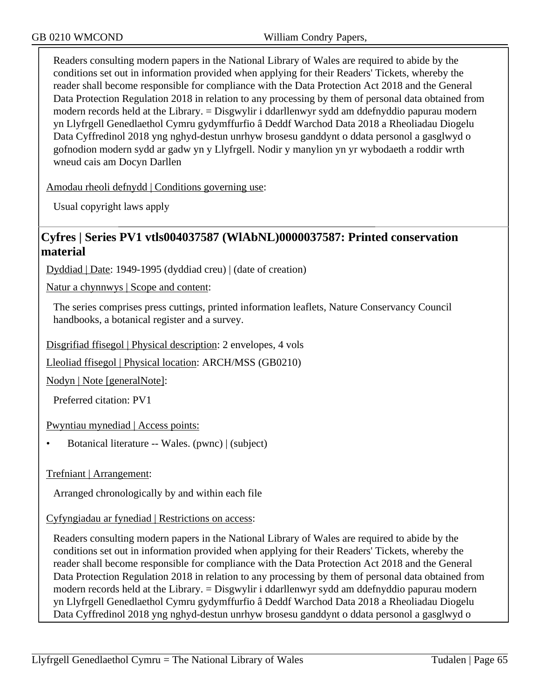Readers consulting modern papers in the National Library of Wales are required to abide by the conditions set out in information provided when applying for their Readers' Tickets, whereby the reader shall become responsible for compliance with the Data Protection Act 2018 and the General Data Protection Regulation 2018 in relation to any processing by them of personal data obtained from modern records held at the Library. = Disgwylir i ddarllenwyr sydd am ddefnyddio papurau modern yn Llyfrgell Genedlaethol Cymru gydymffurfio â Deddf Warchod Data 2018 a Rheoliadau Diogelu Data Cyffredinol 2018 yng nghyd-destun unrhyw brosesu ganddynt o ddata personol a gasglwyd o gofnodion modern sydd ar gadw yn y Llyfrgell. Nodir y manylion yn yr wybodaeth a roddir wrth wneud cais am Docyn Darllen

Amodau rheoli defnydd | Conditions governing use:

Usual copyright laws apply

## **Cyfres | Series PV1 vtls004037587 (WlAbNL)0000037587: Printed conservation material**

Dyddiad | Date: 1949-1995 (dyddiad creu) | (date of creation)

Natur a chynnwys | Scope and content:

The series comprises press cuttings, printed information leaflets, Nature Conservancy Council handbooks, a botanical register and a survey.

Disgrifiad ffisegol | Physical description: 2 envelopes, 4 vols

Lleoliad ffisegol | Physical location: ARCH/MSS (GB0210)

Nodyn | Note [generalNote]:

Preferred citation: PV1

Pwyntiau mynediad | Access points:

• Botanical literature -- Wales. (pwnc) | (subject)

Trefniant | Arrangement:

Arranged chronologically by and within each file

Cyfyngiadau ar fynediad | Restrictions on access:

Readers consulting modern papers in the National Library of Wales are required to abide by the conditions set out in information provided when applying for their Readers' Tickets, whereby the reader shall become responsible for compliance with the Data Protection Act 2018 and the General Data Protection Regulation 2018 in relation to any processing by them of personal data obtained from modern records held at the Library. = Disgwylir i ddarllenwyr sydd am ddefnyddio papurau modern yn Llyfrgell Genedlaethol Cymru gydymffurfio â Deddf Warchod Data 2018 a Rheoliadau Diogelu Data Cyffredinol 2018 yng nghyd-destun unrhyw brosesu ganddynt o ddata personol a gasglwyd o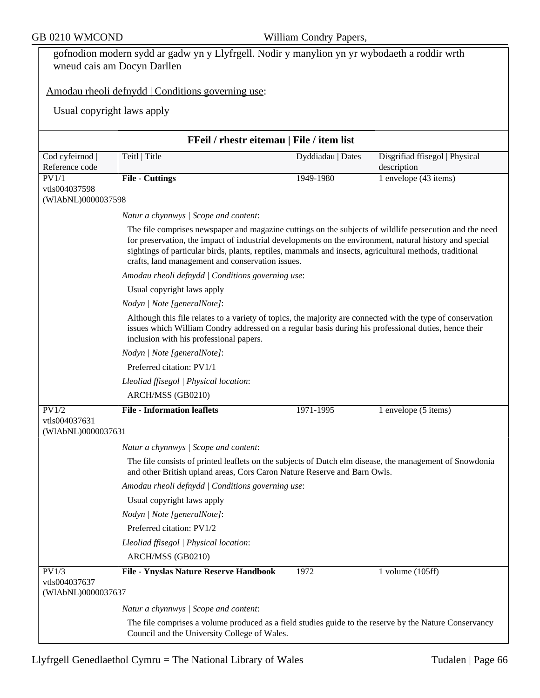| GB 0210 WMCOND                      |                                                                                                                                                                                                                                                                                                                                                                                   | William Condry Papers, |                                |  |  |
|-------------------------------------|-----------------------------------------------------------------------------------------------------------------------------------------------------------------------------------------------------------------------------------------------------------------------------------------------------------------------------------------------------------------------------------|------------------------|--------------------------------|--|--|
|                                     | gofnodion modern sydd ar gadw yn y Llyfrgell. Nodir y manylion yn yr wybodaeth a roddir wrth<br>wneud cais am Docyn Darllen                                                                                                                                                                                                                                                       |                        |                                |  |  |
|                                     | Amodau rheoli defnydd   Conditions governing use:                                                                                                                                                                                                                                                                                                                                 |                        |                                |  |  |
|                                     | Usual copyright laws apply                                                                                                                                                                                                                                                                                                                                                        |                        |                                |  |  |
|                                     | FFeil / rhestr eitemau   File / item list                                                                                                                                                                                                                                                                                                                                         |                        |                                |  |  |
| Cod cyfeirnod                       | Teitl   Title                                                                                                                                                                                                                                                                                                                                                                     | Dyddiadau   Dates      | Disgrifiad ffisegol   Physical |  |  |
| Reference code                      |                                                                                                                                                                                                                                                                                                                                                                                   |                        | description                    |  |  |
| PV1/1                               | File - Cuttings                                                                                                                                                                                                                                                                                                                                                                   | 1949-1980              | 1 envelope (43 items)          |  |  |
| vtls004037598<br>(WIAbNL)0000037598 |                                                                                                                                                                                                                                                                                                                                                                                   |                        |                                |  |  |
|                                     | Natur a chynnwys / Scope and content:                                                                                                                                                                                                                                                                                                                                             |                        |                                |  |  |
|                                     | The file comprises newspaper and magazine cuttings on the subjects of wildlife persecution and the need<br>for preservation, the impact of industrial developments on the environment, natural history and special<br>sightings of particular birds, plants, reptiles, mammals and insects, agricultural methods, traditional<br>crafts, land management and conservation issues. |                        |                                |  |  |
|                                     | Amodau rheoli defnydd   Conditions governing use:<br>Usual copyright laws apply                                                                                                                                                                                                                                                                                                   |                        |                                |  |  |
|                                     |                                                                                                                                                                                                                                                                                                                                                                                   |                        |                                |  |  |
|                                     | Nodyn   Note [generalNote]:                                                                                                                                                                                                                                                                                                                                                       |                        |                                |  |  |
|                                     | Although this file relates to a variety of topics, the majority are connected with the type of conservation<br>issues which William Condry addressed on a regular basis during his professional duties, hence their<br>inclusion with his professional papers.                                                                                                                    |                        |                                |  |  |
|                                     | Nodyn   Note [generalNote]:                                                                                                                                                                                                                                                                                                                                                       |                        |                                |  |  |
|                                     | Preferred citation: PV1/1                                                                                                                                                                                                                                                                                                                                                         |                        |                                |  |  |
|                                     | Lleoliad ffisegol   Physical location:                                                                                                                                                                                                                                                                                                                                            |                        |                                |  |  |
|                                     | ARCH/MSS (GB0210)                                                                                                                                                                                                                                                                                                                                                                 |                        |                                |  |  |
| PV1/2                               | <b>File - Information leaflets</b>                                                                                                                                                                                                                                                                                                                                                | 1971-1995              | 1 envelope (5 items)           |  |  |
| vtls004037631<br>(WIAbNL)0000037681 |                                                                                                                                                                                                                                                                                                                                                                                   |                        |                                |  |  |
|                                     | Natur a chynnwys / Scope and content:                                                                                                                                                                                                                                                                                                                                             |                        |                                |  |  |
|                                     | The file consists of printed leaflets on the subjects of Dutch elm disease, the management of Snowdonia<br>and other British upland areas, Cors Caron Nature Reserve and Barn Owls.                                                                                                                                                                                               |                        |                                |  |  |
|                                     | Amodau rheoli defnydd   Conditions governing use:                                                                                                                                                                                                                                                                                                                                 |                        |                                |  |  |
|                                     | Usual copyright laws apply                                                                                                                                                                                                                                                                                                                                                        |                        |                                |  |  |
|                                     | Nodyn   Note [generalNote]:                                                                                                                                                                                                                                                                                                                                                       |                        |                                |  |  |
|                                     | Preferred citation: PV1/2                                                                                                                                                                                                                                                                                                                                                         |                        |                                |  |  |
|                                     | Lleoliad ffisegol   Physical location:                                                                                                                                                                                                                                                                                                                                            |                        |                                |  |  |
|                                     | ARCH/MSS (GB0210)                                                                                                                                                                                                                                                                                                                                                                 |                        |                                |  |  |
| PV1/3<br>vtls004037637              | File - Ynyslas Nature Reserve Handbook                                                                                                                                                                                                                                                                                                                                            | 1972                   | 1 volume $(105ff)$             |  |  |
| (WIAbNL)0000037687                  |                                                                                                                                                                                                                                                                                                                                                                                   |                        |                                |  |  |
|                                     | Natur a chynnwys / Scope and content:                                                                                                                                                                                                                                                                                                                                             |                        |                                |  |  |
|                                     | The file comprises a volume produced as a field studies guide to the reserve by the Nature Conservancy<br>Council and the University College of Wales.                                                                                                                                                                                                                            |                        |                                |  |  |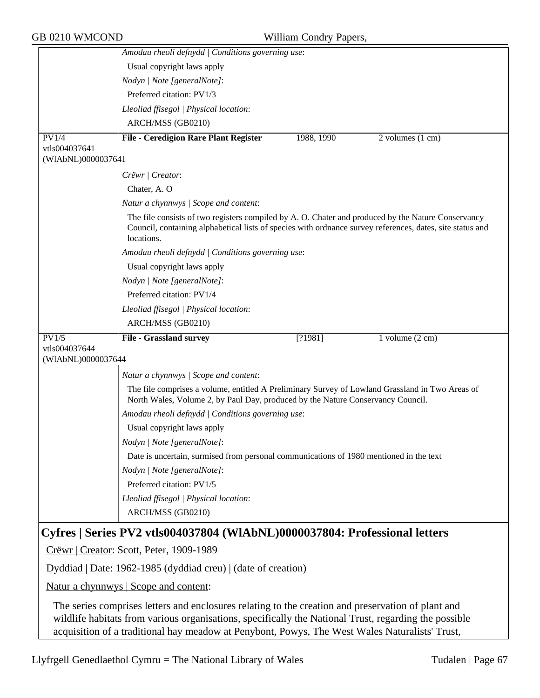|                                                                                                                                                                                                                                                                                                               | Amodau rheoli defnydd   Conditions governing use:                                                                                                                                                                             |  |  |  |
|---------------------------------------------------------------------------------------------------------------------------------------------------------------------------------------------------------------------------------------------------------------------------------------------------------------|-------------------------------------------------------------------------------------------------------------------------------------------------------------------------------------------------------------------------------|--|--|--|
|                                                                                                                                                                                                                                                                                                               | Usual copyright laws apply                                                                                                                                                                                                    |  |  |  |
|                                                                                                                                                                                                                                                                                                               | Nodyn   Note [generalNote]:                                                                                                                                                                                                   |  |  |  |
|                                                                                                                                                                                                                                                                                                               | Preferred citation: PV1/3                                                                                                                                                                                                     |  |  |  |
|                                                                                                                                                                                                                                                                                                               | Lleoliad ffisegol   Physical location:                                                                                                                                                                                        |  |  |  |
|                                                                                                                                                                                                                                                                                                               | ARCH/MSS (GB0210)                                                                                                                                                                                                             |  |  |  |
| PV1/4                                                                                                                                                                                                                                                                                                         | <b>File - Ceredigion Rare Plant Register</b><br>1988, 1990<br>2 volumes (1 cm)                                                                                                                                                |  |  |  |
| vtls004037641<br>(WIAbNL)0000037641                                                                                                                                                                                                                                                                           |                                                                                                                                                                                                                               |  |  |  |
|                                                                                                                                                                                                                                                                                                               | Crëwr   Creator:                                                                                                                                                                                                              |  |  |  |
|                                                                                                                                                                                                                                                                                                               | Chater, A.O.                                                                                                                                                                                                                  |  |  |  |
|                                                                                                                                                                                                                                                                                                               | Natur a chynnwys / Scope and content:                                                                                                                                                                                         |  |  |  |
|                                                                                                                                                                                                                                                                                                               | The file consists of two registers compiled by A. O. Chater and produced by the Nature Conservancy<br>Council, containing alphabetical lists of species with ordnance survey references, dates, site status and<br>locations. |  |  |  |
|                                                                                                                                                                                                                                                                                                               | Amodau rheoli defnydd   Conditions governing use:                                                                                                                                                                             |  |  |  |
|                                                                                                                                                                                                                                                                                                               | Usual copyright laws apply                                                                                                                                                                                                    |  |  |  |
|                                                                                                                                                                                                                                                                                                               | Nodyn   Note [generalNote]:                                                                                                                                                                                                   |  |  |  |
|                                                                                                                                                                                                                                                                                                               | Preferred citation: PV1/4                                                                                                                                                                                                     |  |  |  |
|                                                                                                                                                                                                                                                                                                               | Lleoliad ffisegol   Physical location:                                                                                                                                                                                        |  |  |  |
|                                                                                                                                                                                                                                                                                                               | ARCH/MSS (GB0210)                                                                                                                                                                                                             |  |  |  |
| PV1/5<br>vtls004037644                                                                                                                                                                                                                                                                                        | <b>File - Grassland survey</b><br>[?1981]<br>1 volume $(2 \text{ cm})$                                                                                                                                                        |  |  |  |
| (WIAbNL)00000376#4                                                                                                                                                                                                                                                                                            |                                                                                                                                                                                                                               |  |  |  |
|                                                                                                                                                                                                                                                                                                               | Natur a chynnwys / Scope and content:                                                                                                                                                                                         |  |  |  |
|                                                                                                                                                                                                                                                                                                               | The file comprises a volume, entitled A Preliminary Survey of Lowland Grassland in Two Areas of<br>North Wales, Volume 2, by Paul Day, produced by the Nature Conservancy Council.                                            |  |  |  |
|                                                                                                                                                                                                                                                                                                               | Amodau rheoli defnydd   Conditions governing use:                                                                                                                                                                             |  |  |  |
|                                                                                                                                                                                                                                                                                                               | Usual copyright laws apply                                                                                                                                                                                                    |  |  |  |
|                                                                                                                                                                                                                                                                                                               | Nodyn   Note [generalNote]:                                                                                                                                                                                                   |  |  |  |
|                                                                                                                                                                                                                                                                                                               | Date is uncertain, surmised from personal communications of 1980 mentioned in the text                                                                                                                                        |  |  |  |
|                                                                                                                                                                                                                                                                                                               | Nodyn   Note [generalNote]:                                                                                                                                                                                                   |  |  |  |
|                                                                                                                                                                                                                                                                                                               | Preferred citation: PV1/5                                                                                                                                                                                                     |  |  |  |
|                                                                                                                                                                                                                                                                                                               | Lleoliad ffisegol   Physical location:                                                                                                                                                                                        |  |  |  |
|                                                                                                                                                                                                                                                                                                               | ARCH/MSS (GB0210)                                                                                                                                                                                                             |  |  |  |
| Cyfres   Series PV2 vtls004037804 (WIAbNL)0000037804: Professional letters                                                                                                                                                                                                                                    |                                                                                                                                                                                                                               |  |  |  |
| Crëwr   Creator: Scott, Peter, 1909-1989                                                                                                                                                                                                                                                                      |                                                                                                                                                                                                                               |  |  |  |
| Dyddiad   Date: 1962-1985 (dyddiad creu)   (date of creation)                                                                                                                                                                                                                                                 |                                                                                                                                                                                                                               |  |  |  |
| Natur a chynnwys   Scope and content:                                                                                                                                                                                                                                                                         |                                                                                                                                                                                                                               |  |  |  |
| The series comprises letters and enclosures relating to the creation and preservation of plant and<br>wildlife habitats from various organisations, specifically the National Trust, regarding the possible<br>acquisition of a traditional hay meadow at Penybont, Powys, The West Wales Naturalists' Trust, |                                                                                                                                                                                                                               |  |  |  |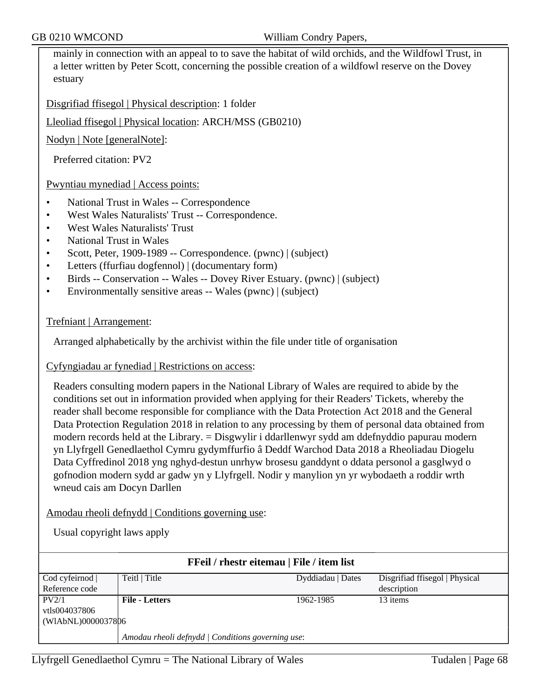mainly in connection with an appeal to to save the habitat of wild orchids, and the Wildfowl Trust, in a letter written by Peter Scott, concerning the possible creation of a wildfowl reserve on the Dovey estuary

Disgrifiad ffisegol | Physical description: 1 folder

Lleoliad ffisegol | Physical location: ARCH/MSS (GB0210)

Nodyn | Note [generalNote]:

Preferred citation: PV2

Pwyntiau mynediad | Access points:

- National Trust in Wales -- Correspondence
- West Wales Naturalists' Trust -- Correspondence.
- West Wales Naturalists' Trust
- National Trust in Wales
- Scott, Peter, 1909-1989 -- Correspondence. (pwnc) | (subject)
- Letters (ffurfiau dogfennol) | (documentary form)
- Birds -- Conservation -- Wales -- Dovey River Estuary. (pwnc) | (subject)
- Environmentally sensitive areas -- Wales (pwnc) | (subject)

#### Trefniant | Arrangement:

Arranged alphabetically by the archivist within the file under title of organisation

#### Cyfyngiadau ar fynediad | Restrictions on access:

Readers consulting modern papers in the National Library of Wales are required to abide by the conditions set out in information provided when applying for their Readers' Tickets, whereby the reader shall become responsible for compliance with the Data Protection Act 2018 and the General Data Protection Regulation 2018 in relation to any processing by them of personal data obtained from modern records held at the Library. = Disgwylir i ddarllenwyr sydd am ddefnyddio papurau modern yn Llyfrgell Genedlaethol Cymru gydymffurfio â Deddf Warchod Data 2018 a Rheoliadau Diogelu Data Cyffredinol 2018 yng nghyd-destun unrhyw brosesu ganddynt o ddata personol a gasglwyd o gofnodion modern sydd ar gadw yn y Llyfrgell. Nodir y manylion yn yr wybodaeth a roddir wrth wneud cais am Docyn Darllen

Amodau rheoli defnydd | Conditions governing use:

Usual copyright laws apply

| <b>FFeil</b> / rhestr eitemau   File / item list  |                       |                   |                                |  |
|---------------------------------------------------|-----------------------|-------------------|--------------------------------|--|
| Cod cyfeirnod                                     | Teitl   Title         | Dyddiadau   Dates | Disgrifiad ffisegol   Physical |  |
| Reference code                                    |                       |                   | description                    |  |
| PV2/1                                             | <b>File - Letters</b> | 1962-1985         | 13 items                       |  |
| vtls004037806                                     |                       |                   |                                |  |
| (WIAbNL)0000037806                                |                       |                   |                                |  |
| Amodau rheoli defnydd   Conditions governing use: |                       |                   |                                |  |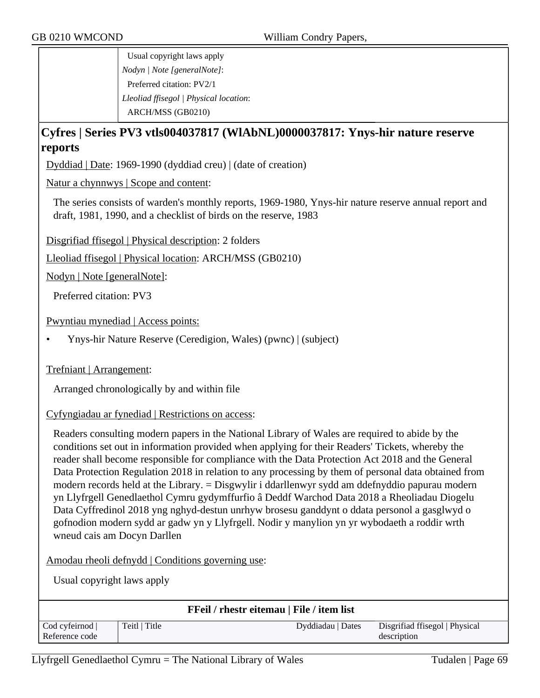Usual copyright laws apply *Nodyn | Note [generalNote]*: Preferred citation: PV2/1 *Lleoliad ffisegol | Physical location*: ARCH/MSS (GB0210)

## **Cyfres | Series PV3 vtls004037817 (WlAbNL)0000037817: Ynys-hir nature reserve reports**

Dyddiad | Date: 1969-1990 (dyddiad creu) | (date of creation)

Natur a chynnwys | Scope and content:

The series consists of warden's monthly reports, 1969-1980, Ynys-hir nature reserve annual report and draft, 1981, 1990, and a checklist of birds on the reserve, 1983

Disgrifiad ffisegol | Physical description: 2 folders

Lleoliad ffisegol | Physical location: ARCH/MSS (GB0210)

Nodyn | Note [generalNote]:

Preferred citation: PV3

Pwyntiau mynediad | Access points:

• Ynys-hir Nature Reserve (Ceredigion, Wales) (pwnc) | (subject)

Trefniant | Arrangement:

Arranged chronologically by and within file

Cyfyngiadau ar fynediad | Restrictions on access:

Readers consulting modern papers in the National Library of Wales are required to abide by the conditions set out in information provided when applying for their Readers' Tickets, whereby the reader shall become responsible for compliance with the Data Protection Act 2018 and the General Data Protection Regulation 2018 in relation to any processing by them of personal data obtained from modern records held at the Library. = Disgwylir i ddarllenwyr sydd am ddefnyddio papurau modern yn Llyfrgell Genedlaethol Cymru gydymffurfio â Deddf Warchod Data 2018 a Rheoliadau Diogelu Data Cyffredinol 2018 yng nghyd-destun unrhyw brosesu ganddynt o ddata personol a gasglwyd o gofnodion modern sydd ar gadw yn y Llyfrgell. Nodir y manylion yn yr wybodaeth a roddir wrth wneud cais am Docyn Darllen

Amodau rheoli defnydd | Conditions governing use:

Usual copyright laws apply

| <b>FFeil</b> / rhestr eitemau   File / item list |               |                   |                                |  |
|--------------------------------------------------|---------------|-------------------|--------------------------------|--|
| Cod cyfeirnod                                    | Teitl   Title | Dyddiadau   Dates | Disgrifiad ffisegol   Physical |  |
| Reference code                                   |               |                   | description                    |  |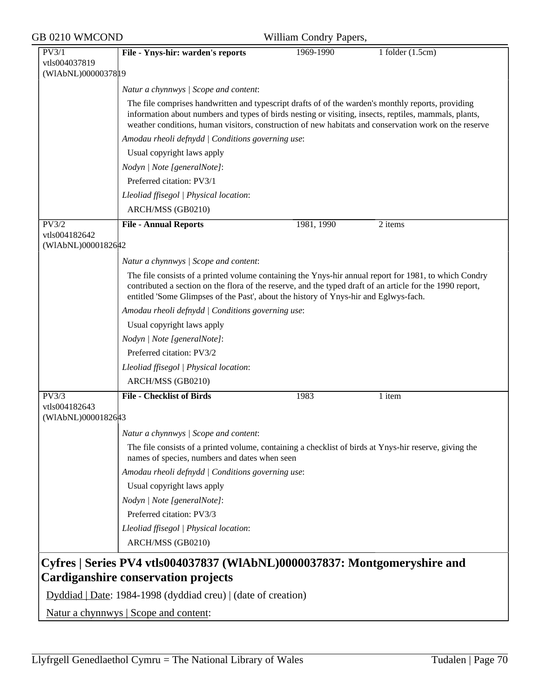| GB 0210 WMCOND                               | William Condry Papers,                                                                                                                                                                                                                                                                                                                                        |            |                    |  |
|----------------------------------------------|---------------------------------------------------------------------------------------------------------------------------------------------------------------------------------------------------------------------------------------------------------------------------------------------------------------------------------------------------------------|------------|--------------------|--|
| PV3/1<br>vtls004037819<br>(WIAbNL)0000037819 | File - Ynys-hir: warden's reports                                                                                                                                                                                                                                                                                                                             | 1969-1990  | 1 folder $(1.5cm)$ |  |
|                                              |                                                                                                                                                                                                                                                                                                                                                               |            |                    |  |
|                                              | Natur a chynnwys / Scope and content:<br>The file comprises handwritten and typescript drafts of of the warden's monthly reports, providing<br>information about numbers and types of birds nesting or visiting, insects, reptiles, mammals, plants,<br>weather conditions, human visitors, construction of new habitats and conservation work on the reserve |            |                    |  |
|                                              | Amodau rheoli defnydd   Conditions governing use:                                                                                                                                                                                                                                                                                                             |            |                    |  |
|                                              | Usual copyright laws apply                                                                                                                                                                                                                                                                                                                                    |            |                    |  |
|                                              | Nodyn   Note [generalNote]:                                                                                                                                                                                                                                                                                                                                   |            |                    |  |
|                                              | Preferred citation: PV3/1                                                                                                                                                                                                                                                                                                                                     |            |                    |  |
|                                              | Lleoliad ffisegol   Physical location:                                                                                                                                                                                                                                                                                                                        |            |                    |  |
|                                              | ARCH/MSS (GB0210)                                                                                                                                                                                                                                                                                                                                             |            |                    |  |
| PV3/2                                        | <b>File - Annual Reports</b>                                                                                                                                                                                                                                                                                                                                  | 1981, 1990 | 2 items            |  |
| vtls004182642<br>(WIAbNL)0000182642          |                                                                                                                                                                                                                                                                                                                                                               |            |                    |  |
|                                              | Natur a chynnwys / Scope and content:                                                                                                                                                                                                                                                                                                                         |            |                    |  |
|                                              | The file consists of a printed volume containing the Ynys-hir annual report for 1981, to which Condry<br>contributed a section on the flora of the reserve, and the typed draft of an article for the 1990 report,<br>entitled 'Some Glimpses of the Past', about the history of Ynys-hir and Eglwys-fach.                                                    |            |                    |  |
|                                              | Amodau rheoli defnydd   Conditions governing use:                                                                                                                                                                                                                                                                                                             |            |                    |  |
|                                              | Usual copyright laws apply                                                                                                                                                                                                                                                                                                                                    |            |                    |  |
|                                              | Nodyn   Note [generalNote]:                                                                                                                                                                                                                                                                                                                                   |            |                    |  |
|                                              | Preferred citation: PV3/2                                                                                                                                                                                                                                                                                                                                     |            |                    |  |
|                                              | Lleoliad ffisegol   Physical location:                                                                                                                                                                                                                                                                                                                        |            |                    |  |
|                                              | ARCH/MSS (GB0210)                                                                                                                                                                                                                                                                                                                                             |            |                    |  |
| PV3/3                                        | <b>File - Checklist of Birds</b>                                                                                                                                                                                                                                                                                                                              | 1983       | 1 item             |  |
| vtls004182643<br>(WIAbNL)0000182643          |                                                                                                                                                                                                                                                                                                                                                               |            |                    |  |
|                                              | Natur a chynnwys / Scope and content:                                                                                                                                                                                                                                                                                                                         |            |                    |  |
|                                              | The file consists of a printed volume, containing a checklist of birds at Ynys-hir reserve, giving the<br>names of species, numbers and dates when seen                                                                                                                                                                                                       |            |                    |  |
|                                              | Amodau rheoli defnydd   Conditions governing use:                                                                                                                                                                                                                                                                                                             |            |                    |  |
|                                              | Usual copyright laws apply                                                                                                                                                                                                                                                                                                                                    |            |                    |  |
|                                              |                                                                                                                                                                                                                                                                                                                                                               |            |                    |  |
|                                              |                                                                                                                                                                                                                                                                                                                                                               |            |                    |  |
|                                              | Nodyn   Note [generalNote]:<br>Preferred citation: PV3/3                                                                                                                                                                                                                                                                                                      |            |                    |  |
|                                              |                                                                                                                                                                                                                                                                                                                                                               |            |                    |  |
|                                              | Lleoliad ffisegol   Physical location:<br>ARCH/MSS (GB0210)                                                                                                                                                                                                                                                                                                   |            |                    |  |

Natur a chynnwys | Scope and content: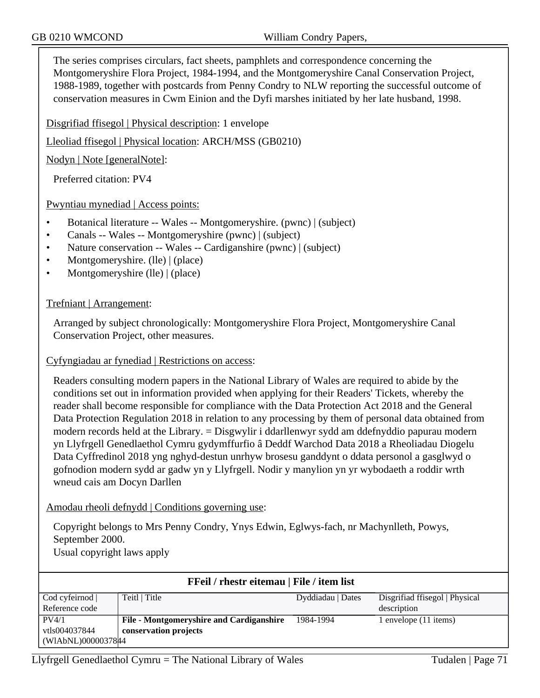The series comprises circulars, fact sheets, pamphlets and correspondence concerning the Montgomeryshire Flora Project, 1984-1994, and the Montgomeryshire Canal Conservation Project, 1988-1989, together with postcards from Penny Condry to NLW reporting the successful outcome of conservation measures in Cwm Einion and the Dyfi marshes initiated by her late husband, 1998.

Disgrifiad ffisegol | Physical description: 1 envelope

Lleoliad ffisegol | Physical location: ARCH/MSS (GB0210)

Nodyn | Note [generalNote]:

Preferred citation: PV4

Pwyntiau mynediad | Access points:

- Botanical literature -- Wales -- Montgomeryshire. (pwnc) | (subject)
- Canals -- Wales -- Montgomeryshire (pwnc) | (subject)
- Nature conservation -- Wales -- Cardiganshire (pwnc) | (subject)
- Montgomeryshire. (lle) | (place)
- Montgomeryshire (lle) | (place)

Trefniant | Arrangement:

Arranged by subject chronologically: Montgomeryshire Flora Project, Montgomeryshire Canal Conservation Project, other measures.

Cyfyngiadau ar fynediad | Restrictions on access:

Readers consulting modern papers in the National Library of Wales are required to abide by the conditions set out in information provided when applying for their Readers' Tickets, whereby the reader shall become responsible for compliance with the Data Protection Act 2018 and the General Data Protection Regulation 2018 in relation to any processing by them of personal data obtained from modern records held at the Library. = Disgwylir i ddarllenwyr sydd am ddefnyddio papurau modern yn Llyfrgell Genedlaethol Cymru gydymffurfio â Deddf Warchod Data 2018 a Rheoliadau Diogelu Data Cyffredinol 2018 yng nghyd-destun unrhyw brosesu ganddynt o ddata personol a gasglwyd o gofnodion modern sydd ar gadw yn y Llyfrgell. Nodir y manylion yn yr wybodaeth a roddir wrth wneud cais am Docyn Darllen

Amodau rheoli defnydd | Conditions governing use:

Copyright belongs to Mrs Penny Condry, Ynys Edwin, Eglwys-fach, nr Machynlleth, Powys, September 2000.

Usual copyright laws apply

| <b>FFeil</b> / rhestr eitemau   File / item list |                                          |                   |                                |  |  |
|--------------------------------------------------|------------------------------------------|-------------------|--------------------------------|--|--|
| Cod cyfeirnod                                    | Teitl   Title                            | Dyddiadau   Dates | Disgrifiad ffisegol   Physical |  |  |
| Reference code                                   |                                          |                   | description                    |  |  |
| PV4/1                                            | File - Montgomeryshire and Cardiganshire | 1984-1994         | l envelope (11 items)          |  |  |
| vtls004037844                                    | conservation projects                    |                   |                                |  |  |
| (WIAbNL)0000037844                               |                                          |                   |                                |  |  |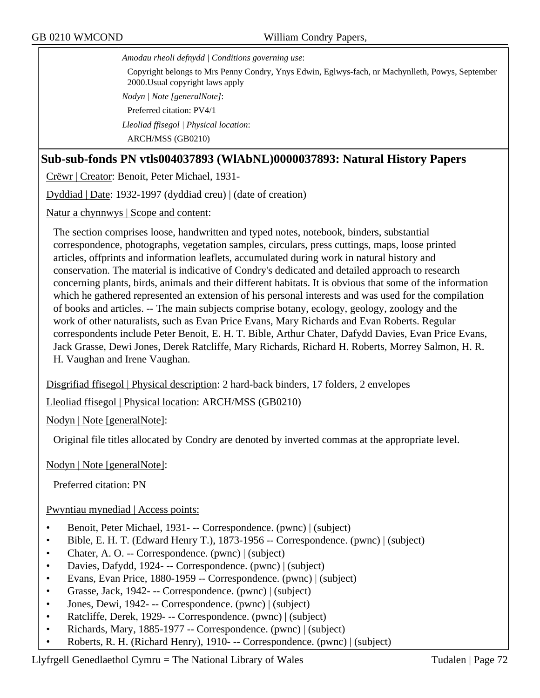*Amodau rheoli defnydd | Conditions governing use*:

Copyright belongs to Mrs Penny Condry, Ynys Edwin, Eglwys-fach, nr Machynlleth, Powys, September 2000.Usual copyright laws apply *Nodyn | Note [generalNote]*: Preferred citation: PV4/1 *Lleoliad ffisegol | Physical location*:

ARCH/MSS (GB0210)

## **Sub-sub-fonds PN vtls004037893 (WlAbNL)0000037893: Natural History Papers**

Crëwr | Creator: Benoit, Peter Michael, 1931-

Dyddiad | Date: 1932-1997 (dyddiad creu) | (date of creation)

Natur a chynnwys | Scope and content:

The section comprises loose, handwritten and typed notes, notebook, binders, substantial correspondence, photographs, vegetation samples, circulars, press cuttings, maps, loose printed articles, offprints and information leaflets, accumulated during work in natural history and conservation. The material is indicative of Condry's dedicated and detailed approach to research concerning plants, birds, animals and their different habitats. It is obvious that some of the information which he gathered represented an extension of his personal interests and was used for the compilation of books and articles. -- The main subjects comprise botany, ecology, geology, zoology and the work of other naturalists, such as Evan Price Evans, Mary Richards and Evan Roberts. Regular correspondents include Peter Benoit, E. H. T. Bible, Arthur Chater, Dafydd Davies, Evan Price Evans, Jack Grasse, Dewi Jones, Derek Ratcliffe, Mary Richards, Richard H. Roberts, Morrey Salmon, H. R. H. Vaughan and Irene Vaughan.

Disgrifiad ffisegol | Physical description: 2 hard-back binders, 17 folders, 2 envelopes

Lleoliad ffisegol | Physical location: ARCH/MSS (GB0210)

Nodyn | Note [generalNote]:

Original file titles allocated by Condry are denoted by inverted commas at the appropriate level.

Nodyn | Note [generalNote]:

Preferred citation: PN

#### Pwyntiau mynediad | Access points:

- Benoit, Peter Michael, 1931 - Correspondence. (pwnc) | (subject)
- Bible, E. H. T. (Edward Henry T.), 1873-1956 -- Correspondence. (pwnc) | (subject)
- Chater, A. O. -- Correspondence. (pwnc) | (subject)
- Davies, Dafydd, 1924 - Correspondence. (pwnc) | (subject)
- Evans, Evan Price, 1880-1959 -- Correspondence. (pwnc) | (subject)
- Grasse, Jack, 1942- -- Correspondence. (pwnc) | (subject)
- Jones, Dewi, 1942- -- Correspondence. (pwnc) | (subject)
- Ratcliffe, Derek, 1929- -- Correspondence. (pwnc) | (subject)
- Richards, Mary, 1885-1977 -- Correspondence. (pwnc) | (subject)
- Roberts, R. H. (Richard Henry), 1910- -- Correspondence. (pwnc) | (subject)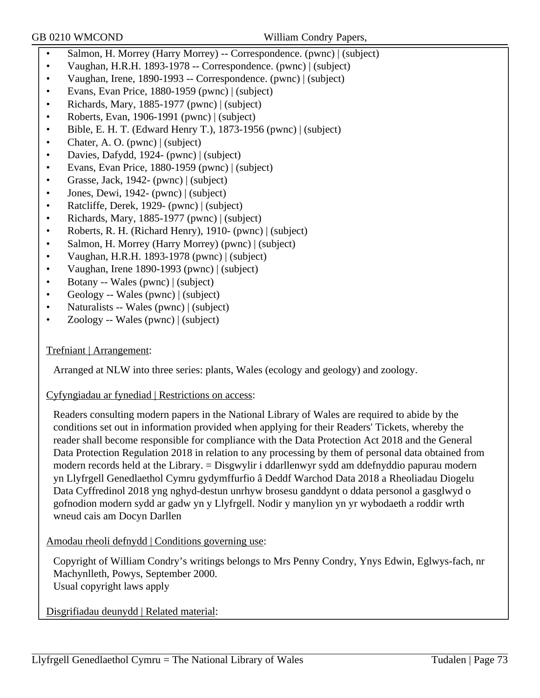- Salmon, H. Morrey (Harry Morrey) -- Correspondence. (pwnc) | (subject)
- Vaughan, H.R.H. 1893-1978 -- Correspondence. (pwnc) | (subject)
- Vaughan, Irene, 1890-1993 -- Correspondence. (pwnc) | (subject)
- Evans, Evan Price, 1880-1959 (pwnc) | (subject)
- Richards, Mary, 1885-1977 (pwnc) | (subject)
- Roberts, Evan, 1906-1991 (pwnc) | (subject)
- Bible, E. H. T. (Edward Henry T.), 1873-1956 (pwnc) | (subject)
- Chater, A. O. (pwnc) | (subject)
- Davies, Dafydd, 1924- (pwnc) | (subject)
- Evans, Evan Price, 1880-1959 (pwnc) | (subject)
- Grasse, Jack, 1942- (pwnc) | (subject)
- Jones, Dewi, 1942- (pwnc) | (subject)
- Ratcliffe, Derek, 1929- (pwnc) | (subject)
- Richards, Mary, 1885-1977 (pwnc) | (subject)
- Roberts, R. H. (Richard Henry), 1910- (pwnc) | (subject)
- Salmon, H. Morrey (Harry Morrey) (pwnc) | (subject)
- Vaughan, H.R.H. 1893-1978 (pwnc) | (subject)
- Vaughan, Irene 1890-1993 (pwnc) | (subject)
- Botany -- Wales (pwnc) | (subject)
- Geology -- Wales (pwnc) | (subject)
- Naturalists -- Wales (pwnc) | (subject)
- Zoology -- Wales (pwnc) | (subject)

### Trefniant | Arrangement:

Arranged at NLW into three series: plants, Wales (ecology and geology) and zoology.

Cyfyngiadau ar fynediad | Restrictions on access:

Readers consulting modern papers in the National Library of Wales are required to abide by the conditions set out in information provided when applying for their Readers' Tickets, whereby the reader shall become responsible for compliance with the Data Protection Act 2018 and the General Data Protection Regulation 2018 in relation to any processing by them of personal data obtained from modern records held at the Library. = Disgwylir i ddarllenwyr sydd am ddefnyddio papurau modern yn Llyfrgell Genedlaethol Cymru gydymffurfio â Deddf Warchod Data 2018 a Rheoliadau Diogelu Data Cyffredinol 2018 yng nghyd-destun unrhyw brosesu ganddynt o ddata personol a gasglwyd o gofnodion modern sydd ar gadw yn y Llyfrgell. Nodir y manylion yn yr wybodaeth a roddir wrth wneud cais am Docyn Darllen

Amodau rheoli defnydd | Conditions governing use:

Copyright of William Condry's writings belongs to Mrs Penny Condry, Ynys Edwin, Eglwys-fach, nr Machynlleth, Powys, September 2000. Usual copyright laws apply

Disgrifiadau deunydd | Related material: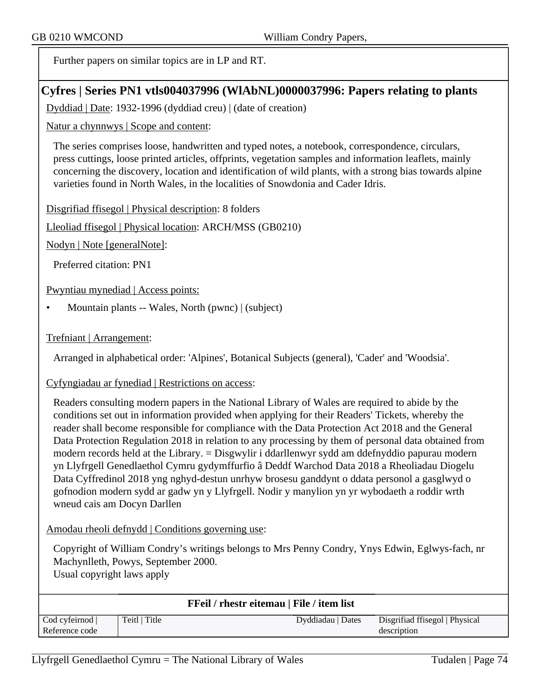Further papers on similar topics are in LP and RT.

# **Cyfres | Series PN1 vtls004037996 (WlAbNL)0000037996: Papers relating to plants**

Dyddiad | Date: 1932-1996 (dyddiad creu) | (date of creation)

Natur a chynnwys | Scope and content:

The series comprises loose, handwritten and typed notes, a notebook, correspondence, circulars, press cuttings, loose printed articles, offprints, vegetation samples and information leaflets, mainly concerning the discovery, location and identification of wild plants, with a strong bias towards alpine varieties found in North Wales, in the localities of Snowdonia and Cader Idris.

Disgrifiad ffisegol | Physical description: 8 folders

Lleoliad ffisegol | Physical location: ARCH/MSS (GB0210)

Nodyn | Note [generalNote]:

Preferred citation: PN1

Pwyntiau mynediad | Access points:

• Mountain plants -- Wales, North (pwnc) | (subject)

#### Trefniant | Arrangement:

Arranged in alphabetical order: 'Alpines', Botanical Subjects (general), 'Cader' and 'Woodsia'.

Cyfyngiadau ar fynediad | Restrictions on access:

Readers consulting modern papers in the National Library of Wales are required to abide by the conditions set out in information provided when applying for their Readers' Tickets, whereby the reader shall become responsible for compliance with the Data Protection Act 2018 and the General Data Protection Regulation 2018 in relation to any processing by them of personal data obtained from modern records held at the Library. = Disgwylir i ddarllenwyr sydd am ddefnyddio papurau modern yn Llyfrgell Genedlaethol Cymru gydymffurfio â Deddf Warchod Data 2018 a Rheoliadau Diogelu Data Cyffredinol 2018 yng nghyd-destun unrhyw brosesu ganddynt o ddata personol a gasglwyd o gofnodion modern sydd ar gadw yn y Llyfrgell. Nodir y manylion yn yr wybodaeth a roddir wrth wneud cais am Docyn Darllen

Amodau rheoli defnydd | Conditions governing use:

Copyright of William Condry's writings belongs to Mrs Penny Condry, Ynys Edwin, Eglwys-fach, nr Machynlleth, Powys, September 2000. Usual copyright laws apply

| <b>FFeil / rhestr eitemau   File / item list</b> |               |                   |                                |
|--------------------------------------------------|---------------|-------------------|--------------------------------|
| Cod cyfeirnod                                    | Teitl   Title | Dyddiadau   Dates | Disgrifiad ffisegol   Physical |
| Reference code                                   |               |                   | description                    |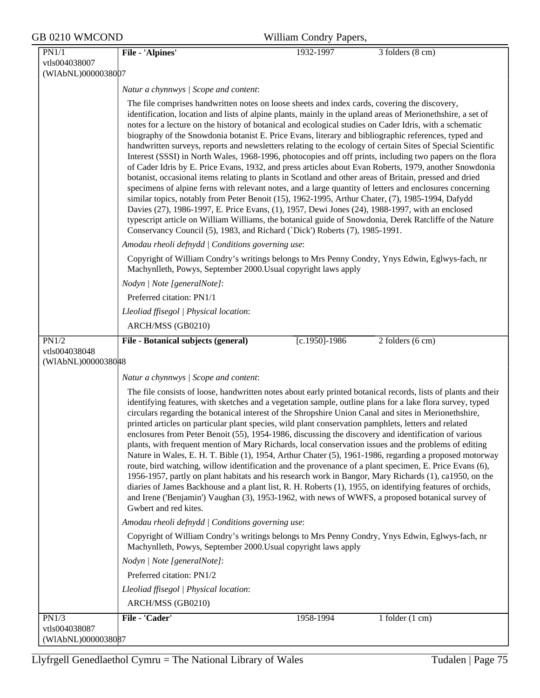| GB 0210 WMCOND                      |                                                                                                                                                                                                                                                                                                                                                                                                                                                                                                                                                                                                                                                                                                                                                                                                                 | William Condry Papers, |                                                                                                                                                                                                                                                                                                                                                                                                                                                                                                                                                                                                                                                                                                                                                                                                                                                                                      |
|-------------------------------------|-----------------------------------------------------------------------------------------------------------------------------------------------------------------------------------------------------------------------------------------------------------------------------------------------------------------------------------------------------------------------------------------------------------------------------------------------------------------------------------------------------------------------------------------------------------------------------------------------------------------------------------------------------------------------------------------------------------------------------------------------------------------------------------------------------------------|------------------------|--------------------------------------------------------------------------------------------------------------------------------------------------------------------------------------------------------------------------------------------------------------------------------------------------------------------------------------------------------------------------------------------------------------------------------------------------------------------------------------------------------------------------------------------------------------------------------------------------------------------------------------------------------------------------------------------------------------------------------------------------------------------------------------------------------------------------------------------------------------------------------------|
| PN1/1<br>vtls004038007              | <b>File - 'Alpines'</b>                                                                                                                                                                                                                                                                                                                                                                                                                                                                                                                                                                                                                                                                                                                                                                                         | 1932-1997              | 3 folders (8 cm)                                                                                                                                                                                                                                                                                                                                                                                                                                                                                                                                                                                                                                                                                                                                                                                                                                                                     |
| (WIAbNL)0000038007                  |                                                                                                                                                                                                                                                                                                                                                                                                                                                                                                                                                                                                                                                                                                                                                                                                                 |                        |                                                                                                                                                                                                                                                                                                                                                                                                                                                                                                                                                                                                                                                                                                                                                                                                                                                                                      |
|                                     | Natur a chynnwys / Scope and content:<br>The file comprises handwritten notes on loose sheets and index cards, covering the discovery,<br>notes for a lecture on the history of botanical and ecological studies on Cader Idris, with a schematic<br>biography of the Snowdonia botanist E. Price Evans, literary and bibliographic references, typed and<br>botanist, occasional items relating to plants in Scotland and other areas of Britain, pressed and dried<br>similar topics, notably from Peter Benoit (15), 1962-1995, Arthur Chater, (7), 1985-1994, Dafydd<br>Davies (27), 1986-1997, E. Price Evans, (1), 1957, Dewi Jones (24), 1988-1997, with an enclosed<br>Conservancy Council (5), 1983, and Richard ('Dick') Roberts (7), 1985-1991.<br>Amodau rheoli defnydd   Conditions governing use: |                        | identification, location and lists of alpine plants, mainly in the upland areas of Merionethshire, a set of<br>handwritten surveys, reports and newsletters relating to the ecology of certain Sites of Special Scientific<br>Interest (SSSI) in North Wales, 1968-1996, photocopies and off prints, including two papers on the flora<br>of Cader Idris by E. Price Evans, 1932, and press articles about Evan Roberts, 1979, another Snowdonia<br>specimens of alpine ferns with relevant notes, and a large quantity of letters and enclosures concerning<br>typescript article on William Williams, the botanical guide of Snowdonia, Derek Ratcliffe of the Nature                                                                                                                                                                                                              |
|                                     | Machynlleth, Powys, September 2000. Usual copyright laws apply                                                                                                                                                                                                                                                                                                                                                                                                                                                                                                                                                                                                                                                                                                                                                  |                        | Copyright of William Condry's writings belongs to Mrs Penny Condry, Ynys Edwin, Eglwys-fach, nr                                                                                                                                                                                                                                                                                                                                                                                                                                                                                                                                                                                                                                                                                                                                                                                      |
|                                     | Nodyn   Note [generalNote]:                                                                                                                                                                                                                                                                                                                                                                                                                                                                                                                                                                                                                                                                                                                                                                                     |                        |                                                                                                                                                                                                                                                                                                                                                                                                                                                                                                                                                                                                                                                                                                                                                                                                                                                                                      |
|                                     | Preferred citation: PN1/1                                                                                                                                                                                                                                                                                                                                                                                                                                                                                                                                                                                                                                                                                                                                                                                       |                        |                                                                                                                                                                                                                                                                                                                                                                                                                                                                                                                                                                                                                                                                                                                                                                                                                                                                                      |
|                                     | Lleoliad ffisegol   Physical location:                                                                                                                                                                                                                                                                                                                                                                                                                                                                                                                                                                                                                                                                                                                                                                          |                        |                                                                                                                                                                                                                                                                                                                                                                                                                                                                                                                                                                                                                                                                                                                                                                                                                                                                                      |
|                                     | ARCH/MSS (GB0210)                                                                                                                                                                                                                                                                                                                                                                                                                                                                                                                                                                                                                                                                                                                                                                                               |                        |                                                                                                                                                                                                                                                                                                                                                                                                                                                                                                                                                                                                                                                                                                                                                                                                                                                                                      |
| PN1/2                               | File - Botanical subjects (general)                                                                                                                                                                                                                                                                                                                                                                                                                                                                                                                                                                                                                                                                                                                                                                             | $[c.1950] - 1986$      | 2 folders (6 cm)                                                                                                                                                                                                                                                                                                                                                                                                                                                                                                                                                                                                                                                                                                                                                                                                                                                                     |
| vtls004038048<br>(WIAbNL)0000038048 |                                                                                                                                                                                                                                                                                                                                                                                                                                                                                                                                                                                                                                                                                                                                                                                                                 |                        |                                                                                                                                                                                                                                                                                                                                                                                                                                                                                                                                                                                                                                                                                                                                                                                                                                                                                      |
|                                     | Natur a chynnwys / Scope and content:                                                                                                                                                                                                                                                                                                                                                                                                                                                                                                                                                                                                                                                                                                                                                                           |                        |                                                                                                                                                                                                                                                                                                                                                                                                                                                                                                                                                                                                                                                                                                                                                                                                                                                                                      |
|                                     | circulars regarding the botanical interest of the Shropshire Union Canal and sites in Merionethshire,<br>printed articles on particular plant species, wild plant conservation pamphlets, letters and related<br>enclosures from Peter Benoit (55), 1954-1986, discussing the discovery and identification of various<br>Gwbert and red kites.                                                                                                                                                                                                                                                                                                                                                                                                                                                                  |                        | The file consists of loose, handwritten notes about early printed botanical records, lists of plants and their<br>identifying features, with sketches and a vegetation sample, outline plans for a lake flora survey, typed<br>plants, with frequent mention of Mary Richards, local conservation issues and the problems of editing<br>Nature in Wales, E. H. T. Bible (1), 1954, Arthur Chater (5), 1961-1986, regarding a proposed motorway<br>route, bird watching, willow identification and the provenance of a plant specimen, E. Price Evans (6),<br>1956-1957, partly on plant habitats and his research work in Bangor, Mary Richards (1), ca1950, on the<br>diaries of James Backhouse and a plant list, R. H. Roberts (1), 1955, on identifying features of orchids,<br>and Irene ('Benjamin') Vaughan (3), 1953-1962, with news of WWFS, a proposed botanical survey of |
|                                     | Amodau rheoli defnydd   Conditions governing use:                                                                                                                                                                                                                                                                                                                                                                                                                                                                                                                                                                                                                                                                                                                                                               |                        |                                                                                                                                                                                                                                                                                                                                                                                                                                                                                                                                                                                                                                                                                                                                                                                                                                                                                      |
|                                     | Machynlleth, Powys, September 2000. Usual copyright laws apply                                                                                                                                                                                                                                                                                                                                                                                                                                                                                                                                                                                                                                                                                                                                                  |                        | Copyright of William Condry's writings belongs to Mrs Penny Condry, Ynys Edwin, Eglwys-fach, nr                                                                                                                                                                                                                                                                                                                                                                                                                                                                                                                                                                                                                                                                                                                                                                                      |
|                                     | Nodyn   Note [generalNote]:                                                                                                                                                                                                                                                                                                                                                                                                                                                                                                                                                                                                                                                                                                                                                                                     |                        |                                                                                                                                                                                                                                                                                                                                                                                                                                                                                                                                                                                                                                                                                                                                                                                                                                                                                      |
|                                     | Preferred citation: PN1/2                                                                                                                                                                                                                                                                                                                                                                                                                                                                                                                                                                                                                                                                                                                                                                                       |                        |                                                                                                                                                                                                                                                                                                                                                                                                                                                                                                                                                                                                                                                                                                                                                                                                                                                                                      |
|                                     |                                                                                                                                                                                                                                                                                                                                                                                                                                                                                                                                                                                                                                                                                                                                                                                                                 |                        |                                                                                                                                                                                                                                                                                                                                                                                                                                                                                                                                                                                                                                                                                                                                                                                                                                                                                      |
|                                     | Lleoliad ffisegol   Physical location:                                                                                                                                                                                                                                                                                                                                                                                                                                                                                                                                                                                                                                                                                                                                                                          |                        |                                                                                                                                                                                                                                                                                                                                                                                                                                                                                                                                                                                                                                                                                                                                                                                                                                                                                      |
|                                     | ARCH/MSS (GB0210)                                                                                                                                                                                                                                                                                                                                                                                                                                                                                                                                                                                                                                                                                                                                                                                               |                        |                                                                                                                                                                                                                                                                                                                                                                                                                                                                                                                                                                                                                                                                                                                                                                                                                                                                                      |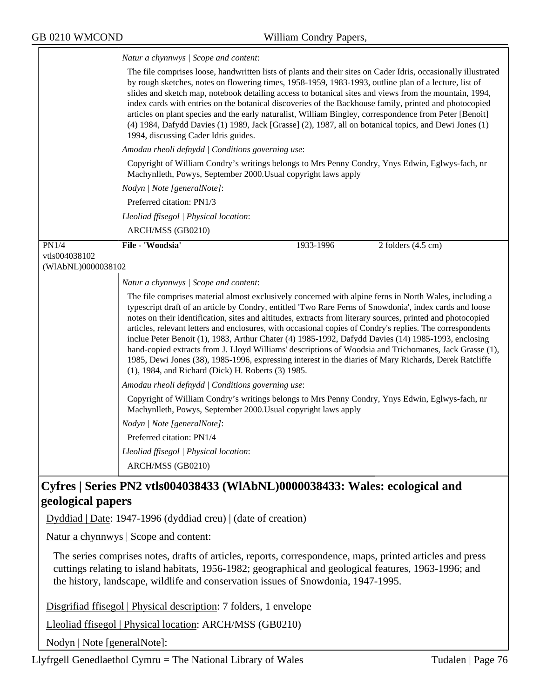ᅮ

| The file comprises loose, handwritten lists of plants and their sites on Cader Idris, occasionally illustrated<br>by rough sketches, notes on flowering times, 1958-1959, 1983-1993, outline plan of a lecture, list of<br>slides and sketch map, notebook detailing access to botanical sites and views from the mountain, 1994,<br>index cards with entries on the botanical discoveries of the Backhouse family, printed and photocopied<br>articles on plant species and the early naturalist, William Bingley, correspondence from Peter [Benoit]<br>(4) 1984, Dafydd Davies (1) 1989, Jack [Grasse] (2), 1987, all on botanical topics, and Dewi Jones (1)<br>1994, discussing Cader Idris guides.<br>Amodau rheoli defnydd   Conditions governing use:<br>Copyright of William Condry's writings belongs to Mrs Penny Condry, Ynys Edwin, Eglwys-fach, nr<br>Machynlleth, Powys, September 2000. Usual copyright laws apply<br>Nodyn   Note [generalNote]:<br>Preferred citation: PN1/3<br>Lleoliad ffisegol   Physical location:<br>ARCH/MSS (GB0210)<br>File - 'Woodsia'<br>PN1/4<br>1933-1996<br>2 folders $(4.5 \text{ cm})$<br>vtls004038102<br>(WIAbNL)0000038102<br>Natur a chynnwys / Scope and content:<br>The file comprises material almost exclusively concerned with alpine ferns in North Wales, including a<br>typescript draft of an article by Condry, entitled 'Two Rare Ferns of Snowdonia', index cards and loose<br>notes on their identification, sites and altitudes, extracts from literary sources, printed and photocopied<br>articles, relevant letters and enclosures, with occasional copies of Condry's replies. The correspondents<br>inclue Peter Benoit (1), 1983, Arthur Chater (4) 1985-1992, Dafydd Davies (14) 1985-1993, enclosing<br>hand-copied extracts from J. Lloyd Williams' descriptions of Woodsia and Trichomanes, Jack Grasse (1),<br>1985, Dewi Jones (38), 1985-1996, expressing interest in the diaries of Mary Richards, Derek Ratcliffe<br>(1), 1984, and Richard (Dick) H. Roberts (3) 1985.<br>Amodau rheoli defnydd   Conditions governing use:<br>Copyright of William Condry's writings belongs to Mrs Penny Condry, Ynys Edwin, Eglwys-fach, nr<br>Machynlleth, Powys, September 2000. Usual copyright laws apply<br>Nodyn   Note [generalNote]:<br>Preferred citation: PN1/4<br>Lleoliad ffisegol   Physical location:<br>ARCH/MSS (GB0210) | Natur a chynnwys / Scope and content: |  |  |  |  |
|----------------------------------------------------------------------------------------------------------------------------------------------------------------------------------------------------------------------------------------------------------------------------------------------------------------------------------------------------------------------------------------------------------------------------------------------------------------------------------------------------------------------------------------------------------------------------------------------------------------------------------------------------------------------------------------------------------------------------------------------------------------------------------------------------------------------------------------------------------------------------------------------------------------------------------------------------------------------------------------------------------------------------------------------------------------------------------------------------------------------------------------------------------------------------------------------------------------------------------------------------------------------------------------------------------------------------------------------------------------------------------------------------------------------------------------------------------------------------------------------------------------------------------------------------------------------------------------------------------------------------------------------------------------------------------------------------------------------------------------------------------------------------------------------------------------------------------------------------------------------------------------------------------------------------------------------------------------------------------------------------------------------------------------------------------------------------------------------------------------------------------------------------------------------------------------------------------------------------------------------------------------------------------------------------------------------------------------------------------------------------------------------------------------|---------------------------------------|--|--|--|--|
|                                                                                                                                                                                                                                                                                                                                                                                                                                                                                                                                                                                                                                                                                                                                                                                                                                                                                                                                                                                                                                                                                                                                                                                                                                                                                                                                                                                                                                                                                                                                                                                                                                                                                                                                                                                                                                                                                                                                                                                                                                                                                                                                                                                                                                                                                                                                                                                                                |                                       |  |  |  |  |
|                                                                                                                                                                                                                                                                                                                                                                                                                                                                                                                                                                                                                                                                                                                                                                                                                                                                                                                                                                                                                                                                                                                                                                                                                                                                                                                                                                                                                                                                                                                                                                                                                                                                                                                                                                                                                                                                                                                                                                                                                                                                                                                                                                                                                                                                                                                                                                                                                |                                       |  |  |  |  |
|                                                                                                                                                                                                                                                                                                                                                                                                                                                                                                                                                                                                                                                                                                                                                                                                                                                                                                                                                                                                                                                                                                                                                                                                                                                                                                                                                                                                                                                                                                                                                                                                                                                                                                                                                                                                                                                                                                                                                                                                                                                                                                                                                                                                                                                                                                                                                                                                                |                                       |  |  |  |  |
|                                                                                                                                                                                                                                                                                                                                                                                                                                                                                                                                                                                                                                                                                                                                                                                                                                                                                                                                                                                                                                                                                                                                                                                                                                                                                                                                                                                                                                                                                                                                                                                                                                                                                                                                                                                                                                                                                                                                                                                                                                                                                                                                                                                                                                                                                                                                                                                                                |                                       |  |  |  |  |
|                                                                                                                                                                                                                                                                                                                                                                                                                                                                                                                                                                                                                                                                                                                                                                                                                                                                                                                                                                                                                                                                                                                                                                                                                                                                                                                                                                                                                                                                                                                                                                                                                                                                                                                                                                                                                                                                                                                                                                                                                                                                                                                                                                                                                                                                                                                                                                                                                |                                       |  |  |  |  |
|                                                                                                                                                                                                                                                                                                                                                                                                                                                                                                                                                                                                                                                                                                                                                                                                                                                                                                                                                                                                                                                                                                                                                                                                                                                                                                                                                                                                                                                                                                                                                                                                                                                                                                                                                                                                                                                                                                                                                                                                                                                                                                                                                                                                                                                                                                                                                                                                                |                                       |  |  |  |  |
|                                                                                                                                                                                                                                                                                                                                                                                                                                                                                                                                                                                                                                                                                                                                                                                                                                                                                                                                                                                                                                                                                                                                                                                                                                                                                                                                                                                                                                                                                                                                                                                                                                                                                                                                                                                                                                                                                                                                                                                                                                                                                                                                                                                                                                                                                                                                                                                                                |                                       |  |  |  |  |
|                                                                                                                                                                                                                                                                                                                                                                                                                                                                                                                                                                                                                                                                                                                                                                                                                                                                                                                                                                                                                                                                                                                                                                                                                                                                                                                                                                                                                                                                                                                                                                                                                                                                                                                                                                                                                                                                                                                                                                                                                                                                                                                                                                                                                                                                                                                                                                                                                |                                       |  |  |  |  |
|                                                                                                                                                                                                                                                                                                                                                                                                                                                                                                                                                                                                                                                                                                                                                                                                                                                                                                                                                                                                                                                                                                                                                                                                                                                                                                                                                                                                                                                                                                                                                                                                                                                                                                                                                                                                                                                                                                                                                                                                                                                                                                                                                                                                                                                                                                                                                                                                                |                                       |  |  |  |  |
|                                                                                                                                                                                                                                                                                                                                                                                                                                                                                                                                                                                                                                                                                                                                                                                                                                                                                                                                                                                                                                                                                                                                                                                                                                                                                                                                                                                                                                                                                                                                                                                                                                                                                                                                                                                                                                                                                                                                                                                                                                                                                                                                                                                                                                                                                                                                                                                                                |                                       |  |  |  |  |
|                                                                                                                                                                                                                                                                                                                                                                                                                                                                                                                                                                                                                                                                                                                                                                                                                                                                                                                                                                                                                                                                                                                                                                                                                                                                                                                                                                                                                                                                                                                                                                                                                                                                                                                                                                                                                                                                                                                                                                                                                                                                                                                                                                                                                                                                                                                                                                                                                |                                       |  |  |  |  |
|                                                                                                                                                                                                                                                                                                                                                                                                                                                                                                                                                                                                                                                                                                                                                                                                                                                                                                                                                                                                                                                                                                                                                                                                                                                                                                                                                                                                                                                                                                                                                                                                                                                                                                                                                                                                                                                                                                                                                                                                                                                                                                                                                                                                                                                                                                                                                                                                                |                                       |  |  |  |  |
|                                                                                                                                                                                                                                                                                                                                                                                                                                                                                                                                                                                                                                                                                                                                                                                                                                                                                                                                                                                                                                                                                                                                                                                                                                                                                                                                                                                                                                                                                                                                                                                                                                                                                                                                                                                                                                                                                                                                                                                                                                                                                                                                                                                                                                                                                                                                                                                                                |                                       |  |  |  |  |
|                                                                                                                                                                                                                                                                                                                                                                                                                                                                                                                                                                                                                                                                                                                                                                                                                                                                                                                                                                                                                                                                                                                                                                                                                                                                                                                                                                                                                                                                                                                                                                                                                                                                                                                                                                                                                                                                                                                                                                                                                                                                                                                                                                                                                                                                                                                                                                                                                |                                       |  |  |  |  |
|                                                                                                                                                                                                                                                                                                                                                                                                                                                                                                                                                                                                                                                                                                                                                                                                                                                                                                                                                                                                                                                                                                                                                                                                                                                                                                                                                                                                                                                                                                                                                                                                                                                                                                                                                                                                                                                                                                                                                                                                                                                                                                                                                                                                                                                                                                                                                                                                                |                                       |  |  |  |  |
|                                                                                                                                                                                                                                                                                                                                                                                                                                                                                                                                                                                                                                                                                                                                                                                                                                                                                                                                                                                                                                                                                                                                                                                                                                                                                                                                                                                                                                                                                                                                                                                                                                                                                                                                                                                                                                                                                                                                                                                                                                                                                                                                                                                                                                                                                                                                                                                                                |                                       |  |  |  |  |
|                                                                                                                                                                                                                                                                                                                                                                                                                                                                                                                                                                                                                                                                                                                                                                                                                                                                                                                                                                                                                                                                                                                                                                                                                                                                                                                                                                                                                                                                                                                                                                                                                                                                                                                                                                                                                                                                                                                                                                                                                                                                                                                                                                                                                                                                                                                                                                                                                |                                       |  |  |  |  |

# **Cyfres | Series PN2 vtls004038433 (WlAbNL)0000038433: Wales: ecological and geological papers**

Dyddiad | Date: 1947-1996 (dyddiad creu) | (date of creation)

Natur a chynnwys | Scope and content:

The series comprises notes, drafts of articles, reports, correspondence, maps, printed articles and press cuttings relating to island habitats, 1956-1982; geographical and geological features, 1963-1996; and the history, landscape, wildlife and conservation issues of Snowdonia, 1947-1995.

Disgrifiad ffisegol | Physical description: 7 folders, 1 envelope

Lleoliad ffisegol | Physical location: ARCH/MSS (GB0210)

Nodyn | Note [generalNote]: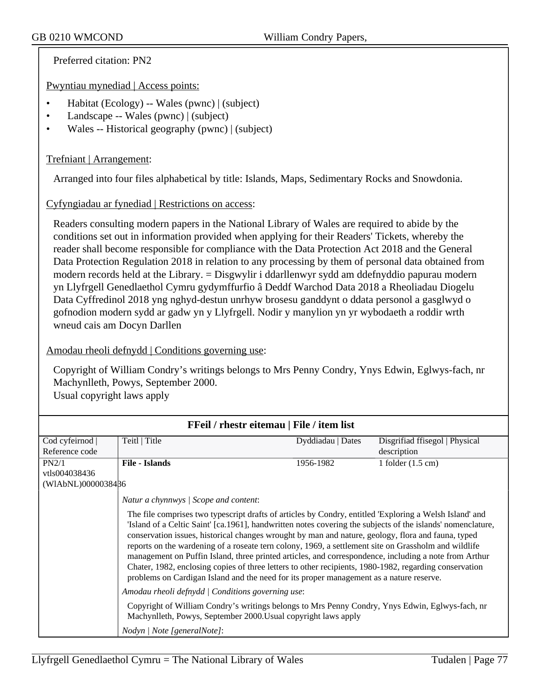Preferred citation: PN2

Pwyntiau mynediad | Access points:

- Habitat (Ecology) -- Wales (pwnc) | (subject)
- Landscape -- Wales (pwnc) | (subject)
- Wales -- Historical geography (pwnc) | (subject)

## Trefniant | Arrangement:

Arranged into four files alphabetical by title: Islands, Maps, Sedimentary Rocks and Snowdonia.

## Cyfyngiadau ar fynediad | Restrictions on access:

Readers consulting modern papers in the National Library of Wales are required to abide by the conditions set out in information provided when applying for their Readers' Tickets, whereby the reader shall become responsible for compliance with the Data Protection Act 2018 and the General Data Protection Regulation 2018 in relation to any processing by them of personal data obtained from modern records held at the Library. = Disgwylir i ddarllenwyr sydd am ddefnyddio papurau modern yn Llyfrgell Genedlaethol Cymru gydymffurfio â Deddf Warchod Data 2018 a Rheoliadau Diogelu Data Cyffredinol 2018 yng nghyd-destun unrhyw brosesu ganddynt o ddata personol a gasglwyd o gofnodion modern sydd ar gadw yn y Llyfrgell. Nodir y manylion yn yr wybodaeth a roddir wrth wneud cais am Docyn Darllen

### Amodau rheoli defnydd | Conditions governing use:

Copyright of William Condry's writings belongs to Mrs Penny Condry, Ynys Edwin, Eglwys-fach, nr Machynlleth, Powys, September 2000. Usual copyright laws apply

| FFeil / rhestr eitemau   File / item list |                                                                                                                                                                                                                                                                                                                                                                                                                                                                                                                                                                                                                                                                                                                                                    |                   |                                |  |
|-------------------------------------------|----------------------------------------------------------------------------------------------------------------------------------------------------------------------------------------------------------------------------------------------------------------------------------------------------------------------------------------------------------------------------------------------------------------------------------------------------------------------------------------------------------------------------------------------------------------------------------------------------------------------------------------------------------------------------------------------------------------------------------------------------|-------------------|--------------------------------|--|
| Cod cyfeirnod                             | Teitl   Title                                                                                                                                                                                                                                                                                                                                                                                                                                                                                                                                                                                                                                                                                                                                      | Dyddiadau   Dates | Disgrifiad ffisegol   Physical |  |
| Reference code                            |                                                                                                                                                                                                                                                                                                                                                                                                                                                                                                                                                                                                                                                                                                                                                    |                   | description                    |  |
| PN2/1                                     | <b>File - Islands</b>                                                                                                                                                                                                                                                                                                                                                                                                                                                                                                                                                                                                                                                                                                                              | 1956-1982         | 1 folder $(1.5 \text{ cm})$    |  |
| vtls004038436                             |                                                                                                                                                                                                                                                                                                                                                                                                                                                                                                                                                                                                                                                                                                                                                    |                   |                                |  |
| (WIAbNL)00000384B6                        |                                                                                                                                                                                                                                                                                                                                                                                                                                                                                                                                                                                                                                                                                                                                                    |                   |                                |  |
|                                           | Natur a chynnwys / Scope and content:                                                                                                                                                                                                                                                                                                                                                                                                                                                                                                                                                                                                                                                                                                              |                   |                                |  |
|                                           | The file comprises two typescript drafts of articles by Condry, entitled 'Exploring a Welsh Island' and<br>'Island of a Celtic Saint' [ca.1961], handwritten notes covering the subjects of the islands' nomenclature,<br>conservation issues, historical changes wrought by man and nature, geology, flora and fauna, typed<br>reports on the wardening of a roseate tern colony, 1969, a settlement site on Grassholm and wildlife<br>management on Puffin Island, three printed articles, and correspondence, including a note from Arthur<br>Chater, 1982, enclosing copies of three letters to other recipients, 1980-1982, regarding conservation<br>problems on Cardigan Island and the need for its proper management as a nature reserve. |                   |                                |  |
|                                           | Amodau rheoli defnydd   Conditions governing use:                                                                                                                                                                                                                                                                                                                                                                                                                                                                                                                                                                                                                                                                                                  |                   |                                |  |
|                                           | Copyright of William Condry's writings belongs to Mrs Penny Condry, Ynys Edwin, Eglwys-fach, nr<br>Machynlleth, Powys, September 2000. Usual copyright laws apply                                                                                                                                                                                                                                                                                                                                                                                                                                                                                                                                                                                  |                   |                                |  |
|                                           | Nodyn   Note [generalNote]:                                                                                                                                                                                                                                                                                                                                                                                                                                                                                                                                                                                                                                                                                                                        |                   |                                |  |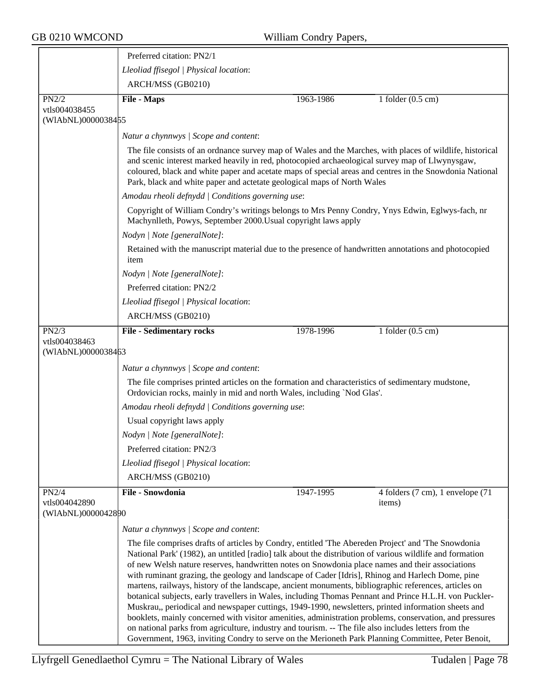|                                              | Preferred citation: PN2/1                                                                                                                                                                                                                                                                                                                                                                                                                                                                                                                                                                                                                                                                                                                                                                                                                                                                                                                                                                                                                                                 |           |                                  |  |
|----------------------------------------------|---------------------------------------------------------------------------------------------------------------------------------------------------------------------------------------------------------------------------------------------------------------------------------------------------------------------------------------------------------------------------------------------------------------------------------------------------------------------------------------------------------------------------------------------------------------------------------------------------------------------------------------------------------------------------------------------------------------------------------------------------------------------------------------------------------------------------------------------------------------------------------------------------------------------------------------------------------------------------------------------------------------------------------------------------------------------------|-----------|----------------------------------|--|
|                                              | Lleoliad ffisegol   Physical location:                                                                                                                                                                                                                                                                                                                                                                                                                                                                                                                                                                                                                                                                                                                                                                                                                                                                                                                                                                                                                                    |           |                                  |  |
|                                              | ARCH/MSS (GB0210)                                                                                                                                                                                                                                                                                                                                                                                                                                                                                                                                                                                                                                                                                                                                                                                                                                                                                                                                                                                                                                                         |           |                                  |  |
| PN2/2                                        | <b>File - Maps</b>                                                                                                                                                                                                                                                                                                                                                                                                                                                                                                                                                                                                                                                                                                                                                                                                                                                                                                                                                                                                                                                        | 1963-1986 | 1 folder $(0.5 \text{ cm})$      |  |
| vtls004038455<br>(WIAbNL)0000038455          |                                                                                                                                                                                                                                                                                                                                                                                                                                                                                                                                                                                                                                                                                                                                                                                                                                                                                                                                                                                                                                                                           |           |                                  |  |
|                                              | Natur a chynnwys / Scope and content:                                                                                                                                                                                                                                                                                                                                                                                                                                                                                                                                                                                                                                                                                                                                                                                                                                                                                                                                                                                                                                     |           |                                  |  |
|                                              | The file consists of an ordnance survey map of Wales and the Marches, with places of wildlife, historical<br>and scenic interest marked heavily in red, photocopied archaeological survey map of Llwynysgaw,<br>coloured, black and white paper and acetate maps of special areas and centres in the Snowdonia National<br>Park, black and white paper and actetate geological maps of North Wales                                                                                                                                                                                                                                                                                                                                                                                                                                                                                                                                                                                                                                                                        |           |                                  |  |
|                                              | Amodau rheoli defnydd   Conditions governing use:                                                                                                                                                                                                                                                                                                                                                                                                                                                                                                                                                                                                                                                                                                                                                                                                                                                                                                                                                                                                                         |           |                                  |  |
|                                              | Copyright of William Condry's writings belongs to Mrs Penny Condry, Ynys Edwin, Eglwys-fach, nr<br>Machynlleth, Powys, September 2000. Usual copyright laws apply                                                                                                                                                                                                                                                                                                                                                                                                                                                                                                                                                                                                                                                                                                                                                                                                                                                                                                         |           |                                  |  |
|                                              | Nodyn   Note [generalNote]:                                                                                                                                                                                                                                                                                                                                                                                                                                                                                                                                                                                                                                                                                                                                                                                                                                                                                                                                                                                                                                               |           |                                  |  |
|                                              | Retained with the manuscript material due to the presence of handwritten annotations and photocopied<br>item                                                                                                                                                                                                                                                                                                                                                                                                                                                                                                                                                                                                                                                                                                                                                                                                                                                                                                                                                              |           |                                  |  |
|                                              | Nodyn   Note [generalNote]:                                                                                                                                                                                                                                                                                                                                                                                                                                                                                                                                                                                                                                                                                                                                                                                                                                                                                                                                                                                                                                               |           |                                  |  |
|                                              | Preferred citation: PN2/2                                                                                                                                                                                                                                                                                                                                                                                                                                                                                                                                                                                                                                                                                                                                                                                                                                                                                                                                                                                                                                                 |           |                                  |  |
|                                              | Lleoliad ffisegol   Physical location:                                                                                                                                                                                                                                                                                                                                                                                                                                                                                                                                                                                                                                                                                                                                                                                                                                                                                                                                                                                                                                    |           |                                  |  |
|                                              | ARCH/MSS (GB0210)                                                                                                                                                                                                                                                                                                                                                                                                                                                                                                                                                                                                                                                                                                                                                                                                                                                                                                                                                                                                                                                         |           |                                  |  |
| PN2/3<br>vtls004038463<br>(WIAbNL)0000038463 | <b>File - Sedimentary rocks</b>                                                                                                                                                                                                                                                                                                                                                                                                                                                                                                                                                                                                                                                                                                                                                                                                                                                                                                                                                                                                                                           | 1978-1996 | 1 folder $(0.5 \text{ cm})$      |  |
|                                              | Natur a chynnwys   Scope and content:                                                                                                                                                                                                                                                                                                                                                                                                                                                                                                                                                                                                                                                                                                                                                                                                                                                                                                                                                                                                                                     |           |                                  |  |
|                                              | The file comprises printed articles on the formation and characteristics of sedimentary mudstone,<br>Ordovician rocks, mainly in mid and north Wales, including 'Nod Glas'.                                                                                                                                                                                                                                                                                                                                                                                                                                                                                                                                                                                                                                                                                                                                                                                                                                                                                               |           |                                  |  |
|                                              | Amodau rheoli defnydd   Conditions governing use:                                                                                                                                                                                                                                                                                                                                                                                                                                                                                                                                                                                                                                                                                                                                                                                                                                                                                                                                                                                                                         |           |                                  |  |
|                                              | Usual copyright laws apply                                                                                                                                                                                                                                                                                                                                                                                                                                                                                                                                                                                                                                                                                                                                                                                                                                                                                                                                                                                                                                                |           |                                  |  |
|                                              | Nodyn   Note [generalNote]:                                                                                                                                                                                                                                                                                                                                                                                                                                                                                                                                                                                                                                                                                                                                                                                                                                                                                                                                                                                                                                               |           |                                  |  |
|                                              | Preferred citation: PN2/3                                                                                                                                                                                                                                                                                                                                                                                                                                                                                                                                                                                                                                                                                                                                                                                                                                                                                                                                                                                                                                                 |           |                                  |  |
|                                              | Lleoliad ffisegol   Physical location:                                                                                                                                                                                                                                                                                                                                                                                                                                                                                                                                                                                                                                                                                                                                                                                                                                                                                                                                                                                                                                    |           |                                  |  |
|                                              | ARCH/MSS (GB0210)                                                                                                                                                                                                                                                                                                                                                                                                                                                                                                                                                                                                                                                                                                                                                                                                                                                                                                                                                                                                                                                         |           |                                  |  |
| PN2/4                                        | File - Snowdonia                                                                                                                                                                                                                                                                                                                                                                                                                                                                                                                                                                                                                                                                                                                                                                                                                                                                                                                                                                                                                                                          | 1947-1995 | 4 folders (7 cm), 1 envelope (71 |  |
| vtls004042890<br>(WIAbNL)0000042890          |                                                                                                                                                                                                                                                                                                                                                                                                                                                                                                                                                                                                                                                                                                                                                                                                                                                                                                                                                                                                                                                                           |           | items)                           |  |
|                                              | Natur a chynnwys / Scope and content:                                                                                                                                                                                                                                                                                                                                                                                                                                                                                                                                                                                                                                                                                                                                                                                                                                                                                                                                                                                                                                     |           |                                  |  |
|                                              | The file comprises drafts of articles by Condry, entitled 'The Abereden Project' and 'The Snowdonia<br>National Park' (1982), an untitled [radio] talk about the distribution of various wildlife and formation<br>of new Welsh nature reserves, handwritten notes on Snowdonia place names and their associations<br>with ruminant grazing, the geology and landscape of Cader [Idris], Rhinog and Harlech Dome, pine<br>martens, railways, history of the landscape, ancient monuments, bibliographic references, articles on<br>botanical subjects, early travellers in Wales, including Thomas Pennant and Prince H.L.H. von Puckler-<br>Muskrau,, periodical and newspaper cuttings, 1949-1990, newsletters, printed information sheets and<br>booklets, mainly concerned with visitor amenities, administration problems, conservation, and pressures<br>on national parks from agriculture, industry and tourism. -- The file also includes letters from the<br>Government, 1963, inviting Condry to serve on the Merioneth Park Planning Committee, Peter Benoit, |           |                                  |  |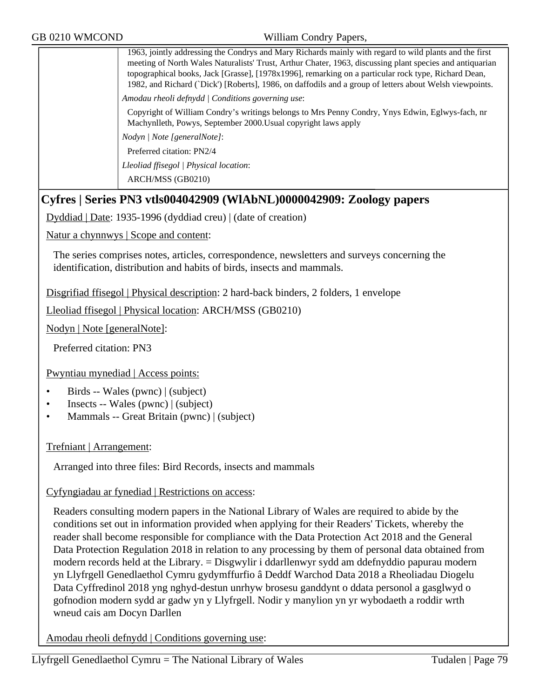1963, jointly addressing the Condrys and Mary Richards mainly with regard to wild plants and the first meeting of North Wales Naturalists' Trust, Arthur Chater, 1963, discussing plant species and antiquarian topographical books, Jack [Grasse], [1978x1996], remarking on a particular rock type, Richard Dean, 1982, and Richard (`Dick') [Roberts], 1986, on daffodils and a group of letters about Welsh viewpoints. *Amodau rheoli defnydd | Conditions governing use*: Copyright of William Condry's writings belongs to Mrs Penny Condry, Ynys Edwin, Eglwys-fach, nr Machynlleth, Powys, September 2000.Usual copyright laws apply *Nodyn | Note [generalNote]*: Preferred citation: PN2/4 *Lleoliad ffisegol | Physical location*: ARCH/MSS (GB0210)

# **Cyfres | Series PN3 vtls004042909 (WlAbNL)0000042909: Zoology papers**

Dyddiad | Date: 1935-1996 (dyddiad creu) | (date of creation)

Natur a chynnwys | Scope and content:

The series comprises notes, articles, correspondence, newsletters and surveys concerning the identification, distribution and habits of birds, insects and mammals.

Disgrifiad ffisegol | Physical description: 2 hard-back binders, 2 folders, 1 envelope

Lleoliad ffisegol | Physical location: ARCH/MSS (GB0210)

Nodyn | Note [generalNote]:

Preferred citation: PN3

Pwyntiau mynediad | Access points:

- Birds -- Wales (pwnc) | (subject)
- Insects -- Wales (pwnc) | (subject)
- Mammals -- Great Britain (pwnc) | (subject)

Trefniant | Arrangement:

Arranged into three files: Bird Records, insects and mammals

Cyfyngiadau ar fynediad | Restrictions on access:

Readers consulting modern papers in the National Library of Wales are required to abide by the conditions set out in information provided when applying for their Readers' Tickets, whereby the reader shall become responsible for compliance with the Data Protection Act 2018 and the General Data Protection Regulation 2018 in relation to any processing by them of personal data obtained from modern records held at the Library. = Disgwylir i ddarllenwyr sydd am ddefnyddio papurau modern yn Llyfrgell Genedlaethol Cymru gydymffurfio â Deddf Warchod Data 2018 a Rheoliadau Diogelu Data Cyffredinol 2018 yng nghyd-destun unrhyw brosesu ganddynt o ddata personol a gasglwyd o gofnodion modern sydd ar gadw yn y Llyfrgell. Nodir y manylion yn yr wybodaeth a roddir wrth wneud cais am Docyn Darllen

Amodau rheoli defnydd | Conditions governing use: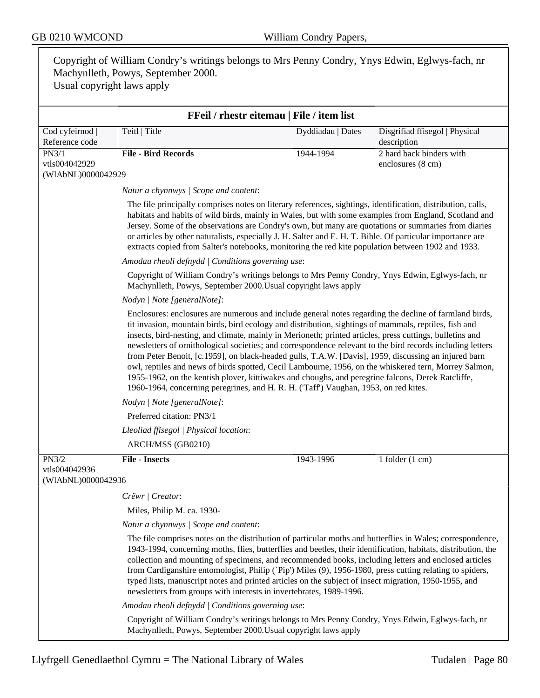Copyright of William Condry's writings belongs to Mrs Penny Condry, Ynys Edwin, Eglwys-fach, nr Machynlleth, Powys, September 2000. Usual copyright laws apply **FFeil / rhestr eitemau | File / item list** Cod cyfeirnod | Reference code Teitl | Title Dyddiadau | Dates Disgrifiad ffisegol | Physical description PN3/1 vtls004042929 (WlAbNL)0000042929 **File - Bird Records** 1944-1994 2 hard back binders with enclosures (8 cm) *Natur a chynnwys | Scope and content*: The file principally comprises notes on literary references, sightings, identification, distribution, calls, habitats and habits of wild birds, mainly in Wales, but with some examples from England, Scotland and Jersey. Some of the observations are Condry's own, but many are quotations or summaries from diaries or articles by other naturalists, especially J. H. Salter and E. H. T. Bible. Of particular importance are extracts copied from Salter's notebooks, monitoring the red kite population between 1902 and 1933. *Amodau rheoli defnydd | Conditions governing use*: Copyright of William Condry's writings belongs to Mrs Penny Condry, Ynys Edwin, Eglwys-fach, nr Machynlleth, Powys, September 2000.Usual copyright laws apply *Nodyn | Note [generalNote]*: Enclosures: enclosures are numerous and include general notes regarding the decline of farmland birds, tit invasion, mountain birds, bird ecology and distribution, sightings of mammals, reptiles, fish and insects, bird-nesting, and climate, mainly in Merioneth; printed articles, press cuttings, bulletins and newsletters of ornithological societies; and correspondence relevant to the bird records including letters from Peter Benoit, [c.1959], on black-headed gulls, T.A.W. [Davis], 1959, discussing an injured barn owl, reptiles and news of birds spotted, Cecil Lambourne, 1956, on the whiskered tern, Morrey Salmon, 1955-1962, on the kentish plover, kittiwakes and choughs, and peregrine falcons, Derek Ratcliffe, 1960-1964, concerning peregrines, and H. R. H. ('Taff') Vaughan, 1953, on red kites. *Nodyn | Note [generalNote]*: Preferred citation: PN3/1 *Lleoliad ffisegol | Physical location*: ARCH/MSS (GB0210) PN3/2 vtls004042936 (WlAbNL)0000042936 **File - Insects** 1943-1996 1 folder (1 cm) *Crëwr | Creator*: Miles, Philip M. ca. 1930- *Natur a chynnwys | Scope and content*: The file comprises notes on the distribution of particular moths and butterflies in Wales; correspondence, 1943-1994, concerning moths, flies, butterflies and beetles, their identification, habitats, distribution, the collection and mounting of specimens, and recommended books, including letters and enclosed articles from Cardiganshire entomologist, Philip (`Pip') Miles (9), 1956-1980, press cutting relating to spiders, typed lists, manuscript notes and printed articles on the subject of insect migration, 1950-1955, and newsletters from groups with interests in invertebrates, 1989-1996. *Amodau rheoli defnydd | Conditions governing use*: Copyright of William Condry's writings belongs to Mrs Penny Condry, Ynys Edwin, Eglwys-fach, nr Machynlleth, Powys, September 2000.Usual copyright laws apply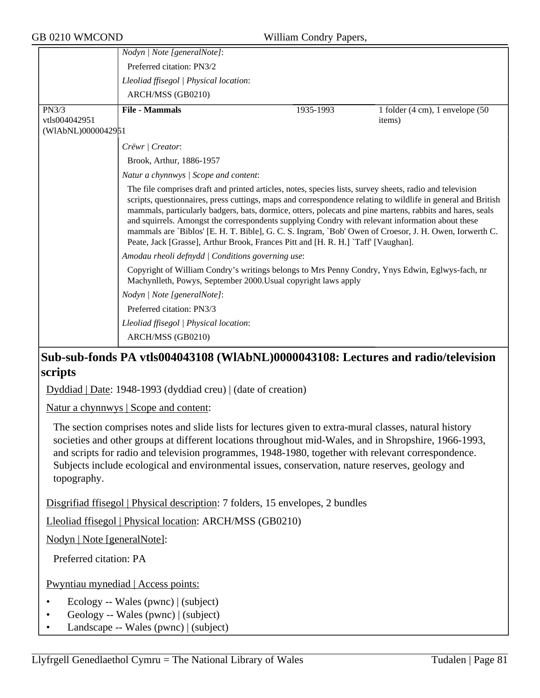|                    | Nodyn   Note [generalNote]:                                                                                                                                                                                                                                                                                                                                                                                                                                                                                                                                                                                                              |           |                                                         |
|--------------------|------------------------------------------------------------------------------------------------------------------------------------------------------------------------------------------------------------------------------------------------------------------------------------------------------------------------------------------------------------------------------------------------------------------------------------------------------------------------------------------------------------------------------------------------------------------------------------------------------------------------------------------|-----------|---------------------------------------------------------|
|                    | Preferred citation: PN3/2                                                                                                                                                                                                                                                                                                                                                                                                                                                                                                                                                                                                                |           |                                                         |
|                    | Lleoliad ffisegol   Physical location:                                                                                                                                                                                                                                                                                                                                                                                                                                                                                                                                                                                                   |           |                                                         |
|                    | ARCH/MSS (GB0210)                                                                                                                                                                                                                                                                                                                                                                                                                                                                                                                                                                                                                        |           |                                                         |
| PN3/3              | <b>File - Mammals</b>                                                                                                                                                                                                                                                                                                                                                                                                                                                                                                                                                                                                                    | 1935-1993 | 1 folder $(4 \text{ cm})$ , 1 envelope $(50 \text{ m})$ |
| vtls004042951      |                                                                                                                                                                                                                                                                                                                                                                                                                                                                                                                                                                                                                                          |           | items)                                                  |
| (WIAbNL)0000042951 |                                                                                                                                                                                                                                                                                                                                                                                                                                                                                                                                                                                                                                          |           |                                                         |
|                    | Crëwr   Creator:                                                                                                                                                                                                                                                                                                                                                                                                                                                                                                                                                                                                                         |           |                                                         |
|                    | Brook, Arthur, 1886-1957                                                                                                                                                                                                                                                                                                                                                                                                                                                                                                                                                                                                                 |           |                                                         |
|                    | Natur a chynnwys / Scope and content:                                                                                                                                                                                                                                                                                                                                                                                                                                                                                                                                                                                                    |           |                                                         |
|                    | The file comprises draft and printed articles, notes, species lists, survey sheets, radio and television<br>scripts, questionnaires, press cuttings, maps and correspondence relating to wildlife in general and British<br>mammals, particularly badgers, bats, dormice, otters, polecats and pine martens, rabbits and hares, seals<br>and squirrels. Amongst the correspondents supplying Condry with relevant information about these<br>mammals are `Biblos' [E. H. T. Bible], G. C. S. Ingram, `Bob' Owen of Croesor, J. H. Owen, Iorwerth C.<br>Peate, Jack [Grasse], Arthur Brook, Frances Pitt and [H. R. H.] `Taff' [Vaughan]. |           |                                                         |
|                    | Amodau rheoli defnydd   Conditions governing use:                                                                                                                                                                                                                                                                                                                                                                                                                                                                                                                                                                                        |           |                                                         |
|                    | Copyright of William Condry's writings belongs to Mrs Penny Condry, Ynys Edwin, Eglwys-fach, nr<br>Machynlleth, Powys, September 2000. Usual copyright laws apply                                                                                                                                                                                                                                                                                                                                                                                                                                                                        |           |                                                         |
|                    | Nodyn   Note [generalNote]:                                                                                                                                                                                                                                                                                                                                                                                                                                                                                                                                                                                                              |           |                                                         |
|                    | Preferred citation: PN3/3                                                                                                                                                                                                                                                                                                                                                                                                                                                                                                                                                                                                                |           |                                                         |
|                    | Lleoliad ffisegol   Physical location:                                                                                                                                                                                                                                                                                                                                                                                                                                                                                                                                                                                                   |           |                                                         |
|                    | ARCH/MSS (GB0210)                                                                                                                                                                                                                                                                                                                                                                                                                                                                                                                                                                                                                        |           |                                                         |

# **Sub-sub-fonds PA vtls004043108 (WlAbNL)0000043108: Lectures and radio/television scripts**

Dyddiad | Date: 1948-1993 (dyddiad creu) | (date of creation)

Natur a chynnwys | Scope and content:

The section comprises notes and slide lists for lectures given to extra-mural classes, natural history societies and other groups at different locations throughout mid-Wales, and in Shropshire, 1966-1993, and scripts for radio and television programmes, 1948-1980, together with relevant correspondence. Subjects include ecological and environmental issues, conservation, nature reserves, geology and topography.

Disgrifiad ffisegol | Physical description: 7 folders, 15 envelopes, 2 bundles

Lleoliad ffisegol | Physical location: ARCH/MSS (GB0210)

Nodyn | Note [generalNote]:

Preferred citation: PA

Pwyntiau mynediad | Access points:

- Ecology -- Wales (pwnc) | (subject)
- Geology -- Wales (pwnc) | (subject)
- Landscape -- Wales (pwnc) | (subject)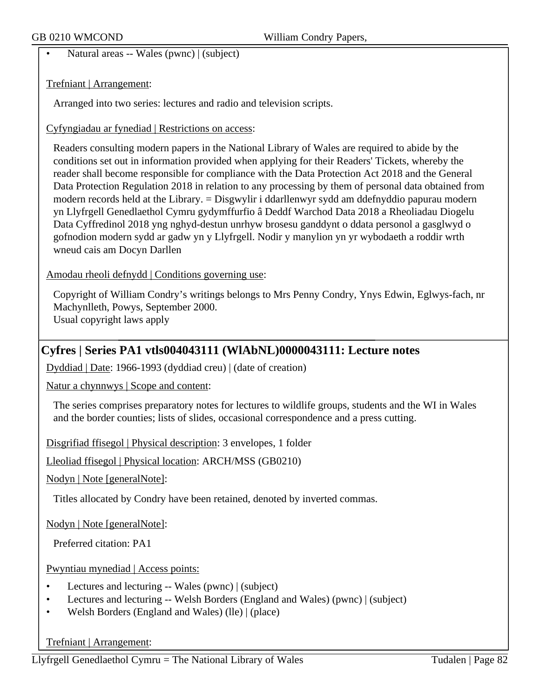• Natural areas -- Wales (pwnc) | (subject)

Trefniant | Arrangement:

Arranged into two series: lectures and radio and television scripts.

Cyfyngiadau ar fynediad | Restrictions on access:

Readers consulting modern papers in the National Library of Wales are required to abide by the conditions set out in information provided when applying for their Readers' Tickets, whereby the reader shall become responsible for compliance with the Data Protection Act 2018 and the General Data Protection Regulation 2018 in relation to any processing by them of personal data obtained from modern records held at the Library. = Disgwylir i ddarllenwyr sydd am ddefnyddio papurau modern yn Llyfrgell Genedlaethol Cymru gydymffurfio â Deddf Warchod Data 2018 a Rheoliadau Diogelu Data Cyffredinol 2018 yng nghyd-destun unrhyw brosesu ganddynt o ddata personol a gasglwyd o gofnodion modern sydd ar gadw yn y Llyfrgell. Nodir y manylion yn yr wybodaeth a roddir wrth wneud cais am Docyn Darllen

Amodau rheoli defnydd | Conditions governing use:

Copyright of William Condry's writings belongs to Mrs Penny Condry, Ynys Edwin, Eglwys-fach, nr Machynlleth, Powys, September 2000. Usual copyright laws apply

# **Cyfres | Series PA1 vtls004043111 (WlAbNL)0000043111: Lecture notes**

Dyddiad | Date: 1966-1993 (dyddiad creu) | (date of creation)

Natur a chynnwys | Scope and content:

The series comprises preparatory notes for lectures to wildlife groups, students and the WI in Wales and the border counties; lists of slides, occasional correspondence and a press cutting.

Disgrifiad ffisegol | Physical description: 3 envelopes, 1 folder

Lleoliad ffisegol | Physical location: ARCH/MSS (GB0210)

Nodyn | Note [generalNote]:

Titles allocated by Condry have been retained, denoted by inverted commas.

Nodyn | Note [generalNote]:

Preferred citation: PA1

Pwyntiau mynediad | Access points:

- Lectures and lecturing -- Wales (pwnc) | (subject)
- Lectures and lecturing -- Welsh Borders (England and Wales) (pwnc) | (subject)
- Welsh Borders (England and Wales) (lle) | (place)

Trefniant | Arrangement:

Llyfrgell Genedlaethol Cymru = The National Library of Wales Tudalen | Page 82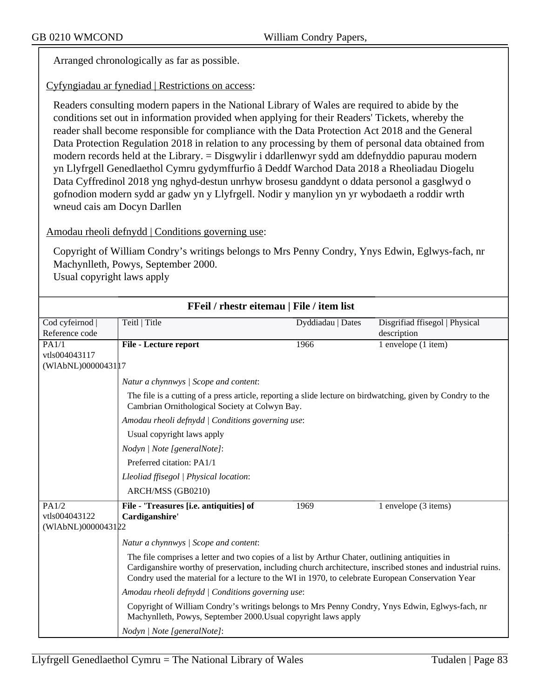Arranged chronologically as far as possible.

## Cyfyngiadau ar fynediad | Restrictions on access:

Readers consulting modern papers in the National Library of Wales are required to abide by the conditions set out in information provided when applying for their Readers' Tickets, whereby the reader shall become responsible for compliance with the Data Protection Act 2018 and the General Data Protection Regulation 2018 in relation to any processing by them of personal data obtained from modern records held at the Library. = Disgwylir i ddarllenwyr sydd am ddefnyddio papurau modern yn Llyfrgell Genedlaethol Cymru gydymffurfio â Deddf Warchod Data 2018 a Rheoliadau Diogelu Data Cyffredinol 2018 yng nghyd-destun unrhyw brosesu ganddynt o ddata personol a gasglwyd o gofnodion modern sydd ar gadw yn y Llyfrgell. Nodir y manylion yn yr wybodaeth a roddir wrth wneud cais am Docyn Darllen

#### Amodau rheoli defnydd | Conditions governing use:

Copyright of William Condry's writings belongs to Mrs Penny Condry, Ynys Edwin, Eglwys-fach, nr Machynlleth, Powys, September 2000. Usual copyright laws apply

| FFeil / rhestr eitemau   File / item list |                                                                                                                                                                                                                                                                                                                     |                   |                                |  |  |
|-------------------------------------------|---------------------------------------------------------------------------------------------------------------------------------------------------------------------------------------------------------------------------------------------------------------------------------------------------------------------|-------------------|--------------------------------|--|--|
| Cod cyfeirnod                             | Teitl   Title                                                                                                                                                                                                                                                                                                       | Dyddiadau   Dates | Disgrifiad ffisegol   Physical |  |  |
| Reference code                            |                                                                                                                                                                                                                                                                                                                     |                   | description                    |  |  |
| PA1/1                                     | File - Lecture report                                                                                                                                                                                                                                                                                               | 1966              | 1 envelope (1 item)            |  |  |
| vtls004043117                             |                                                                                                                                                                                                                                                                                                                     |                   |                                |  |  |
| (WIAbNL)0000043117                        |                                                                                                                                                                                                                                                                                                                     |                   |                                |  |  |
|                                           | Natur a chynnwys / Scope and content:                                                                                                                                                                                                                                                                               |                   |                                |  |  |
|                                           | The file is a cutting of a press article, reporting a slide lecture on birdwatching, given by Condry to the<br>Cambrian Ornithological Society at Colwyn Bay.                                                                                                                                                       |                   |                                |  |  |
|                                           | Amodau rheoli defnydd   Conditions governing use:                                                                                                                                                                                                                                                                   |                   |                                |  |  |
|                                           | Usual copyright laws apply                                                                                                                                                                                                                                                                                          |                   |                                |  |  |
|                                           | Nodyn   Note [generalNote]:                                                                                                                                                                                                                                                                                         |                   |                                |  |  |
|                                           | Preferred citation: PA1/1                                                                                                                                                                                                                                                                                           |                   |                                |  |  |
|                                           | Lleoliad ffisegol   Physical location:                                                                                                                                                                                                                                                                              |                   |                                |  |  |
|                                           | ARCH/MSS (GB0210)                                                                                                                                                                                                                                                                                                   |                   |                                |  |  |
| PA1/2                                     | File - 'Treasures [i.e. antiquities] of                                                                                                                                                                                                                                                                             | 1969              | 1 envelope (3 items)           |  |  |
| vtls004043122                             | Cardiganshire'                                                                                                                                                                                                                                                                                                      |                   |                                |  |  |
| (WIAbNL)0000043122                        |                                                                                                                                                                                                                                                                                                                     |                   |                                |  |  |
|                                           | Natur a chynnwys / Scope and content:                                                                                                                                                                                                                                                                               |                   |                                |  |  |
|                                           | The file comprises a letter and two copies of a list by Arthur Chater, outlining antiquities in<br>Cardiganshire worthy of preservation, including church architecture, inscribed stones and industrial ruins.<br>Condry used the material for a lecture to the WI in 1970, to celebrate European Conservation Year |                   |                                |  |  |
|                                           | Amodau rheoli defnydd   Conditions governing use:                                                                                                                                                                                                                                                                   |                   |                                |  |  |
|                                           | Copyright of William Condry's writings belongs to Mrs Penny Condry, Ynys Edwin, Eglwys-fach, nr<br>Machynlleth, Powys, September 2000. Usual copyright laws apply                                                                                                                                                   |                   |                                |  |  |
|                                           | Nodyn   Note [generalNote]:                                                                                                                                                                                                                                                                                         |                   |                                |  |  |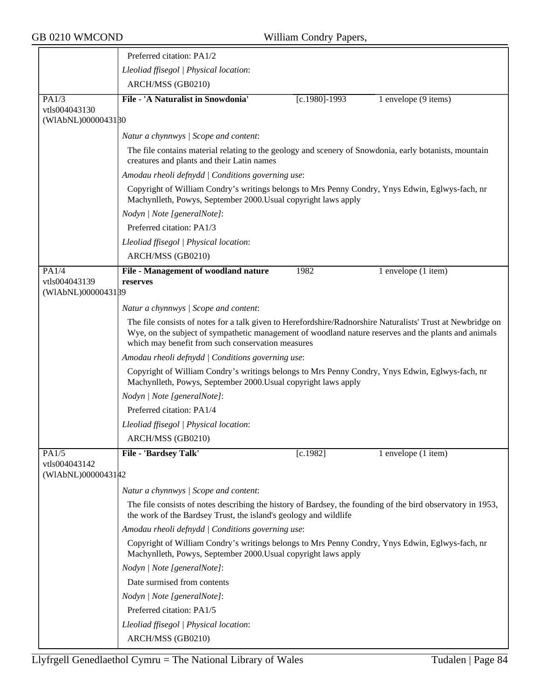|                                              | Preferred citation: PA1/2                                                                                                                                                                                                                                                |  |  |  |  |
|----------------------------------------------|--------------------------------------------------------------------------------------------------------------------------------------------------------------------------------------------------------------------------------------------------------------------------|--|--|--|--|
|                                              | Lleoliad ffisegol   Physical location:                                                                                                                                                                                                                                   |  |  |  |  |
|                                              | ARCH/MSS (GB0210)                                                                                                                                                                                                                                                        |  |  |  |  |
| PA1/3                                        | File - 'A Naturalist in Snowdonia'<br>$[c.1980] - 1993$<br>1 envelope (9 items)                                                                                                                                                                                          |  |  |  |  |
| vtls004043130<br>(WIAbNL)0000043180          |                                                                                                                                                                                                                                                                          |  |  |  |  |
|                                              | Natur a chynnwys / Scope and content:                                                                                                                                                                                                                                    |  |  |  |  |
|                                              | The file contains material relating to the geology and scenery of Snowdonia, early botanists, mountain<br>creatures and plants and their Latin names                                                                                                                     |  |  |  |  |
|                                              | Amodau rheoli defnydd   Conditions governing use:<br>Copyright of William Condry's writings belongs to Mrs Penny Condry, Ynys Edwin, Eglwys-fach, nr<br>Machynlleth, Powys, September 2000. Usual copyright laws apply                                                   |  |  |  |  |
|                                              |                                                                                                                                                                                                                                                                          |  |  |  |  |
|                                              | Nodyn   Note [generalNote]:                                                                                                                                                                                                                                              |  |  |  |  |
|                                              | Preferred citation: PA1/3                                                                                                                                                                                                                                                |  |  |  |  |
|                                              | Lleoliad ffisegol   Physical location:                                                                                                                                                                                                                                   |  |  |  |  |
|                                              | ARCH/MSS (GB0210)                                                                                                                                                                                                                                                        |  |  |  |  |
| PA1/4<br>vtls004043139<br>(WIAbNL)0000043189 | File - Management of woodland nature<br>1982<br>1 envelope (1 item)<br>reserves                                                                                                                                                                                          |  |  |  |  |
|                                              | Natur a chynnwys / Scope and content:                                                                                                                                                                                                                                    |  |  |  |  |
|                                              | The file consists of notes for a talk given to Herefordshire/Radnorshire Naturalists' Trust at Newbridge on<br>Wye, on the subject of sympathetic management of woodland nature reserves and the plants and animals<br>which may benefit from such conservation measures |  |  |  |  |
|                                              | Amodau rheoli defnydd   Conditions governing use:                                                                                                                                                                                                                        |  |  |  |  |
|                                              | Copyright of William Condry's writings belongs to Mrs Penny Condry, Ynys Edwin, Eglwys-fach, nr<br>Machynlleth, Powys, September 2000. Usual copyright laws apply<br>Nodyn   Note [generalNote]:                                                                         |  |  |  |  |
|                                              |                                                                                                                                                                                                                                                                          |  |  |  |  |
|                                              | Preferred citation: PA1/4                                                                                                                                                                                                                                                |  |  |  |  |
|                                              | Lleoliad ffisegol   Physical location:                                                                                                                                                                                                                                   |  |  |  |  |
|                                              | ARCH/MSS (GB0210)                                                                                                                                                                                                                                                        |  |  |  |  |
| PA1/5                                        | File - 'Bardsey Talk'<br>[c.1982]<br>1 envelope (1 item)                                                                                                                                                                                                                 |  |  |  |  |
| vtls004043142<br>(WIAbNL)0000043142          |                                                                                                                                                                                                                                                                          |  |  |  |  |
|                                              | Natur a chynnwys / Scope and content:                                                                                                                                                                                                                                    |  |  |  |  |
|                                              | The file consists of notes describing the history of Bardsey, the founding of the bird observatory in 1953,<br>the work of the Bardsey Trust, the island's geology and wildlife                                                                                          |  |  |  |  |
|                                              | Amodau rheoli defnydd   Conditions governing use:                                                                                                                                                                                                                        |  |  |  |  |
|                                              | Copyright of William Condry's writings belongs to Mrs Penny Condry, Ynys Edwin, Eglwys-fach, nr<br>Machynlleth, Powys, September 2000. Usual copyright laws apply                                                                                                        |  |  |  |  |
|                                              | Nodyn   Note [generalNote]:                                                                                                                                                                                                                                              |  |  |  |  |
|                                              | Date surmised from contents                                                                                                                                                                                                                                              |  |  |  |  |
|                                              | Nodyn   Note [generalNote]:                                                                                                                                                                                                                                              |  |  |  |  |
|                                              | Preferred citation: PA1/5                                                                                                                                                                                                                                                |  |  |  |  |
|                                              | Lleoliad ffisegol   Physical location:                                                                                                                                                                                                                                   |  |  |  |  |
|                                              | ARCH/MSS (GB0210)                                                                                                                                                                                                                                                        |  |  |  |  |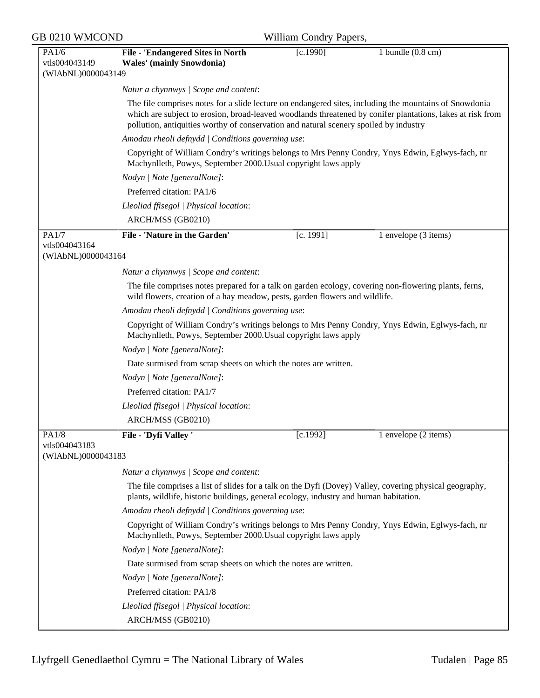| GB 0210 WMCOND | William Condry Papers, |
|----------------|------------------------|
|----------------|------------------------|

| William Condry Papers, |  |
|------------------------|--|
|------------------------|--|

| PA1/6                  | <b>File - 'Endangered Sites in North</b>                                                                                                                                                                                                                                                                      | [c.1990]  | 1 bundle $(0.8 \text{ cm})$ |  |  |
|------------------------|---------------------------------------------------------------------------------------------------------------------------------------------------------------------------------------------------------------------------------------------------------------------------------------------------------------|-----------|-----------------------------|--|--|
| vtls004043149          | <b>Wales'</b> (mainly Snowdonia)                                                                                                                                                                                                                                                                              |           |                             |  |  |
| (WIAbNL)0000043149     |                                                                                                                                                                                                                                                                                                               |           |                             |  |  |
|                        | Natur a chynnwys / Scope and content:                                                                                                                                                                                                                                                                         |           |                             |  |  |
|                        | The file comprises notes for a slide lecture on endangered sites, including the mountains of Snowdonia<br>which are subject to erosion, broad-leaved woodlands threatened by conifer plantations, lakes at risk from<br>pollution, antiquities worthy of conservation and natural scenery spoiled by industry |           |                             |  |  |
|                        | Amodau rheoli defnydd   Conditions governing use:                                                                                                                                                                                                                                                             |           |                             |  |  |
|                        | Copyright of William Condry's writings belongs to Mrs Penny Condry, Ynys Edwin, Eglwys-fach, nr<br>Machynlleth, Powys, September 2000. Usual copyright laws apply                                                                                                                                             |           |                             |  |  |
|                        | Nodyn   Note [generalNote]:                                                                                                                                                                                                                                                                                   |           |                             |  |  |
|                        | Preferred citation: PA1/6                                                                                                                                                                                                                                                                                     |           |                             |  |  |
|                        | Lleoliad ffisegol   Physical location:                                                                                                                                                                                                                                                                        |           |                             |  |  |
|                        | ARCH/MSS (GB0210)                                                                                                                                                                                                                                                                                             |           |                             |  |  |
|                        |                                                                                                                                                                                                                                                                                                               |           |                             |  |  |
| PA1/7<br>vtls004043164 | <b>File - 'Nature in the Garden'</b>                                                                                                                                                                                                                                                                          | [c. 1991] | 1 envelope (3 items)        |  |  |
| (WIAbNL)0000043164     |                                                                                                                                                                                                                                                                                                               |           |                             |  |  |
|                        | Natur a chynnwys / Scope and content:                                                                                                                                                                                                                                                                         |           |                             |  |  |
|                        | The file comprises notes prepared for a talk on garden ecology, covering non-flowering plants, ferns,<br>wild flowers, creation of a hay meadow, pests, garden flowers and wildlife.                                                                                                                          |           |                             |  |  |
|                        | Amodau rheoli defnydd   Conditions governing use:                                                                                                                                                                                                                                                             |           |                             |  |  |
|                        | Copyright of William Condry's writings belongs to Mrs Penny Condry, Ynys Edwin, Eglwys-fach, nr<br>Machynlleth, Powys, September 2000. Usual copyright laws apply                                                                                                                                             |           |                             |  |  |
|                        | Nodyn   Note [generalNote]:                                                                                                                                                                                                                                                                                   |           |                             |  |  |
|                        | Date surmised from scrap sheets on which the notes are written.                                                                                                                                                                                                                                               |           |                             |  |  |
|                        | Nodyn   Note [generalNote]:                                                                                                                                                                                                                                                                                   |           |                             |  |  |
|                        | Preferred citation: PA1/7                                                                                                                                                                                                                                                                                     |           |                             |  |  |
|                        | Lleoliad ffisegol   Physical location:                                                                                                                                                                                                                                                                        |           |                             |  |  |
|                        | ARCH/MSS (GB0210)                                                                                                                                                                                                                                                                                             |           |                             |  |  |
|                        | File - 'Dyfi Valley'                                                                                                                                                                                                                                                                                          |           |                             |  |  |
| PA1/8<br>vtls004043183 |                                                                                                                                                                                                                                                                                                               | [c.1992]  | 1 envelope (2 items)        |  |  |
| (WIAbNL)0000043183     |                                                                                                                                                                                                                                                                                                               |           |                             |  |  |
|                        | Natur a chynnwys / Scope and content:                                                                                                                                                                                                                                                                         |           |                             |  |  |
|                        | The file comprises a list of slides for a talk on the Dyfi (Dovey) Valley, covering physical geography,<br>plants, wildlife, historic buildings, general ecology, industry and human habitation.                                                                                                              |           |                             |  |  |
|                        | Amodau rheoli defnydd   Conditions governing use:                                                                                                                                                                                                                                                             |           |                             |  |  |
|                        | Copyright of William Condry's writings belongs to Mrs Penny Condry, Ynys Edwin, Eglwys-fach, nr<br>Machynlleth, Powys, September 2000. Usual copyright laws apply                                                                                                                                             |           |                             |  |  |
|                        | Nodyn   Note [generalNote]:                                                                                                                                                                                                                                                                                   |           |                             |  |  |
|                        | Date surmised from scrap sheets on which the notes are written.                                                                                                                                                                                                                                               |           |                             |  |  |
|                        | Nodyn   Note [generalNote]:                                                                                                                                                                                                                                                                                   |           |                             |  |  |
|                        | Preferred citation: PA1/8                                                                                                                                                                                                                                                                                     |           |                             |  |  |
|                        | Lleoliad ffisegol   Physical location:                                                                                                                                                                                                                                                                        |           |                             |  |  |
|                        | ARCH/MSS (GB0210)                                                                                                                                                                                                                                                                                             |           |                             |  |  |
|                        |                                                                                                                                                                                                                                                                                                               |           |                             |  |  |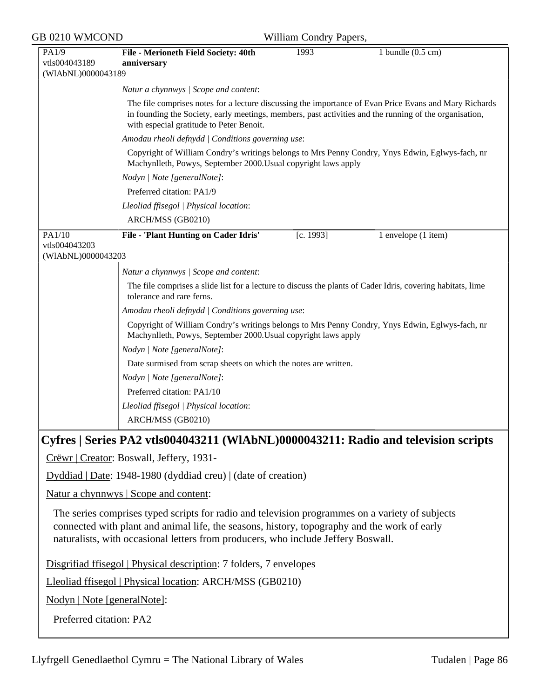| GB 0210 WMCOND                                |                                                                                                                                                                                                                                                                                      | William Condry Papers, |                             |
|-----------------------------------------------|--------------------------------------------------------------------------------------------------------------------------------------------------------------------------------------------------------------------------------------------------------------------------------------|------------------------|-----------------------------|
| PA1/9<br>vtls004043189<br>(WIAbNL)0000043189  | File - Merioneth Field Society: 40th<br>anniversary                                                                                                                                                                                                                                  | 1993                   | 1 bundle $(0.5 \text{ cm})$ |
|                                               | Natur a chynnwys / Scope and content:                                                                                                                                                                                                                                                |                        |                             |
|                                               | The file comprises notes for a lecture discussing the importance of Evan Price Evans and Mary Richards<br>in founding the Society, early meetings, members, past activities and the running of the organisation,<br>with especial gratitude to Peter Benoit.                         |                        |                             |
|                                               | Amodau rheoli defnydd   Conditions governing use:                                                                                                                                                                                                                                    |                        |                             |
|                                               | Copyright of William Condry's writings belongs to Mrs Penny Condry, Ynys Edwin, Eglwys-fach, nr<br>Machynlleth, Powys, September 2000. Usual copyright laws apply                                                                                                                    |                        |                             |
|                                               | Nodyn   Note [generalNote]:                                                                                                                                                                                                                                                          |                        |                             |
|                                               | Preferred citation: PA1/9                                                                                                                                                                                                                                                            |                        |                             |
|                                               | Lleoliad ffisegol   Physical location:                                                                                                                                                                                                                                               |                        |                             |
|                                               | ARCH/MSS (GB0210)                                                                                                                                                                                                                                                                    |                        |                             |
| PA1/10<br>vtls004043203<br>(WIAbNL)0000043203 | File - 'Plant Hunting on Cader Idris'                                                                                                                                                                                                                                                | [c. 1993]              | 1 envelope (1 item)         |
|                                               | Natur a chynnwys / Scope and content:                                                                                                                                                                                                                                                |                        |                             |
|                                               | The file comprises a slide list for a lecture to discuss the plants of Cader Idris, covering habitats, lime<br>tolerance and rare ferns.                                                                                                                                             |                        |                             |
|                                               | Amodau rheoli defnydd   Conditions governing use:                                                                                                                                                                                                                                    |                        |                             |
|                                               | Copyright of William Condry's writings belongs to Mrs Penny Condry, Ynys Edwin, Eglwys-fach, nr<br>Machynlleth, Powys, September 2000. Usual copyright laws apply                                                                                                                    |                        |                             |
|                                               | Nodyn   Note [generalNote]:                                                                                                                                                                                                                                                          |                        |                             |
|                                               | Date surmised from scrap sheets on which the notes are written.                                                                                                                                                                                                                      |                        |                             |
|                                               | Nodyn   Note [generalNote]:                                                                                                                                                                                                                                                          |                        |                             |
|                                               | Preferred citation: PA1/10                                                                                                                                                                                                                                                           |                        |                             |
|                                               | Lleoliad ffisegol   Physical location:                                                                                                                                                                                                                                               |                        |                             |
|                                               | ARCH/MSS (GB0210)                                                                                                                                                                                                                                                                    |                        |                             |
|                                               | Cyfres   Series PA2 vtls004043211 (WIAbNL)0000043211: Radio and television scripts<br>Crëwr   Creator: Boswall, Jeffery, 1931-                                                                                                                                                       |                        |                             |
|                                               | Dyddiad   Date: 1948-1980 (dyddiad creu)   (date of creation)                                                                                                                                                                                                                        |                        |                             |
|                                               | Natur a chynnwys   Scope and content:                                                                                                                                                                                                                                                |                        |                             |
|                                               | The series comprises typed scripts for radio and television programmes on a variety of subjects<br>connected with plant and animal life, the seasons, history, topography and the work of early<br>naturalists, with occasional letters from producers, who include Jeffery Boswall. |                        |                             |
|                                               | Disgrifiad ffisegol   Physical description: 7 folders, 7 envelopes                                                                                                                                                                                                                   |                        |                             |
|                                               | Lleoliad ffisegol   Physical location: ARCH/MSS (GB0210)                                                                                                                                                                                                                             |                        |                             |
| Nodyn   Note [generalNote]:                   |                                                                                                                                                                                                                                                                                      |                        |                             |
| Preferred citation: PA2                       |                                                                                                                                                                                                                                                                                      |                        |                             |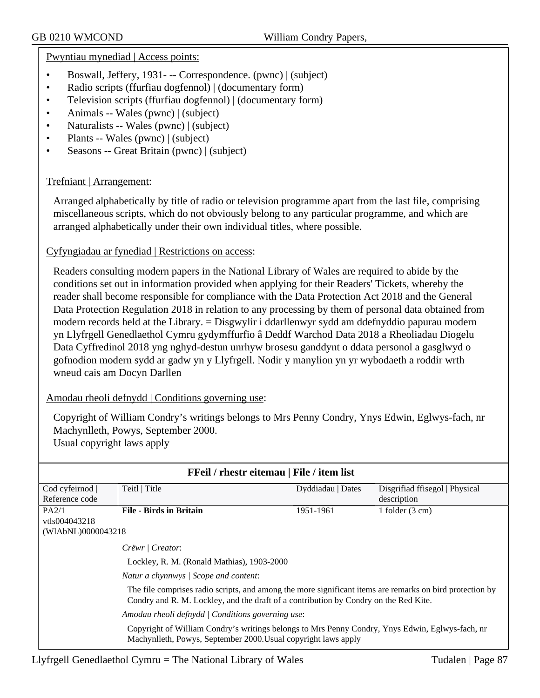Pwyntiau mynediad | Access points:

- Boswall, Jeffery, 1931 - Correspondence. (pwnc) | (subject)
- Radio scripts (ffurfiau dogfennol) | (documentary form)
- Television scripts (ffurfiau dogfennol) | (documentary form)
- Animals -- Wales (pwnc) | (subject)
- Naturalists -- Wales (pwnc) | (subject)
- Plants -- Wales (pwnc) | (subject)
- Seasons -- Great Britain (pwnc) | (subject)

# Trefniant | Arrangement:

Arranged alphabetically by title of radio or television programme apart from the last file, comprising miscellaneous scripts, which do not obviously belong to any particular programme, and which are arranged alphabetically under their own individual titles, where possible.

# Cyfyngiadau ar fynediad | Restrictions on access:

Readers consulting modern papers in the National Library of Wales are required to abide by the conditions set out in information provided when applying for their Readers' Tickets, whereby the reader shall become responsible for compliance with the Data Protection Act 2018 and the General Data Protection Regulation 2018 in relation to any processing by them of personal data obtained from modern records held at the Library. = Disgwylir i ddarllenwyr sydd am ddefnyddio papurau modern yn Llyfrgell Genedlaethol Cymru gydymffurfio â Deddf Warchod Data 2018 a Rheoliadau Diogelu Data Cyffredinol 2018 yng nghyd-destun unrhyw brosesu ganddynt o ddata personol a gasglwyd o gofnodion modern sydd ar gadw yn y Llyfrgell. Nodir y manylion yn yr wybodaeth a roddir wrth wneud cais am Docyn Darllen

# Amodau rheoli defnydd | Conditions governing use:

Copyright of William Condry's writings belongs to Mrs Penny Condry, Ynys Edwin, Eglwys-fach, nr Machynlleth, Powys, September 2000. Usual copyright laws apply

| FFeil / rhestr eitemau   File / item list |                                                                                                                                                                                                  |                   |                                |  |  |
|-------------------------------------------|--------------------------------------------------------------------------------------------------------------------------------------------------------------------------------------------------|-------------------|--------------------------------|--|--|
| Cod cyfeirnod                             | Teitl   Title                                                                                                                                                                                    | Dyddiadau   Dates | Disgrifiad ffisegol   Physical |  |  |
| Reference code                            |                                                                                                                                                                                                  |                   | description                    |  |  |
| PA2/1                                     | <b>File - Birds in Britain</b>                                                                                                                                                                   | 1951-1961         | 1 folder $(3 \text{ cm})$      |  |  |
| vtls004043218                             |                                                                                                                                                                                                  |                   |                                |  |  |
| (WIAbNL)00000432 18                       |                                                                                                                                                                                                  |                   |                                |  |  |
|                                           | Crëwr   Creator:                                                                                                                                                                                 |                   |                                |  |  |
|                                           | Lockley, R. M. (Ronald Mathias), 1903-2000                                                                                                                                                       |                   |                                |  |  |
|                                           | Natur a chynnwys / Scope and content:                                                                                                                                                            |                   |                                |  |  |
|                                           | The file comprises radio scripts, and among the more significant items are remarks on bird protection by<br>Condry and R. M. Lockley, and the draft of a contribution by Condry on the Red Kite. |                   |                                |  |  |
|                                           | Amodau rheoli defnydd   Conditions governing use:                                                                                                                                                |                   |                                |  |  |
|                                           | Copyright of William Condry's writings belongs to Mrs Penny Condry, Ynys Edwin, Eglwys-fach, nr<br>Machynlleth, Powys, September 2000. Usual copyright laws apply                                |                   |                                |  |  |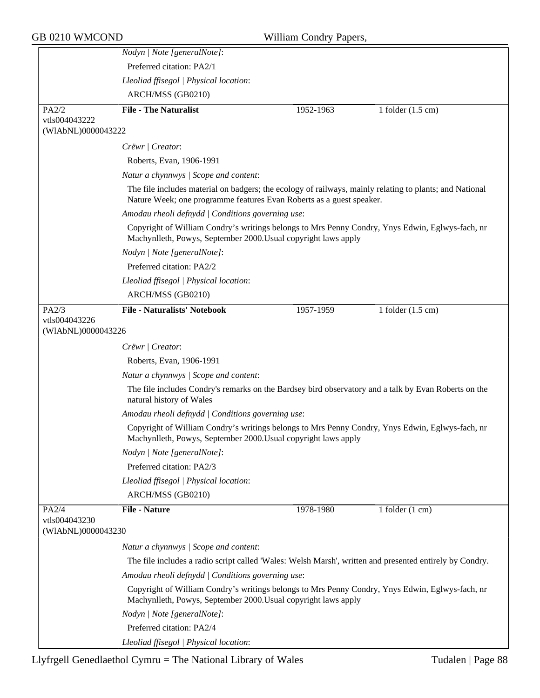|                        | Nodyn   Note [generalNote]:                                                                                                                                                     |           |                             |
|------------------------|---------------------------------------------------------------------------------------------------------------------------------------------------------------------------------|-----------|-----------------------------|
|                        | Preferred citation: PA2/1                                                                                                                                                       |           |                             |
|                        | Lleoliad ffisegol   Physical location:                                                                                                                                          |           |                             |
|                        | ARCH/MSS (GB0210)                                                                                                                                                               |           |                             |
| PA2/2                  | <b>File - The Naturalist</b>                                                                                                                                                    | 1952-1963 | 1 folder $(1.5 \text{ cm})$ |
| vtls004043222          |                                                                                                                                                                                 |           |                             |
| (WIAbNL)0000043222     |                                                                                                                                                                                 |           |                             |
|                        | Crëwr   Creator:                                                                                                                                                                |           |                             |
|                        | Roberts, Evan, 1906-1991                                                                                                                                                        |           |                             |
|                        | Natur a chynnwys / Scope and content:                                                                                                                                           |           |                             |
|                        | The file includes material on badgers; the ecology of railways, mainly relating to plants; and National<br>Nature Week; one programme features Evan Roberts as a guest speaker. |           |                             |
|                        | Amodau rheoli defnydd   Conditions governing use:                                                                                                                               |           |                             |
|                        | Copyright of William Condry's writings belongs to Mrs Penny Condry, Ynys Edwin, Eglwys-fach, nr<br>Machynlleth, Powys, September 2000. Usual copyright laws apply               |           |                             |
|                        | Nodyn   Note [generalNote]:                                                                                                                                                     |           |                             |
|                        | Preferred citation: PA2/2                                                                                                                                                       |           |                             |
|                        | Lleoliad ffisegol   Physical location:                                                                                                                                          |           |                             |
|                        | ARCH/MSS (GB0210)                                                                                                                                                               |           |                             |
| PA2/3<br>vtls004043226 | <b>File - Naturalists' Notebook</b>                                                                                                                                             | 1957-1959 | 1 folder $(1.5 \text{ cm})$ |
| (WIAbNL)0000043226     |                                                                                                                                                                                 |           |                             |
|                        | Crëwr   Creator:                                                                                                                                                                |           |                             |
|                        | Roberts, Evan, 1906-1991                                                                                                                                                        |           |                             |
|                        | Natur a chynnwys / Scope and content:                                                                                                                                           |           |                             |
|                        | The file includes Condry's remarks on the Bardsey bird observatory and a talk by Evan Roberts on the<br>natural history of Wales                                                |           |                             |
|                        | Amodau rheoli defnydd   Conditions governing use:                                                                                                                               |           |                             |
|                        | Copyright of William Condry's writings belongs to Mrs Penny Condry, Ynys Edwin, Eglwys-fach, nr<br>Machynlleth, Powys, September 2000. Usual copyright laws apply               |           |                             |
|                        | Nodyn   Note [generalNote]:                                                                                                                                                     |           |                             |
|                        | Preferred citation: PA2/3                                                                                                                                                       |           |                             |
|                        | Lleoliad ffisegol   Physical location:                                                                                                                                          |           |                             |
|                        | ARCH/MSS (GB0210)                                                                                                                                                               |           |                             |
| PA2/4                  | <b>File - Nature</b>                                                                                                                                                            | 1978-1980 | 1 folder $(1 \text{ cm})$   |
| vtls004043230          |                                                                                                                                                                                 |           |                             |
| (WIAbNL)0000043280     |                                                                                                                                                                                 |           |                             |
|                        | Natur a chynnwys / Scope and content:                                                                                                                                           |           |                             |
|                        | The file includes a radio script called 'Wales: Welsh Marsh', written and presented entirely by Condry.                                                                         |           |                             |
|                        | Amodau rheoli defnydd   Conditions governing use:                                                                                                                               |           |                             |
|                        | Copyright of William Condry's writings belongs to Mrs Penny Condry, Ynys Edwin, Eglwys-fach, nr<br>Machynlleth, Powys, September 2000. Usual copyright laws apply               |           |                             |
|                        | Nodyn   Note [generalNote]:                                                                                                                                                     |           |                             |
|                        | Preferred citation: PA2/4                                                                                                                                                       |           |                             |
|                        | Lleoliad ffisegol   Physical location:                                                                                                                                          |           |                             |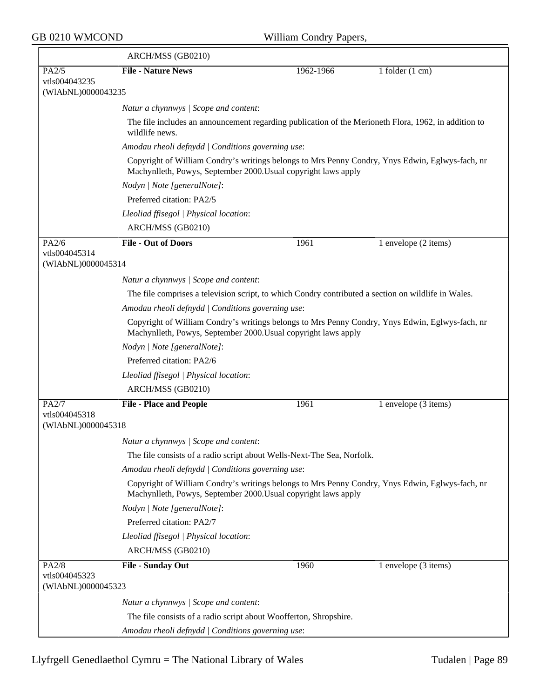$\overline{ }$ 

|                                     | ARCH/MSS (GB0210)                                                                                                                                                 |           |                                                                                                 |  |  |
|-------------------------------------|-------------------------------------------------------------------------------------------------------------------------------------------------------------------|-----------|-------------------------------------------------------------------------------------------------|--|--|
| PA2/5                               | <b>File - Nature News</b>                                                                                                                                         | 1962-1966 | 1 folder $(1 \text{ cm})$                                                                       |  |  |
| vtls004043235<br>(WIAbNL)0000043285 |                                                                                                                                                                   |           |                                                                                                 |  |  |
|                                     | Natur a chynnwys / Scope and content:                                                                                                                             |           |                                                                                                 |  |  |
|                                     | The file includes an announcement regarding publication of the Merioneth Flora, 1962, in addition to<br>wildlife news.                                            |           |                                                                                                 |  |  |
|                                     | Amodau rheoli defnydd   Conditions governing use:                                                                                                                 |           |                                                                                                 |  |  |
|                                     | Copyright of William Condry's writings belongs to Mrs Penny Condry, Ynys Edwin, Eglwys-fach, nr<br>Machynlleth, Powys, September 2000. Usual copyright laws apply |           |                                                                                                 |  |  |
|                                     | Nodyn   Note [generalNote]:                                                                                                                                       |           |                                                                                                 |  |  |
|                                     | Preferred citation: PA2/5                                                                                                                                         |           |                                                                                                 |  |  |
|                                     | Lleoliad ffisegol   Physical location:                                                                                                                            |           |                                                                                                 |  |  |
|                                     | ARCH/MSS (GB0210)                                                                                                                                                 |           |                                                                                                 |  |  |
| PA2/6                               | <b>File - Out of Doors</b>                                                                                                                                        | 1961      | 1 envelope (2 items)                                                                            |  |  |
| vtls004045314<br>(WIAbNL)0000045314 |                                                                                                                                                                   |           |                                                                                                 |  |  |
|                                     | Natur a chynnwys / Scope and content:                                                                                                                             |           |                                                                                                 |  |  |
|                                     | The file comprises a television script, to which Condry contributed a section on wildlife in Wales.                                                               |           |                                                                                                 |  |  |
|                                     | Amodau rheoli defnydd   Conditions governing use:                                                                                                                 |           |                                                                                                 |  |  |
|                                     | Copyright of William Condry's writings belongs to Mrs Penny Condry, Ynys Edwin, Eglwys-fach, nr<br>Machynlleth, Powys, September 2000. Usual copyright laws apply |           |                                                                                                 |  |  |
|                                     | Nodyn   Note [generalNote]:                                                                                                                                       |           |                                                                                                 |  |  |
|                                     | Preferred citation: PA2/6                                                                                                                                         |           |                                                                                                 |  |  |
|                                     | Lleoliad ffisegol   Physical location:                                                                                                                            |           |                                                                                                 |  |  |
|                                     | ARCH/MSS (GB0210)                                                                                                                                                 |           |                                                                                                 |  |  |
| PA2/7<br>vtls004045318              | <b>File - Place and People</b>                                                                                                                                    | 1961      | 1 envelope (3 items)                                                                            |  |  |
| (WIAbNL)0000045318                  |                                                                                                                                                                   |           |                                                                                                 |  |  |
|                                     | Natur a chynnwys / Scope and content:                                                                                                                             |           |                                                                                                 |  |  |
|                                     | The file consists of a radio script about Wells-Next-The Sea, Norfolk.                                                                                            |           |                                                                                                 |  |  |
|                                     | Amodau rheoli defnydd   Conditions governing use:                                                                                                                 |           |                                                                                                 |  |  |
|                                     | Machynlleth, Powys, September 2000. Usual copyright laws apply                                                                                                    |           | Copyright of William Condry's writings belongs to Mrs Penny Condry, Ynys Edwin, Eglwys-fach, nr |  |  |
|                                     | Nodyn   Note [generalNote]:                                                                                                                                       |           |                                                                                                 |  |  |
|                                     | Preferred citation: PA2/7                                                                                                                                         |           |                                                                                                 |  |  |
|                                     | Lleoliad ffisegol   Physical location:                                                                                                                            |           |                                                                                                 |  |  |
|                                     | ARCH/MSS (GB0210)                                                                                                                                                 |           |                                                                                                 |  |  |
| PA2/8<br>vtls004045323              | File - Sunday Out                                                                                                                                                 | 1960      | 1 envelope (3 items)                                                                            |  |  |
| (WIAbNL)0000045323                  |                                                                                                                                                                   |           |                                                                                                 |  |  |
|                                     | Natur a chynnwys / Scope and content:                                                                                                                             |           |                                                                                                 |  |  |
|                                     | The file consists of a radio script about Woofferton, Shropshire.                                                                                                 |           |                                                                                                 |  |  |
|                                     | Amodau rheoli defnydd   Conditions governing use:                                                                                                                 |           |                                                                                                 |  |  |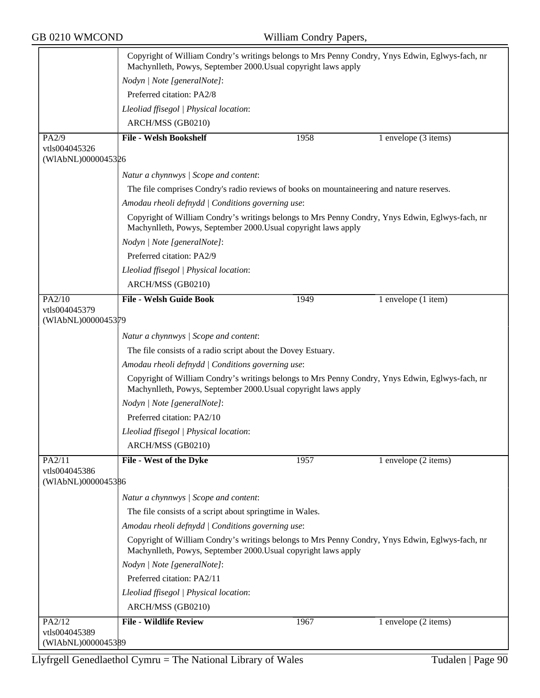|                                     | Copyright of William Condry's writings belongs to Mrs Penny Condry, Ynys Edwin, Eglwys-fach, nr<br>Machynlleth, Powys, September 2000. Usual copyright laws apply |      |                                                                                                 |  |
|-------------------------------------|-------------------------------------------------------------------------------------------------------------------------------------------------------------------|------|-------------------------------------------------------------------------------------------------|--|
|                                     | Nodyn   Note [generalNote]:                                                                                                                                       |      |                                                                                                 |  |
|                                     | Preferred citation: PA2/8                                                                                                                                         |      |                                                                                                 |  |
|                                     | Lleoliad ffisegol   Physical location:                                                                                                                            |      |                                                                                                 |  |
|                                     | ARCH/MSS (GB0210)                                                                                                                                                 |      |                                                                                                 |  |
| PA2/9                               | <b>File - Welsh Bookshelf</b>                                                                                                                                     | 1958 | 1 envelope (3 items)                                                                            |  |
| vtls004045326<br>(WIAbNL)0000045326 |                                                                                                                                                                   |      |                                                                                                 |  |
|                                     | Natur a chynnwys / Scope and content:                                                                                                                             |      |                                                                                                 |  |
|                                     | The file comprises Condry's radio reviews of books on mountaineering and nature reserves.                                                                         |      |                                                                                                 |  |
|                                     | Amodau rheoli defnydd   Conditions governing use:                                                                                                                 |      |                                                                                                 |  |
|                                     | Machynlleth, Powys, September 2000. Usual copyright laws apply                                                                                                    |      | Copyright of William Condry's writings belongs to Mrs Penny Condry, Ynys Edwin, Eglwys-fach, nr |  |
|                                     | Nodyn   Note [generalNote]:                                                                                                                                       |      |                                                                                                 |  |
|                                     | Preferred citation: PA2/9                                                                                                                                         |      |                                                                                                 |  |
|                                     | Lleoliad ffisegol   Physical location:                                                                                                                            |      |                                                                                                 |  |
|                                     | ARCH/MSS (GB0210)                                                                                                                                                 |      |                                                                                                 |  |
| PA2/10                              | <b>File - Welsh Guide Book</b>                                                                                                                                    | 1949 | 1 envelope (1 item)                                                                             |  |
| vtls004045379<br>(WIAbNL)0000045379 |                                                                                                                                                                   |      |                                                                                                 |  |
|                                     | Natur a chynnwys / Scope and content:                                                                                                                             |      |                                                                                                 |  |
|                                     | The file consists of a radio script about the Dovey Estuary.                                                                                                      |      |                                                                                                 |  |
|                                     | Amodau rheoli defnydd   Conditions governing use:                                                                                                                 |      |                                                                                                 |  |
|                                     | Machynlleth, Powys, September 2000. Usual copyright laws apply                                                                                                    |      | Copyright of William Condry's writings belongs to Mrs Penny Condry, Ynys Edwin, Eglwys-fach, nr |  |
|                                     | Nodyn   Note [generalNote]:                                                                                                                                       |      |                                                                                                 |  |
|                                     | Preferred citation: PA2/10                                                                                                                                        |      |                                                                                                 |  |
|                                     | Lleoliad ffisegol   Physical location:                                                                                                                            |      |                                                                                                 |  |
|                                     | ARCH/MSS (GB0210)                                                                                                                                                 |      |                                                                                                 |  |
| PA2/11                              | File - West of the Dyke                                                                                                                                           | 1957 | 1 envelope (2 items)                                                                            |  |
| vtls004045386<br>(WIAbNL)0000045386 |                                                                                                                                                                   |      |                                                                                                 |  |
|                                     | Natur a chynnwys / Scope and content:                                                                                                                             |      |                                                                                                 |  |
|                                     | The file consists of a script about springtime in Wales.                                                                                                          |      |                                                                                                 |  |
|                                     | Amodau rheoli defnydd   Conditions governing use:                                                                                                                 |      |                                                                                                 |  |
|                                     | Machynlleth, Powys, September 2000. Usual copyright laws apply                                                                                                    |      | Copyright of William Condry's writings belongs to Mrs Penny Condry, Ynys Edwin, Eglwys-fach, nr |  |
|                                     | Nodyn   Note [generalNote]:                                                                                                                                       |      |                                                                                                 |  |
|                                     | Preferred citation: PA2/11                                                                                                                                        |      |                                                                                                 |  |
|                                     | Lleoliad ffisegol   Physical location:                                                                                                                            |      |                                                                                                 |  |
|                                     | ARCH/MSS (GB0210)                                                                                                                                                 |      |                                                                                                 |  |
| PA2/12                              | <b>File - Wildlife Review</b>                                                                                                                                     | 1967 | 1 envelope (2 items)                                                                            |  |
| vtls004045389                       |                                                                                                                                                                   |      |                                                                                                 |  |
| (WIAbNL)0000045389                  |                                                                                                                                                                   |      |                                                                                                 |  |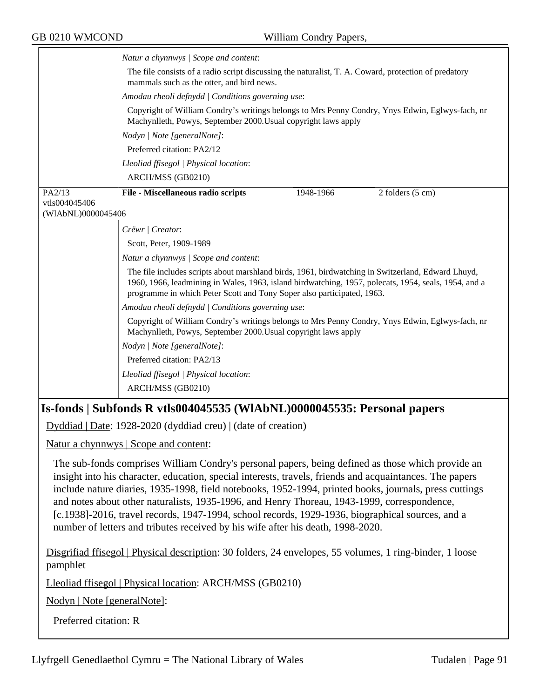|                    | Natur a chynnwys / Scope and content:                                                                                                                                                                                                                                                                                                                                                                                  |                                                                                                                                                                   |                              |  |  |
|--------------------|------------------------------------------------------------------------------------------------------------------------------------------------------------------------------------------------------------------------------------------------------------------------------------------------------------------------------------------------------------------------------------------------------------------------|-------------------------------------------------------------------------------------------------------------------------------------------------------------------|------------------------------|--|--|
|                    | The file consists of a radio script discussing the naturalist, T. A. Coward, protection of predatory<br>mammals such as the otter, and bird news.                                                                                                                                                                                                                                                                      |                                                                                                                                                                   |                              |  |  |
|                    | Amodau rheoli defnydd   Conditions governing use:                                                                                                                                                                                                                                                                                                                                                                      |                                                                                                                                                                   |                              |  |  |
|                    | Copyright of William Condry's writings belongs to Mrs Penny Condry, Ynys Edwin, Eglwys-fach, nr<br>Machynlleth, Powys, September 2000. Usual copyright laws apply                                                                                                                                                                                                                                                      |                                                                                                                                                                   |                              |  |  |
|                    | Nodyn   Note [generalNote]:                                                                                                                                                                                                                                                                                                                                                                                            |                                                                                                                                                                   |                              |  |  |
|                    | Preferred citation: PA2/12                                                                                                                                                                                                                                                                                                                                                                                             |                                                                                                                                                                   |                              |  |  |
|                    | Lleoliad ffisegol   Physical location:                                                                                                                                                                                                                                                                                                                                                                                 |                                                                                                                                                                   |                              |  |  |
|                    | ARCH/MSS (GB0210)                                                                                                                                                                                                                                                                                                                                                                                                      |                                                                                                                                                                   |                              |  |  |
| PA2/13             | File - Miscellaneous radio scripts                                                                                                                                                                                                                                                                                                                                                                                     | 1948-1966                                                                                                                                                         | $2$ folders $(5 \text{ cm})$ |  |  |
| vtls004045406      |                                                                                                                                                                                                                                                                                                                                                                                                                        |                                                                                                                                                                   |                              |  |  |
| (WIAbNL)0000045406 |                                                                                                                                                                                                                                                                                                                                                                                                                        |                                                                                                                                                                   |                              |  |  |
|                    | Crëwr   Creator:                                                                                                                                                                                                                                                                                                                                                                                                       |                                                                                                                                                                   |                              |  |  |
|                    | Scott, Peter, 1909-1989                                                                                                                                                                                                                                                                                                                                                                                                |                                                                                                                                                                   |                              |  |  |
|                    | Natur a chynnwys / Scope and content:                                                                                                                                                                                                                                                                                                                                                                                  |                                                                                                                                                                   |                              |  |  |
|                    | The file includes scripts about marshland birds, 1961, birdwatching in Switzerland, Edward Lhuyd,<br>1960, 1966, leadmining in Wales, 1963, island birdwatching, 1957, polecats, 1954, seals, 1954, and a<br>programme in which Peter Scott and Tony Soper also participated, 1963.                                                                                                                                    |                                                                                                                                                                   |                              |  |  |
|                    | Amodau rheoli defnydd   Conditions governing use:                                                                                                                                                                                                                                                                                                                                                                      |                                                                                                                                                                   |                              |  |  |
|                    |                                                                                                                                                                                                                                                                                                                                                                                                                        | Copyright of William Condry's writings belongs to Mrs Penny Condry, Ynys Edwin, Eglwys-fach, nr<br>Machynlleth, Powys, September 2000. Usual copyright laws apply |                              |  |  |
|                    | Nodyn   Note [generalNote]:                                                                                                                                                                                                                                                                                                                                                                                            |                                                                                                                                                                   |                              |  |  |
|                    | Preferred citation: PA2/13                                                                                                                                                                                                                                                                                                                                                                                             |                                                                                                                                                                   |                              |  |  |
|                    | Lleoliad ffisegol   Physical location:                                                                                                                                                                                                                                                                                                                                                                                 |                                                                                                                                                                   |                              |  |  |
|                    | ARCH/MSS (GB0210)                                                                                                                                                                                                                                                                                                                                                                                                      |                                                                                                                                                                   |                              |  |  |
|                    | Is-fonds   Subfonds R vtls004045535 (WIAbNL)0000045535: Personal papers                                                                                                                                                                                                                                                                                                                                                |                                                                                                                                                                   |                              |  |  |
|                    |                                                                                                                                                                                                                                                                                                                                                                                                                        |                                                                                                                                                                   |                              |  |  |
|                    | Dyddiad   Date: 1928-2020 (dyddiad creu)   (date of creation)                                                                                                                                                                                                                                                                                                                                                          |                                                                                                                                                                   |                              |  |  |
|                    | Natur a chynnwys   Scope and content:                                                                                                                                                                                                                                                                                                                                                                                  |                                                                                                                                                                   |                              |  |  |
|                    | The sub-fonds comprises William Condry's personal papers, being defined as those which provide an<br>insight into his character, education, special interests, travels, friends and acquaintances. The papers<br>include nature diaries, 1935-1998, field notebooks, 1952-1994, printed books, journals, press cuttings<br>and notes about other naturalists, 1935-1996, and Henry Thoreau, 1943-1999, correspondence, |                                                                                                                                                                   |                              |  |  |

[c.1938]-2016, travel records, 1947-1994, school records, 1929-1936, biographical sources, and a number of letters and tributes received by his wife after his death, 1998-2020.

Disgrifiad ffisegol | Physical description: 30 folders, 24 envelopes, 55 volumes, 1 ring-binder, 1 loose pamphlet

Lleoliad ffisegol | Physical location: ARCH/MSS (GB0210)

Nodyn | Note [generalNote]:

Preferred citation: R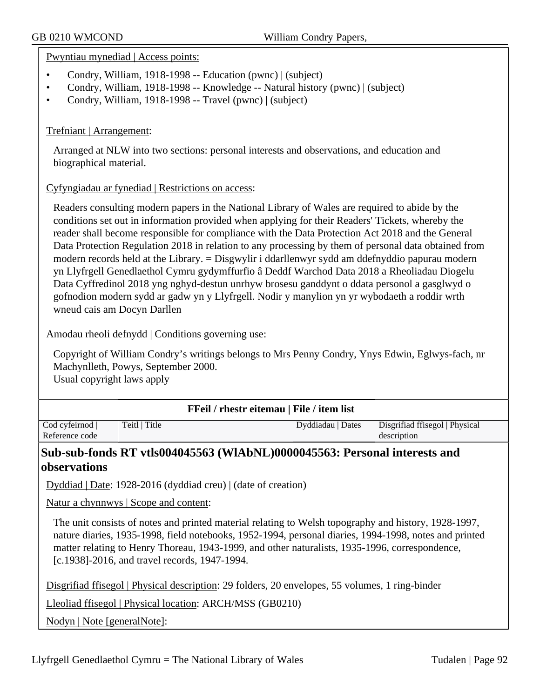#### Pwyntiau mynediad | Access points:

- Condry, William, 1918-1998 -- Education (pwnc) | (subject)
- Condry, William, 1918-1998 -- Knowledge -- Natural history (pwnc) | (subject)
- Condry, William, 1918-1998 -- Travel (pwnc) | (subject)

#### Trefniant | Arrangement:

Arranged at NLW into two sections: personal interests and observations, and education and biographical material.

#### Cyfyngiadau ar fynediad | Restrictions on access:

Readers consulting modern papers in the National Library of Wales are required to abide by the conditions set out in information provided when applying for their Readers' Tickets, whereby the reader shall become responsible for compliance with the Data Protection Act 2018 and the General Data Protection Regulation 2018 in relation to any processing by them of personal data obtained from modern records held at the Library. = Disgwylir i ddarllenwyr sydd am ddefnyddio papurau modern yn Llyfrgell Genedlaethol Cymru gydymffurfio â Deddf Warchod Data 2018 a Rheoliadau Diogelu Data Cyffredinol 2018 yng nghyd-destun unrhyw brosesu ganddynt o ddata personol a gasglwyd o gofnodion modern sydd ar gadw yn y Llyfrgell. Nodir y manylion yn yr wybodaeth a roddir wrth wneud cais am Docyn Darllen

Amodau rheoli defnydd | Conditions governing use:

Copyright of William Condry's writings belongs to Mrs Penny Condry, Ynys Edwin, Eglwys-fach, nr Machynlleth, Powys, September 2000. Usual copyright laws apply

| <b>FFeil</b> / rhestr eitemau   File / item list |               |                   |                                |
|--------------------------------------------------|---------------|-------------------|--------------------------------|
| Cod cyfeirnod                                    | Teitl   Title | Dyddiadau   Dates | Disgrifiad ffisegol   Physical |
| Reference code                                   |               |                   | description                    |
|                                                  |               |                   |                                |

# **Sub-sub-fonds RT vtls004045563 (WlAbNL)0000045563: Personal interests and observations**

Dyddiad | Date: 1928-2016 (dyddiad creu) | (date of creation)

Natur a chynnwys | Scope and content:

The unit consists of notes and printed material relating to Welsh topography and history, 1928-1997, nature diaries, 1935-1998, field notebooks, 1952-1994, personal diaries, 1994-1998, notes and printed matter relating to Henry Thoreau, 1943-1999, and other naturalists, 1935-1996, correspondence, [c.1938]-2016, and travel records, 1947-1994.

Disgrifiad ffisegol | Physical description: 29 folders, 20 envelopes, 55 volumes, 1 ring-binder

Lleoliad ffisegol | Physical location: ARCH/MSS (GB0210)

Nodyn | Note [generalNote]: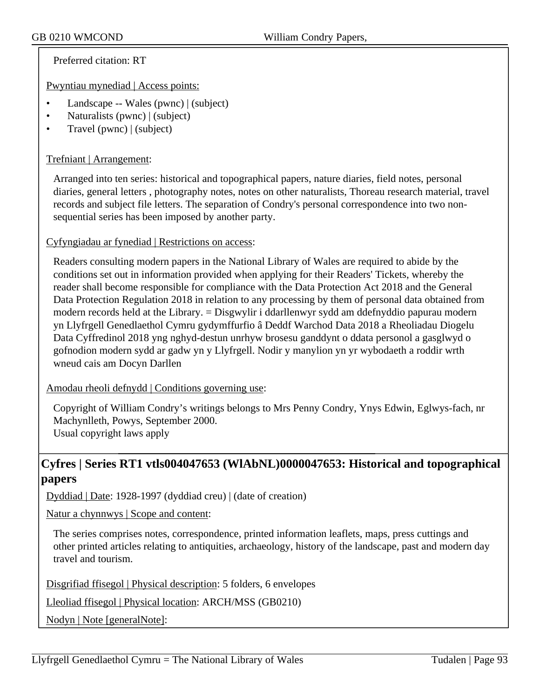Preferred citation: RT

Pwyntiau mynediad | Access points:

- Landscape -- Wales (pwnc) | (subject)
- Naturalists (pwnc) | (subject)
- Travel (pwnc) | (subject)

## Trefniant | Arrangement:

Arranged into ten series: historical and topographical papers, nature diaries, field notes, personal diaries, general letters , photography notes, notes on other naturalists, Thoreau research material, travel records and subject file letters. The separation of Condry's personal correspondence into two nonsequential series has been imposed by another party.

#### Cyfyngiadau ar fynediad | Restrictions on access:

Readers consulting modern papers in the National Library of Wales are required to abide by the conditions set out in information provided when applying for their Readers' Tickets, whereby the reader shall become responsible for compliance with the Data Protection Act 2018 and the General Data Protection Regulation 2018 in relation to any processing by them of personal data obtained from modern records held at the Library. = Disgwylir i ddarllenwyr sydd am ddefnyddio papurau modern yn Llyfrgell Genedlaethol Cymru gydymffurfio â Deddf Warchod Data 2018 a Rheoliadau Diogelu Data Cyffredinol 2018 yng nghyd-destun unrhyw brosesu ganddynt o ddata personol a gasglwyd o gofnodion modern sydd ar gadw yn y Llyfrgell. Nodir y manylion yn yr wybodaeth a roddir wrth wneud cais am Docyn Darllen

#### Amodau rheoli defnydd | Conditions governing use:

Copyright of William Condry's writings belongs to Mrs Penny Condry, Ynys Edwin, Eglwys-fach, nr Machynlleth, Powys, September 2000. Usual copyright laws apply

# **Cyfres | Series RT1 vtls004047653 (WlAbNL)0000047653: Historical and topographical papers**

Dyddiad | Date: 1928-1997 (dyddiad creu) | (date of creation)

Natur a chynnwys | Scope and content:

The series comprises notes, correspondence, printed information leaflets, maps, press cuttings and other printed articles relating to antiquities, archaeology, history of the landscape, past and modern day travel and tourism.

Disgrifiad ffisegol | Physical description: 5 folders, 6 envelopes

Lleoliad ffisegol | Physical location: ARCH/MSS (GB0210)

Nodyn | Note [generalNote]: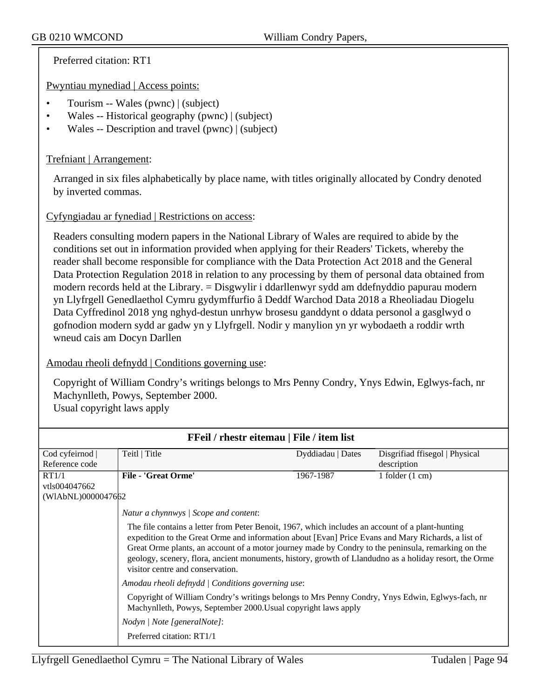Preferred citation: RT1

Pwyntiau mynediad | Access points:

- Tourism -- Wales (pwnc) | (subject)
- Wales -- Historical geography (pwnc) | (subject)
- Wales -- Description and travel (pwnc) | (subject)

### Trefniant | Arrangement:

Arranged in six files alphabetically by place name, with titles originally allocated by Condry denoted by inverted commas.

## Cyfyngiadau ar fynediad | Restrictions on access:

Readers consulting modern papers in the National Library of Wales are required to abide by the conditions set out in information provided when applying for their Readers' Tickets, whereby the reader shall become responsible for compliance with the Data Protection Act 2018 and the General Data Protection Regulation 2018 in relation to any processing by them of personal data obtained from modern records held at the Library. = Disgwylir i ddarllenwyr sydd am ddefnyddio papurau modern yn Llyfrgell Genedlaethol Cymru gydymffurfio â Deddf Warchod Data 2018 a Rheoliadau Diogelu Data Cyffredinol 2018 yng nghyd-destun unrhyw brosesu ganddynt o ddata personol a gasglwyd o gofnodion modern sydd ar gadw yn y Llyfrgell. Nodir y manylion yn yr wybodaeth a roddir wrth wneud cais am Docyn Darllen

#### Amodau rheoli defnydd | Conditions governing use:

Copyright of William Condry's writings belongs to Mrs Penny Condry, Ynys Edwin, Eglwys-fach, nr Machynlleth, Powys, September 2000. Usual copyright laws apply

| FFeil / rhestr eitemau   File / item list |                                                                                                                                                                                                                                                                                                                                                                                                                                                            |                   |                                |  |  |
|-------------------------------------------|------------------------------------------------------------------------------------------------------------------------------------------------------------------------------------------------------------------------------------------------------------------------------------------------------------------------------------------------------------------------------------------------------------------------------------------------------------|-------------------|--------------------------------|--|--|
| Cod cyfeirnod                             | Teitl   Title                                                                                                                                                                                                                                                                                                                                                                                                                                              | Dyddiadau   Dates | Disgrifiad ffisegol   Physical |  |  |
| Reference code                            |                                                                                                                                                                                                                                                                                                                                                                                                                                                            |                   | description                    |  |  |
| RT1/1                                     | <b>File - 'Great Orme'</b>                                                                                                                                                                                                                                                                                                                                                                                                                                 | 1967-1987         | 1 folder $(1 \text{ cm})$      |  |  |
| vtls004047662                             |                                                                                                                                                                                                                                                                                                                                                                                                                                                            |                   |                                |  |  |
| (WIAbNL)0000047662                        |                                                                                                                                                                                                                                                                                                                                                                                                                                                            |                   |                                |  |  |
|                                           | Natur a chynnwys / Scope and content:                                                                                                                                                                                                                                                                                                                                                                                                                      |                   |                                |  |  |
|                                           | The file contains a letter from Peter Benoit, 1967, which includes an account of a plant-hunting<br>expedition to the Great Orme and information about [Evan] Price Evans and Mary Richards, a list of<br>Great Orme plants, an account of a motor journey made by Condry to the peninsula, remarking on the<br>geology, scenery, flora, ancient monuments, history, growth of Llandudno as a holiday resort, the Orme<br>visitor centre and conservation. |                   |                                |  |  |
|                                           | Amodau rheoli defnydd   Conditions governing use:                                                                                                                                                                                                                                                                                                                                                                                                          |                   |                                |  |  |
|                                           | Copyright of William Condry's writings belongs to Mrs Penny Condry, Ynys Edwin, Eglwys-fach, nr<br>Machynlleth, Powys, September 2000. Usual copyright laws apply                                                                                                                                                                                                                                                                                          |                   |                                |  |  |
|                                           | Nodyn   Note [generalNote]:                                                                                                                                                                                                                                                                                                                                                                                                                                |                   |                                |  |  |
|                                           | Preferred citation: RT1/1                                                                                                                                                                                                                                                                                                                                                                                                                                  |                   |                                |  |  |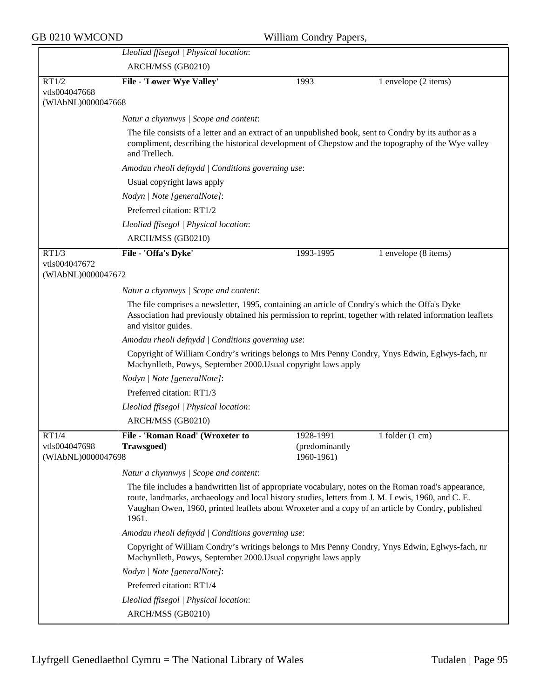|                                              | Lleoliad ffisegol   Physical location:                                                                                                                                                                                                                                                                                    |                                           |                             |  |  |
|----------------------------------------------|---------------------------------------------------------------------------------------------------------------------------------------------------------------------------------------------------------------------------------------------------------------------------------------------------------------------------|-------------------------------------------|-----------------------------|--|--|
|                                              | ARCH/MSS (GB0210)                                                                                                                                                                                                                                                                                                         |                                           |                             |  |  |
| RT1/2                                        | File - 'Lower Wye Valley'                                                                                                                                                                                                                                                                                                 | 1993                                      | 1 envelope (2 items)        |  |  |
| vtls004047668<br>(WIAbNL)0000047668          |                                                                                                                                                                                                                                                                                                                           |                                           |                             |  |  |
|                                              | Natur a chynnwys / Scope and content:                                                                                                                                                                                                                                                                                     |                                           |                             |  |  |
|                                              | The file consists of a letter and an extract of an unpublished book, sent to Condry by its author as a<br>compliment, describing the historical development of Chepstow and the topography of the Wye valley<br>and Trellech.                                                                                             |                                           |                             |  |  |
|                                              | Amodau rheoli defnydd   Conditions governing use:                                                                                                                                                                                                                                                                         |                                           |                             |  |  |
|                                              | Usual copyright laws apply                                                                                                                                                                                                                                                                                                |                                           |                             |  |  |
|                                              | Nodyn   Note [generalNote]:                                                                                                                                                                                                                                                                                               |                                           |                             |  |  |
|                                              | Preferred citation: RT1/2                                                                                                                                                                                                                                                                                                 |                                           |                             |  |  |
|                                              | Lleoliad ffisegol   Physical location:                                                                                                                                                                                                                                                                                    |                                           |                             |  |  |
|                                              | ARCH/MSS (GB0210)                                                                                                                                                                                                                                                                                                         |                                           |                             |  |  |
| RT1/3                                        | File - 'Offa's Dyke'                                                                                                                                                                                                                                                                                                      | 1993-1995                                 | 1 envelope (8 items)        |  |  |
| vtls004047672<br>(WIAbNL)0000047672          |                                                                                                                                                                                                                                                                                                                           |                                           |                             |  |  |
|                                              | Natur a chynnwys / Scope and content:                                                                                                                                                                                                                                                                                     |                                           |                             |  |  |
|                                              | The file comprises a newsletter, 1995, containing an article of Condry's which the Offa's Dyke<br>Association had previously obtained his permission to reprint, together with related information leaflets<br>and visitor guides.                                                                                        |                                           |                             |  |  |
|                                              | Amodau rheoli defnydd   Conditions governing use:                                                                                                                                                                                                                                                                         |                                           |                             |  |  |
|                                              | Copyright of William Condry's writings belongs to Mrs Penny Condry, Ynys Edwin, Eglwys-fach, nr<br>Machynlleth, Powys, September 2000. Usual copyright laws apply                                                                                                                                                         |                                           |                             |  |  |
|                                              | Nodyn   Note [generalNote]:                                                                                                                                                                                                                                                                                               |                                           |                             |  |  |
|                                              | Preferred citation: RT1/3                                                                                                                                                                                                                                                                                                 |                                           |                             |  |  |
|                                              | Lleoliad ffisegol   Physical location:                                                                                                                                                                                                                                                                                    |                                           |                             |  |  |
|                                              | ARCH/MSS (GB0210)                                                                                                                                                                                                                                                                                                         |                                           |                             |  |  |
| RT1/4<br>vtls004047698<br>(WIAbNL)0000047698 | File - 'Roman Road' (Wroxeter to<br><b>Trawsgoed</b> )                                                                                                                                                                                                                                                                    | 1928-1991<br>(predominantly<br>1960-1961) | $1$ folder $(1 \text{ cm})$ |  |  |
|                                              | Natur a chynnwys / Scope and content:                                                                                                                                                                                                                                                                                     |                                           |                             |  |  |
|                                              | The file includes a handwritten list of appropriate vocabulary, notes on the Roman road's appearance,<br>route, landmarks, archaeology and local history studies, letters from J. M. Lewis, 1960, and C. E.<br>Vaughan Owen, 1960, printed leaflets about Wroxeter and a copy of an article by Condry, published<br>1961. |                                           |                             |  |  |
|                                              | Amodau rheoli defnydd   Conditions governing use:                                                                                                                                                                                                                                                                         |                                           |                             |  |  |
|                                              | Copyright of William Condry's writings belongs to Mrs Penny Condry, Ynys Edwin, Eglwys-fach, nr<br>Machynlleth, Powys, September 2000. Usual copyright laws apply                                                                                                                                                         |                                           |                             |  |  |
|                                              | Nodyn   Note [generalNote]:                                                                                                                                                                                                                                                                                               |                                           |                             |  |  |
|                                              | Preferred citation: RT1/4                                                                                                                                                                                                                                                                                                 |                                           |                             |  |  |
|                                              | Lleoliad ffisegol   Physical location:                                                                                                                                                                                                                                                                                    |                                           |                             |  |  |
|                                              | ARCH/MSS (GB0210)                                                                                                                                                                                                                                                                                                         |                                           |                             |  |  |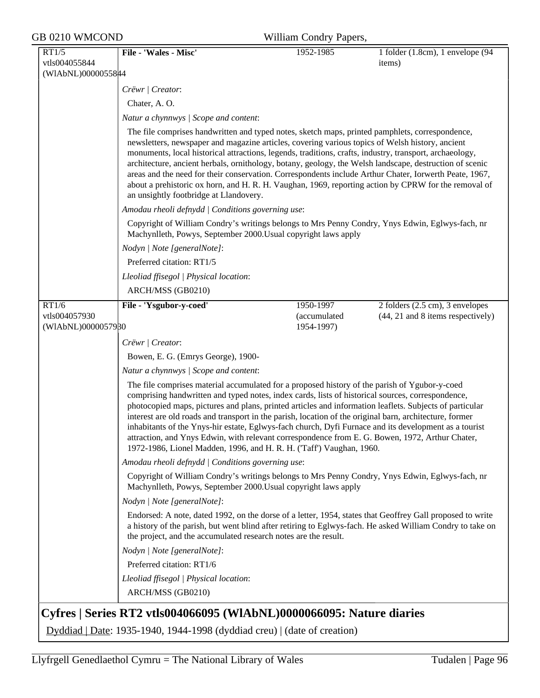| GB 0210 WMCOND                               |                                                                                                                                                                                                                                                                                                                                                                                                                                                                                          | William Condry Papers,                  |                                                                                                                                                                                                                                                                                                                           |  |
|----------------------------------------------|------------------------------------------------------------------------------------------------------------------------------------------------------------------------------------------------------------------------------------------------------------------------------------------------------------------------------------------------------------------------------------------------------------------------------------------------------------------------------------------|-----------------------------------------|---------------------------------------------------------------------------------------------------------------------------------------------------------------------------------------------------------------------------------------------------------------------------------------------------------------------------|--|
| RT1/5<br>vtls004055844<br>(WIAbNL)00000558#4 | File - 'Wales - Misc'                                                                                                                                                                                                                                                                                                                                                                                                                                                                    | 1952-1985                               | 1 folder (1.8cm), 1 envelope (94<br>items)                                                                                                                                                                                                                                                                                |  |
|                                              | Crëwr   Creator:                                                                                                                                                                                                                                                                                                                                                                                                                                                                         |                                         |                                                                                                                                                                                                                                                                                                                           |  |
|                                              | Chater, A. O.                                                                                                                                                                                                                                                                                                                                                                                                                                                                            |                                         |                                                                                                                                                                                                                                                                                                                           |  |
|                                              | Natur a chynnwys / Scope and content:                                                                                                                                                                                                                                                                                                                                                                                                                                                    |                                         |                                                                                                                                                                                                                                                                                                                           |  |
|                                              | The file comprises handwritten and typed notes, sketch maps, printed pamphlets, correspondence,<br>newsletters, newspaper and magazine articles, covering various topics of Welsh history, ancient<br>monuments, local historical attractions, legends, traditions, crafts, industry, transport, archaeology,<br>an unsightly footbridge at Llandovery.                                                                                                                                  |                                         | architecture, ancient herbals, ornithology, botany, geology, the Welsh landscape, destruction of scenic<br>areas and the need for their conservation. Correspondents include Arthur Chater, Iorwerth Peate, 1967,<br>about a prehistoric ox horn, and H. R. H. Vaughan, 1969, reporting action by CPRW for the removal of |  |
|                                              | Amodau rheoli defnydd   Conditions governing use:                                                                                                                                                                                                                                                                                                                                                                                                                                        |                                         |                                                                                                                                                                                                                                                                                                                           |  |
|                                              | Machynlleth, Powys, September 2000. Usual copyright laws apply                                                                                                                                                                                                                                                                                                                                                                                                                           |                                         | Copyright of William Condry's writings belongs to Mrs Penny Condry, Ynys Edwin, Eglwys-fach, nr                                                                                                                                                                                                                           |  |
|                                              | Nodyn   Note [generalNote]:                                                                                                                                                                                                                                                                                                                                                                                                                                                              |                                         |                                                                                                                                                                                                                                                                                                                           |  |
|                                              | Preferred citation: RT1/5                                                                                                                                                                                                                                                                                                                                                                                                                                                                |                                         |                                                                                                                                                                                                                                                                                                                           |  |
|                                              | Lleoliad ffisegol   Physical location:                                                                                                                                                                                                                                                                                                                                                                                                                                                   |                                         |                                                                                                                                                                                                                                                                                                                           |  |
|                                              | ARCH/MSS (GB0210)                                                                                                                                                                                                                                                                                                                                                                                                                                                                        |                                         |                                                                                                                                                                                                                                                                                                                           |  |
| RT1/6<br>vtls004057930<br>(WIAbNL)0000057980 | File - 'Ysgubor-y-coed'                                                                                                                                                                                                                                                                                                                                                                                                                                                                  | 1950-1997<br>(accumulated<br>1954-1997) | 2 folders (2.5 cm), 3 envelopes<br>(44, 21 and 8 items respectively)                                                                                                                                                                                                                                                      |  |
|                                              | Crëwr   Creator:                                                                                                                                                                                                                                                                                                                                                                                                                                                                         |                                         |                                                                                                                                                                                                                                                                                                                           |  |
|                                              | Bowen, E. G. (Emrys George), 1900-                                                                                                                                                                                                                                                                                                                                                                                                                                                       |                                         |                                                                                                                                                                                                                                                                                                                           |  |
|                                              | Natur a chynnwys / Scope and content:                                                                                                                                                                                                                                                                                                                                                                                                                                                    |                                         |                                                                                                                                                                                                                                                                                                                           |  |
|                                              | The file comprises material accumulated for a proposed history of the parish of Ygubor-y-coed<br>comprising handwritten and typed notes, index cards, lists of historical sources, correspondence,<br>interest are old roads and transport in the parish, location of the original barn, architecture, former<br>attraction, and Ynys Edwin, with relevant correspondence from E. G. Bowen, 1972, Arthur Chater,<br>1972-1986, Lionel Madden, 1996, and H. R. H. ('Taff') Vaughan, 1960. |                                         | photocopied maps, pictures and plans, printed articles and information leaflets. Subjects of particular<br>inhabitants of the Ynys-hir estate, Eglwys-fach church, Dyfi Furnace and its development as a tourist                                                                                                          |  |
|                                              | Amodau rheoli defnydd   Conditions governing use:                                                                                                                                                                                                                                                                                                                                                                                                                                        |                                         |                                                                                                                                                                                                                                                                                                                           |  |
|                                              | Copyright of William Condry's writings belongs to Mrs Penny Condry, Ynys Edwin, Eglwys-fach, nr<br>Machynlleth, Powys, September 2000. Usual copyright laws apply                                                                                                                                                                                                                                                                                                                        |                                         |                                                                                                                                                                                                                                                                                                                           |  |
|                                              | Nodyn   Note [generalNote]:                                                                                                                                                                                                                                                                                                                                                                                                                                                              |                                         |                                                                                                                                                                                                                                                                                                                           |  |
|                                              | the project, and the accumulated research notes are the result.                                                                                                                                                                                                                                                                                                                                                                                                                          |                                         | Endorsed: A note, dated 1992, on the dorse of a letter, 1954, states that Geoffrey Gall proposed to write<br>a history of the parish, but went blind after retiring to Eglwys-fach. He asked William Condry to take on                                                                                                    |  |
|                                              | Nodyn   Note [generalNote]:                                                                                                                                                                                                                                                                                                                                                                                                                                                              |                                         |                                                                                                                                                                                                                                                                                                                           |  |
|                                              | Preferred citation: RT1/6                                                                                                                                                                                                                                                                                                                                                                                                                                                                |                                         |                                                                                                                                                                                                                                                                                                                           |  |
|                                              | Lleoliad ffisegol   Physical location:                                                                                                                                                                                                                                                                                                                                                                                                                                                   |                                         |                                                                                                                                                                                                                                                                                                                           |  |
|                                              | ARCH/MSS (GB0210)                                                                                                                                                                                                                                                                                                                                                                                                                                                                        |                                         |                                                                                                                                                                                                                                                                                                                           |  |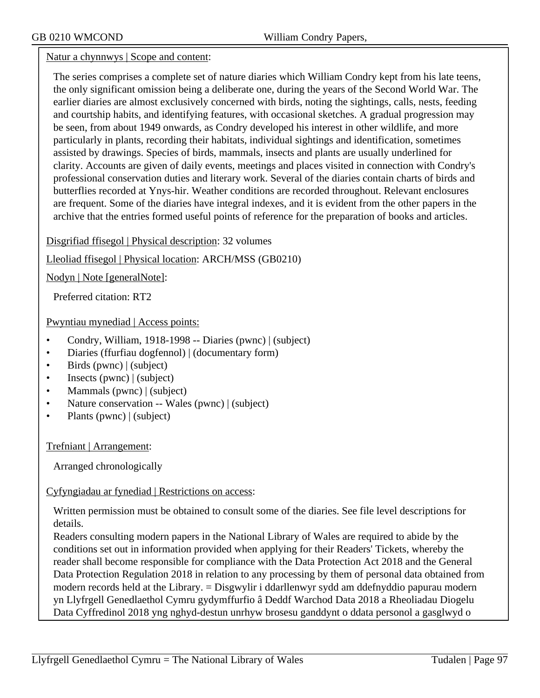Natur a chynnwys | Scope and content:

The series comprises a complete set of nature diaries which William Condry kept from his late teens, the only significant omission being a deliberate one, during the years of the Second World War. The earlier diaries are almost exclusively concerned with birds, noting the sightings, calls, nests, feeding and courtship habits, and identifying features, with occasional sketches. A gradual progression may be seen, from about 1949 onwards, as Condry developed his interest in other wildlife, and more particularly in plants, recording their habitats, individual sightings and identification, sometimes assisted by drawings. Species of birds, mammals, insects and plants are usually underlined for clarity. Accounts are given of daily events, meetings and places visited in connection with Condry's professional conservation duties and literary work. Several of the diaries contain charts of birds and butterflies recorded at Ynys-hir. Weather conditions are recorded throughout. Relevant enclosures are frequent. Some of the diaries have integral indexes, and it is evident from the other papers in the archive that the entries formed useful points of reference for the preparation of books and articles.

Disgrifiad ffisegol | Physical description: 32 volumes

Lleoliad ffisegol | Physical location: ARCH/MSS (GB0210)

Nodyn | Note [generalNote]:

Preferred citation: RT2

Pwyntiau mynediad | Access points:

- Condry, William, 1918-1998 -- Diaries (pwnc) | (subject)
- Diaries (ffurfiau dogfennol) | (documentary form)
- Birds (pwnc) | (subject)
- Insects (pwnc) | (subject)
- Mammals (pwnc) | (subject)
- Nature conservation -- Wales (pwnc) | (subject)
- Plants (pwnc) | (subject)

Trefniant | Arrangement:

Arranged chronologically

Cyfyngiadau ar fynediad | Restrictions on access:

Written permission must be obtained to consult some of the diaries. See file level descriptions for details.

Readers consulting modern papers in the National Library of Wales are required to abide by the conditions set out in information provided when applying for their Readers' Tickets, whereby the reader shall become responsible for compliance with the Data Protection Act 2018 and the General Data Protection Regulation 2018 in relation to any processing by them of personal data obtained from modern records held at the Library. = Disgwylir i ddarllenwyr sydd am ddefnyddio papurau modern yn Llyfrgell Genedlaethol Cymru gydymffurfio â Deddf Warchod Data 2018 a Rheoliadau Diogelu Data Cyffredinol 2018 yng nghyd-destun unrhyw brosesu ganddynt o ddata personol a gasglwyd o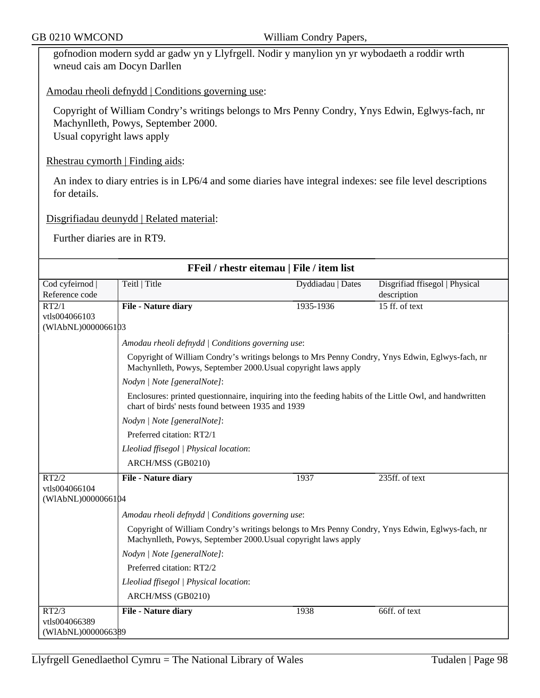gofnodion modern sydd ar gadw yn y Llyfrgell. Nodir y manylion yn yr wybodaeth a roddir wrth wneud cais am Docyn Darllen

## Amodau rheoli defnydd | Conditions governing use:

Copyright of William Condry's writings belongs to Mrs Penny Condry, Ynys Edwin, Eglwys-fach, nr Machynlleth, Powys, September 2000. Usual copyright laws apply

Rhestrau cymorth | Finding aids:

An index to diary entries is in LP6/4 and some diaries have integral indexes: see file level descriptions for details.

Disgrifiadau deunydd | Related material:

Further diaries are in RT9.

| FFeil / rhestr eitemau   File / item list    |                                                                                                                                                                   |                   |                                               |  |  |
|----------------------------------------------|-------------------------------------------------------------------------------------------------------------------------------------------------------------------|-------------------|-----------------------------------------------|--|--|
| Cod cyfeirnod  <br>Reference code            | Teitl   Title                                                                                                                                                     | Dyddiadau   Dates | Disgrifiad ffisegol   Physical<br>description |  |  |
| RT2/1<br>vtls004066103<br>(WIAbNL)0000066103 | <b>File - Nature diary</b>                                                                                                                                        | 1935-1936         | 15 ff. of text                                |  |  |
|                                              | Amodau rheoli defnydd   Conditions governing use:                                                                                                                 |                   |                                               |  |  |
|                                              | Copyright of William Condry's writings belongs to Mrs Penny Condry, Ynys Edwin, Eglwys-fach, nr<br>Machynlleth, Powys, September 2000. Usual copyright laws apply |                   |                                               |  |  |
|                                              | Nodyn   Note [generalNote]:                                                                                                                                       |                   |                                               |  |  |
|                                              | Enclosures: printed questionnaire, inquiring into the feeding habits of the Little Owl, and handwritten<br>chart of birds' nests found between 1935 and 1939      |                   |                                               |  |  |
|                                              | Nodyn   Note [generalNote]:                                                                                                                                       |                   |                                               |  |  |
|                                              | Preferred citation: RT2/1                                                                                                                                         |                   |                                               |  |  |
|                                              | Lleoliad ffisegol   Physical location:                                                                                                                            |                   |                                               |  |  |
|                                              | ARCH/MSS (GB0210)                                                                                                                                                 |                   |                                               |  |  |
| RT2/2                                        | <b>File - Nature diary</b>                                                                                                                                        | 1937              | 235ff. of text                                |  |  |
| vtls004066104<br>(WIAbNL)0000066104          |                                                                                                                                                                   |                   |                                               |  |  |
|                                              | Amodau rheoli defnydd   Conditions governing use:                                                                                                                 |                   |                                               |  |  |
|                                              | Copyright of William Condry's writings belongs to Mrs Penny Condry, Ynys Edwin, Eglwys-fach, nr<br>Machynlleth, Powys, September 2000. Usual copyright laws apply |                   |                                               |  |  |
|                                              | Nodyn   Note [generalNote]:                                                                                                                                       |                   |                                               |  |  |
|                                              | Preferred citation: RT2/2                                                                                                                                         |                   |                                               |  |  |
|                                              | Lleoliad ffisegol   Physical location:                                                                                                                            |                   |                                               |  |  |
|                                              | ARCH/MSS (GB0210)                                                                                                                                                 |                   |                                               |  |  |
| RT2/3                                        | <b>File - Nature diary</b>                                                                                                                                        | 1938              | 66ff. of text                                 |  |  |
| vtls004066389                                |                                                                                                                                                                   |                   |                                               |  |  |
| (WIAbNL)0000066389                           |                                                                                                                                                                   |                   |                                               |  |  |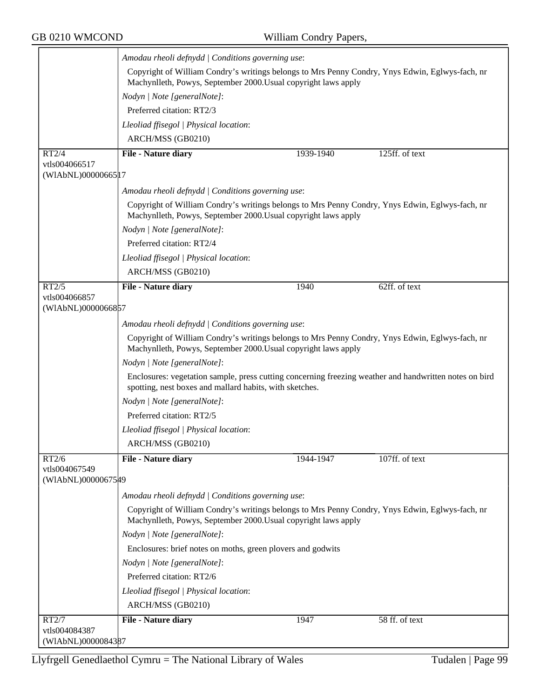|                                     | Amodau rheoli defnydd   Conditions governing use:                                                                                                                 |           |                |  |  |
|-------------------------------------|-------------------------------------------------------------------------------------------------------------------------------------------------------------------|-----------|----------------|--|--|
|                                     | Copyright of William Condry's writings belongs to Mrs Penny Condry, Ynys Edwin, Eglwys-fach, nr<br>Machynlleth, Powys, September 2000. Usual copyright laws apply |           |                |  |  |
|                                     | Nodyn   Note [generalNote]:                                                                                                                                       |           |                |  |  |
|                                     | Preferred citation: RT2/3                                                                                                                                         |           |                |  |  |
|                                     | Lleoliad ffisegol   Physical location:                                                                                                                            |           |                |  |  |
|                                     | ARCH/MSS (GB0210)                                                                                                                                                 |           |                |  |  |
| RT2/4                               | File - Nature diary                                                                                                                                               | 1939-1940 | 125ff. of text |  |  |
| vtls004066517                       |                                                                                                                                                                   |           |                |  |  |
| (WIAbNL)00000665 17                 |                                                                                                                                                                   |           |                |  |  |
|                                     | Amodau rheoli defnydd   Conditions governing use:                                                                                                                 |           |                |  |  |
|                                     | Copyright of William Condry's writings belongs to Mrs Penny Condry, Ynys Edwin, Eglwys-fach, nr<br>Machynlleth, Powys, September 2000. Usual copyright laws apply |           |                |  |  |
|                                     | Nodyn   Note [generalNote]:                                                                                                                                       |           |                |  |  |
|                                     | Preferred citation: RT2/4                                                                                                                                         |           |                |  |  |
|                                     | Lleoliad ffisegol   Physical location:                                                                                                                            |           |                |  |  |
|                                     | ARCH/MSS (GB0210)                                                                                                                                                 |           |                |  |  |
| RT2/5                               | File - Nature diary                                                                                                                                               | 1940      | 62ff. of text  |  |  |
| vtls004066857<br>(WIAbNL)0000066857 |                                                                                                                                                                   |           |                |  |  |
|                                     | Amodau rheoli defnydd   Conditions governing use:                                                                                                                 |           |                |  |  |
|                                     | Copyright of William Condry's writings belongs to Mrs Penny Condry, Ynys Edwin, Eglwys-fach, nr<br>Machynlleth, Powys, September 2000. Usual copyright laws apply |           |                |  |  |
|                                     | Nodyn   Note [generalNote]:                                                                                                                                       |           |                |  |  |
|                                     | Enclosures: vegetation sample, press cutting concerning freezing weather and handwritten notes on bird<br>spotting, nest boxes and mallard habits, with sketches. |           |                |  |  |
|                                     | Nodyn   Note [generalNote]:                                                                                                                                       |           |                |  |  |
|                                     | Preferred citation: RT2/5                                                                                                                                         |           |                |  |  |
|                                     | Lleoliad ffisegol   Physical location:                                                                                                                            |           |                |  |  |
|                                     | ARCH/MSS (GB0210)                                                                                                                                                 |           |                |  |  |
| RT2/6                               | File - Nature diary                                                                                                                                               | 1944-1947 | 107ff. of text |  |  |
| vtls004067549<br>(WIAbNL)00000675#9 |                                                                                                                                                                   |           |                |  |  |
|                                     | Amodau rheoli defnydd   Conditions governing use:                                                                                                                 |           |                |  |  |
|                                     | Copyright of William Condry's writings belongs to Mrs Penny Condry, Ynys Edwin, Eglwys-fach, nr<br>Machynlleth, Powys, September 2000. Usual copyright laws apply |           |                |  |  |
|                                     | Nodyn   Note [generalNote]:                                                                                                                                       |           |                |  |  |
|                                     | Enclosures: brief notes on moths, green plovers and godwits                                                                                                       |           |                |  |  |
|                                     | Nodyn   Note [generalNote]:                                                                                                                                       |           |                |  |  |
|                                     | Preferred citation: RT2/6                                                                                                                                         |           |                |  |  |
|                                     | Lleoliad ffisegol   Physical location:                                                                                                                            |           |                |  |  |
|                                     | ARCH/MSS (GB0210)                                                                                                                                                 |           |                |  |  |
| RT2/7                               | File - Nature diary                                                                                                                                               | 1947      | 58 ff. of text |  |  |
| vtls004084387                       |                                                                                                                                                                   |           |                |  |  |
| (WIAbNL)0000084387                  |                                                                                                                                                                   |           |                |  |  |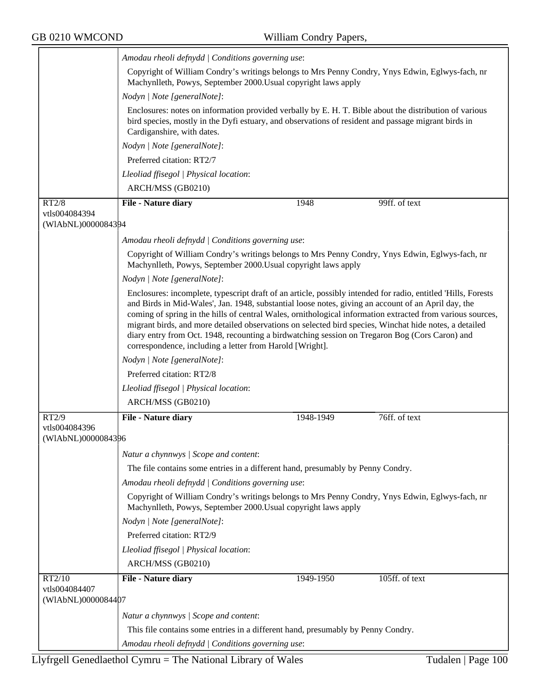╤

|                                     | Amodau rheoli defnydd   Conditions governing use:                                                                                                                                                                                                                                                                                                                                                                                                                                                                                                                                                          |           |                |  |  |  |
|-------------------------------------|------------------------------------------------------------------------------------------------------------------------------------------------------------------------------------------------------------------------------------------------------------------------------------------------------------------------------------------------------------------------------------------------------------------------------------------------------------------------------------------------------------------------------------------------------------------------------------------------------------|-----------|----------------|--|--|--|
|                                     | Copyright of William Condry's writings belongs to Mrs Penny Condry, Ynys Edwin, Eglwys-fach, nr<br>Machynlleth, Powys, September 2000. Usual copyright laws apply                                                                                                                                                                                                                                                                                                                                                                                                                                          |           |                |  |  |  |
|                                     | Nodyn   Note [generalNote]:                                                                                                                                                                                                                                                                                                                                                                                                                                                                                                                                                                                |           |                |  |  |  |
|                                     | Enclosures: notes on information provided verbally by E. H. T. Bible about the distribution of various<br>bird species, mostly in the Dyfi estuary, and observations of resident and passage migrant birds in<br>Cardiganshire, with dates.                                                                                                                                                                                                                                                                                                                                                                |           |                |  |  |  |
|                                     | Nodyn   Note [generalNote]:                                                                                                                                                                                                                                                                                                                                                                                                                                                                                                                                                                                |           |                |  |  |  |
|                                     | Preferred citation: RT2/7                                                                                                                                                                                                                                                                                                                                                                                                                                                                                                                                                                                  |           |                |  |  |  |
|                                     | Lleoliad ffisegol   Physical location:                                                                                                                                                                                                                                                                                                                                                                                                                                                                                                                                                                     |           |                |  |  |  |
|                                     | ARCH/MSS (GB0210)                                                                                                                                                                                                                                                                                                                                                                                                                                                                                                                                                                                          |           |                |  |  |  |
| RT2/8                               | File - Nature diary                                                                                                                                                                                                                                                                                                                                                                                                                                                                                                                                                                                        | 1948      | 99ff. of text  |  |  |  |
| vtls004084394<br>(WIAbNL)0000084394 |                                                                                                                                                                                                                                                                                                                                                                                                                                                                                                                                                                                                            |           |                |  |  |  |
|                                     | Amodau rheoli defnydd   Conditions governing use:                                                                                                                                                                                                                                                                                                                                                                                                                                                                                                                                                          |           |                |  |  |  |
|                                     | Copyright of William Condry's writings belongs to Mrs Penny Condry, Ynys Edwin, Eglwys-fach, nr<br>Machynlleth, Powys, September 2000. Usual copyright laws apply                                                                                                                                                                                                                                                                                                                                                                                                                                          |           |                |  |  |  |
|                                     | Nodyn   Note [generalNote]:                                                                                                                                                                                                                                                                                                                                                                                                                                                                                                                                                                                |           |                |  |  |  |
|                                     | Enclosures: incomplete, typescript draft of an article, possibly intended for radio, entitled 'Hills, Forests<br>and Birds in Mid-Wales', Jan. 1948, substantial loose notes, giving an account of an April day, the<br>coming of spring in the hills of central Wales, ornithological information extracted from various sources,<br>migrant birds, and more detailed observations on selected bird species, Winchat hide notes, a detailed<br>diary entry from Oct. 1948, recounting a birdwatching session on Tregaron Bog (Cors Caron) and<br>correspondence, including a letter from Harold [Wright]. |           |                |  |  |  |
|                                     | Nodyn   Note [generalNote]:                                                                                                                                                                                                                                                                                                                                                                                                                                                                                                                                                                                |           |                |  |  |  |
|                                     | Preferred citation: RT2/8                                                                                                                                                                                                                                                                                                                                                                                                                                                                                                                                                                                  |           |                |  |  |  |
|                                     | Lleoliad ffisegol   Physical location:                                                                                                                                                                                                                                                                                                                                                                                                                                                                                                                                                                     |           |                |  |  |  |
|                                     | ARCH/MSS (GB0210)                                                                                                                                                                                                                                                                                                                                                                                                                                                                                                                                                                                          |           |                |  |  |  |
| RT2/9                               | File - Nature diary                                                                                                                                                                                                                                                                                                                                                                                                                                                                                                                                                                                        | 1948-1949 | 76ff. of text  |  |  |  |
| vtls004084396<br>(WIAbNL)0000084396 |                                                                                                                                                                                                                                                                                                                                                                                                                                                                                                                                                                                                            |           |                |  |  |  |
|                                     |                                                                                                                                                                                                                                                                                                                                                                                                                                                                                                                                                                                                            |           |                |  |  |  |
|                                     | Natur a chynnwys / Scope and content:                                                                                                                                                                                                                                                                                                                                                                                                                                                                                                                                                                      |           |                |  |  |  |
|                                     | The file contains some entries in a different hand, presumably by Penny Condry.                                                                                                                                                                                                                                                                                                                                                                                                                                                                                                                            |           |                |  |  |  |
|                                     | Amodau rheoli defnydd   Conditions governing use:                                                                                                                                                                                                                                                                                                                                                                                                                                                                                                                                                          |           |                |  |  |  |
|                                     | Copyright of William Condry's writings belongs to Mrs Penny Condry, Ynys Edwin, Eglwys-fach, nr<br>Machynlleth, Powys, September 2000. Usual copyright laws apply                                                                                                                                                                                                                                                                                                                                                                                                                                          |           |                |  |  |  |
|                                     | Nodyn   Note [generalNote]:                                                                                                                                                                                                                                                                                                                                                                                                                                                                                                                                                                                |           |                |  |  |  |
|                                     | Preferred citation: RT2/9                                                                                                                                                                                                                                                                                                                                                                                                                                                                                                                                                                                  |           |                |  |  |  |
|                                     | Lleoliad ffisegol   Physical location:                                                                                                                                                                                                                                                                                                                                                                                                                                                                                                                                                                     |           |                |  |  |  |
|                                     | ARCH/MSS (GB0210)                                                                                                                                                                                                                                                                                                                                                                                                                                                                                                                                                                                          |           |                |  |  |  |
| RT2/10<br>vtls004084407             | <b>File - Nature diary</b>                                                                                                                                                                                                                                                                                                                                                                                                                                                                                                                                                                                 | 1949-1950 | 105ff. of text |  |  |  |
| (WIAbNL)0000084407                  |                                                                                                                                                                                                                                                                                                                                                                                                                                                                                                                                                                                                            |           |                |  |  |  |
|                                     | Natur a chynnwys / Scope and content:                                                                                                                                                                                                                                                                                                                                                                                                                                                                                                                                                                      |           |                |  |  |  |
|                                     | This file contains some entries in a different hand, presumably by Penny Condry.                                                                                                                                                                                                                                                                                                                                                                                                                                                                                                                           |           |                |  |  |  |
|                                     | Amodau rheoli defnydd   Conditions governing use:                                                                                                                                                                                                                                                                                                                                                                                                                                                                                                                                                          |           |                |  |  |  |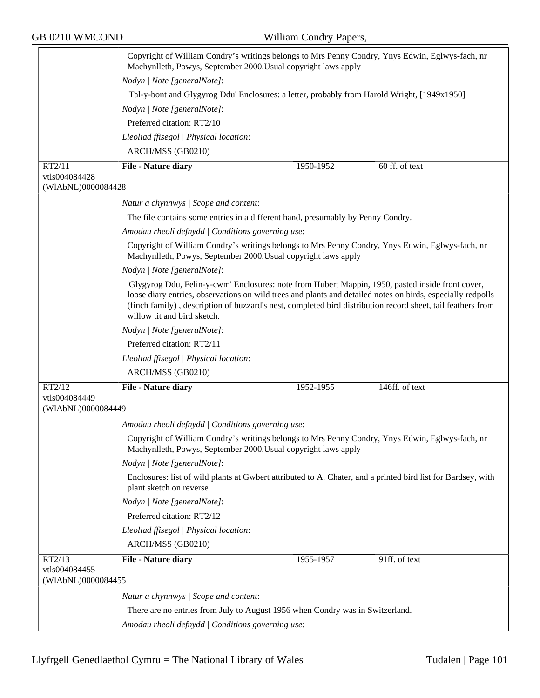|                    | Copyright of William Condry's writings belongs to Mrs Penny Condry, Ynys Edwin, Eglwys-fach, nr<br>Machynlleth, Powys, September 2000. Usual copyright laws apply                                                                                                                                                                                              |  |  |  |  |
|--------------------|----------------------------------------------------------------------------------------------------------------------------------------------------------------------------------------------------------------------------------------------------------------------------------------------------------------------------------------------------------------|--|--|--|--|
|                    | Nodyn   Note [generalNote]:                                                                                                                                                                                                                                                                                                                                    |  |  |  |  |
|                    | Tal-y-bont and Glygyrog Ddu' Enclosures: a letter, probably from Harold Wright, [1949x1950]                                                                                                                                                                                                                                                                    |  |  |  |  |
|                    | Nodyn   Note [generalNote]:                                                                                                                                                                                                                                                                                                                                    |  |  |  |  |
|                    | Preferred citation: RT2/10                                                                                                                                                                                                                                                                                                                                     |  |  |  |  |
|                    | Lleoliad ffisegol   Physical location:                                                                                                                                                                                                                                                                                                                         |  |  |  |  |
|                    | ARCH/MSS (GB0210)                                                                                                                                                                                                                                                                                                                                              |  |  |  |  |
| RT2/11             | 60 ff. of text<br>File - Nature diary<br>1950-1952                                                                                                                                                                                                                                                                                                             |  |  |  |  |
| vtls004084428      |                                                                                                                                                                                                                                                                                                                                                                |  |  |  |  |
| (WIAbNL)0000084428 |                                                                                                                                                                                                                                                                                                                                                                |  |  |  |  |
|                    | Natur a chynnwys / Scope and content:                                                                                                                                                                                                                                                                                                                          |  |  |  |  |
|                    | The file contains some entries in a different hand, presumably by Penny Condry.                                                                                                                                                                                                                                                                                |  |  |  |  |
|                    | Amodau rheoli defnydd   Conditions governing use:                                                                                                                                                                                                                                                                                                              |  |  |  |  |
|                    | Copyright of William Condry's writings belongs to Mrs Penny Condry, Ynys Edwin, Eglwys-fach, nr<br>Machynlleth, Powys, September 2000. Usual copyright laws apply                                                                                                                                                                                              |  |  |  |  |
|                    | Nodyn   Note [generalNote]:                                                                                                                                                                                                                                                                                                                                    |  |  |  |  |
|                    | 'Glygyrog Ddu, Felin-y-cwm' Enclosures: note from Hubert Mappin, 1950, pasted inside front cover,<br>loose diary entries, observations on wild trees and plants and detailed notes on birds, especially redpolls<br>(finch family), description of buzzard's nest, completed bird distribution record sheet, tail feathers from<br>willow tit and bird sketch. |  |  |  |  |
|                    | Nodyn   Note [generalNote]:                                                                                                                                                                                                                                                                                                                                    |  |  |  |  |
|                    | Preferred citation: RT2/11                                                                                                                                                                                                                                                                                                                                     |  |  |  |  |
|                    | Lleoliad ffisegol   Physical location:                                                                                                                                                                                                                                                                                                                         |  |  |  |  |
|                    | ARCH/MSS (GB0210)                                                                                                                                                                                                                                                                                                                                              |  |  |  |  |
| RT2/12             | 146ff. of text<br>File - Nature diary<br>1952-1955                                                                                                                                                                                                                                                                                                             |  |  |  |  |
| vtls004084449      |                                                                                                                                                                                                                                                                                                                                                                |  |  |  |  |
| (WIAbNL)0000084449 |                                                                                                                                                                                                                                                                                                                                                                |  |  |  |  |
|                    | Amodau rheoli defnydd   Conditions governing use:                                                                                                                                                                                                                                                                                                              |  |  |  |  |
|                    | Copyright of William Condry's writings belongs to Mrs Penny Condry, Ynys Edwin, Eglwys-fach, nr<br>Machynlleth, Powys, September 2000. Usual copyright laws apply                                                                                                                                                                                              |  |  |  |  |
|                    | Nodyn   Note [generalNote]:                                                                                                                                                                                                                                                                                                                                    |  |  |  |  |
|                    | Enclosures: list of wild plants at Gwbert attributed to A. Chater, and a printed bird list for Bardsey, with<br>plant sketch on reverse                                                                                                                                                                                                                        |  |  |  |  |
|                    | Nodyn   Note [generalNote]:                                                                                                                                                                                                                                                                                                                                    |  |  |  |  |
|                    | Preferred citation: RT2/12                                                                                                                                                                                                                                                                                                                                     |  |  |  |  |
|                    | Lleoliad ffisegol   Physical location:                                                                                                                                                                                                                                                                                                                         |  |  |  |  |
|                    | ARCH/MSS (GB0210)                                                                                                                                                                                                                                                                                                                                              |  |  |  |  |
| RT2/13             | <b>File - Nature diary</b><br>1955-1957<br>91ff. of text                                                                                                                                                                                                                                                                                                       |  |  |  |  |
| vtls004084455      |                                                                                                                                                                                                                                                                                                                                                                |  |  |  |  |
| (WIAbNL)0000084455 |                                                                                                                                                                                                                                                                                                                                                                |  |  |  |  |
|                    | Natur a chynnwys / Scope and content:                                                                                                                                                                                                                                                                                                                          |  |  |  |  |
|                    | There are no entries from July to August 1956 when Condry was in Switzerland.                                                                                                                                                                                                                                                                                  |  |  |  |  |
|                    | Amodau rheoli defnydd   Conditions governing use:                                                                                                                                                                                                                                                                                                              |  |  |  |  |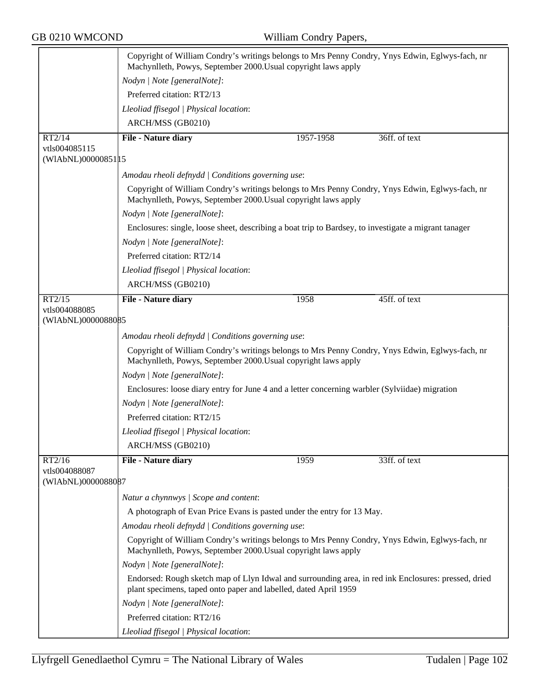|                                     | Copyright of William Condry's writings belongs to Mrs Penny Condry, Ynys Edwin, Eglwys-fach, nr<br>Machynlleth, Powys, September 2000. Usual copyright laws apply        |                                                                                                      |               |  |  |
|-------------------------------------|--------------------------------------------------------------------------------------------------------------------------------------------------------------------------|------------------------------------------------------------------------------------------------------|---------------|--|--|
|                                     | Nodyn   Note [generalNote]:                                                                                                                                              |                                                                                                      |               |  |  |
|                                     | Preferred citation: RT2/13                                                                                                                                               |                                                                                                      |               |  |  |
|                                     | Lleoliad ffisegol   Physical location:                                                                                                                                   |                                                                                                      |               |  |  |
|                                     | ARCH/MSS (GB0210)                                                                                                                                                        |                                                                                                      |               |  |  |
| RT2/14                              | File - Nature diary                                                                                                                                                      | 1957-1958                                                                                            | 36ff. of text |  |  |
| vtls004085115                       |                                                                                                                                                                          |                                                                                                      |               |  |  |
| (WIAbNL)00000851 15                 |                                                                                                                                                                          |                                                                                                      |               |  |  |
|                                     | Amodau rheoli defnydd   Conditions governing use:                                                                                                                        |                                                                                                      |               |  |  |
|                                     | Copyright of William Condry's writings belongs to Mrs Penny Condry, Ynys Edwin, Eglwys-fach, nr<br>Machynlleth, Powys, September 2000. Usual copyright laws apply        |                                                                                                      |               |  |  |
|                                     | Nodyn   Note [generalNote]:                                                                                                                                              |                                                                                                      |               |  |  |
|                                     |                                                                                                                                                                          | Enclosures: single, loose sheet, describing a boat trip to Bardsey, to investigate a migrant tanager |               |  |  |
|                                     | Nodyn   Note [generalNote]:                                                                                                                                              |                                                                                                      |               |  |  |
|                                     | Preferred citation: RT2/14                                                                                                                                               |                                                                                                      |               |  |  |
|                                     | Lleoliad ffisegol   Physical location:                                                                                                                                   |                                                                                                      |               |  |  |
|                                     | ARCH/MSS (GB0210)                                                                                                                                                        |                                                                                                      |               |  |  |
| RT2/15                              | File - Nature diary                                                                                                                                                      | 1958                                                                                                 | 45ff. of text |  |  |
| vtls004088085<br>(WIAbNL)0000088085 |                                                                                                                                                                          |                                                                                                      |               |  |  |
|                                     | Amodau rheoli defnydd   Conditions governing use:                                                                                                                        |                                                                                                      |               |  |  |
|                                     | Copyright of William Condry's writings belongs to Mrs Penny Condry, Ynys Edwin, Eglwys-fach, nr<br>Machynlleth, Powys, September 2000. Usual copyright laws apply        |                                                                                                      |               |  |  |
|                                     | Nodyn   Note [generalNote]:                                                                                                                                              |                                                                                                      |               |  |  |
|                                     | Enclosures: loose diary entry for June 4 and a letter concerning warbler (Sylviidae) migration                                                                           |                                                                                                      |               |  |  |
|                                     | Nodyn   Note [generalNote]:                                                                                                                                              |                                                                                                      |               |  |  |
|                                     | Preferred citation: RT2/15                                                                                                                                               |                                                                                                      |               |  |  |
|                                     | Lleoliad ffisegol   Physical location:                                                                                                                                   |                                                                                                      |               |  |  |
|                                     | ARCH/MSS (GB0210)                                                                                                                                                        |                                                                                                      |               |  |  |
| RT2/16                              | File - Nature diary                                                                                                                                                      | 1959                                                                                                 | 33ff. of text |  |  |
| vtls004088087<br>(WIAbNL)0000088087 |                                                                                                                                                                          |                                                                                                      |               |  |  |
|                                     | Natur a chynnwys / Scope and content:                                                                                                                                    |                                                                                                      |               |  |  |
|                                     | A photograph of Evan Price Evans is pasted under the entry for 13 May.                                                                                                   |                                                                                                      |               |  |  |
|                                     | Amodau rheoli defnydd   Conditions governing use:                                                                                                                        |                                                                                                      |               |  |  |
|                                     | Copyright of William Condry's writings belongs to Mrs Penny Condry, Ynys Edwin, Eglwys-fach, nr<br>Machynlleth, Powys, September 2000. Usual copyright laws apply        |                                                                                                      |               |  |  |
|                                     | Nodyn   Note [generalNote]:                                                                                                                                              |                                                                                                      |               |  |  |
|                                     | Endorsed: Rough sketch map of Llyn Idwal and surrounding area, in red ink Enclosures: pressed, dried<br>plant specimens, taped onto paper and labelled, dated April 1959 |                                                                                                      |               |  |  |
|                                     | Nodyn   Note [generalNote]:                                                                                                                                              |                                                                                                      |               |  |  |
|                                     | Preferred citation: RT2/16                                                                                                                                               |                                                                                                      |               |  |  |
|                                     | Lleoliad ffisegol   Physical location:                                                                                                                                   |                                                                                                      |               |  |  |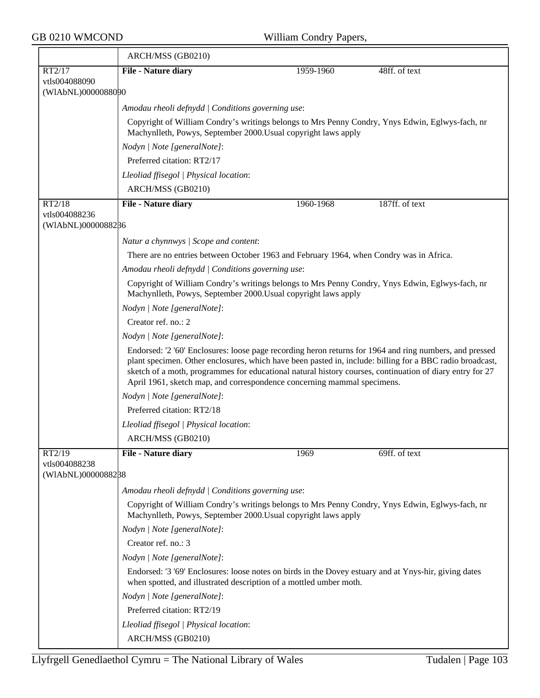$\overline{ }$ 

|                                     | ARCH/MSS (GB0210)                                                                                                                                                                                                                                                                                                                                                                                          |           |                |  |  |
|-------------------------------------|------------------------------------------------------------------------------------------------------------------------------------------------------------------------------------------------------------------------------------------------------------------------------------------------------------------------------------------------------------------------------------------------------------|-----------|----------------|--|--|
| RT2/17                              | File - Nature diary                                                                                                                                                                                                                                                                                                                                                                                        | 1959-1960 | 48ff. of text  |  |  |
| vtls004088090<br>(WIAbNL)0000088090 |                                                                                                                                                                                                                                                                                                                                                                                                            |           |                |  |  |
|                                     | Amodau rheoli defnydd   Conditions governing use:                                                                                                                                                                                                                                                                                                                                                          |           |                |  |  |
|                                     | Copyright of William Condry's writings belongs to Mrs Penny Condry, Ynys Edwin, Eglwys-fach, nr<br>Machynlleth, Powys, September 2000. Usual copyright laws apply                                                                                                                                                                                                                                          |           |                |  |  |
|                                     | Nodyn   Note [generalNote]:                                                                                                                                                                                                                                                                                                                                                                                |           |                |  |  |
|                                     | Preferred citation: RT2/17                                                                                                                                                                                                                                                                                                                                                                                 |           |                |  |  |
|                                     | Lleoliad ffisegol   Physical location:                                                                                                                                                                                                                                                                                                                                                                     |           |                |  |  |
|                                     | ARCH/MSS (GB0210)                                                                                                                                                                                                                                                                                                                                                                                          |           |                |  |  |
| RT2/18                              | File - Nature diary                                                                                                                                                                                                                                                                                                                                                                                        | 1960-1968 | 187ff. of text |  |  |
| vtls004088236                       |                                                                                                                                                                                                                                                                                                                                                                                                            |           |                |  |  |
| (WIAbNL)0000088286                  |                                                                                                                                                                                                                                                                                                                                                                                                            |           |                |  |  |
|                                     | Natur a chynnwys / Scope and content:                                                                                                                                                                                                                                                                                                                                                                      |           |                |  |  |
|                                     | There are no entries between October 1963 and February 1964, when Condry was in Africa.                                                                                                                                                                                                                                                                                                                    |           |                |  |  |
|                                     | Amodau rheoli defnydd   Conditions governing use:                                                                                                                                                                                                                                                                                                                                                          |           |                |  |  |
|                                     | Copyright of William Condry's writings belongs to Mrs Penny Condry, Ynys Edwin, Eglwys-fach, nr<br>Machynlleth, Powys, September 2000. Usual copyright laws apply                                                                                                                                                                                                                                          |           |                |  |  |
|                                     | Nodyn   Note [generalNote]:                                                                                                                                                                                                                                                                                                                                                                                |           |                |  |  |
|                                     | Creator ref. no.: 2                                                                                                                                                                                                                                                                                                                                                                                        |           |                |  |  |
|                                     | Nodyn   Note [generalNote]:                                                                                                                                                                                                                                                                                                                                                                                |           |                |  |  |
|                                     | Endorsed: '2 '60' Enclosures: loose page recording heron returns for 1964 and ring numbers, and pressed<br>plant specimen. Other enclosures, which have been pasted in, include: billing for a BBC radio broadcast,<br>sketch of a moth, programmes for educational natural history courses, continuation of diary entry for 27<br>April 1961, sketch map, and correspondence concerning mammal specimens. |           |                |  |  |
|                                     | Nodyn   Note [generalNote]:                                                                                                                                                                                                                                                                                                                                                                                |           |                |  |  |
|                                     | Preferred citation: RT2/18                                                                                                                                                                                                                                                                                                                                                                                 |           |                |  |  |
|                                     | Lleoliad ffisegol   Physical location:                                                                                                                                                                                                                                                                                                                                                                     |           |                |  |  |
|                                     | ARCH/MSS (GB0210)                                                                                                                                                                                                                                                                                                                                                                                          |           |                |  |  |
| RT2/19                              | <b>File - Nature diary</b>                                                                                                                                                                                                                                                                                                                                                                                 | 1969      | 69ff. of text  |  |  |
| vtls004088238<br>(WIAbNL)0000088288 |                                                                                                                                                                                                                                                                                                                                                                                                            |           |                |  |  |
|                                     | Amodau rheoli defnydd   Conditions governing use:                                                                                                                                                                                                                                                                                                                                                          |           |                |  |  |
|                                     | Copyright of William Condry's writings belongs to Mrs Penny Condry, Ynys Edwin, Eglwys-fach, nr<br>Machynlleth, Powys, September 2000. Usual copyright laws apply                                                                                                                                                                                                                                          |           |                |  |  |
|                                     | Nodyn   Note [generalNote]:                                                                                                                                                                                                                                                                                                                                                                                |           |                |  |  |
|                                     | Creator ref. no.: 3                                                                                                                                                                                                                                                                                                                                                                                        |           |                |  |  |
|                                     | Nodyn   Note [generalNote]:                                                                                                                                                                                                                                                                                                                                                                                |           |                |  |  |
|                                     | Endorsed: '3 '69' Enclosures: loose notes on birds in the Dovey estuary and at Ynys-hir, giving dates<br>when spotted, and illustrated description of a mottled umber moth.                                                                                                                                                                                                                                |           |                |  |  |
|                                     | Nodyn   Note [generalNote]:                                                                                                                                                                                                                                                                                                                                                                                |           |                |  |  |
|                                     | Preferred citation: RT2/19                                                                                                                                                                                                                                                                                                                                                                                 |           |                |  |  |
|                                     | Lleoliad ffisegol   Physical location:                                                                                                                                                                                                                                                                                                                                                                     |           |                |  |  |
|                                     | ARCH/MSS (GB0210)                                                                                                                                                                                                                                                                                                                                                                                          |           |                |  |  |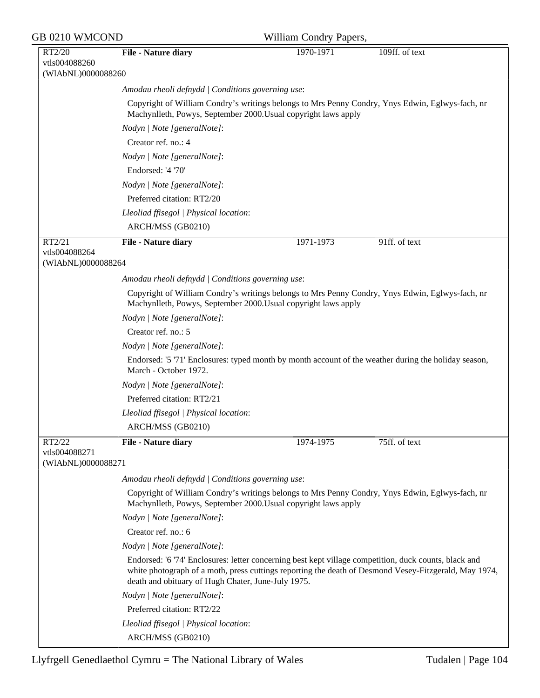| GB 0210 WMCOND                                |                                                                                                                                                                                                                                                                      | William Condry Papers, |                |  |  |
|-----------------------------------------------|----------------------------------------------------------------------------------------------------------------------------------------------------------------------------------------------------------------------------------------------------------------------|------------------------|----------------|--|--|
| RT2/20<br>vtls004088260<br>(WIAbNL)0000088260 | File - Nature diary                                                                                                                                                                                                                                                  | 1970-1971              | 109ff. of text |  |  |
|                                               | Amodau rheoli defnydd   Conditions governing use:                                                                                                                                                                                                                    |                        |                |  |  |
|                                               | Copyright of William Condry's writings belongs to Mrs Penny Condry, Ynys Edwin, Eglwys-fach, nr<br>Machynlleth, Powys, September 2000. Usual copyright laws apply                                                                                                    |                        |                |  |  |
|                                               | Nodyn   Note [generalNote]:                                                                                                                                                                                                                                          |                        |                |  |  |
|                                               | Creator ref. no.: 4                                                                                                                                                                                                                                                  |                        |                |  |  |
|                                               | Nodyn   Note [generalNote]:                                                                                                                                                                                                                                          |                        |                |  |  |
|                                               | Endorsed: '4 '70'                                                                                                                                                                                                                                                    |                        |                |  |  |
|                                               | Nodyn   Note [generalNote]:                                                                                                                                                                                                                                          |                        |                |  |  |
|                                               | Preferred citation: RT2/20                                                                                                                                                                                                                                           |                        |                |  |  |
|                                               | Lleoliad ffisegol   Physical location:                                                                                                                                                                                                                               |                        |                |  |  |
|                                               | ARCH/MSS (GB0210)                                                                                                                                                                                                                                                    |                        |                |  |  |
| RT2/21                                        | File - Nature diary                                                                                                                                                                                                                                                  | 1971-1973              | 91ff. of text  |  |  |
| vtls004088264<br>(WIAbNL)0000088264           |                                                                                                                                                                                                                                                                      |                        |                |  |  |
|                                               | Amodau rheoli defnydd   Conditions governing use:                                                                                                                                                                                                                    |                        |                |  |  |
|                                               | Copyright of William Condry's writings belongs to Mrs Penny Condry, Ynys Edwin, Eglwys-fach, nr<br>Machynlleth, Powys, September 2000. Usual copyright laws apply                                                                                                    |                        |                |  |  |
|                                               | Nodyn   Note [generalNote]:                                                                                                                                                                                                                                          |                        |                |  |  |
|                                               | Creator ref. no.: 5                                                                                                                                                                                                                                                  |                        |                |  |  |
|                                               | Nodyn   Note [generalNote]:                                                                                                                                                                                                                                          |                        |                |  |  |
|                                               | Endorsed: '5 '71' Enclosures: typed month by month account of the weather during the holiday season,<br>March - October 1972.                                                                                                                                        |                        |                |  |  |
|                                               | Nodyn   Note [generalNote]:                                                                                                                                                                                                                                          |                        |                |  |  |
|                                               | Preferred citation: RT2/21                                                                                                                                                                                                                                           |                        |                |  |  |
|                                               | Lleoliad ffisegol   Physical location:                                                                                                                                                                                                                               |                        |                |  |  |
|                                               | ARCH/MSS (GB0210)                                                                                                                                                                                                                                                    |                        |                |  |  |
| RT2/22<br>vtls004088271<br>(WIAbNL)0000088271 | File - Nature diary                                                                                                                                                                                                                                                  | 1974-1975              | 75ff. of text  |  |  |
|                                               | Amodau rheoli defnydd   Conditions governing use:                                                                                                                                                                                                                    |                        |                |  |  |
|                                               | Copyright of William Condry's writings belongs to Mrs Penny Condry, Ynys Edwin, Eglwys-fach, nr<br>Machynlleth, Powys, September 2000. Usual copyright laws apply                                                                                                    |                        |                |  |  |
|                                               | Nodyn   Note [generalNote]:                                                                                                                                                                                                                                          |                        |                |  |  |
|                                               | Creator ref. no.: 6                                                                                                                                                                                                                                                  |                        |                |  |  |
|                                               | Nodyn   Note [generalNote]:                                                                                                                                                                                                                                          |                        |                |  |  |
|                                               | Endorsed: '6 '74' Enclosures: letter concerning best kept village competition, duck counts, black and<br>white photograph of a moth, press cuttings reporting the death of Desmond Vesey-Fitzgerald, May 1974,<br>death and obituary of Hugh Chater, June-July 1975. |                        |                |  |  |
|                                               | Nodyn   Note [generalNote]:                                                                                                                                                                                                                                          |                        |                |  |  |
|                                               | Preferred citation: RT2/22                                                                                                                                                                                                                                           |                        |                |  |  |
|                                               | Lleoliad ffisegol   Physical location:                                                                                                                                                                                                                               |                        |                |  |  |
|                                               | ARCH/MSS (GB0210)                                                                                                                                                                                                                                                    |                        |                |  |  |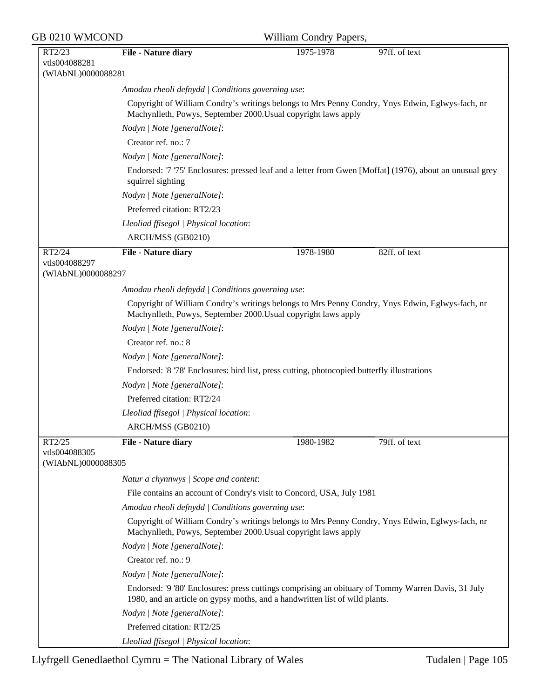| GB 0210 WMCOND                                |                                                   | William Condry Papers,                                                                                                                                                            |               |  |  |  |
|-----------------------------------------------|---------------------------------------------------|-----------------------------------------------------------------------------------------------------------------------------------------------------------------------------------|---------------|--|--|--|
| RT2/23<br>vtls004088281<br>(WIAbNL)0000088281 | File - Nature diary                               | 1975-1978                                                                                                                                                                         | 97ff. of text |  |  |  |
|                                               | Amodau rheoli defnydd   Conditions governing use: |                                                                                                                                                                                   |               |  |  |  |
|                                               |                                                   | Copyright of William Condry's writings belongs to Mrs Penny Condry, Ynys Edwin, Eglwys-fach, nr<br>Machynlleth, Powys, September 2000. Usual copyright laws apply                 |               |  |  |  |
|                                               | Nodyn   Note [generalNote]:                       |                                                                                                                                                                                   |               |  |  |  |
|                                               | Creator ref. no.: 7                               |                                                                                                                                                                                   |               |  |  |  |
|                                               | Nodyn   Note [generalNote]:                       |                                                                                                                                                                                   |               |  |  |  |
|                                               | squirrel sighting                                 | Endorsed: '7 '75' Enclosures: pressed leaf and a letter from Gwen [Moffat] (1976), about an unusual grey<br>Nodyn   Note [generalNote]:                                           |               |  |  |  |
|                                               |                                                   |                                                                                                                                                                                   |               |  |  |  |
|                                               | Preferred citation: RT2/23                        |                                                                                                                                                                                   |               |  |  |  |
|                                               | Lleoliad ffisegol   Physical location:            |                                                                                                                                                                                   |               |  |  |  |
|                                               | ARCH/MSS (GB0210)                                 |                                                                                                                                                                                   |               |  |  |  |
| RT2/24                                        | File - Nature diary                               | 1978-1980                                                                                                                                                                         | 82ff. of text |  |  |  |
| vtls004088297                                 |                                                   |                                                                                                                                                                                   |               |  |  |  |
| (WIAbNL)0000088297                            |                                                   |                                                                                                                                                                                   |               |  |  |  |
|                                               | Amodau rheoli defnydd   Conditions governing use: |                                                                                                                                                                                   |               |  |  |  |
|                                               |                                                   | Copyright of William Condry's writings belongs to Mrs Penny Condry, Ynys Edwin, Eglwys-fach, nr<br>Machynlleth, Powys, September 2000. Usual copyright laws apply                 |               |  |  |  |
|                                               | Nodyn   Note [generalNote]:                       |                                                                                                                                                                                   |               |  |  |  |
|                                               | Creator ref. no.: 8                               |                                                                                                                                                                                   |               |  |  |  |
|                                               | Nodyn   Note [generalNote]:                       |                                                                                                                                                                                   |               |  |  |  |
|                                               |                                                   | Endorsed: '8 '78' Enclosures: bird list, press cutting, photocopied butterfly illustrations                                                                                       |               |  |  |  |
|                                               | Nodyn   Note [generalNote]:                       |                                                                                                                                                                                   |               |  |  |  |
|                                               | Preferred citation: RT2/24                        |                                                                                                                                                                                   |               |  |  |  |
|                                               | Lleoliad ffisegol   Physical location:            |                                                                                                                                                                                   |               |  |  |  |
|                                               | ARCH/MSS (GB0210)                                 |                                                                                                                                                                                   |               |  |  |  |
| RT2/25<br>vtls004088305<br>(WIAbNL)0000088305 | File - Nature diary                               | 1980-1982                                                                                                                                                                         | 79ff. of text |  |  |  |
|                                               | Natur a chynnwys / Scope and content:             |                                                                                                                                                                                   |               |  |  |  |
|                                               |                                                   | File contains an account of Condry's visit to Concord, USA, July 1981                                                                                                             |               |  |  |  |
|                                               | Amodau rheoli defnydd   Conditions governing use: |                                                                                                                                                                                   |               |  |  |  |
|                                               |                                                   | Copyright of William Condry's writings belongs to Mrs Penny Condry, Ynys Edwin, Eglwys-fach, nr<br>Machynlleth, Powys, September 2000. Usual copyright laws apply                 |               |  |  |  |
|                                               | Nodyn   Note [generalNote]:                       |                                                                                                                                                                                   |               |  |  |  |
|                                               | Creator ref. no.: 9                               |                                                                                                                                                                                   |               |  |  |  |
|                                               | Nodyn   Note [generalNote]:                       |                                                                                                                                                                                   |               |  |  |  |
|                                               |                                                   | Endorsed: '9 '80' Enclosures: press cuttings comprising an obituary of Tommy Warren Davis, 31 July<br>1980, and an article on gypsy moths, and a handwritten list of wild plants. |               |  |  |  |
|                                               | Nodyn   Note [generalNote]:                       |                                                                                                                                                                                   |               |  |  |  |
|                                               | Preferred citation: RT2/25                        |                                                                                                                                                                                   |               |  |  |  |
|                                               | Lleoliad ffisegol   Physical location:            |                                                                                                                                                                                   |               |  |  |  |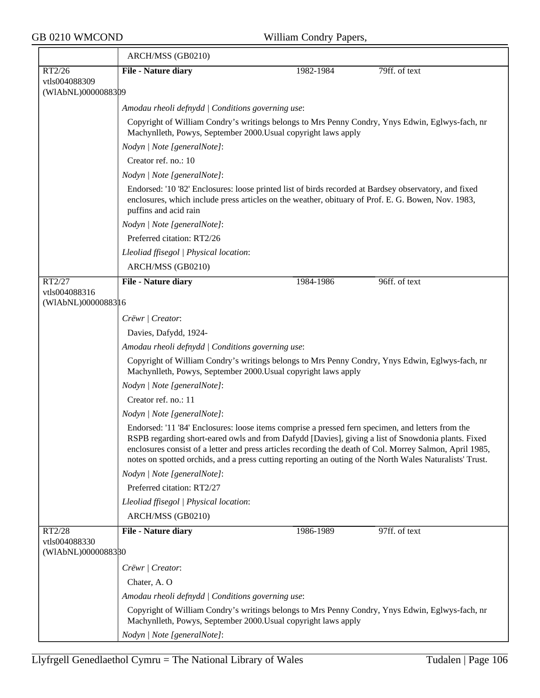$\overline{ }$ 

|                                     | ARCH/MSS (GB0210)                                                                                                                                                                                                                                                                                                                                                                                                               |           |               |  |  |
|-------------------------------------|---------------------------------------------------------------------------------------------------------------------------------------------------------------------------------------------------------------------------------------------------------------------------------------------------------------------------------------------------------------------------------------------------------------------------------|-----------|---------------|--|--|
| RT2/26                              | File - Nature diary                                                                                                                                                                                                                                                                                                                                                                                                             | 1982-1984 | 79ff. of text |  |  |
| vtls004088309                       |                                                                                                                                                                                                                                                                                                                                                                                                                                 |           |               |  |  |
| (WIAbNL)0000088309                  |                                                                                                                                                                                                                                                                                                                                                                                                                                 |           |               |  |  |
|                                     | Amodau rheoli defnydd   Conditions governing use:                                                                                                                                                                                                                                                                                                                                                                               |           |               |  |  |
|                                     | Copyright of William Condry's writings belongs to Mrs Penny Condry, Ynys Edwin, Eglwys-fach, nr<br>Machynlleth, Powys, September 2000. Usual copyright laws apply                                                                                                                                                                                                                                                               |           |               |  |  |
|                                     | Nodyn   Note [generalNote]:                                                                                                                                                                                                                                                                                                                                                                                                     |           |               |  |  |
|                                     | Creator ref. no.: 10                                                                                                                                                                                                                                                                                                                                                                                                            |           |               |  |  |
|                                     | Nodyn   Note [generalNote]:                                                                                                                                                                                                                                                                                                                                                                                                     |           |               |  |  |
|                                     | Endorsed: '10 '82' Enclosures: loose printed list of birds recorded at Bardsey observatory, and fixed<br>enclosures, which include press articles on the weather, obituary of Prof. E. G. Bowen, Nov. 1983,<br>puffins and acid rain                                                                                                                                                                                            |           |               |  |  |
|                                     | Nodyn   Note [generalNote]:                                                                                                                                                                                                                                                                                                                                                                                                     |           |               |  |  |
|                                     | Preferred citation: RT2/26                                                                                                                                                                                                                                                                                                                                                                                                      |           |               |  |  |
|                                     | Lleoliad ffisegol   Physical location:                                                                                                                                                                                                                                                                                                                                                                                          |           |               |  |  |
|                                     | ARCH/MSS (GB0210)                                                                                                                                                                                                                                                                                                                                                                                                               |           |               |  |  |
| RT2/27                              | File - Nature diary                                                                                                                                                                                                                                                                                                                                                                                                             | 1984-1986 | 96ff. of text |  |  |
| vtls004088316                       |                                                                                                                                                                                                                                                                                                                                                                                                                                 |           |               |  |  |
| (WIAbNL)0000088316                  |                                                                                                                                                                                                                                                                                                                                                                                                                                 |           |               |  |  |
|                                     | Crëwr   Creator:                                                                                                                                                                                                                                                                                                                                                                                                                |           |               |  |  |
|                                     | Davies, Dafydd, 1924-                                                                                                                                                                                                                                                                                                                                                                                                           |           |               |  |  |
|                                     | Amodau rheoli defnydd   Conditions governing use:                                                                                                                                                                                                                                                                                                                                                                               |           |               |  |  |
|                                     | Copyright of William Condry's writings belongs to Mrs Penny Condry, Ynys Edwin, Eglwys-fach, nr<br>Machynlleth, Powys, September 2000. Usual copyright laws apply                                                                                                                                                                                                                                                               |           |               |  |  |
|                                     | Nodyn   Note [generalNote]:                                                                                                                                                                                                                                                                                                                                                                                                     |           |               |  |  |
|                                     | Creator ref. no.: 11                                                                                                                                                                                                                                                                                                                                                                                                            |           |               |  |  |
|                                     | Nodyn   Note [generalNote]:                                                                                                                                                                                                                                                                                                                                                                                                     |           |               |  |  |
|                                     | Endorsed: '11 '84' Enclosures: loose items comprise a pressed fern specimen, and letters from the<br>RSPB regarding short-eared owls and from Dafydd [Davies], giving a list of Snowdonia plants. Fixed<br>enclosures consist of a letter and press articles recording the death of Col. Morrey Salmon, April 1985,<br>notes on spotted orchids, and a press cutting reporting an outing of the North Wales Naturalists' Trust. |           |               |  |  |
|                                     | Nodyn   Note [generalNote]:                                                                                                                                                                                                                                                                                                                                                                                                     |           |               |  |  |
|                                     | Preferred citation: RT2/27                                                                                                                                                                                                                                                                                                                                                                                                      |           |               |  |  |
|                                     | Lleoliad ffisegol   Physical location:                                                                                                                                                                                                                                                                                                                                                                                          |           |               |  |  |
|                                     | ARCH/MSS (GB0210)                                                                                                                                                                                                                                                                                                                                                                                                               |           |               |  |  |
| RT2/28                              | <b>File - Nature diary</b>                                                                                                                                                                                                                                                                                                                                                                                                      | 1986-1989 | 97ff. of text |  |  |
| vtls004088330<br>(WIAbNL)0000088380 |                                                                                                                                                                                                                                                                                                                                                                                                                                 |           |               |  |  |
|                                     | Crëwr   Creator:                                                                                                                                                                                                                                                                                                                                                                                                                |           |               |  |  |
|                                     | Chater, A.O.                                                                                                                                                                                                                                                                                                                                                                                                                    |           |               |  |  |
|                                     | Amodau rheoli defnydd   Conditions governing use:                                                                                                                                                                                                                                                                                                                                                                               |           |               |  |  |
|                                     | Copyright of William Condry's writings belongs to Mrs Penny Condry, Ynys Edwin, Eglwys-fach, nr<br>Machynlleth, Powys, September 2000. Usual copyright laws apply                                                                                                                                                                                                                                                               |           |               |  |  |
|                                     | Nodyn   Note [generalNote]:                                                                                                                                                                                                                                                                                                                                                                                                     |           |               |  |  |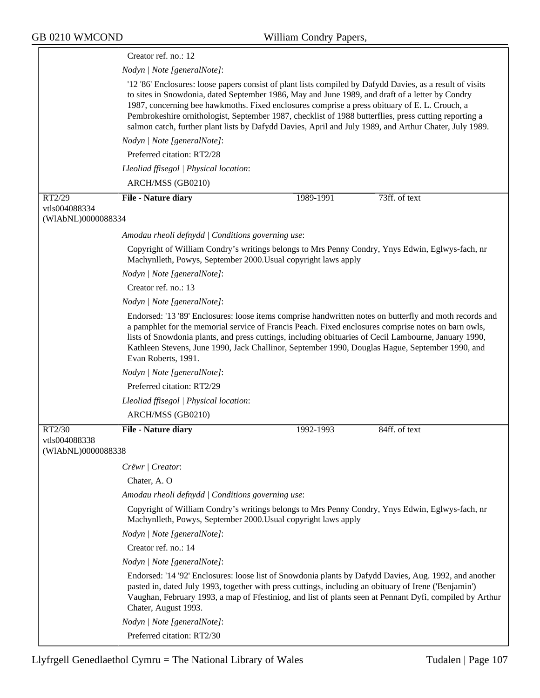|                                               | Creator ref. no.: 12                                                                                                                                                                                                                                                                                                                                                                                                                                                                                                             |  |  |  |  |
|-----------------------------------------------|----------------------------------------------------------------------------------------------------------------------------------------------------------------------------------------------------------------------------------------------------------------------------------------------------------------------------------------------------------------------------------------------------------------------------------------------------------------------------------------------------------------------------------|--|--|--|--|
|                                               | Nodyn   Note [generalNote]:                                                                                                                                                                                                                                                                                                                                                                                                                                                                                                      |  |  |  |  |
|                                               | '12 '86' Enclosures: loose papers consist of plant lists compiled by Dafydd Davies, as a result of visits<br>to sites in Snowdonia, dated September 1986, May and June 1989, and draft of a letter by Condry<br>1987, concerning bee hawkmoths. Fixed enclosures comprise a press obituary of E. L. Crouch, a<br>Pembrokeshire ornithologist, September 1987, checklist of 1988 butterflies, press cutting reporting a<br>salmon catch, further plant lists by Dafydd Davies, April and July 1989, and Arthur Chater, July 1989. |  |  |  |  |
|                                               | Nodyn   Note [generalNote]:                                                                                                                                                                                                                                                                                                                                                                                                                                                                                                      |  |  |  |  |
|                                               | Preferred citation: RT2/28                                                                                                                                                                                                                                                                                                                                                                                                                                                                                                       |  |  |  |  |
|                                               | Lleoliad ffisegol   Physical location:                                                                                                                                                                                                                                                                                                                                                                                                                                                                                           |  |  |  |  |
|                                               | ARCH/MSS (GB0210)                                                                                                                                                                                                                                                                                                                                                                                                                                                                                                                |  |  |  |  |
| RT2/29                                        | 73ff. of text<br>File - Nature diary<br>1989-1991                                                                                                                                                                                                                                                                                                                                                                                                                                                                                |  |  |  |  |
| vtls004088334                                 |                                                                                                                                                                                                                                                                                                                                                                                                                                                                                                                                  |  |  |  |  |
| (WIAbNL)0000088384                            |                                                                                                                                                                                                                                                                                                                                                                                                                                                                                                                                  |  |  |  |  |
|                                               | Amodau rheoli defnydd   Conditions governing use:                                                                                                                                                                                                                                                                                                                                                                                                                                                                                |  |  |  |  |
|                                               | Copyright of William Condry's writings belongs to Mrs Penny Condry, Ynys Edwin, Eglwys-fach, nr<br>Machynlleth, Powys, September 2000. Usual copyright laws apply                                                                                                                                                                                                                                                                                                                                                                |  |  |  |  |
|                                               | Nodyn   Note [generalNote]:                                                                                                                                                                                                                                                                                                                                                                                                                                                                                                      |  |  |  |  |
|                                               | Creator ref. no.: 13                                                                                                                                                                                                                                                                                                                                                                                                                                                                                                             |  |  |  |  |
|                                               | Nodyn   Note [generalNote]:                                                                                                                                                                                                                                                                                                                                                                                                                                                                                                      |  |  |  |  |
|                                               | Endorsed: '13 '89' Enclosures: loose items comprise handwritten notes on butterfly and moth records and<br>a pamphlet for the memorial service of Francis Peach. Fixed enclosures comprise notes on barn owls,<br>lists of Snowdonia plants, and press cuttings, including obituaries of Cecil Lambourne, January 1990,<br>Kathleen Stevens, June 1990, Jack Challinor, September 1990, Douglas Hague, September 1990, and<br>Evan Roberts, 1991.                                                                                |  |  |  |  |
|                                               | Nodyn   Note [generalNote]:                                                                                                                                                                                                                                                                                                                                                                                                                                                                                                      |  |  |  |  |
|                                               | Preferred citation: RT2/29                                                                                                                                                                                                                                                                                                                                                                                                                                                                                                       |  |  |  |  |
|                                               | Lleoliad ffisegol   Physical location:                                                                                                                                                                                                                                                                                                                                                                                                                                                                                           |  |  |  |  |
|                                               | ARCH/MSS (GB0210)                                                                                                                                                                                                                                                                                                                                                                                                                                                                                                                |  |  |  |  |
| RT2/30<br>vtls004088338<br>(WIAbNL)0000088338 | <b>File - Nature diary</b><br>84ff. of text<br>1992-1993                                                                                                                                                                                                                                                                                                                                                                                                                                                                         |  |  |  |  |
|                                               | Crëwr   Creator:                                                                                                                                                                                                                                                                                                                                                                                                                                                                                                                 |  |  |  |  |
|                                               | Chater, A.O.                                                                                                                                                                                                                                                                                                                                                                                                                                                                                                                     |  |  |  |  |
|                                               | Amodau rheoli defnydd   Conditions governing use:                                                                                                                                                                                                                                                                                                                                                                                                                                                                                |  |  |  |  |
|                                               | Copyright of William Condry's writings belongs to Mrs Penny Condry, Ynys Edwin, Eglwys-fach, nr<br>Machynlleth, Powys, September 2000. Usual copyright laws apply                                                                                                                                                                                                                                                                                                                                                                |  |  |  |  |
|                                               | Nodyn   Note [generalNote]:                                                                                                                                                                                                                                                                                                                                                                                                                                                                                                      |  |  |  |  |
|                                               | Creator ref. no.: 14                                                                                                                                                                                                                                                                                                                                                                                                                                                                                                             |  |  |  |  |
|                                               | Nodyn   Note [generalNote]:                                                                                                                                                                                                                                                                                                                                                                                                                                                                                                      |  |  |  |  |
|                                               | Endorsed: '14 '92' Enclosures: loose list of Snowdonia plants by Dafydd Davies, Aug. 1992, and another<br>pasted in, dated July 1993, together with press cuttings, including an obituary of Irene ('Benjamin')<br>Vaughan, February 1993, a map of Ffestiniog, and list of plants seen at Pennant Dyfi, compiled by Arthur<br>Chater, August 1993.                                                                                                                                                                              |  |  |  |  |
|                                               | Nodyn   Note [generalNote]:                                                                                                                                                                                                                                                                                                                                                                                                                                                                                                      |  |  |  |  |
|                                               | Preferred citation: RT2/30                                                                                                                                                                                                                                                                                                                                                                                                                                                                                                       |  |  |  |  |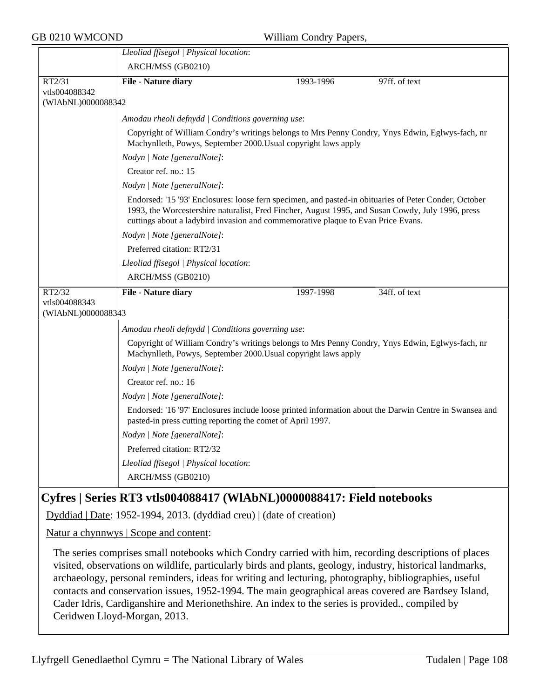|                    | Lleoliad ffisegol   Physical location:                                                                                                                                                                                                                                                         |           |               |  |  |
|--------------------|------------------------------------------------------------------------------------------------------------------------------------------------------------------------------------------------------------------------------------------------------------------------------------------------|-----------|---------------|--|--|
|                    | ARCH/MSS (GB0210)                                                                                                                                                                                                                                                                              |           |               |  |  |
| RT2/31             | <b>File - Nature diary</b>                                                                                                                                                                                                                                                                     | 1993-1996 | 97ff. of text |  |  |
| vtls004088342      |                                                                                                                                                                                                                                                                                                |           |               |  |  |
| (WIAbNL)0000088342 |                                                                                                                                                                                                                                                                                                |           |               |  |  |
|                    | Amodau rheoli defnydd   Conditions governing use:                                                                                                                                                                                                                                              |           |               |  |  |
|                    | Copyright of William Condry's writings belongs to Mrs Penny Condry, Ynys Edwin, Eglwys-fach, nr<br>Machynlleth, Powys, September 2000. Usual copyright laws apply                                                                                                                              |           |               |  |  |
|                    | Nodyn   Note [generalNote]:                                                                                                                                                                                                                                                                    |           |               |  |  |
|                    | Creator ref. no.: 15                                                                                                                                                                                                                                                                           |           |               |  |  |
|                    | Nodyn   Note [generalNote]:                                                                                                                                                                                                                                                                    |           |               |  |  |
|                    | Endorsed: '15 '93' Enclosures: loose fern specimen, and pasted-in obituaries of Peter Conder, October<br>1993, the Worcestershire naturalist, Fred Fincher, August 1995, and Susan Cowdy, July 1996, press<br>cuttings about a ladybird invasion and commemorative plaque to Evan Price Evans. |           |               |  |  |
|                    | Nodyn   Note [generalNote]:                                                                                                                                                                                                                                                                    |           |               |  |  |
|                    | Preferred citation: RT2/31                                                                                                                                                                                                                                                                     |           |               |  |  |
|                    | Lleoliad ffisegol   Physical location:                                                                                                                                                                                                                                                         |           |               |  |  |
|                    | ARCH/MSS (GB0210)                                                                                                                                                                                                                                                                              |           |               |  |  |
| RT2/32             | <b>File - Nature diary</b>                                                                                                                                                                                                                                                                     | 1997-1998 | 34ff. of text |  |  |
| vtls004088343      |                                                                                                                                                                                                                                                                                                |           |               |  |  |
| (WIAbNL)0000088343 |                                                                                                                                                                                                                                                                                                |           |               |  |  |
|                    | Amodau rheoli defnydd   Conditions governing use:                                                                                                                                                                                                                                              |           |               |  |  |
|                    | Copyright of William Condry's writings belongs to Mrs Penny Condry, Ynys Edwin, Eglwys-fach, nr<br>Machynlleth, Powys, September 2000. Usual copyright laws apply                                                                                                                              |           |               |  |  |
|                    | Nodyn   Note [generalNote]:                                                                                                                                                                                                                                                                    |           |               |  |  |
|                    | Creator ref. no.: 16                                                                                                                                                                                                                                                                           |           |               |  |  |
|                    | Nodyn   Note [generalNote]:                                                                                                                                                                                                                                                                    |           |               |  |  |
|                    | Endorsed: '16 '97' Enclosures include loose printed information about the Darwin Centre in Swansea and<br>pasted-in press cutting reporting the comet of April 1997.                                                                                                                           |           |               |  |  |
|                    | Nodyn   Note [generalNote]:                                                                                                                                                                                                                                                                    |           |               |  |  |
|                    | Preferred citation: RT2/32                                                                                                                                                                                                                                                                     |           |               |  |  |
|                    | Lleoliad ffisegol   Physical location:                                                                                                                                                                                                                                                         |           |               |  |  |
|                    | ARCH/MSS (GB0210)                                                                                                                                                                                                                                                                              |           |               |  |  |
|                    |                                                                                                                                                                                                                                                                                                |           |               |  |  |

# **Cyfres | Series RT3 vtls004088417 (WlAbNL)0000088417: Field notebooks**

Dyddiad | Date: 1952-1994, 2013. (dyddiad creu) | (date of creation)

Natur a chynnwys | Scope and content:

The series comprises small notebooks which Condry carried with him, recording descriptions of places visited, observations on wildlife, particularly birds and plants, geology, industry, historical landmarks, archaeology, personal reminders, ideas for writing and lecturing, photography, bibliographies, useful contacts and conservation issues, 1952-1994. The main geographical areas covered are Bardsey Island, Cader Idris, Cardiganshire and Merionethshire. An index to the series is provided., compiled by Ceridwen Lloyd-Morgan, 2013.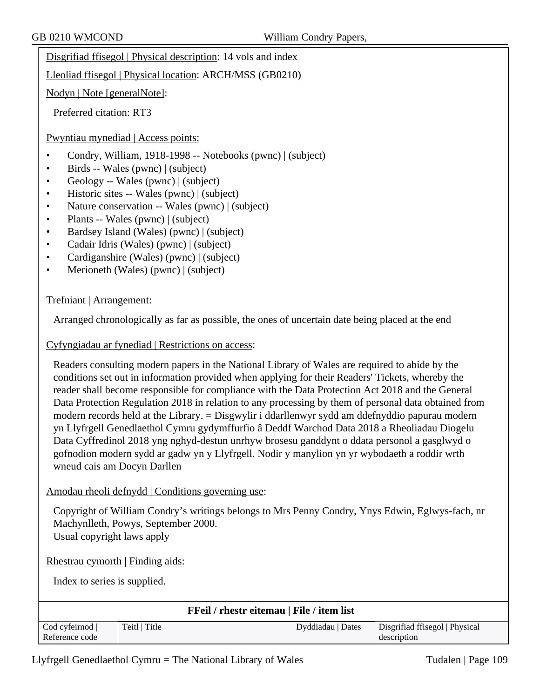Disgrifiad ffisegol | Physical description: 14 vols and index

Lleoliad ffisegol | Physical location: ARCH/MSS (GB0210)

Nodyn | Note [generalNote]:

Preferred citation: RT3

Pwyntiau mynediad | Access points:

- Condry, William, 1918-1998 -- Notebooks (pwnc) | (subject)
- Birds -- Wales (pwnc) | (subject)
- Geology -- Wales (pwnc) | (subject)
- Historic sites -- Wales (pwnc) | (subject)
- Nature conservation -- Wales (pwnc) | (subject)
- Plants -- Wales (pwnc) | (subject)
- Bardsey Island (Wales) (pwnc) | (subject)
- Cadair Idris (Wales) (pwnc) | (subject)
- Cardiganshire (Wales) (pwnc) | (subject)
- Merioneth (Wales) (pwnc) | (subject)

#### Trefniant | Arrangement:

Arranged chronologically as far as possible, the ones of uncertain date being placed at the end

Cyfyngiadau ar fynediad | Restrictions on access:

Readers consulting modern papers in the National Library of Wales are required to abide by the conditions set out in information provided when applying for their Readers' Tickets, whereby the reader shall become responsible for compliance with the Data Protection Act 2018 and the General Data Protection Regulation 2018 in relation to any processing by them of personal data obtained from modern records held at the Library. = Disgwylir i ddarllenwyr sydd am ddefnyddio papurau modern yn Llyfrgell Genedlaethol Cymru gydymffurfio â Deddf Warchod Data 2018 a Rheoliadau Diogelu Data Cyffredinol 2018 yng nghyd-destun unrhyw brosesu ganddynt o ddata personol a gasglwyd o gofnodion modern sydd ar gadw yn y Llyfrgell. Nodir y manylion yn yr wybodaeth a roddir wrth wneud cais am Docyn Darllen

### Amodau rheoli defnydd | Conditions governing use:

Copyright of William Condry's writings belongs to Mrs Penny Condry, Ynys Edwin, Eglwys-fach, nr Machynlleth, Powys, September 2000. Usual copyright laws apply

Rhestrau cymorth | Finding aids:

Index to series is supplied.

|                |               | <b>FFeil / rhestr eitemau   File / item list</b> |                                |
|----------------|---------------|--------------------------------------------------|--------------------------------|
| Cod cyfeirnod  | Teitl   Title | Dyddiadau   Dates                                | Disgrifiad ffisegol   Physical |
| Reference code |               |                                                  | description                    |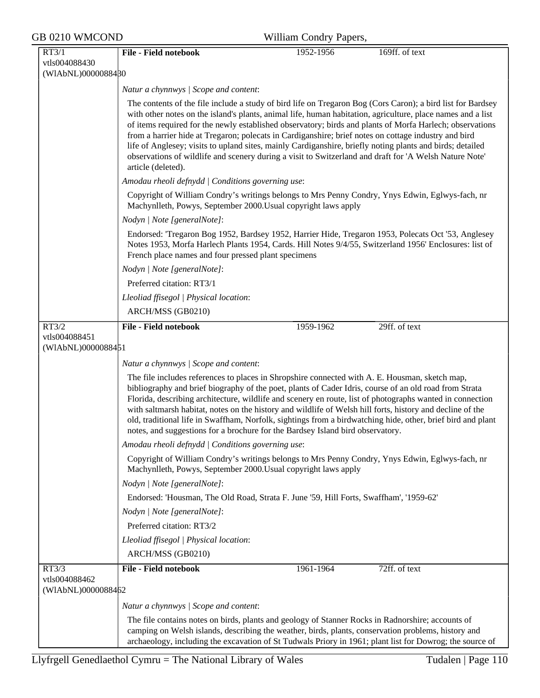| GB 0210 WMCOND                      | William Condry Papers,                                                                                                                                                                                                                                               |
|-------------------------------------|----------------------------------------------------------------------------------------------------------------------------------------------------------------------------------------------------------------------------------------------------------------------|
| RT3/1                               | <b>File - Field notebook</b><br>1952-1956<br>169ff. of text                                                                                                                                                                                                          |
| vtls004088430<br>(WIAbNL)0000088480 |                                                                                                                                                                                                                                                                      |
|                                     | Natur a chynnwys / Scope and content:                                                                                                                                                                                                                                |
|                                     | The contents of the file include a study of bird life on Tregaron Bog (Cors Caron); a bird list for Bardsey                                                                                                                                                          |
|                                     | with other notes on the island's plants, animal life, human habitation, agriculture, place names and a list                                                                                                                                                          |
|                                     | of items required for the newly established observatory; birds and plants of Morfa Harlech; observations<br>from a harrier hide at Tregaron; polecats in Cardiganshire; brief notes on cottage industry and bird                                                     |
|                                     | life of Anglesey; visits to upland sites, mainly Cardiganshire, briefly noting plants and birds; detailed                                                                                                                                                            |
|                                     | observations of wildlife and scenery during a visit to Switzerland and draft for 'A Welsh Nature Note'                                                                                                                                                               |
|                                     | article (deleted).<br>Amodau rheoli defnydd   Conditions governing use:                                                                                                                                                                                              |
|                                     | Copyright of William Condry's writings belongs to Mrs Penny Condry, Ynys Edwin, Eglwys-fach, nr                                                                                                                                                                      |
|                                     | Machynlleth, Powys, September 2000. Usual copyright laws apply                                                                                                                                                                                                       |
|                                     | Nodyn   Note [generalNote]:                                                                                                                                                                                                                                          |
|                                     | Endorsed: 'Tregaron Bog 1952, Bardsey 1952, Harrier Hide, Tregaron 1953, Polecats Oct '53, Anglesey<br>Notes 1953, Morfa Harlech Plants 1954, Cards. Hill Notes 9/4/55, Switzerland 1956' Enclosures: list of<br>French place names and four pressed plant specimens |
|                                     | Nodyn   Note [generalNote]:                                                                                                                                                                                                                                          |
|                                     | Preferred citation: RT3/1                                                                                                                                                                                                                                            |
|                                     | Lleoliad ffisegol   Physical location:                                                                                                                                                                                                                               |
|                                     | ARCH/MSS (GB0210)                                                                                                                                                                                                                                                    |
| RT3/2                               | <b>File - Field notebook</b><br>1959-1962<br>29ff. of text                                                                                                                                                                                                           |
| vtls004088451<br>(WIAbNL)0000088451 |                                                                                                                                                                                                                                                                      |
|                                     | Natur a chynnwys / Scope and content:                                                                                                                                                                                                                                |
|                                     | The file includes references to places in Shropshire connected with A. E. Housman, sketch map,                                                                                                                                                                       |
|                                     | bibliography and brief biography of the poet, plants of Cader Idris, course of an old road from Strata<br>Florida, describing architecture, wildlife and scenery en route, list of photographs wanted in connection                                                  |
|                                     | with saltmarsh habitat, notes on the history and wildlife of Welsh hill forts, history and decline of the                                                                                                                                                            |
|                                     | old, traditional life in Swaffham, Norfolk, sightings from a birdwatching hide, other, brief bird and plant                                                                                                                                                          |
|                                     | notes, and suggestions for a brochure for the Bardsey Island bird observatory.<br>Amodau rheoli defnydd   Conditions governing use:                                                                                                                                  |
|                                     | Copyright of William Condry's writings belongs to Mrs Penny Condry, Ynys Edwin, Eglwys-fach, nr                                                                                                                                                                      |
|                                     | Machynlleth, Powys, September 2000. Usual copyright laws apply                                                                                                                                                                                                       |
|                                     | Nodyn   Note [generalNote]:                                                                                                                                                                                                                                          |
|                                     | Endorsed: 'Housman, The Old Road, Strata F. June '59, Hill Forts, Swaffham', '1959-62'                                                                                                                                                                               |
|                                     | Nodyn / Note [generalNote]:                                                                                                                                                                                                                                          |
|                                     | Preferred citation: RT3/2<br>Lleoliad ffisegol   Physical location:                                                                                                                                                                                                  |
|                                     | ARCH/MSS (GB0210)                                                                                                                                                                                                                                                    |
| RT3/3                               | <b>File - Field notebook</b><br>72ff. of text<br>1961-1964                                                                                                                                                                                                           |
| vtls004088462                       |                                                                                                                                                                                                                                                                      |
| (WIAbNL)0000088462                  |                                                                                                                                                                                                                                                                      |
|                                     | Natur a chynnwys / Scope and content:                                                                                                                                                                                                                                |
|                                     | The file contains notes on birds, plants and geology of Stanner Rocks in Radnorshire; accounts of                                                                                                                                                                    |
|                                     | camping on Welsh islands, describing the weather, birds, plants, conservation problems, history and<br>archaeology, including the excavation of St Tudwals Priory in 1961; plant list for Dowrog; the source of                                                      |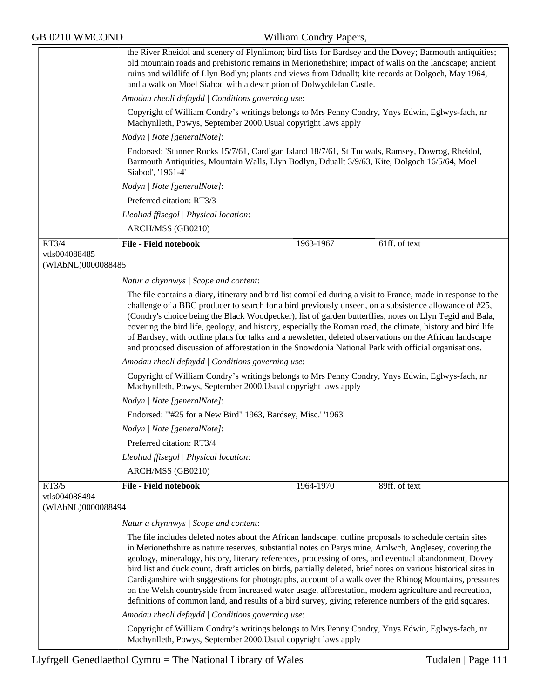|                                     | the River Rheidol and scenery of Plynlimon; bird lists for Bardsey and the Dovey; Barmouth antiquities;<br>old mountain roads and prehistoric remains in Merionethshire; impact of walls on the landscape; ancient<br>ruins and wildlife of Llyn Bodlyn; plants and views from Dduallt; kite records at Dolgoch, May 1964,<br>and a walk on Moel Siabod with a description of Dolwyddelan Castle.                                                                                                                                                                                                                                                                                                                                                                              |           |               |
|-------------------------------------|--------------------------------------------------------------------------------------------------------------------------------------------------------------------------------------------------------------------------------------------------------------------------------------------------------------------------------------------------------------------------------------------------------------------------------------------------------------------------------------------------------------------------------------------------------------------------------------------------------------------------------------------------------------------------------------------------------------------------------------------------------------------------------|-----------|---------------|
|                                     | Amodau rheoli defnydd   Conditions governing use:                                                                                                                                                                                                                                                                                                                                                                                                                                                                                                                                                                                                                                                                                                                              |           |               |
|                                     | Copyright of William Condry's writings belongs to Mrs Penny Condry, Ynys Edwin, Eglwys-fach, nr<br>Machynlleth, Powys, September 2000. Usual copyright laws apply                                                                                                                                                                                                                                                                                                                                                                                                                                                                                                                                                                                                              |           |               |
|                                     | Nodyn   Note [generalNote]:                                                                                                                                                                                                                                                                                                                                                                                                                                                                                                                                                                                                                                                                                                                                                    |           |               |
|                                     | Endorsed: 'Stanner Rocks 15/7/61, Cardigan Island 18/7/61, St Tudwals, Ramsey, Dowrog, Rheidol,<br>Barmouth Antiquities, Mountain Walls, Llyn Bodlyn, Dduallt 3/9/63, Kite, Dolgoch 16/5/64, Moel<br>Siabod', '1961-4'                                                                                                                                                                                                                                                                                                                                                                                                                                                                                                                                                         |           |               |
|                                     | Nodyn   Note [generalNote]:                                                                                                                                                                                                                                                                                                                                                                                                                                                                                                                                                                                                                                                                                                                                                    |           |               |
|                                     | Preferred citation: RT3/3                                                                                                                                                                                                                                                                                                                                                                                                                                                                                                                                                                                                                                                                                                                                                      |           |               |
|                                     | Lleoliad ffisegol   Physical location:                                                                                                                                                                                                                                                                                                                                                                                                                                                                                                                                                                                                                                                                                                                                         |           |               |
|                                     | ARCH/MSS (GB0210)                                                                                                                                                                                                                                                                                                                                                                                                                                                                                                                                                                                                                                                                                                                                                              |           |               |
| RT3/4                               | <b>File - Field notebook</b>                                                                                                                                                                                                                                                                                                                                                                                                                                                                                                                                                                                                                                                                                                                                                   | 1963-1967 | 61ff. of text |
| vtls004088485                       |                                                                                                                                                                                                                                                                                                                                                                                                                                                                                                                                                                                                                                                                                                                                                                                |           |               |
| (WIAbNL)0000088485                  |                                                                                                                                                                                                                                                                                                                                                                                                                                                                                                                                                                                                                                                                                                                                                                                |           |               |
|                                     | Natur a chynnwys / Scope and content:                                                                                                                                                                                                                                                                                                                                                                                                                                                                                                                                                                                                                                                                                                                                          |           |               |
|                                     | The file contains a diary, itinerary and bird list compiled during a visit to France, made in response to the<br>challenge of a BBC producer to search for a bird previously unseen, on a subsistence allowance of #25,<br>(Condry's choice being the Black Woodpecker), list of garden butterflies, notes on Llyn Tegid and Bala,<br>covering the bird life, geology, and history, especially the Roman road, the climate, history and bird life<br>of Bardsey, with outline plans for talks and a newsletter, deleted observations on the African landscape<br>and proposed discussion of afforestation in the Snowdonia National Park with official organisations.                                                                                                          |           |               |
|                                     | Amodau rheoli defnydd   Conditions governing use:                                                                                                                                                                                                                                                                                                                                                                                                                                                                                                                                                                                                                                                                                                                              |           |               |
|                                     | Copyright of William Condry's writings belongs to Mrs Penny Condry, Ynys Edwin, Eglwys-fach, nr<br>Machynlleth, Powys, September 2000. Usual copyright laws apply                                                                                                                                                                                                                                                                                                                                                                                                                                                                                                                                                                                                              |           |               |
|                                     | Nodyn   Note [generalNote]:                                                                                                                                                                                                                                                                                                                                                                                                                                                                                                                                                                                                                                                                                                                                                    |           |               |
|                                     | Endorsed: "#25 for a New Bird" 1963, Bardsey, Misc.' '1963'                                                                                                                                                                                                                                                                                                                                                                                                                                                                                                                                                                                                                                                                                                                    |           |               |
|                                     | Nodyn   Note [generalNote]:                                                                                                                                                                                                                                                                                                                                                                                                                                                                                                                                                                                                                                                                                                                                                    |           |               |
|                                     | Preferred citation: RT3/4                                                                                                                                                                                                                                                                                                                                                                                                                                                                                                                                                                                                                                                                                                                                                      |           |               |
|                                     | Lleoliad ffisegol   Physical location:                                                                                                                                                                                                                                                                                                                                                                                                                                                                                                                                                                                                                                                                                                                                         |           |               |
|                                     | ARCH/MSS (GB0210)                                                                                                                                                                                                                                                                                                                                                                                                                                                                                                                                                                                                                                                                                                                                                              |           |               |
| RT3/5                               | <b>File - Field notebook</b>                                                                                                                                                                                                                                                                                                                                                                                                                                                                                                                                                                                                                                                                                                                                                   | 1964-1970 | 89ff. of text |
| vtls004088494<br>(WIAbNL)0000088494 |                                                                                                                                                                                                                                                                                                                                                                                                                                                                                                                                                                                                                                                                                                                                                                                |           |               |
|                                     | Natur a chynnwys   Scope and content:                                                                                                                                                                                                                                                                                                                                                                                                                                                                                                                                                                                                                                                                                                                                          |           |               |
|                                     | The file includes deleted notes about the African landscape, outline proposals to schedule certain sites<br>in Merionethshire as nature reserves, substantial notes on Parys mine, Amlwch, Anglesey, covering the<br>geology, mineralogy, history, literary references, processing of ores, and eventual abandonment, Dovey<br>bird list and duck count, draft articles on birds, partially deleted, brief notes on various historical sites in<br>Cardiganshire with suggestions for photographs, account of a walk over the Rhinog Mountains, pressures<br>on the Welsh countryside from increased water usage, afforestation, modern agriculture and recreation,<br>definitions of common land, and results of a bird survey, giving reference numbers of the grid squares. |           |               |
|                                     | Amodau rheoli defnydd   Conditions governing use:                                                                                                                                                                                                                                                                                                                                                                                                                                                                                                                                                                                                                                                                                                                              |           |               |
|                                     | Copyright of William Condry's writings belongs to Mrs Penny Condry, Ynys Edwin, Eglwys-fach, nr<br>Machynlleth, Powys, September 2000. Usual copyright laws apply                                                                                                                                                                                                                                                                                                                                                                                                                                                                                                                                                                                                              |           |               |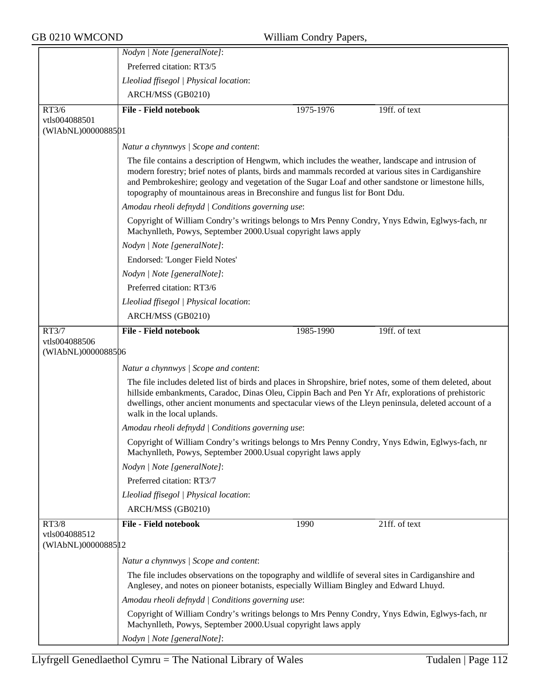|                                      | Nodyn   Note [generalNote]:                                                                                                                                                                                                                                                                                                                                                                      |
|--------------------------------------|--------------------------------------------------------------------------------------------------------------------------------------------------------------------------------------------------------------------------------------------------------------------------------------------------------------------------------------------------------------------------------------------------|
|                                      | Preferred citation: RT3/5                                                                                                                                                                                                                                                                                                                                                                        |
|                                      | Lleoliad ffisegol   Physical location:                                                                                                                                                                                                                                                                                                                                                           |
|                                      | ARCH/MSS (GB0210)                                                                                                                                                                                                                                                                                                                                                                                |
| RT3/6                                | <b>File - Field notebook</b><br>1975-1976<br>19ff. of text                                                                                                                                                                                                                                                                                                                                       |
| vtls004088501                        |                                                                                                                                                                                                                                                                                                                                                                                                  |
| (WIAbNL)0000088501                   |                                                                                                                                                                                                                                                                                                                                                                                                  |
|                                      | Natur a chynnwys / Scope and content:                                                                                                                                                                                                                                                                                                                                                            |
|                                      | The file contains a description of Hengwm, which includes the weather, landscape and intrusion of<br>modern forestry; brief notes of plants, birds and mammals recorded at various sites in Cardiganshire<br>and Pembrokeshire; geology and vegetation of the Sugar Loaf and other sandstone or limestone hills,<br>topography of mountainous areas in Breconshire and fungus list for Bont Ddu. |
|                                      | Amodau rheoli defnydd   Conditions governing use:                                                                                                                                                                                                                                                                                                                                                |
|                                      | Copyright of William Condry's writings belongs to Mrs Penny Condry, Ynys Edwin, Eglwys-fach, nr<br>Machynlleth, Powys, September 2000. Usual copyright laws apply                                                                                                                                                                                                                                |
|                                      | Nodyn   Note [generalNote]:                                                                                                                                                                                                                                                                                                                                                                      |
|                                      | Endorsed: 'Longer Field Notes'                                                                                                                                                                                                                                                                                                                                                                   |
|                                      | Nodyn   Note [generalNote]:                                                                                                                                                                                                                                                                                                                                                                      |
|                                      | Preferred citation: RT3/6                                                                                                                                                                                                                                                                                                                                                                        |
|                                      | Lleoliad ffisegol   Physical location:                                                                                                                                                                                                                                                                                                                                                           |
|                                      | ARCH/MSS (GB0210)                                                                                                                                                                                                                                                                                                                                                                                |
| RT3/7                                | <b>File - Field notebook</b><br>19ff. of text<br>1985-1990                                                                                                                                                                                                                                                                                                                                       |
| vtls004088506<br>(WIAbNL)0000088506  |                                                                                                                                                                                                                                                                                                                                                                                                  |
|                                      |                                                                                                                                                                                                                                                                                                                                                                                                  |
|                                      | Natur a chynnwys / Scope and content:                                                                                                                                                                                                                                                                                                                                                            |
|                                      | The file includes deleted list of birds and places in Shropshire, brief notes, some of them deleted, about<br>hillside embankments, Caradoc, Dinas Oleu, Cippin Bach and Pen Yr Afr, explorations of prehistoric<br>dwellings, other ancient monuments and spectacular views of the Lleyn peninsula, deleted account of a<br>walk in the local uplands.                                          |
|                                      | Amodau rheoli defnydd   Conditions governing use:                                                                                                                                                                                                                                                                                                                                                |
|                                      | Copyright of William Condry's writings belongs to Mrs Penny Condry, Ynys Edwin, Eglwys-fach, nr<br>Machynlleth, Powys, September 2000. Usual copyright laws apply                                                                                                                                                                                                                                |
|                                      | Nodyn   Note [generalNote]:                                                                                                                                                                                                                                                                                                                                                                      |
|                                      | Preferred citation: RT3/7                                                                                                                                                                                                                                                                                                                                                                        |
|                                      | Lleoliad ffisegol   Physical location:                                                                                                                                                                                                                                                                                                                                                           |
|                                      | ARCH/MSS (GB0210)                                                                                                                                                                                                                                                                                                                                                                                |
| RT3/8                                | <b>File - Field notebook</b><br>21ff. of text<br>1990                                                                                                                                                                                                                                                                                                                                            |
| vtls004088512<br>(WIAbNL)00000885 12 |                                                                                                                                                                                                                                                                                                                                                                                                  |
|                                      | Natur a chynnwys / Scope and content:                                                                                                                                                                                                                                                                                                                                                            |
|                                      | The file includes observations on the topography and wildlife of several sites in Cardiganshire and<br>Anglesey, and notes on pioneer botanists, especially William Bingley and Edward Lhuyd.                                                                                                                                                                                                    |
|                                      | Amodau rheoli defnydd   Conditions governing use:                                                                                                                                                                                                                                                                                                                                                |
|                                      | Copyright of William Condry's writings belongs to Mrs Penny Condry, Ynys Edwin, Eglwys-fach, nr<br>Machynlleth, Powys, September 2000. Usual copyright laws apply                                                                                                                                                                                                                                |
|                                      | Nodyn   Note [generalNote]:                                                                                                                                                                                                                                                                                                                                                                      |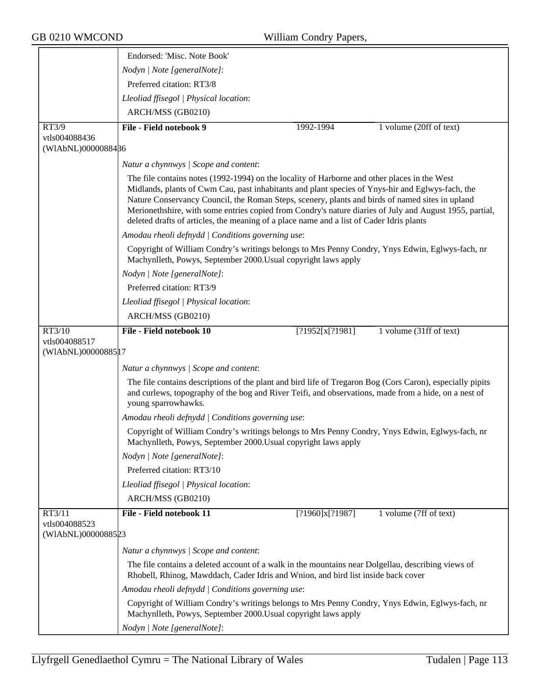|                                      | Endorsed: 'Misc. Note Book'                                                                                                                                                                                                                                                                                                                                                                                                                                                                                |                 |                         |
|--------------------------------------|------------------------------------------------------------------------------------------------------------------------------------------------------------------------------------------------------------------------------------------------------------------------------------------------------------------------------------------------------------------------------------------------------------------------------------------------------------------------------------------------------------|-----------------|-------------------------|
|                                      | Nodyn   Note [generalNote]:                                                                                                                                                                                                                                                                                                                                                                                                                                                                                |                 |                         |
|                                      | Preferred citation: RT3/8                                                                                                                                                                                                                                                                                                                                                                                                                                                                                  |                 |                         |
|                                      | Lleoliad ffisegol   Physical location:                                                                                                                                                                                                                                                                                                                                                                                                                                                                     |                 |                         |
|                                      | ARCH/MSS (GB0210)                                                                                                                                                                                                                                                                                                                                                                                                                                                                                          |                 |                         |
| RT3/9                                | File - Field notebook 9                                                                                                                                                                                                                                                                                                                                                                                                                                                                                    | 1992-1994       | 1 volume (20ff of text) |
| vtls004088436                        |                                                                                                                                                                                                                                                                                                                                                                                                                                                                                                            |                 |                         |
| (WIAbNL)0000088486                   |                                                                                                                                                                                                                                                                                                                                                                                                                                                                                                            |                 |                         |
|                                      | Natur a chynnwys / Scope and content:                                                                                                                                                                                                                                                                                                                                                                                                                                                                      |                 |                         |
|                                      | The file contains notes (1992-1994) on the locality of Harborne and other places in the West<br>Midlands, plants of Cwm Cau, past inhabitants and plant species of Ynys-hir and Eglwys-fach, the<br>Nature Conservancy Council, the Roman Steps, scenery, plants and birds of named sites in upland<br>Merionethshire, with some entries copied from Condry's nature diaries of July and August 1955, partial,<br>deleted drafts of articles, the meaning of a place name and a list of Cader Idris plants |                 |                         |
|                                      | Amodau rheoli defnydd   Conditions governing use:                                                                                                                                                                                                                                                                                                                                                                                                                                                          |                 |                         |
|                                      | Copyright of William Condry's writings belongs to Mrs Penny Condry, Ynys Edwin, Eglwys-fach, nr<br>Machynlleth, Powys, September 2000. Usual copyright laws apply                                                                                                                                                                                                                                                                                                                                          |                 |                         |
|                                      | Nodyn   Note [generalNote]:                                                                                                                                                                                                                                                                                                                                                                                                                                                                                |                 |                         |
|                                      | Preferred citation: RT3/9                                                                                                                                                                                                                                                                                                                                                                                                                                                                                  |                 |                         |
|                                      | Lleoliad ffisegol   Physical location:                                                                                                                                                                                                                                                                                                                                                                                                                                                                     |                 |                         |
|                                      | ARCH/MSS (GB0210)                                                                                                                                                                                                                                                                                                                                                                                                                                                                                          |                 |                         |
| RT3/10                               | File - Field notebook 10                                                                                                                                                                                                                                                                                                                                                                                                                                                                                   | [?1952[x[?1981] | 1 volume (31ff of text) |
| vtls004088517<br>(WIAbNL)00000885 17 |                                                                                                                                                                                                                                                                                                                                                                                                                                                                                                            |                 |                         |
|                                      | Natur a chynnwys / Scope and content:                                                                                                                                                                                                                                                                                                                                                                                                                                                                      |                 |                         |
|                                      | The file contains descriptions of the plant and bird life of Tregaron Bog (Cors Caron), especially pipits<br>and curlews, topography of the bog and River Teifi, and observations, made from a hide, on a nest of<br>young sparrowhawks.                                                                                                                                                                                                                                                                   |                 |                         |
|                                      | Amodau rheoli defnydd   Conditions governing use:                                                                                                                                                                                                                                                                                                                                                                                                                                                          |                 |                         |
|                                      | Copyright of William Condry's writings belongs to Mrs Penny Condry, Ynys Edwin, Eglwys-fach, nr<br>Machynlleth, Powys, September 2000. Usual copyright laws apply                                                                                                                                                                                                                                                                                                                                          |                 |                         |
|                                      | Nodyn   Note [generalNote]:                                                                                                                                                                                                                                                                                                                                                                                                                                                                                |                 |                         |
|                                      | Preferred citation: RT3/10                                                                                                                                                                                                                                                                                                                                                                                                                                                                                 |                 |                         |
|                                      | Lleoliad ffisegol   Physical location:                                                                                                                                                                                                                                                                                                                                                                                                                                                                     |                 |                         |
|                                      | ARCH/MSS (GB0210)                                                                                                                                                                                                                                                                                                                                                                                                                                                                                          |                 |                         |
| RT3/11                               | File - Field notebook 11                                                                                                                                                                                                                                                                                                                                                                                                                                                                                   | [?1960]x[?1987] | 1 volume (7ff of text)  |
| vtls004088523<br>(WIAbNL)0000088523  |                                                                                                                                                                                                                                                                                                                                                                                                                                                                                                            |                 |                         |
|                                      | Natur a chynnwys / Scope and content:                                                                                                                                                                                                                                                                                                                                                                                                                                                                      |                 |                         |
|                                      | The file contains a deleted account of a walk in the mountains near Dolgellau, describing views of<br>Rhobell, Rhinog, Mawddach, Cader Idris and Wnion, and bird list inside back cover                                                                                                                                                                                                                                                                                                                    |                 |                         |
|                                      | Amodau rheoli defnydd   Conditions governing use:                                                                                                                                                                                                                                                                                                                                                                                                                                                          |                 |                         |
|                                      | Copyright of William Condry's writings belongs to Mrs Penny Condry, Ynys Edwin, Eglwys-fach, nr<br>Machynlleth, Powys, September 2000. Usual copyright laws apply                                                                                                                                                                                                                                                                                                                                          |                 |                         |
|                                      | Nodyn   Note [generalNote]:                                                                                                                                                                                                                                                                                                                                                                                                                                                                                |                 |                         |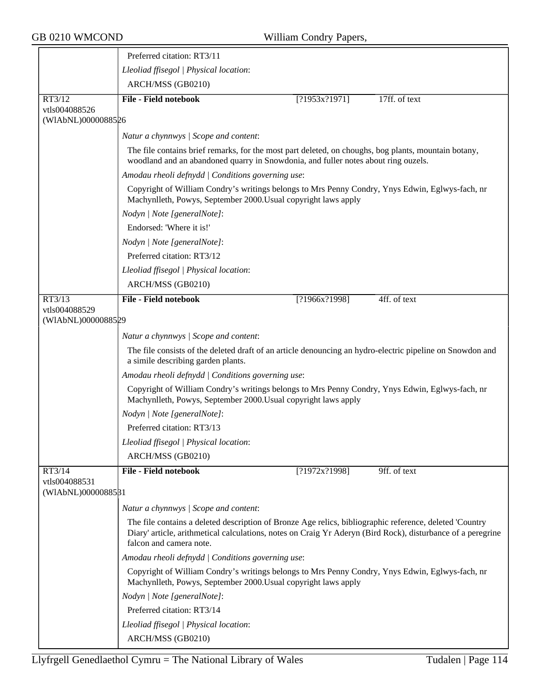|                                     | Preferred citation: RT3/11                                                                                                                                                                                                                        |  |  |  |
|-------------------------------------|---------------------------------------------------------------------------------------------------------------------------------------------------------------------------------------------------------------------------------------------------|--|--|--|
|                                     | Lleoliad ffisegol   Physical location:                                                                                                                                                                                                            |  |  |  |
|                                     | ARCH/MSS (GB0210)                                                                                                                                                                                                                                 |  |  |  |
| RT3/12                              | <b>File - Field notebook</b><br>17ff. of text<br>[?1953x?1971]                                                                                                                                                                                    |  |  |  |
| vtls004088526<br>(WIAbNL)0000088526 |                                                                                                                                                                                                                                                   |  |  |  |
|                                     | Natur a chynnwys / Scope and content:                                                                                                                                                                                                             |  |  |  |
|                                     | The file contains brief remarks, for the most part deleted, on choughs, bog plants, mountain botany,<br>woodland and an abandoned quarry in Snowdonia, and fuller notes about ring ouzels.                                                        |  |  |  |
|                                     | Amodau rheoli defnydd   Conditions governing use:                                                                                                                                                                                                 |  |  |  |
|                                     | Copyright of William Condry's writings belongs to Mrs Penny Condry, Ynys Edwin, Eglwys-fach, nr<br>Machynlleth, Powys, September 2000. Usual copyright laws apply                                                                                 |  |  |  |
|                                     | Nodyn   Note [generalNote]:                                                                                                                                                                                                                       |  |  |  |
|                                     | Endorsed: 'Where it is!'                                                                                                                                                                                                                          |  |  |  |
|                                     | Nodyn   Note [generalNote]:                                                                                                                                                                                                                       |  |  |  |
|                                     | Preferred citation: RT3/12                                                                                                                                                                                                                        |  |  |  |
|                                     | Lleoliad ffisegol   Physical location:                                                                                                                                                                                                            |  |  |  |
|                                     | ARCH/MSS (GB0210)                                                                                                                                                                                                                                 |  |  |  |
| RT3/13                              | File - Field notebook<br>[?1966x?1998]<br>4ff. of text                                                                                                                                                                                            |  |  |  |
| vtls004088529<br>(WIAbNL)0000088529 |                                                                                                                                                                                                                                                   |  |  |  |
|                                     | Natur a chynnwys   Scope and content:                                                                                                                                                                                                             |  |  |  |
|                                     | The file consists of the deleted draft of an article denouncing an hydro-electric pipeline on Snowdon and<br>a simile describing garden plants.                                                                                                   |  |  |  |
|                                     | Amodau rheoli defnydd   Conditions governing use:                                                                                                                                                                                                 |  |  |  |
|                                     | Copyright of William Condry's writings belongs to Mrs Penny Condry, Ynys Edwin, Eglwys-fach, nr<br>Machynlleth, Powys, September 2000. Usual copyright laws apply                                                                                 |  |  |  |
|                                     | Nodyn   Note [generalNote]:                                                                                                                                                                                                                       |  |  |  |
|                                     | Preferred citation: RT3/13                                                                                                                                                                                                                        |  |  |  |
|                                     | Lleoliad ffisegol   Physical location:                                                                                                                                                                                                            |  |  |  |
|                                     | ARCH/MSS (GB0210)                                                                                                                                                                                                                                 |  |  |  |
| RT3/14                              | <b>File - Field notebook</b><br>[?1972x?1998]<br>9ff. of text                                                                                                                                                                                     |  |  |  |
| vtls004088531<br>(WIAbNL)0000088581 |                                                                                                                                                                                                                                                   |  |  |  |
|                                     | Natur a chynnwys / Scope and content:                                                                                                                                                                                                             |  |  |  |
|                                     | The file contains a deleted description of Bronze Age relics, bibliographic reference, deleted 'Country<br>Diary' article, arithmetical calculations, notes on Craig Yr Aderyn (Bird Rock), disturbance of a peregrine<br>falcon and camera note. |  |  |  |
|                                     | Amodau rheoli defnydd   Conditions governing use:                                                                                                                                                                                                 |  |  |  |
|                                     | Copyright of William Condry's writings belongs to Mrs Penny Condry, Ynys Edwin, Eglwys-fach, nr<br>Machynlleth, Powys, September 2000. Usual copyright laws apply                                                                                 |  |  |  |
|                                     | Nodyn   Note [generalNote]:                                                                                                                                                                                                                       |  |  |  |
|                                     | Preferred citation: RT3/14                                                                                                                                                                                                                        |  |  |  |
|                                     | Lleoliad ffisegol   Physical location:                                                                                                                                                                                                            |  |  |  |
|                                     | ARCH/MSS (GB0210)                                                                                                                                                                                                                                 |  |  |  |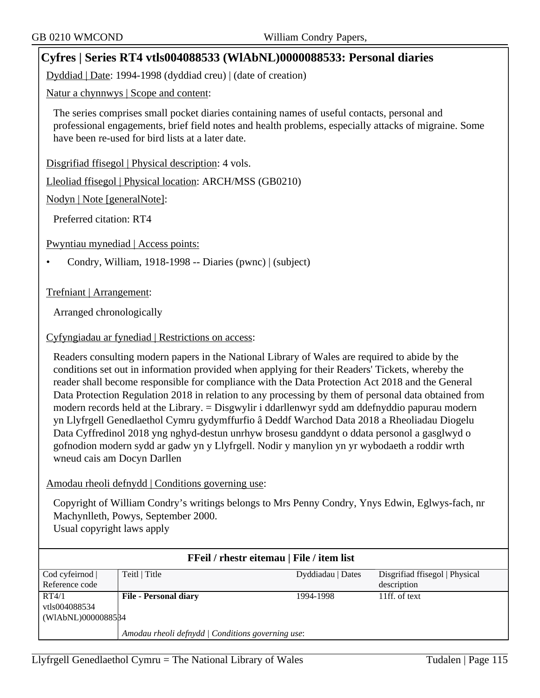# **Cyfres | Series RT4 vtls004088533 (WlAbNL)0000088533: Personal diaries**

Dyddiad | Date: 1994-1998 (dyddiad creu) | (date of creation)

Natur a chynnwys | Scope and content:

The series comprises small pocket diaries containing names of useful contacts, personal and professional engagements, brief field notes and health problems, especially attacks of migraine. Some have been re-used for bird lists at a later date.

Disgrifiad ffisegol | Physical description: 4 vols.

Lleoliad ffisegol | Physical location: ARCH/MSS (GB0210)

Nodyn | Note [generalNote]:

Preferred citation: RT4

Pwyntiau mynediad | Access points:

• Condry, William, 1918-1998 -- Diaries (pwnc) | (subject)

Trefniant | Arrangement:

Arranged chronologically

# Cyfyngiadau ar fynediad | Restrictions on access:

Readers consulting modern papers in the National Library of Wales are required to abide by the conditions set out in information provided when applying for their Readers' Tickets, whereby the reader shall become responsible for compliance with the Data Protection Act 2018 and the General Data Protection Regulation 2018 in relation to any processing by them of personal data obtained from modern records held at the Library. = Disgwylir i ddarllenwyr sydd am ddefnyddio papurau modern yn Llyfrgell Genedlaethol Cymru gydymffurfio â Deddf Warchod Data 2018 a Rheoliadau Diogelu Data Cyffredinol 2018 yng nghyd-destun unrhyw brosesu ganddynt o ddata personol a gasglwyd o gofnodion modern sydd ar gadw yn y Llyfrgell. Nodir y manylion yn yr wybodaeth a roddir wrth wneud cais am Docyn Darllen

# Amodau rheoli defnydd | Conditions governing use:

Copyright of William Condry's writings belongs to Mrs Penny Condry, Ynys Edwin, Eglwys-fach, nr Machynlleth, Powys, September 2000. Usual copyright laws apply

| FFeil / rhestr eitemau   File / item list |                                                   |                   |                                |
|-------------------------------------------|---------------------------------------------------|-------------------|--------------------------------|
| Cod cyfeirnod                             | Teitl   Title                                     | Dyddiadau   Dates | Disgrifiad ffisegol   Physical |
| Reference code                            |                                                   |                   | description                    |
| RT4/1                                     | <b>File - Personal diary</b>                      | 1994-1998         | 11ff. of text                  |
| vtls004088534                             |                                                   |                   |                                |
| (WIAbNL)0000088584                        |                                                   |                   |                                |
|                                           | Amodau rheoli defnydd   Conditions governing use: |                   |                                |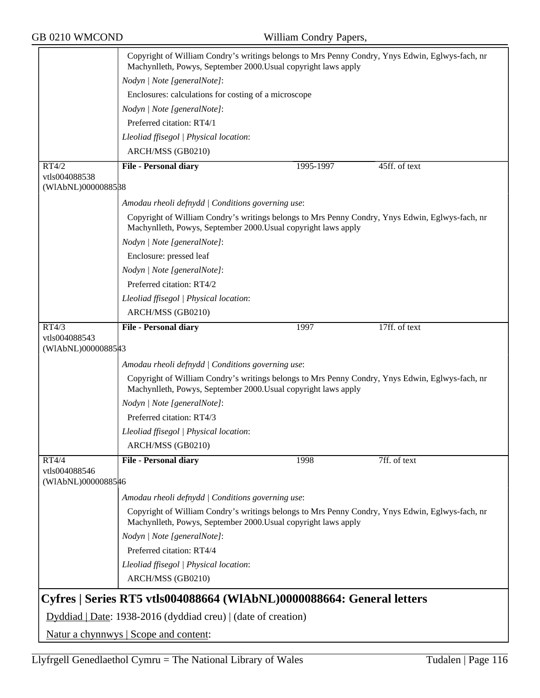|                        | Copyright of William Condry's writings belongs to Mrs Penny Condry, Ynys Edwin, Eglwys-fach, nr<br>Machynlleth, Powys, September 2000. Usual copyright laws apply |           |               |
|------------------------|-------------------------------------------------------------------------------------------------------------------------------------------------------------------|-----------|---------------|
|                        | Nodyn   Note [generalNote]:                                                                                                                                       |           |               |
|                        | Enclosures: calculations for costing of a microscope                                                                                                              |           |               |
|                        | Nodyn   Note [generalNote]:                                                                                                                                       |           |               |
|                        | Preferred citation: RT4/1                                                                                                                                         |           |               |
|                        | Lleoliad ffisegol   Physical location:                                                                                                                            |           |               |
|                        | ARCH/MSS (GB0210)                                                                                                                                                 |           |               |
|                        |                                                                                                                                                                   |           |               |
| RT4/2<br>vtls004088538 | <b>File - Personal diary</b>                                                                                                                                      | 1995-1997 | 45ff. of text |
| (WIAbNL)0000088588     |                                                                                                                                                                   |           |               |
|                        | Amodau rheoli defnydd   Conditions governing use:                                                                                                                 |           |               |
|                        | Copyright of William Condry's writings belongs to Mrs Penny Condry, Ynys Edwin, Eglwys-fach, nr<br>Machynlleth, Powys, September 2000. Usual copyright laws apply |           |               |
|                        | Nodyn   Note [generalNote]:                                                                                                                                       |           |               |
|                        | Enclosure: pressed leaf                                                                                                                                           |           |               |
|                        | Nodyn   Note [generalNote]:                                                                                                                                       |           |               |
|                        | Preferred citation: RT4/2                                                                                                                                         |           |               |
|                        | Lleoliad ffisegol   Physical location:                                                                                                                            |           |               |
|                        | ARCH/MSS (GB0210)                                                                                                                                                 |           |               |
| RT4/3                  | <b>File - Personal diary</b>                                                                                                                                      | 1997      | 17ff. of text |
| vtls004088543          |                                                                                                                                                                   |           |               |
| (WIAbNL)0000088543     |                                                                                                                                                                   |           |               |
|                        | Amodau rheoli defnydd   Conditions governing use:                                                                                                                 |           |               |
|                        | Copyright of William Condry's writings belongs to Mrs Penny Condry, Ynys Edwin, Eglwys-fach, nr<br>Machynlleth, Powys, September 2000. Usual copyright laws apply |           |               |
|                        | Nodyn   Note [generalNote]:                                                                                                                                       |           |               |
|                        | Preferred citation: RT4/3                                                                                                                                         |           |               |
|                        | Lleoliad ffisegol   Physical location:                                                                                                                            |           |               |
|                        | ARCH/MSS (GB0210)                                                                                                                                                 |           |               |
| RT4/4                  | <b>File - Personal diary</b>                                                                                                                                      | 1998      | 7ff. of text  |
| vtls004088546          |                                                                                                                                                                   |           |               |
| (WIAbNL)0000088546     |                                                                                                                                                                   |           |               |
|                        | Amodau rheoli defnydd   Conditions governing use:                                                                                                                 |           |               |
|                        | Copyright of William Condry's writings belongs to Mrs Penny Condry, Ynys Edwin, Eglwys-fach, nr<br>Machynlleth, Powys, September 2000. Usual copyright laws apply |           |               |
|                        | Nodyn   Note [generalNote]:                                                                                                                                       |           |               |
|                        | Preferred citation: RT4/4                                                                                                                                         |           |               |
|                        | Lleoliad ffisegol   Physical location:                                                                                                                            |           |               |
|                        | ARCH/MSS (GB0210)                                                                                                                                                 |           |               |
|                        |                                                                                                                                                                   |           |               |
|                        | Cyfres   Series RT5 vtls004088664 (WIAbNL)0000088664: General letters                                                                                             |           |               |
|                        | Dyddiad   Date: 1938-2016 (dyddiad creu)   (date of creation)                                                                                                     |           |               |
|                        | Natur a chynnwys   Scope and content:                                                                                                                             |           |               |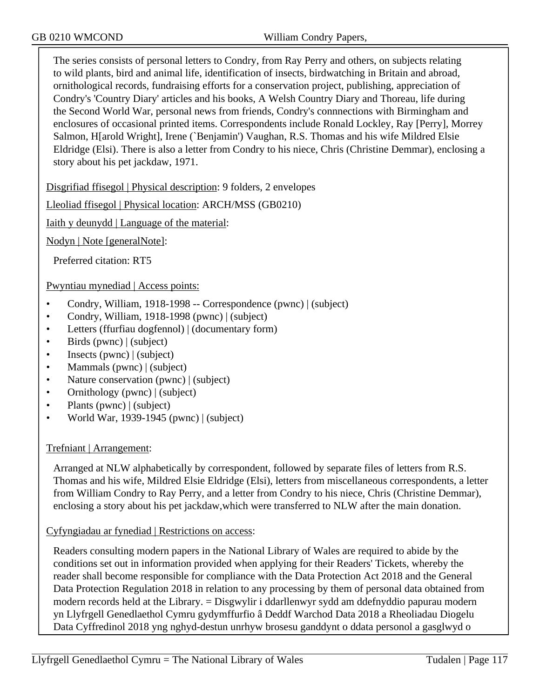The series consists of personal letters to Condry, from Ray Perry and others, on subjects relating to wild plants, bird and animal life, identification of insects, birdwatching in Britain and abroad, ornithological records, fundraising efforts for a conservation project, publishing, appreciation of Condry's 'Country Diary' articles and his books, A Welsh Country Diary and Thoreau, life during the Second World War, personal news from friends, Condry's connnections with Birmingham and enclosures of occasional printed items. Correspondents include Ronald Lockley, Ray [Perry], Morrey Salmon, H[arold Wright], Irene (`Benjamin') Vaughan, R.S. Thomas and his wife Mildred Elsie Eldridge (Elsi). There is also a letter from Condry to his niece, Chris (Christine Demmar), enclosing a story about his pet jackdaw, 1971.

Disgrifiad ffisegol | Physical description: 9 folders, 2 envelopes

Lleoliad ffisegol | Physical location: ARCH/MSS (GB0210)

Iaith y deunydd | Language of the material:

Nodyn | Note [generalNote]:

Preferred citation: RT5

Pwyntiau mynediad | Access points:

- Condry, William, 1918-1998 -- Correspondence (pwnc) | (subject)
- Condry, William, 1918-1998 (pwnc) | (subject)
- Letters (ffurfiau dogfennol) | (documentary form)
- Birds (pwnc) | (subject)
- Insects (pwnc) | (subject)
- Mammals (pwnc) | (subject)
- Nature conservation (pwnc) | (subject)
- Ornithology (pwnc) | (subject)
- Plants (pwnc) | (subject)
- World War, 1939-1945 (pwnc)  $|$  (subject)

# Trefniant | Arrangement:

Arranged at NLW alphabetically by correspondent, followed by separate files of letters from R.S. Thomas and his wife, Mildred Elsie Eldridge (Elsi), letters from miscellaneous correspondents, a letter from William Condry to Ray Perry, and a letter from Condry to his niece, Chris (Christine Demmar), enclosing a story about his pet jackdaw,which were transferred to NLW after the main donation.

Cyfyngiadau ar fynediad | Restrictions on access:

Readers consulting modern papers in the National Library of Wales are required to abide by the conditions set out in information provided when applying for their Readers' Tickets, whereby the reader shall become responsible for compliance with the Data Protection Act 2018 and the General Data Protection Regulation 2018 in relation to any processing by them of personal data obtained from modern records held at the Library. = Disgwylir i ddarllenwyr sydd am ddefnyddio papurau modern yn Llyfrgell Genedlaethol Cymru gydymffurfio â Deddf Warchod Data 2018 a Rheoliadau Diogelu Data Cyffredinol 2018 yng nghyd-destun unrhyw brosesu ganddynt o ddata personol a gasglwyd o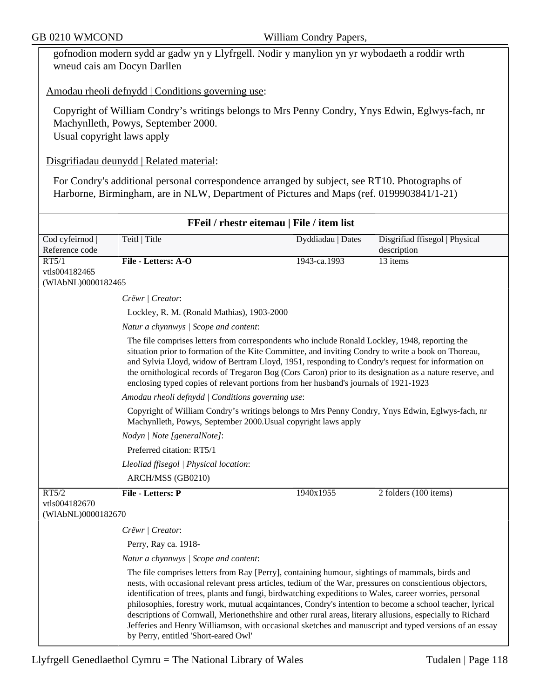gofnodion modern sydd ar gadw yn y Llyfrgell. Nodir y manylion yn yr wybodaeth a roddir wrth wneud cais am Docyn Darllen

Amodau rheoli defnydd | Conditions governing use:

Copyright of William Condry's writings belongs to Mrs Penny Condry, Ynys Edwin, Eglwys-fach, nr Machynlleth, Powys, September 2000. Usual copyright laws apply

Disgrifiadau deunydd | Related material:

For Condry's additional personal correspondence arranged by subject, see RT10. Photographs of Harborne, Birmingham, are in NLW, Department of Pictures and Maps (ref. 0199903841/1-21)

| FFeil / rhestr eitemau   File / item list |                                                                                                                                                                                                                                                                                                                                                                                                                                                                                                                                                                                                                                                                                                  |                   |                                |
|-------------------------------------------|--------------------------------------------------------------------------------------------------------------------------------------------------------------------------------------------------------------------------------------------------------------------------------------------------------------------------------------------------------------------------------------------------------------------------------------------------------------------------------------------------------------------------------------------------------------------------------------------------------------------------------------------------------------------------------------------------|-------------------|--------------------------------|
| Cod cyfeirnod                             | Teitl   Title                                                                                                                                                                                                                                                                                                                                                                                                                                                                                                                                                                                                                                                                                    | Dyddiadau   Dates | Disgrifiad ffisegol   Physical |
| Reference code                            |                                                                                                                                                                                                                                                                                                                                                                                                                                                                                                                                                                                                                                                                                                  |                   | description                    |
| RT5/1                                     | File - Letters: A-O                                                                                                                                                                                                                                                                                                                                                                                                                                                                                                                                                                                                                                                                              | 1943-ca.1993      | 13 items                       |
| vtls004182465<br>(WIAbNL)0000182465       |                                                                                                                                                                                                                                                                                                                                                                                                                                                                                                                                                                                                                                                                                                  |                   |                                |
|                                           | Crëwr   Creator:                                                                                                                                                                                                                                                                                                                                                                                                                                                                                                                                                                                                                                                                                 |                   |                                |
|                                           | Lockley, R. M. (Ronald Mathias), 1903-2000                                                                                                                                                                                                                                                                                                                                                                                                                                                                                                                                                                                                                                                       |                   |                                |
|                                           | Natur a chynnwys / Scope and content:                                                                                                                                                                                                                                                                                                                                                                                                                                                                                                                                                                                                                                                            |                   |                                |
|                                           | The file comprises letters from correspondents who include Ronald Lockley, 1948, reporting the<br>situation prior to formation of the Kite Committee, and inviting Condry to write a book on Thoreau,<br>and Sylvia Lloyd, widow of Bertram Lloyd, 1951, responding to Condry's request for information on<br>the ornithological records of Tregaron Bog (Cors Caron) prior to its designation as a nature reserve, and<br>enclosing typed copies of relevant portions from her husband's journals of 1921-1923                                                                                                                                                                                  |                   |                                |
|                                           | Amodau rheoli defnydd   Conditions governing use:                                                                                                                                                                                                                                                                                                                                                                                                                                                                                                                                                                                                                                                |                   |                                |
|                                           | Copyright of William Condry's writings belongs to Mrs Penny Condry, Ynys Edwin, Eglwys-fach, nr<br>Machynlleth, Powys, September 2000. Usual copyright laws apply                                                                                                                                                                                                                                                                                                                                                                                                                                                                                                                                |                   |                                |
|                                           | Nodyn   Note [generalNote]:                                                                                                                                                                                                                                                                                                                                                                                                                                                                                                                                                                                                                                                                      |                   |                                |
|                                           | Preferred citation: RT5/1                                                                                                                                                                                                                                                                                                                                                                                                                                                                                                                                                                                                                                                                        |                   |                                |
|                                           | Lleoliad ffisegol   Physical location:                                                                                                                                                                                                                                                                                                                                                                                                                                                                                                                                                                                                                                                           |                   |                                |
|                                           | ARCH/MSS (GB0210)                                                                                                                                                                                                                                                                                                                                                                                                                                                                                                                                                                                                                                                                                |                   |                                |
| RT5/2                                     | File - Letters: P                                                                                                                                                                                                                                                                                                                                                                                                                                                                                                                                                                                                                                                                                | 1940x1955         | 2 folders (100 items)          |
| vtls004182670                             |                                                                                                                                                                                                                                                                                                                                                                                                                                                                                                                                                                                                                                                                                                  |                   |                                |
| (WIAbNL)0000182670                        |                                                                                                                                                                                                                                                                                                                                                                                                                                                                                                                                                                                                                                                                                                  |                   |                                |
|                                           | Crëwr   Creator:                                                                                                                                                                                                                                                                                                                                                                                                                                                                                                                                                                                                                                                                                 |                   |                                |
|                                           | Perry, Ray ca. 1918-                                                                                                                                                                                                                                                                                                                                                                                                                                                                                                                                                                                                                                                                             |                   |                                |
|                                           | Natur a chynnwys / Scope and content:                                                                                                                                                                                                                                                                                                                                                                                                                                                                                                                                                                                                                                                            |                   |                                |
|                                           | The file comprises letters from Ray [Perry], containing humour, sightings of mammals, birds and<br>nests, with occasional relevant press articles, tedium of the War, pressures on conscientious objectors,<br>identification of trees, plants and fungi, birdwatching expeditions to Wales, career worries, personal<br>philosophies, forestry work, mutual acqaintances, Condry's intention to become a school teacher, lyrical<br>descriptions of Cornwall, Merionethshire and other rural areas, literary allusions, especially to Richard<br>Jefferies and Henry Williamson, with occasional sketches and manuscript and typed versions of an essay<br>by Perry, entitled 'Short-eared Owl' |                   |                                |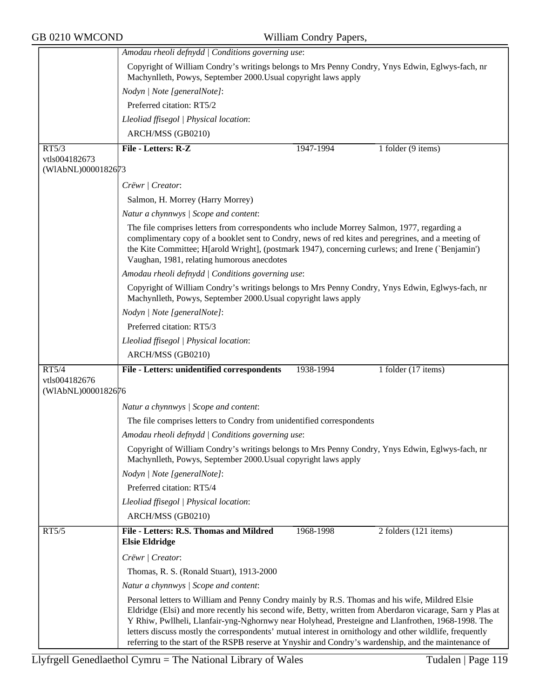|                                     | Amodau rheoli defnydd   Conditions governing use:                                                                                                                                                                                                                                                                                                                                                                                                                                                                                     |  |  |
|-------------------------------------|---------------------------------------------------------------------------------------------------------------------------------------------------------------------------------------------------------------------------------------------------------------------------------------------------------------------------------------------------------------------------------------------------------------------------------------------------------------------------------------------------------------------------------------|--|--|
|                                     | Copyright of William Condry's writings belongs to Mrs Penny Condry, Ynys Edwin, Eglwys-fach, nr<br>Machynlleth, Powys, September 2000. Usual copyright laws apply                                                                                                                                                                                                                                                                                                                                                                     |  |  |
|                                     | Nodyn   Note [generalNote]:                                                                                                                                                                                                                                                                                                                                                                                                                                                                                                           |  |  |
|                                     | Preferred citation: RT5/2                                                                                                                                                                                                                                                                                                                                                                                                                                                                                                             |  |  |
|                                     | Lleoliad ffisegol   Physical location:                                                                                                                                                                                                                                                                                                                                                                                                                                                                                                |  |  |
|                                     | ARCH/MSS (GB0210)                                                                                                                                                                                                                                                                                                                                                                                                                                                                                                                     |  |  |
| RT5/3                               | File - Letters: R-Z<br>1 folder (9 items)<br>1947-1994                                                                                                                                                                                                                                                                                                                                                                                                                                                                                |  |  |
| vtls004182673<br>(WIAbNL)0000182673 |                                                                                                                                                                                                                                                                                                                                                                                                                                                                                                                                       |  |  |
|                                     | Crëwr   Creator:                                                                                                                                                                                                                                                                                                                                                                                                                                                                                                                      |  |  |
|                                     | Salmon, H. Morrey (Harry Morrey)                                                                                                                                                                                                                                                                                                                                                                                                                                                                                                      |  |  |
|                                     | Natur a chynnwys / Scope and content:                                                                                                                                                                                                                                                                                                                                                                                                                                                                                                 |  |  |
|                                     | The file comprises letters from correspondents who include Morrey Salmon, 1977, regarding a<br>complimentary copy of a booklet sent to Condry, news of red kites and peregrines, and a meeting of<br>the Kite Committee; H[arold Wright], (postmark 1947), concerning curlews; and Irene (`Benjamin')<br>Vaughan, 1981, relating humorous anecdotes                                                                                                                                                                                   |  |  |
|                                     | Amodau rheoli defnydd   Conditions governing use:                                                                                                                                                                                                                                                                                                                                                                                                                                                                                     |  |  |
|                                     | Copyright of William Condry's writings belongs to Mrs Penny Condry, Ynys Edwin, Eglwys-fach, nr<br>Machynlleth, Powys, September 2000. Usual copyright laws apply                                                                                                                                                                                                                                                                                                                                                                     |  |  |
|                                     | Nodyn   Note [generalNote]:                                                                                                                                                                                                                                                                                                                                                                                                                                                                                                           |  |  |
|                                     | Preferred citation: RT5/3                                                                                                                                                                                                                                                                                                                                                                                                                                                                                                             |  |  |
|                                     | Lleoliad ffisegol   Physical location:                                                                                                                                                                                                                                                                                                                                                                                                                                                                                                |  |  |
|                                     | ARCH/MSS (GB0210)                                                                                                                                                                                                                                                                                                                                                                                                                                                                                                                     |  |  |
| RT5/4                               | File - Letters: unidentified correspondents<br>1938-1994<br>1 folder (17 items)                                                                                                                                                                                                                                                                                                                                                                                                                                                       |  |  |
| vtls004182676<br>(WIAbNL)0000182676 |                                                                                                                                                                                                                                                                                                                                                                                                                                                                                                                                       |  |  |
|                                     | Natur a chynnwys / Scope and content:                                                                                                                                                                                                                                                                                                                                                                                                                                                                                                 |  |  |
|                                     | The file comprises letters to Condry from unidentified correspondents                                                                                                                                                                                                                                                                                                                                                                                                                                                                 |  |  |
|                                     | Amodau rheoli defnydd   Conditions governing use:                                                                                                                                                                                                                                                                                                                                                                                                                                                                                     |  |  |
|                                     | Copyright of William Condry's writings belongs to Mrs Penny Condry, Ynys Edwin, Eglwys-fach, nr<br>Machynlleth, Powys, September 2000. Usual copyright laws apply                                                                                                                                                                                                                                                                                                                                                                     |  |  |
|                                     | Nodyn   Note [generalNote]:                                                                                                                                                                                                                                                                                                                                                                                                                                                                                                           |  |  |
|                                     | Preferred citation: RT5/4                                                                                                                                                                                                                                                                                                                                                                                                                                                                                                             |  |  |
|                                     | Lleoliad ffisegol   Physical location:                                                                                                                                                                                                                                                                                                                                                                                                                                                                                                |  |  |
|                                     | ARCH/MSS (GB0210)                                                                                                                                                                                                                                                                                                                                                                                                                                                                                                                     |  |  |
| RT5/5                               | File - Letters: R.S. Thomas and Mildred<br>1968-1998<br>2 folders (121 items)<br><b>Elsie Eldridge</b>                                                                                                                                                                                                                                                                                                                                                                                                                                |  |  |
|                                     | Crëwr   Creator:                                                                                                                                                                                                                                                                                                                                                                                                                                                                                                                      |  |  |
|                                     | Thomas, R. S. (Ronald Stuart), 1913-2000                                                                                                                                                                                                                                                                                                                                                                                                                                                                                              |  |  |
|                                     | Natur a chynnwys / Scope and content:                                                                                                                                                                                                                                                                                                                                                                                                                                                                                                 |  |  |
|                                     | Personal letters to William and Penny Condry mainly by R.S. Thomas and his wife, Mildred Elsie<br>Eldridge (Elsi) and more recently his second wife, Betty, written from Aberdaron vicarage, Sarn y Plas at<br>Y Rhiw, Pwllheli, Llanfair-yng-Nghornwy near Holyhead, Presteigne and Llanfrothen, 1968-1998. The<br>letters discuss mostly the correspondents' mutual interest in ornithology and other wildlife, frequently<br>referring to the start of the RSPB reserve at Ynyshir and Condry's wardenship, and the maintenance of |  |  |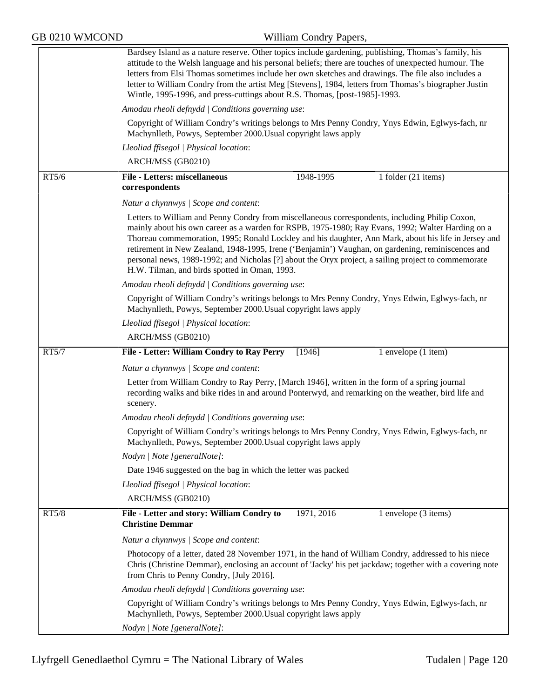|       | Bardsey Island as a nature reserve. Other topics include gardening, publishing, Thomas's family, his<br>attitude to the Welsh language and his personal beliefs; there are touches of unexpected humour. The<br>letters from Elsi Thomas sometimes include her own sketches and drawings. The file also includes a<br>letter to William Condry from the artist Meg [Stevens], 1984, letters from Thomas's biographer Justin<br>Wintle, 1995-1996, and press-cuttings about R.S. Thomas, [post-1985]-1993.                                                                |
|-------|--------------------------------------------------------------------------------------------------------------------------------------------------------------------------------------------------------------------------------------------------------------------------------------------------------------------------------------------------------------------------------------------------------------------------------------------------------------------------------------------------------------------------------------------------------------------------|
|       | Amodau rheoli defnydd   Conditions governing use:                                                                                                                                                                                                                                                                                                                                                                                                                                                                                                                        |
|       | Copyright of William Condry's writings belongs to Mrs Penny Condry, Ynys Edwin, Eglwys-fach, nr<br>Machynlleth, Powys, September 2000. Usual copyright laws apply                                                                                                                                                                                                                                                                                                                                                                                                        |
|       | Lleoliad ffisegol   Physical location:                                                                                                                                                                                                                                                                                                                                                                                                                                                                                                                                   |
|       | ARCH/MSS (GB0210)                                                                                                                                                                                                                                                                                                                                                                                                                                                                                                                                                        |
| RT5/6 | <b>File - Letters: miscellaneous</b><br>1948-1995<br>1 folder (21 items)<br>correspondents                                                                                                                                                                                                                                                                                                                                                                                                                                                                               |
|       | Natur a chynnwys / Scope and content:                                                                                                                                                                                                                                                                                                                                                                                                                                                                                                                                    |
|       | Letters to William and Penny Condry from miscellaneous correspondents, including Philip Coxon,<br>mainly about his own career as a warden for RSPB, 1975-1980; Ray Evans, 1992; Walter Harding on a<br>Thoreau commemoration, 1995; Ronald Lockley and his daughter, Ann Mark, about his life in Jersey and<br>retirement in New Zealand, 1948-1995, Irene ('Benjamin') Vaughan, on gardening, reminiscences and<br>personal news, 1989-1992; and Nicholas [?] about the Oryx project, a sailing project to commemorate<br>H.W. Tilman, and birds spotted in Oman, 1993. |
|       | Amodau rheoli defnydd   Conditions governing use:                                                                                                                                                                                                                                                                                                                                                                                                                                                                                                                        |
|       | Copyright of William Condry's writings belongs to Mrs Penny Condry, Ynys Edwin, Eglwys-fach, nr<br>Machynlleth, Powys, September 2000. Usual copyright laws apply                                                                                                                                                                                                                                                                                                                                                                                                        |
|       | Lleoliad ffisegol   Physical location:                                                                                                                                                                                                                                                                                                                                                                                                                                                                                                                                   |
|       | ARCH/MSS (GB0210)                                                                                                                                                                                                                                                                                                                                                                                                                                                                                                                                                        |
| RT5/7 | File - Letter: William Condry to Ray Perry<br>[1946]<br>1 envelope (1 item)                                                                                                                                                                                                                                                                                                                                                                                                                                                                                              |
|       |                                                                                                                                                                                                                                                                                                                                                                                                                                                                                                                                                                          |
|       | Natur a chynnwys / Scope and content:                                                                                                                                                                                                                                                                                                                                                                                                                                                                                                                                    |
|       | Letter from William Condry to Ray Perry, [March 1946], written in the form of a spring journal<br>recording walks and bike rides in and around Ponterwyd, and remarking on the weather, bird life and<br>scenery.                                                                                                                                                                                                                                                                                                                                                        |
|       | Amodau rheoli defnydd   Conditions governing use:                                                                                                                                                                                                                                                                                                                                                                                                                                                                                                                        |
|       | Copyright of William Condry's writings belongs to Mrs Penny Condry, Ynys Edwin, Eglwys-fach, nr<br>Machynlleth, Powys, September 2000. Usual copyright laws apply                                                                                                                                                                                                                                                                                                                                                                                                        |
|       | Nodyn   Note [generalNote]:                                                                                                                                                                                                                                                                                                                                                                                                                                                                                                                                              |
|       | Date 1946 suggested on the bag in which the letter was packed                                                                                                                                                                                                                                                                                                                                                                                                                                                                                                            |
|       | Lleoliad ffisegol   Physical location:                                                                                                                                                                                                                                                                                                                                                                                                                                                                                                                                   |
|       | ARCH/MSS (GB0210)                                                                                                                                                                                                                                                                                                                                                                                                                                                                                                                                                        |
| RT5/8 | 1971, 2016<br>File - Letter and story: William Condry to<br>1 envelope (3 items)<br><b>Christine Demmar</b>                                                                                                                                                                                                                                                                                                                                                                                                                                                              |
|       | Natur a chynnwys / Scope and content:                                                                                                                                                                                                                                                                                                                                                                                                                                                                                                                                    |
|       | Photocopy of a letter, dated 28 November 1971, in the hand of William Condry, addressed to his niece<br>Chris (Christine Demmar), enclosing an account of 'Jacky' his pet jackdaw; together with a covering note<br>from Chris to Penny Condry, [July 2016].                                                                                                                                                                                                                                                                                                             |
|       | Amodau rheoli defnydd   Conditions governing use:                                                                                                                                                                                                                                                                                                                                                                                                                                                                                                                        |
|       | Copyright of William Condry's writings belongs to Mrs Penny Condry, Ynys Edwin, Eglwys-fach, nr<br>Machynlleth, Powys, September 2000. Usual copyright laws apply                                                                                                                                                                                                                                                                                                                                                                                                        |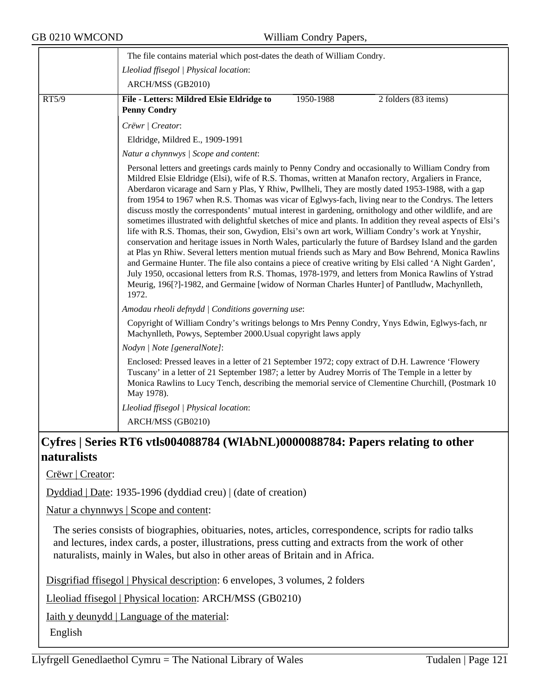|       | The file contains material which post-dates the death of William Condry.                                                                                                                                                                                                                                                                                                                                                                                                                                                                                                                                                                                                                                                                                                                                                                                                                                                                                                                                                                                                                                                                                                                                                                                                                                     |  |  |  |  |
|-------|--------------------------------------------------------------------------------------------------------------------------------------------------------------------------------------------------------------------------------------------------------------------------------------------------------------------------------------------------------------------------------------------------------------------------------------------------------------------------------------------------------------------------------------------------------------------------------------------------------------------------------------------------------------------------------------------------------------------------------------------------------------------------------------------------------------------------------------------------------------------------------------------------------------------------------------------------------------------------------------------------------------------------------------------------------------------------------------------------------------------------------------------------------------------------------------------------------------------------------------------------------------------------------------------------------------|--|--|--|--|
|       | Lleoliad ffisegol   Physical location:                                                                                                                                                                                                                                                                                                                                                                                                                                                                                                                                                                                                                                                                                                                                                                                                                                                                                                                                                                                                                                                                                                                                                                                                                                                                       |  |  |  |  |
|       | ARCH/MSS (GB2010)                                                                                                                                                                                                                                                                                                                                                                                                                                                                                                                                                                                                                                                                                                                                                                                                                                                                                                                                                                                                                                                                                                                                                                                                                                                                                            |  |  |  |  |
| RT5/9 | File - Letters: Mildred Elsie Eldridge to<br>1950-1988<br>2 folders (83 items)<br><b>Penny Condry</b>                                                                                                                                                                                                                                                                                                                                                                                                                                                                                                                                                                                                                                                                                                                                                                                                                                                                                                                                                                                                                                                                                                                                                                                                        |  |  |  |  |
|       | Crëwr   Creator:                                                                                                                                                                                                                                                                                                                                                                                                                                                                                                                                                                                                                                                                                                                                                                                                                                                                                                                                                                                                                                                                                                                                                                                                                                                                                             |  |  |  |  |
|       | Eldridge, Mildred E., 1909-1991                                                                                                                                                                                                                                                                                                                                                                                                                                                                                                                                                                                                                                                                                                                                                                                                                                                                                                                                                                                                                                                                                                                                                                                                                                                                              |  |  |  |  |
|       | Natur a chynnwys / Scope and content:                                                                                                                                                                                                                                                                                                                                                                                                                                                                                                                                                                                                                                                                                                                                                                                                                                                                                                                                                                                                                                                                                                                                                                                                                                                                        |  |  |  |  |
|       | Personal letters and greetings cards mainly to Penny Condry and occasionally to William Condry from<br>Mildred Elsie Eldridge (Elsi), wife of R.S. Thomas, written at Manafon rectory, Argaliers in France,<br>Aberdaron vicarage and Sarn y Plas, Y Rhiw, Pwllheli, They are mostly dated 1953-1988, with a gap<br>from 1954 to 1967 when R.S. Thomas was vicar of Eglwys-fach, living near to the Condrys. The letters<br>discuss mostly the correspondents' mutual interest in gardening, ornithology and other wildlife, and are<br>sometimes illustrated with delightful sketches of mice and plants. In addition they reveal aspects of Elsi's<br>life with R.S. Thomas, their son, Gwydion, Elsi's own art work, William Condry's work at Ynyshir,<br>conservation and heritage issues in North Wales, particularly the future of Bardsey Island and the garden<br>at Plas yn Rhiw. Several letters mention mutual friends such as Mary and Bow Behrend, Monica Rawlins<br>and Germaine Hunter. The file also contains a piece of creative writing by Elsi called 'A Night Garden',<br>July 1950, occasional letters from R.S. Thomas, 1978-1979, and letters from Monica Rawlins of Ystrad<br>Meurig, 196[?]-1982, and Germaine [widow of Norman Charles Hunter] of Pantlludw, Machynlleth,<br>1972. |  |  |  |  |
|       | Amodau rheoli defnydd   Conditions governing use:                                                                                                                                                                                                                                                                                                                                                                                                                                                                                                                                                                                                                                                                                                                                                                                                                                                                                                                                                                                                                                                                                                                                                                                                                                                            |  |  |  |  |
|       | Copyright of William Condry's writings belongs to Mrs Penny Condry, Ynys Edwin, Eglwys-fach, nr<br>Machynlleth, Powys, September 2000. Usual copyright laws apply                                                                                                                                                                                                                                                                                                                                                                                                                                                                                                                                                                                                                                                                                                                                                                                                                                                                                                                                                                                                                                                                                                                                            |  |  |  |  |
|       | Nodyn   Note [generalNote]:                                                                                                                                                                                                                                                                                                                                                                                                                                                                                                                                                                                                                                                                                                                                                                                                                                                                                                                                                                                                                                                                                                                                                                                                                                                                                  |  |  |  |  |
|       | Enclosed: Pressed leaves in a letter of 21 September 1972; copy extract of D.H. Lawrence 'Flowery<br>Tuscany' in a letter of 21 September 1987; a letter by Audrey Morris of The Temple in a letter by<br>Monica Rawlins to Lucy Tench, describing the memorial service of Clementine Churchill, (Postmark 10)<br>May 1978).                                                                                                                                                                                                                                                                                                                                                                                                                                                                                                                                                                                                                                                                                                                                                                                                                                                                                                                                                                                 |  |  |  |  |
|       | Lleoliad ffisegol   Physical location:                                                                                                                                                                                                                                                                                                                                                                                                                                                                                                                                                                                                                                                                                                                                                                                                                                                                                                                                                                                                                                                                                                                                                                                                                                                                       |  |  |  |  |
|       | ARCH/MSS (GB0210)                                                                                                                                                                                                                                                                                                                                                                                                                                                                                                                                                                                                                                                                                                                                                                                                                                                                                                                                                                                                                                                                                                                                                                                                                                                                                            |  |  |  |  |
|       | Cyfros   Sorios DT6 ytls004088784 (WIA bNI )0000088784, Popors relating to other                                                                                                                                                                                                                                                                                                                                                                                                                                                                                                                                                                                                                                                                                                                                                                                                                                                                                                                                                                                                                                                                                                                                                                                                                             |  |  |  |  |

# **Cyfres | Series RT6 vtls004088784 (WlAbNL)0000088784: Papers relating to other naturalists**

Crëwr | Creator:

Dyddiad | Date: 1935-1996 (dyddiad creu) | (date of creation)

Natur a chynnwys | Scope and content:

The series consists of biographies, obituaries, notes, articles, correspondence, scripts for radio talks and lectures, index cards, a poster, illustrations, press cutting and extracts from the work of other naturalists, mainly in Wales, but also in other areas of Britain and in Africa.

Disgrifiad ffisegol | Physical description: 6 envelopes, 3 volumes, 2 folders

Lleoliad ffisegol | Physical location: ARCH/MSS (GB0210)

Iaith y deunydd | Language of the material:

English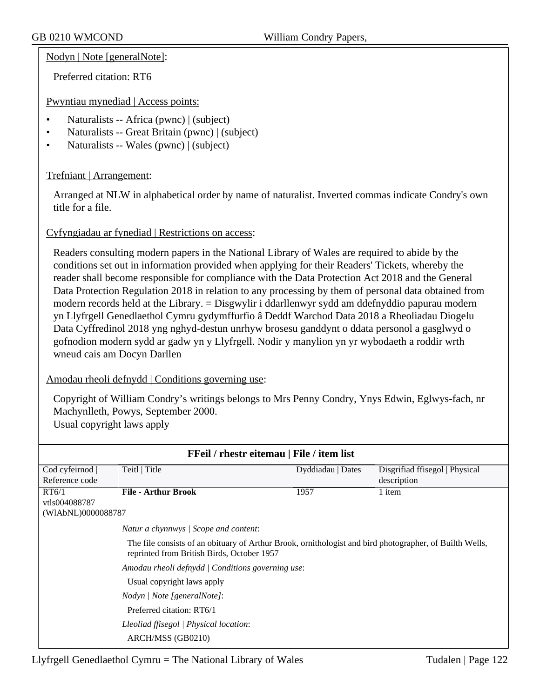Nodyn | Note [generalNote]:

Preferred citation: RT6

Pwyntiau mynediad | Access points:

- Naturalists -- Africa (pwnc) | (subject)
- Naturalists -- Great Britain (pwnc) | (subject)
- Naturalists -- Wales (pwnc) | (subject)

# Trefniant | Arrangement:

Arranged at NLW in alphabetical order by name of naturalist. Inverted commas indicate Condry's own title for a file.

# Cyfyngiadau ar fynediad | Restrictions on access:

Readers consulting modern papers in the National Library of Wales are required to abide by the conditions set out in information provided when applying for their Readers' Tickets, whereby the reader shall become responsible for compliance with the Data Protection Act 2018 and the General Data Protection Regulation 2018 in relation to any processing by them of personal data obtained from modern records held at the Library. = Disgwylir i ddarllenwyr sydd am ddefnyddio papurau modern yn Llyfrgell Genedlaethol Cymru gydymffurfio â Deddf Warchod Data 2018 a Rheoliadau Diogelu Data Cyffredinol 2018 yng nghyd-destun unrhyw brosesu ganddynt o ddata personol a gasglwyd o gofnodion modern sydd ar gadw yn y Llyfrgell. Nodir y manylion yn yr wybodaeth a roddir wrth wneud cais am Docyn Darllen

### Amodau rheoli defnydd | Conditions governing use:

Copyright of William Condry's writings belongs to Mrs Penny Condry, Ynys Edwin, Eglwys-fach, nr Machynlleth, Powys, September 2000. Usual copyright laws apply

| <b>FFeil</b> / rhestr eitemau   File / item list |                                                                                                                                                       |                   |                                |  |
|--------------------------------------------------|-------------------------------------------------------------------------------------------------------------------------------------------------------|-------------------|--------------------------------|--|
| Cod cyfeirnod                                    | Teitl   Title                                                                                                                                         | Dyddiadau   Dates | Disgrifiad ffisegol   Physical |  |
| Reference code                                   |                                                                                                                                                       |                   | description                    |  |
| RT6/1                                            | <b>File - Arthur Brook</b>                                                                                                                            | 1957              | 1 item                         |  |
| vtls004088787                                    |                                                                                                                                                       |                   |                                |  |
| (WIAbNL)0000088787                               |                                                                                                                                                       |                   |                                |  |
|                                                  | Natur a chynnwys / Scope and content:                                                                                                                 |                   |                                |  |
|                                                  | The file consists of an obituary of Arthur Brook, ornithologist and bird photographer, of Builth Wells,<br>reprinted from British Birds, October 1957 |                   |                                |  |
|                                                  | Amodau rheoli defnydd   Conditions governing use:                                                                                                     |                   |                                |  |
|                                                  | Usual copyright laws apply                                                                                                                            |                   |                                |  |
|                                                  | Nodyn / Note [generalNote]:                                                                                                                           |                   |                                |  |
|                                                  | Preferred citation: RT6/1                                                                                                                             |                   |                                |  |
|                                                  | Lleoliad ffisegol   Physical location:                                                                                                                |                   |                                |  |
|                                                  | ARCH/MSS (GB0210)                                                                                                                                     |                   |                                |  |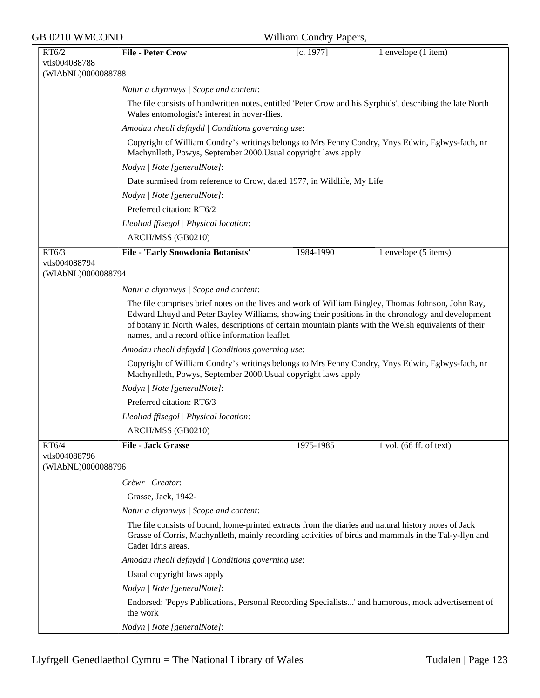|  | GB 0210 WMCOND |
|--|----------------|
|--|----------------|

| RT6/2                               | <b>File - Peter Crow</b>                                                                                                                                                                                                                                                                                                                                            | [c. 1977] | 1 envelope (1 item)     |  |
|-------------------------------------|---------------------------------------------------------------------------------------------------------------------------------------------------------------------------------------------------------------------------------------------------------------------------------------------------------------------------------------------------------------------|-----------|-------------------------|--|
| vtls004088788                       |                                                                                                                                                                                                                                                                                                                                                                     |           |                         |  |
| (WIAbNL)0000088788                  |                                                                                                                                                                                                                                                                                                                                                                     |           |                         |  |
|                                     | Natur a chynnwys   Scope and content:                                                                                                                                                                                                                                                                                                                               |           |                         |  |
|                                     | The file consists of handwritten notes, entitled 'Peter Crow and his Syrphids', describing the late North<br>Wales entomologist's interest in hover-flies.                                                                                                                                                                                                          |           |                         |  |
|                                     | Amodau rheoli defnydd   Conditions governing use:                                                                                                                                                                                                                                                                                                                   |           |                         |  |
|                                     | Copyright of William Condry's writings belongs to Mrs Penny Condry, Ynys Edwin, Eglwys-fach, nr<br>Machynlleth, Powys, September 2000. Usual copyright laws apply                                                                                                                                                                                                   |           |                         |  |
|                                     | Nodyn   Note [generalNote]:                                                                                                                                                                                                                                                                                                                                         |           |                         |  |
|                                     | Date surmised from reference to Crow, dated 1977, in Wildlife, My Life                                                                                                                                                                                                                                                                                              |           |                         |  |
|                                     | Nodyn   Note [generalNote]:                                                                                                                                                                                                                                                                                                                                         |           |                         |  |
|                                     | Preferred citation: RT6/2                                                                                                                                                                                                                                                                                                                                           |           |                         |  |
|                                     | Lleoliad ffisegol   Physical location:                                                                                                                                                                                                                                                                                                                              |           |                         |  |
|                                     | ARCH/MSS (GB0210)                                                                                                                                                                                                                                                                                                                                                   |           |                         |  |
| RT6/3                               | File - 'Early Snowdonia Botanists'                                                                                                                                                                                                                                                                                                                                  | 1984-1990 | 1 envelope (5 items)    |  |
| vtls004088794                       |                                                                                                                                                                                                                                                                                                                                                                     |           |                         |  |
| (WIAbNL)0000088794                  |                                                                                                                                                                                                                                                                                                                                                                     |           |                         |  |
|                                     | Natur a chynnwys   Scope and content:                                                                                                                                                                                                                                                                                                                               |           |                         |  |
|                                     | The file comprises brief notes on the lives and work of William Bingley, Thomas Johnson, John Ray,<br>Edward Lhuyd and Peter Bayley Williams, showing their positions in the chronology and development<br>of botany in North Wales, descriptions of certain mountain plants with the Welsh equivalents of their<br>names, and a record office information leaflet. |           |                         |  |
|                                     | Amodau rheoli defnydd   Conditions governing use:                                                                                                                                                                                                                                                                                                                   |           |                         |  |
|                                     | Copyright of William Condry's writings belongs to Mrs Penny Condry, Ynys Edwin, Eglwys-fach, nr<br>Machynlleth, Powys, September 2000. Usual copyright laws apply                                                                                                                                                                                                   |           |                         |  |
|                                     | Nodyn   Note [generalNote]:                                                                                                                                                                                                                                                                                                                                         |           |                         |  |
|                                     | Preferred citation: RT6/3                                                                                                                                                                                                                                                                                                                                           |           |                         |  |
|                                     | Lleoliad ffisegol   Physical location:                                                                                                                                                                                                                                                                                                                              |           |                         |  |
|                                     | ARCH/MSS (GB0210)                                                                                                                                                                                                                                                                                                                                                   |           |                         |  |
| RT6/4                               | File - Jack Grasse                                                                                                                                                                                                                                                                                                                                                  | 1975-1985 | 1 vol. (66 ff. of text) |  |
| vtls004088796<br>(WIAbNL)0000088796 |                                                                                                                                                                                                                                                                                                                                                                     |           |                         |  |
|                                     | Crëwr   Creator:                                                                                                                                                                                                                                                                                                                                                    |           |                         |  |
|                                     | Grasse, Jack, 1942-                                                                                                                                                                                                                                                                                                                                                 |           |                         |  |
|                                     | Natur a chynnwys / Scope and content:                                                                                                                                                                                                                                                                                                                               |           |                         |  |
|                                     | The file consists of bound, home-printed extracts from the diaries and natural history notes of Jack<br>Grasse of Corris, Machynlleth, mainly recording activities of birds and mammals in the Tal-y-llyn and<br>Cader Idris areas.                                                                                                                                 |           |                         |  |
|                                     | Amodau rheoli defnydd   Conditions governing use:                                                                                                                                                                                                                                                                                                                   |           |                         |  |
|                                     | Usual copyright laws apply                                                                                                                                                                                                                                                                                                                                          |           |                         |  |
|                                     | Nodyn   Note [generalNote]:                                                                                                                                                                                                                                                                                                                                         |           |                         |  |
|                                     | Endorsed: 'Pepys Publications, Personal Recording Specialists' and humorous, mock advertisement of<br>the work                                                                                                                                                                                                                                                      |           |                         |  |
|                                     | Nodyn   Note [generalNote]:                                                                                                                                                                                                                                                                                                                                         |           |                         |  |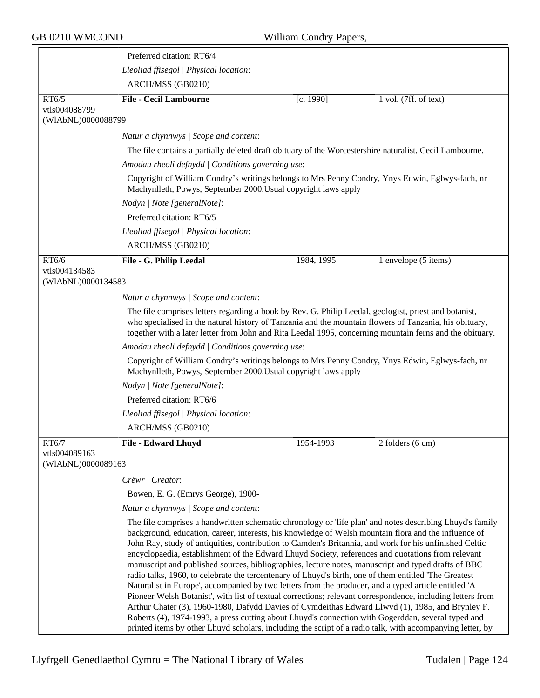|                                     | Preferred citation: RT6/4                                                                                                                                                                                                                                                                                                                                                                                                                                                                                                                                                                                                                                                                                                                                                                                                                                                                                                                                                                                                                                                                                                                                                                    |            |                       |  |  |
|-------------------------------------|----------------------------------------------------------------------------------------------------------------------------------------------------------------------------------------------------------------------------------------------------------------------------------------------------------------------------------------------------------------------------------------------------------------------------------------------------------------------------------------------------------------------------------------------------------------------------------------------------------------------------------------------------------------------------------------------------------------------------------------------------------------------------------------------------------------------------------------------------------------------------------------------------------------------------------------------------------------------------------------------------------------------------------------------------------------------------------------------------------------------------------------------------------------------------------------------|------------|-----------------------|--|--|
|                                     | Lleoliad ffisegol   Physical location:                                                                                                                                                                                                                                                                                                                                                                                                                                                                                                                                                                                                                                                                                                                                                                                                                                                                                                                                                                                                                                                                                                                                                       |            |                       |  |  |
|                                     | ARCH/MSS (GB0210)                                                                                                                                                                                                                                                                                                                                                                                                                                                                                                                                                                                                                                                                                                                                                                                                                                                                                                                                                                                                                                                                                                                                                                            |            |                       |  |  |
| RT6/5                               | <b>File - Cecil Lambourne</b>                                                                                                                                                                                                                                                                                                                                                                                                                                                                                                                                                                                                                                                                                                                                                                                                                                                                                                                                                                                                                                                                                                                                                                | [c. 1990]  | 1 vol. (7ff. of text) |  |  |
| vtls004088799<br>(WIAbNL)0000088799 |                                                                                                                                                                                                                                                                                                                                                                                                                                                                                                                                                                                                                                                                                                                                                                                                                                                                                                                                                                                                                                                                                                                                                                                              |            |                       |  |  |
|                                     | Natur a chynnwys / Scope and content:                                                                                                                                                                                                                                                                                                                                                                                                                                                                                                                                                                                                                                                                                                                                                                                                                                                                                                                                                                                                                                                                                                                                                        |            |                       |  |  |
|                                     | The file contains a partially deleted draft obituary of the Worcestershire naturalist, Cecil Lambourne.<br>Amodau rheoli defnydd   Conditions governing use:                                                                                                                                                                                                                                                                                                                                                                                                                                                                                                                                                                                                                                                                                                                                                                                                                                                                                                                                                                                                                                 |            |                       |  |  |
|                                     |                                                                                                                                                                                                                                                                                                                                                                                                                                                                                                                                                                                                                                                                                                                                                                                                                                                                                                                                                                                                                                                                                                                                                                                              |            |                       |  |  |
|                                     | Copyright of William Condry's writings belongs to Mrs Penny Condry, Ynys Edwin, Eglwys-fach, nr<br>Machynlleth, Powys, September 2000. Usual copyright laws apply                                                                                                                                                                                                                                                                                                                                                                                                                                                                                                                                                                                                                                                                                                                                                                                                                                                                                                                                                                                                                            |            |                       |  |  |
|                                     | Nodyn   Note [generalNote]:                                                                                                                                                                                                                                                                                                                                                                                                                                                                                                                                                                                                                                                                                                                                                                                                                                                                                                                                                                                                                                                                                                                                                                  |            |                       |  |  |
|                                     | Preferred citation: RT6/5                                                                                                                                                                                                                                                                                                                                                                                                                                                                                                                                                                                                                                                                                                                                                                                                                                                                                                                                                                                                                                                                                                                                                                    |            |                       |  |  |
|                                     | Lleoliad ffisegol   Physical location:                                                                                                                                                                                                                                                                                                                                                                                                                                                                                                                                                                                                                                                                                                                                                                                                                                                                                                                                                                                                                                                                                                                                                       |            |                       |  |  |
|                                     | ARCH/MSS (GB0210)                                                                                                                                                                                                                                                                                                                                                                                                                                                                                                                                                                                                                                                                                                                                                                                                                                                                                                                                                                                                                                                                                                                                                                            |            |                       |  |  |
| RT6/6                               | File - G. Philip Leedal                                                                                                                                                                                                                                                                                                                                                                                                                                                                                                                                                                                                                                                                                                                                                                                                                                                                                                                                                                                                                                                                                                                                                                      | 1984, 1995 | 1 envelope (5 items)  |  |  |
| vtls004134583<br>(WIAbNL)0000134583 |                                                                                                                                                                                                                                                                                                                                                                                                                                                                                                                                                                                                                                                                                                                                                                                                                                                                                                                                                                                                                                                                                                                                                                                              |            |                       |  |  |
|                                     | Natur a chynnwys / Scope and content:                                                                                                                                                                                                                                                                                                                                                                                                                                                                                                                                                                                                                                                                                                                                                                                                                                                                                                                                                                                                                                                                                                                                                        |            |                       |  |  |
|                                     | The file comprises letters regarding a book by Rev. G. Philip Leedal, geologist, priest and botanist,<br>who specialised in the natural history of Tanzania and the mountain flowers of Tanzania, his obituary,<br>together with a later letter from John and Rita Leedal 1995, concerning mountain ferns and the obituary.<br>Amodau rheoli defnydd   Conditions governing use:<br>Copyright of William Condry's writings belongs to Mrs Penny Condry, Ynys Edwin, Eglwys-fach, nr<br>Machynlleth, Powys, September 2000. Usual copyright laws apply<br>Nodyn   Note [generalNote]:                                                                                                                                                                                                                                                                                                                                                                                                                                                                                                                                                                                                         |            |                       |  |  |
|                                     |                                                                                                                                                                                                                                                                                                                                                                                                                                                                                                                                                                                                                                                                                                                                                                                                                                                                                                                                                                                                                                                                                                                                                                                              |            |                       |  |  |
|                                     |                                                                                                                                                                                                                                                                                                                                                                                                                                                                                                                                                                                                                                                                                                                                                                                                                                                                                                                                                                                                                                                                                                                                                                                              |            |                       |  |  |
|                                     |                                                                                                                                                                                                                                                                                                                                                                                                                                                                                                                                                                                                                                                                                                                                                                                                                                                                                                                                                                                                                                                                                                                                                                                              |            |                       |  |  |
|                                     | Preferred citation: RT6/6                                                                                                                                                                                                                                                                                                                                                                                                                                                                                                                                                                                                                                                                                                                                                                                                                                                                                                                                                                                                                                                                                                                                                                    |            |                       |  |  |
|                                     | Lleoliad ffisegol   Physical location:                                                                                                                                                                                                                                                                                                                                                                                                                                                                                                                                                                                                                                                                                                                                                                                                                                                                                                                                                                                                                                                                                                                                                       |            |                       |  |  |
|                                     | ARCH/MSS (GB0210)                                                                                                                                                                                                                                                                                                                                                                                                                                                                                                                                                                                                                                                                                                                                                                                                                                                                                                                                                                                                                                                                                                                                                                            |            |                       |  |  |
| RT6/7<br>vtls004089163              | <b>File - Edward Lhuyd</b>                                                                                                                                                                                                                                                                                                                                                                                                                                                                                                                                                                                                                                                                                                                                                                                                                                                                                                                                                                                                                                                                                                                                                                   | 1954-1993  | 2 folders (6 cm)      |  |  |
| (WIAbNL)0000089163                  |                                                                                                                                                                                                                                                                                                                                                                                                                                                                                                                                                                                                                                                                                                                                                                                                                                                                                                                                                                                                                                                                                                                                                                                              |            |                       |  |  |
|                                     | Crëwr   Creator:                                                                                                                                                                                                                                                                                                                                                                                                                                                                                                                                                                                                                                                                                                                                                                                                                                                                                                                                                                                                                                                                                                                                                                             |            |                       |  |  |
|                                     | Bowen, E. G. (Emrys George), 1900-                                                                                                                                                                                                                                                                                                                                                                                                                                                                                                                                                                                                                                                                                                                                                                                                                                                                                                                                                                                                                                                                                                                                                           |            |                       |  |  |
|                                     | Natur a chynnwys / Scope and content:                                                                                                                                                                                                                                                                                                                                                                                                                                                                                                                                                                                                                                                                                                                                                                                                                                                                                                                                                                                                                                                                                                                                                        |            |                       |  |  |
|                                     | The file comprises a handwritten schematic chronology or 'life plan' and notes describing Lhuyd's family<br>background, education, career, interests, his knowledge of Welsh mountain flora and the influence of<br>John Ray, study of antiquities, contribution to Camden's Britannia, and work for his unfinished Celtic<br>encyclopaedia, establishment of the Edward Lhuyd Society, references and quotations from relevant<br>manuscript and published sources, bibliographies, lecture notes, manuscript and typed drafts of BBC<br>radio talks, 1960, to celebrate the tercentenary of Lhuyd's birth, one of them entitled 'The Greatest<br>Naturalist in Europe', accompanied by two letters from the producer, and a typed article entitled 'A<br>Pioneer Welsh Botanist', with list of textual corrections; relevant correspondence, including letters from<br>Arthur Chater (3), 1960-1980, Dafydd Davies of Cymdeithas Edward Llwyd (1), 1985, and Brynley F.<br>Roberts (4), 1974-1993, a press cutting about Lhuyd's connection with Gogerddan, several typed and<br>printed items by other Lhuyd scholars, including the script of a radio talk, with accompanying letter, by |            |                       |  |  |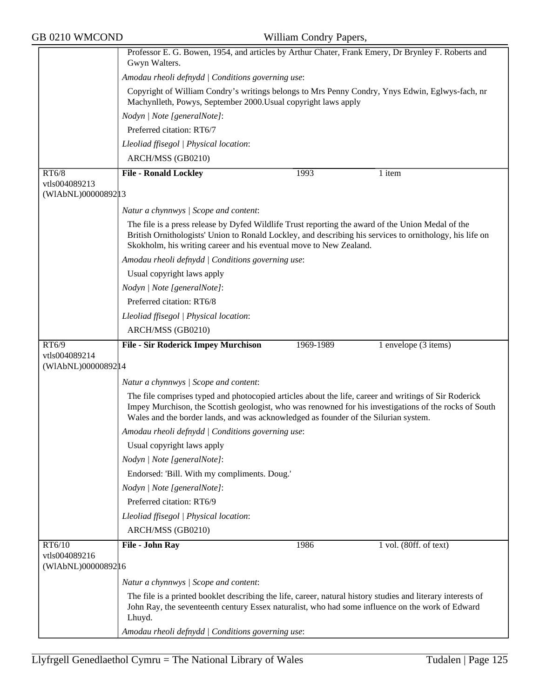|                                      | Professor E. G. Bowen, 1954, and articles by Arthur Chater, Frank Emery, Dr Brynley F. Roberts and<br>Gwyn Walters.                                                                                                                                                                                    |  |  |  |
|--------------------------------------|--------------------------------------------------------------------------------------------------------------------------------------------------------------------------------------------------------------------------------------------------------------------------------------------------------|--|--|--|
|                                      | Amodau rheoli defnydd   Conditions governing use:                                                                                                                                                                                                                                                      |  |  |  |
|                                      | Copyright of William Condry's writings belongs to Mrs Penny Condry, Ynys Edwin, Eglwys-fach, nr                                                                                                                                                                                                        |  |  |  |
|                                      | Machynlleth, Powys, September 2000. Usual copyright laws apply                                                                                                                                                                                                                                         |  |  |  |
|                                      | Nodyn   Note [generalNote]:                                                                                                                                                                                                                                                                            |  |  |  |
|                                      | Preferred citation: RT6/7                                                                                                                                                                                                                                                                              |  |  |  |
|                                      | Lleoliad ffisegol   Physical location:                                                                                                                                                                                                                                                                 |  |  |  |
|                                      | ARCH/MSS (GB0210)                                                                                                                                                                                                                                                                                      |  |  |  |
| RT6/8                                | <b>File - Ronald Lockley</b><br>1993<br>$\overline{1}$ item                                                                                                                                                                                                                                            |  |  |  |
| vtls004089213<br>(WIAbNL)00000892 13 |                                                                                                                                                                                                                                                                                                        |  |  |  |
|                                      |                                                                                                                                                                                                                                                                                                        |  |  |  |
|                                      | Natur a chynnwys / Scope and content:                                                                                                                                                                                                                                                                  |  |  |  |
|                                      | The file is a press release by Dyfed Wildlife Trust reporting the award of the Union Medal of the<br>British Ornithologists' Union to Ronald Lockley, and describing his services to ornithology, his life on<br>Skokholm, his writing career and his eventual move to New Zealand.                    |  |  |  |
|                                      | Amodau rheoli defnydd   Conditions governing use:                                                                                                                                                                                                                                                      |  |  |  |
|                                      | Usual copyright laws apply                                                                                                                                                                                                                                                                             |  |  |  |
|                                      | Nodyn   Note [generalNote]:                                                                                                                                                                                                                                                                            |  |  |  |
|                                      | Preferred citation: RT6/8                                                                                                                                                                                                                                                                              |  |  |  |
|                                      | Lleoliad ffisegol   Physical location:                                                                                                                                                                                                                                                                 |  |  |  |
|                                      | ARCH/MSS (GB0210)                                                                                                                                                                                                                                                                                      |  |  |  |
| RT6/9                                | <b>File - Sir Roderick Impey Murchison</b><br>1969-1989<br>1 envelope (3 items)                                                                                                                                                                                                                        |  |  |  |
| vtls004089214<br>(WIAbNL)00000892 14 |                                                                                                                                                                                                                                                                                                        |  |  |  |
|                                      | Natur a chynnwys / Scope and content:                                                                                                                                                                                                                                                                  |  |  |  |
|                                      | The file comprises typed and photocopied articles about the life, career and writings of Sir Roderick<br>Impey Murchison, the Scottish geologist, who was renowned for his investigations of the rocks of South<br>Wales and the border lands, and was acknowledged as founder of the Silurian system. |  |  |  |
|                                      | Amodau rheoli defnydd   Conditions governing use:                                                                                                                                                                                                                                                      |  |  |  |
|                                      | Usual copyright laws apply                                                                                                                                                                                                                                                                             |  |  |  |
|                                      | Nodyn   Note [generalNote]:                                                                                                                                                                                                                                                                            |  |  |  |
|                                      | Endorsed: 'Bill. With my compliments. Doug.'                                                                                                                                                                                                                                                           |  |  |  |
|                                      | Nodyn   Note [generalNote]:                                                                                                                                                                                                                                                                            |  |  |  |
|                                      | Preferred citation: RT6/9                                                                                                                                                                                                                                                                              |  |  |  |
|                                      | Lleoliad ffisegol   Physical location:                                                                                                                                                                                                                                                                 |  |  |  |
|                                      | ARCH/MSS (GB0210)                                                                                                                                                                                                                                                                                      |  |  |  |
| RT6/10                               | File - John Ray<br>1986<br>1 vol. (80ff. of text)                                                                                                                                                                                                                                                      |  |  |  |
| vtls004089216<br>(WIAbNL)00000892 16 |                                                                                                                                                                                                                                                                                                        |  |  |  |
|                                      |                                                                                                                                                                                                                                                                                                        |  |  |  |
|                                      | Natur a chynnwys / Scope and content:                                                                                                                                                                                                                                                                  |  |  |  |
|                                      | The file is a printed booklet describing the life, career, natural history studies and literary interests of<br>John Ray, the seventeenth century Essex naturalist, who had some influence on the work of Edward<br>Lhuyd.                                                                             |  |  |  |
|                                      | Amodau rheoli defnydd   Conditions governing use:                                                                                                                                                                                                                                                      |  |  |  |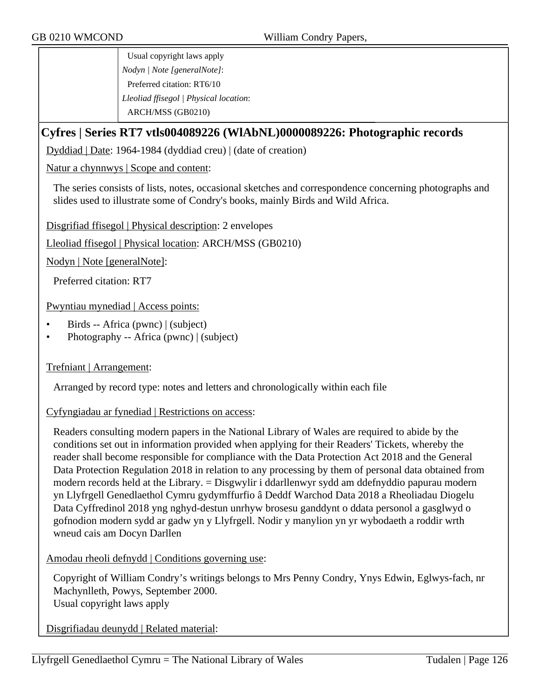Usual copyright laws apply *Nodyn | Note [generalNote]*: Preferred citation: RT6/10 *Lleoliad ffisegol | Physical location*: ARCH/MSS (GB0210)

# **Cyfres | Series RT7 vtls004089226 (WlAbNL)0000089226: Photographic records**

Dyddiad | Date: 1964-1984 (dyddiad creu) | (date of creation)

Natur a chynnwys | Scope and content:

The series consists of lists, notes, occasional sketches and correspondence concerning photographs and slides used to illustrate some of Condry's books, mainly Birds and Wild Africa.

Disgrifiad ffisegol | Physical description: 2 envelopes

Lleoliad ffisegol | Physical location: ARCH/MSS (GB0210)

Nodyn | Note [generalNote]:

Preferred citation: RT7

Pwyntiau mynediad | Access points:

- Birds -- Africa (pwnc) | (subject)
- Photography -- Africa (pwnc) | (subject)

### Trefniant | Arrangement:

Arranged by record type: notes and letters and chronologically within each file

### Cyfyngiadau ar fynediad | Restrictions on access:

Readers consulting modern papers in the National Library of Wales are required to abide by the conditions set out in information provided when applying for their Readers' Tickets, whereby the reader shall become responsible for compliance with the Data Protection Act 2018 and the General Data Protection Regulation 2018 in relation to any processing by them of personal data obtained from modern records held at the Library. = Disgwylir i ddarllenwyr sydd am ddefnyddio papurau modern yn Llyfrgell Genedlaethol Cymru gydymffurfio â Deddf Warchod Data 2018 a Rheoliadau Diogelu Data Cyffredinol 2018 yng nghyd-destun unrhyw brosesu ganddynt o ddata personol a gasglwyd o gofnodion modern sydd ar gadw yn y Llyfrgell. Nodir y manylion yn yr wybodaeth a roddir wrth wneud cais am Docyn Darllen

Amodau rheoli defnydd | Conditions governing use:

Copyright of William Condry's writings belongs to Mrs Penny Condry, Ynys Edwin, Eglwys-fach, nr Machynlleth, Powys, September 2000. Usual copyright laws apply

Disgrifiadau deunydd | Related material: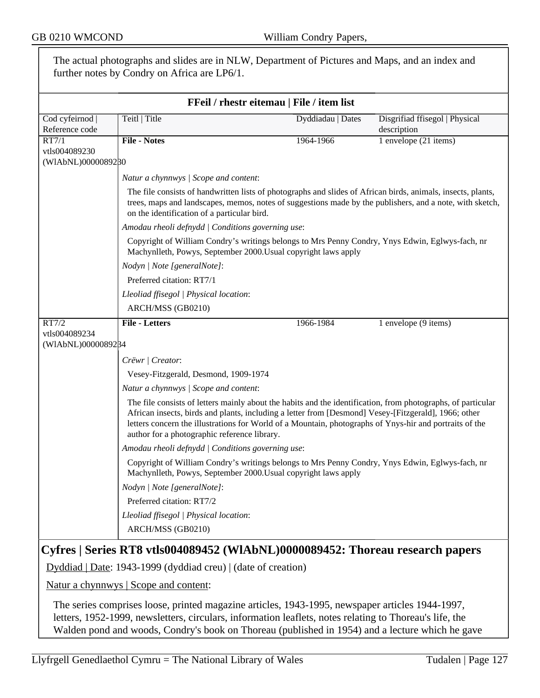|                                              | The actual photographs and slides are in NLW, Department of Pictures and Maps, and an index and<br>further notes by Condry on Africa are LP6/1.                                                                                                                 |                                           |                                                                                                                                                                                                                          |  |
|----------------------------------------------|-----------------------------------------------------------------------------------------------------------------------------------------------------------------------------------------------------------------------------------------------------------------|-------------------------------------------|--------------------------------------------------------------------------------------------------------------------------------------------------------------------------------------------------------------------------|--|
|                                              |                                                                                                                                                                                                                                                                 |                                           |                                                                                                                                                                                                                          |  |
|                                              |                                                                                                                                                                                                                                                                 | FFeil / rhestr eitemau   File / item list |                                                                                                                                                                                                                          |  |
| Cod cyfeirnod<br>Reference code              | Teitl   Title                                                                                                                                                                                                                                                   | Dyddiadau   Dates                         | Disgrifiad ffisegol   Physical<br>description                                                                                                                                                                            |  |
| RT7/1<br>vtls004089230<br>(WIAbNL)0000089280 | <b>File - Notes</b>                                                                                                                                                                                                                                             | 1964-1966                                 | 1 envelope (21 items)                                                                                                                                                                                                    |  |
|                                              |                                                                                                                                                                                                                                                                 |                                           |                                                                                                                                                                                                                          |  |
|                                              | Natur a chynnwys / Scope and content:<br>on the identification of a particular bird.                                                                                                                                                                            |                                           | The file consists of handwritten lists of photographs and slides of African birds, animals, insects, plants,<br>trees, maps and landscapes, memos, notes of suggestions made by the publishers, and a note, with sketch, |  |
|                                              | Amodau rheoli defnydd   Conditions governing use:                                                                                                                                                                                                               |                                           |                                                                                                                                                                                                                          |  |
|                                              | Copyright of William Condry's writings belongs to Mrs Penny Condry, Ynys Edwin, Eglwys-fach, nr<br>Machynlleth, Powys, September 2000. Usual copyright laws apply                                                                                               |                                           |                                                                                                                                                                                                                          |  |
|                                              | Nodyn   Note [generalNote]:                                                                                                                                                                                                                                     |                                           |                                                                                                                                                                                                                          |  |
|                                              | Preferred citation: RT7/1                                                                                                                                                                                                                                       |                                           |                                                                                                                                                                                                                          |  |
|                                              | Lleoliad ffisegol   Physical location:                                                                                                                                                                                                                          |                                           |                                                                                                                                                                                                                          |  |
|                                              | ARCH/MSS (GB0210)                                                                                                                                                                                                                                               |                                           |                                                                                                                                                                                                                          |  |
| RT7/2                                        | <b>File - Letters</b>                                                                                                                                                                                                                                           | 1966-1984                                 | 1 envelope (9 items)                                                                                                                                                                                                     |  |
| vtls004089234<br>(WIAbNL)0000089284          |                                                                                                                                                                                                                                                                 |                                           |                                                                                                                                                                                                                          |  |
|                                              | Crëwr   Creator:                                                                                                                                                                                                                                                |                                           |                                                                                                                                                                                                                          |  |
|                                              | Vesey-Fitzgerald, Desmond, 1909-1974                                                                                                                                                                                                                            |                                           |                                                                                                                                                                                                                          |  |
|                                              |                                                                                                                                                                                                                                                                 |                                           |                                                                                                                                                                                                                          |  |
|                                              | Natur a chynnwys / Scope and content:<br>The file consists of letters mainly about the habits and the identification, from photographs, of particular                                                                                                           |                                           |                                                                                                                                                                                                                          |  |
|                                              | African insects, birds and plants, including a letter from [Desmond] Vesey-[Fitzgerald], 1966; other<br>letters concern the illustrations for World of a Mountain, photographs of Ynys-hir and portraits of the<br>author for a photographic reference library. |                                           |                                                                                                                                                                                                                          |  |
|                                              | Amodau rheoli defnydd   Conditions governing use:                                                                                                                                                                                                               |                                           |                                                                                                                                                                                                                          |  |
|                                              | Copyright of William Condry's writings belongs to Mrs Penny Condry, Ynys Edwin, Eglwys-fach, nr<br>Machynlleth, Powys, September 2000. Usual copyright laws apply                                                                                               |                                           |                                                                                                                                                                                                                          |  |
|                                              | Nodyn   Note [generalNote]:                                                                                                                                                                                                                                     |                                           |                                                                                                                                                                                                                          |  |
|                                              | Preferred citation: RT7/2                                                                                                                                                                                                                                       |                                           |                                                                                                                                                                                                                          |  |
|                                              | Lleoliad ffisegol   Physical location:                                                                                                                                                                                                                          |                                           |                                                                                                                                                                                                                          |  |
|                                              | ARCH/MSS (GB0210)                                                                                                                                                                                                                                               |                                           |                                                                                                                                                                                                                          |  |
|                                              | Cyfres   Series RT8 vtls004089452 (WlAbNL)0000089452: Thoreau research papers                                                                                                                                                                                   |                                           |                                                                                                                                                                                                                          |  |
|                                              | Dyddiad   Date: 1943-1999 (dyddiad creu)   (date of creation)                                                                                                                                                                                                   |                                           |                                                                                                                                                                                                                          |  |
|                                              | <u>Natur a chynnwys</u>   Scope and content:                                                                                                                                                                                                                    |                                           |                                                                                                                                                                                                                          |  |
|                                              | The series comprises loose, printed magazine articles 1943-1995, newspaper articles 1944-1997                                                                                                                                                                   |                                           |                                                                                                                                                                                                                          |  |

The series comprises loose, printed magazine articles, 1943-1995, newspaper articles 1944-1997, letters, 1952-1999, newsletters, circulars, information leaflets, notes relating to Thoreau's life, the Walden pond and woods, Condry's book on Thoreau (published in 1954) and a lecture which he gave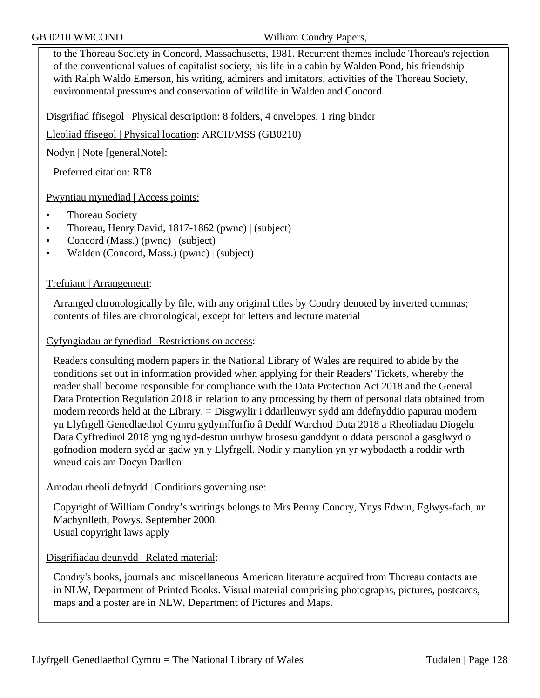to the Thoreau Society in Concord, Massachusetts, 1981. Recurrent themes include Thoreau's rejection of the conventional values of capitalist society, his life in a cabin by Walden Pond, his friendship with Ralph Waldo Emerson, his writing, admirers and imitators, activities of the Thoreau Society, environmental pressures and conservation of wildlife in Walden and Concord.

Disgrifiad ffisegol | Physical description: 8 folders, 4 envelopes, 1 ring binder

Lleoliad ffisegol | Physical location: ARCH/MSS (GB0210)

Nodyn | Note [generalNote]:

Preferred citation: RT8

Pwyntiau mynediad | Access points:

- Thoreau Society
- Thoreau, Henry David, 1817-1862 (pwnc) | (subject)
- Concord (Mass.) (pwnc) | (subject)
- Walden (Concord, Mass.) (pwnc) | (subject)

Trefniant | Arrangement:

Arranged chronologically by file, with any original titles by Condry denoted by inverted commas; contents of files are chronological, except for letters and lecture material

Cyfyngiadau ar fynediad | Restrictions on access:

Readers consulting modern papers in the National Library of Wales are required to abide by the conditions set out in information provided when applying for their Readers' Tickets, whereby the reader shall become responsible for compliance with the Data Protection Act 2018 and the General Data Protection Regulation 2018 in relation to any processing by them of personal data obtained from modern records held at the Library. = Disgwylir i ddarllenwyr sydd am ddefnyddio papurau modern yn Llyfrgell Genedlaethol Cymru gydymffurfio â Deddf Warchod Data 2018 a Rheoliadau Diogelu Data Cyffredinol 2018 yng nghyd-destun unrhyw brosesu ganddynt o ddata personol a gasglwyd o gofnodion modern sydd ar gadw yn y Llyfrgell. Nodir y manylion yn yr wybodaeth a roddir wrth wneud cais am Docyn Darllen

### Amodau rheoli defnydd | Conditions governing use:

Copyright of William Condry's writings belongs to Mrs Penny Condry, Ynys Edwin, Eglwys-fach, nr Machynlleth, Powys, September 2000. Usual copyright laws apply

Disgrifiadau deunydd | Related material:

Condry's books, journals and miscellaneous American literature acquired from Thoreau contacts are in NLW, Department of Printed Books. Visual material comprising photographs, pictures, postcards, maps and a poster are in NLW, Department of Pictures and Maps.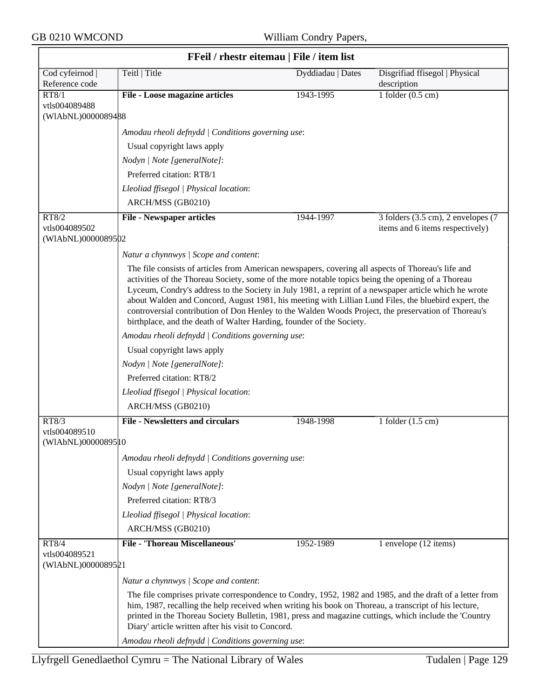| FFeil / rhestr eitemau   File / item list |                                                                                                                                                                                                                                                                                                                                                                                                                                                                                                                                                                                                         |                   |                                               |  |  |
|-------------------------------------------|---------------------------------------------------------------------------------------------------------------------------------------------------------------------------------------------------------------------------------------------------------------------------------------------------------------------------------------------------------------------------------------------------------------------------------------------------------------------------------------------------------------------------------------------------------------------------------------------------------|-------------------|-----------------------------------------------|--|--|
| Cod cyfeirnod  <br>Reference code         | Teitl   Title                                                                                                                                                                                                                                                                                                                                                                                                                                                                                                                                                                                           | Dyddiadau   Dates | Disgrifiad ffisegol   Physical<br>description |  |  |
| RT8/1                                     | File - Loose magazine articles                                                                                                                                                                                                                                                                                                                                                                                                                                                                                                                                                                          | 1943-1995         | 1 folder $(0.5 \text{ cm})$                   |  |  |
| vtls004089488<br>(WIAbNL)0000089488       |                                                                                                                                                                                                                                                                                                                                                                                                                                                                                                                                                                                                         |                   |                                               |  |  |
|                                           | Amodau rheoli defnydd   Conditions governing use:                                                                                                                                                                                                                                                                                                                                                                                                                                                                                                                                                       |                   |                                               |  |  |
|                                           | Usual copyright laws apply                                                                                                                                                                                                                                                                                                                                                                                                                                                                                                                                                                              |                   |                                               |  |  |
|                                           | Nodyn   Note [generalNote]:                                                                                                                                                                                                                                                                                                                                                                                                                                                                                                                                                                             |                   |                                               |  |  |
|                                           | Preferred citation: RT8/1                                                                                                                                                                                                                                                                                                                                                                                                                                                                                                                                                                               |                   |                                               |  |  |
|                                           | Lleoliad ffisegol   Physical location:                                                                                                                                                                                                                                                                                                                                                                                                                                                                                                                                                                  |                   |                                               |  |  |
|                                           | ARCH/MSS (GB0210)                                                                                                                                                                                                                                                                                                                                                                                                                                                                                                                                                                                       |                   |                                               |  |  |
| RT8/2                                     | <b>File - Newspaper articles</b>                                                                                                                                                                                                                                                                                                                                                                                                                                                                                                                                                                        | 1944-1997         | 3 folders (3.5 cm), 2 envelopes (7            |  |  |
| vtls004089502                             |                                                                                                                                                                                                                                                                                                                                                                                                                                                                                                                                                                                                         |                   | items and 6 items respectively)               |  |  |
| (WIAbNL)0000089502                        |                                                                                                                                                                                                                                                                                                                                                                                                                                                                                                                                                                                                         |                   |                                               |  |  |
|                                           | Natur a chynnwys / Scope and content:                                                                                                                                                                                                                                                                                                                                                                                                                                                                                                                                                                   |                   |                                               |  |  |
|                                           | The file consists of articles from American newspapers, covering all aspects of Thoreau's life and<br>activities of the Thoreau Society, some of the more notable topics being the opening of a Thoreau<br>Lyceum, Condry's address to the Society in July 1981, a reprint of a newspaper article which he wrote<br>about Walden and Concord, August 1981, his meeting with Lillian Lund Files, the bluebird expert, the<br>controversial contribution of Don Henley to the Walden Woods Project, the preservation of Thoreau's<br>birthplace, and the death of Walter Harding, founder of the Society. |                   |                                               |  |  |
|                                           | Amodau rheoli defnydd   Conditions governing use:                                                                                                                                                                                                                                                                                                                                                                                                                                                                                                                                                       |                   |                                               |  |  |
|                                           | Usual copyright laws apply                                                                                                                                                                                                                                                                                                                                                                                                                                                                                                                                                                              |                   |                                               |  |  |
|                                           | Nodyn   Note [generalNote]:                                                                                                                                                                                                                                                                                                                                                                                                                                                                                                                                                                             |                   |                                               |  |  |
|                                           | Preferred citation: RT8/2                                                                                                                                                                                                                                                                                                                                                                                                                                                                                                                                                                               |                   |                                               |  |  |
|                                           | Lleoliad ffisegol   Physical location:                                                                                                                                                                                                                                                                                                                                                                                                                                                                                                                                                                  |                   |                                               |  |  |
|                                           | ARCH/MSS (GB0210)                                                                                                                                                                                                                                                                                                                                                                                                                                                                                                                                                                                       |                   |                                               |  |  |
| RT8/3                                     | <b>File - Newsletters and circulars</b>                                                                                                                                                                                                                                                                                                                                                                                                                                                                                                                                                                 | 1948-1998         | 1 folder $(1.5 \text{ cm})$                   |  |  |
| vtls004089510<br>(WIAbNL)00000895 10      |                                                                                                                                                                                                                                                                                                                                                                                                                                                                                                                                                                                                         |                   |                                               |  |  |
|                                           | Amodau rheoli defnydd   Conditions governing use:                                                                                                                                                                                                                                                                                                                                                                                                                                                                                                                                                       |                   |                                               |  |  |
|                                           | Usual copyright laws apply                                                                                                                                                                                                                                                                                                                                                                                                                                                                                                                                                                              |                   |                                               |  |  |
|                                           | Nodyn   Note [generalNote]:                                                                                                                                                                                                                                                                                                                                                                                                                                                                                                                                                                             |                   |                                               |  |  |
|                                           | Preferred citation: RT8/3                                                                                                                                                                                                                                                                                                                                                                                                                                                                                                                                                                               |                   |                                               |  |  |
|                                           | Lleoliad ffisegol   Physical location:                                                                                                                                                                                                                                                                                                                                                                                                                                                                                                                                                                  |                   |                                               |  |  |
|                                           | ARCH/MSS (GB0210)                                                                                                                                                                                                                                                                                                                                                                                                                                                                                                                                                                                       |                   |                                               |  |  |
| RT8/4                                     | <b>File - 'Thoreau Miscellaneous'</b>                                                                                                                                                                                                                                                                                                                                                                                                                                                                                                                                                                   | 1952-1989         | 1 envelope (12 items)                         |  |  |
| vtls004089521<br>(WIAbNL)0000089521       |                                                                                                                                                                                                                                                                                                                                                                                                                                                                                                                                                                                                         |                   |                                               |  |  |
|                                           | Natur a chynnwys / Scope and content:                                                                                                                                                                                                                                                                                                                                                                                                                                                                                                                                                                   |                   |                                               |  |  |
|                                           | The file comprises private correspondence to Condry, 1952, 1982 and 1985, and the draft of a letter from<br>him, 1987, recalling the help received when writing his book on Thoreau, a transcript of his lecture,<br>printed in the Thoreau Society Bulletin, 1981, press and magazine cuttings, which include the 'Country<br>Diary' article written after his visit to Concord.                                                                                                                                                                                                                       |                   |                                               |  |  |
|                                           | Amodau rheoli defnydd   Conditions governing use:                                                                                                                                                                                                                                                                                                                                                                                                                                                                                                                                                       |                   |                                               |  |  |

╕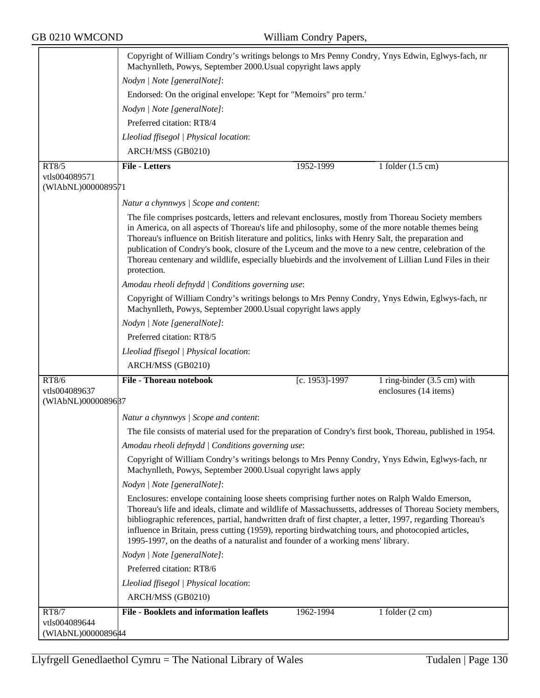|                                     | Copyright of William Condry's writings belongs to Mrs Penny Condry, Ynys Edwin, Eglwys-fach, nr<br>Machynlleth, Powys, September 2000. Usual copyright laws apply                                                                                                                                                                                                                                                                                                                                                                                |                |                                                      |  |
|-------------------------------------|--------------------------------------------------------------------------------------------------------------------------------------------------------------------------------------------------------------------------------------------------------------------------------------------------------------------------------------------------------------------------------------------------------------------------------------------------------------------------------------------------------------------------------------------------|----------------|------------------------------------------------------|--|
|                                     | Nodyn   Note [generalNote]:                                                                                                                                                                                                                                                                                                                                                                                                                                                                                                                      |                |                                                      |  |
|                                     | Endorsed: On the original envelope: 'Kept for "Memoirs" pro term.'                                                                                                                                                                                                                                                                                                                                                                                                                                                                               |                |                                                      |  |
|                                     | Nodyn   Note [generalNote]:                                                                                                                                                                                                                                                                                                                                                                                                                                                                                                                      |                |                                                      |  |
|                                     | Preferred citation: RT8/4                                                                                                                                                                                                                                                                                                                                                                                                                                                                                                                        |                |                                                      |  |
|                                     | Lleoliad ffisegol   Physical location:                                                                                                                                                                                                                                                                                                                                                                                                                                                                                                           |                |                                                      |  |
|                                     | ARCH/MSS (GB0210)                                                                                                                                                                                                                                                                                                                                                                                                                                                                                                                                |                |                                                      |  |
| RT8/5                               | <b>File - Letters</b>                                                                                                                                                                                                                                                                                                                                                                                                                                                                                                                            | 1952-1999      | 1 folder $(1.5 \text{ cm})$                          |  |
| vtls004089571<br>(WIAbNL)0000089571 |                                                                                                                                                                                                                                                                                                                                                                                                                                                                                                                                                  |                |                                                      |  |
|                                     | Natur a chynnwys / Scope and content:                                                                                                                                                                                                                                                                                                                                                                                                                                                                                                            |                |                                                      |  |
|                                     | The file comprises postcards, letters and relevant enclosures, mostly from Thoreau Society members<br>in America, on all aspects of Thoreau's life and philosophy, some of the more notable themes being<br>Thoreau's influence on British literature and politics, links with Henry Salt, the preparation and<br>publication of Condry's book, closure of the Lyceum and the move to a new centre, celebration of the<br>Thoreau centenary and wildlife, especially bluebirds and the involvement of Lillian Lund Files in their<br>protection. |                |                                                      |  |
|                                     | Amodau rheoli defnydd   Conditions governing use:                                                                                                                                                                                                                                                                                                                                                                                                                                                                                                |                |                                                      |  |
|                                     | Copyright of William Condry's writings belongs to Mrs Penny Condry, Ynys Edwin, Eglwys-fach, nr<br>Machynlleth, Powys, September 2000. Usual copyright laws apply                                                                                                                                                                                                                                                                                                                                                                                |                |                                                      |  |
|                                     | Nodyn   Note [generalNote]:                                                                                                                                                                                                                                                                                                                                                                                                                                                                                                                      |                |                                                      |  |
|                                     | Preferred citation: RT8/5                                                                                                                                                                                                                                                                                                                                                                                                                                                                                                                        |                |                                                      |  |
|                                     | Lleoliad ffisegol   Physical location:                                                                                                                                                                                                                                                                                                                                                                                                                                                                                                           |                |                                                      |  |
|                                     | ARCH/MSS (GB0210)                                                                                                                                                                                                                                                                                                                                                                                                                                                                                                                                |                |                                                      |  |
| RT8/6<br>vtls004089637              | <b>File - Thoreau notebook</b>                                                                                                                                                                                                                                                                                                                                                                                                                                                                                                                   | [c. 1953]-1997 | 1 ring-binder (3.5 cm) with<br>enclosures (14 items) |  |
| (WIAbNL)0000089687                  |                                                                                                                                                                                                                                                                                                                                                                                                                                                                                                                                                  |                |                                                      |  |
|                                     | Natur a chynnwys / Scope and content:                                                                                                                                                                                                                                                                                                                                                                                                                                                                                                            |                |                                                      |  |
|                                     | The file consists of material used for the preparation of Condry's first book, Thoreau, published in 1954.                                                                                                                                                                                                                                                                                                                                                                                                                                       |                |                                                      |  |
|                                     | Amodau rheoli defnydd   Conditions governing use:                                                                                                                                                                                                                                                                                                                                                                                                                                                                                                |                |                                                      |  |
|                                     | Copyright of William Condry's writings belongs to Mrs Penny Condry, Ynys Edwin, Eglwys-fach, nr<br>Machynlleth, Powys, September 2000. Usual copyright laws apply                                                                                                                                                                                                                                                                                                                                                                                |                |                                                      |  |
|                                     | Nodyn   Note [generalNote]:                                                                                                                                                                                                                                                                                                                                                                                                                                                                                                                      |                |                                                      |  |
|                                     | Enclosures: envelope containing loose sheets comprising further notes on Ralph Waldo Emerson,<br>Thoreau's life and ideals, climate and wildlife of Massachussetts, addresses of Thoreau Society members,<br>bibliographic references, partial, handwritten draft of first chapter, a letter, 1997, regarding Thoreau's<br>influence in Britain, press cutting (1959), reporting birdwatching tours, and photocopied articles,<br>1995-1997, on the deaths of a naturalist and founder of a working mens' library.                               |                |                                                      |  |
|                                     | Nodyn   Note [generalNote]:                                                                                                                                                                                                                                                                                                                                                                                                                                                                                                                      |                |                                                      |  |
|                                     | Preferred citation: RT8/6                                                                                                                                                                                                                                                                                                                                                                                                                                                                                                                        |                |                                                      |  |
|                                     | Lleoliad ffisegol   Physical location:                                                                                                                                                                                                                                                                                                                                                                                                                                                                                                           |                |                                                      |  |
|                                     | ARCH/MSS (GB0210)                                                                                                                                                                                                                                                                                                                                                                                                                                                                                                                                |                |                                                      |  |
| <b>RT8/7</b>                        | <b>File - Booklets and information leaflets</b>                                                                                                                                                                                                                                                                                                                                                                                                                                                                                                  | 1962-1994      | 1 folder $(2 \text{ cm})$                            |  |
| vtls004089644                       |                                                                                                                                                                                                                                                                                                                                                                                                                                                                                                                                                  |                |                                                      |  |
| (WIAbNL)00000896#4                  |                                                                                                                                                                                                                                                                                                                                                                                                                                                                                                                                                  |                |                                                      |  |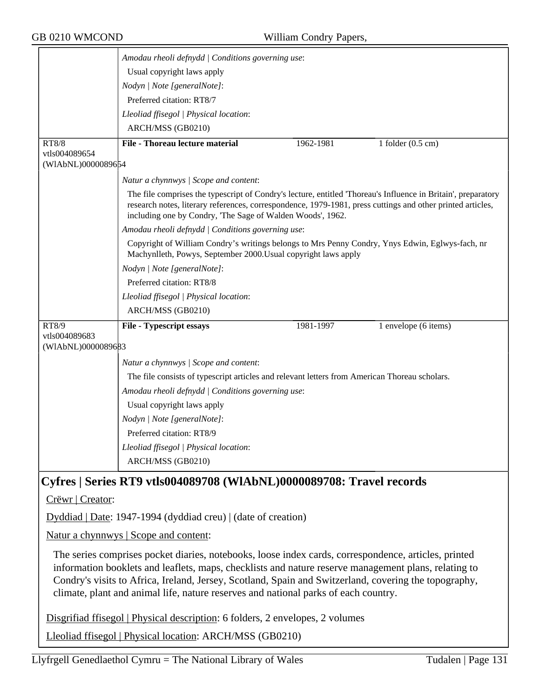|                                                                                                                                                                                                                                                                                                                                                                                                              | Amodau rheoli defnydd   Conditions governing use:                                                                                                                                                                                                                                         |  |  |  |  |
|--------------------------------------------------------------------------------------------------------------------------------------------------------------------------------------------------------------------------------------------------------------------------------------------------------------------------------------------------------------------------------------------------------------|-------------------------------------------------------------------------------------------------------------------------------------------------------------------------------------------------------------------------------------------------------------------------------------------|--|--|--|--|
|                                                                                                                                                                                                                                                                                                                                                                                                              | Usual copyright laws apply                                                                                                                                                                                                                                                                |  |  |  |  |
|                                                                                                                                                                                                                                                                                                                                                                                                              | Nodyn   Note [generalNote]:                                                                                                                                                                                                                                                               |  |  |  |  |
|                                                                                                                                                                                                                                                                                                                                                                                                              | Preferred citation: RT8/7                                                                                                                                                                                                                                                                 |  |  |  |  |
|                                                                                                                                                                                                                                                                                                                                                                                                              | Lleoliad ffisegol   Physical location:                                                                                                                                                                                                                                                    |  |  |  |  |
|                                                                                                                                                                                                                                                                                                                                                                                                              | ARCH/MSS (GB0210)                                                                                                                                                                                                                                                                         |  |  |  |  |
| <b>RT8/8</b>                                                                                                                                                                                                                                                                                                                                                                                                 | <b>File - Thoreau lecture material</b><br>1962-1981<br>1 folder $(0.5 \text{ cm})$                                                                                                                                                                                                        |  |  |  |  |
| vtls004089654                                                                                                                                                                                                                                                                                                                                                                                                |                                                                                                                                                                                                                                                                                           |  |  |  |  |
| (WIAbNL)0000089654                                                                                                                                                                                                                                                                                                                                                                                           |                                                                                                                                                                                                                                                                                           |  |  |  |  |
|                                                                                                                                                                                                                                                                                                                                                                                                              | Natur a chynnwys / Scope and content:                                                                                                                                                                                                                                                     |  |  |  |  |
|                                                                                                                                                                                                                                                                                                                                                                                                              | The file comprises the typescript of Condry's lecture, entitled 'Thoreau's Influence in Britain', preparatory<br>research notes, literary references, correspondence, 1979-1981, press cuttings and other printed articles,<br>including one by Condry, 'The Sage of Walden Woods', 1962. |  |  |  |  |
|                                                                                                                                                                                                                                                                                                                                                                                                              | Amodau rheoli defnydd   Conditions governing use:                                                                                                                                                                                                                                         |  |  |  |  |
|                                                                                                                                                                                                                                                                                                                                                                                                              | Copyright of William Condry's writings belongs to Mrs Penny Condry, Ynys Edwin, Eglwys-fach, nr<br>Machynlleth, Powys, September 2000. Usual copyright laws apply                                                                                                                         |  |  |  |  |
|                                                                                                                                                                                                                                                                                                                                                                                                              | Nodyn   Note [generalNote]:                                                                                                                                                                                                                                                               |  |  |  |  |
|                                                                                                                                                                                                                                                                                                                                                                                                              | Preferred citation: RT8/8                                                                                                                                                                                                                                                                 |  |  |  |  |
|                                                                                                                                                                                                                                                                                                                                                                                                              | Lleoliad ffisegol   Physical location:                                                                                                                                                                                                                                                    |  |  |  |  |
|                                                                                                                                                                                                                                                                                                                                                                                                              | ARCH/MSS (GB0210)                                                                                                                                                                                                                                                                         |  |  |  |  |
| RT8/9                                                                                                                                                                                                                                                                                                                                                                                                        | <b>File - Typescript essays</b><br>1981-1997<br>1 envelope (6 items)                                                                                                                                                                                                                      |  |  |  |  |
| vtls004089683<br>(WIAbNL)0000089683                                                                                                                                                                                                                                                                                                                                                                          |                                                                                                                                                                                                                                                                                           |  |  |  |  |
|                                                                                                                                                                                                                                                                                                                                                                                                              |                                                                                                                                                                                                                                                                                           |  |  |  |  |
|                                                                                                                                                                                                                                                                                                                                                                                                              | Natur a chynnwys / Scope and content:                                                                                                                                                                                                                                                     |  |  |  |  |
|                                                                                                                                                                                                                                                                                                                                                                                                              | The file consists of typescript articles and relevant letters from American Thoreau scholars.<br>Amodau rheoli defnydd   Conditions governing use:                                                                                                                                        |  |  |  |  |
|                                                                                                                                                                                                                                                                                                                                                                                                              |                                                                                                                                                                                                                                                                                           |  |  |  |  |
|                                                                                                                                                                                                                                                                                                                                                                                                              | Usual copyright laws apply                                                                                                                                                                                                                                                                |  |  |  |  |
|                                                                                                                                                                                                                                                                                                                                                                                                              | Nodyn   Note [generalNote]:<br>Preferred citation: RT8/9                                                                                                                                                                                                                                  |  |  |  |  |
|                                                                                                                                                                                                                                                                                                                                                                                                              | Lleoliad ffisegol   Physical location:                                                                                                                                                                                                                                                    |  |  |  |  |
|                                                                                                                                                                                                                                                                                                                                                                                                              | ARCH/MSS (GB0210)                                                                                                                                                                                                                                                                         |  |  |  |  |
|                                                                                                                                                                                                                                                                                                                                                                                                              |                                                                                                                                                                                                                                                                                           |  |  |  |  |
| Cyfres   Series RT9 vtls004089708 (WIAbNL)0000089708: Travel records                                                                                                                                                                                                                                                                                                                                         |                                                                                                                                                                                                                                                                                           |  |  |  |  |
|                                                                                                                                                                                                                                                                                                                                                                                                              | Crëwr   Creator:                                                                                                                                                                                                                                                                          |  |  |  |  |
| Dyddiad   Date: 1947-1994 (dyddiad creu)   (date of creation)                                                                                                                                                                                                                                                                                                                                                |                                                                                                                                                                                                                                                                                           |  |  |  |  |
| Natur a chynnwys   Scope and content:                                                                                                                                                                                                                                                                                                                                                                        |                                                                                                                                                                                                                                                                                           |  |  |  |  |
| The series comprises pocket diaries, notebooks, loose index cards, correspondence, articles, printed<br>information booklets and leaflets, maps, checklists and nature reserve management plans, relating to<br>Condry's visits to Africa, Ireland, Jersey, Scotland, Spain and Switzerland, covering the topography,<br>climate, plant and animal life, nature reserves and national parks of each country. |                                                                                                                                                                                                                                                                                           |  |  |  |  |
| Disgrifiad ffisegol   Physical description: 6 folders, 2 envelopes, 2 volumes                                                                                                                                                                                                                                                                                                                                |                                                                                                                                                                                                                                                                                           |  |  |  |  |
|                                                                                                                                                                                                                                                                                                                                                                                                              | Lleoliad ffisegol   Physical location: ARCH/MSS (GB0210)                                                                                                                                                                                                                                  |  |  |  |  |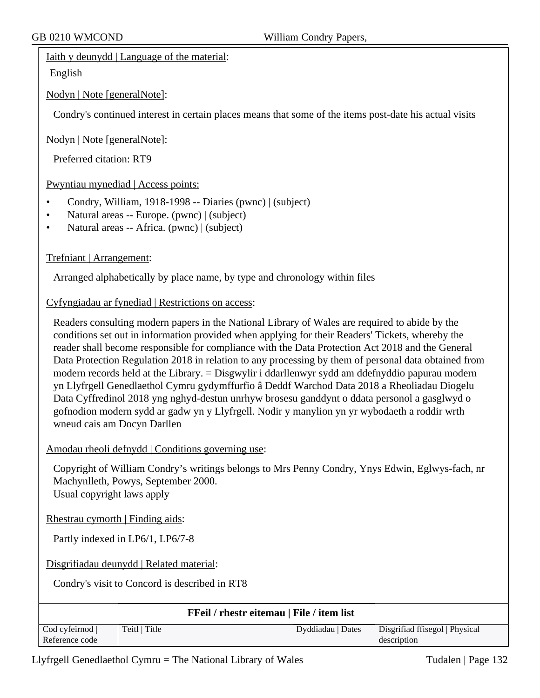### Iaith y deunydd | Language of the material:

English

Nodyn | Note [generalNote]:

Condry's continued interest in certain places means that some of the items post-date his actual visits

### Nodyn | Note [generalNote]:

Preferred citation: RT9

# Pwyntiau mynediad | Access points:

- Condry, William, 1918-1998 -- Diaries (pwnc) | (subject)
- Natural areas -- Europe. (pwnc) | (subject)
- Natural areas -- Africa. (pwnc) | (subject)

# Trefniant | Arrangement:

Arranged alphabetically by place name, by type and chronology within files

# Cyfyngiadau ar fynediad | Restrictions on access:

Readers consulting modern papers in the National Library of Wales are required to abide by the conditions set out in information provided when applying for their Readers' Tickets, whereby the reader shall become responsible for compliance with the Data Protection Act 2018 and the General Data Protection Regulation 2018 in relation to any processing by them of personal data obtained from modern records held at the Library. = Disgwylir i ddarllenwyr sydd am ddefnyddio papurau modern yn Llyfrgell Genedlaethol Cymru gydymffurfio â Deddf Warchod Data 2018 a Rheoliadau Diogelu Data Cyffredinol 2018 yng nghyd-destun unrhyw brosesu ganddynt o ddata personol a gasglwyd o gofnodion modern sydd ar gadw yn y Llyfrgell. Nodir y manylion yn yr wybodaeth a roddir wrth wneud cais am Docyn Darllen

### Amodau rheoli defnydd | Conditions governing use:

Copyright of William Condry's writings belongs to Mrs Penny Condry, Ynys Edwin, Eglwys-fach, nr Machynlleth, Powys, September 2000. Usual copyright laws apply

Rhestrau cymorth | Finding aids:

Partly indexed in LP6/1, LP6/7-8

Disgrifiadau deunydd | Related material:

Condry's visit to Concord is described in RT8

| <b>FFeil / rhestr eitemau   File / item list</b> |               |                   |                                |
|--------------------------------------------------|---------------|-------------------|--------------------------------|
| $\text{Cod}$ cyfeirnod $\mid$                    | Teitl   Title | Dyddiadau   Dates | Disgrifiad ffisegol   Physical |
| Reference code                                   |               |                   | description                    |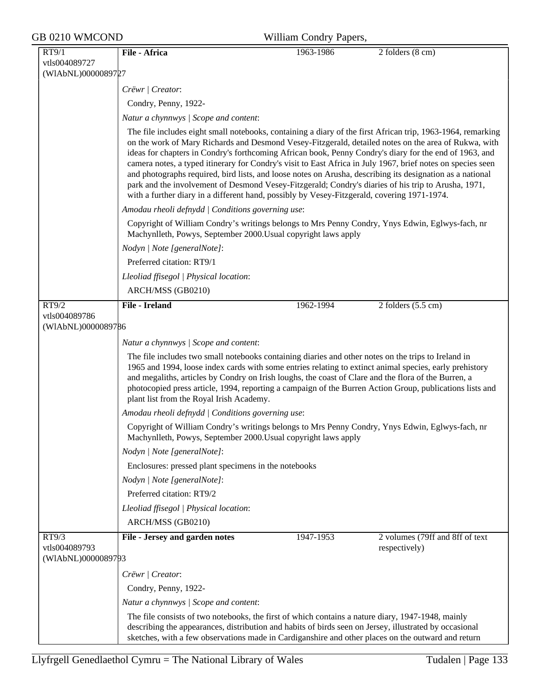| GB 0210 WMCOND                      |                                                                                                                                                                                                                                                                                                                                                                                                                                                                                                                                                                                                                                                                                                                                                                 | William Condry Papers, |                                                  |  |
|-------------------------------------|-----------------------------------------------------------------------------------------------------------------------------------------------------------------------------------------------------------------------------------------------------------------------------------------------------------------------------------------------------------------------------------------------------------------------------------------------------------------------------------------------------------------------------------------------------------------------------------------------------------------------------------------------------------------------------------------------------------------------------------------------------------------|------------------------|--------------------------------------------------|--|
| RT9/1                               | File - Africa                                                                                                                                                                                                                                                                                                                                                                                                                                                                                                                                                                                                                                                                                                                                                   | 1963-1986              | 2 folders (8 cm)                                 |  |
| vtls004089727                       |                                                                                                                                                                                                                                                                                                                                                                                                                                                                                                                                                                                                                                                                                                                                                                 |                        |                                                  |  |
| (WIAbNL)0000089727                  |                                                                                                                                                                                                                                                                                                                                                                                                                                                                                                                                                                                                                                                                                                                                                                 |                        |                                                  |  |
|                                     | Crëwr   Creator:                                                                                                                                                                                                                                                                                                                                                                                                                                                                                                                                                                                                                                                                                                                                                |                        |                                                  |  |
|                                     | Condry, Penny, 1922-                                                                                                                                                                                                                                                                                                                                                                                                                                                                                                                                                                                                                                                                                                                                            |                        |                                                  |  |
|                                     | Natur a chynnwys / Scope and content:                                                                                                                                                                                                                                                                                                                                                                                                                                                                                                                                                                                                                                                                                                                           |                        |                                                  |  |
|                                     | The file includes eight small notebooks, containing a diary of the first African trip, 1963-1964, remarking<br>on the work of Mary Richards and Desmond Vesey-Fitzgerald, detailed notes on the area of Rukwa, with<br>ideas for chapters in Condry's forthcoming African book, Penny Condry's diary for the end of 1963, and<br>camera notes, a typed itinerary for Condry's visit to East Africa in July 1967, brief notes on species seen<br>and photographs required, bird lists, and loose notes on Arusha, describing its designation as a national<br>park and the involvement of Desmond Vesey-Fitzgerald; Condry's diaries of his trip to Arusha, 1971,<br>with a further diary in a different hand, possibly by Vesey-Fitzgerald, covering 1971-1974. |                        |                                                  |  |
|                                     | Amodau rheoli defnydd   Conditions governing use:                                                                                                                                                                                                                                                                                                                                                                                                                                                                                                                                                                                                                                                                                                               |                        |                                                  |  |
|                                     | Copyright of William Condry's writings belongs to Mrs Penny Condry, Ynys Edwin, Eglwys-fach, nr<br>Machynlleth, Powys, September 2000. Usual copyright laws apply                                                                                                                                                                                                                                                                                                                                                                                                                                                                                                                                                                                               |                        |                                                  |  |
|                                     | Nodyn   Note [generalNote]:                                                                                                                                                                                                                                                                                                                                                                                                                                                                                                                                                                                                                                                                                                                                     |                        |                                                  |  |
|                                     | Preferred citation: RT9/1                                                                                                                                                                                                                                                                                                                                                                                                                                                                                                                                                                                                                                                                                                                                       |                        |                                                  |  |
|                                     | Lleoliad ffisegol   Physical location:                                                                                                                                                                                                                                                                                                                                                                                                                                                                                                                                                                                                                                                                                                                          |                        |                                                  |  |
|                                     | ARCH/MSS (GB0210)                                                                                                                                                                                                                                                                                                                                                                                                                                                                                                                                                                                                                                                                                                                                               |                        |                                                  |  |
| RT9/2                               | <b>File - Ireland</b>                                                                                                                                                                                                                                                                                                                                                                                                                                                                                                                                                                                                                                                                                                                                           | 1962-1994              | $2$ folders $(5.5 \text{ cm})$                   |  |
| vtls004089786<br>(WIAbNL)0000089786 |                                                                                                                                                                                                                                                                                                                                                                                                                                                                                                                                                                                                                                                                                                                                                                 |                        |                                                  |  |
|                                     | Natur a chynnwys / Scope and content:                                                                                                                                                                                                                                                                                                                                                                                                                                                                                                                                                                                                                                                                                                                           |                        |                                                  |  |
|                                     | The file includes two small notebooks containing diaries and other notes on the trips to Ireland in<br>1965 and 1994, loose index cards with some entries relating to extinct animal species, early prehistory<br>and megaliths, articles by Condry on Irish loughs, the coast of Clare and the flora of the Burren, a<br>photocopied press article, 1994, reporting a campaign of the Burren Action Group, publications lists and<br>plant list from the Royal Irish Academy.                                                                                                                                                                                                                                                                                  |                        |                                                  |  |
|                                     | Amodau rheoli defnydd   Conditions governing use:                                                                                                                                                                                                                                                                                                                                                                                                                                                                                                                                                                                                                                                                                                               |                        |                                                  |  |
|                                     | Copyright of William Condry's writings belongs to Mrs Penny Condry, Ynys Edwin, Eglwys-fach, nr<br>Machynlleth, Powys, September 2000. Usual copyright laws apply                                                                                                                                                                                                                                                                                                                                                                                                                                                                                                                                                                                               |                        |                                                  |  |
|                                     | Nodyn   Note [generalNote]:                                                                                                                                                                                                                                                                                                                                                                                                                                                                                                                                                                                                                                                                                                                                     |                        |                                                  |  |
|                                     | Enclosures: pressed plant specimens in the notebooks                                                                                                                                                                                                                                                                                                                                                                                                                                                                                                                                                                                                                                                                                                            |                        |                                                  |  |
|                                     | Nodyn   Note [generalNote]:                                                                                                                                                                                                                                                                                                                                                                                                                                                                                                                                                                                                                                                                                                                                     |                        |                                                  |  |
|                                     | Preferred citation: RT9/2                                                                                                                                                                                                                                                                                                                                                                                                                                                                                                                                                                                                                                                                                                                                       |                        |                                                  |  |
|                                     | Lleoliad ffisegol   Physical location:                                                                                                                                                                                                                                                                                                                                                                                                                                                                                                                                                                                                                                                                                                                          |                        |                                                  |  |
|                                     | ARCH/MSS (GB0210)                                                                                                                                                                                                                                                                                                                                                                                                                                                                                                                                                                                                                                                                                                                                               |                        |                                                  |  |
| RT9/3<br>vtls004089793              | File - Jersey and garden notes                                                                                                                                                                                                                                                                                                                                                                                                                                                                                                                                                                                                                                                                                                                                  | 1947-1953              | 2 volumes (79ff and 8ff of text<br>respectively) |  |
| (WIAbNL)0000089793                  |                                                                                                                                                                                                                                                                                                                                                                                                                                                                                                                                                                                                                                                                                                                                                                 |                        |                                                  |  |
|                                     | Crëwr   Creator:                                                                                                                                                                                                                                                                                                                                                                                                                                                                                                                                                                                                                                                                                                                                                |                        |                                                  |  |
|                                     | Condry, Penny, 1922-                                                                                                                                                                                                                                                                                                                                                                                                                                                                                                                                                                                                                                                                                                                                            |                        |                                                  |  |
|                                     | Natur a chynnwys / Scope and content:                                                                                                                                                                                                                                                                                                                                                                                                                                                                                                                                                                                                                                                                                                                           |                        |                                                  |  |
|                                     | The file consists of two notebooks, the first of which contains a nature diary, 1947-1948, mainly<br>describing the appearances, distribution and habits of birds seen on Jersey, illustrated by occasional<br>sketches, with a few observations made in Cardiganshire and other places on the outward and return                                                                                                                                                                                                                                                                                                                                                                                                                                               |                        |                                                  |  |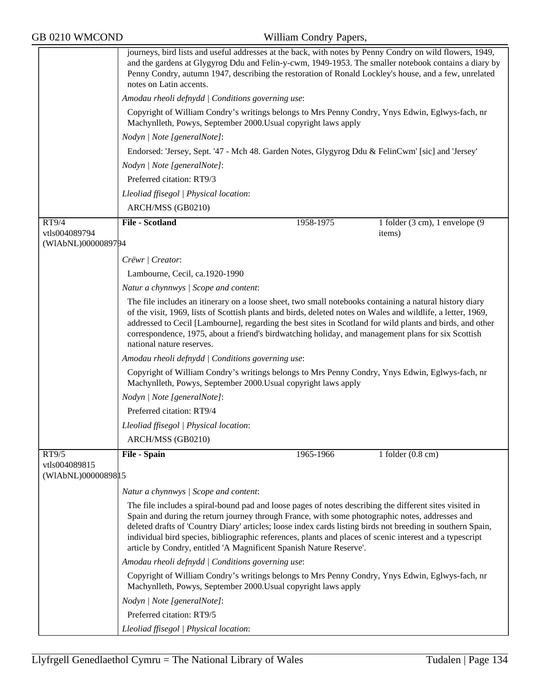|                                      | journeys, bird lists and useful addresses at the back, with notes by Penny Condry on wild flowers, 1949,<br>and the gardens at Glygyrog Ddu and Felin-y-cwm, 1949-1953. The smaller notebook contains a diary by<br>Penny Condry, autumn 1947, describing the restoration of Ronald Lockley's house, and a few, unrelated<br>notes on Latin accents.                                                                                                                                                         |           |                                                        |
|--------------------------------------|--------------------------------------------------------------------------------------------------------------------------------------------------------------------------------------------------------------------------------------------------------------------------------------------------------------------------------------------------------------------------------------------------------------------------------------------------------------------------------------------------------------|-----------|--------------------------------------------------------|
|                                      | Amodau rheoli defnydd   Conditions governing use:                                                                                                                                                                                                                                                                                                                                                                                                                                                            |           |                                                        |
|                                      | Copyright of William Condry's writings belongs to Mrs Penny Condry, Ynys Edwin, Eglwys-fach, nr<br>Machynlleth, Powys, September 2000. Usual copyright laws apply                                                                                                                                                                                                                                                                                                                                            |           |                                                        |
|                                      | Nodyn   Note [generalNote]:                                                                                                                                                                                                                                                                                                                                                                                                                                                                                  |           |                                                        |
|                                      | Endorsed: 'Jersey, Sept. '47 - Mch 48. Garden Notes, Glygyrog Ddu & FelinCwm' [sic] and 'Jersey'                                                                                                                                                                                                                                                                                                                                                                                                             |           |                                                        |
|                                      | Nodyn   Note [generalNote]:                                                                                                                                                                                                                                                                                                                                                                                                                                                                                  |           |                                                        |
|                                      | Preferred citation: RT9/3                                                                                                                                                                                                                                                                                                                                                                                                                                                                                    |           |                                                        |
|                                      | Lleoliad ffisegol   Physical location:                                                                                                                                                                                                                                                                                                                                                                                                                                                                       |           |                                                        |
|                                      | ARCH/MSS (GB0210)                                                                                                                                                                                                                                                                                                                                                                                                                                                                                            |           |                                                        |
| RT9/4                                | <b>File - Scotland</b>                                                                                                                                                                                                                                                                                                                                                                                                                                                                                       | 1958-1975 | 1 folder $(3 \text{ cm})$ , 1 envelope $(9 \text{ m})$ |
| vtls004089794<br>(WIAbNL)0000089794  |                                                                                                                                                                                                                                                                                                                                                                                                                                                                                                              |           | items)                                                 |
|                                      | Crëwr   Creator:                                                                                                                                                                                                                                                                                                                                                                                                                                                                                             |           |                                                        |
|                                      | Lambourne, Cecil, ca.1920-1990                                                                                                                                                                                                                                                                                                                                                                                                                                                                               |           |                                                        |
|                                      | Natur a chynnwys   Scope and content:                                                                                                                                                                                                                                                                                                                                                                                                                                                                        |           |                                                        |
|                                      | The file includes an itinerary on a loose sheet, two small notebooks containing a natural history diary<br>of the visit, 1969, lists of Scottish plants and birds, deleted notes on Wales and wildlife, a letter, 1969,<br>addressed to Cecil [Lambourne], regarding the best sites in Scotland for wild plants and birds, and other<br>correspondence, 1975, about a friend's birdwatching holiday, and management plans for six Scottish<br>national nature reserves.                                      |           |                                                        |
|                                      | Amodau rheoli defnydd   Conditions governing use:                                                                                                                                                                                                                                                                                                                                                                                                                                                            |           |                                                        |
|                                      | Copyright of William Condry's writings belongs to Mrs Penny Condry, Ynys Edwin, Eglwys-fach, nr<br>Machynlleth, Powys, September 2000. Usual copyright laws apply                                                                                                                                                                                                                                                                                                                                            |           |                                                        |
|                                      | Nodyn   Note [generalNote]:                                                                                                                                                                                                                                                                                                                                                                                                                                                                                  |           |                                                        |
|                                      | Preferred citation: RT9/4                                                                                                                                                                                                                                                                                                                                                                                                                                                                                    |           |                                                        |
|                                      | Lleoliad ffisegol   Physical location:                                                                                                                                                                                                                                                                                                                                                                                                                                                                       |           |                                                        |
|                                      | ARCH/MSS (GB0210)                                                                                                                                                                                                                                                                                                                                                                                                                                                                                            |           |                                                        |
| RT9/5                                | <b>File - Spain</b>                                                                                                                                                                                                                                                                                                                                                                                                                                                                                          | 1965-1966 | 1 folder $(0.8 \text{ cm})$                            |
| vtls004089815<br>(WIAbNL)00000898 15 |                                                                                                                                                                                                                                                                                                                                                                                                                                                                                                              |           |                                                        |
|                                      | Natur a chynnwys / Scope and content:                                                                                                                                                                                                                                                                                                                                                                                                                                                                        |           |                                                        |
|                                      | The file includes a spiral-bound pad and loose pages of notes describing the different sites visited in<br>Spain and during the return journey through France, with some photographic notes, addresses and<br>deleted drafts of 'Country Diary' articles; loose index cards listing birds not breeding in southern Spain,<br>individual bird species, bibliographic references, plants and places of scenic interest and a typescript<br>article by Condry, entitled 'A Magnificent Spanish Nature Reserve'. |           |                                                        |
|                                      | Amodau rheoli defnydd   Conditions governing use:                                                                                                                                                                                                                                                                                                                                                                                                                                                            |           |                                                        |
|                                      | Copyright of William Condry's writings belongs to Mrs Penny Condry, Ynys Edwin, Eglwys-fach, nr<br>Machynlleth, Powys, September 2000. Usual copyright laws apply                                                                                                                                                                                                                                                                                                                                            |           |                                                        |
|                                      | Nodyn   Note [generalNote]:                                                                                                                                                                                                                                                                                                                                                                                                                                                                                  |           |                                                        |
|                                      | Preferred citation: RT9/5                                                                                                                                                                                                                                                                                                                                                                                                                                                                                    |           |                                                        |
|                                      | Lleoliad ffisegol   Physical location:                                                                                                                                                                                                                                                                                                                                                                                                                                                                       |           |                                                        |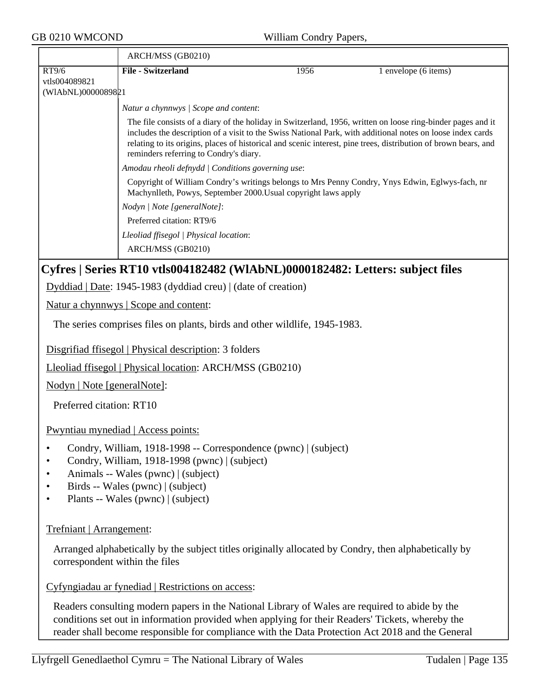| GB 0210 WMCOND<br>William Condry Papers,     |                                                                                                                                                                                                                                    |      |                                                                                                                                                                                                                                                                                                                                              |
|----------------------------------------------|------------------------------------------------------------------------------------------------------------------------------------------------------------------------------------------------------------------------------------|------|----------------------------------------------------------------------------------------------------------------------------------------------------------------------------------------------------------------------------------------------------------------------------------------------------------------------------------------------|
|                                              | ARCH/MSS (GB0210)                                                                                                                                                                                                                  |      |                                                                                                                                                                                                                                                                                                                                              |
| RT9/6<br>vtls004089821<br>(WIAbNL)0000089821 | <b>File - Switzerland</b>                                                                                                                                                                                                          | 1956 | 1 envelope (6 items)                                                                                                                                                                                                                                                                                                                         |
|                                              | Natur a chynnwys / Scope and content:                                                                                                                                                                                              |      |                                                                                                                                                                                                                                                                                                                                              |
|                                              | reminders referring to Condry's diary.                                                                                                                                                                                             |      | The file consists of a diary of the holiday in Switzerland, 1956, written on loose ring-binder pages and it<br>includes the description of a visit to the Swiss National Park, with additional notes on loose index cards<br>relating to its origins, places of historical and scenic interest, pine trees, distribution of brown bears, and |
|                                              | Amodau rheoli defnydd   Conditions governing use:                                                                                                                                                                                  |      |                                                                                                                                                                                                                                                                                                                                              |
|                                              | Copyright of William Condry's writings belongs to Mrs Penny Condry, Ynys Edwin, Eglwys-fach, nr<br>Machynlleth, Powys, September 2000. Usual copyright laws apply                                                                  |      |                                                                                                                                                                                                                                                                                                                                              |
|                                              | Nodyn   Note [generalNote]:                                                                                                                                                                                                        |      |                                                                                                                                                                                                                                                                                                                                              |
|                                              | Preferred citation: RT9/6                                                                                                                                                                                                          |      |                                                                                                                                                                                                                                                                                                                                              |
|                                              | Lleoliad ffisegol   Physical location:<br>ARCH/MSS (GB0210)                                                                                                                                                                        |      |                                                                                                                                                                                                                                                                                                                                              |
|                                              | Cyfres   Series RT10 vtls004182482 (WIAbNL)0000182482: Letters: subject files                                                                                                                                                      |      |                                                                                                                                                                                                                                                                                                                                              |
|                                              | $Dyddiad   Date: 1945-1983 (dyddiad creu)   (date of creation)$                                                                                                                                                                    |      |                                                                                                                                                                                                                                                                                                                                              |
|                                              | <u>Natur a chynnwys</u>   Scope and content:                                                                                                                                                                                       |      |                                                                                                                                                                                                                                                                                                                                              |
|                                              | The series comprises files on plants, birds and other wildlife, 1945-1983.                                                                                                                                                         |      |                                                                                                                                                                                                                                                                                                                                              |
|                                              | Disgrifiad ffisegol   Physical description: 3 folders                                                                                                                                                                              |      |                                                                                                                                                                                                                                                                                                                                              |
|                                              | Lleoliad ffisegol   Physical location: ARCH/MSS (GB0210)                                                                                                                                                                           |      |                                                                                                                                                                                                                                                                                                                                              |
| Nodyn   Note [generalNote]:                  |                                                                                                                                                                                                                                    |      |                                                                                                                                                                                                                                                                                                                                              |
| Preferred citation: RT10                     |                                                                                                                                                                                                                                    |      |                                                                                                                                                                                                                                                                                                                                              |
|                                              | Pwyntiau mynediad   Access points:                                                                                                                                                                                                 |      |                                                                                                                                                                                                                                                                                                                                              |
| ٠                                            | Condry, William, 1918-1998 -- Correspondence (pwnc)   (subject)<br>Condry, William, 1918-1998 (pwnc)   (subject)<br>Animals -- Wales (pwnc)   (subject)<br>Birds -- Wales (pwnc)   (subject)<br>Plants -- Wales (pwnc)   (subject) |      |                                                                                                                                                                                                                                                                                                                                              |
| Trefniant   Arrangement:                     |                                                                                                                                                                                                                                    |      |                                                                                                                                                                                                                                                                                                                                              |
| correspondent within the files               | Arranged alphabetically by the subject titles originally allocated by Condry, then alphabetically by                                                                                                                               |      |                                                                                                                                                                                                                                                                                                                                              |
|                                              | Cyfyngiadau ar fynediad   Restrictions on access:                                                                                                                                                                                  |      |                                                                                                                                                                                                                                                                                                                                              |
|                                              |                                                                                                                                                                                                                                    |      |                                                                                                                                                                                                                                                                                                                                              |

Readers consulting modern papers in the National Library of Wales are required to abide by the conditions set out in information provided when applying for their Readers' Tickets, whereby the reader shall become responsible for compliance with the Data Protection Act 2018 and the General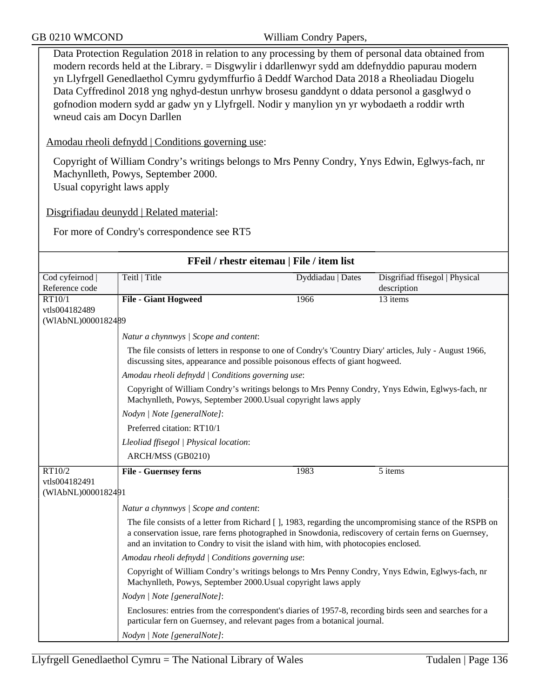Data Protection Regulation 2018 in relation to any processing by them of personal data obtained from modern records held at the Library. = Disgwylir i ddarllenwyr sydd am ddefnyddio papurau modern yn Llyfrgell Genedlaethol Cymru gydymffurfio â Deddf Warchod Data 2018 a Rheoliadau Diogelu Data Cyffredinol 2018 yng nghyd-destun unrhyw brosesu ganddynt o ddata personol a gasglwyd o gofnodion modern sydd ar gadw yn y Llyfrgell. Nodir y manylion yn yr wybodaeth a roddir wrth wneud cais am Docyn Darllen

Amodau rheoli defnydd | Conditions governing use:

Copyright of William Condry's writings belongs to Mrs Penny Condry, Ynys Edwin, Eglwys-fach, nr Machynlleth, Powys, September 2000. Usual copyright laws apply

Disgrifiadau deunydd | Related material:

For more of Condry's correspondence see RT5

| FFeil / rhestr eitemau   File / item list |                                                                                                                                                                                                                                                                                                          |                   |                                               |
|-------------------------------------------|----------------------------------------------------------------------------------------------------------------------------------------------------------------------------------------------------------------------------------------------------------------------------------------------------------|-------------------|-----------------------------------------------|
| Cod cyfeirnod  <br>Reference code         | Teitl   Title                                                                                                                                                                                                                                                                                            | Dyddiadau   Dates | Disgrifiad ffisegol   Physical<br>description |
| RT10/1                                    | <b>File - Giant Hogweed</b>                                                                                                                                                                                                                                                                              | 1966              | 13 items                                      |
| vtls004182489<br>(WIAbNL)0000182489       |                                                                                                                                                                                                                                                                                                          |                   |                                               |
|                                           |                                                                                                                                                                                                                                                                                                          |                   |                                               |
|                                           | Natur a chynnwys / Scope and content:                                                                                                                                                                                                                                                                    |                   |                                               |
|                                           | The file consists of letters in response to one of Condry's 'Country Diary' articles, July - August 1966,<br>discussing sites, appearance and possible poisonous effects of giant hogweed.                                                                                                               |                   |                                               |
|                                           | Amodau rheoli defnydd   Conditions governing use:                                                                                                                                                                                                                                                        |                   |                                               |
|                                           | Copyright of William Condry's writings belongs to Mrs Penny Condry, Ynys Edwin, Eglwys-fach, nr<br>Machynlleth, Powys, September 2000. Usual copyright laws apply                                                                                                                                        |                   |                                               |
|                                           | Nodyn   Note [generalNote]:                                                                                                                                                                                                                                                                              |                   |                                               |
|                                           | Preferred citation: RT10/1                                                                                                                                                                                                                                                                               |                   |                                               |
|                                           | Lleoliad ffisegol   Physical location:                                                                                                                                                                                                                                                                   |                   |                                               |
|                                           | ARCH/MSS (GB0210)                                                                                                                                                                                                                                                                                        |                   |                                               |
| RT10/2                                    | <b>File - Guernsey ferns</b>                                                                                                                                                                                                                                                                             | 1983              | 5 items                                       |
| vtls004182491                             |                                                                                                                                                                                                                                                                                                          |                   |                                               |
| (WIAbNL)0000182491                        |                                                                                                                                                                                                                                                                                                          |                   |                                               |
|                                           | Natur a chynnwys / Scope and content:                                                                                                                                                                                                                                                                    |                   |                                               |
|                                           | The file consists of a letter from Richard [], 1983, regarding the uncompromising stance of the RSPB on<br>a conservation issue, rare ferns photographed in Snowdonia, rediscovery of certain ferns on Guernsey,<br>and an invitation to Condry to visit the island with him, with photocopies enclosed. |                   |                                               |
|                                           | Amodau rheoli defnydd   Conditions governing use:                                                                                                                                                                                                                                                        |                   |                                               |
|                                           | Copyright of William Condry's writings belongs to Mrs Penny Condry, Ynys Edwin, Eglwys-fach, nr<br>Machynlleth, Powys, September 2000. Usual copyright laws apply                                                                                                                                        |                   |                                               |
|                                           | Nodyn   Note [generalNote]:                                                                                                                                                                                                                                                                              |                   |                                               |
|                                           | Enclosures: entries from the correspondent's diaries of 1957-8, recording birds seen and searches for a<br>particular fern on Guernsey, and relevant pages from a botanical journal.                                                                                                                     |                   |                                               |
|                                           | Nodyn   Note [generalNote]:                                                                                                                                                                                                                                                                              |                   |                                               |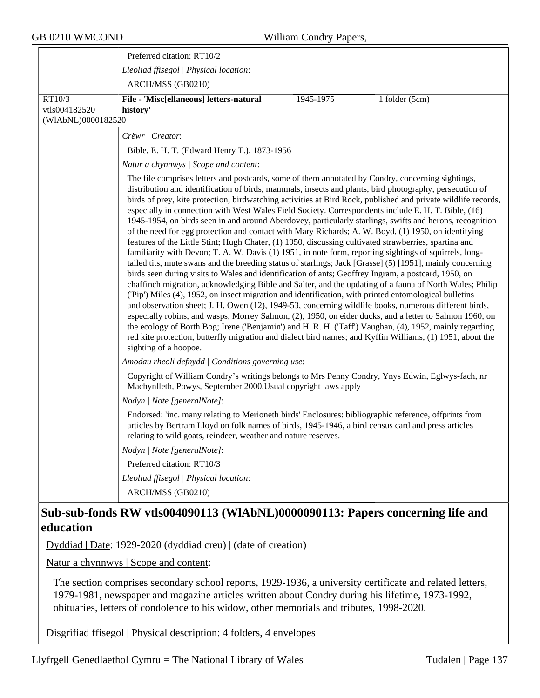|                                               | Preferred citation: RT10/2                                                                                                                                                                                                                                                                                                                                                                                                                                                                                                                                                                                                                                                                                                                                                                                                                                                                                                                                                                                                                                                                                                                                                                                                                                                                                                                                                                                                                                                                                                                                                                                                                                                                                                                                                                                                                                                                                                                                                                                                                       |           |                  |
|-----------------------------------------------|--------------------------------------------------------------------------------------------------------------------------------------------------------------------------------------------------------------------------------------------------------------------------------------------------------------------------------------------------------------------------------------------------------------------------------------------------------------------------------------------------------------------------------------------------------------------------------------------------------------------------------------------------------------------------------------------------------------------------------------------------------------------------------------------------------------------------------------------------------------------------------------------------------------------------------------------------------------------------------------------------------------------------------------------------------------------------------------------------------------------------------------------------------------------------------------------------------------------------------------------------------------------------------------------------------------------------------------------------------------------------------------------------------------------------------------------------------------------------------------------------------------------------------------------------------------------------------------------------------------------------------------------------------------------------------------------------------------------------------------------------------------------------------------------------------------------------------------------------------------------------------------------------------------------------------------------------------------------------------------------------------------------------------------------------|-----------|------------------|
|                                               | Lleoliad ffisegol   Physical location:                                                                                                                                                                                                                                                                                                                                                                                                                                                                                                                                                                                                                                                                                                                                                                                                                                                                                                                                                                                                                                                                                                                                                                                                                                                                                                                                                                                                                                                                                                                                                                                                                                                                                                                                                                                                                                                                                                                                                                                                           |           |                  |
|                                               | ARCH/MSS (GB0210)                                                                                                                                                                                                                                                                                                                                                                                                                                                                                                                                                                                                                                                                                                                                                                                                                                                                                                                                                                                                                                                                                                                                                                                                                                                                                                                                                                                                                                                                                                                                                                                                                                                                                                                                                                                                                                                                                                                                                                                                                                |           |                  |
| RT10/3<br>vtls004182520<br>(WIAbNL)0000182520 | File - 'Misc[ellaneous] letters-natural<br>history'                                                                                                                                                                                                                                                                                                                                                                                                                                                                                                                                                                                                                                                                                                                                                                                                                                                                                                                                                                                                                                                                                                                                                                                                                                                                                                                                                                                                                                                                                                                                                                                                                                                                                                                                                                                                                                                                                                                                                                                              | 1945-1975 | 1 folder $(5cm)$ |
|                                               | Crëwr   Creator:                                                                                                                                                                                                                                                                                                                                                                                                                                                                                                                                                                                                                                                                                                                                                                                                                                                                                                                                                                                                                                                                                                                                                                                                                                                                                                                                                                                                                                                                                                                                                                                                                                                                                                                                                                                                                                                                                                                                                                                                                                 |           |                  |
|                                               | Bible, E. H. T. (Edward Henry T.), 1873-1956                                                                                                                                                                                                                                                                                                                                                                                                                                                                                                                                                                                                                                                                                                                                                                                                                                                                                                                                                                                                                                                                                                                                                                                                                                                                                                                                                                                                                                                                                                                                                                                                                                                                                                                                                                                                                                                                                                                                                                                                     |           |                  |
|                                               | Natur a chynnwys / Scope and content:                                                                                                                                                                                                                                                                                                                                                                                                                                                                                                                                                                                                                                                                                                                                                                                                                                                                                                                                                                                                                                                                                                                                                                                                                                                                                                                                                                                                                                                                                                                                                                                                                                                                                                                                                                                                                                                                                                                                                                                                            |           |                  |
|                                               | The file comprises letters and postcards, some of them annotated by Condry, concerning sightings,<br>distribution and identification of birds, mammals, insects and plants, bird photography, persecution of<br>birds of prey, kite protection, birdwatching activities at Bird Rock, published and private wildlife records,<br>especially in connection with West Wales Field Society. Correspondents include E. H. T. Bible, (16)<br>1945-1954, on birds seen in and around Aberdovey, particularly starlings, swifts and herons, recognition<br>of the need for egg protection and contact with Mary Richards; A. W. Boyd, (1) 1950, on identifying<br>features of the Little Stint; Hugh Chater, (1) 1950, discussing cultivated strawberries, spartina and<br>familiarity with Devon; T. A. W. Davis (1) 1951, in note form, reporting sightings of squirrels, long-<br>tailed tits, mute swans and the breeding status of starlings; Jack [Grasse] (5) [1951], mainly concerning<br>birds seen during visits to Wales and identification of ants; Geoffrey Ingram, a postcard, 1950, on<br>chaffinch migration, acknowledging Bible and Salter, and the updating of a fauna of North Wales; Philip<br>('Pip') Miles (4), 1952, on insect migration and identification, with printed entomological bulletins<br>and observation sheet; J. H. Owen (12), 1949-53, concerning wildlife books, numerous different birds,<br>especially robins, and wasps, Morrey Salmon, (2), 1950, on eider ducks, and a letter to Salmon 1960, on<br>the ecology of Borth Bog; Irene ('Benjamin') and H. R. H. ('Taff') Vaughan, (4), 1952, mainly regarding<br>red kite protection, butterfly migration and dialect bird names; and Kyffin Williams, (1) 1951, about the<br>sighting of a hoopoe.<br>Amodau rheoli defnydd   Conditions governing use:<br>Copyright of William Condry's writings belongs to Mrs Penny Condry, Ynys Edwin, Eglwys-fach, nr<br>Machynlleth, Powys, September 2000. Usual copyright laws apply<br>Nodyn   Note [generalNote]: |           |                  |
|                                               | Endorsed: 'inc. many relating to Merioneth birds' Enclosures: bibliographic reference, offprints from<br>articles by Bertram Lloyd on folk names of birds, 1945-1946, a bird census card and press articles<br>relating to wild goats, reindeer, weather and nature reserves.                                                                                                                                                                                                                                                                                                                                                                                                                                                                                                                                                                                                                                                                                                                                                                                                                                                                                                                                                                                                                                                                                                                                                                                                                                                                                                                                                                                                                                                                                                                                                                                                                                                                                                                                                                    |           |                  |
|                                               | Nodyn   Note [generalNote]:                                                                                                                                                                                                                                                                                                                                                                                                                                                                                                                                                                                                                                                                                                                                                                                                                                                                                                                                                                                                                                                                                                                                                                                                                                                                                                                                                                                                                                                                                                                                                                                                                                                                                                                                                                                                                                                                                                                                                                                                                      |           |                  |
|                                               | Preferred citation: RT10/3                                                                                                                                                                                                                                                                                                                                                                                                                                                                                                                                                                                                                                                                                                                                                                                                                                                                                                                                                                                                                                                                                                                                                                                                                                                                                                                                                                                                                                                                                                                                                                                                                                                                                                                                                                                                                                                                                                                                                                                                                       |           |                  |
|                                               | Lleoliad ffisegol   Physical location:<br>ARCH/MSS (GB0210)                                                                                                                                                                                                                                                                                                                                                                                                                                                                                                                                                                                                                                                                                                                                                                                                                                                                                                                                                                                                                                                                                                                                                                                                                                                                                                                                                                                                                                                                                                                                                                                                                                                                                                                                                                                                                                                                                                                                                                                      |           |                  |

# **Sub-sub-fonds RW vtls004090113 (WlAbNL)0000090113: Papers concerning life and education**

Dyddiad | Date: 1929-2020 (dyddiad creu) | (date of creation)

Natur a chynnwys | Scope and content:

The section comprises secondary school reports, 1929-1936, a university certificate and related letters, 1979-1981, newspaper and magazine articles written about Condry during his lifetime, 1973-1992, obituaries, letters of condolence to his widow, other memorials and tributes, 1998-2020.

Disgrifiad ffisegol | Physical description: 4 folders, 4 envelopes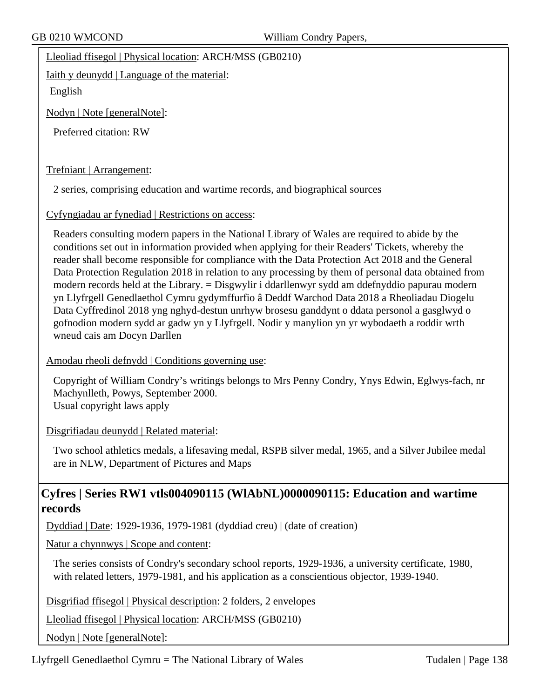Lleoliad ffisegol | Physical location: ARCH/MSS (GB0210)

Iaith y deunydd | Language of the material:

English

Nodyn | Note [generalNote]:

Preferred citation: RW

Trefniant | Arrangement:

2 series, comprising education and wartime records, and biographical sources

Cyfyngiadau ar fynediad | Restrictions on access:

Readers consulting modern papers in the National Library of Wales are required to abide by the conditions set out in information provided when applying for their Readers' Tickets, whereby the reader shall become responsible for compliance with the Data Protection Act 2018 and the General Data Protection Regulation 2018 in relation to any processing by them of personal data obtained from modern records held at the Library. = Disgwylir i ddarllenwyr sydd am ddefnyddio papurau modern yn Llyfrgell Genedlaethol Cymru gydymffurfio â Deddf Warchod Data 2018 a Rheoliadau Diogelu Data Cyffredinol 2018 yng nghyd-destun unrhyw brosesu ganddynt o ddata personol a gasglwyd o gofnodion modern sydd ar gadw yn y Llyfrgell. Nodir y manylion yn yr wybodaeth a roddir wrth wneud cais am Docyn Darllen

Amodau rheoli defnydd | Conditions governing use:

Copyright of William Condry's writings belongs to Mrs Penny Condry, Ynys Edwin, Eglwys-fach, nr Machynlleth, Powys, September 2000. Usual copyright laws apply

Disgrifiadau deunydd | Related material:

Two school athletics medals, a lifesaving medal, RSPB silver medal, 1965, and a Silver Jubilee medal are in NLW, Department of Pictures and Maps

# **Cyfres | Series RW1 vtls004090115 (WlAbNL)0000090115: Education and wartime records**

Dyddiad | Date: 1929-1936, 1979-1981 (dyddiad creu) | (date of creation)

Natur a chynnwys | Scope and content:

The series consists of Condry's secondary school reports, 1929-1936, a university certificate, 1980, with related letters, 1979-1981, and his application as a conscientious objector, 1939-1940.

Disgrifiad ffisegol | Physical description: 2 folders, 2 envelopes

Lleoliad ffisegol | Physical location: ARCH/MSS (GB0210)

Nodyn | Note [generalNote]: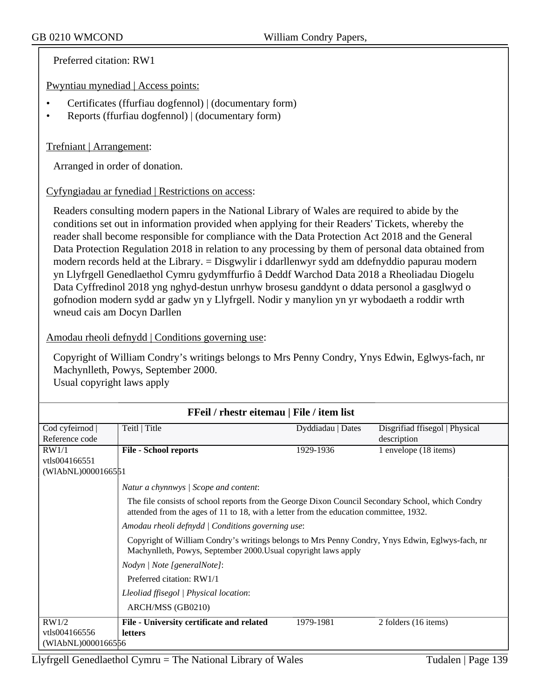Preferred citation: RW1

Pwyntiau mynediad | Access points:

- Certificates (ffurfiau dogfennol) | (documentary form)
- Reports (ffurfiau dogfennol) | (documentary form)

# Trefniant | Arrangement:

Arranged in order of donation.

# Cyfyngiadau ar fynediad | Restrictions on access:

Readers consulting modern papers in the National Library of Wales are required to abide by the conditions set out in information provided when applying for their Readers' Tickets, whereby the reader shall become responsible for compliance with the Data Protection Act 2018 and the General Data Protection Regulation 2018 in relation to any processing by them of personal data obtained from modern records held at the Library. = Disgwylir i ddarllenwyr sydd am ddefnyddio papurau modern yn Llyfrgell Genedlaethol Cymru gydymffurfio â Deddf Warchod Data 2018 a Rheoliadau Diogelu Data Cyffredinol 2018 yng nghyd-destun unrhyw brosesu ganddynt o ddata personol a gasglwyd o gofnodion modern sydd ar gadw yn y Llyfrgell. Nodir y manylion yn yr wybodaeth a roddir wrth wneud cais am Docyn Darllen

# Amodau rheoli defnydd | Conditions governing use:

Copyright of William Condry's writings belongs to Mrs Penny Condry, Ynys Edwin, Eglwys-fach, nr Machynlleth, Powys, September 2000. Usual copyright laws apply

| FFeil / rhestr eitemau   File / item list |                                                                                                                                                                                           |                   |                                |
|-------------------------------------------|-------------------------------------------------------------------------------------------------------------------------------------------------------------------------------------------|-------------------|--------------------------------|
| Cod cyfeirnod                             | Teitl   Title                                                                                                                                                                             | Dyddiadau   Dates | Disgrifiad ffisegol   Physical |
| Reference code                            |                                                                                                                                                                                           |                   | description                    |
| RW1/1                                     | <b>File - School reports</b>                                                                                                                                                              | 1929-1936         | 1 envelope (18 items)          |
| vtls004166551                             |                                                                                                                                                                                           |                   |                                |
| (WIAbNL)0000166551                        |                                                                                                                                                                                           |                   |                                |
|                                           | Natur a chynnwys / Scope and content:                                                                                                                                                     |                   |                                |
|                                           | The file consists of school reports from the George Dixon Council Secondary School, which Condry<br>attended from the ages of 11 to 18, with a letter from the education committee, 1932. |                   |                                |
|                                           | Amodau rheoli defnydd   Conditions governing use:                                                                                                                                         |                   |                                |
|                                           | Copyright of William Condry's writings belongs to Mrs Penny Condry, Ynys Edwin, Eglwys-fach, nr<br>Machynlleth, Powys, September 2000. Usual copyright laws apply                         |                   |                                |
|                                           | Nodyn   Note [generalNote]:                                                                                                                                                               |                   |                                |
|                                           | Preferred citation: RW1/1                                                                                                                                                                 |                   |                                |
|                                           | Lleoliad ffisegol   Physical location:                                                                                                                                                    |                   |                                |
|                                           | ARCH/MSS (GB0210)                                                                                                                                                                         |                   |                                |
| RW1/2                                     | File - University certificate and related                                                                                                                                                 | 1979-1981         | 2 folders (16 items)           |
| vtls004166556                             | <b>letters</b>                                                                                                                                                                            |                   |                                |
| (WIAbNL)0000166556                        |                                                                                                                                                                                           |                   |                                |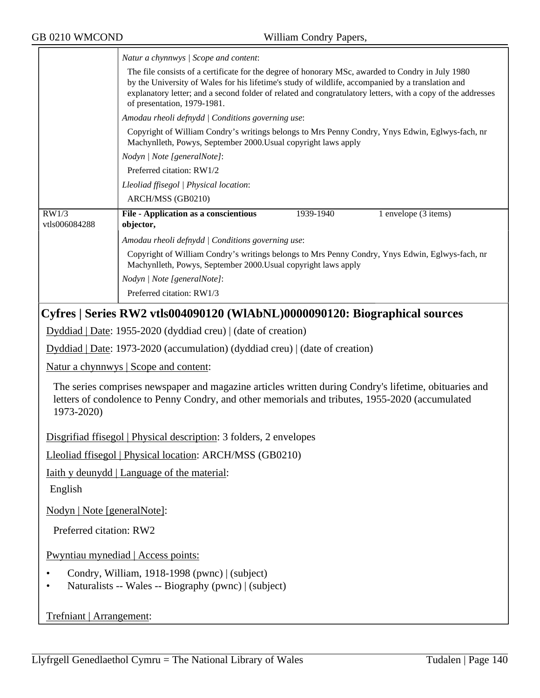|                                                                                                                                                                                                                        | Natur a chynnwys / Scope and content:                                                                                                                                                                                                                                                                                                                |  |
|------------------------------------------------------------------------------------------------------------------------------------------------------------------------------------------------------------------------|------------------------------------------------------------------------------------------------------------------------------------------------------------------------------------------------------------------------------------------------------------------------------------------------------------------------------------------------------|--|
|                                                                                                                                                                                                                        | The file consists of a certificate for the degree of honorary MSc, awarded to Condry in July 1980<br>by the University of Wales for his lifetime's study of wildlife, accompanied by a translation and<br>explanatory letter; and a second folder of related and congratulatory letters, with a copy of the addresses<br>of presentation, 1979-1981. |  |
|                                                                                                                                                                                                                        | Amodau rheoli defnydd   Conditions governing use:                                                                                                                                                                                                                                                                                                    |  |
|                                                                                                                                                                                                                        | Copyright of William Condry's writings belongs to Mrs Penny Condry, Ynys Edwin, Eglwys-fach, nr<br>Machynlleth, Powys, September 2000. Usual copyright laws apply                                                                                                                                                                                    |  |
|                                                                                                                                                                                                                        | Nodyn   Note [generalNote]:                                                                                                                                                                                                                                                                                                                          |  |
|                                                                                                                                                                                                                        | Preferred citation: RW1/2                                                                                                                                                                                                                                                                                                                            |  |
|                                                                                                                                                                                                                        | Lleoliad ffisegol   Physical location:                                                                                                                                                                                                                                                                                                               |  |
|                                                                                                                                                                                                                        | ARCH/MSS (GB0210)                                                                                                                                                                                                                                                                                                                                    |  |
| RW1/3<br>vtls006084288                                                                                                                                                                                                 | File - Application as a conscientious<br>1939-1940<br>1 envelope (3 items)<br>objector,                                                                                                                                                                                                                                                              |  |
|                                                                                                                                                                                                                        | Amodau rheoli defnydd   Conditions governing use:                                                                                                                                                                                                                                                                                                    |  |
|                                                                                                                                                                                                                        | Copyright of William Condry's writings belongs to Mrs Penny Condry, Ynys Edwin, Eglwys-fach, nr<br>Machynlleth, Powys, September 2000. Usual copyright laws apply                                                                                                                                                                                    |  |
|                                                                                                                                                                                                                        | Nodyn   Note [generalNote]:                                                                                                                                                                                                                                                                                                                          |  |
|                                                                                                                                                                                                                        | Preferred citation: RW1/3                                                                                                                                                                                                                                                                                                                            |  |
|                                                                                                                                                                                                                        | Cyfres   Series RW2 vtls004090120 (WlAbNL)0000090120: Biographical sources                                                                                                                                                                                                                                                                           |  |
|                                                                                                                                                                                                                        | Dyddiad   Date: 1955-2020 (dyddiad creu)   (date of creation)                                                                                                                                                                                                                                                                                        |  |
| Dyddiad   Date: 1973-2020 (accumulation) (dyddiad creu)   (date of creation)                                                                                                                                           |                                                                                                                                                                                                                                                                                                                                                      |  |
| <u>Natur a chynnwys</u>   Scope and content:                                                                                                                                                                           |                                                                                                                                                                                                                                                                                                                                                      |  |
| The series comprises newspaper and magazine articles written during Condry's lifetime, obituaries and<br>letters of condolence to Penny Condry, and other memorials and tributes, 1955-2020 (accumulated<br>1973-2020) |                                                                                                                                                                                                                                                                                                                                                      |  |
| Disgrifiad ffisegol   Physical description: 3 folders, 2 envelopes                                                                                                                                                     |                                                                                                                                                                                                                                                                                                                                                      |  |
| Lleoliad ffisegol   Physical location: ARCH/MSS (GB0210)                                                                                                                                                               |                                                                                                                                                                                                                                                                                                                                                      |  |
| <b>Iaith y deunydd</b>   Language of the material:                                                                                                                                                                     |                                                                                                                                                                                                                                                                                                                                                      |  |
| English                                                                                                                                                                                                                |                                                                                                                                                                                                                                                                                                                                                      |  |
| Nodyn   Note [generalNote]:                                                                                                                                                                                            |                                                                                                                                                                                                                                                                                                                                                      |  |
| Preferred citation: RW2                                                                                                                                                                                                |                                                                                                                                                                                                                                                                                                                                                      |  |
| Pwyntiau mynediad   Access points:                                                                                                                                                                                     |                                                                                                                                                                                                                                                                                                                                                      |  |
| Condry, William, 1918-1998 (pwnc)   (subject)                                                                                                                                                                          |                                                                                                                                                                                                                                                                                                                                                      |  |
| Naturalists -- Wales -- Biography (pwnc)   (subject)                                                                                                                                                                   |                                                                                                                                                                                                                                                                                                                                                      |  |
|                                                                                                                                                                                                                        |                                                                                                                                                                                                                                                                                                                                                      |  |
| Trefniant   Arrangement:                                                                                                                                                                                               |                                                                                                                                                                                                                                                                                                                                                      |  |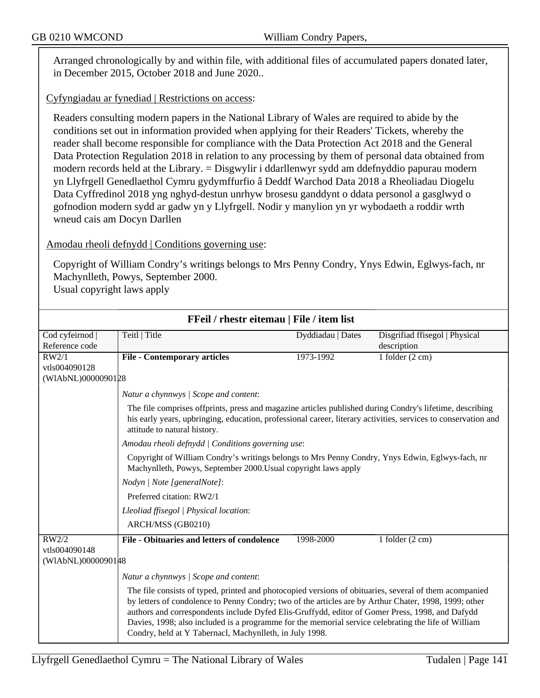Arranged chronologically by and within file, with additional files of accumulated papers donated later, in December 2015, October 2018 and June 2020..

Cyfyngiadau ar fynediad | Restrictions on access:

Readers consulting modern papers in the National Library of Wales are required to abide by the conditions set out in information provided when applying for their Readers' Tickets, whereby the reader shall become responsible for compliance with the Data Protection Act 2018 and the General Data Protection Regulation 2018 in relation to any processing by them of personal data obtained from modern records held at the Library. = Disgwylir i ddarllenwyr sydd am ddefnyddio papurau modern yn Llyfrgell Genedlaethol Cymru gydymffurfio â Deddf Warchod Data 2018 a Rheoliadau Diogelu Data Cyffredinol 2018 yng nghyd-destun unrhyw brosesu ganddynt o ddata personol a gasglwyd o gofnodion modern sydd ar gadw yn y Llyfrgell. Nodir y manylion yn yr wybodaeth a roddir wrth wneud cais am Docyn Darllen

Amodau rheoli defnydd | Conditions governing use:

Copyright of William Condry's writings belongs to Mrs Penny Condry, Ynys Edwin, Eglwys-fach, nr Machynlleth, Powys, September 2000.

**FFeil / rhestr eitemau | File / item list**

Usual copyright laws apply

| FF CH / THESH CREMIAU   FHC / REIH HSt |                                                                                                                                                                                                                                                                                                                                                                                                                                                                                      |                   |                                |
|----------------------------------------|--------------------------------------------------------------------------------------------------------------------------------------------------------------------------------------------------------------------------------------------------------------------------------------------------------------------------------------------------------------------------------------------------------------------------------------------------------------------------------------|-------------------|--------------------------------|
| Cod cyfeirnod                          | Teitl   Title                                                                                                                                                                                                                                                                                                                                                                                                                                                                        | Dyddiadau   Dates | Disgrifiad ffisegol   Physical |
| Reference code                         |                                                                                                                                                                                                                                                                                                                                                                                                                                                                                      |                   | description                    |
| RW2/1                                  | <b>File - Contemporary articles</b>                                                                                                                                                                                                                                                                                                                                                                                                                                                  | 1973-1992         | 1 folder $(2 \text{ cm})$      |
| vtls004090128                          |                                                                                                                                                                                                                                                                                                                                                                                                                                                                                      |                   |                                |
| (WIAbNL)0000090128                     |                                                                                                                                                                                                                                                                                                                                                                                                                                                                                      |                   |                                |
|                                        | Natur a chynnwys / Scope and content:                                                                                                                                                                                                                                                                                                                                                                                                                                                |                   |                                |
|                                        | The file comprises offprints, press and magazine articles published during Condry's lifetime, describing<br>his early years, upbringing, education, professional career, literary activities, services to conservation and<br>attitude to natural history.                                                                                                                                                                                                                           |                   |                                |
|                                        | Amodau rheoli defnydd   Conditions governing use:                                                                                                                                                                                                                                                                                                                                                                                                                                    |                   |                                |
|                                        | Copyright of William Condry's writings belongs to Mrs Penny Condry, Ynys Edwin, Eglwys-fach, nr<br>Machynlleth, Powys, September 2000. Usual copyright laws apply                                                                                                                                                                                                                                                                                                                    |                   |                                |
|                                        | Nodyn   Note [generalNote]:                                                                                                                                                                                                                                                                                                                                                                                                                                                          |                   |                                |
|                                        | Preferred citation: RW2/1                                                                                                                                                                                                                                                                                                                                                                                                                                                            |                   |                                |
|                                        | Lleoliad ffisegol   Physical location:                                                                                                                                                                                                                                                                                                                                                                                                                                               |                   |                                |
|                                        | ARCH/MSS (GB0210)                                                                                                                                                                                                                                                                                                                                                                                                                                                                    |                   |                                |
| RW2/2                                  | File - Obituaries and letters of condolence                                                                                                                                                                                                                                                                                                                                                                                                                                          | 1998-2000         | 1 folder $(2 \text{ cm})$      |
| vtls004090148                          |                                                                                                                                                                                                                                                                                                                                                                                                                                                                                      |                   |                                |
| (WIAbNL)0000090148                     |                                                                                                                                                                                                                                                                                                                                                                                                                                                                                      |                   |                                |
|                                        | Natur a chynnwys / Scope and content:                                                                                                                                                                                                                                                                                                                                                                                                                                                |                   |                                |
|                                        | The file consists of typed, printed and photocopied versions of obituaries, several of them acompanied<br>by letters of condolence to Penny Condry; two of the articles are by Arthur Chater, 1998, 1999; other<br>authors and correspondents include Dyfed Elis-Gruffydd, editor of Gomer Press, 1998, and Dafydd<br>Davies, 1998; also included is a programme for the memorial service celebrating the life of William<br>Condry, held at Y Tabernacl, Machynlleth, in July 1998. |                   |                                |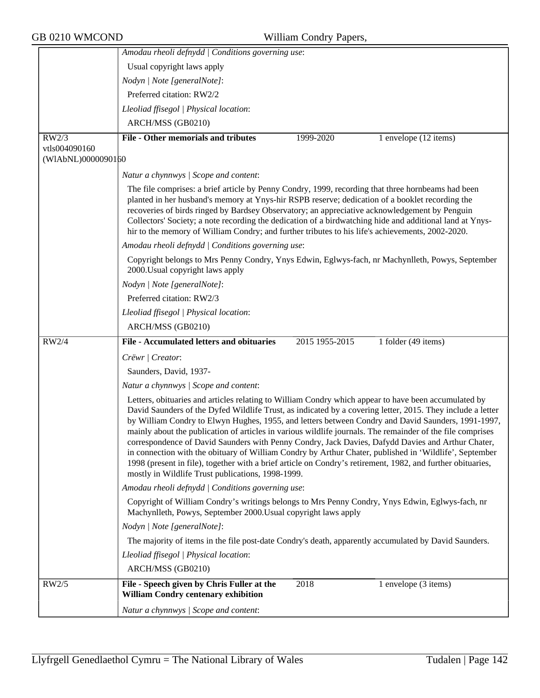|                    | Amodau rheoli defnydd   Conditions governing use:                                                                                                                                                                                                                                                                                                                                                                                                                                                                                                                                                                                                                                                                                                                                                                         |
|--------------------|---------------------------------------------------------------------------------------------------------------------------------------------------------------------------------------------------------------------------------------------------------------------------------------------------------------------------------------------------------------------------------------------------------------------------------------------------------------------------------------------------------------------------------------------------------------------------------------------------------------------------------------------------------------------------------------------------------------------------------------------------------------------------------------------------------------------------|
|                    | Usual copyright laws apply                                                                                                                                                                                                                                                                                                                                                                                                                                                                                                                                                                                                                                                                                                                                                                                                |
|                    | Nodyn   Note [generalNote]:                                                                                                                                                                                                                                                                                                                                                                                                                                                                                                                                                                                                                                                                                                                                                                                               |
|                    | Preferred citation: RW2/2                                                                                                                                                                                                                                                                                                                                                                                                                                                                                                                                                                                                                                                                                                                                                                                                 |
|                    | Lleoliad ffisegol   Physical location:                                                                                                                                                                                                                                                                                                                                                                                                                                                                                                                                                                                                                                                                                                                                                                                    |
|                    | ARCH/MSS (GB0210)                                                                                                                                                                                                                                                                                                                                                                                                                                                                                                                                                                                                                                                                                                                                                                                                         |
| RW2/3              | File - Other memorials and tributes<br>1 envelope (12 items)<br>1999-2020                                                                                                                                                                                                                                                                                                                                                                                                                                                                                                                                                                                                                                                                                                                                                 |
| vtls004090160      |                                                                                                                                                                                                                                                                                                                                                                                                                                                                                                                                                                                                                                                                                                                                                                                                                           |
| (WIAbNL)0000090160 |                                                                                                                                                                                                                                                                                                                                                                                                                                                                                                                                                                                                                                                                                                                                                                                                                           |
|                    | Natur a chynnwys / Scope and content:                                                                                                                                                                                                                                                                                                                                                                                                                                                                                                                                                                                                                                                                                                                                                                                     |
|                    | The file comprises: a brief article by Penny Condry, 1999, recording that three hornbeams had been<br>planted in her husband's memory at Ynys-hir RSPB reserve; dedication of a booklet recording the<br>recoveries of birds ringed by Bardsey Observatory; an appreciative acknowledgement by Penguin<br>Collectors' Society; a note recording the dedication of a birdwatching hide and additional land at Ynys-<br>hir to the memory of William Condry; and further tributes to his life's achievements, 2002-2020.                                                                                                                                                                                                                                                                                                    |
|                    | Amodau rheoli defnydd   Conditions governing use:                                                                                                                                                                                                                                                                                                                                                                                                                                                                                                                                                                                                                                                                                                                                                                         |
|                    | Copyright belongs to Mrs Penny Condry, Ynys Edwin, Eglwys-fach, nr Machynlleth, Powys, September<br>2000. Usual copyright laws apply                                                                                                                                                                                                                                                                                                                                                                                                                                                                                                                                                                                                                                                                                      |
|                    | Nodyn   Note [generalNote]:                                                                                                                                                                                                                                                                                                                                                                                                                                                                                                                                                                                                                                                                                                                                                                                               |
|                    | Preferred citation: RW2/3                                                                                                                                                                                                                                                                                                                                                                                                                                                                                                                                                                                                                                                                                                                                                                                                 |
|                    | Lleoliad ffisegol   Physical location:                                                                                                                                                                                                                                                                                                                                                                                                                                                                                                                                                                                                                                                                                                                                                                                    |
|                    | ARCH/MSS (GB0210)                                                                                                                                                                                                                                                                                                                                                                                                                                                                                                                                                                                                                                                                                                                                                                                                         |
| RW2/4              | File - Accumulated letters and obituaries<br>1 folder (49 items)<br>2015 1955-2015                                                                                                                                                                                                                                                                                                                                                                                                                                                                                                                                                                                                                                                                                                                                        |
|                    | Crëwr   Creator:                                                                                                                                                                                                                                                                                                                                                                                                                                                                                                                                                                                                                                                                                                                                                                                                          |
|                    | Saunders, David, 1937-                                                                                                                                                                                                                                                                                                                                                                                                                                                                                                                                                                                                                                                                                                                                                                                                    |
|                    | Natur a chynnwys / Scope and content:                                                                                                                                                                                                                                                                                                                                                                                                                                                                                                                                                                                                                                                                                                                                                                                     |
|                    | Letters, obituaries and articles relating to William Condry which appear to have been accumulated by<br>David Saunders of the Dyfed Wildlife Trust, as indicated by a covering letter, 2015. They include a letter<br>by William Condry to Elwyn Hughes, 1955, and letters between Condry and David Saunders, 1991-1997,<br>mainly about the publication of articles in various wildlife journals. The remainder of the file comprises<br>correspondence of David Saunders with Penny Condry, Jack Davies, Dafydd Davies and Arthur Chater,<br>in connection with the obituary of William Condry by Arthur Chater, published in 'Wildlife', September<br>1998 (present in file), together with a brief article on Condry's retirement, 1982, and further obituaries,<br>mostly in Wildlife Trust publications, 1998-1999. |
|                    | Amodau rheoli defnydd   Conditions governing use:                                                                                                                                                                                                                                                                                                                                                                                                                                                                                                                                                                                                                                                                                                                                                                         |
|                    | Copyright of William Condry's writings belongs to Mrs Penny Condry, Ynys Edwin, Eglwys-fach, nr<br>Machynlleth, Powys, September 2000. Usual copyright laws apply                                                                                                                                                                                                                                                                                                                                                                                                                                                                                                                                                                                                                                                         |
|                    | Nodyn   Note [generalNote]:                                                                                                                                                                                                                                                                                                                                                                                                                                                                                                                                                                                                                                                                                                                                                                                               |
|                    | The majority of items in the file post-date Condry's death, apparently accumulated by David Saunders.                                                                                                                                                                                                                                                                                                                                                                                                                                                                                                                                                                                                                                                                                                                     |
|                    | Lleoliad ffisegol   Physical location:                                                                                                                                                                                                                                                                                                                                                                                                                                                                                                                                                                                                                                                                                                                                                                                    |
|                    | ARCH/MSS (GB0210)                                                                                                                                                                                                                                                                                                                                                                                                                                                                                                                                                                                                                                                                                                                                                                                                         |
| RW2/5              | File - Speech given by Chris Fuller at the<br>2018<br>1 envelope (3 items)<br>William Condry centenary exhibition                                                                                                                                                                                                                                                                                                                                                                                                                                                                                                                                                                                                                                                                                                         |
|                    | Natur a chynnwys / Scope and content:                                                                                                                                                                                                                                                                                                                                                                                                                                                                                                                                                                                                                                                                                                                                                                                     |